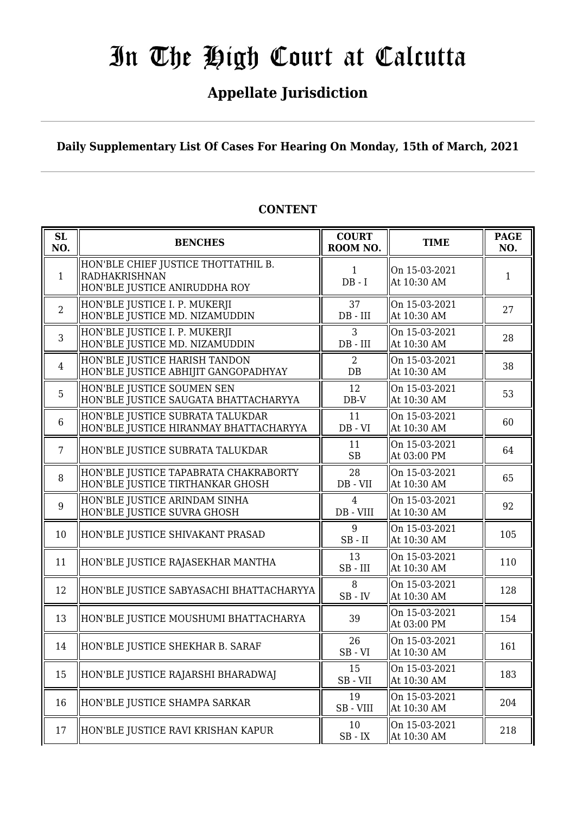### **Appellate Jurisdiction**

**Daily Supplementary List Of Cases For Hearing On Monday, 15th of March, 2021**

| SL<br>NO.      | <b>BENCHES</b>                                                                        | <b>COURT</b><br>ROOM NO.    | <b>TIME</b>                  | <b>PAGE</b><br>NO. |
|----------------|---------------------------------------------------------------------------------------|-----------------------------|------------------------------|--------------------|
| $\mathbf{1}$   | HON'BLE CHIEF JUSTICE THOTTATHIL B.<br>RADHAKRISHNAN<br>HON'BLE JUSTICE ANIRUDDHA ROY | $\mathbf{1}$<br>$DB - I$    | On 15-03-2021<br>At 10:30 AM | 1                  |
| $\overline{2}$ | HON'BLE JUSTICE I. P. MUKERJI<br>HON'BLE JUSTICE MD. NIZAMUDDIN                       | 37<br>$DB$ - $III$          | On 15-03-2021<br>At 10:30 AM | 27                 |
| $\overline{3}$ | HON'BLE JUSTICE I. P. MUKERJI<br>HON'BLE JUSTICE MD. NIZAMUDDIN                       | 3<br>$DB$ - $III$           | On 15-03-2021<br>At 10:30 AM | 28                 |
| $\overline{4}$ | HON'BLE JUSTICE HARISH TANDON<br>HON'BLE JUSTICE ABHIJIT GANGOPADHYAY                 | $\overline{2}$<br>$DB$      | On 15-03-2021<br>At 10:30 AM | 38                 |
| 5              | HON'BLE JUSTICE SOUMEN SEN<br>HON'BLE JUSTICE SAUGATA BHATTACHARYYA                   | 12<br>$DB-V$                | On 15-03-2021<br>At 10:30 AM | 53                 |
| 6              | HON'BLE JUSTICE SUBRATA TALUKDAR<br>HON'BLE JUSTICE HIRANMAY BHATTACHARYYA            | 11<br>$DB - VI$             | On 15-03-2021<br>At 10:30 AM | 60                 |
| $7\phantom{.}$ | HON'BLE JUSTICE SUBRATA TALUKDAR                                                      | 11<br><b>SB</b>             | On 15-03-2021<br>At 03:00 PM | 64                 |
| 8              | HON'BLE JUSTICE TAPABRATA CHAKRABORTY<br>HON'BLE JUSTICE TIRTHANKAR GHOSH             | 28<br>$DB - VII$            | On 15-03-2021<br>At 10:30 AM | 65                 |
| 9              | HON'BLE JUSTICE ARINDAM SINHA<br>HON'BLE JUSTICE SUVRA GHOSH                          | $\overline{4}$<br>DB - VIII | On 15-03-2021<br>At 10:30 AM | 92                 |
| 10             | HON'BLE JUSTICE SHIVAKANT PRASAD                                                      | 9<br>$SB$ - $II$            | On 15-03-2021<br>At 10:30 AM | 105                |
| 11             | HON'BLE JUSTICE RAJASEKHAR MANTHA                                                     | 13<br>$SB$ - $III$          | On 15-03-2021<br>At 10:30 AM | 110                |
| 12             | HON'BLE JUSTICE SABYASACHI BHATTACHARYYA                                              | 8<br>$SB$ - $IV$            | On 15-03-2021<br>At 10:30 AM | 128                |
| 13             | HON'BLE JUSTICE MOUSHUMI BHATTACHARYA                                                 | 39                          | On 15-03-2021<br>At 03:00 PM | 154                |
| 14             | HON'BLE JUSTICE SHEKHAR B. SARAF                                                      | 26<br>$SB - VI$             | On 15-03-2021<br>At 10:30 AM | 161                |
| 15             | HON'BLE JUSTICE RAJARSHI BHARADWAJ                                                    | 15<br>SB-VII                | On 15-03-2021<br>At 10:30 AM | 183                |
| 16             | HON'BLE JUSTICE SHAMPA SARKAR                                                         | 19<br>SB-VIII               | On 15-03-2021<br>At 10:30 AM | 204                |
| 17             | HON'BLE JUSTICE RAVI KRISHAN KAPUR                                                    | 10<br>$\rm SB$ - $\rm IX$   | On 15-03-2021<br>At 10:30 AM | 218                |

#### **CONTENT**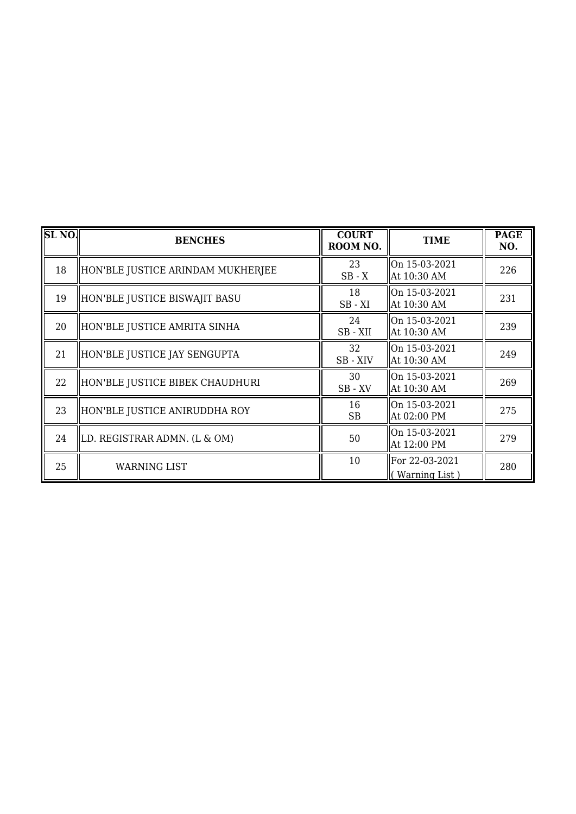| SL <sub>NO</sub> | <b>BENCHES</b>                    | <b>COURT</b><br>ROOM NO. | <b>TIME</b>                      | <b>PAGE</b><br>NO. |
|------------------|-----------------------------------|--------------------------|----------------------------------|--------------------|
| 18               | HON'BLE JUSTICE ARINDAM MUKHERJEE | 23<br>$SB - X$           | On 15-03-2021<br>At 10:30 AM     | 226                |
| 19               | HON'BLE JUSTICE BISWAJIT BASU     | 18<br>$SB - XI$          | On 15-03-2021<br>At 10:30 AM     | 231                |
| 20               | HON'BLE JUSTICE AMRITA SINHA      | 24<br>SB-XII             | On 15-03-2021<br>At 10:30 AM     | 239                |
| 21               | HON'BLE JUSTICE JAY SENGUPTA      | 32<br>SB-XIV             | On 15-03-2021<br>  At 10:30 AM   | 249                |
| 22               | HON'BLE JUSTICE BIBEK CHAUDHURI   | 30<br>SB-XV              | On 15-03-2021<br>At 10:30 AM     | 269                |
| 23               | HON'BLE JUSTICE ANIRUDDHA ROY     | 16<br><b>SB</b>          | On 15-03-2021<br>At 02:00 PM     | 275                |
| 24               | LD. REGISTRAR ADMN. (L & OM)      | 50                       | On 15-03-2021<br>At 12:00 PM     | 279                |
| 25               | <b>WARNING LIST</b>               | 10                       | For 22-03-2021<br>(Warning List) | 280                |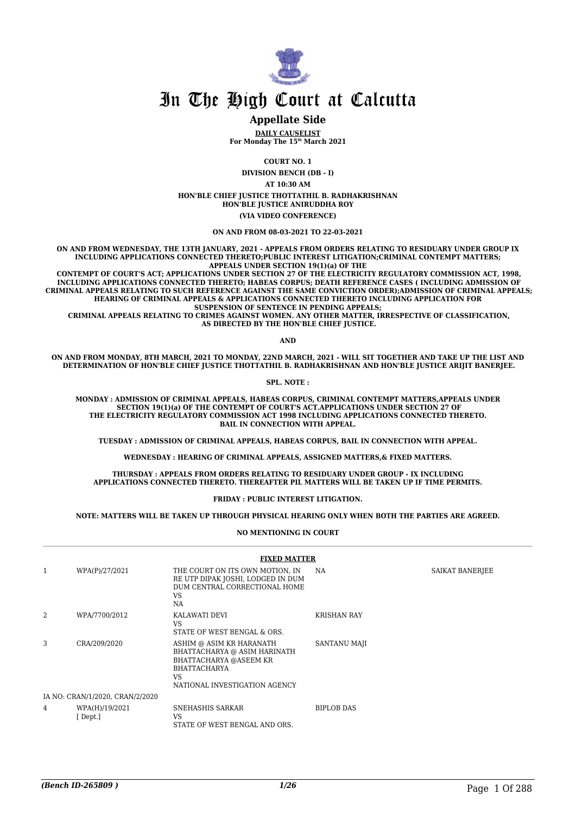

#### **Appellate Side**

**DAILY CAUSELIST For Monday The 15th March 2021**

**COURT NO. 1**

**DIVISION BENCH (DB - I) AT 10:30 AM HON'BLE CHIEF JUSTICE THOTTATHIL B. RADHAKRISHNAN HON'BLE JUSTICE ANIRUDDHA ROY (VIA VIDEO CONFERENCE)**

**ON AND FROM 08-03-2021 TO 22-03-2021**

**ON AND FROM WEDNESDAY, THE 13TH JANUARY, 2021 - APPEALS FROM ORDERS RELATING TO RESIDUARY UNDER GROUP IX INCLUDING APPLICATIONS CONNECTED THERETO;PUBLIC INTEREST LITIGATION;CRIMINAL CONTEMPT MATTERS; APPEALS UNDER SECTION 19(1)(a) OF THE**

 **CONTEMPT OF COURT'S ACT; APPLICATIONS UNDER SECTION 27 OF THE ELECTRICITY REGULATORY COMMISSION ACT, 1998, INCLUDING APPLICATIONS CONNECTED THERETO; HABEAS CORPUS; DEATH REFERENCE CASES ( INCLUDING ADMISSION OF CRIMINAL APPEALS RELATING TO SUCH REFERENCE AGAINST THE SAME CONVICTION ORDER);ADMISSION OF CRIMINAL APPEALS; HEARING OF CRIMINAL APPEALS & APPLICATIONS CONNECTED THERETO INCLUDING APPLICATION FOR SUSPENSION OF SENTENCE IN PENDING APPEALS;**

 **CRIMINAL APPEALS RELATING TO CRIMES AGAINST WOMEN. ANY OTHER MATTER, IRRESPECTIVE OF CLASSIFICATION, AS DIRECTED BY THE HON'BLE CHIEF JUSTICE.**

**AND**

**ON AND FROM MONDAY, 8TH MARCH, 2021 TO MONDAY, 22ND MARCH, 2021 - WILL SIT TOGETHER AND TAKE UP THE LIST AND DETERMINATION OF HON'BLE CHIEF JUSTICE THOTTATHIL B. RADHAKRISHNAN AND HON'BLE JUSTICE ARIJIT BANERJEE.**

**SPL. NOTE :**

**MONDAY : ADMISSION OF CRIMINAL APPEALS, HABEAS CORPUS, CRIMINAL CONTEMPT MATTERS,APPEALS UNDER SECTION 19(1)(a) OF THE CONTEMPT OF COURT'S ACT.APPLICATIONS UNDER SECTION 27 OF THE ELECTRICITY REGULATORY COMMISSION ACT 1998 INCLUDING APPLICATIONS CONNECTED THERETO. BAIL IN CONNECTION WITH APPEAL.**

**TUESDAY : ADMISSION OF CRIMINAL APPEALS, HABEAS CORPUS, BAIL IN CONNECTION WITH APPEAL.**

**WEDNESDAY : HEARING OF CRIMINAL APPEALS, ASSIGNED MATTERS,& FIXED MATTERS.**

**THURSDAY : APPEALS FROM ORDERS RELATING TO RESIDUARY UNDER GROUP - IX INCLUDING APPLICATIONS CONNECTED THERETO. THEREAFTER PIL MATTERS WILL BE TAKEN UP IF TIME PERMITS.**

**FRIDAY : PUBLIC INTEREST LITIGATION.**

**NOTE: MATTERS WILL BE TAKEN UP THROUGH PHYSICAL HEARING ONLY WHEN BOTH THE PARTIES ARE AGREED.**

#### **NO MENTIONING IN COURT**

| <b>FIXED MATTER</b>             |                            |                                                                                                                                                  |                    |                 |  |
|---------------------------------|----------------------------|--------------------------------------------------------------------------------------------------------------------------------------------------|--------------------|-----------------|--|
| $\mathbf{1}$                    | WPA(P)/27/2021             | THE COURT ON ITS OWN MOTION, IN<br>RE UTP DIPAK JOSHI, LODGED IN DUM<br>DUM CENTRAL CORRECTIONAL HOME<br>VS<br><b>NA</b>                         | NA.                | SAIKAT BANERJEE |  |
| 2                               | WPA/7700/2012              | KALAWATI DEVI<br>VS.<br>STATE OF WEST BENGAL & ORS.                                                                                              | <b>KRISHAN RAY</b> |                 |  |
| 3                               | CRA/209/2020               | ASHIM @ ASIM KR HARANATH<br>BHATTACHARYA @ ASIM HARINATH<br>BHATTACHARYA @ASEEM KR<br><b>BHATTACHARYA</b><br>VS<br>NATIONAL INVESTIGATION AGENCY | SANTANU MAJI       |                 |  |
| IA NO: CRAN/1/2020, CRAN/2/2020 |                            |                                                                                                                                                  |                    |                 |  |
| 4                               | WPA(H)/19/2021<br>[ Dept.] | SNEHASHIS SARKAR<br><b>VS</b><br>STATE OF WEST BENGAL AND ORS.                                                                                   | <b>BIPLOB DAS</b>  |                 |  |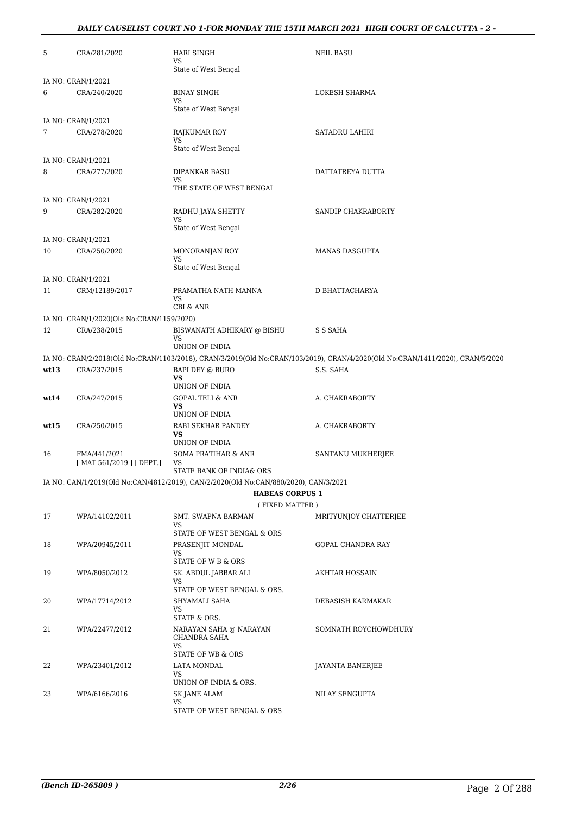#### *DAILY CAUSELIST COURT NO 1-FOR MONDAY THE 15TH MARCH 2021 HIGH COURT OF CALCUTTA - 2 -*

| 5    | CRA/281/2020                              | <b>HARI SINGH</b><br>VS<br>State of West Bengal                                      | <b>NEIL BASU</b>                                                                                                              |
|------|-------------------------------------------|--------------------------------------------------------------------------------------|-------------------------------------------------------------------------------------------------------------------------------|
|      | IA NO: CRAN/1/2021                        |                                                                                      |                                                                                                                               |
| 6    | CRA/240/2020                              | <b>BINAY SINGH</b>                                                                   | LOKESH SHARMA                                                                                                                 |
|      |                                           | VS<br>State of West Bengal                                                           |                                                                                                                               |
|      | IA NO: CRAN/1/2021                        |                                                                                      |                                                                                                                               |
| 7    | CRA/278/2020                              | RAJKUMAR ROY<br>VS<br>State of West Bengal                                           | SATADRU LAHIRI                                                                                                                |
|      | IA NO: CRAN/1/2021                        |                                                                                      |                                                                                                                               |
| 8    | CRA/277/2020                              | DIPANKAR BASU<br>VS                                                                  | DATTATREYA DUTTA                                                                                                              |
|      |                                           | THE STATE OF WEST BENGAL                                                             |                                                                                                                               |
|      | IA NO: CRAN/1/2021                        |                                                                                      |                                                                                                                               |
| 9    | CRA/282/2020                              | RADHU JAYA SHETTY<br>VS<br>State of West Bengal                                      | SANDIP CHAKRABORTY                                                                                                            |
|      | IA NO: CRAN/1/2021                        |                                                                                      |                                                                                                                               |
| 10   | CRA/250/2020                              | MONORANJAN ROY<br>VS                                                                 | <b>MANAS DASGUPTA</b>                                                                                                         |
|      |                                           | State of West Bengal                                                                 |                                                                                                                               |
|      | IA NO: CRAN/1/2021                        |                                                                                      |                                                                                                                               |
| 11   | CRM/12189/2017                            | PRAMATHA NATH MANNA<br>VS<br>CBI & ANR                                               | D BHATTACHARYA                                                                                                                |
|      | IA NO: CRAN/1/2020(Old No:CRAN/1159/2020) |                                                                                      |                                                                                                                               |
| 12   | CRA/238/2015                              | BISWANATH ADHIKARY @ BISHU<br><b>VS</b>                                              | S S SAHA                                                                                                                      |
|      |                                           | UNION OF INDIA                                                                       |                                                                                                                               |
|      |                                           |                                                                                      | IA NO: CRAN/2/2018(Old No:CRAN/1103/2018), CRAN/3/2019(Old No:CRAN/103/2019), CRAN/4/2020(Old No:CRAN/1411/2020), CRAN/5/2020 |
| wt13 | CRA/237/2015                              | <b>BAPI DEY @ BURO</b><br>VS<br>UNION OF INDIA                                       | S.S. SAHA                                                                                                                     |
| wt14 | CRA/247/2015                              | <b>GOPAL TELI &amp; ANR</b>                                                          | A. CHAKRABORTY                                                                                                                |
|      |                                           | VS                                                                                   |                                                                                                                               |
|      |                                           | UNION OF INDIA                                                                       |                                                                                                                               |
| wt15 | CRA/250/2015                              | RABI SEKHAR PANDEY<br>VS<br>UNION OF INDIA                                           | A. CHAKRABORTY                                                                                                                |
| 16   | FMA/441/2021                              | SOMA PRATIHAR & ANR                                                                  | SANTANU MUKHERJEE                                                                                                             |
|      | [ MAT 561/2019 ] [ DEPT.]                 | VS<br>STATE BANK OF INDIA& ORS                                                       |                                                                                                                               |
|      |                                           | IA NO: CAN/1/2019(Old No:CAN/4812/2019), CAN/2/2020(Old No:CAN/880/2020), CAN/3/2021 |                                                                                                                               |
|      |                                           | <b>HABEAS CORPUS 1</b><br>(FIXED MATTER)                                             |                                                                                                                               |
| 17   | WPA/14102/2011                            | SMT. SWAPNA BARMAN                                                                   | MRITYUNJOY CHATTERJEE                                                                                                         |
|      |                                           | VS<br>STATE OF WEST BENGAL & ORS                                                     |                                                                                                                               |
| 18   | WPA/20945/2011                            | PRASENJIT MONDAL<br>VS.                                                              | GOPAL CHANDRA RAY                                                                                                             |
| 19   | WPA/8050/2012                             | STATE OF W B & ORS<br>SK. ABDUL JABBAR ALI                                           | AKHTAR HOSSAIN                                                                                                                |
|      |                                           | VS<br>STATE OF WEST BENGAL & ORS.                                                    |                                                                                                                               |
| 20   | WPA/17714/2012                            | SHYAMALI SAHA<br>VS                                                                  | DEBASISH KARMAKAR                                                                                                             |
|      |                                           | STATE & ORS.                                                                         |                                                                                                                               |
| 21   | WPA/22477/2012                            | NARAYAN SAHA @ NARAYAN<br>CHANDRA SAHA<br><b>VS</b>                                  | SOMNATH ROYCHOWDHURY                                                                                                          |
|      |                                           | STATE OF WB & ORS                                                                    |                                                                                                                               |
| 22   | WPA/23401/2012                            | LATA MONDAL                                                                          | JAYANTA BANERJEE                                                                                                              |
|      |                                           | VS<br>UNION OF INDIA & ORS.                                                          |                                                                                                                               |
| 23   | WPA/6166/2016                             | <b>SK JANE ALAM</b>                                                                  | NILAY SENGUPTA                                                                                                                |
|      |                                           | VS.<br>STATE OF WEST BENGAL & ORS                                                    |                                                                                                                               |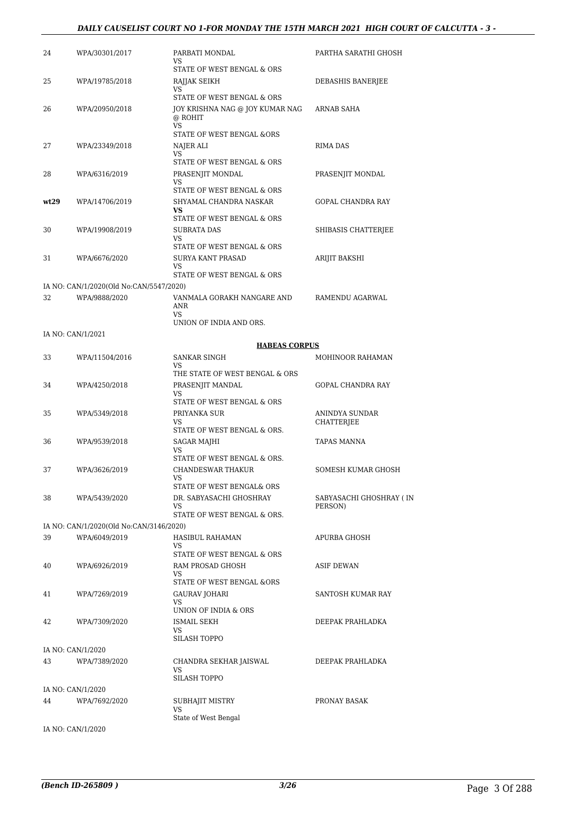#### *DAILY CAUSELIST COURT NO 1-FOR MONDAY THE 15TH MARCH 2021 HIGH COURT OF CALCUTTA - 3 -*

| 24   | WPA/30301/2017                          | PARBATI MONDAL<br>VS.<br>STATE OF WEST BENGAL & ORS                                             | PARTHA SARATHI GHOSH     |
|------|-----------------------------------------|-------------------------------------------------------------------------------------------------|--------------------------|
| 25   | WPA/19785/2018                          | RAJJAK SEIKH<br><b>VS</b><br>STATE OF WEST BENGAL & ORS                                         | DEBASHIS BANERJEE        |
| 26   | WPA/20950/2018                          | JOY KRISHNA NAG @ JOY KUMAR NAG<br>@ ROHIT<br><b>VS</b><br><b>STATE OF WEST BENGAL &amp;ORS</b> | ARNAB SAHA               |
| 27   | WPA/23349/2018                          | NAJER ALI<br>VS.<br>STATE OF WEST BENGAL & ORS                                                  | RIMA DAS                 |
| 28   | WPA/6316/2019                           | PRASENJIT MONDAL<br><b>VS</b><br>STATE OF WEST BENGAL & ORS                                     | PRASENJIT MONDAL         |
| wt29 | WPA/14706/2019                          | SHYAMAL CHANDRA NASKAR<br><b>VS</b><br>STATE OF WEST BENGAL & ORS                               | <b>GOPAL CHANDRA RAY</b> |
| 30   | WPA/19908/2019                          | SUBRATA DAS<br><b>VS</b><br>STATE OF WEST BENGAL & ORS                                          | SHIBASIS CHATTERIEE      |
| 31   | WPA/6676/2020                           | <b>SURYA KANT PRASAD</b><br>VS.<br>STATE OF WEST BENGAL & ORS                                   | <b>ARIJIT BAKSHI</b>     |
|      | IA NO: CAN/1/2020(Old No:CAN/5547/2020) |                                                                                                 |                          |
| 32   | WPA/9888/2020                           | VANMALA GORAKH NANGARE AND<br><b>ANR</b><br><b>VS</b><br>UNION OF INDIA AND ORS.                | RAMENDU AGARWAL          |

#### IA NO: CAN/1/2021

#### **HABEAS CORPUS**

| 33 | WPA/11504/2016                          | <b>SANKAR SINGH</b><br>VS<br>THE STATE OF WEST BENGAL & ORS  | MOHINOOR RAHAMAN                    |
|----|-----------------------------------------|--------------------------------------------------------------|-------------------------------------|
| 34 | WPA/4250/2018                           | PRASENJIT MANDAL<br>VS<br>STATE OF WEST BENGAL & ORS         | <b>GOPAL CHANDRA RAY</b>            |
| 35 | WPA/5349/2018                           | PRIYANKA SUR<br>VS<br>STATE OF WEST BENGAL & ORS.            | ANINDYA SUNDAR<br><b>CHATTERJEE</b> |
| 36 | WPA/9539/2018                           | SAGAR MAJHI<br>VS<br>STATE OF WEST BENGAL & ORS.             | TAPAS MANNA                         |
| 37 | WPA/3626/2019                           | <b>CHANDESWAR THAKUR</b><br>VS<br>STATE OF WEST BENGAL& ORS  | SOMESH KUMAR GHOSH                  |
| 38 | WPA/5439/2020                           | DR. SABYASACHI GHOSHRAY<br>VS<br>STATE OF WEST BENGAL & ORS. | SABYASACHI GHOSHRAY (IN<br>PERSON)  |
|    | IA NO: CAN/1/2020(Old No:CAN/3146/2020) |                                                              |                                     |
| 39 | WPA/6049/2019                           | HASIBUL RAHAMAN<br>VS<br>STATE OF WEST BENGAL & ORS          | APURBA GHOSH                        |
| 40 | WPA/6926/2019                           | RAM PROSAD GHOSH<br><b>VS</b><br>STATE OF WEST BENGAL &ORS   | <b>ASIF DEWAN</b>                   |
| 41 | WPA/7269/2019                           | <b>GAURAV JOHARI</b><br>VS<br>UNION OF INDIA & ORS           | SANTOSH KUMAR RAY                   |
| 42 | WPA/7309/2020                           | <b>ISMAIL SEKH</b><br>VS<br><b>SILASH TOPPO</b>              | DEEPAK PRAHLADKA                    |
|    | IA NO: CAN/1/2020                       |                                                              |                                     |
| 43 | WPA/7389/2020                           | CHANDRA SEKHAR JAISWAL<br><b>VS</b><br><b>SILASH TOPPO</b>   | DEEPAK PRAHLADKA                    |
|    | IA NO: CAN/1/2020                       |                                                              |                                     |
| 44 | WPA/7692/2020                           | SUBHAJIT MISTRY<br><b>VS</b><br>State of West Bengal         | PRONAY BASAK                        |

IA NO: CAN/1/2020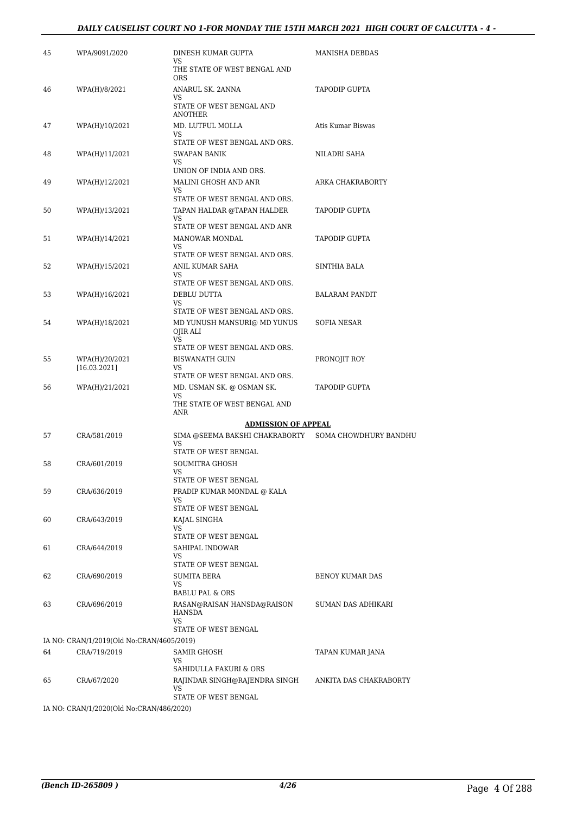#### *DAILY CAUSELIST COURT NO 1-FOR MONDAY THE 15TH MARCH 2021 HIGH COURT OF CALCUTTA - 4 -*

| 45 | WPA/9091/2020                                             | DINESH KUMAR GUPTA<br>VS.                                       | MANISHA DEBDAS         |
|----|-----------------------------------------------------------|-----------------------------------------------------------------|------------------------|
|    |                                                           | THE STATE OF WEST BENGAL AND<br><b>ORS</b>                      |                        |
| 46 | WPA(H)/8/2021                                             | ANARUL SK. 2ANNA<br>VS                                          | TAPODIP GUPTA          |
|    |                                                           | STATE OF WEST BENGAL AND<br><b>ANOTHER</b>                      |                        |
| 47 | WPA(H)/10/2021                                            | MD. LUTFUL MOLLA<br>VS                                          | Atis Kumar Biswas      |
|    |                                                           | STATE OF WEST BENGAL AND ORS.                                   |                        |
| 48 | WPA(H)/11/2021                                            | <b>SWAPAN BANIK</b><br>VS                                       | NILADRI SAHA           |
| 49 | WPA(H)/12/2021                                            | UNION OF INDIA AND ORS.<br>MALINI GHOSH AND ANR                 | ARKA CHAKRABORTY       |
|    |                                                           | VS                                                              |                        |
|    |                                                           | STATE OF WEST BENGAL AND ORS.                                   |                        |
| 50 | WPA(H)/13/2021                                            | TAPAN HALDAR @TAPAN HALDER<br>VS                                | TAPODIP GUPTA          |
| 51 | WPA(H)/14/2021                                            | STATE OF WEST BENGAL AND ANR<br>MANOWAR MONDAL                  | TAPODIP GUPTA          |
|    |                                                           | VS.                                                             |                        |
|    |                                                           | STATE OF WEST BENGAL AND ORS.                                   |                        |
| 52 | WPA(H)/15/2021                                            | ANIL KUMAR SAHA<br>VS                                           | SINTHIA BALA           |
|    |                                                           | STATE OF WEST BENGAL AND ORS.                                   |                        |
| 53 | WPA(H)/16/2021                                            | DEBLU DUTTA<br>VS                                               | <b>BALARAM PANDIT</b>  |
|    |                                                           | STATE OF WEST BENGAL AND ORS.                                   |                        |
| 54 | WPA(H)/18/2021                                            | MD YUNUSH MANSURI@ MD YUNUS<br>OJIR ALI<br><b>VS</b>            | <b>SOFIA NESAR</b>     |
|    |                                                           | STATE OF WEST BENGAL AND ORS.                                   |                        |
| 55 | WPA(H)/20/2021<br>[16.03.2021]                            | <b>BISWANATH GUIN</b><br>VS                                     | PRONOJIT ROY           |
|    |                                                           | STATE OF WEST BENGAL AND ORS.                                   |                        |
| 56 | WPA(H)/21/2021                                            | MD. USMAN SK. @ OSMAN SK.<br>VS<br>THE STATE OF WEST BENGAL AND | TAPODIP GUPTA          |
|    |                                                           | ANR                                                             |                        |
|    |                                                           | <b>ADMISSION OF APPEAL</b>                                      |                        |
| 57 | CRA/581/2019                                              | SIMA @SEEMA BAKSHI CHAKRABORTY    SOMA CHOWDHURY BANDHU<br>VS   |                        |
| 58 | CRA/601/2019                                              | STATE OF WEST BENGAL<br><b>SOUMITRA GHOSH</b>                   |                        |
|    |                                                           | VS                                                              |                        |
|    |                                                           | STATE OF WEST BENGAL                                            |                        |
| 59 | CRA/636/2019                                              | PRADIP KUMAR MONDAL @ KALA<br>VS                                |                        |
|    |                                                           | STATE OF WEST BENGAL                                            |                        |
| 60 | CRA/643/2019                                              | KAJAL SINGHA                                                    |                        |
|    |                                                           | VS<br>STATE OF WEST BENGAL                                      |                        |
| 61 | CRA/644/2019                                              | SAHIPAL INDOWAR                                                 |                        |
|    |                                                           | VS<br>STATE OF WEST BENGAL                                      |                        |
| 62 | CRA/690/2019                                              | <b>SUMITA BERA</b>                                              | <b>BENOY KUMAR DAS</b> |
|    |                                                           | VS                                                              |                        |
| 63 |                                                           | <b>BABLU PAL &amp; ORS</b><br>RASAN@RAISAN HANSDA@RAISON        | SUMAN DAS ADHIKARI     |
|    | CRA/696/2019                                              | HANSDA<br>VS                                                    |                        |
|    |                                                           | STATE OF WEST BENGAL                                            |                        |
| 64 | IA NO: CRAN/1/2019(Old No:CRAN/4605/2019)<br>CRA/719/2019 | SAMIR GHOSH                                                     | TAPAN KUMAR JANA       |
|    |                                                           | VS<br>SAHIDULLA FAKURI & ORS                                    |                        |
| 65 | CRA/67/2020                                               | RAJINDAR SINGH@RAJENDRA SINGH                                   | ANKITA DAS CHAKRABORTY |
|    |                                                           | VS<br>STATE OF WEST BENGAL                                      |                        |
|    | IA NO: CRAN/1/2020(Old No:CRAN/486/2020)                  |                                                                 |                        |
|    |                                                           |                                                                 |                        |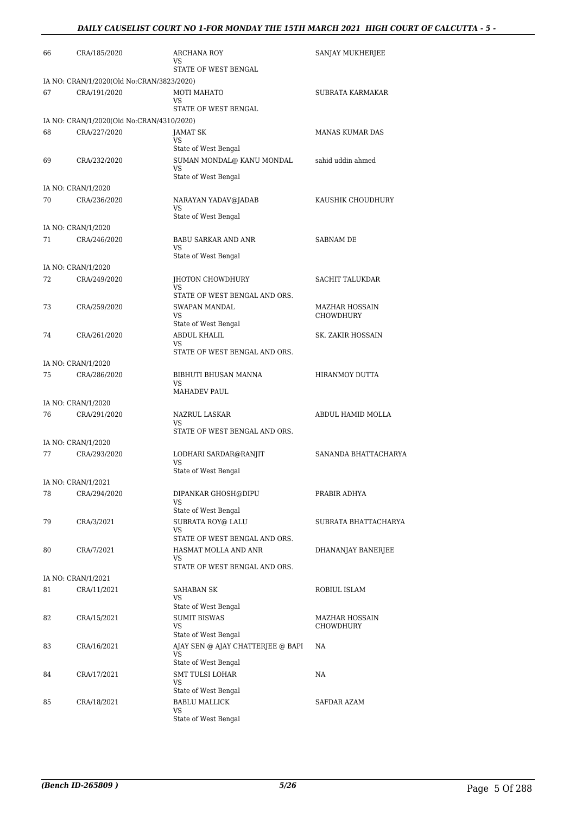#### *DAILY CAUSELIST COURT NO 1-FOR MONDAY THE 15TH MARCH 2021 HIGH COURT OF CALCUTTA - 5 -*

| 66 | CRA/185/2020                              | ARCHANA ROY<br>VS                                     | SANJAY MUKHERJEE            |
|----|-------------------------------------------|-------------------------------------------------------|-----------------------------|
|    |                                           | STATE OF WEST BENGAL                                  |                             |
|    | IA NO: CRAN/1/2020(Old No:CRAN/3823/2020) |                                                       |                             |
| 67 | CRA/191/2020                              | MOTI MAHATO<br>VS                                     | SUBRATA KARMAKAR            |
|    |                                           | STATE OF WEST BENGAL                                  |                             |
|    | IA NO: CRAN/1/2020(Old No:CRAN/4310/2020) |                                                       |                             |
| 68 | CRA/227/2020                              | JAMAT SK                                              | MANAS KUMAR DAS             |
|    |                                           | VS<br>State of West Bengal                            |                             |
| 69 | CRA/232/2020                              | SUMAN MONDAL@ KANU MONDAL                             | sahid uddin ahmed           |
|    |                                           | VS                                                    |                             |
|    |                                           | State of West Bengal                                  |                             |
|    | IA NO: CRAN/1/2020                        |                                                       |                             |
| 70 | CRA/236/2020                              | NARAYAN YADAV@JADAB<br>VS                             | KAUSHIK CHOUDHURY           |
|    |                                           | State of West Bengal                                  |                             |
|    | IA NO: CRAN/1/2020                        |                                                       |                             |
| 71 | CRA/246/2020                              | BABU SARKAR AND ANR                                   | <b>SABNAM DE</b>            |
|    |                                           | VS<br>State of West Bengal                            |                             |
|    | IA NO: CRAN/1/2020                        |                                                       |                             |
| 72 | CRA/249/2020                              | JHOTON CHOWDHURY                                      | <b>SACHIT TALUKDAR</b>      |
|    |                                           | VS                                                    |                             |
|    |                                           | STATE OF WEST BENGAL AND ORS.<br><b>SWAPAN MANDAL</b> |                             |
| 73 | CRA/259/2020                              | VS                                                    | MAZHAR HOSSAIN<br>CHOWDHURY |
|    |                                           | State of West Bengal                                  |                             |
| 74 | CRA/261/2020                              | ABDUL KHALIL                                          | SK. ZAKIR HOSSAIN           |
|    |                                           | VS<br>STATE OF WEST BENGAL AND ORS.                   |                             |
|    | IA NO: CRAN/1/2020                        |                                                       |                             |
| 75 | CRA/286/2020                              | BIBHUTI BHUSAN MANNA                                  | <b>HIRANMOY DUTTA</b>       |
|    |                                           | VS                                                    |                             |
|    |                                           | MAHADEV PAUL                                          |                             |
| 76 | IA NO: CRAN/1/2020<br>CRA/291/2020        | NAZRUL LASKAR                                         | ABDUL HAMID MOLLA           |
|    |                                           | VS                                                    |                             |
|    |                                           | STATE OF WEST BENGAL AND ORS.                         |                             |
|    | IA NO: CRAN/1/2020                        |                                                       |                             |
| 77 | CRA/293/2020                              | LODHARI SARDAR@RANJIT<br>VS                           | SANANDA BHATTACHARYA        |
|    |                                           | State of West Bengal                                  |                             |
|    | IA NO: CRAN/1/2021                        |                                                       |                             |
| 78 | CRA/294/2020                              | DIPANKAR GHOSH@DIPU                                   | PRABIR ADHYA                |
|    |                                           | VS<br>State of West Bengal                            |                             |
| 79 | CRA/3/2021                                | SUBRATA ROY@ LALU                                     | SUBRATA BHATTACHARYA        |
|    |                                           | VS                                                    |                             |
|    |                                           | STATE OF WEST BENGAL AND ORS.                         |                             |
| 80 | CRA/7/2021                                | HASMAT MOLLA AND ANR<br>VS                            | DHANANJAY BANERJEE          |
|    |                                           | STATE OF WEST BENGAL AND ORS.                         |                             |
|    | IA NO: CRAN/1/2021                        |                                                       |                             |
| 81 | CRA/11/2021                               | SAHABAN SK                                            | ROBIUL ISLAM                |
|    |                                           | VS<br>State of West Bengal                            |                             |
| 82 | CRA/15/2021                               | <b>SUMIT BISWAS</b>                                   | MAZHAR HOSSAIN              |
|    |                                           | VS                                                    | CHOWDHURY                   |
|    |                                           | State of West Bengal                                  |                             |
| 83 | CRA/16/2021                               | AJAY SEN @ AJAY CHATTERJEE @ BAPI<br>VS               | NA                          |
|    |                                           | State of West Bengal                                  |                             |
| 84 | CRA/17/2021                               | <b>SMT TULSI LOHAR</b>                                | NA                          |
|    |                                           | VS<br>State of West Bengal                            |                             |
| 85 | CRA/18/2021                               | <b>BABLU MALLICK</b>                                  | SAFDAR AZAM                 |
|    |                                           | VS                                                    |                             |
|    |                                           | State of West Bengal                                  |                             |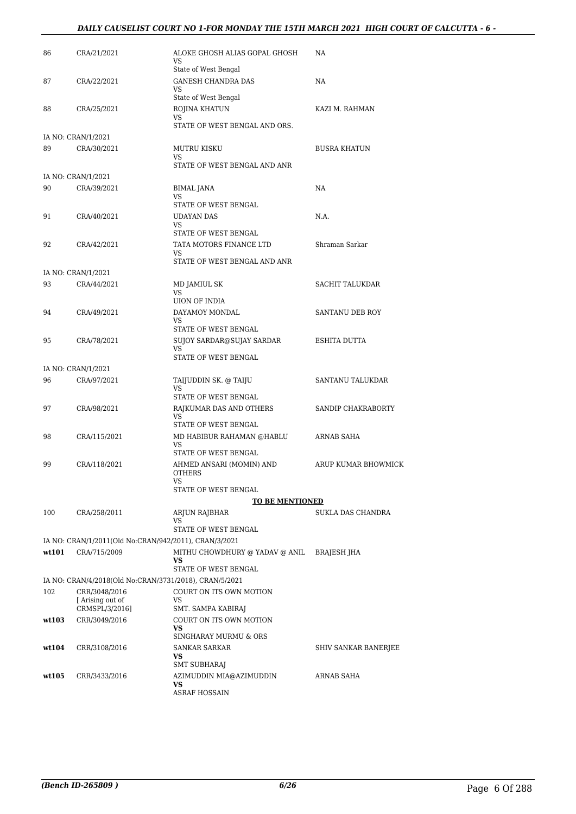#### *DAILY CAUSELIST COURT NO 1-FOR MONDAY THE 15TH MARCH 2021 HIGH COURT OF CALCUTTA - 6 -*

| 86    | CRA/21/2021                                            | ALOKE GHOSH ALIAS GOPAL GHOSH<br>VS<br>State of West Bengal   | NA                   |
|-------|--------------------------------------------------------|---------------------------------------------------------------|----------------------|
| 87    | CRA/22/2021                                            | <b>GANESH CHANDRA DAS</b><br>VS<br>State of West Bengal       | NA                   |
| 88    | CRA/25/2021                                            | ROJINA KHATUN<br>VS.<br>STATE OF WEST BENGAL AND ORS.         | KAZI M. RAHMAN       |
|       | IA NO: CRAN/1/2021                                     |                                                               |                      |
| 89    | CRA/30/2021                                            | <b>MUTRU KISKU</b><br>VS<br>STATE OF WEST BENGAL AND ANR      | BUSRA KHATUN         |
|       | IA NO: CRAN/1/2021                                     |                                                               |                      |
| 90    | CRA/39/2021                                            | BIMAL JANA<br>VS<br>STATE OF WEST BENGAL                      | NA                   |
| 91    | CRA/40/2021                                            | UDAYAN DAS<br>VS<br>STATE OF WEST BENGAL                      | N.A.                 |
| 92    | CRA/42/2021                                            | TATA MOTORS FINANCE LTD<br>VS<br>STATE OF WEST BENGAL AND ANR | Shraman Sarkar       |
|       | IA NO: CRAN/1/2021                                     |                                                               |                      |
| 93    | CRA/44/2021                                            | MD JAMIUL SK<br>VS<br><b>UION OF INDIA</b>                    | SACHIT TALUKDAR      |
| 94    | CRA/49/2021                                            | DAYAMOY MONDAL<br>VS                                          | SANTANU DEB ROY      |
| 95    | CRA/78/2021                                            | STATE OF WEST BENGAL<br>SUJOY SARDAR@SUJAY SARDAR<br>VS.      | ESHITA DUTTA         |
|       | IA NO: CRAN/1/2021                                     | STATE OF WEST BENGAL                                          |                      |
| 96    | CRA/97/2021                                            | TAIJUDDIN SK. @ TAIJU<br>VS.                                  | SANTANU TALUKDAR     |
|       |                                                        | STATE OF WEST BENGAL                                          |                      |
| 97    | CRA/98/2021                                            | RAJKUMAR DAS AND OTHERS<br>VS.<br>STATE OF WEST BENGAL        | SANDIP CHAKRABORTY   |
| 98    | CRA/115/2021                                           | MD HABIBUR RAHAMAN @HABLU<br>VS<br>STATE OF WEST BENGAL       | ARNAB SAHA           |
| 99    | CRA/118/2021                                           | AHMED ANSARI (MOMIN) AND<br><b>OTHERS</b><br>VS               | ARUP KUMAR BHOWMICK  |
|       |                                                        | STATE OF WEST BENGAL                                          |                      |
|       |                                                        | <b>TO BE MENTIONED</b>                                        |                      |
| 100   | CRA/258/2011                                           | ARJUN RAJBHAR<br>VS                                           | SUKLA DAS CHANDRA    |
|       |                                                        | STATE OF WEST BENGAL                                          |                      |
|       | IA NO: CRAN/1/2011(Old No:CRAN/942/2011), CRAN/3/2021  |                                                               |                      |
| wt101 | CRA/715/2009                                           | MITHU CHOWDHURY @ YADAV @ ANIL<br>VS<br>STATE OF WEST BENGAL  | BRAJESH JHA          |
|       | IA NO: CRAN/4/2018(Old No:CRAN/3731/2018), CRAN/5/2021 |                                                               |                      |
| 102   | CRR/3048/2016                                          | COURT ON ITS OWN MOTION                                       |                      |
|       | Arising out of<br>CRMSPL/3/2016]                       | <b>VS</b><br>SMT. SAMPA KABIRAJ                               |                      |
| wt103 | CRR/3049/2016                                          | COURT ON ITS OWN MOTION                                       |                      |
|       |                                                        | VS                                                            |                      |
| wt104 | CRR/3108/2016                                          | SINGHARAY MURMU & ORS<br>SANKAR SARKAR                        | SHIV SANKAR BANERJEE |
|       |                                                        | <b>VS</b>                                                     |                      |
| wt105 | CRR/3433/2016                                          | SMT SUBHARAJ<br>AZIMUDDIN MIA@AZIMUDDIN                       | ARNAB SAHA           |
|       |                                                        | VS<br><b>ASRAF HOSSAIN</b>                                    |                      |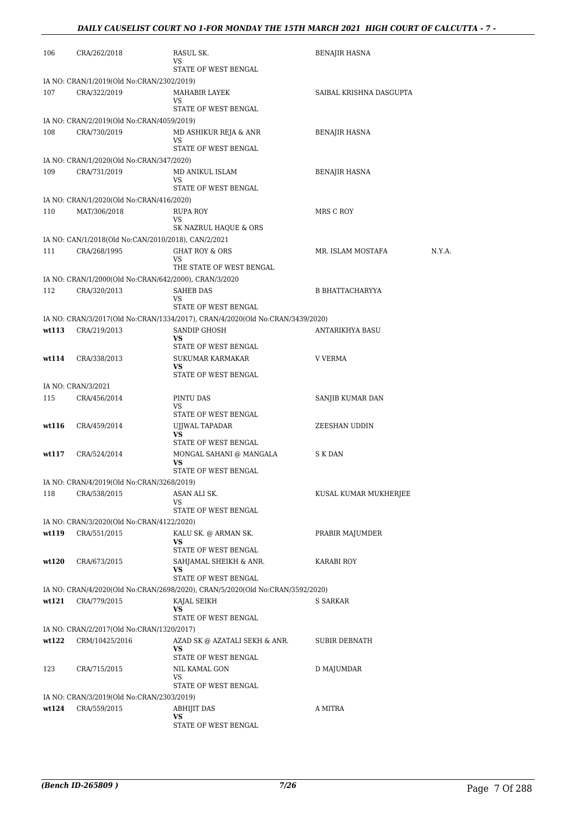| 106   | CRA/262/2018                                              | RASUL SK.<br>VS                                                               | <b>BENAJIR HASNA</b>        |
|-------|-----------------------------------------------------------|-------------------------------------------------------------------------------|-----------------------------|
|       |                                                           | STATE OF WEST BENGAL                                                          |                             |
|       | IA NO: CRAN/1/2019(Old No:CRAN/2302/2019)                 |                                                                               |                             |
| 107   | CRA/322/2019                                              | MAHABIR LAYEK<br>VS                                                           | SAIBAL KRISHNA DASGUPTA     |
|       |                                                           | STATE OF WEST BENGAL                                                          |                             |
|       | IA NO: CRAN/2/2019(Old No:CRAN/4059/2019)                 |                                                                               |                             |
| 108   | CRA/730/2019                                              | MD ASHIKUR REJA & ANR                                                         | BENAJIR HASNA               |
|       |                                                           | VS<br>STATE OF WEST BENGAL                                                    |                             |
|       | IA NO: CRAN/1/2020(Old No:CRAN/347/2020)                  |                                                                               |                             |
| 109   | CRA/731/2019                                              | MD ANIKUL ISLAM                                                               | <b>BENAJIR HASNA</b>        |
|       |                                                           | VS<br>STATE OF WEST BENGAL                                                    |                             |
|       | IA NO: CRAN/1/2020(Old No:CRAN/416/2020)                  |                                                                               |                             |
| 110   | MAT/306/2018                                              | RUPA ROY<br>VS<br>SK NAZRUL HAQUE & ORS                                       | MRS C ROY                   |
|       | IA NO: CAN/1/2018(Old No:CAN/2010/2018), CAN/2/2021       |                                                                               |                             |
| 111   | CRA/268/1995                                              | <b>GHAT ROY &amp; ORS</b>                                                     | N.Y.A.<br>MR. ISLAM MOSTAFA |
|       |                                                           | VS.                                                                           |                             |
|       |                                                           | THE STATE OF WEST BENGAL                                                      |                             |
|       | IA NO: CRAN/1/2000(Old No:CRAN/642/2000), CRAN/3/2020     |                                                                               |                             |
| 112   | CRA/320/2013                                              | <b>SAHEB DAS</b><br>VS                                                        | <b>B BHATTACHARYYA</b>      |
|       |                                                           | STATE OF WEST BENGAL                                                          |                             |
|       |                                                           | IA NO: CRAN/3/2017(Old No:CRAN/1334/2017), CRAN/4/2020(Old No:CRAN/3439/2020) |                             |
| wt113 | CRA/219/2013                                              | SANDIP GHOSH<br>VS                                                            | <b>ANTARIKHYA BASU</b>      |
|       |                                                           | STATE OF WEST BENGAL                                                          |                             |
| wt114 | CRA/338/2013                                              | SUKUMAR KARMAKAR                                                              | V VERMA                     |
|       |                                                           | VS<br>STATE OF WEST BENGAL                                                    |                             |
|       | IA NO: CRAN/3/2021                                        |                                                                               |                             |
| 115   | CRA/456/2014                                              | PINTU DAS                                                                     | SANJIB KUMAR DAN            |
|       |                                                           | VS<br>STATE OF WEST BENGAL                                                    |                             |
| wt116 | CRA/459/2014                                              | UJJWAL TAPADAR                                                                | ZEESHAN UDDIN               |
|       |                                                           | VS<br>STATE OF WEST BENGAL                                                    |                             |
| wt117 | CRA/524/2014                                              | MONGAL SAHANI @ MANGALA                                                       | S K DAN                     |
|       |                                                           | VS                                                                            |                             |
|       |                                                           | STATE OF WEST BENGAL                                                          |                             |
| 118   | IA NO: CRAN/4/2019(Old No:CRAN/3268/2019)<br>CRA/538/2015 | ASAN ALI SK.                                                                  | KUSAL KUMAR MUKHERJEE       |
|       |                                                           | VS                                                                            |                             |
|       |                                                           | STATE OF WEST BENGAL                                                          |                             |
|       | IA NO: CRAN/3/2020(Old No:CRAN/4122/2020)                 |                                                                               |                             |
| wt119 | CRA/551/2015                                              | KALU SK. @ ARMAN SK.<br>VS                                                    | PRABIR MAJUMDER             |
|       |                                                           | STATE OF WEST BENGAL                                                          |                             |
| wt120 | CRA/673/2015                                              | SAHJAMAL SHEIKH & ANR.                                                        | KARABI ROY                  |
|       |                                                           | VS<br>STATE OF WEST BENGAL                                                    |                             |
|       |                                                           | IA NO: CRAN/4/2020(Old No:CRAN/2698/2020), CRAN/5/2020(Old No:CRAN/3592/2020) |                             |
| wt121 | CRA/779/2015                                              | KAJAL SEIKH                                                                   | S SARKAR                    |
|       |                                                           | VS<br>STATE OF WEST BENGAL                                                    |                             |
|       | IA NO: CRAN/2/2017(Old No:CRAN/1320/2017)                 |                                                                               |                             |
| wt122 | CRM/10425/2016                                            | AZAD SK @ AZATALI SEKH & ANR.                                                 | SUBIR DEBNATH               |
|       |                                                           | VS<br>STATE OF WEST BENGAL                                                    |                             |
| 123   | CRA/715/2015                                              | NIL KAMAL GON                                                                 | D MAJUMDAR                  |
|       |                                                           | VS                                                                            |                             |
|       |                                                           | STATE OF WEST BENGAL                                                          |                             |
|       | IA NO: CRAN/3/2019(Old No:CRAN/2303/2019)                 |                                                                               |                             |
| wt124 | CRA/559/2015                                              | <b>ABHIJIT DAS</b><br>VS                                                      | A MITRA                     |
|       |                                                           | STATE OF WEST BENGAL                                                          |                             |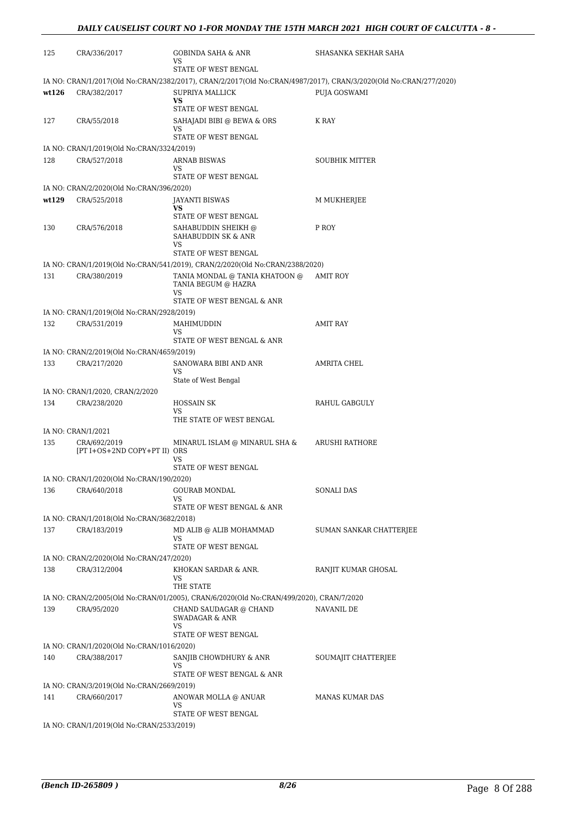| 125   | CRA/336/2017                                 | GOBINDA SAHA & ANR<br>VS                                                                | SHASANKA SEKHAR SAHA                                                                                             |
|-------|----------------------------------------------|-----------------------------------------------------------------------------------------|------------------------------------------------------------------------------------------------------------------|
|       |                                              | STATE OF WEST BENGAL                                                                    |                                                                                                                  |
|       |                                              |                                                                                         | IA NO: CRAN/1/2017(Old No:CRAN/2382/2017), CRAN/2/2017(Old No:CRAN/4987/2017), CRAN/3/2020(Old No:CRAN/277/2020) |
| wt126 | CRA/382/2017                                 | SUPRIYA MALLICK<br>VS.                                                                  | PUJA GOSWAMI                                                                                                     |
|       |                                              | STATE OF WEST BENGAL                                                                    |                                                                                                                  |
| 127   | CRA/55/2018                                  | SAHAJADI BIBI @ BEWA & ORS                                                              | K RAY                                                                                                            |
|       |                                              | VS<br>STATE OF WEST BENGAL                                                              |                                                                                                                  |
|       | IA NO: CRAN/1/2019(Old No:CRAN/3324/2019)    |                                                                                         |                                                                                                                  |
| 128   | CRA/527/2018                                 | <b>ARNAB BISWAS</b>                                                                     | <b>SOUBHIK MITTER</b>                                                                                            |
|       |                                              | VS<br>STATE OF WEST BENGAL                                                              |                                                                                                                  |
|       | IA NO: CRAN/2/2020(Old No:CRAN/396/2020)     |                                                                                         |                                                                                                                  |
| wt129 | CRA/525/2018                                 | JAYANTI BISWAS                                                                          | M MUKHERJEE                                                                                                      |
|       |                                              | VS<br>STATE OF WEST BENGAL                                                              |                                                                                                                  |
| 130   | CRA/576/2018                                 | SAHABUDDIN SHEIKH @<br>SAHABUDDIN SK & ANR                                              | P ROY                                                                                                            |
|       |                                              | VS<br>STATE OF WEST BENGAL                                                              |                                                                                                                  |
|       |                                              | IA NO: CRAN/1/2019(Old No:CRAN/541/2019), CRAN/2/2020(Old No:CRAN/2388/2020)            |                                                                                                                  |
| 131   | CRA/380/2019                                 | TANIA MONDAL @ TANIA KHATOON @<br>TANIA BEGUM @ HAZRA                                   | AMIT ROY                                                                                                         |
|       |                                              | <b>VS</b><br>STATE OF WEST BENGAL & ANR                                                 |                                                                                                                  |
|       | IA NO: CRAN/1/2019(Old No:CRAN/2928/2019)    |                                                                                         |                                                                                                                  |
| 132   | CRA/531/2019                                 | MAHIMUDDIN                                                                              | AMIT RAY                                                                                                         |
|       |                                              | VS<br>STATE OF WEST BENGAL & ANR                                                        |                                                                                                                  |
|       | IA NO: CRAN/2/2019(Old No:CRAN/4659/2019)    |                                                                                         |                                                                                                                  |
| 133   | CRA/217/2020                                 | SANOWARA BIBI AND ANR                                                                   | AMRITA CHEL                                                                                                      |
|       |                                              | VS<br>State of West Bengal                                                              |                                                                                                                  |
|       | IA NO: CRAN/1/2020, CRAN/2/2020              |                                                                                         |                                                                                                                  |
| 134   | CRA/238/2020                                 | <b>HOSSAIN SK</b>                                                                       | RAHUL GABGULY                                                                                                    |
|       |                                              | VS<br>THE STATE OF WEST BENGAL                                                          |                                                                                                                  |
|       | IA NO: CRAN/1/2021                           |                                                                                         |                                                                                                                  |
| 135   | CRA/692/2019<br>[PT I+OS+2ND COPY+PT II) ORS | MINARUL ISLAM @ MINARUL SHA &                                                           | ARUSHI RATHORE                                                                                                   |
|       |                                              | VS<br>STATE OF WEST BENGAL                                                              |                                                                                                                  |
|       | IA NO: CRAN/1/2020(Old No:CRAN/190/2020)     |                                                                                         |                                                                                                                  |
| 136   | CRA/640/2018                                 | <b>GOURAB MONDAL</b>                                                                    | SONALI DAS                                                                                                       |
|       |                                              | VS<br>STATE OF WEST BENGAL & ANR                                                        |                                                                                                                  |
|       | IA NO: CRAN/1/2018(Old No:CRAN/3682/2018)    |                                                                                         |                                                                                                                  |
| 137   | CRA/183/2019                                 | MD ALIB @ ALIB MOHAMMAD                                                                 | SUMAN SANKAR CHATTERJEE                                                                                          |
|       |                                              | VS<br>STATE OF WEST BENGAL                                                              |                                                                                                                  |
|       | IA NO: CRAN/2/2020(Old No:CRAN/247/2020)     |                                                                                         |                                                                                                                  |
| 138   | CRA/312/2004                                 | KHOKAN SARDAR & ANR.                                                                    | RANJIT KUMAR GHOSAL                                                                                              |
|       |                                              | VS.<br>THE STATE                                                                        |                                                                                                                  |
|       |                                              | IA NO: CRAN/2/2005(Old No:CRAN/01/2005), CRAN/6/2020(Old No:CRAN/499/2020), CRAN/7/2020 |                                                                                                                  |
| 139   | CRA/95/2020                                  | CHAND SAUDAGAR @ CHAND                                                                  | NAVANIL DE                                                                                                       |
|       |                                              | <b>SWADAGAR &amp; ANR</b><br><b>VS</b>                                                  |                                                                                                                  |
|       |                                              | STATE OF WEST BENGAL                                                                    |                                                                                                                  |
|       | IA NO: CRAN/1/2020(Old No:CRAN/1016/2020)    |                                                                                         |                                                                                                                  |
| 140   | CRA/388/2017                                 | SANJIB CHOWDHURY & ANR<br>VS                                                            | SOUMAJIT CHATTERJEE                                                                                              |
|       |                                              | STATE OF WEST BENGAL & ANR                                                              |                                                                                                                  |
|       | IA NO: CRAN/3/2019(Old No:CRAN/2669/2019)    |                                                                                         |                                                                                                                  |
| 141   | CRA/660/2017                                 | ANOWAR MOLLA @ ANUAR<br>VS                                                              | MANAS KUMAR DAS                                                                                                  |
|       |                                              | STATE OF WEST BENGAL                                                                    |                                                                                                                  |
|       | IA NO: CRAN/1/2019(Old No:CRAN/2533/2019)    |                                                                                         |                                                                                                                  |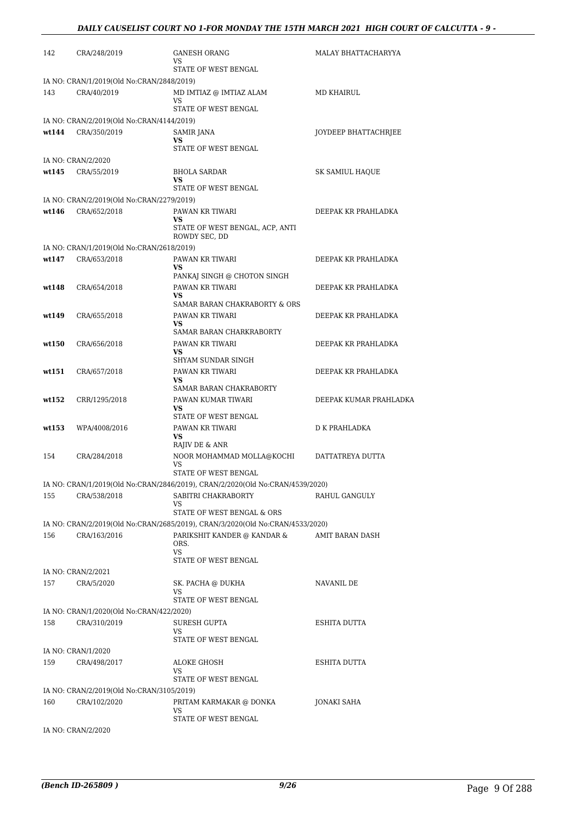| 142   | CRA/248/2019                              | <b>GANESH ORANG</b><br>VS.<br>STATE OF WEST BENGAL                            | MALAY BHATTACHARYYA    |
|-------|-------------------------------------------|-------------------------------------------------------------------------------|------------------------|
|       | IA NO: CRAN/1/2019(Old No:CRAN/2848/2019) |                                                                               |                        |
| 143   | CRA/40/2019                               | MD IMTIAZ @ IMTIAZ ALAM                                                       | MD KHAIRUL             |
|       |                                           | VS                                                                            |                        |
|       |                                           | STATE OF WEST BENGAL                                                          |                        |
|       | IA NO: CRAN/2/2019(Old No:CRAN/4144/2019) |                                                                               |                        |
| wt144 | CRA/350/2019                              | SAMIR JANA<br>VS                                                              | JOYDEEP BHATTACHRJEE   |
|       |                                           | STATE OF WEST BENGAL                                                          |                        |
|       | IA NO: CRAN/2/2020                        |                                                                               |                        |
| wt145 | CRA/55/2019                               | <b>BHOLA SARDAR</b><br>VS                                                     | SK SAMIUL HAQUE        |
|       |                                           | STATE OF WEST BENGAL                                                          |                        |
|       | IA NO: CRAN/2/2019(Old No:CRAN/2279/2019) |                                                                               |                        |
| wt146 | CRA/652/2018                              | PAWAN KR TIWARI<br>VS<br>STATE OF WEST BENGAL, ACP, ANTI<br>ROWDY SEC, DD     | DEEPAK KR PRAHLADKA    |
|       | IA NO: CRAN/1/2019(Old No:CRAN/2618/2019) |                                                                               |                        |
| wt147 | CRA/653/2018                              | PAWAN KR TIWARI                                                               | DEEPAK KR PRAHLADKA    |
|       |                                           | VS                                                                            |                        |
| wt148 | CRA/654/2018                              | PANKAJ SINGH @ CHOTON SINGH<br>PAWAN KR TIWARI                                | DEEPAK KR PRAHLADKA    |
|       |                                           | <b>VS</b>                                                                     |                        |
|       |                                           | SAMAR BARAN CHAKRABORTY & ORS                                                 |                        |
| wt149 | CRA/655/2018                              | PAWAN KR TIWARI                                                               | DEEPAK KR PRAHLADKA    |
|       |                                           | VS<br>SAMAR BARAN CHARKRABORTY                                                |                        |
| wt150 | CRA/656/2018                              | PAWAN KR TIWARI                                                               | DEEPAK KR PRAHLADKA    |
|       |                                           | VS                                                                            |                        |
|       |                                           | SHYAM SUNDAR SINGH                                                            |                        |
| wt151 | CRA/657/2018                              | PAWAN KR TIWARI<br>VS.                                                        | DEEPAK KR PRAHLADKA    |
|       |                                           | SAMAR BARAN CHAKRABORTY                                                       |                        |
| wt152 | CRR/1295/2018                             | PAWAN KUMAR TIWARI                                                            | DEEPAK KUMAR PRAHLADKA |
|       |                                           | <b>VS</b>                                                                     |                        |
|       |                                           | STATE OF WEST BENGAL                                                          | D K PRAHLADKA          |
| wt153 | WPA/4008/2016                             | PAWAN KR TIWARI<br><b>VS</b>                                                  |                        |
|       |                                           | RAJIV DE & ANR                                                                |                        |
| 154   | CRA/284/2018                              | NOOR MOHAMMAD MOLLA@KOCHI                                                     | DATTATREYA DUTTA       |
|       |                                           | VS<br>STATE OF WEST BENGAL                                                    |                        |
|       |                                           | IA NO: CRAN/1/2019(Old No:CRAN/2846/2019), CRAN/2/2020(Old No:CRAN/4539/2020) |                        |
| 155   | CRA/538/2018                              | SABITRI CHAKRABORTY                                                           | RAHUL GANGULY          |
|       |                                           | VS                                                                            |                        |
|       |                                           | STATE OF WEST BENGAL & ORS                                                    |                        |
|       |                                           | IA NO: CRAN/2/2019(Old No:CRAN/2685/2019), CRAN/3/2020(Old No:CRAN/4533/2020) |                        |
| 156   | CRA/163/2016                              | PARIKSHIT KANDER @ KANDAR &<br>ORS.                                           | AMIT BARAN DASH        |
|       |                                           | <b>VS</b>                                                                     |                        |
|       |                                           | STATE OF WEST BENGAL                                                          |                        |
|       | IA NO: CRAN/2/2021                        |                                                                               |                        |
| 157   | CRA/5/2020                                | SK. PACHA @ DUKHA                                                             | NAVANIL DE             |
|       |                                           | VS<br>STATE OF WEST BENGAL                                                    |                        |
|       | IA NO: CRAN/1/2020(Old No:CRAN/422/2020)  |                                                                               |                        |
| 158   | CRA/310/2019                              | <b>SURESH GUPTA</b>                                                           | ESHITA DUTTA           |
|       |                                           | VS                                                                            |                        |
|       |                                           | STATE OF WEST BENGAL                                                          |                        |
|       | IA NO: CRAN/1/2020                        |                                                                               |                        |
| 159   | CRA/498/2017                              | ALOKE GHOSH<br>VS                                                             | ESHITA DUTTA           |
|       |                                           | STATE OF WEST BENGAL                                                          |                        |
|       | IA NO: CRAN/2/2019(Old No:CRAN/3105/2019) |                                                                               |                        |
| 160   | CRA/102/2020                              | PRITAM KARMAKAR @ DONKA                                                       | JONAKI SAHA            |
|       |                                           | VS<br>STATE OF WEST BENGAL                                                    |                        |
|       |                                           |                                                                               |                        |

IA NO: CRAN/2/2020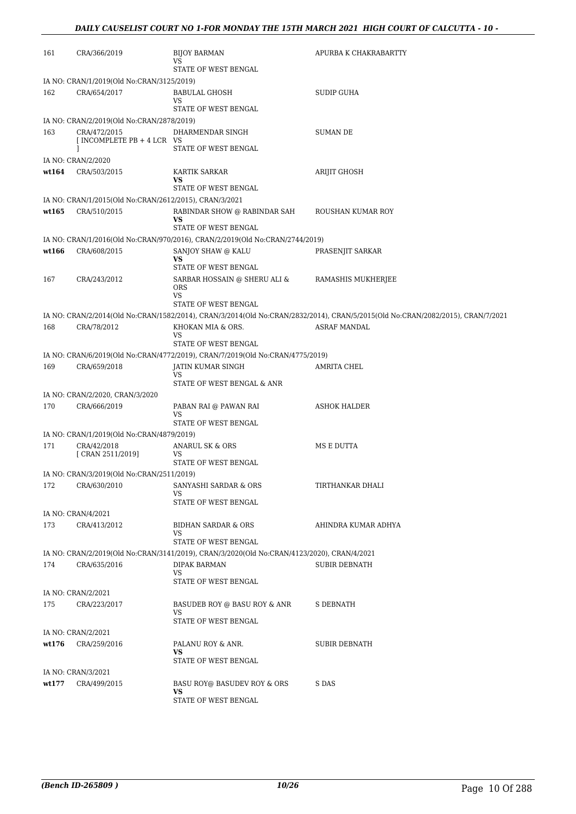| 161   | CRA/366/2019                                           | <b>BIJOY BARMAN</b><br>VS                                                                  | APURBA K CHAKRABARTTY                                                                                                          |
|-------|--------------------------------------------------------|--------------------------------------------------------------------------------------------|--------------------------------------------------------------------------------------------------------------------------------|
|       |                                                        | STATE OF WEST BENGAL                                                                       |                                                                                                                                |
|       | IA NO: CRAN/1/2019(Old No:CRAN/3125/2019)              |                                                                                            |                                                                                                                                |
| 162   | CRA/654/2017                                           | <b>BABULAL GHOSH</b><br>VS                                                                 | <b>SUDIP GUHA</b>                                                                                                              |
|       |                                                        | STATE OF WEST BENGAL                                                                       |                                                                                                                                |
|       | IA NO: CRAN/2/2019(Old No:CRAN/2878/2019)              |                                                                                            |                                                                                                                                |
| 163   | CRA/472/2015<br>[ INCOMPLETE PB + 4 LCR VS             | DHARMENDAR SINGH                                                                           | <b>SUMAN DE</b>                                                                                                                |
|       | I                                                      | STATE OF WEST BENGAL                                                                       |                                                                                                                                |
|       | IA NO: CRAN/2/2020                                     |                                                                                            |                                                                                                                                |
| wt164 | CRA/503/2015                                           | KARTIK SARKAR<br>VS                                                                        | ARIJIT GHOSH                                                                                                                   |
|       |                                                        | STATE OF WEST BENGAL                                                                       |                                                                                                                                |
|       | IA NO: CRAN/1/2015(Old No:CRAN/2612/2015), CRAN/3/2021 |                                                                                            |                                                                                                                                |
| wt165 | CRA/510/2015                                           | RABINDAR SHOW @ RABINDAR SAH                                                               | ROUSHAN KUMAR ROY                                                                                                              |
|       |                                                        | VS<br>STATE OF WEST BENGAL                                                                 |                                                                                                                                |
|       |                                                        | IA NO: CRAN/1/2016(Old No:CRAN/970/2016), CRAN/2/2019(Old No:CRAN/2744/2019)               |                                                                                                                                |
| wt166 | CRA/608/2015                                           | SANJOY SHAW @ KALU                                                                         | PRASENJIT SARKAR                                                                                                               |
|       |                                                        | VS                                                                                         |                                                                                                                                |
|       |                                                        | STATE OF WEST BENGAL                                                                       |                                                                                                                                |
| 167   | CRA/243/2012                                           | SARBAR HOSSAIN @ SHERU ALI &<br><b>ORS</b><br><b>VS</b>                                    | RAMASHIS MUKHERJEE                                                                                                             |
|       |                                                        | STATE OF WEST BENGAL                                                                       |                                                                                                                                |
|       |                                                        |                                                                                            | IA NO: CRAN/2/2014(Old No:CRAN/1582/2014), CRAN/3/2014(Old No:CRAN/2832/2014), CRAN/5/2015(Old No:CRAN/2082/2015), CRAN/7/2021 |
| 168   | CRA/78/2012                                            | KHOKAN MIA & ORS.                                                                          | ASRAF MANDAL                                                                                                                   |
|       |                                                        | VS<br>STATE OF WEST BENGAL                                                                 |                                                                                                                                |
|       |                                                        | IA NO: CRAN/6/2019(Old No:CRAN/4772/2019), CRAN/7/2019(Old No:CRAN/4775/2019)              |                                                                                                                                |
| 169   | CRA/659/2018                                           | JATIN KUMAR SINGH                                                                          | AMRITA CHEL                                                                                                                    |
|       |                                                        | VS                                                                                         |                                                                                                                                |
|       |                                                        | STATE OF WEST BENGAL & ANR                                                                 |                                                                                                                                |
|       | IA NO: CRAN/2/2020, CRAN/3/2020                        |                                                                                            |                                                                                                                                |
| 170   | CRA/666/2019                                           | PABAN RAI @ PAWAN RAI<br>VS                                                                | ASHOK HALDER                                                                                                                   |
|       |                                                        | STATE OF WEST BENGAL                                                                       |                                                                                                                                |
|       | IA NO: CRAN/1/2019(Old No:CRAN/4879/2019)              |                                                                                            |                                                                                                                                |
| 171   | CRA/42/2018<br>[ CRAN 2511/2019]                       | ANARUL SK & ORS<br>VS                                                                      | MS E DUTTA                                                                                                                     |
|       |                                                        | STATE OF WEST BENGAL                                                                       |                                                                                                                                |
|       | IA NO: CRAN/3/2019(Old No:CRAN/2511/2019)              |                                                                                            |                                                                                                                                |
| 172   | CRA/630/2010                                           | SANYASHI SARDAR & ORS                                                                      | TIRTHANKAR DHALI                                                                                                               |
|       |                                                        | VS<br>STATE OF WEST BENGAL                                                                 |                                                                                                                                |
|       | IA NO: CRAN/4/2021                                     |                                                                                            |                                                                                                                                |
| 173   | CRA/413/2012                                           | <b>BIDHAN SARDAR &amp; ORS</b>                                                             | AHINDRA KUMAR ADHYA                                                                                                            |
|       |                                                        | VS.                                                                                        |                                                                                                                                |
|       |                                                        | STATE OF WEST BENGAL                                                                       |                                                                                                                                |
|       |                                                        | IA NO: CRAN/2/2019(Old No:CRAN/3141/2019), CRAN/3/2020(Old No:CRAN/4123/2020), CRAN/4/2021 |                                                                                                                                |
| 174   | CRA/635/2016                                           | <b>DIPAK BARMAN</b><br>VS                                                                  | <b>SUBIR DEBNATH</b>                                                                                                           |
|       | IA NO: CRAN/2/2021                                     | STATE OF WEST BENGAL                                                                       |                                                                                                                                |
| 175   | CRA/223/2017                                           | BASUDEB ROY @ BASU ROY & ANR                                                               | <b>S DEBNATH</b>                                                                                                               |
|       |                                                        | VS.<br>STATE OF WEST BENGAL                                                                |                                                                                                                                |
|       | IA NO: CRAN/2/2021                                     |                                                                                            |                                                                                                                                |
| wt176 | CRA/259/2016                                           | PALANU ROY & ANR.                                                                          | <b>SUBIR DEBNATH</b>                                                                                                           |
|       |                                                        | VS                                                                                         |                                                                                                                                |
|       |                                                        | STATE OF WEST BENGAL                                                                       |                                                                                                                                |
|       | IA NO: CRAN/3/2021                                     |                                                                                            |                                                                                                                                |
| wt177 | CRA/499/2015                                           | BASU ROY@ BASUDEV ROY & ORS<br>VS<br>STATE OF WEST BENGAL                                  | S DAS                                                                                                                          |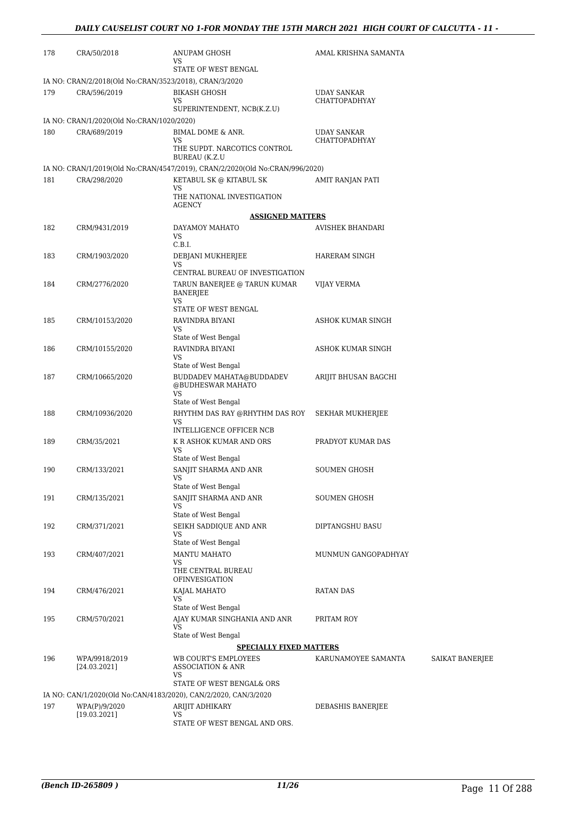| 178 | CRA/50/2018                                            | ANUPAM GHOSH<br>VS                                                           | AMAL KRISHNA SAMANTA                |                 |  |  |
|-----|--------------------------------------------------------|------------------------------------------------------------------------------|-------------------------------------|-----------------|--|--|
|     |                                                        |                                                                              |                                     |                 |  |  |
|     | IA NO: CRAN/2/2018(Old No:CRAN/3523/2018), CRAN/3/2020 |                                                                              |                                     |                 |  |  |
| 179 | CRA/596/2019                                           | <b>BIKASH GHOSH</b><br>VS                                                    | UDAY SANKAR<br><b>CHATTOPADHYAY</b> |                 |  |  |
|     |                                                        | SUPERINTENDENT, NCB(K.Z.U)                                                   |                                     |                 |  |  |
|     | IA NO: CRAN/1/2020(Old No:CRAN/1020/2020)              |                                                                              |                                     |                 |  |  |
| 180 | CRA/689/2019                                           | BIMAL DOME & ANR.                                                            | <b>UDAY SANKAR</b>                  |                 |  |  |
|     |                                                        | VS<br>THE SUPDT. NARCOTICS CONTROL<br><b>BUREAU</b> (K.Z.U                   | <b>CHATTOPADHYAY</b>                |                 |  |  |
|     |                                                        | IA NO: CRAN/1/2019(Old No:CRAN/4547/2019), CRAN/2/2020(Old No:CRAN/996/2020) |                                     |                 |  |  |
| 181 | CRA/298/2020                                           | KETABUL SK @ KITABUL SK                                                      | AMIT RANJAN PATI                    |                 |  |  |
|     |                                                        | VS<br>THE NATIONAL INVESTIGATION<br><b>AGENCY</b>                            |                                     |                 |  |  |
|     |                                                        | <b>ASSIGNED MATTERS</b>                                                      |                                     |                 |  |  |
| 182 | CRM/9431/2019                                          | DAYAMOY MAHATO                                                               | AVISHEK BHANDARI                    |                 |  |  |
|     |                                                        | VS<br>C.B.I.                                                                 |                                     |                 |  |  |
| 183 | CRM/1903/2020                                          | DEBJANI MUKHERJEE<br>VS.                                                     | HARERAM SINGH                       |                 |  |  |
|     |                                                        | CENTRAL BUREAU OF INVESTIGATION                                              |                                     |                 |  |  |
| 184 | CRM/2776/2020                                          | TARUN BANERJEE @ TARUN KUMAR<br><b>BANERJEE</b>                              | <b>VIJAY VERMA</b>                  |                 |  |  |
|     |                                                        | <b>VS</b><br>STATE OF WEST BENGAL                                            |                                     |                 |  |  |
| 185 | CRM/10153/2020                                         | RAVINDRA BIYANI                                                              | ASHOK KUMAR SINGH                   |                 |  |  |
|     |                                                        | VS                                                                           |                                     |                 |  |  |
| 186 | CRM/10155/2020                                         | State of West Bengal<br>RAVINDRA BIYANI                                      | ASHOK KUMAR SINGH                   |                 |  |  |
|     |                                                        | VS                                                                           |                                     |                 |  |  |
|     |                                                        | State of West Bengal                                                         |                                     |                 |  |  |
| 187 | CRM/10665/2020                                         | BUDDADEV MAHATA@BUDDADEV<br>@BUDHESWAR MAHATO<br>VS                          | ARIJIT BHUSAN BAGCHI                |                 |  |  |
| 188 | CRM/10936/2020                                         | State of West Bengal<br>RHYTHM DAS RAY @RHYTHM DAS ROY                       |                                     |                 |  |  |
|     |                                                        | <b>VS</b><br>INTELLIGENCE OFFICER NCB                                        | SEKHAR MUKHERJEE                    |                 |  |  |
| 189 | CRM/35/2021                                            | K R ASHOK KUMAR AND ORS                                                      | PRADYOT KUMAR DAS                   |                 |  |  |
|     |                                                        | VS<br>State of West Bengal                                                   |                                     |                 |  |  |
| 190 | CRM/133/2021                                           | SANJIT SHARMA AND ANR                                                        | <b>SOUMEN GHOSH</b>                 |                 |  |  |
|     |                                                        | VS<br>State of West Bengal                                                   |                                     |                 |  |  |
| 191 | CRM/135/2021                                           | SANJIT SHARMA AND ANR                                                        | SOUMEN GHOSH                        |                 |  |  |
|     |                                                        | VS                                                                           |                                     |                 |  |  |
|     |                                                        | State of West Bengal<br>SEIKH SADDIOUE AND ANR                               |                                     |                 |  |  |
| 192 | CRM/371/2021                                           | VS<br>State of West Bengal                                                   | DIPTANGSHU BASU                     |                 |  |  |
| 193 | CRM/407/2021                                           | <b>MANTU MAHATO</b>                                                          | MUNMUN GANGOPADHYAY                 |                 |  |  |
|     |                                                        | VS<br>THE CENTRAL BUREAU<br>OFINVESIGATION                                   |                                     |                 |  |  |
| 194 | CRM/476/2021                                           | KAJAL MAHATO                                                                 | <b>RATAN DAS</b>                    |                 |  |  |
|     |                                                        | VS<br>State of West Bengal                                                   |                                     |                 |  |  |
| 195 | CRM/570/2021                                           | AJAY KUMAR SINGHANIA AND ANR                                                 | PRITAM ROY                          |                 |  |  |
|     |                                                        | VS<br>State of West Bengal                                                   |                                     |                 |  |  |
|     |                                                        | <b>SPECIALLY FIXED MATTERS</b>                                               |                                     |                 |  |  |
| 196 | WPA/9918/2019                                          | WB COURT'S EMPLOYEES                                                         | KARUNAMOYEE SAMANTA                 | SAIKAT BANERJEE |  |  |
|     | [24.03.2021]                                           | <b>ASSOCIATION &amp; ANR</b><br>VS                                           |                                     |                 |  |  |
|     |                                                        | STATE OF WEST BENGAL& ORS                                                    |                                     |                 |  |  |
|     |                                                        | IA NO: CAN/1/2020(Old No:CAN/4183/2020), CAN/2/2020, CAN/3/2020              |                                     |                 |  |  |
| 197 | WPA(P)/9/2020<br>[19.03.2021]                          | ARIJIT ADHIKARY<br>VS                                                        | DEBASHIS BANERJEE                   |                 |  |  |
|     |                                                        | STATE OF WEST BENGAL AND ORS.                                                |                                     |                 |  |  |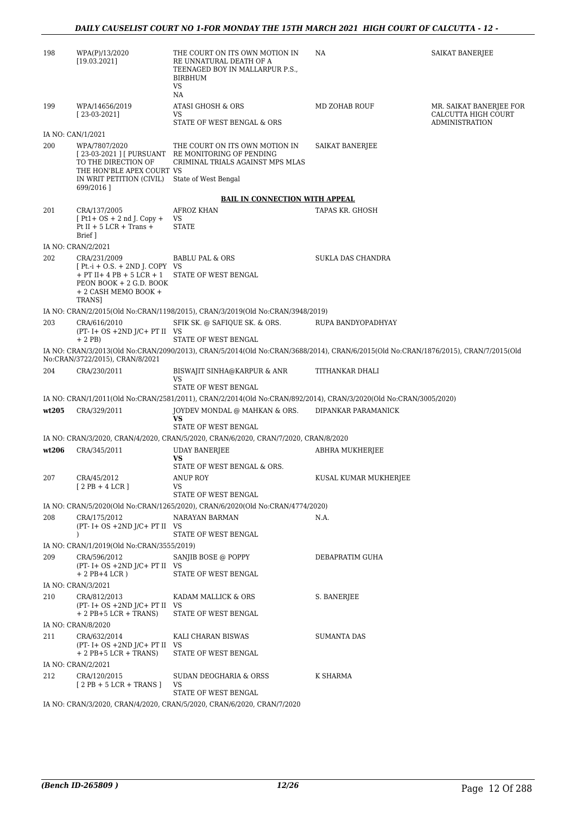| 198   | WPA(P)/13/2020<br>[19.03.2021]                                                                                                                      | THE COURT ON ITS OWN MOTION IN<br>RE UNNATURAL DEATH OF A<br>TEENAGED BOY IN MALLARPUR P.S.,<br><b>BIRBHUM</b><br>VS<br>NA                      | NA                       | SAIKAT BANERJEE                                                         |
|-------|-----------------------------------------------------------------------------------------------------------------------------------------------------|-------------------------------------------------------------------------------------------------------------------------------------------------|--------------------------|-------------------------------------------------------------------------|
| 199   | WPA/14656/2019<br>$[23-03-2021]$                                                                                                                    | <b>ATASI GHOSH &amp; ORS</b><br>VS<br>STATE OF WEST BENGAL & ORS                                                                                | <b>MD ZOHAB ROUF</b>     | MR. SAIKAT BANERJEE FOR<br>CALCUTTA HIGH COURT<br><b>ADMINISTRATION</b> |
|       | IA NO: CAN/1/2021                                                                                                                                   |                                                                                                                                                 |                          |                                                                         |
| 200   | WPA/7807/2020<br>TO THE DIRECTION OF<br>THE HON'BLE APEX COURT VS<br>IN WRIT PETITION (CIVIL)<br>699/2016]                                          | THE COURT ON ITS OWN MOTION IN<br>[23-03-2021 ] [ PURSUANT RE MONITORING OF PENDING<br>CRIMINAL TRIALS AGAINST MPS MLAS<br>State of West Bengal | SAIKAT BANERJEE          |                                                                         |
|       |                                                                                                                                                     | <b>BAIL IN CONNECTION WITH APPEAL</b>                                                                                                           |                          |                                                                         |
| 201   | CRA/137/2005<br>$[Pt1+OS + 2nd]$ . Copy +<br>Pt II + $5$ LCR + Trans +<br>Brief 1                                                                   | <b>AFROZ KHAN</b><br>VS<br><b>STATE</b>                                                                                                         | TAPAS KR. GHOSH          |                                                                         |
|       | IA NO: CRAN/2/2021                                                                                                                                  |                                                                                                                                                 |                          |                                                                         |
| 202   | CRA/231/2009<br>$[Pt.-i + O.S. + 2ND]$ . COPY VS<br>$+$ PT II+ 4 PB + 5 LCR + 1<br>PEON BOOK + 2 G.D. BOOK<br>+ 2 CASH MEMO BOOK +<br><b>TRANS1</b> | <b>BABLU PAL &amp; ORS</b><br>STATE OF WEST BENGAL                                                                                              | <b>SUKLA DAS CHANDRA</b> |                                                                         |
|       |                                                                                                                                                     | IA NO: CRAN/2/2015(Old No:CRAN/1198/2015), CRAN/3/2019(Old No:CRAN/3948/2019)                                                                   |                          |                                                                         |
| 203   | CRA/616/2010<br>$(PT - I + OS + 2ND J/C + PT II$ VS<br>$+2$ PB)                                                                                     | SFIK SK. @ SAFIQUE SK. & ORS.<br>STATE OF WEST BENGAL                                                                                           | RUPA BANDYOPADHYAY       |                                                                         |
|       | No:CRAN/3722/2015), CRAN/8/2021                                                                                                                     | IA NO: CRAN/3/2013(Old No:CRAN/2090/2013), CRAN/5/2014(Old No:CRAN/3688/2014), CRAN/6/2015(Old No:CRAN/1876/2015), CRAN/7/2015(Old              |                          |                                                                         |
| 204   | CRA/230/2011                                                                                                                                        | BISWAJIT SINHA@KARPUR & ANR<br>VS<br>STATE OF WEST BENGAL                                                                                       | TITHANKAR DHALI          |                                                                         |
|       |                                                                                                                                                     | IA NO: CRAN/1/2011(Old No:CRAN/2581/2011), CRAN/2/2014(Old No:CRAN/892/2014), CRAN/3/2020(Old No:CRAN/3005/2020)                                |                          |                                                                         |
| wt205 | CRA/329/2011                                                                                                                                        | JOYDEV MONDAL @ MAHKAN & ORS.<br>VS<br>STATE OF WEST BENGAL                                                                                     | DIPANKAR PARAMANICK      |                                                                         |
|       |                                                                                                                                                     | IA NO: CRAN/3/2020, CRAN/4/2020, CRAN/5/2020, CRAN/6/2020, CRAN/7/2020, CRAN/8/2020                                                             |                          |                                                                         |
| wt206 | CRA/345/2011                                                                                                                                        | <b>UDAY BANERJEE</b>                                                                                                                            | ABHRA MUKHERJEE          |                                                                         |
|       |                                                                                                                                                     | VS<br>STATE OF WEST BENGAL & ORS.                                                                                                               |                          |                                                                         |
| 207   | CRA/45/2012<br>$[2PB+4LCR]$                                                                                                                         | ANUP ROY<br>VS                                                                                                                                  | KUSAL KUMAR MUKHERJEE    |                                                                         |
|       |                                                                                                                                                     | STATE OF WEST BENGAL                                                                                                                            |                          |                                                                         |
|       |                                                                                                                                                     | IA NO: CRAN/5/2020(Old No:CRAN/1265/2020), CRAN/6/2020(Old No:CRAN/4774/2020)                                                                   |                          |                                                                         |
| 208   | CRA/175/2012<br>$(PT - I + OS + 2ND J/C + PT II$ VS<br>$\lambda$                                                                                    | NARAYAN BARMAN<br>STATE OF WEST BENGAL                                                                                                          | N.A.                     |                                                                         |
|       | IA NO: CRAN/1/2019(Old No:CRAN/3555/2019)                                                                                                           |                                                                                                                                                 |                          |                                                                         |
| 209   | CRA/596/2012<br>$(PT - I + OS + 2ND J/C + PT II$ VS                                                                                                 | SANJIB BOSE @ POPPY                                                                                                                             | DEBAPRATIM GUHA          |                                                                         |
|       | $+ 2$ PB+4 LCR)                                                                                                                                     | STATE OF WEST BENGAL                                                                                                                            |                          |                                                                         |
| 210   | IA NO: CRAN/3/2021<br>CRA/812/2013                                                                                                                  | KADAM MALLICK & ORS                                                                                                                             | S. BANERJEE              |                                                                         |
|       | $(PT - I + OS + 2ND J/C + PT II$ VS<br>$+ 2$ PB $+ 5$ LCR $+$ TRANS)                                                                                | STATE OF WEST BENGAL                                                                                                                            |                          |                                                                         |
|       | IA NO: CRAN/8/2020                                                                                                                                  |                                                                                                                                                 |                          |                                                                         |
| 211   | CRA/632/2014<br>$(PT - I + OS + 2ND J/C + PT II$ VS                                                                                                 | KALI CHARAN BISWAS<br>STATE OF WEST BENGAL                                                                                                      | <b>SUMANTA DAS</b>       |                                                                         |
|       | $+ 2$ PB $+ 5$ LCR $+$ TRANS)<br>IA NO: CRAN/2/2021                                                                                                 |                                                                                                                                                 |                          |                                                                         |
| 212   | CRA/120/2015                                                                                                                                        | SUDAN DEOGHARIA & ORSS                                                                                                                          | K SHARMA                 |                                                                         |
|       | $[2PB + 5LCR + TRANS]$                                                                                                                              | VS<br>STATE OF WEST BENGAL                                                                                                                      |                          |                                                                         |
|       |                                                                                                                                                     | IA NO: CRAN/3/2020, CRAN/4/2020, CRAN/5/2020, CRAN/6/2020, CRAN/7/2020                                                                          |                          |                                                                         |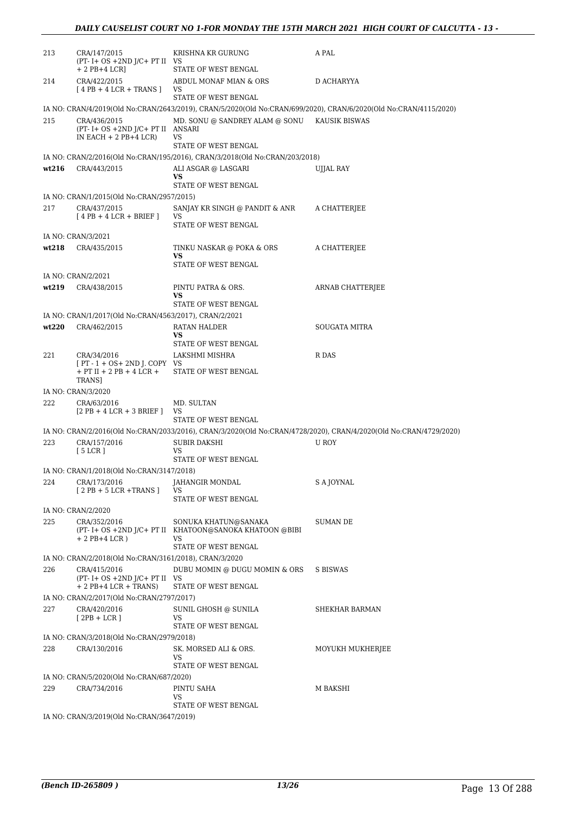| 213                | CRA/147/2015<br>$(PT - I + OS + 2ND J/C + PT II$ VS<br>$+ 2$ PB $+ 4$ LCR]              | KRISHNA KR GURUNG<br>STATE OF WEST BENGAL                                             | A PAL                                                                                                             |  |
|--------------------|-----------------------------------------------------------------------------------------|---------------------------------------------------------------------------------------|-------------------------------------------------------------------------------------------------------------------|--|
| 214                | CRA/422/2015<br>$[4PB + 4LCR + TRANS]$                                                  | ABDUL MONAF MIAN & ORS<br>VS                                                          | D ACHARYYA                                                                                                        |  |
|                    |                                                                                         | STATE OF WEST BENGAL                                                                  |                                                                                                                   |  |
| 215                | CRA/436/2015<br>$(PT - I + OS + 2ND J/C + PT II ANSARI)$<br>IN EACH $+ 2$ PB $+ 4$ LCR) | MD. SONU @ SANDREY ALAM @ SONU KAUSIK BISWAS<br>VS                                    | IA NO: CRAN/4/2019(Old No:CRAN/2643/2019), CRAN/5/2020(Old No:CRAN/699/2020), CRAN/6/2020(Old No:CRAN/4115/2020)  |  |
|                    |                                                                                         | STATE OF WEST BENGAL                                                                  |                                                                                                                   |  |
|                    |                                                                                         | IA NO: CRAN/2/2016(Old No:CRAN/195/2016), CRAN/3/2018(Old No:CRAN/203/2018)           |                                                                                                                   |  |
| wt216              | CRA/443/2015                                                                            | ALI ASGAR @ LASGARI<br>VS<br>STATE OF WEST BENGAL                                     | UJJAL RAY                                                                                                         |  |
|                    | IA NO: CRAN/1/2015(Old No:CRAN/2957/2015)                                               |                                                                                       |                                                                                                                   |  |
| 217                | CRA/437/2015<br>$[4PB + 4LCR + BRIEF]$                                                  | SANJAY KR SINGH @ PANDIT & ANR<br>VS<br>STATE OF WEST BENGAL                          | A CHATTERJEE                                                                                                      |  |
|                    | IA NO: CRAN/3/2021                                                                      |                                                                                       |                                                                                                                   |  |
| wt218              | CRA/435/2015                                                                            | TINKU NASKAR @ POKA & ORS<br>VS                                                       | A CHATTERJEE                                                                                                      |  |
|                    |                                                                                         | STATE OF WEST BENGAL                                                                  |                                                                                                                   |  |
| wt219              | IA NO: CRAN/2/2021<br>CRA/438/2015                                                      | PINTU PATRA & ORS.                                                                    | ARNAB CHATTERJEE                                                                                                  |  |
|                    |                                                                                         | VS<br>STATE OF WEST BENGAL                                                            |                                                                                                                   |  |
|                    | IA NO: CRAN/1/2017(Old No:CRAN/4563/2017), CRAN/2/2021                                  |                                                                                       |                                                                                                                   |  |
| wt220              | CRA/462/2015                                                                            | RATAN HALDER<br>VS<br>STATE OF WEST BENGAL                                            | SOUGATA MITRA                                                                                                     |  |
| 221                | CRA/34/2016                                                                             | LAKSHMI MISHRA                                                                        | R DAS                                                                                                             |  |
|                    | $[PT - 1 + OS + 2ND]$ . COPY VS<br>$+$ PT II $+$ 2 PB $+$ 4 LCR $+$<br>TRANS]           | STATE OF WEST BENGAL                                                                  |                                                                                                                   |  |
| IA NO: CRAN/3/2020 |                                                                                         |                                                                                       |                                                                                                                   |  |
|                    |                                                                                         |                                                                                       |                                                                                                                   |  |
| 222                | CRA/63/2016<br>$[2PB + 4LCR + 3BRIEF]$                                                  | MD. SULTAN<br>VS                                                                      |                                                                                                                   |  |
|                    |                                                                                         | STATE OF WEST BENGAL                                                                  |                                                                                                                   |  |
|                    |                                                                                         |                                                                                       | IA NO: CRAN/2/2016(Old No:CRAN/2033/2016), CRAN/3/2020(Old No:CRAN/4728/2020), CRAN/4/2020(Old No:CRAN/4729/2020) |  |
| 223                | CRA/157/2016<br>$5$ LCR $1$                                                             | <b>SUBIR DAKSHI</b><br>VS                                                             | U ROY                                                                                                             |  |
|                    |                                                                                         | STATE OF WEST BENGAL                                                                  |                                                                                                                   |  |
|                    | IA NO: CRAN/1/2018(Old No:CRAN/3147/2018)                                               |                                                                                       |                                                                                                                   |  |
| 224                | CRA/173/2016<br>$[2PB + 5 LCR + TRANS]$                                                 | JAHANGIR MONDAL<br>VS<br>STATE OF WEST BENGAL                                         | S A JOYNAL                                                                                                        |  |
|                    | IA NO: CRAN/2/2020                                                                      |                                                                                       |                                                                                                                   |  |
| 225                | CRA/352/2016<br>$+ 2$ PB+4 LCR)                                                         | SONUKA KHATUN@SANAKA<br>(PT- I+ OS +2ND J/C+ PT II KHATOON@SANOKA KHATOON @BIBI<br>VS | SUMAN DE                                                                                                          |  |
|                    |                                                                                         | STATE OF WEST BENGAL                                                                  |                                                                                                                   |  |
|                    | IA NO: CRAN/2/2018(Old No:CRAN/3161/2018), CRAN/3/2020                                  |                                                                                       |                                                                                                                   |  |
| 226                | CRA/415/2016<br>$(PT - I + OS + 2ND J/C + PT II$ VS<br>$+ 2$ PB+4 LCR + TRANS)          | DUBU MOMIN @ DUGU MOMIN & ORS<br>STATE OF WEST BENGAL                                 | S BISWAS                                                                                                          |  |
|                    | IA NO: CRAN/2/2017(Old No:CRAN/2797/2017)                                               |                                                                                       |                                                                                                                   |  |
| 227                | CRA/420/2016<br>$[2PB + LCR]$                                                           | SUNIL GHOSH @ SUNILA<br>VS<br>STATE OF WEST BENGAL                                    | SHEKHAR BARMAN                                                                                                    |  |
|                    | IA NO: CRAN/3/2018(Old No:CRAN/2979/2018)                                               |                                                                                       |                                                                                                                   |  |
| 228                | CRA/130/2016                                                                            | SK. MORSED ALI & ORS.                                                                 | MOYUKH MUKHERJEE                                                                                                  |  |
|                    |                                                                                         | VS<br>STATE OF WEST BENGAL                                                            |                                                                                                                   |  |
|                    | IA NO: CRAN/5/2020(Old No:CRAN/687/2020)                                                |                                                                                       |                                                                                                                   |  |
| 229                | CRA/734/2016                                                                            | PINTU SAHA<br>VS                                                                      | M BAKSHI                                                                                                          |  |
|                    | IA NO: CRAN/3/2019(Old No:CRAN/3647/2019)                                               | STATE OF WEST BENGAL                                                                  |                                                                                                                   |  |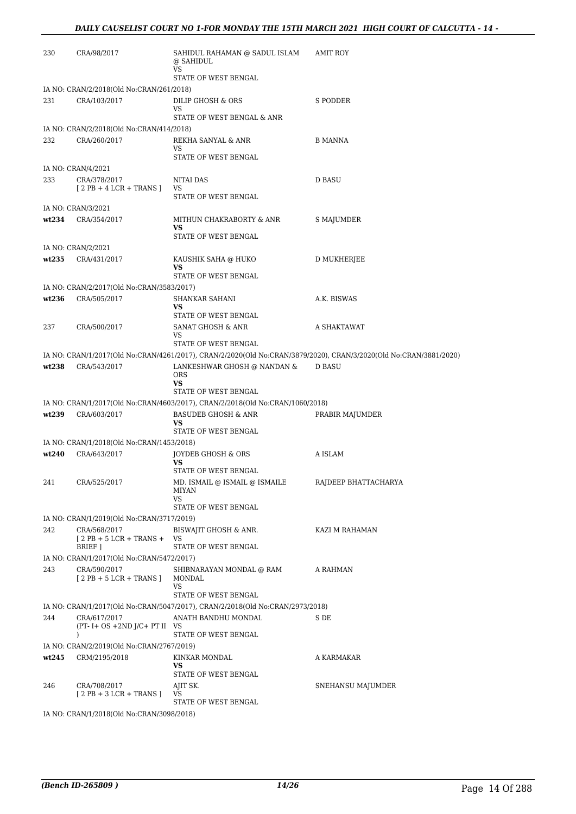| 230   | CRA/98/2017                                                          | SAHIDUL RAHAMAN @ SADUL ISLAM<br>@ SAHIDUL<br>VS<br>STATE OF WEST BENGAL      | <b>AMIT ROY</b>                                                                                                   |
|-------|----------------------------------------------------------------------|-------------------------------------------------------------------------------|-------------------------------------------------------------------------------------------------------------------|
|       | IA NO: CRAN/2/2018(Old No:CRAN/261/2018)                             |                                                                               |                                                                                                                   |
| 231   | CRA/103/2017                                                         | DILIP GHOSH & ORS<br>VS                                                       | S PODDER                                                                                                          |
|       |                                                                      | STATE OF WEST BENGAL & ANR                                                    |                                                                                                                   |
|       | IA NO: CRAN/2/2018(Old No:CRAN/414/2018)                             |                                                                               |                                                                                                                   |
| 232   | CRA/260/2017                                                         | REKHA SANYAL & ANR<br>VS<br>STATE OF WEST BENGAL                              | <b>B MANNA</b>                                                                                                    |
|       | IA NO: CRAN/4/2021                                                   |                                                                               |                                                                                                                   |
| 233   | CRA/378/2017                                                         | NITAI DAS                                                                     | <b>D BASU</b>                                                                                                     |
|       | $[2PB + 4LCR + TRANS]$                                               | VS<br>STATE OF WEST BENGAL                                                    |                                                                                                                   |
|       | IA NO: CRAN/3/2021                                                   |                                                                               |                                                                                                                   |
| wt234 | CRA/354/2017                                                         | MITHUN CHAKRABORTY & ANR<br>VS                                                | S MAJUMDER                                                                                                        |
|       |                                                                      | STATE OF WEST BENGAL                                                          |                                                                                                                   |
|       | IA NO: CRAN/2/2021                                                   |                                                                               |                                                                                                                   |
| wt235 | CRA/431/2017                                                         | KAUSHIK SAHA @ HUKO<br>VS<br>STATE OF WEST BENGAL                             | D MUKHERJEE                                                                                                       |
|       | IA NO: CRAN/2/2017(Old No:CRAN/3583/2017)                            |                                                                               |                                                                                                                   |
| wt236 | CRA/505/2017                                                         | <b>SHANKAR SAHANI</b><br>VS                                                   | A.K. BISWAS                                                                                                       |
|       |                                                                      | STATE OF WEST BENGAL                                                          |                                                                                                                   |
| 237   | CRA/500/2017                                                         | SANAT GHOSH & ANR<br>VS<br>STATE OF WEST BENGAL                               | A SHAKTAWAT                                                                                                       |
|       |                                                                      |                                                                               |                                                                                                                   |
|       |                                                                      |                                                                               | IA NO: CRAN/1/2017(Old No:CRAN/4261/2017), CRAN/2/2020(Old No:CRAN/3879/2020), CRAN/3/2020(Old No:CRAN/3881/2020) |
| wt238 | CRA/543/2017                                                         | LANKESHWAR GHOSH @ NANDAN &<br><b>ORS</b><br>VS<br>STATE OF WEST BENGAL       | D BASU                                                                                                            |
|       |                                                                      | IA NO: CRAN/1/2017(Old No:CRAN/4603/2017), CRAN/2/2018(Old No:CRAN/1060/2018) |                                                                                                                   |
| wt239 | CRA/603/2017                                                         | <b>BASUDEB GHOSH &amp; ANR</b>                                                | PRABIR MAJUMDER                                                                                                   |
|       |                                                                      | VS<br>STATE OF WEST BENGAL                                                    |                                                                                                                   |
|       | IA NO: CRAN/1/2018(Old No:CRAN/1453/2018)                            |                                                                               |                                                                                                                   |
| wt240 | CRA/643/2017                                                         | JOYDEB GHOSH & ORS                                                            | A ISLAM                                                                                                           |
|       |                                                                      | VS<br>STATE OF WEST BENGAL                                                    |                                                                                                                   |
| 241   | CRA/525/2017                                                         | MD. ISMAIL @ ISMAIL @ ISMAILE<br>MIYAN<br>VS                                  | RAJDEEP BHATTACHARYA                                                                                              |
|       |                                                                      | STATE OF WEST BENGAL                                                          |                                                                                                                   |
|       | IA NO: CRAN/1/2019(Old No:CRAN/3717/2019)                            |                                                                               |                                                                                                                   |
| 242   | CRA/568/2017<br>$12$ PB + 5 LCR + TRANS +                            | BISWAJIT GHOSH & ANR.<br>VS                                                   | KAZI M RAHAMAN                                                                                                    |
|       | BRIEF 1                                                              | STATE OF WEST BENGAL                                                          |                                                                                                                   |
|       | IA NO: CRAN/1/2017(Old No:CRAN/5472/2017)                            |                                                                               |                                                                                                                   |
| 243   | CRA/590/2017<br>$[2PB + 5 LCR + TRANS]$                              | SHIBNARAYAN MONDAL @ RAM<br>MONDAL<br>VS                                      | A RAHMAN                                                                                                          |
|       |                                                                      | STATE OF WEST BENGAL                                                          |                                                                                                                   |
|       |                                                                      | IA NO: CRAN/1/2017(Old No:CRAN/5047/2017), CRAN/2/2018(Old No:CRAN/2973/2018) |                                                                                                                   |
| 244   | CRA/617/2017<br>$(PT - I + OS + 2ND J/C + PT II$ VS<br>$\mathcal{E}$ | ANATH BANDHU MONDAL<br>STATE OF WEST BENGAL                                   | S DE                                                                                                              |
|       | IA NO: CRAN/2/2019(Old No:CRAN/2767/2019)                            |                                                                               |                                                                                                                   |
| wt245 | CRM/2195/2018                                                        | KINKAR MONDAL                                                                 | A KARMAKAR                                                                                                        |
|       |                                                                      | VS<br>STATE OF WEST BENGAL                                                    |                                                                                                                   |
| 246   | CRA/708/2017<br>$[2PB + 3LCR + TRANS]$                               | AJIT SK.<br>VS                                                                | SNEHANSU MAJUMDER                                                                                                 |
|       | IA NO: CRAN/1/2018(Old No:CRAN/3098/2018)                            | STATE OF WEST BENGAL                                                          |                                                                                                                   |
|       |                                                                      |                                                                               |                                                                                                                   |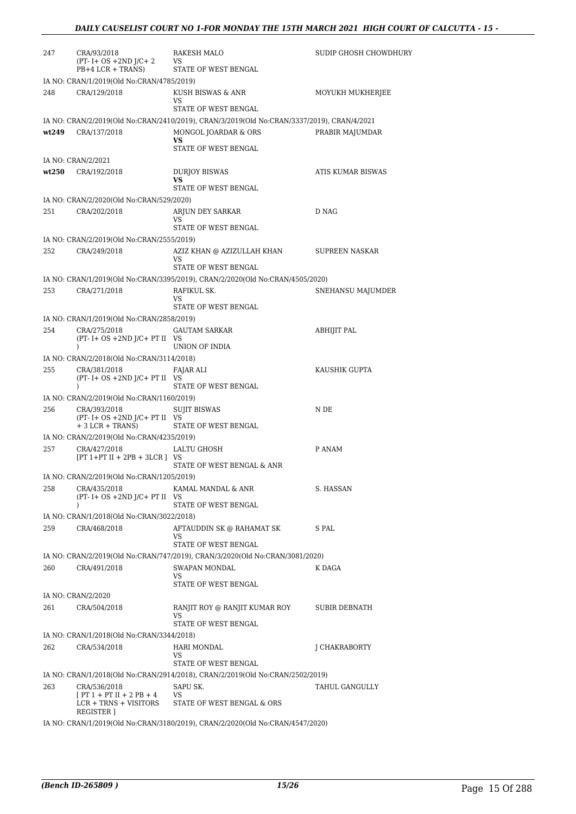| 247   | CRA/93/2018<br>$(PT - I + OS + 2ND J/C + 2)$<br>$PB+4 LCR + TRANS$ | RAKESH MALO<br><b>VS</b><br>STATE OF WEST BENGAL                                           | SUDIP GHOSH CHOWDHURY |
|-------|--------------------------------------------------------------------|--------------------------------------------------------------------------------------------|-----------------------|
|       | IA NO: CRAN/1/2019(Old No:CRAN/4785/2019)                          |                                                                                            |                       |
| 248   | CRA/129/2018                                                       | KUSH BISWAS & ANR<br>VS.                                                                   | MOYUKH MUKHERJEE      |
|       |                                                                    | STATE OF WEST BENGAL                                                                       |                       |
|       |                                                                    | IA NO: CRAN/2/2019(Old No:CRAN/2410/2019), CRAN/3/2019(Old No:CRAN/3337/2019), CRAN/4/2021 |                       |
| wt249 | CRA/137/2018                                                       | MONGOL JOARDAR & ORS<br>VS<br>STATE OF WEST BENGAL                                         | PRABIR MAJUMDAR       |
|       | IA NO: CRAN/2/2021                                                 |                                                                                            |                       |
| wt250 | CRA/192/2018                                                       | <b>DURJOY BISWAS</b><br>VS                                                                 | ATIS KUMAR BISWAS     |
|       |                                                                    | STATE OF WEST BENGAL                                                                       |                       |
|       | IA NO: CRAN/2/2020(Old No:CRAN/529/2020)                           |                                                                                            |                       |
| 251   | CRA/202/2018                                                       | ARJUN DEY SARKAR<br>VS.<br>STATE OF WEST BENGAL                                            | D NAG                 |
|       | IA NO: CRAN/2/2019(Old No:CRAN/2555/2019)                          |                                                                                            |                       |
| 252   | CRA/249/2018                                                       | AZIZ KHAN @ AZIZULLAH KHAN<br>VS                                                           | SUPREEN NASKAR        |
|       |                                                                    | STATE OF WEST BENGAL                                                                       |                       |
|       |                                                                    | IA NO: CRAN/1/2019(Old No:CRAN/3395/2019), CRAN/2/2020(Old No:CRAN/4505/2020)              |                       |
| 253   | CRA/271/2018                                                       | RAFIKUL SK.<br>VS.                                                                         | SNEHANSU MAJUMDER     |
|       |                                                                    | STATE OF WEST BENGAL                                                                       |                       |
|       | IA NO: CRAN/1/2019(Old No:CRAN/2858/2019)                          |                                                                                            |                       |
| 254   | CRA/275/2018<br>$(PT - I + OS + 2ND J/C + PT II$ VS                | <b>GAUTAM SARKAR</b>                                                                       | ABHIJIT PAL           |
|       | $\lambda$                                                          | UNION OF INDIA                                                                             |                       |
|       | IA NO: CRAN/2/2018(Old No:CRAN/3114/2018)                          |                                                                                            |                       |
| 255   | CRA/381/2018<br>$(PT - I + OS + 2ND J/C + PT II$ VS<br>$\lambda$   | FAJAR ALI<br>STATE OF WEST BENGAL                                                          | KAUSHIK GUPTA         |
|       | IA NO: CRAN/2/2019(Old No:CRAN/1160/2019)                          |                                                                                            |                       |
| 256   | CRA/393/2018                                                       | <b>SUJIT BISWAS</b>                                                                        | N DE                  |
|       | $(PT - I + OS + 2ND J/C + PT II$ VS<br>$+3$ LCR $+$ TRANS)         | STATE OF WEST BENGAL                                                                       |                       |
|       | IA NO: CRAN/2/2019(Old No:CRAN/4235/2019)                          |                                                                                            |                       |
| 257   | CRA/427/2018                                                       | LALTU GHOSH                                                                                | P ANAM                |
|       | $[PT 1+PT II + 2PB + 3LCR]$ VS                                     | STATE OF WEST BENGAL & ANR                                                                 |                       |
|       | IA NO: CRAN/2/2019(Old No:CRAN/1205/2019)                          |                                                                                            |                       |
| 258   | CRA/435/2018<br>$(PT - I + OS + 2ND J/C + PT II$ VS                | KAMAL MANDAL & ANR                                                                         | S. HASSAN             |
|       | $\mathcal{L}$                                                      | STATE OF WEST BENGAL                                                                       |                       |
|       | IA NO: CRAN/1/2018(Old No:CRAN/3022/2018)                          |                                                                                            |                       |
| 259   | CRA/468/2018                                                       | AFTAUDDIN SK @ RAHAMAT SK<br>VS<br>STATE OF WEST BENGAL                                    | S PAL                 |
|       |                                                                    | IA NO: CRAN/2/2019(Old No:CRAN/747/2019), CRAN/3/2020(Old No:CRAN/3081/2020)               |                       |
| 260   | CRA/491/2018                                                       | SWAPAN MONDAL                                                                              | K DAGA                |
|       |                                                                    | VS.<br>STATE OF WEST BENGAL                                                                |                       |
|       | IA NO: CRAN/2/2020                                                 |                                                                                            |                       |
| 261   | CRA/504/2018                                                       | RANJIT ROY @ RANJIT KUMAR ROY<br>VS                                                        | SUBIR DEBNATH         |
|       | IA NO: CRAN/1/2018(Old No:CRAN/3344/2018)                          | STATE OF WEST BENGAL                                                                       |                       |
| 262   | CRA/534/2018                                                       | HARI MONDAL                                                                                | J CHAKRABORTY         |
|       |                                                                    | VS                                                                                         |                       |
|       |                                                                    | STATE OF WEST BENGAL                                                                       |                       |
| 263   | CRA/536/2018                                                       | IA NO: CRAN/1/2018(Old No:CRAN/2914/2018), CRAN/2/2019(Old No:CRAN/2502/2019)<br>SAPU SK.  | TAHUL GANGULLY        |
|       | $[PT 1 + PT II + 2 PB + 4]$<br>LCR + TRNS + VISITORS               | VS<br>STATE OF WEST BENGAL & ORS                                                           |                       |
|       | REGISTER ]                                                         |                                                                                            |                       |
|       |                                                                    | IA NO: CRAN/1/2019(Old No:CRAN/3180/2019), CRAN/2/2020(Old No:CRAN/4547/2020)              |                       |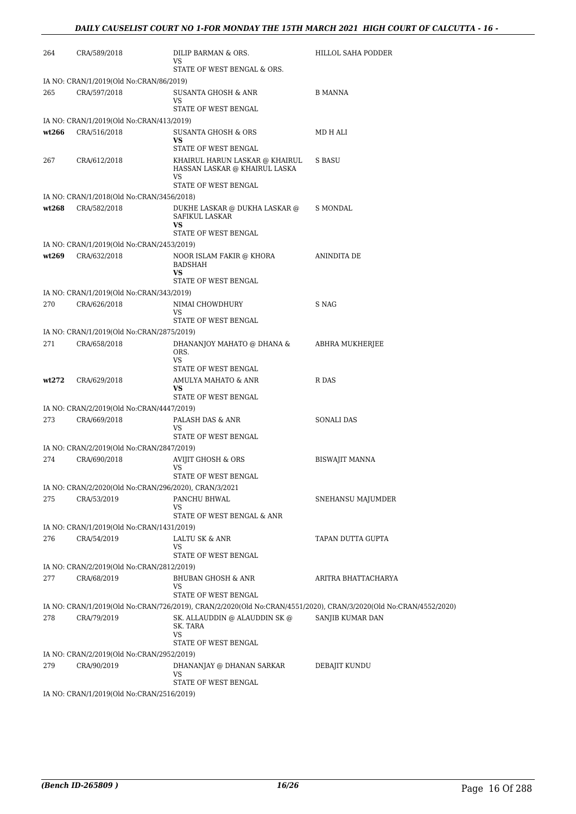| 264   | CRA/589/2018                                          | DILIP BARMAN & ORS.<br>VS                                             | HILLOL SAHA PODDER                                                                                               |
|-------|-------------------------------------------------------|-----------------------------------------------------------------------|------------------------------------------------------------------------------------------------------------------|
|       |                                                       | STATE OF WEST BENGAL & ORS.                                           |                                                                                                                  |
|       | IA NO: CRAN/1/2019(Old No:CRAN/86/2019)               |                                                                       |                                                                                                                  |
| 265   | CRA/597/2018                                          | SUSANTA GHOSH & ANR<br>VS                                             | <b>B MANNA</b>                                                                                                   |
|       |                                                       | STATE OF WEST BENGAL                                                  |                                                                                                                  |
|       | IA NO: CRAN/1/2019(Old No:CRAN/413/2019)              |                                                                       |                                                                                                                  |
| wt266 | CRA/516/2018                                          | SUSANTA GHOSH & ORS<br>VS                                             | MD H ALI                                                                                                         |
|       |                                                       | STATE OF WEST BENGAL                                                  |                                                                                                                  |
| 267   | CRA/612/2018                                          | KHAIRUL HARUN LASKAR @ KHAIRUL<br>HASSAN LASKAR @ KHAIRUL LASKA<br>VS | <b>S BASU</b>                                                                                                    |
|       |                                                       | STATE OF WEST BENGAL                                                  |                                                                                                                  |
|       | IA NO: CRAN/1/2018(Old No:CRAN/3456/2018)             |                                                                       |                                                                                                                  |
| wt268 | CRA/582/2018                                          | DUKHE LASKAR @ DUKHA LASKAR @<br>SAFIKUL LASKAR<br>VS                 | S MONDAL                                                                                                         |
|       |                                                       | STATE OF WEST BENGAL                                                  |                                                                                                                  |
|       | IA NO: CRAN/1/2019(Old No:CRAN/2453/2019)             |                                                                       |                                                                                                                  |
| wt269 | CRA/632/2018                                          | NOOR ISLAM FAKIR @ KHORA<br>BADSHAH<br>VS                             | <b>ANINDITA DE</b>                                                                                               |
|       |                                                       | STATE OF WEST BENGAL                                                  |                                                                                                                  |
|       | IA NO: CRAN/1/2019(Old No:CRAN/343/2019)              |                                                                       |                                                                                                                  |
| 270   | CRA/626/2018                                          | NIMAI CHOWDHURY                                                       | S NAG                                                                                                            |
|       |                                                       | VS<br>STATE OF WEST BENGAL                                            |                                                                                                                  |
|       | IA NO: CRAN/1/2019(Old No:CRAN/2875/2019)             |                                                                       |                                                                                                                  |
| 271   | CRA/658/2018                                          | DHANANJOY MAHATO @ DHANA &<br>ORS.                                    | ABHRA MUKHERJEE                                                                                                  |
|       |                                                       | VS<br>STATE OF WEST BENGAL                                            |                                                                                                                  |
| wt272 | CRA/629/2018                                          | AMULYA MAHATO & ANR<br>VS                                             | R DAS                                                                                                            |
|       |                                                       | STATE OF WEST BENGAL                                                  |                                                                                                                  |
|       | IA NO: CRAN/2/2019(Old No:CRAN/4447/2019)             |                                                                       | <b>SONALI DAS</b>                                                                                                |
| 273   | CRA/669/2018                                          | PALASH DAS & ANR<br>VS                                                |                                                                                                                  |
|       |                                                       | STATE OF WEST BENGAL                                                  |                                                                                                                  |
|       | IA NO: CRAN/2/2019(Old No:CRAN/2847/2019)             |                                                                       |                                                                                                                  |
| 274   | CRA/690/2018                                          | AVIJIT GHOSH & ORS<br>VS                                              | <b>BISWAJIT MANNA</b>                                                                                            |
|       |                                                       | STATE OF WEST BENGAL                                                  |                                                                                                                  |
|       | IA NO: CRAN/2/2020(Old No:CRAN/296/2020), CRAN/3/2021 |                                                                       |                                                                                                                  |
| 275   | CRA/53/2019                                           | PANCHU BHWAL                                                          | SNEHANSU MAJUMDER                                                                                                |
|       |                                                       | VS                                                                    |                                                                                                                  |
|       |                                                       | STATE OF WEST BENGAL & ANR                                            |                                                                                                                  |
|       | IA NO: CRAN/1/2019(Old No:CRAN/1431/2019)             |                                                                       |                                                                                                                  |
| 276   | CRA/54/2019                                           | LALTU SK & ANR<br>VS                                                  | TAPAN DUTTA GUPTA                                                                                                |
|       |                                                       | STATE OF WEST BENGAL                                                  |                                                                                                                  |
|       | IA NO: CRAN/2/2019(Old No:CRAN/2812/2019)             |                                                                       |                                                                                                                  |
| 277   | CRA/68/2019                                           | BHUBAN GHOSH & ANR<br>VS                                              | ARITRA BHATTACHARYA                                                                                              |
|       |                                                       | STATE OF WEST BENGAL                                                  |                                                                                                                  |
|       |                                                       |                                                                       | IA NO: CRAN/1/2019(Old No:CRAN/726/2019), CRAN/2/2020(Old No:CRAN/4551/2020), CRAN/3/2020(Old No:CRAN/4552/2020) |
| 278   | CRA/79/2019                                           | SK. ALLAUDDIN @ ALAUDDIN SK @<br>SK. TARA<br>VS                       | SANJIB KUMAR DAN                                                                                                 |
|       |                                                       | STATE OF WEST BENGAL                                                  |                                                                                                                  |
|       | IA NO: CRAN/2/2019(Old No:CRAN/2952/2019)             |                                                                       |                                                                                                                  |
| 279   | CRA/90/2019                                           | DHANANJAY @ DHANAN SARKAR<br>VS                                       | DEBAJIT KUNDU                                                                                                    |
|       | IA NO: CRAN/1/2019(Old No:CRAN/2516/2019)             | STATE OF WEST BENGAL                                                  |                                                                                                                  |
|       |                                                       |                                                                       |                                                                                                                  |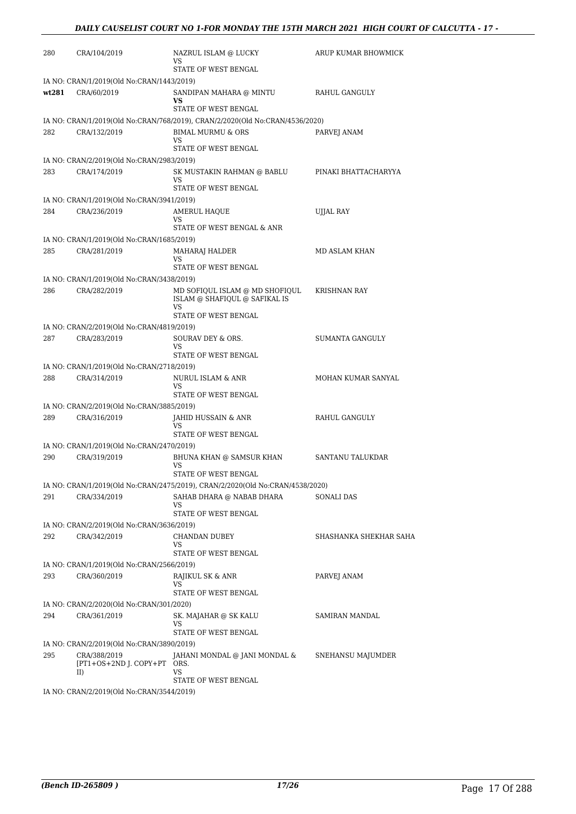| 280   | CRA/104/2019                                       | NAZRUL ISLAM @ LUCKY<br>VS                                                    | ARUP KUMAR BHOWMICK    |
|-------|----------------------------------------------------|-------------------------------------------------------------------------------|------------------------|
|       | IA NO: CRAN/1/2019(Old No:CRAN/1443/2019)          | STATE OF WEST BENGAL                                                          |                        |
| wt281 | CRA/60/2019                                        | SANDIPAN MAHARA @ MINTU<br>VS                                                 | RAHUL GANGULY          |
|       |                                                    | STATE OF WEST BENGAL                                                          |                        |
|       |                                                    | IA NO: CRAN/1/2019(Old No:CRAN/768/2019), CRAN/2/2020(Old No:CRAN/4536/2020)  |                        |
| 282   | CRA/132/2019                                       | <b>BIMAL MURMU &amp; ORS</b><br>VS<br>STATE OF WEST BENGAL                    | PARVEJ ANAM            |
|       | IA NO: CRAN/2/2019(Old No:CRAN/2983/2019)          |                                                                               |                        |
| 283   | CRA/174/2019                                       | SK MUSTAKIN RAHMAN @ BABLU                                                    | PINAKI BHATTACHARYYA   |
|       |                                                    | VS                                                                            |                        |
|       |                                                    | STATE OF WEST BENGAL                                                          |                        |
| 284   | IA NO: CRAN/1/2019(Old No:CRAN/3941/2019)          |                                                                               |                        |
|       | CRA/236/2019                                       | AMERUL HAQUE<br>VS                                                            | UJJAL RAY              |
|       |                                                    | STATE OF WEST BENGAL & ANR                                                    |                        |
|       | IA NO: CRAN/1/2019(Old No:CRAN/1685/2019)          |                                                                               |                        |
| 285   | CRA/281/2019                                       | <b>MAHARAJ HALDER</b><br>VS                                                   | MD ASLAM KHAN          |
|       |                                                    | STATE OF WEST BENGAL                                                          |                        |
|       | IA NO: CRAN/1/2019(Old No:CRAN/3438/2019)          |                                                                               |                        |
| 286   | CRA/282/2019                                       | MD SOFIQUL ISLAM @ MD SHOFIQUL<br>ISLAM @ SHAFIQUL @ SAFIKAL IS<br>VS         | <b>KRISHNAN RAY</b>    |
|       |                                                    | STATE OF WEST BENGAL                                                          |                        |
|       | IA NO: CRAN/2/2019(Old No:CRAN/4819/2019)          |                                                                               |                        |
| 287   | CRA/283/2019                                       | SOURAV DEY & ORS.<br>VS                                                       | <b>SUMANTA GANGULY</b> |
|       |                                                    | STATE OF WEST BENGAL                                                          |                        |
|       | IA NO: CRAN/1/2019(Old No:CRAN/2718/2019)          |                                                                               |                        |
| 288   | CRA/314/2019                                       | NURUL ISLAM & ANR<br>VS.                                                      | MOHAN KUMAR SANYAL     |
|       |                                                    | STATE OF WEST BENGAL                                                          |                        |
|       | IA NO: CRAN/2/2019(Old No:CRAN/3885/2019)          |                                                                               |                        |
| 289   | CRA/316/2019                                       | JAHID HUSSAIN & ANR<br>VS                                                     | RAHUL GANGULY          |
|       |                                                    | STATE OF WEST BENGAL                                                          |                        |
|       | IA NO: CRAN/1/2019(Old No:CRAN/2470/2019)          |                                                                               |                        |
| 290   | CRA/319/2019                                       | BHUNA KHAN @ SAMSUR KHAN<br>VS                                                | SANTANU TALUKDAR       |
|       |                                                    | STATE OF WEST BENGAL                                                          |                        |
|       |                                                    | IA NO: CRAN/1/2019(Old No:CRAN/2475/2019), CRAN/2/2020(Old No:CRAN/4538/2020) |                        |
| 291   | CRA/334/2019                                       | SAHAB DHARA @ NABAB DHARA<br>VS                                               | SONALI DAS             |
|       |                                                    | STATE OF WEST BENGAL                                                          |                        |
|       | IA NO: CRAN/2/2019(Old No:CRAN/3636/2019)          |                                                                               |                        |
| 292   | CRA/342/2019                                       | CHANDAN DUBEY                                                                 | SHASHANKA SHEKHAR SAHA |
|       |                                                    | VS<br>STATE OF WEST BENGAL                                                    |                        |
|       | IA NO: CRAN/1/2019(Old No:CRAN/2566/2019)          |                                                                               |                        |
| 293   | CRA/360/2019                                       | RAJIKUL SK & ANR                                                              | PARVEJ ANAM            |
|       |                                                    | VS                                                                            |                        |
|       |                                                    | STATE OF WEST BENGAL                                                          |                        |
|       | IA NO: CRAN/2/2020(Old No:CRAN/301/2020)           |                                                                               |                        |
| 294   | CRA/361/2019                                       | SK. MAJAHAR @ SK KALU<br>VS                                                   | SAMIRAN MANDAL         |
|       |                                                    | STATE OF WEST BENGAL                                                          |                        |
|       | IA NO: CRAN/2/2019(Old No:CRAN/3890/2019)          |                                                                               |                        |
| 295   | CRA/388/2019<br>[PT1+OS+2ND J. COPY+PT ORS.<br>II) | JAHANI MONDAL @ JANI MONDAL &<br>VS                                           | SNEHANSU MAJUMDER      |
|       |                                                    | STATE OF WEST BENGAL                                                          |                        |
|       | IA NO: CRAN/2/2019(Old No:CRAN/3544/2019)          |                                                                               |                        |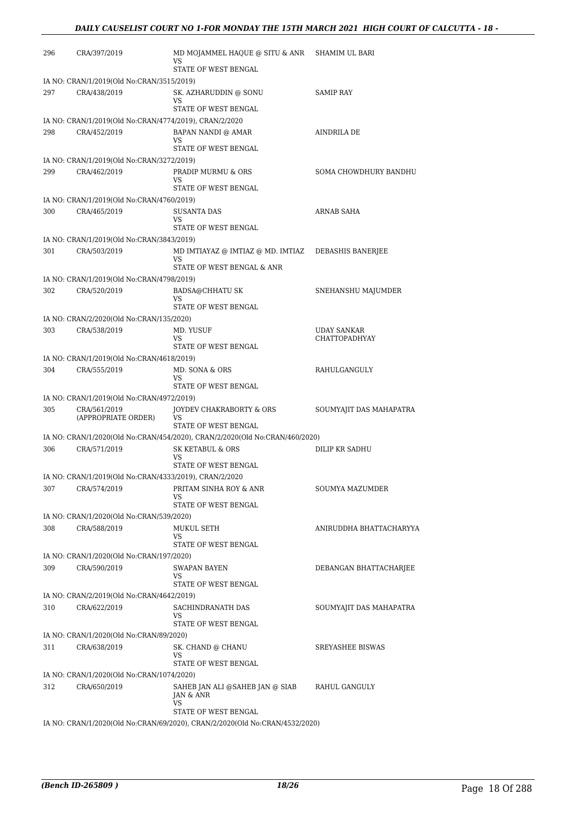| 296 | CRA/397/2019                              | MD MOJAMMEL HAQUE @ SITU & ANR<br>VS                                        | SHAMIM UL BARI          |
|-----|-------------------------------------------|-----------------------------------------------------------------------------|-------------------------|
|     |                                           | STATE OF WEST BENGAL                                                        |                         |
|     | IA NO: CRAN/1/2019(Old No:CRAN/3515/2019) |                                                                             |                         |
| 297 | CRA/438/2019                              | SK. AZHARUDDIN @ SONU<br>VS                                                 | SAMIP RAY               |
|     |                                           | STATE OF WEST BENGAL                                                        |                         |
|     |                                           | IA NO: CRAN/1/2019(Old No:CRAN/4774/2019), CRAN/2/2020                      |                         |
| 298 | CRA/452/2019                              | <b>BAPAN NANDI @ AMAR</b><br>VS                                             | AINDRILA DE             |
|     |                                           | STATE OF WEST BENGAL                                                        |                         |
|     | IA NO: CRAN/1/2019(Old No:CRAN/3272/2019) |                                                                             |                         |
| 299 | CRA/462/2019                              | PRADIP MURMU & ORS<br>VS                                                    | SOMA CHOWDHURY BANDHU   |
|     |                                           | STATE OF WEST BENGAL                                                        |                         |
|     | IA NO: CRAN/1/2019(Old No:CRAN/4760/2019) |                                                                             |                         |
| 300 | CRA/465/2019                              | <b>SUSANTA DAS</b><br>VS                                                    | <b>ARNAB SAHA</b>       |
|     |                                           | STATE OF WEST BENGAL                                                        |                         |
|     | IA NO: CRAN/1/2019(Old No:CRAN/3843/2019) |                                                                             |                         |
| 301 | CRA/503/2019                              | MD IMTIAYAZ @ IMTIAZ @ MD. IMTIAZ<br>VS.                                    | DEBASHIS BANERJEE       |
|     |                                           | STATE OF WEST BENGAL & ANR                                                  |                         |
|     | IA NO: CRAN/1/2019(Old No:CRAN/4798/2019) |                                                                             |                         |
| 302 | CRA/520/2019                              | <b>BADSA@CHHATU SK</b><br>VS                                                | SNEHANSHU MAJUMDER      |
|     |                                           | STATE OF WEST BENGAL                                                        |                         |
|     | IA NO: CRAN/2/2020(Old No:CRAN/135/2020)  |                                                                             |                         |
| 303 | CRA/538/2019                              | MD. YUSUF                                                                   | <b>UDAY SANKAR</b>      |
|     |                                           | VS<br>STATE OF WEST BENGAL                                                  | <b>CHATTOPADHYAY</b>    |
|     | IA NO: CRAN/1/2019(Old No:CRAN/4618/2019) |                                                                             |                         |
| 304 | CRA/555/2019                              | MD. SONA & ORS                                                              | RAHULGANGULY            |
|     |                                           | VS<br>STATE OF WEST BENGAL                                                  |                         |
|     | IA NO: CRAN/1/2019(Old No:CRAN/4972/2019) |                                                                             |                         |
| 305 | CRA/561/2019                              | JOYDEV CHAKRABORTY & ORS                                                    | SOUMYAJIT DAS MAHAPATRA |
|     | (APPROPRIATE ORDER)                       | VS                                                                          |                         |
|     |                                           | STATE OF WEST BENGAL                                                        |                         |
| 306 |                                           | IA NO: CRAN/1/2020(Old No:CRAN/454/2020), CRAN/2/2020(Old No:CRAN/460/2020) | <b>DILIP KR SADHU</b>   |
|     | CRA/571/2019                              | <b>SK KETABUL &amp; ORS</b><br>VS.                                          |                         |
|     |                                           | STATE OF WEST BENGAL                                                        |                         |
|     |                                           | IA NO: CRAN/1/2019(Old No:CRAN/4333/2019), CRAN/2/2020                      |                         |
| 307 | CRA/574/2019                              | PRITAM SINHA ROY & ANR                                                      | SOUMYA MAZUMDER         |
|     |                                           | VS.<br>STATE OF WEST BENGAL                                                 |                         |
|     | IA NO: CRAN/1/2020(Old No:CRAN/539/2020)  |                                                                             |                         |
| 308 | CRA/588/2019                              | MUKUL SETH                                                                  | ANIRUDDHA BHATTACHARYYA |
|     |                                           | VS                                                                          |                         |
|     |                                           | STATE OF WEST BENGAL                                                        |                         |
|     | IA NO: CRAN/1/2020(Old No:CRAN/197/2020)  |                                                                             |                         |
| 309 | CRA/590/2019                              | <b>SWAPAN BAYEN</b><br>VS                                                   | DEBANGAN BHATTACHARJEE  |
|     |                                           | STATE OF WEST BENGAL                                                        |                         |
|     | IA NO: CRAN/2/2019(Old No:CRAN/4642/2019) |                                                                             |                         |
| 310 | CRA/622/2019                              | SACHINDRANATH DAS                                                           | SOUMYAJIT DAS MAHAPATRA |
|     |                                           | VS<br>STATE OF WEST BENGAL                                                  |                         |
|     | IA NO: CRAN/1/2020(Old No:CRAN/89/2020)   |                                                                             |                         |
| 311 | CRA/638/2019                              | SK. CHAND @ CHANU                                                           | <b>SREYASHEE BISWAS</b> |
|     |                                           | VS                                                                          |                         |
|     |                                           | STATE OF WEST BENGAL                                                        |                         |
|     | IA NO: CRAN/1/2020(Old No:CRAN/1074/2020) |                                                                             |                         |
| 312 | CRA/650/2019                              | SAHEB JAN ALI @SAHEB JAN @ SIAB<br><b>JAN &amp; ANR</b><br>VS               | RAHUL GANGULY           |
|     |                                           | STATE OF WEST BENGAL                                                        |                         |
|     |                                           | IA NO: CRAN/1/2020(Old No:CRAN/69/2020), CRAN/2/2020(Old No:CRAN/4532/2020) |                         |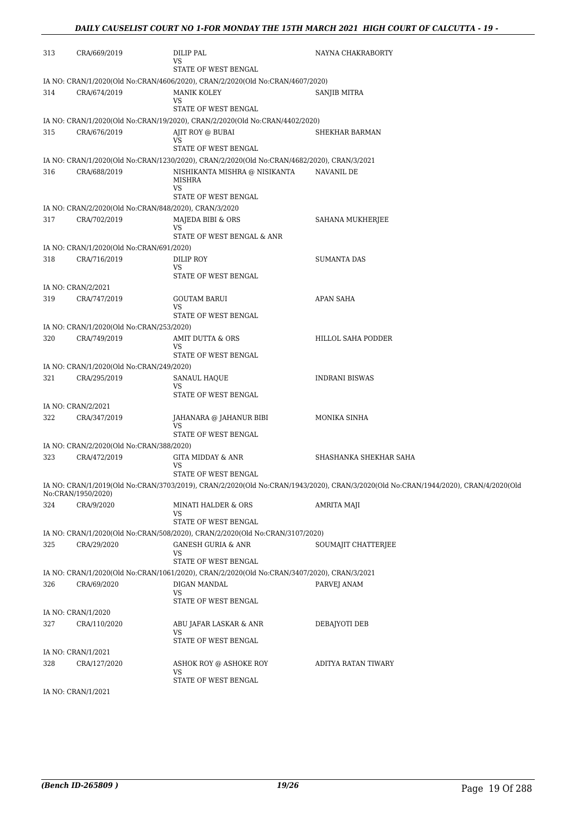| 313 | CRA/669/2019                                          | DILIP PAL<br>VS<br>STATE OF WEST BENGAL                                                    | NAYNA CHAKRABORTY                                                                                                                  |
|-----|-------------------------------------------------------|--------------------------------------------------------------------------------------------|------------------------------------------------------------------------------------------------------------------------------------|
|     |                                                       | IA NO: CRAN/1/2020(Old No:CRAN/4606/2020), CRAN/2/2020(Old No:CRAN/4607/2020)              |                                                                                                                                    |
| 314 | CRA/674/2019                                          | MANIK KOLEY                                                                                | SANJIB MITRA                                                                                                                       |
|     |                                                       | VS                                                                                         |                                                                                                                                    |
|     |                                                       | STATE OF WEST BENGAL                                                                       |                                                                                                                                    |
|     |                                                       | IA NO: CRAN/1/2020(Old No:CRAN/19/2020), CRAN/2/2020(Old No:CRAN/4402/2020)                |                                                                                                                                    |
| 315 | CRA/676/2019                                          | AJIT ROY @ BUBAI<br>VS                                                                     | SHEKHAR BARMAN                                                                                                                     |
|     |                                                       | STATE OF WEST BENGAL                                                                       |                                                                                                                                    |
|     |                                                       | IA NO: CRAN/1/2020(Old No:CRAN/1230/2020), CRAN/2/2020(Old No:CRAN/4682/2020), CRAN/3/2021 |                                                                                                                                    |
| 316 | CRA/688/2019                                          | NISHIKANTA MISHRA @ NISIKANTA<br><b>MISHRA</b><br>VS                                       | NAVANIL DE                                                                                                                         |
|     |                                                       | STATE OF WEST BENGAL                                                                       |                                                                                                                                    |
|     | IA NO: CRAN/2/2020(Old No:CRAN/848/2020), CRAN/3/2020 |                                                                                            |                                                                                                                                    |
| 317 | CRA/702/2019                                          | MAJEDA BIBI & ORS                                                                          | SAHANA MUKHERJEE                                                                                                                   |
|     |                                                       | VS<br>STATE OF WEST BENGAL & ANR                                                           |                                                                                                                                    |
|     | IA NO: CRAN/1/2020(Old No:CRAN/691/2020)              |                                                                                            |                                                                                                                                    |
| 318 | CRA/716/2019                                          | DILIP ROY                                                                                  | <b>SUMANTA DAS</b>                                                                                                                 |
|     |                                                       | VS<br>STATE OF WEST BENGAL                                                                 |                                                                                                                                    |
|     | IA NO: CRAN/2/2021                                    |                                                                                            |                                                                                                                                    |
| 319 | CRA/747/2019                                          | <b>GOUTAM BARUI</b>                                                                        | APAN SAHA                                                                                                                          |
|     |                                                       | VS                                                                                         |                                                                                                                                    |
|     |                                                       | STATE OF WEST BENGAL                                                                       |                                                                                                                                    |
|     | IA NO: CRAN/1/2020(Old No:CRAN/253/2020)              |                                                                                            |                                                                                                                                    |
| 320 | CRA/749/2019                                          | AMIT DUTTA & ORS                                                                           | HILLOL SAHA PODDER                                                                                                                 |
|     |                                                       | VS<br>STATE OF WEST BENGAL                                                                 |                                                                                                                                    |
|     | IA NO: CRAN/1/2020(Old No:CRAN/249/2020)              |                                                                                            |                                                                                                                                    |
| 321 | CRA/295/2019                                          | SANAUL HAQUE                                                                               | <b>INDRANI BISWAS</b>                                                                                                              |
|     |                                                       | VS                                                                                         |                                                                                                                                    |
|     |                                                       | STATE OF WEST BENGAL                                                                       |                                                                                                                                    |
|     | IA NO: CRAN/2/2021                                    |                                                                                            |                                                                                                                                    |
| 322 | CRA/347/2019                                          | JAHANARA @ JAHANUR BIBI<br>VS                                                              | MONIKA SINHA                                                                                                                       |
|     |                                                       | STATE OF WEST BENGAL                                                                       |                                                                                                                                    |
|     | IA NO: CRAN/2/2020(Old No:CRAN/388/2020)              |                                                                                            |                                                                                                                                    |
| 323 | CRA/472/2019                                          | GITA MIDDAY & ANR                                                                          | SHASHANKA SHEKHAR SAHA                                                                                                             |
|     |                                                       | VS                                                                                         |                                                                                                                                    |
|     |                                                       | STATE OF WEST BENGAL                                                                       |                                                                                                                                    |
|     | No:CRAN/1950/2020)                                    |                                                                                            | IA NO: CRAN/1/2019(Old No:CRAN/3703/2019), CRAN/2/2020(Old No:CRAN/1943/2020), CRAN/3/2020(Old No:CRAN/1944/2020), CRAN/4/2020(Old |
| 324 | CRA/9/2020                                            | MINATI HALDER & ORS                                                                        | AMRITA MAJI                                                                                                                        |
|     |                                                       | VS                                                                                         |                                                                                                                                    |
|     |                                                       | STATE OF WEST BENGAL                                                                       |                                                                                                                                    |
|     |                                                       | IA NO: CRAN/1/2020(Old No:CRAN/508/2020), CRAN/2/2020(Old No:CRAN/3107/2020)               |                                                                                                                                    |
| 325 | CRA/29/2020                                           | <b>GANESH GURIA &amp; ANR</b><br>VS                                                        | SOUMAJIT CHATTERJEE                                                                                                                |
|     |                                                       | STATE OF WEST BENGAL                                                                       |                                                                                                                                    |
|     |                                                       | IA NO: CRAN/1/2020(Old No:CRAN/1061/2020), CRAN/2/2020(Old No:CRAN/3407/2020), CRAN/3/2021 |                                                                                                                                    |
| 326 | CRA/69/2020                                           | DIGAN MANDAL<br>VS                                                                         | PARVEJ ANAM                                                                                                                        |
|     |                                                       | STATE OF WEST BENGAL                                                                       |                                                                                                                                    |
|     | IA NO: CRAN/1/2020                                    |                                                                                            |                                                                                                                                    |
| 327 | CRA/110/2020                                          | ABU JAFAR LASKAR & ANR                                                                     | DEBAJYOTI DEB                                                                                                                      |
|     |                                                       | VS                                                                                         |                                                                                                                                    |
|     |                                                       | STATE OF WEST BENGAL                                                                       |                                                                                                                                    |
| 328 | IA NO: CRAN/1/2021<br>CRA/127/2020                    |                                                                                            | ADITYA RATAN TIWARY                                                                                                                |
|     |                                                       | ASHOK ROY @ ASHOKE ROY<br>VS                                                               |                                                                                                                                    |
|     |                                                       | STATE OF WEST BENGAL                                                                       |                                                                                                                                    |
|     | IA NO: CRAN/1/2021                                    |                                                                                            |                                                                                                                                    |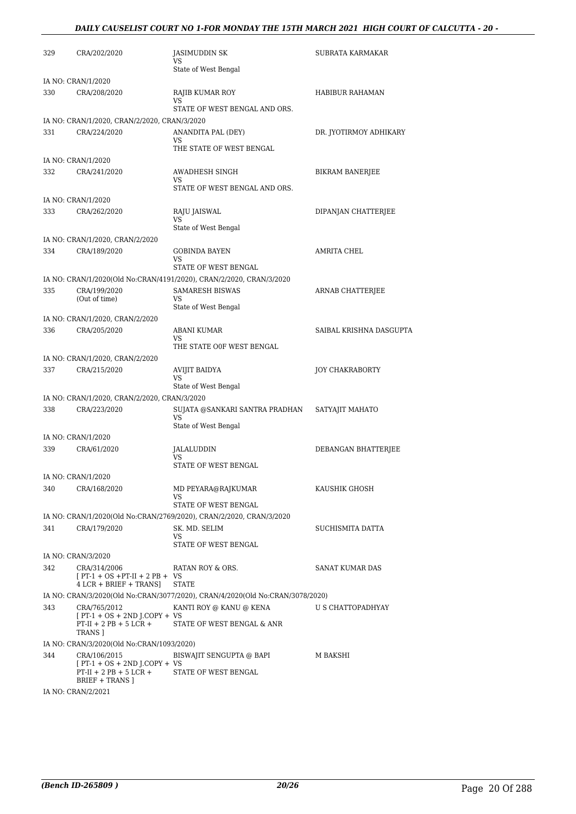#### *DAILY CAUSELIST COURT NO 1-FOR MONDAY THE 15TH MARCH 2021 HIGH COURT OF CALCUTTA - 20 -*

| 329 | CRA/202/2020                                                                                  | JASIMUDDIN SK<br>VS                                                           | SUBRATA KARMAKAR        |
|-----|-----------------------------------------------------------------------------------------------|-------------------------------------------------------------------------------|-------------------------|
|     |                                                                                               | State of West Bengal                                                          |                         |
|     | IA NO: CRAN/1/2020                                                                            |                                                                               |                         |
| 330 | CRA/208/2020                                                                                  | RAJIB KUMAR ROY<br>VS<br>STATE OF WEST BENGAL AND ORS.                        | HABIBUR RAHAMAN         |
|     | IA NO: CRAN/1/2020, CRAN/2/2020, CRAN/3/2020                                                  |                                                                               |                         |
| 331 | CRA/224/2020                                                                                  | ANANDITA PAL (DEY)<br>VS.                                                     | DR. JYOTIRMOY ADHIKARY  |
|     | IA NO: CRAN/1/2020                                                                            | THE STATE OF WEST BENGAL                                                      |                         |
| 332 | CRA/241/2020                                                                                  | AWADHESH SINGH                                                                | BIKRAM BANERJEE         |
|     |                                                                                               | VS<br>STATE OF WEST BENGAL AND ORS.                                           |                         |
|     | IA NO: CRAN/1/2020                                                                            |                                                                               |                         |
| 333 | CRA/262/2020                                                                                  | RAJU JAISWAL<br>VS<br>State of West Bengal                                    | DIPANJAN CHATTERJEE     |
|     | IA NO: CRAN/1/2020, CRAN/2/2020                                                               |                                                                               |                         |
| 334 | CRA/189/2020                                                                                  | <b>GOBINDA BAYEN</b><br>VS                                                    | AMRITA CHEL             |
|     |                                                                                               | STATE OF WEST BENGAL                                                          |                         |
|     |                                                                                               | IA NO: CRAN/1/2020(Old No:CRAN/4191/2020), CRAN/2/2020, CRAN/3/2020           |                         |
| 335 | CRA/199/2020<br>(Out of time)                                                                 | <b>SAMARESH BISWAS</b><br>VS<br>State of West Bengal                          | ARNAB CHATTERJEE        |
|     | IA NO: CRAN/1/2020, CRAN/2/2020                                                               |                                                                               |                         |
| 336 | CRA/205/2020                                                                                  | <b>ABANI KUMAR</b><br>VS                                                      | SAIBAL KRISHNA DASGUPTA |
|     |                                                                                               | THE STATE OOF WEST BENGAL                                                     |                         |
|     | IA NO: CRAN/1/2020, CRAN/2/2020                                                               |                                                                               |                         |
| 337 | CRA/215/2020                                                                                  | <b>AVIJIT BAIDYA</b><br>VS<br>State of West Bengal                            | JOY CHAKRABORTY         |
|     | IA NO: CRAN/1/2020, CRAN/2/2020, CRAN/3/2020                                                  |                                                                               |                         |
| 338 | CRA/223/2020                                                                                  | SUJATA @SANKARI SANTRA PRADHAN<br>VS<br>State of West Bengal                  | SATYAJIT MAHATO         |
|     | IA NO: CRAN/1/2020                                                                            |                                                                               |                         |
| 339 | CRA/61/2020                                                                                   | JALALUDDIN<br>VS<br>STATE OF WEST BENGAL                                      | DEBANGAN BHATTERJEE     |
|     | IA NO: CRAN/1/2020                                                                            |                                                                               |                         |
| 340 | CRA/168/2020                                                                                  | MD PEYARA@RAJKUMAR<br>VS                                                      | KAUSHIK GHOSH           |
|     |                                                                                               | STATE OF WEST BENGAL                                                          |                         |
|     |                                                                                               | IA NO: CRAN/1/2020(Old No:CRAN/2769/2020), CRAN/2/2020, CRAN/3/2020           |                         |
| 341 | CRA/179/2020                                                                                  | SK. MD. SELIM<br>VS<br>STATE OF WEST BENGAL                                   | SUCHISMITA DATTA        |
|     | IA NO: CRAN/3/2020                                                                            |                                                                               |                         |
| 342 | CRA/314/2006<br>$[PT-1 + OS + PT-II + 2 PB + VS$<br>4 LCR + BRIEF + TRANS]                    | RATAN ROY & ORS.<br><b>STATE</b>                                              | <b>SANAT KUMAR DAS</b>  |
|     |                                                                                               | IA NO: CRAN/3/2020(Old No:CRAN/3077/2020), CRAN/4/2020(Old No:CRAN/3078/2020) |                         |
| 343 | CRA/765/2012<br>$[PT-1 + OS + 2ND J. COPY + VS$<br>$PT-II + 2 PB + 5 LCR +$<br>TRANS ]        | KANTI ROY @ KANU @ KENA<br>STATE OF WEST BENGAL & ANR                         | U S CHATTOPADHYAY       |
|     | IA NO: CRAN/3/2020(Old No:CRAN/1093/2020)                                                     |                                                                               |                         |
| 344 | CRA/106/2015<br>$[PT-1 + OS + 2ND J.COPY + VS$<br>$PT-II + 2 PB + 5 LCR +$<br>BRIEF + TRANS ] | BISWAJIT SENGUPTA @ BAPI<br>STATE OF WEST BENGAL                              | M BAKSHI                |
|     | IA NO: CRAN/2/2021                                                                            |                                                                               |                         |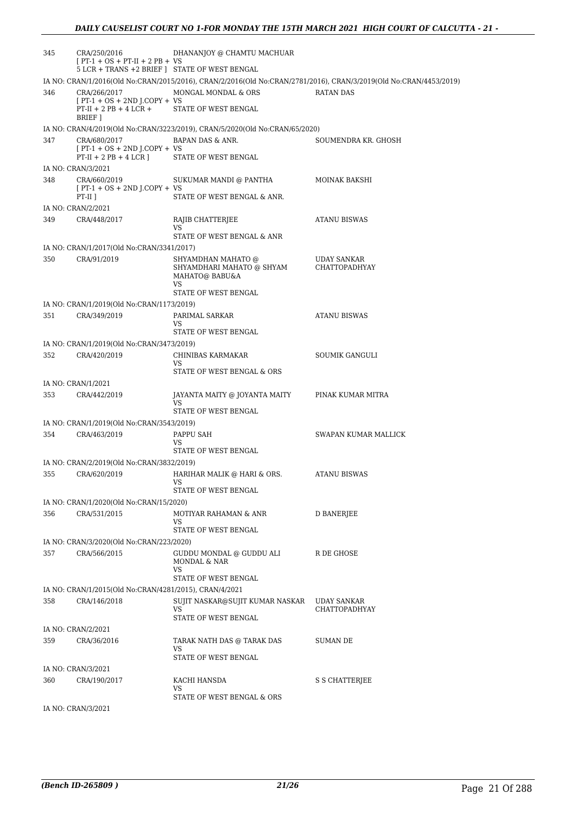| 345 | CRA/250/2016<br>$[PT-1 + OS + PT-II + 2 PB + VS$<br>5 LCR + TRANS +2 BRIEF   STATE OF WEST BENGAL | DHANANJOY @ CHAMTU MACHUAR                                                  |                                                                                                                   |
|-----|---------------------------------------------------------------------------------------------------|-----------------------------------------------------------------------------|-------------------------------------------------------------------------------------------------------------------|
|     |                                                                                                   |                                                                             | IA NO: CRAN/1/2016(Old No:CRAN/2015/2016), CRAN/2/2016(Old No:CRAN/2781/2016), CRAN/3/2019(Old No:CRAN/4453/2019) |
| 346 | CRA/266/2017<br>$[PT-1 + OS + 2ND J.COPY + VS$                                                    | MONGAL MONDAL & ORS                                                         | <b>RATAN DAS</b>                                                                                                  |
|     | $PT-II + 2 PB + 4 LCR +$<br>BRIEF 1                                                               | STATE OF WEST BENGAL                                                        |                                                                                                                   |
|     |                                                                                                   | IA NO: CRAN/4/2019(Old No:CRAN/3223/2019), CRAN/5/2020(Old No:CRAN/65/2020) |                                                                                                                   |
| 347 | CRA/680/2017<br>$[PT-1 + OS + 2ND J. COPY + VS$<br>$PT-II + 2 PB + 4 LCR$                         | BAPAN DAS & ANR.<br>STATE OF WEST BENGAL                                    | SOUMENDRA KR. GHOSH                                                                                               |
|     |                                                                                                   |                                                                             |                                                                                                                   |
| 348 | IA NO: CRAN/3/2021<br>CRA/660/2019<br>$[PT-1 + OS + 2ND J.COPY + VS$                              | SUKUMAR MANDI @ PANTHA                                                      | MOINAK BAKSHI                                                                                                     |
|     | $PT-II$ ]                                                                                         | STATE OF WEST BENGAL & ANR.                                                 |                                                                                                                   |
|     | IA NO: CRAN/2/2021                                                                                |                                                                             |                                                                                                                   |
| 349 | CRA/448/2017                                                                                      | RAJIB CHATTERJEE<br>VS                                                      | <b>ATANU BISWAS</b>                                                                                               |
|     |                                                                                                   | STATE OF WEST BENGAL & ANR                                                  |                                                                                                                   |
|     | IA NO: CRAN/1/2017(Old No:CRAN/3341/2017)                                                         |                                                                             |                                                                                                                   |
| 350 | CRA/91/2019                                                                                       | SHYAMDHAN MAHATO @<br>SHYAMDHARI MAHATO @ SHYAM<br>MAHATO@ BABU&A<br>VS     | UDAY SANKAR<br>CHATTOPADHYAY                                                                                      |
|     |                                                                                                   | STATE OF WEST BENGAL                                                        |                                                                                                                   |
|     | IA NO: CRAN/1/2019(Old No:CRAN/1173/2019)                                                         |                                                                             |                                                                                                                   |
| 351 | CRA/349/2019                                                                                      | PARIMAL SARKAR                                                              | <b>ATANU BISWAS</b>                                                                                               |
|     |                                                                                                   | VS                                                                          |                                                                                                                   |
|     |                                                                                                   | STATE OF WEST BENGAL                                                        |                                                                                                                   |
|     | IA NO: CRAN/1/2019(Old No:CRAN/3473/2019)                                                         |                                                                             |                                                                                                                   |
| 352 | CRA/420/2019                                                                                      | CHINIBAS KARMAKAR<br>VS<br>STATE OF WEST BENGAL & ORS                       | SOUMIK GANGULI                                                                                                    |
|     |                                                                                                   |                                                                             |                                                                                                                   |
| 353 | IA NO: CRAN/1/2021<br>CRA/442/2019                                                                | JAYANTA MAITY @ JOYANTA MAITY<br>VS                                         | PINAK KUMAR MITRA                                                                                                 |
|     |                                                                                                   | STATE OF WEST BENGAL                                                        |                                                                                                                   |
|     | IA NO: CRAN/1/2019(Old No:CRAN/3543/2019)                                                         |                                                                             |                                                                                                                   |
| 354 | CRA/463/2019                                                                                      | PAPPU SAH                                                                   | SWAPAN KUMAR MALLICK                                                                                              |
|     |                                                                                                   | VS<br>STATE OF WEST BENGAL                                                  |                                                                                                                   |
|     | IA NO: CRAN/2/2019(Old No:CRAN/3832/2019)                                                         |                                                                             |                                                                                                                   |
| 355 | CRA/620/2019                                                                                      | HARIHAR MALIK @ HARI & ORS.<br>VS                                           | <b>ATANU BISWAS</b>                                                                                               |
|     |                                                                                                   | STATE OF WEST BENGAL                                                        |                                                                                                                   |
|     | IA NO: CRAN/1/2020(Old No:CRAN/15/2020)                                                           |                                                                             |                                                                                                                   |
| 356 | CRA/531/2015                                                                                      | MOTIYAR RAHAMAN & ANR<br>VS<br>STATE OF WEST BENGAL                         | D BANERJEE                                                                                                        |
|     |                                                                                                   |                                                                             |                                                                                                                   |
|     | IA NO: CRAN/3/2020(Old No:CRAN/223/2020)                                                          |                                                                             |                                                                                                                   |
| 357 | CRA/566/2015                                                                                      | GUDDU MONDAL @ GUDDU ALI<br>MONDAL & NAR<br>VS                              | R DE GHOSE                                                                                                        |
|     |                                                                                                   | STATE OF WEST BENGAL                                                        |                                                                                                                   |
|     | IA NO: CRAN/1/2015(Old No:CRAN/4281/2015), CRAN/4/2021                                            |                                                                             |                                                                                                                   |
| 358 | CRA/146/2018                                                                                      | SUJIT NASKAR@SUJIT KUMAR NASKAR                                             | UDAY SANKAR                                                                                                       |
|     |                                                                                                   | VS<br>STATE OF WEST BENGAL                                                  | CHATTOPADHYAY                                                                                                     |
|     | IA NO: CRAN/2/2021                                                                                |                                                                             |                                                                                                                   |
| 359 | CRA/36/2016                                                                                       | TARAK NATH DAS @ TARAK DAS<br>VS                                            | SUMAN DE                                                                                                          |
|     |                                                                                                   | STATE OF WEST BENGAL                                                        |                                                                                                                   |
|     | IA NO: CRAN/3/2021                                                                                |                                                                             |                                                                                                                   |
| 360 | CRA/190/2017                                                                                      | KACHI HANSDA<br>VS<br>STATE OF WEST BENGAL & ORS                            | S S CHATTERJEE                                                                                                    |
|     |                                                                                                   |                                                                             |                                                                                                                   |
|     | IA NO: CRAN/3/2021                                                                                |                                                                             |                                                                                                                   |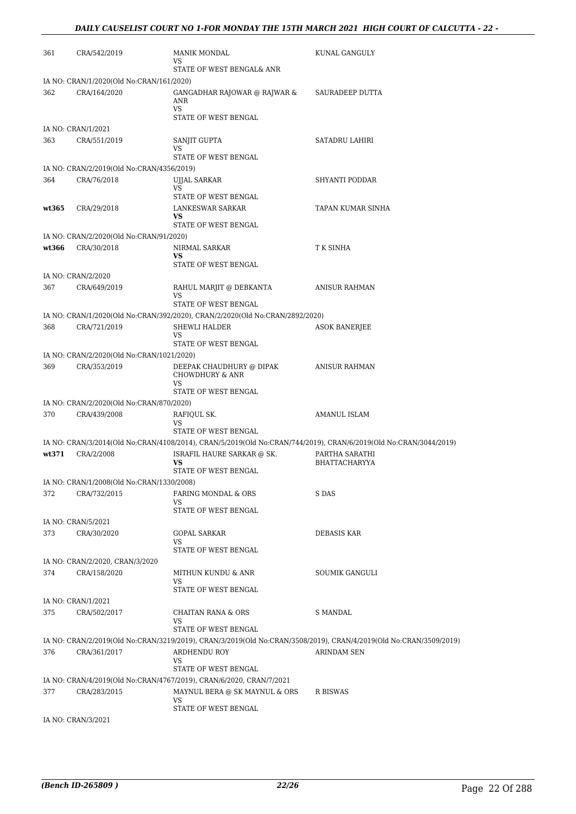| 361   | CRA/542/2019                              | MANIK MONDAL<br>VS<br>STATE OF WEST BENGAL& ANR                                             | KUNAL GANGULY                                                                                                     |
|-------|-------------------------------------------|---------------------------------------------------------------------------------------------|-------------------------------------------------------------------------------------------------------------------|
|       | IA NO: CRAN/1/2020(Old No:CRAN/161/2020)  |                                                                                             |                                                                                                                   |
| 362   | CRA/164/2020                              | GANGADHAR RAJOWAR @ RAJWAR &<br>ANR<br><b>VS</b><br>STATE OF WEST BENGAL                    | SAURADEEP DUTTA                                                                                                   |
|       | IA NO: CRAN/1/2021                        |                                                                                             |                                                                                                                   |
| 363   | CRA/551/2019                              | SANJIT GUPTA<br>VS<br>STATE OF WEST BENGAL                                                  | <b>SATADRU LAHIRI</b>                                                                                             |
|       | IA NO: CRAN/2/2019(Old No:CRAN/4356/2019) |                                                                                             |                                                                                                                   |
| 364   | CRA/76/2018                               | UJJAL SARKAR<br>VS<br>STATE OF WEST BENGAL                                                  | SHYANTI PODDAR                                                                                                    |
| wt365 | CRA/29/2018                               | LANKESWAR SARKAR<br>VS.<br>STATE OF WEST BENGAL                                             | TAPAN KUMAR SINHA                                                                                                 |
|       | IA NO: CRAN/2/2020(Old No:CRAN/91/2020)   |                                                                                             |                                                                                                                   |
| wt366 | CRA/30/2018                               | NIRMAL SARKAR<br>VS<br>STATE OF WEST BENGAL                                                 | T K SINHA                                                                                                         |
|       | IA NO: CRAN/2/2020                        |                                                                                             |                                                                                                                   |
| 367   | CRA/649/2019                              | RAHUL MARJIT @ DEBKANTA<br>VS                                                               | <b>ANISUR RAHMAN</b>                                                                                              |
|       |                                           | STATE OF WEST BENGAL                                                                        |                                                                                                                   |
|       |                                           | IA NO: CRAN/1/2020(Old No:CRAN/392/2020), CRAN/2/2020(Old No:CRAN/2892/2020)                |                                                                                                                   |
| 368   | CRA/721/2019                              | SHEWLI HALDER<br>VS                                                                         | <b>ASOK BANERJEE</b>                                                                                              |
|       |                                           | STATE OF WEST BENGAL                                                                        |                                                                                                                   |
|       | IA NO: CRAN/2/2020(Old No:CRAN/1021/2020) |                                                                                             |                                                                                                                   |
| 369   | CRA/353/2019                              | DEEPAK CHAUDHURY @ DIPAK<br><b>CHOWDHURY &amp; ANR</b><br><b>VS</b><br>STATE OF WEST BENGAL | ANISUR RAHMAN                                                                                                     |
|       | IA NO: CRAN/2/2020(Old No:CRAN/870/2020)  |                                                                                             |                                                                                                                   |
| 370   | CRA/439/2008                              | RAFIQUL SK.                                                                                 | AMANUL ISLAM                                                                                                      |
|       |                                           | VS<br>STATE OF WEST BENGAL                                                                  |                                                                                                                   |
|       |                                           |                                                                                             | IA NO: CRAN/3/2014(Old No:CRAN/4108/2014), CRAN/5/2019(Old No:CRAN/744/2019), CRAN/6/2019(Old No:CRAN/3044/2019)  |
| wt371 | CRA/2/2008                                | ISRAFIL HAURE SARKAR @ SK.<br>VS                                                            | PARTHA SARATHI<br><b>BHATTACHARYYA</b>                                                                            |
|       |                                           | STATE OF WEST BENGAL                                                                        |                                                                                                                   |
|       | IA NO: CRAN/1/2008(Old No:CRAN/1330/2008) |                                                                                             |                                                                                                                   |
| 372   | CRA/732/2015                              | FARING MONDAL & ORS<br>VS<br>STATE OF WEST BENGAL                                           | S DAS                                                                                                             |
|       | IA NO: CRAN/5/2021                        |                                                                                             |                                                                                                                   |
| 373   | CRA/30/2020                               | <b>GOPAL SARKAR</b><br>VS                                                                   | DEBASIS KAR                                                                                                       |
|       |                                           | STATE OF WEST BENGAL                                                                        |                                                                                                                   |
|       | IA NO: CRAN/2/2020, CRAN/3/2020           |                                                                                             |                                                                                                                   |
| 374   | CRA/158/2020                              | MITHUN KUNDU & ANR<br>VS<br>STATE OF WEST BENGAL                                            | SOUMIK GANGULI                                                                                                    |
|       | IA NO: CRAN/1/2021                        |                                                                                             |                                                                                                                   |
| 375   | CRA/502/2017                              | CHAITAN RANA & ORS                                                                          | S MANDAL                                                                                                          |
|       |                                           | VS<br>STATE OF WEST BENGAL                                                                  |                                                                                                                   |
|       |                                           |                                                                                             | IA NO: CRAN/2/2019(Old No:CRAN/3219/2019), CRAN/3/2019(Old No:CRAN/3508/2019), CRAN/4/2019(Old No:CRAN/3509/2019) |
| 376   | CRA/361/2017                              | ARDHENDU ROY<br>VS                                                                          | ARINDAM SEN                                                                                                       |
|       |                                           | STATE OF WEST BENGAL                                                                        |                                                                                                                   |
|       |                                           | IA NO: CRAN/4/2019(Old No:CRAN/4767/2019), CRAN/6/2020, CRAN/7/2021                         |                                                                                                                   |
| 377   | CRA/283/2015                              | MAYNUL BERA @ SK MAYNUL & ORS<br>VS<br>STATE OF WEST BENGAL                                 | R BISWAS                                                                                                          |
|       |                                           |                                                                                             |                                                                                                                   |

IA NO: CRAN/3/2021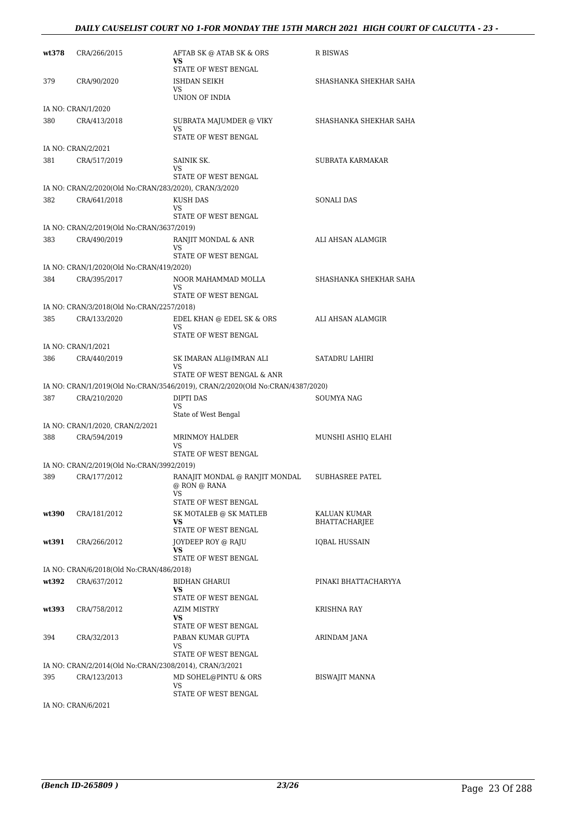#### *DAILY CAUSELIST COURT NO 1-FOR MONDAY THE 15TH MARCH 2021 HIGH COURT OF CALCUTTA - 23 -*

| wt378 | CRA/266/2015                                              | AFTAB SK @ ATAB SK & ORS<br><b>VS</b>                                         | R BISWAS                      |
|-------|-----------------------------------------------------------|-------------------------------------------------------------------------------|-------------------------------|
| 379   | CRA/90/2020                                               | STATE OF WEST BENGAL<br>ISHDAN SEIKH                                          | SHASHANKA SHEKHAR SAHA        |
|       |                                                           | VS<br>UNION OF INDIA                                                          |                               |
|       | IA NO: CRAN/1/2020                                        |                                                                               |                               |
| 380   | CRA/413/2018                                              | SUBRATA MAJUMDER @ VIKY<br>VS<br>STATE OF WEST BENGAL                         | SHASHANKA SHEKHAR SAHA        |
|       | IA NO: CRAN/2/2021                                        |                                                                               |                               |
| 381   | CRA/517/2019                                              | SAINIK SK.                                                                    | SUBRATA KARMAKAR              |
|       |                                                           | VS.<br>STATE OF WEST BENGAL                                                   |                               |
|       | IA NO: CRAN/2/2020(Old No:CRAN/283/2020), CRAN/3/2020     |                                                                               |                               |
| 382   | CRA/641/2018                                              | KUSH DAS<br>VS                                                                | <b>SONALI DAS</b>             |
|       |                                                           | STATE OF WEST BENGAL                                                          |                               |
|       | IA NO: CRAN/2/2019(Old No:CRAN/3637/2019)                 |                                                                               |                               |
| 383   | CRA/490/2019                                              | RANJIT MONDAL & ANR<br>VS.                                                    | ALI AHSAN ALAMGIR             |
|       |                                                           | STATE OF WEST BENGAL                                                          |                               |
|       | IA NO: CRAN/1/2020(Old No:CRAN/419/2020)                  |                                                                               |                               |
| 384   | CRA/395/2017                                              | NOOR MAHAMMAD MOLLA                                                           | SHASHANKA SHEKHAR SAHA        |
|       |                                                           | VS.<br>STATE OF WEST BENGAL                                                   |                               |
|       | IA NO: CRAN/3/2018(Old No:CRAN/2257/2018)                 |                                                                               |                               |
| 385   | CRA/133/2020                                              | EDEL KHAN @ EDEL SK & ORS<br>VS.<br>STATE OF WEST BENGAL                      | ALI AHSAN ALAMGIR             |
|       | IA NO: CRAN/1/2021                                        |                                                                               |                               |
| 386   | CRA/440/2019                                              | SK IMARAN ALI@IMRAN ALI<br><b>VS</b>                                          | SATADRU LAHIRI                |
|       |                                                           | STATE OF WEST BENGAL & ANR                                                    |                               |
|       |                                                           | IA NO: CRAN/1/2019(Old No:CRAN/3546/2019), CRAN/2/2020(Old No:CRAN/4387/2020) |                               |
| 387   | CRA/210/2020                                              | DIPTI DAS<br><b>VS</b><br>State of West Bengal                                | SOUMYA NAG                    |
|       | IA NO: CRAN/1/2020, CRAN/2/2021                           |                                                                               |                               |
| 388   | CRA/594/2019                                              | <b>MRINMOY HALDER</b><br>VS                                                   | MUNSHI ASHIQ ELAHI            |
|       |                                                           | STATE OF WEST BENGAL                                                          |                               |
| 389   | IA NO: CRAN/2/2019(Old No:CRAN/3992/2019)<br>CRA/177/2012 | RANAJIT MONDAL @ RANJIT MONDAL                                                | <b>SUBHASREE PATEL</b>        |
|       |                                                           | @ RON @ RANA<br>VS.                                                           |                               |
|       |                                                           | STATE OF WEST BENGAL                                                          |                               |
| wt390 | CRA/181/2012                                              | SK MOTALEB @ SK MATLEB<br><b>VS</b><br>STATE OF WEST BENGAL                   | KALUAN KUMAR<br>BHATTACHARJEE |
| wt391 | CRA/266/2012                                              | JOYDEEP ROY @ RAJU<br>VS                                                      | IQBAL HUSSAIN                 |
|       |                                                           | STATE OF WEST BENGAL                                                          |                               |
|       | IA NO: CRAN/6/2018(Old No:CRAN/486/2018)                  |                                                                               |                               |
| wt392 | CRA/637/2012                                              | <b>BIDHAN GHARUI</b><br>VS<br>STATE OF WEST BENGAL                            | PINAKI BHATTACHARYYA          |
| wt393 | CRA/758/2012                                              | AZIM MISTRY                                                                   | KRISHNA RAY                   |
|       |                                                           | VS.                                                                           |                               |
| 394   |                                                           | STATE OF WEST BENGAL<br>PABAN KUMAR GUPTA                                     |                               |
|       | CRA/32/2013                                               | VS.                                                                           | ARINDAM JANA                  |
|       |                                                           | STATE OF WEST BENGAL                                                          |                               |
|       | IA NO: CRAN/2/2014(Old No:CRAN/2308/2014), CRAN/3/2021    |                                                                               |                               |
| 395   | CRA/123/2013                                              | MD SOHEL@PINTU & ORS<br>VS.<br>STATE OF WEST BENGAL                           | <b>BISWAJIT MANNA</b>         |
|       |                                                           |                                                                               |                               |

IA NO: CRAN/6/2021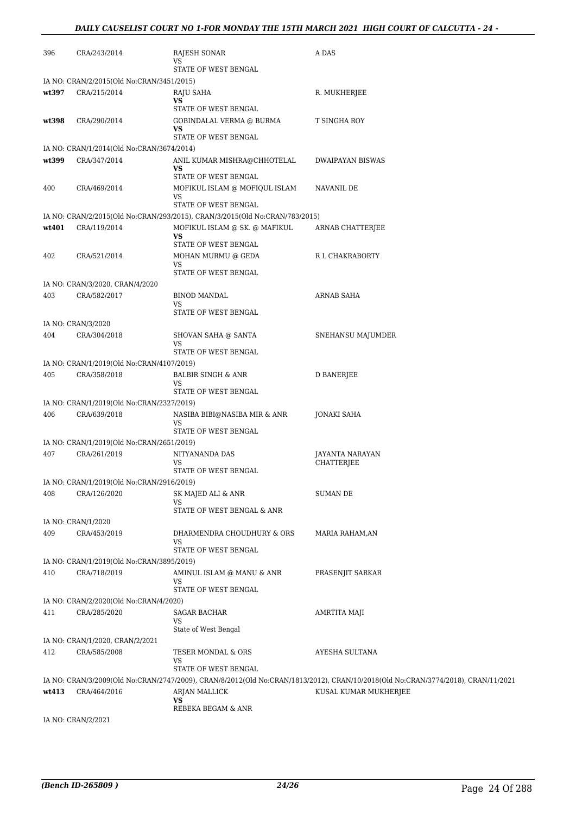| 396   | CRA/243/2014                                              | RAJESH SONAR<br>VS                                                          | A DAS                                                                                                                            |
|-------|-----------------------------------------------------------|-----------------------------------------------------------------------------|----------------------------------------------------------------------------------------------------------------------------------|
|       |                                                           | STATE OF WEST BENGAL                                                        |                                                                                                                                  |
|       | IA NO: CRAN/2/2015(Old No:CRAN/3451/2015)                 |                                                                             |                                                                                                                                  |
| wt397 | CRA/215/2014                                              | RAJU SAHA<br><b>VS</b>                                                      | R. MUKHERJEE                                                                                                                     |
|       |                                                           | STATE OF WEST BENGAL                                                        |                                                                                                                                  |
| wt398 | CRA/290/2014                                              | GOBINDALAL VERMA @ BURMA                                                    | T SINGHA ROY                                                                                                                     |
|       |                                                           | VS<br>STATE OF WEST BENGAL                                                  |                                                                                                                                  |
|       | IA NO: CRAN/1/2014(Old No:CRAN/3674/2014)                 |                                                                             |                                                                                                                                  |
| wt399 | CRA/347/2014                                              | ANIL KUMAR MISHRA@CHHOTELAL<br>VS                                           | <b>DWAIPAYAN BISWAS</b>                                                                                                          |
|       |                                                           | STATE OF WEST BENGAL                                                        |                                                                                                                                  |
| 400   | CRA/469/2014                                              | MOFIKUL ISLAM @ MOFIQUL ISLAM                                               | NAVANIL DE                                                                                                                       |
|       |                                                           | VS<br>STATE OF WEST BENGAL                                                  |                                                                                                                                  |
|       |                                                           | IA NO: CRAN/2/2015(Old No:CRAN/293/2015), CRAN/3/2015(Old No:CRAN/783/2015) |                                                                                                                                  |
| wt401 | CRA/119/2014                                              | MOFIKUL ISLAM @ SK. @ MAFIKUL                                               | ARNAB CHATTERJEE                                                                                                                 |
|       |                                                           | <b>VS</b>                                                                   |                                                                                                                                  |
|       |                                                           | STATE OF WEST BENGAL                                                        |                                                                                                                                  |
| 402   | CRA/521/2014                                              | MOHAN MURMU @ GEDA<br><b>VS</b>                                             | R L CHAKRABORTY                                                                                                                  |
|       |                                                           | STATE OF WEST BENGAL                                                        |                                                                                                                                  |
|       | IA NO: CRAN/3/2020, CRAN/4/2020                           |                                                                             |                                                                                                                                  |
| 403   | CRA/582/2017                                              | BINOD MANDAL<br>VS                                                          | ARNAB SAHA                                                                                                                       |
|       |                                                           | STATE OF WEST BENGAL                                                        |                                                                                                                                  |
|       | IA NO: CRAN/3/2020                                        |                                                                             |                                                                                                                                  |
| 404   | CRA/304/2018                                              | SHOVAN SAHA @ SANTA                                                         | SNEHANSU MAJUMDER                                                                                                                |
|       |                                                           | VS<br>STATE OF WEST BENGAL                                                  |                                                                                                                                  |
|       | IA NO: CRAN/1/2019(Old No:CRAN/4107/2019)                 |                                                                             |                                                                                                                                  |
| 405   | CRA/358/2018                                              | BALBIR SINGH & ANR                                                          | D BANERJEE                                                                                                                       |
|       |                                                           | VS                                                                          |                                                                                                                                  |
|       | IA NO: CRAN/1/2019(Old No:CRAN/2327/2019)                 | STATE OF WEST BENGAL                                                        |                                                                                                                                  |
| 406   | CRA/639/2018                                              | NASIBA BIBI@NASIBA MIR & ANR                                                | <b>JONAKI SAHA</b>                                                                                                               |
|       |                                                           | VS<br>STATE OF WEST BENGAL                                                  |                                                                                                                                  |
|       | IA NO: CRAN/1/2019(Old No:CRAN/2651/2019)                 |                                                                             |                                                                                                                                  |
| 407   | CRA/261/2019                                              | NITYANANDA DAS                                                              | <b>JAYANTA NARAYAN</b>                                                                                                           |
|       |                                                           | VS                                                                          | <b>CHATTERJEE</b>                                                                                                                |
|       |                                                           | STATE OF WEST BENGAL                                                        |                                                                                                                                  |
| 408   | IA NO: CRAN/1/2019(Old No:CRAN/2916/2019)<br>CRA/126/2020 | SK MAJED ALI & ANR                                                          | SUMAN DE                                                                                                                         |
|       |                                                           | VS                                                                          |                                                                                                                                  |
|       |                                                           | STATE OF WEST BENGAL & ANR                                                  |                                                                                                                                  |
|       | IA NO: CRAN/1/2020                                        |                                                                             |                                                                                                                                  |
| 409   | CRA/453/2019                                              | DHARMENDRA CHOUDHURY & ORS<br>VS                                            | MARIA RAHAM, AN                                                                                                                  |
|       |                                                           | STATE OF WEST BENGAL                                                        |                                                                                                                                  |
|       | IA NO: CRAN/1/2019(Old No:CRAN/3895/2019)                 |                                                                             |                                                                                                                                  |
| 410   | CRA/718/2019                                              | AMINUL ISLAM @ MANU & ANR                                                   | PRASENJIT SARKAR                                                                                                                 |
|       |                                                           | VS<br>STATE OF WEST BENGAL                                                  |                                                                                                                                  |
|       | IA NO: CRAN/2/2020(Old No:CRAN/4/2020)                    |                                                                             |                                                                                                                                  |
| 411   | CRA/285/2020                                              | SAGAR BACHAR                                                                | AMRTITA MAJI                                                                                                                     |
|       |                                                           | VS<br>State of West Bengal                                                  |                                                                                                                                  |
|       | IA NO: CRAN/1/2020, CRAN/2/2021                           |                                                                             |                                                                                                                                  |
| 412   | CRA/585/2008                                              | TESER MONDAL & ORS                                                          | AYESHA SULTANA                                                                                                                   |
|       |                                                           | VS                                                                          |                                                                                                                                  |
|       |                                                           | STATE OF WEST BENGAL                                                        |                                                                                                                                  |
|       |                                                           |                                                                             | IA NO: CRAN/3/2009(Old No:CRAN/2747/2009), CRAN/8/2012(Old No:CRAN/1813/2012), CRAN/10/2018(Old No:CRAN/3774/2018), CRAN/11/2021 |
| wt413 | CRA/464/2016                                              | ARJAN MALLICK<br>VS                                                         | KUSAL KUMAR MUKHERJEE                                                                                                            |
|       |                                                           | REBEKA BEGAM & ANR                                                          |                                                                                                                                  |
|       |                                                           |                                                                             |                                                                                                                                  |

IA NO: CRAN/2/2021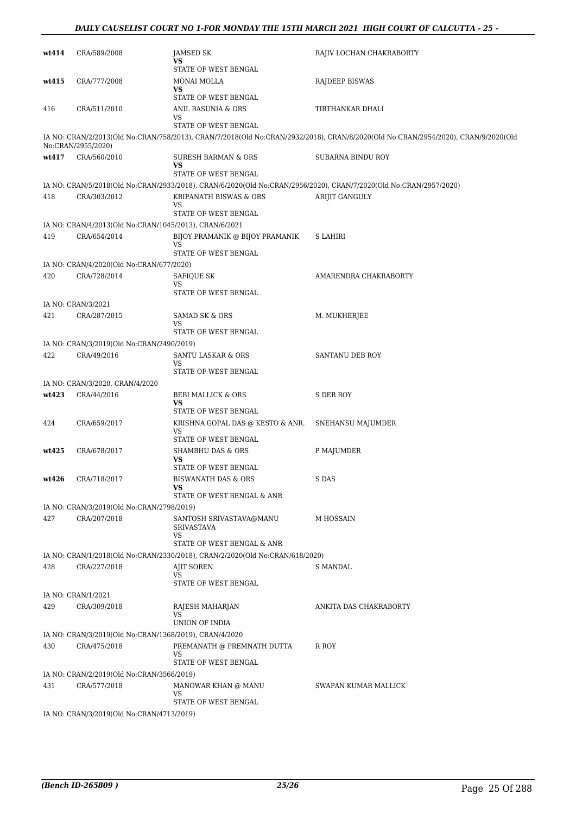#### *DAILY CAUSELIST COURT NO 1-FOR MONDAY THE 15TH MARCH 2021 HIGH COURT OF CALCUTTA - 25 -*

| wt414 | CRA/589/2008                                           | <b>JAMSED SK</b><br>VS<br>STATE OF WEST BENGAL                                             | RAJIV LOCHAN CHAKRABORTY                                                                                                          |
|-------|--------------------------------------------------------|--------------------------------------------------------------------------------------------|-----------------------------------------------------------------------------------------------------------------------------------|
| wt415 | CRA/777/2008                                           | MONAI MOLLA<br>VS<br>STATE OF WEST BENGAL                                                  | RAJDEEP BISWAS                                                                                                                    |
| 416   | CRA/511/2010                                           | ANIL BASUNIA & ORS<br>VS<br>STATE OF WEST BENGAL                                           | TIRTHANKAR DHALI                                                                                                                  |
|       | No:CRAN/2955/2020)                                     |                                                                                            | IA NO: CRAN/2/2013(Old No:CRAN/758/2013), CRAN/7/2018(Old No:CRAN/2932/2018), CRAN/8/2020(Old No:CRAN/2954/2020), CRAN/9/2020(Old |
| wt417 | CRA/560/2010                                           | SURESH BARMAN & ORS<br>VS<br>STATE OF WEST BENGAL                                          | SUBARNA BINDU ROY                                                                                                                 |
|       |                                                        |                                                                                            | IA NO: CRAN/5/2018(Old No:CRAN/2933/2018), CRAN/6/2020(Old No:CRAN/2956/2020), CRAN/7/2020(Old No:CRAN/2957/2020)                 |
| 418   | CRA/303/2012                                           | KRIPANATH BISWAS & ORS<br>VS<br>STATE OF WEST BENGAL                                       | ARIJIT GANGULY                                                                                                                    |
|       | IA NO: CRAN/4/2013(Old No:CRAN/1045/2013), CRAN/6/2021 |                                                                                            |                                                                                                                                   |
| 419   | CRA/654/2014                                           | BIJOY PRAMANIK @ BIJOY PRAMANIK<br><b>VS</b><br>STATE OF WEST BENGAL                       | S LAHIRI                                                                                                                          |
|       | IA NO: CRAN/4/2020(Old No:CRAN/677/2020)               |                                                                                            |                                                                                                                                   |
| 420   | CRA/728/2014                                           | SAFIQUE SK<br>VS                                                                           | AMARENDRA CHAKRABORTY                                                                                                             |
|       | IA NO: CRAN/3/2021                                     | STATE OF WEST BENGAL                                                                       |                                                                                                                                   |
| 421   | CRA/287/2015                                           | SAMAD SK & ORS<br>VS                                                                       | M. MUKHERJEE                                                                                                                      |
|       |                                                        | STATE OF WEST BENGAL                                                                       |                                                                                                                                   |
|       | IA NO: CRAN/3/2019(Old No:CRAN/2490/2019)              |                                                                                            |                                                                                                                                   |
| 422   | CRA/49/2016                                            | SANTU LASKAR & ORS<br>VS<br>STATE OF WEST BENGAL                                           | SANTANU DEB ROY                                                                                                                   |
|       | IA NO: CRAN/3/2020, CRAN/4/2020                        |                                                                                            |                                                                                                                                   |
| wt423 | CRA/44/2016                                            | BEBI MALLICK & ORS<br>VS<br>STATE OF WEST BENGAL                                           | S DEB ROY                                                                                                                         |
| 424   | CRA/659/2017                                           | KRISHNA GOPAL DAS @ KESTO & ANR.<br>VS                                                     | SNEHANSU MAJUMDER                                                                                                                 |
| wt425 | CRA/678/2017                                           | STATE OF WEST BENGAL<br>SHAMBHU DAS & ORS<br>VS                                            | P MAJUMDER                                                                                                                        |
| wt426 | CRA/718/2017                                           | STATE OF WEST BENGAL<br>BISWANATH DAS & ORS<br>vs                                          | S DAS                                                                                                                             |
|       |                                                        | STATE OF WEST BENGAL & ANR                                                                 |                                                                                                                                   |
|       | IA NO: CRAN/3/2019(Old No:CRAN/2798/2019)              |                                                                                            |                                                                                                                                   |
| 427   | CRA/207/2018                                           | SANTOSH SRIVASTAVA@MANU<br><b>SRIVASTAVA</b><br>VS                                         | M HOSSAIN                                                                                                                         |
|       |                                                        | STATE OF WEST BENGAL & ANR                                                                 |                                                                                                                                   |
| 428   | CRA/227/2018                                           | IA NO: CRAN/1/2018(Old No:CRAN/2330/2018), CRAN/2/2020(Old No:CRAN/618/2020)<br>AJIT SOREN | S MANDAL                                                                                                                          |
|       |                                                        | VS<br>STATE OF WEST BENGAL                                                                 |                                                                                                                                   |
|       | IA NO: CRAN/1/2021                                     |                                                                                            |                                                                                                                                   |
| 429   | CRA/309/2018                                           | RAJESH MAHARJAN<br>VS<br>UNION OF INDIA                                                    | ANKITA DAS CHAKRABORTY                                                                                                            |
|       | IA NO: CRAN/3/2019(Old No:CRAN/1368/2019), CRAN/4/2020 |                                                                                            |                                                                                                                                   |
| 430   | CRA/475/2018                                           | PREMANATH @ PREMNATH DUTTA<br>VS<br>STATE OF WEST BENGAL                                   | R ROY                                                                                                                             |
|       | IA NO: CRAN/2/2019(Old No:CRAN/3566/2019)              |                                                                                            |                                                                                                                                   |
| 431   | CRA/577/2018                                           | MANOWAR KHAN @ MANU<br>VS.                                                                 | SWAPAN KUMAR MALLICK                                                                                                              |
|       | IA NO: CRAN/3/2019(Old No:CRAN/4713/2019)              | STATE OF WEST BENGAL                                                                       |                                                                                                                                   |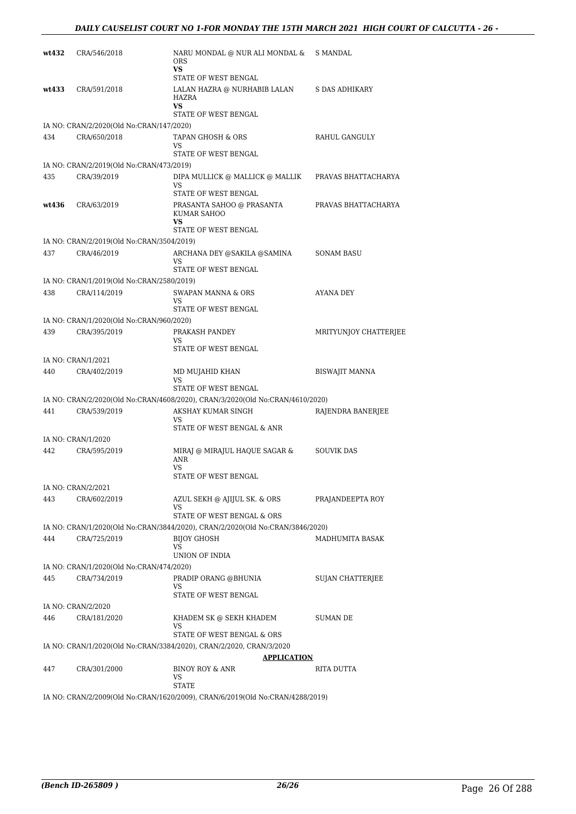| wt432 | CRA/546/2018                                              | NARU MONDAL @ NUR ALI MONDAL &<br><b>ORS</b><br>VS                                            | S MANDAL                |
|-------|-----------------------------------------------------------|-----------------------------------------------------------------------------------------------|-------------------------|
| wt433 | CRA/591/2018                                              | STATE OF WEST BENGAL<br>LALAN HAZRA @ NURHABIB LALAN<br>HAZRA<br>VS<br>STATE OF WEST BENGAL   | S DAS ADHIKARY          |
|       | IA NO: CRAN/2/2020(Old No:CRAN/147/2020)                  |                                                                                               |                         |
| 434   | CRA/650/2018                                              | TAPAN GHOSH & ORS<br>VS<br>STATE OF WEST BENGAL                                               | RAHUL GANGULY           |
|       | IA NO: CRAN/2/2019(Old No:CRAN/473/2019)                  |                                                                                               |                         |
| 435   | CRA/39/2019                                               | DIPA MULLICK @ MALLICK @ MALLIK<br>VS<br>STATE OF WEST BENGAL                                 | PRAVAS BHATTACHARYA     |
| wt436 | CRA/63/2019                                               | PRASANTA SAHOO @ PRASANTA<br>KUMAR SAHOO<br>VS<br>STATE OF WEST BENGAL                        | PRAVAS BHATTACHARYA     |
|       | IA NO: CRAN/2/2019(Old No:CRAN/3504/2019)                 |                                                                                               |                         |
| 437   | CRA/46/2019                                               | ARCHANA DEY @SAKILA @SAMINA<br>VS                                                             | SONAM BASU              |
|       |                                                           | STATE OF WEST BENGAL                                                                          |                         |
| 438   | IA NO: CRAN/1/2019(Old No:CRAN/2580/2019)<br>CRA/114/2019 | <b>SWAPAN MANNA &amp; ORS</b>                                                                 | AYANA DEY               |
|       |                                                           | VS                                                                                            |                         |
|       |                                                           | STATE OF WEST BENGAL                                                                          |                         |
|       | IA NO: CRAN/1/2020(Old No:CRAN/960/2020)                  |                                                                                               |                         |
| 439   | CRA/395/2019                                              | PRAKASH PANDEY<br>VS<br>STATE OF WEST BENGAL                                                  | MRITYUNJOY CHATTERJEE   |
|       | IA NO: CRAN/1/2021                                        |                                                                                               |                         |
| 440   | CRA/402/2019                                              | MD MUJAHID KHAN<br>VS<br>STATE OF WEST BENGAL                                                 | <b>BISWAJIT MANNA</b>   |
|       |                                                           | IA NO: CRAN/2/2020(Old No:CRAN/4608/2020), CRAN/3/2020(Old No:CRAN/4610/2020)                 |                         |
| 441   | CRA/539/2019                                              | AKSHAY KUMAR SINGH<br>VS.<br>STATE OF WEST BENGAL & ANR                                       | RAJENDRA BANERJEE       |
|       | IA NO: CRAN/1/2020                                        |                                                                                               |                         |
| 442   | CRA/595/2019                                              | MIRAJ @ MIRAJUL HAQUE SAGAR &<br><b>ANR</b><br>VS                                             | <b>SOUVIK DAS</b>       |
|       |                                                           | STATE OF WEST BENGAL                                                                          |                         |
|       | IA NO: CRAN/2/2021                                        |                                                                                               |                         |
| 443   | CRA/602/2019                                              | AZUL SEKH @ AJIJUL SK, & ORS<br>VS                                                            | PRAJANDEEPTA ROY        |
|       |                                                           | STATE OF WEST BENGAL & ORS                                                                    |                         |
|       |                                                           | IA NO: CRAN/1/2020(Old No:CRAN/3844/2020), CRAN/2/2020(Old No:CRAN/3846/2020)                 |                         |
| 444   | CRA/725/2019                                              | <b>BIJOY GHOSH</b><br>VS<br>UNION OF INDIA                                                    | MADHUMITA BASAK         |
|       | IA NO: CRAN/1/2020(Old No:CRAN/474/2020)                  |                                                                                               |                         |
| 445   | CRA/734/2019                                              | PRADIP ORANG @BHUNIA<br>VS<br>STATE OF WEST BENGAL                                            | <b>SUJAN CHATTERIEE</b> |
|       | IA NO: CRAN/2/2020                                        |                                                                                               |                         |
| 446   | CRA/181/2020                                              | KHADEM SK @ SEKH KHADEM<br>VS                                                                 | SUMAN DE                |
|       |                                                           | STATE OF WEST BENGAL & ORS                                                                    |                         |
|       |                                                           | IA NO: CRAN/1/2020(Old No:CRAN/3384/2020), CRAN/2/2020, CRAN/3/2020                           |                         |
| 447   | CRA/301/2000                                              | APPLICATION<br>BINOY ROY & ANR<br>VS                                                          | RITA DUTTA              |
|       |                                                           | <b>STATE</b><br>IA NO: CRAN/2/2009(Old No:CRAN/1620/2009), CRAN/6/2019(Old No:CRAN/4288/2019) |                         |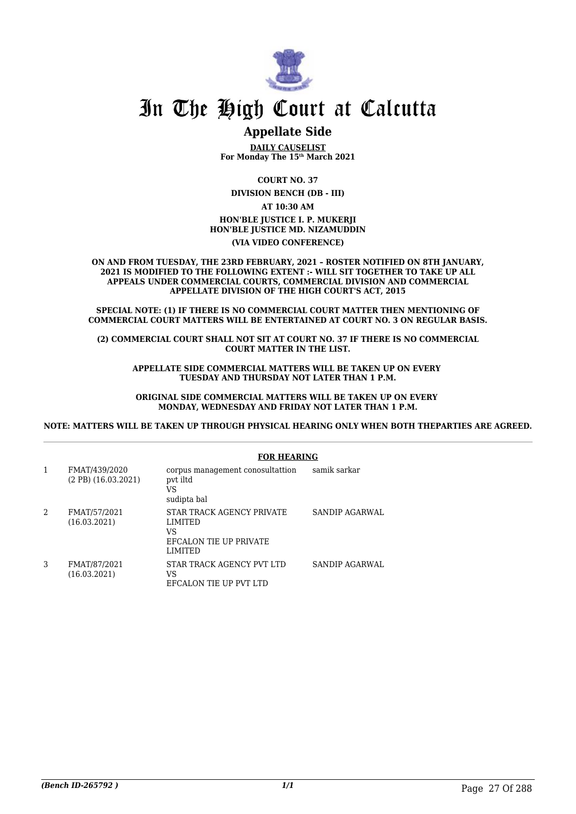

### **Appellate Side**

**DAILY CAUSELIST For Monday The 15th March 2021**

**COURT NO. 37**

**DIVISION BENCH (DB - III)**

**AT 10:30 AM HON'BLE JUSTICE I. P. MUKERJI HON'BLE JUSTICE MD. NIZAMUDDIN (VIA VIDEO CONFERENCE)**

**ON AND FROM TUESDAY, THE 23RD FEBRUARY, 2021 – ROSTER NOTIFIED ON 8TH JANUARY, 2021 IS MODIFIED TO THE FOLLOWING EXTENT :- WILL SIT TOGETHER TO TAKE UP ALL APPEALS UNDER COMMERCIAL COURTS, COMMERCIAL DIVISION AND COMMERCIAL APPELLATE DIVISION OF THE HIGH COURT'S ACT, 2015**

**SPECIAL NOTE: (1) IF THERE IS NO COMMERCIAL COURT MATTER THEN MENTIONING OF COMMERCIAL COURT MATTERS WILL BE ENTERTAINED AT COURT NO. 3 ON REGULAR BASIS.**

**(2) COMMERCIAL COURT SHALL NOT SIT AT COURT NO. 37 IF THERE IS NO COMMERCIAL COURT MATTER IN THE LIST.**

**APPELLATE SIDE COMMERCIAL MATTERS WILL BE TAKEN UP ON EVERY TUESDAY AND THURSDAY NOT LATER THAN 1 P.M.**

**ORIGINAL SIDE COMMERCIAL MATTERS WILL BE TAKEN UP ON EVERY MONDAY, WEDNESDAY AND FRIDAY NOT LATER THAN 1 P.M.**

**NOTE: MATTERS WILL BE TAKEN UP THROUGH PHYSICAL HEARING ONLY WHEN BOTH THEPARTIES ARE AGREED.**

|                                             | FUK FILAKING                                                                                  |                |
|---------------------------------------------|-----------------------------------------------------------------------------------------------|----------------|
| FMAT/439/2020<br>$(2$ PB $)$ $(16.03.2021)$ | corpus management conosultattion<br>pvt iltd<br>VS<br>sudipta bal                             | samik sarkar   |
| FMAT/57/2021<br>(16.03.2021)                | STAR TRACK AGENCY PRIVATE<br><b>LIMITED</b><br>VS<br>EFCALON TIE UP PRIVATE<br><b>LIMITED</b> | SANDIP AGARWAL |
| FMAT/87/2021<br>(16.03.2021)                | STAR TRACK AGENCY PVT LTD<br>VS<br>EFCALON TIE UP PVT LTD                                     | SANDIP AGARWAL |

#### **FOR HEARING**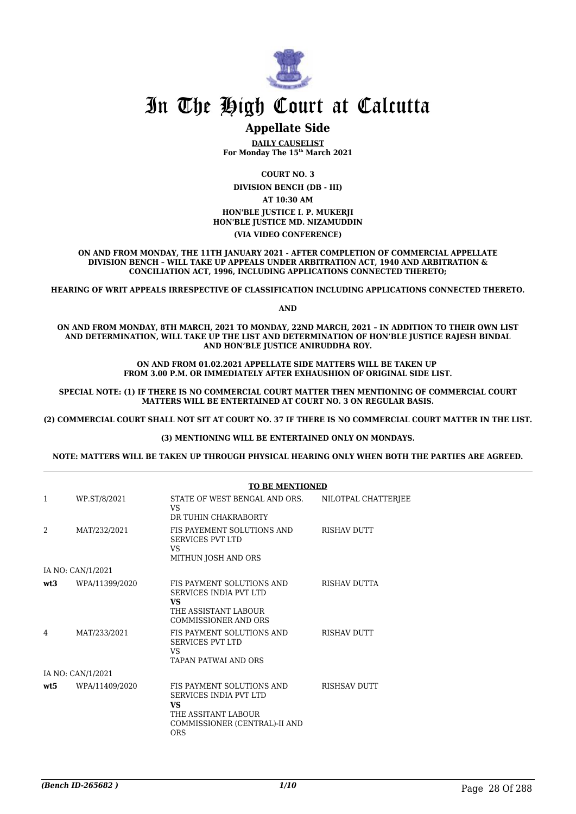

#### **Appellate Side**

**DAILY CAUSELIST For Monday The 15th March 2021**

**COURT NO. 3**

**DIVISION BENCH (DB - III)**

**AT 10:30 AM**

**HON'BLE JUSTICE I. P. MUKERJI HON'BLE JUSTICE MD. NIZAMUDDIN**

#### **(VIA VIDEO CONFERENCE)**

**ON AND FROM MONDAY, THE 11TH JANUARY 2021 - AFTER COMPLETION OF COMMERCIAL APPELLATE DIVISION BENCH – WILL TAKE UP APPEALS UNDER ARBITRATION ACT, 1940 AND ARBITRATION & CONCILIATION ACT, 1996, INCLUDING APPLICATIONS CONNECTED THERETO;**

**HEARING OF WRIT APPEALS IRRESPECTIVE OF CLASSIFICATION INCLUDING APPLICATIONS CONNECTED THERETO.**

**AND**

**ON AND FROM MONDAY, 8TH MARCH, 2021 TO MONDAY, 22ND MARCH, 2021 – IN ADDITION TO THEIR OWN LIST AND DETERMINATION, WILL TAKE UP THE LIST AND DETERMINATION OF HON'BLE JUSTICE RAJESH BINDAL AND HON'BLE JUSTICE ANIRUDDHA ROY.**

> **ON AND FROM 01.02.2021 APPELLATE SIDE MATTERS WILL BE TAKEN UP FROM 3.00 P.M. OR IMMEDIATELY AFTER EXHAUSHION OF ORIGINAL SIDE LIST.**

**SPECIAL NOTE: (1) IF THERE IS NO COMMERCIAL COURT MATTER THEN MENTIONING OF COMMERCIAL COURT MATTERS WILL BE ENTERTAINED AT COURT NO. 3 ON REGULAR BASIS.**

**(2) COMMERCIAL COURT SHALL NOT SIT AT COURT NO. 37 IF THERE IS NO COMMERCIAL COURT MATTER IN THE LIST.**

#### **(3) MENTIONING WILL BE ENTERTAINED ONLY ON MONDAYS.**

**NOTE: MATTERS WILL BE TAKEN UP THROUGH PHYSICAL HEARING ONLY WHEN BOTH THE PARTIES ARE AGREED.**

|                |                   | <b>TO BE MENTIONED</b>                                                                                                                        |                     |
|----------------|-------------------|-----------------------------------------------------------------------------------------------------------------------------------------------|---------------------|
| 1              | WP.ST/8/2021      | STATE OF WEST BENGAL AND ORS.<br>VS.<br>DR TUHIN CHAKRABORTY                                                                                  | NILOTPAL CHATTERJEE |
| $\mathfrak{D}$ | MAT/232/2021      | FIS PAYEMENT SOLUTIONS AND<br><b>SERVICES PVT LTD</b><br>VS.<br>MITHUN JOSH AND ORS                                                           | <b>RISHAV DUTT</b>  |
|                | IA NO: CAN/1/2021 |                                                                                                                                               |                     |
| wt3            | WPA/11399/2020    | FIS PAYMENT SOLUTIONS AND<br>SERVICES INDIA PVT LTD<br><b>VS</b><br>THE ASSISTANT LABOUR<br><b>COMMISSIONER AND ORS</b>                       | <b>RISHAV DUTTA</b> |
| 4              | MAT/233/2021      | FIS PAYMENT SOLUTIONS AND<br><b>SERVICES PVT LTD</b><br>VS.<br><b>TAPAN PATWAI AND ORS</b>                                                    | <b>RISHAV DUTT</b>  |
|                | IA NO: CAN/1/2021 |                                                                                                                                               |                     |
| wt:5           | WPA/11409/2020    | FIS PAYMENT SOLUTIONS AND<br><b>SERVICES INDIA PVT LTD</b><br><b>VS</b><br>THE ASSITANT LABOUR<br>COMMISSIONER (CENTRAL)-II AND<br><b>ORS</b> | <b>RISHSAV DUTT</b> |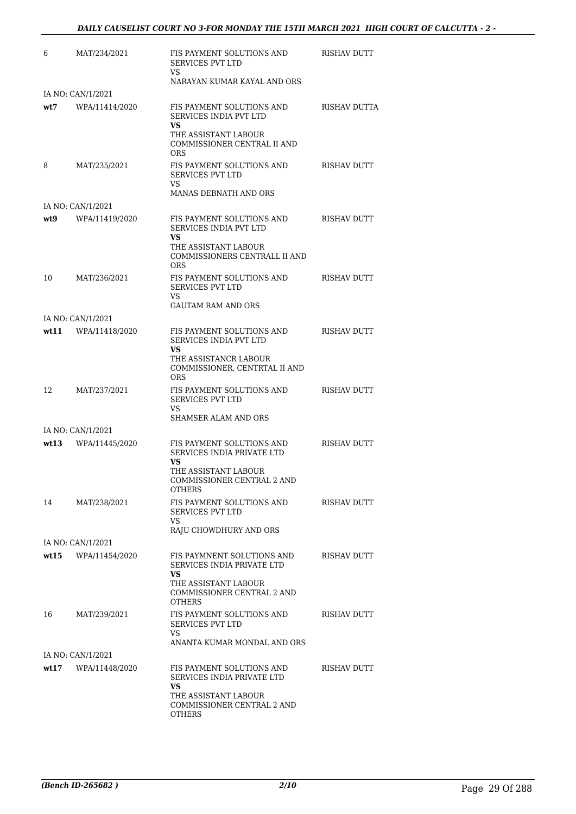| 6    | MAT/234/2021                        | FIS PAYMENT SOLUTIONS AND<br><b>SERVICES PVT LTD</b><br>VS.                                                                          | RISHAV DUTT         |
|------|-------------------------------------|--------------------------------------------------------------------------------------------------------------------------------------|---------------------|
|      |                                     | NARAYAN KUMAR KAYAL AND ORS                                                                                                          |                     |
| wt7  | IA NO: CAN/1/2021<br>WPA/11414/2020 | FIS PAYMENT SOLUTIONS AND<br><b>SERVICES INDIA PVT LTD</b>                                                                           | <b>RISHAV DUTTA</b> |
|      |                                     | VS.<br>THE ASSISTANT LABOUR<br>COMMISSIONER CENTRAL II AND<br>ORS                                                                    |                     |
| 8    | MAT/235/2021                        | FIS PAYMENT SOLUTIONS AND<br>SERVICES PVT LTD<br>VS.<br>MANAS DEBNATH AND ORS                                                        | <b>RISHAV DUTT</b>  |
|      | IA NO: CAN/1/2021                   |                                                                                                                                      |                     |
| wt9  | WPA/11419/2020                      | FIS PAYMENT SOLUTIONS AND<br>SERVICES INDIA PVT LTD<br>VS.                                                                           | <b>RISHAV DUTT</b>  |
|      |                                     | THE ASSISTANT LABOUR<br>COMMISSIONERS CENTRALL II AND<br>ORS                                                                         |                     |
| 10   | MAT/236/2021                        | FIS PAYMENT SOLUTIONS AND<br>SERVICES PVT LTD<br>VS.                                                                                 | <b>RISHAV DUTT</b>  |
|      |                                     | <b>GAUTAM RAM AND ORS</b>                                                                                                            |                     |
|      | IA NO: CAN/1/2021                   |                                                                                                                                      |                     |
| wt11 | WPA/11418/2020                      | FIS PAYMENT SOLUTIONS AND<br>SERVICES INDIA PVT LTD<br>VS                                                                            | <b>RISHAV DUTT</b>  |
|      |                                     | THE ASSISTANCR LABOUR<br>COMMISSIONER, CENTRTAL II AND<br>ORS                                                                        |                     |
| 12   | MAT/237/2021                        | FIS PAYMENT SOLUTIONS AND<br><b>SERVICES PVT LTD</b><br>VS                                                                           | <b>RISHAV DUTT</b>  |
|      |                                     | SHAMSER ALAM AND ORS                                                                                                                 |                     |
| wt13 | IA NO: CAN/1/2021<br>WPA/11445/2020 | FIS PAYMENT SOLUTIONS AND                                                                                                            | RISHAV DUTT         |
|      |                                     | SERVICES INDIA PRIVATE LTD<br>VS<br>THE ASSISTANT LABOUR                                                                             |                     |
|      |                                     | COMMISSIONER CENTRAL 2 AND<br><b>OTHERS</b>                                                                                          |                     |
| 14   | MAT/238/2021                        | FIS PAYMENT SOLUTIONS AND<br>SERVICES PVT LTD                                                                                        | <b>RISHAV DUTT</b>  |
|      |                                     | VS<br>RAJU CHOWDHURY AND ORS                                                                                                         |                     |
|      | IA NO: CAN/1/2021                   |                                                                                                                                      |                     |
| wt15 | WPA/11454/2020                      | FIS PAYMNENT SOLUTIONS AND<br>SERVICES INDIA PRIVATE LTD<br>VS                                                                       | RISHAV DUTT         |
|      |                                     | THE ASSISTANT LABOUR<br>COMMISSIONER CENTRAL 2 AND<br><b>OTHERS</b>                                                                  |                     |
| 16   | MAT/239/2021                        | FIS PAYMENT SOLUTIONS AND<br>SERVICES PVT LTD<br>VS                                                                                  | RISHAV DUTT         |
|      |                                     | ANANTA KUMAR MONDAL AND ORS                                                                                                          |                     |
|      | IA NO: CAN/1/2021                   |                                                                                                                                      |                     |
| wt17 | WPA/11448/2020                      | FIS PAYMENT SOLUTIONS AND<br>SERVICES INDIA PRIVATE LTD<br>VS<br>THE ASSISTANT LABOUR<br>COMMISSIONER CENTRAL 2 AND<br><b>OTHERS</b> | RISHAV DUTT         |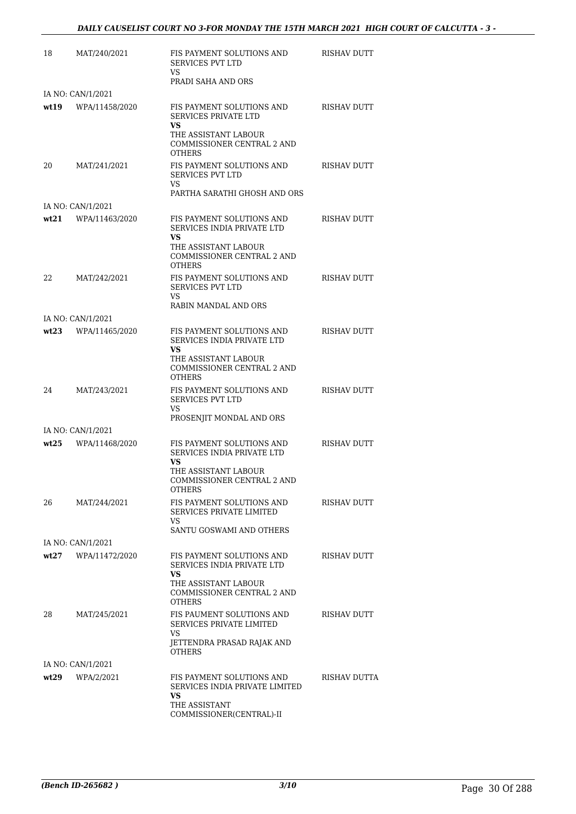| 18    | MAT/240/2021      | FIS PAYMENT SOLUTIONS AND<br>SERVICES PVT LTD<br>VS.                                                            | <b>RISHAV DUTT</b> |
|-------|-------------------|-----------------------------------------------------------------------------------------------------------------|--------------------|
|       |                   | PRADI SAHA AND ORS                                                                                              |                    |
|       | IA NO: CAN/1/2021 |                                                                                                                 |                    |
| wt 19 | WPA/11458/2020    | FIS PAYMENT SOLUTIONS AND<br><b>SERVICES PRIVATE LTD</b><br>VS.                                                 | <b>RISHAV DUTT</b> |
|       |                   | THE ASSISTANT LABOUR<br>COMMISSIONER CENTRAL 2 AND<br><b>OTHERS</b>                                             |                    |
| 20    | MAT/241/2021      | FIS PAYMENT SOLUTIONS AND<br><b>SERVICES PVT LTD</b><br>VS                                                      | <b>RISHAV DUTT</b> |
|       |                   | PARTHA SARATHI GHOSH AND ORS                                                                                    |                    |
|       | IA NO: CAN/1/2021 |                                                                                                                 |                    |
| wt21  | WPA/11463/2020    | FIS PAYMENT SOLUTIONS AND<br><b>SERVICES INDIA PRIVATE LTD</b><br>VS<br>THE ASSISTANT LABOUR                    | RISHAV DUTT        |
|       |                   | COMMISSIONER CENTRAL 2 AND<br><b>OTHERS</b>                                                                     |                    |
| 22    | MAT/242/2021      | FIS PAYMENT SOLUTIONS AND<br>SERVICES PVT LTD<br>VS.                                                            | <b>RISHAV DUTT</b> |
|       |                   | RABIN MANDAL AND ORS                                                                                            |                    |
|       | IA NO: CAN/1/2021 |                                                                                                                 |                    |
| wt23  | WPA/11465/2020    | FIS PAYMENT SOLUTIONS AND<br>SERVICES INDIA PRIVATE LTD<br><b>VS</b>                                            | <b>RISHAV DUTT</b> |
|       |                   | THE ASSISTANT LABOUR<br>COMMISSIONER CENTRAL 2 AND<br><b>OTHERS</b>                                             |                    |
| 24    | MAT/243/2021      | FIS PAYMENT SOLUTIONS AND<br><b>SERVICES PVT LTD</b><br>VS                                                      | RISHAV DUTT        |
|       |                   | PROSENJIT MONDAL AND ORS                                                                                        |                    |
|       | IA NO: CAN/1/2021 |                                                                                                                 |                    |
| wt25  | WPA/11468/2020    | FIS PAYMENT SOLUTIONS AND<br>SERVICES INDIA PRIVATE LTD<br>VS                                                   | <b>RISHAV DUTT</b> |
|       |                   | THE ASSISTANT LABOUR<br>COMMISSIONER CENTRAL 2 AND<br><b>OTHERS</b>                                             |                    |
| 26    | MAT/244/2021      | FIS PAYMENT SOLUTIONS AND<br>SERVICES PRIVATE LIMITED<br>VS                                                     | RISHAV DUTT        |
|       |                   | SANTU GOSWAMI AND OTHERS                                                                                        |                    |
|       | IA NO: CAN/1/2021 |                                                                                                                 |                    |
| wt27  | WPA/11472/2020    | FIS PAYMENT SOLUTIONS AND<br>SERVICES INDIA PRIVATE LTD<br>VS.                                                  | <b>RISHAV DUTT</b> |
|       |                   | THE ASSISTANT LABOUR<br>COMMISSIONER CENTRAL 2 AND<br><b>OTHERS</b>                                             |                    |
| 28    | MAT/245/2021      | FIS PAUMENT SOLUTIONS AND<br>SERVICES PRIVATE LIMITED<br><b>VS</b>                                              | RISHAV DUTT        |
|       |                   | JETTENDRA PRASAD RAJAK AND<br><b>OTHERS</b>                                                                     |                    |
|       | IA NO: CAN/1/2021 |                                                                                                                 |                    |
| wt29  | WPA/2/2021        | FIS PAYMENT SOLUTIONS AND<br>SERVICES INDIA PRIVATE LIMITED<br>VS.<br>THE ASSISTANT<br>COMMISSIONER(CENTRAL)-II | RISHAV DUTTA       |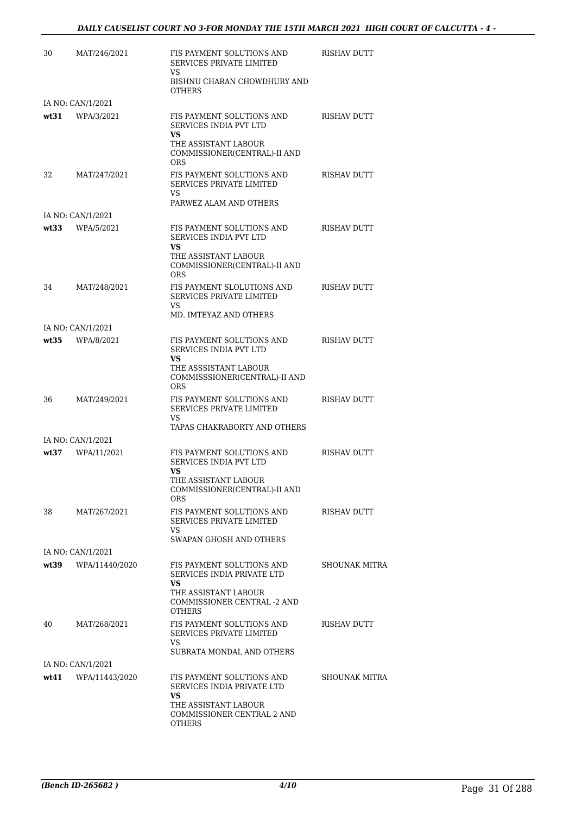| 30   | MAT/246/2021      | FIS PAYMENT SOLUTIONS AND<br><b>SERVICES PRIVATE LIMITED</b><br>VS.                           | RISHAV DUTT          |
|------|-------------------|-----------------------------------------------------------------------------------------------|----------------------|
|      |                   | BISHNU CHARAN CHOWDHURY AND<br><b>OTHERS</b>                                                  |                      |
|      | IA NO: CAN/1/2021 |                                                                                               |                      |
|      | $wt31$ WPA/3/2021 | FIS PAYMENT SOLUTIONS AND<br><b>SERVICES INDIA PVT LTD</b><br>VS.<br>THE ASSISTANT LABOUR     | <b>RISHAV DUTT</b>   |
|      |                   | COMMISSIONER(CENTRAL)-II AND<br><b>ORS</b>                                                    |                      |
| 32   | MAT/247/2021      | FIS PAYMENT SOLUTIONS AND<br><b>SERVICES PRIVATE LIMITED</b><br>VS.<br>PARWEZ ALAM AND OTHERS | <b>RISHAV DUTT</b>   |
|      | IA NO: CAN/1/2021 |                                                                                               |                      |
| wt33 | WPA/5/2021        | FIS PAYMENT SOLUTIONS AND<br><b>SERVICES INDIA PVT LTD</b><br>VS.                             | RISHAV DUTT          |
|      |                   | THE ASSISTANT LABOUR<br>COMMISSIONER(CENTRAL)-II AND<br><b>ORS</b>                            |                      |
| 34   | MAT/248/2021      | FIS PAYMENT SLOLUTIONS AND<br><b>SERVICES PRIVATE LIMITED</b><br>VS.                          | RISHAV DUTT          |
|      |                   | MD. IMTEYAZ AND OTHERS                                                                        |                      |
|      | IA NO: CAN/1/2021 |                                                                                               |                      |
| wt35 | WPA/8/2021        | FIS PAYMENT SOLUTIONS AND<br>SERVICES INDIA PVT LTD<br>VS.                                    | <b>RISHAV DUTT</b>   |
|      |                   | THE ASSSISTANT LABOUR<br>COMMISSSIONER(CENTRAL)-II AND<br><b>ORS</b>                          |                      |
| 36   | MAT/249/2021      | FIS PAYMENT SOLUTIONS AND<br><b>SERVICES PRIVATE LIMITED</b><br>VS                            | <b>RISHAV DUTT</b>   |
|      |                   | TAPAS CHAKRABORTY AND OTHERS                                                                  |                      |
|      | IA NO: CAN/1/2021 |                                                                                               |                      |
| wt37 | WPA/11/2021       | FIS PAYMENT SOLUTIONS AND<br>SERVICES INDIA PVT LTD<br>VS                                     | RISHAV DUTT          |
|      |                   | THE ASSISTANT LABOUR<br>COMMISSIONER(CENTRAL)-II AND<br>ORS                                   |                      |
| 38   | MAT/267/2021      | FIS PAYMENT SOLUTIONS AND<br><b>SERVICES PRIVATE LIMITED</b><br>VS                            | <b>RISHAV DUTT</b>   |
|      |                   | SWAPAN GHOSH AND OTHERS                                                                       |                      |
|      | IA NO: CAN/1/2021 |                                                                                               |                      |
| wt39 | WPA/11440/2020    | FIS PAYMENT SOLUTIONS AND<br>SERVICES INDIA PRIVATE LTD<br>VS.                                | <b>SHOUNAK MITRA</b> |
|      |                   | THE ASSISTANT LABOUR<br>COMMISSIONER CENTRAL -2 AND<br><b>OTHERS</b>                          |                      |
| 40   | MAT/268/2021      | FIS PAYMENT SOLUTIONS AND<br>SERVICES PRIVATE LIMITED<br>VS                                   | RISHAV DUTT          |
|      |                   | SUBRATA MONDAL AND OTHERS                                                                     |                      |
|      | IA NO: CAN/1/2021 |                                                                                               |                      |
| wt41 | WPA/11443/2020    | FIS PAYMENT SOLUTIONS AND<br>SERVICES INDIA PRIVATE LTD<br>VS.<br>THE ASSISTANT LABOUR        | SHOUNAK MITRA        |
|      |                   | COMMISSIONER CENTRAL 2 AND<br>OTHERS                                                          |                      |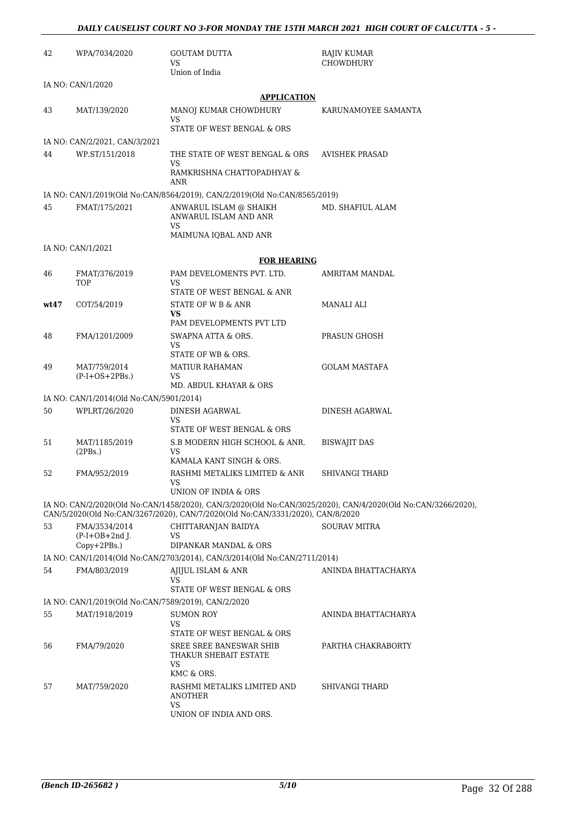| 42   | WPA/7034/2020                                                        | <b>GOUTAM DUTTA</b><br>VS                                                        | RAJIV KUMAR<br>CHOWDHURY                                                                                    |
|------|----------------------------------------------------------------------|----------------------------------------------------------------------------------|-------------------------------------------------------------------------------------------------------------|
|      |                                                                      | Union of India                                                                   |                                                                                                             |
|      | IA NO: CAN/1/2020                                                    |                                                                                  |                                                                                                             |
| 43   | MAT/139/2020                                                         | <b>APPLICATION</b><br>MANOJ KUMAR CHOWDHURY                                      | KARUNAMOYEE SAMANTA                                                                                         |
|      |                                                                      | <b>VS</b><br>STATE OF WEST BENGAL & ORS                                          |                                                                                                             |
|      | IA NO: CAN/2/2021, CAN/3/2021                                        |                                                                                  |                                                                                                             |
| 44   | WP.ST/151/2018                                                       | THE STATE OF WEST BENGAL & ORS                                                   | <b>AVISHEK PRASAD</b>                                                                                       |
|      |                                                                      | VS<br>RAMKRISHNA CHATTOPADHYAY &                                                 |                                                                                                             |
|      |                                                                      | ANR<br>IA NO: CAN/1/2019(Old No:CAN/8564/2019), CAN/2/2019(Old No:CAN/8565/2019) |                                                                                                             |
| 45   | FMAT/175/2021                                                        | ANWARUL ISLAM @ SHAIKH<br>ANWARUL ISLAM AND ANR<br><b>VS</b>                     | MD. SHAFIUL ALAM                                                                                            |
|      |                                                                      | MAIMUNA IQBAL AND ANR                                                            |                                                                                                             |
|      | IA NO: CAN/1/2021                                                    |                                                                                  |                                                                                                             |
|      |                                                                      | <b>FOR HEARING</b>                                                               |                                                                                                             |
| 46   | FMAT/376/2019                                                        | PAM DEVELOMENTS PVT. LTD.                                                        | AMRITAM MANDAL                                                                                              |
|      | TOP                                                                  | VS<br>STATE OF WEST BENGAL & ANR                                                 |                                                                                                             |
| wt47 | COT/54/2019                                                          | STATE OF W B & ANR                                                               | MANALI ALI                                                                                                  |
|      |                                                                      | VS<br>PAM DEVELOPMENTS PVT LTD                                                   |                                                                                                             |
| 48   | FMA/1201/2009                                                        | SWAPNA ATTA & ORS.<br>VS                                                         | PRASUN GHOSH                                                                                                |
|      |                                                                      | STATE OF WB & ORS.                                                               |                                                                                                             |
| 49   | MAT/759/2014<br>$(P-I+OS+2PBs.)$                                     | <b>MATIUR RAHAMAN</b><br>VS                                                      | <b>GOLAM MASTAFA</b>                                                                                        |
|      |                                                                      | MD. ABDUL KHAYAR & ORS                                                           |                                                                                                             |
|      | IA NO: CAN/1/2014(Old No:CAN/5901/2014)                              |                                                                                  |                                                                                                             |
| 50   | WPLRT/26/2020                                                        | DINESH AGARWAL<br>VS                                                             | DINESH AGARWAL                                                                                              |
|      |                                                                      | STATE OF WEST BENGAL & ORS                                                       |                                                                                                             |
| 51   | MAT/1185/2019<br>(2PBs.)                                             | S.B MODERN HIGH SCHOOL & ANR.<br>VS.                                             | <b>BISWAJIT DAS</b>                                                                                         |
|      |                                                                      | KAMALA KANT SINGH & ORS.                                                         |                                                                                                             |
| 52   | FMA/952/2019                                                         | RASHMI METALIKS LIMITED & ANR<br>VS                                              | SHIVANGI THARD                                                                                              |
|      |                                                                      | UNION OF INDIA & ORS                                                             |                                                                                                             |
|      |                                                                      | CAN/5/2020(Old No:CAN/3267/2020), CAN/7/2020(Old No:CAN/3331/2020), CAN/8/2020   | IA NO: CAN/2/2020(Old No:CAN/1458/2020), CAN/3/2020(Old No:CAN/3025/2020), CAN/4/2020(Old No:CAN/3266/2020) |
| 53   | FMA/3534/2014                                                        | CHITTARANJAN BAIDYA                                                              | <b>SOURAV MITRA</b>                                                                                         |
|      | $(P-I+OB+2nd$ J.<br>Copy+2PBs.)                                      | VS<br>DIPANKAR MANDAL & ORS                                                      |                                                                                                             |
|      |                                                                      | IA NO: CAN/1/2014(Old No:CAN/2703/2014), CAN/3/2014(Old No:CAN/2711/2014)        |                                                                                                             |
| 54   | FMA/803/2019                                                         | AJIJUL ISLAM & ANR                                                               | ANINDA BHATTACHARYA                                                                                         |
|      |                                                                      | VS                                                                               |                                                                                                             |
|      |                                                                      | STATE OF WEST BENGAL & ORS                                                       |                                                                                                             |
| 55   | IA NO: CAN/1/2019(Old No:CAN/7589/2019), CAN/2/2020<br>MAT/1918/2019 | <b>SUMON ROY</b>                                                                 | ANINDA BHATTACHARYA                                                                                         |
|      |                                                                      | VS.<br>STATE OF WEST BENGAL & ORS                                                |                                                                                                             |
| 56   | FMA/79/2020                                                          | SREE SREE BANESWAR SHIB<br>THAKUR SHEBAIT ESTATE                                 | PARTHA CHAKRABORTY                                                                                          |
|      |                                                                      | VS                                                                               |                                                                                                             |
| 57   | MAT/759/2020                                                         | KMC & ORS.<br>RASHMI METALIKS LIMITED AND                                        | SHIVANGI THARD                                                                                              |
|      |                                                                      | <b>ANOTHER</b><br>VS                                                             |                                                                                                             |
|      |                                                                      | UNION OF INDIA AND ORS.                                                          |                                                                                                             |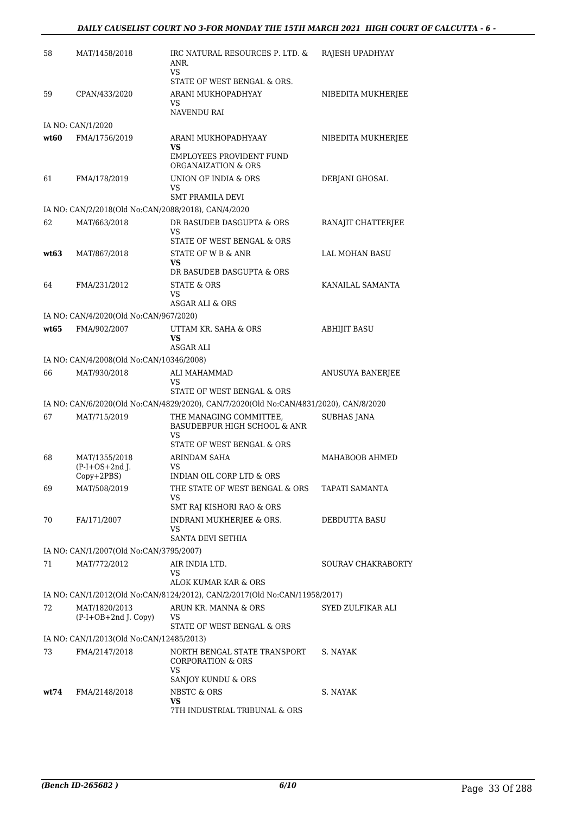| 58   | MAT/1458/2018                                       | IRC NATURAL RESOURCES P. LTD. &<br>ANR.<br>VS                                         | RAJESH UPADHYAY     |
|------|-----------------------------------------------------|---------------------------------------------------------------------------------------|---------------------|
|      |                                                     | STATE OF WEST BENGAL & ORS.                                                           |                     |
| 59   | CPAN/433/2020                                       | ARANI MUKHOPADHYAY<br>VS                                                              | NIBEDITA MUKHERJEE  |
|      |                                                     | NAVENDU RAI                                                                           |                     |
|      | IA NO: CAN/1/2020                                   |                                                                                       |                     |
| wt60 | FMA/1756/2019                                       | ARANI MUKHOPADHYAAY<br>VS.                                                            | NIBEDITA MUKHERJEE  |
|      |                                                     | <b>EMPLOYEES PROVIDENT FUND</b><br>ORGANAIZATION & ORS                                |                     |
| 61   | FMA/178/2019                                        | UNION OF INDIA & ORS<br>VS                                                            | DEBJANI GHOSAL      |
|      |                                                     | <b>SMT PRAMILA DEVI</b>                                                               |                     |
|      | IA NO: CAN/2/2018(Old No:CAN/2088/2018), CAN/4/2020 |                                                                                       |                     |
| 62   | MAT/663/2018                                        | DR BASUDEB DASGUPTA & ORS<br>VS<br>STATE OF WEST BENGAL & ORS                         | RANAJIT CHATTERJEE  |
| wt63 | MAT/867/2018                                        | STATE OF W B & ANR                                                                    | LAL MOHAN BASU      |
|      |                                                     | VS                                                                                    |                     |
|      |                                                     | DR BASUDEB DASGUPTA & ORS                                                             |                     |
| 64   | FMA/231/2012                                        | STATE & ORS<br>VS                                                                     | KANAILAL SAMANTA    |
|      |                                                     | <b>ASGAR ALI &amp; ORS</b>                                                            |                     |
|      | IA NO: CAN/4/2020(Old No:CAN/967/2020)              |                                                                                       |                     |
| wt65 | FMA/902/2007                                        | UTTAM KR. SAHA & ORS<br><b>VS</b>                                                     | <b>ABHIJIT BASU</b> |
|      |                                                     | ASGAR ALI                                                                             |                     |
|      | IA NO: CAN/4/2008(Old No:CAN/10346/2008)            |                                                                                       |                     |
| 66   | MAT/930/2018                                        | ALI MAHAMMAD<br>VS                                                                    | ANUSUYA BANERJEE    |
|      |                                                     | STATE OF WEST BENGAL & ORS                                                            |                     |
|      |                                                     | IA NO: CAN/6/2020(Old No:CAN/4829/2020), CAN/7/2020(Old No:CAN/4831/2020), CAN/8/2020 |                     |
| 67   | MAT/715/2019                                        | THE MANAGING COMMITTEE,<br>BASUDEBPUR HIGH SCHOOL & ANR<br>VS                         | <b>SUBHAS JANA</b>  |
|      |                                                     | STATE OF WEST BENGAL & ORS                                                            |                     |
| 68   | MAT/1355/2018                                       | ARINDAM SAHA                                                                          | MAHABOOB AHMED      |
|      | $(P-I+OS+2nd$ J.<br>Copy+2PBS)                      | VS<br>INDIAN OIL CORP LTD & ORS                                                       |                     |
| 69   | MAT/508/2019                                        | THE STATE OF WEST BENGAL & ORS                                                        | TAPATI SAMANTA      |
|      |                                                     | VS<br>SMT RAJ KISHORI RAO & ORS                                                       |                     |
| 70   | FA/171/2007                                         | INDRANI MUKHERJEE & ORS.                                                              | DEBDUTTA BASU       |
|      |                                                     | <b>VS</b><br>SANTA DEVI SETHIA                                                        |                     |
|      | IA NO: CAN/1/2007(Old No:CAN/3795/2007)             |                                                                                       |                     |
| 71   | MAT/772/2012                                        | AIR INDIA LTD.                                                                        | SOURAV CHAKRABORTY  |
|      |                                                     | VS<br>ALOK KUMAR KAR & ORS                                                            |                     |
|      |                                                     | IA NO: CAN/1/2012(Old No:CAN/8124/2012), CAN/2/2017(Old No:CAN/11958/2017)            |                     |
| 72   | MAT/1820/2013                                       | ARUN KR. MANNA & ORS                                                                  | SYED ZULFIKAR ALI   |
|      | $(P-I+OB+2nd$ J. Copy)                              | VS<br>STATE OF WEST BENGAL & ORS                                                      |                     |
|      | IA NO: CAN/1/2013(Old No:CAN/12485/2013)            |                                                                                       |                     |
| 73   | FMA/2147/2018                                       | NORTH BENGAL STATE TRANSPORT<br><b>CORPORATION &amp; ORS</b>                          | S. NAYAK            |
|      |                                                     | VS.<br>SANJOY KUNDU & ORS                                                             |                     |
| wt74 | FMA/2148/2018                                       | NBSTC & ORS                                                                           | S. NAYAK            |
|      |                                                     | VS<br>7TH INDUSTRIAL TRIBUNAL & ORS                                                   |                     |
|      |                                                     |                                                                                       |                     |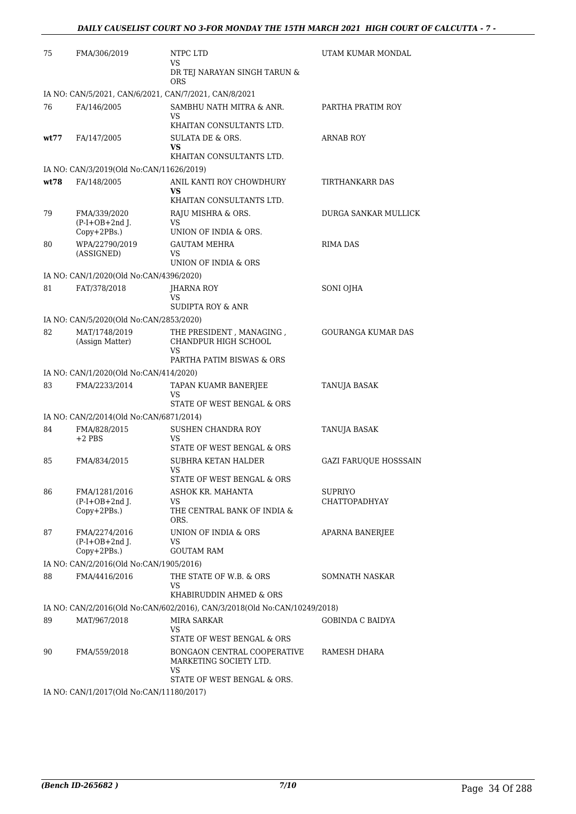| 75                                                                        | FMA/306/2019                                    | NTPC LTD<br>VS                                           | UTAM KUMAR MONDAL            |
|---------------------------------------------------------------------------|-------------------------------------------------|----------------------------------------------------------|------------------------------|
|                                                                           |                                                 | DR TEJ NARAYAN SINGH TARUN &<br><b>ORS</b>               |                              |
| IA NO: CAN/5/2021, CAN/6/2021, CAN/7/2021, CAN/8/2021                     |                                                 |                                                          |                              |
| 76                                                                        | FA/146/2005                                     | SAMBHU NATH MITRA & ANR.<br>VS                           | PARTHA PRATIM ROY            |
|                                                                           |                                                 | KHAITAN CONSULTANTS LTD.                                 |                              |
| wt77                                                                      | FA/147/2005                                     | SULATA DE & ORS.<br>VS<br>KHAITAN CONSULTANTS LTD.       | <b>ARNAB ROY</b>             |
| IA NO: CAN/3/2019(Old No:CAN/11626/2019)                                  |                                                 |                                                          |                              |
| wt:78                                                                     | FA/148/2005                                     | ANIL KANTI ROY CHOWDHURY                                 | TIRTHANKARR DAS              |
|                                                                           |                                                 | <b>VS</b><br>KHAITAN CONSULTANTS LTD.                    |                              |
| 79                                                                        | FMA/339/2020<br>$(P-I+OB+2nd$ J.<br>Copy+2PBs.) | RAJU MISHRA & ORS.                                       | DURGA SANKAR MULLICK         |
|                                                                           |                                                 | VS<br>UNION OF INDIA & ORS.                              |                              |
| 80                                                                        | WPA/22790/2019<br>(ASSIGNED)                    | <b>GAUTAM MEHRA</b>                                      | <b>RIMA DAS</b>              |
|                                                                           |                                                 | VS<br>UNION OF INDIA & ORS                               |                              |
| IA NO: CAN/1/2020(Old No:CAN/4396/2020)                                   |                                                 |                                                          |                              |
| 81                                                                        | FAT/378/2018                                    | <b>IHARNA ROY</b>                                        | <b>SONI OJHA</b>             |
|                                                                           |                                                 | VS<br><b>SUDIPTA ROY &amp; ANR</b>                       |                              |
| IA NO: CAN/5/2020(Old No:CAN/2853/2020)                                   |                                                 |                                                          |                              |
| 82                                                                        | MAT/1748/2019                                   | THE PRESIDENT, MANAGING,                                 | <b>GOURANGA KUMAR DAS</b>    |
|                                                                           | (Assign Matter)                                 | CHANDPUR HIGH SCHOOL<br>VS                               |                              |
|                                                                           |                                                 | PARTHA PATIM BISWAS & ORS                                |                              |
| IA NO: CAN/1/2020(Old No:CAN/414/2020)                                    |                                                 |                                                          |                              |
| 83                                                                        | FMA/2233/2014                                   | TAPAN KUAMR BANERJEE<br>VS<br>STATE OF WEST BENGAL & ORS | <b>TANUJA BASAK</b>          |
| IA NO: CAN/2/2014(Old No:CAN/6871/2014)                                   |                                                 |                                                          |                              |
| 84                                                                        | FMA/828/2015                                    | SUSHEN CHANDRA ROY                                       | <b>TANUJA BASAK</b>          |
|                                                                           | $+2$ PBS                                        | VS<br>STATE OF WEST BENGAL & ORS                         |                              |
| 85                                                                        | FMA/834/2015                                    | SUBHRA KETAN HALDER                                      | <b>GAZI FARUOUE HOSSSAIN</b> |
|                                                                           |                                                 | VS<br>STATE OF WEST BENGAL & ORS                         |                              |
| 86                                                                        | FMA/1281/2016                                   | ASHOK KR. MAHANTA                                        | SUPRIYO                      |
|                                                                           | $(P-I+OB+2nd$ J.<br>Copy+2PBs.)                 | VS<br>THE CENTRAL BANK OF INDIA &<br>ORS.                | <b>CHATTOPADHYAY</b>         |
| 87                                                                        | FMA/2274/2016                                   | UNION OF INDIA & ORS                                     | <b>APARNA BANERJEE</b>       |
|                                                                           | $(P-I+OB+2nd$ J.<br>Copy+2PBs.)                 | VS<br><b>GOUTAM RAM</b>                                  |                              |
|                                                                           | IA NO: CAN/2/2016(Old No:CAN/1905/2016)         |                                                          |                              |
| 88                                                                        | FMA/4416/2016                                   | THE STATE OF W.B. & ORS                                  | SOMNATH NASKAR               |
|                                                                           |                                                 | VS<br>KHABIRUDDIN AHMED & ORS                            |                              |
| IA NO: CAN/2/2016(Old No:CAN/602/2016), CAN/3/2018(Old No:CAN/10249/2018) |                                                 |                                                          |                              |
| 89                                                                        | MAT/967/2018                                    | MIRA SARKAR                                              | GOBINDA C BAIDYA             |
|                                                                           |                                                 | VS<br>STATE OF WEST BENGAL & ORS                         |                              |
| 90                                                                        | FMA/559/2018                                    | BONGAON CENTRAL COOPERATIVE<br>MARKETING SOCIETY LTD.    | RAMESH DHARA                 |
|                                                                           |                                                 | VS<br>STATE OF WEST BENGAL & ORS.                        |                              |
| IA NO: CAN/1/2017(Old No:CAN/11180/2017)                                  |                                                 |                                                          |                              |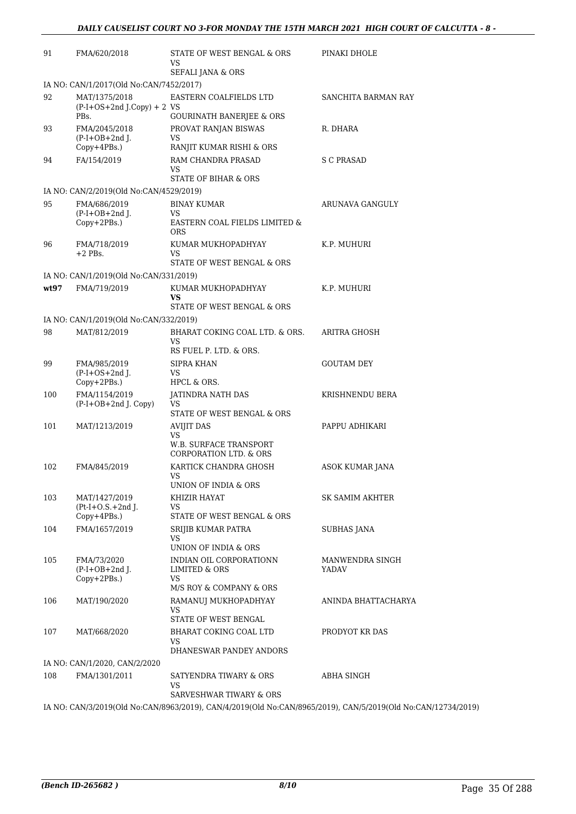| 91   | FMA/620/2018                                  | STATE OF WEST BENGAL & ORS<br>VS<br>SEFALI JANA & ORS             | PINAKI DHOLE           |
|------|-----------------------------------------------|-------------------------------------------------------------------|------------------------|
|      | IA NO: CAN/1/2017(Old No:CAN/7452/2017)       |                                                                   |                        |
| 92   | MAT/1375/2018<br>$(P-I+OS+2nd J.Copy) + 2 VS$ | EASTERN COALFIELDS LTD                                            | SANCHITA BARMAN RAY    |
| 93   | PB <sub>s</sub> .<br>FMA/2045/2018            | <b>GOURINATH BANERJEE &amp; ORS</b><br>PROVAT RANJAN BISWAS       | R. DHARA               |
|      | $(P-I+OB+2nd$ J.                              | VS                                                                |                        |
|      | $Copy+4PBs.$ )                                | RANJIT KUMAR RISHI & ORS                                          |                        |
| 94   | FA/154/2019                                   | RAM CHANDRA PRASAD<br>VS<br><b>STATE OF BIHAR &amp; ORS</b>       | <b>S C PRASAD</b>      |
|      | IA NO: CAN/2/2019(Old No:CAN/4529/2019)       |                                                                   |                        |
| 95   | FMA/686/2019                                  | <b>BINAY KUMAR</b>                                                | ARUNAVA GANGULY        |
|      | $(P-I+OB+2nd J.$<br>Copy+2PBs.)               | <b>VS</b><br>EASTERN COAL FIELDS LIMITED &<br>ORS                 |                        |
| 96   | FMA/718/2019                                  | KUMAR MUKHOPADHYAY                                                | K.P. MUHURI            |
|      | $+2$ PBs.                                     | VS<br>STATE OF WEST BENGAL & ORS                                  |                        |
|      | IA NO: CAN/1/2019(Old No:CAN/331/2019)        |                                                                   |                        |
| wt97 | FMA/719/2019                                  | KUMAR MUKHOPADHYAY<br>VS<br>STATE OF WEST BENGAL & ORS            | K.P. MUHURI            |
|      | IA NO: CAN/1/2019(Old No:CAN/332/2019)        |                                                                   |                        |
| 98   | MAT/812/2019                                  | BHARAT COKING COAL LTD. & ORS.<br>VS<br>RS FUEL P. LTD. & ORS.    | ARITRA GHOSH           |
| 99   | FMA/985/2019                                  | SIPRA KHAN                                                        | <b>GOUTAM DEY</b>      |
|      | $(P-I+OS+2nd J.$<br>Copy+2PBs.)               | <b>VS</b><br>HPCL & ORS.                                          |                        |
| 100  | FMA/1154/2019                                 | JATINDRA NATH DAS                                                 | KRISHNENDU BERA        |
|      | $(P-I+OB+2nd J. Copy)$                        | VS<br>STATE OF WEST BENGAL & ORS                                  |                        |
| 101  | MAT/1213/2019                                 | <b>AVIJIT DAS</b>                                                 | PAPPU ADHIKARI         |
|      |                                               | VS<br>W.B. SURFACE TRANSPORT<br><b>CORPORATION LTD. &amp; ORS</b> |                        |
| 102  | FMA/845/2019                                  | KARTICK CHANDRA GHOSH<br>VS<br>UNION OF INDIA & ORS               | <b>ASOK KUMAR JANA</b> |
| 103  | MAT/1427/2019                                 | KHIZIR HAYAT                                                      | SK SAMIM AKHTER        |
|      | $Pt-I+O.S.+2nd I.$                            | VS<br>STATE OF WEST BENGAL & ORS                                  |                        |
| 104  | $Copy+4PBs.$ )<br>FMA/1657/2019               | SRIJIB KUMAR PATRA                                                | <b>SUBHAS JANA</b>     |
|      |                                               | VS<br>UNION OF INDIA & ORS                                        |                        |
| 105  | FMA/73/2020                                   | INDIAN OIL CORPORATIONN                                           | MANWENDRA SINGH        |
|      | $(P-I+OB+2nd$ J.<br>Copy+2PBs.)               | LIMITED & ORS<br>VS                                               | YADAV                  |
|      |                                               | M/S ROY & COMPANY & ORS                                           | ANINDA BHATTACHARYA    |
| 106  | MAT/190/2020                                  | RAMANUJ MUKHOPADHYAY<br>VS<br>STATE OF WEST BENGAL                |                        |
| 107  | MAT/668/2020                                  | BHARAT COKING COAL LTD<br>VS<br>DHANESWAR PANDEY ANDORS           | PRODYOT KR DAS         |
|      | IA NO: CAN/1/2020, CAN/2/2020                 |                                                                   |                        |
| 108  | FMA/1301/2011                                 | SATYENDRA TIWARY & ORS<br>VS                                      | ABHA SINGH             |
|      |                                               | SARVESHWAR TIWARY & ORS                                           |                        |

IA NO: CAN/3/2019(Old No:CAN/8963/2019), CAN/4/2019(Old No:CAN/8965/2019), CAN/5/2019(Old No:CAN/12734/2019)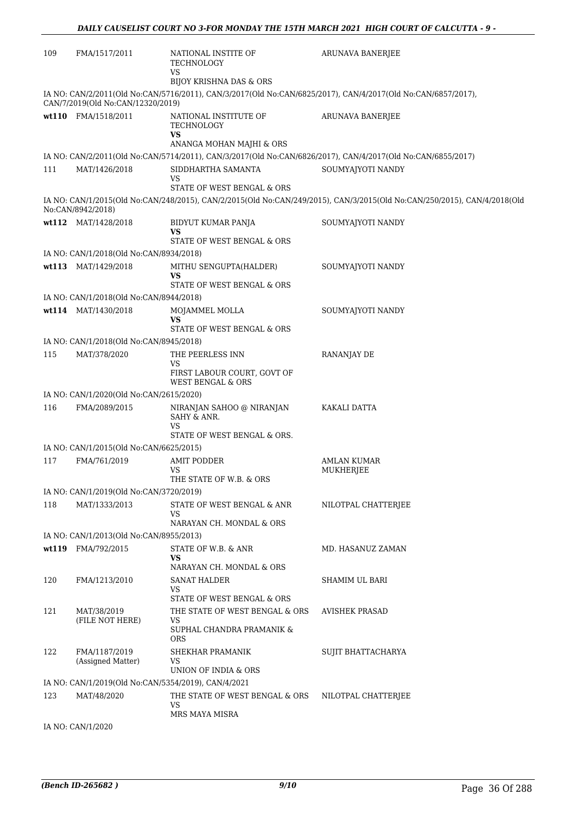| 109 | FMA/1517/2011                                                 | NATIONAL INSTITE OF<br>TECHNOLOGY<br>VS                           | <b>ARUNAVA BANERJEE</b>                                                                                                  |
|-----|---------------------------------------------------------------|-------------------------------------------------------------------|--------------------------------------------------------------------------------------------------------------------------|
|     |                                                               | BIJOY KRISHNA DAS & ORS                                           | IA NO: CAN/2/2011(Old No:CAN/5716/2011), CAN/3/2017(Old No:CAN/6825/2017), CAN/4/2017(Old No:CAN/6857/2017),             |
|     | CAN/7/2019(Old No:CAN/12320/2019)<br>wt110 FMA/1518/2011      | NATIONAL INSTITUTE OF<br>TECHNOLOGY<br>VS                         | ARUNAVA BANERJEE                                                                                                         |
|     |                                                               | ANANGA MOHAN MAJHI & ORS                                          | IA NO: CAN/2/2011(Old No:CAN/5714/2011), CAN/3/2017(Old No:CAN/6826/2017), CAN/4/2017(Old No:CAN/6855/2017)              |
| 111 | MAT/1426/2018                                                 | SIDDHARTHA SAMANTA<br>VS                                          | SOUMYAJYOTI NANDY                                                                                                        |
|     |                                                               | STATE OF WEST BENGAL & ORS                                        |                                                                                                                          |
|     | No:CAN/8942/2018)                                             |                                                                   | IA NO: CAN/1/2015(Old No:CAN/248/2015), CAN/2/2015(Old No:CAN/249/2015), CAN/3/2015(Old No:CAN/250/2015), CAN/4/2018(Old |
|     | wt112 MAT/1428/2018                                           | BIDYUT KUMAR PANJA<br>VS<br>STATE OF WEST BENGAL & ORS            | SOUMYAJYOTI NANDY                                                                                                        |
|     | IA NO: CAN/1/2018(Old No:CAN/8934/2018)                       |                                                                   |                                                                                                                          |
|     | wt113 MAT/1429/2018                                           | MITHU SENGUPTA(HALDER)<br>VS<br>STATE OF WEST BENGAL & ORS        | SOUMYAJYOTI NANDY                                                                                                        |
|     | IA NO: CAN/1/2018(Old No:CAN/8944/2018)                       |                                                                   |                                                                                                                          |
|     | wt114 MAT/1430/2018                                           | MOJAMMEL MOLLA<br>VS<br>STATE OF WEST BENGAL & ORS                | SOUMYAJYOTI NANDY                                                                                                        |
|     | IA NO: CAN/1/2018(Old No:CAN/8945/2018)                       |                                                                   |                                                                                                                          |
| 115 | MAT/378/2020                                                  | THE PEERLESS INN                                                  | RANANJAY DE                                                                                                              |
|     |                                                               | VS<br>FIRST LABOUR COURT, GOVT OF<br><b>WEST BENGAL &amp; ORS</b> |                                                                                                                          |
|     | IA NO: CAN/1/2020(Old No:CAN/2615/2020)                       |                                                                   |                                                                                                                          |
| 116 | FMA/2089/2015                                                 | NIRANJAN SAHOO @ NIRANJAN<br>SAHY & ANR.<br>VS                    | KAKALI DATTA                                                                                                             |
|     |                                                               | STATE OF WEST BENGAL & ORS.                                       |                                                                                                                          |
|     | IA NO: CAN/1/2015(Old No:CAN/6625/2015)                       |                                                                   |                                                                                                                          |
| 117 | FMA/761/2019                                                  | AMIT PODDER<br>VS<br>THE STATE OF W.B. & ORS                      | <b>AMLAN KUMAR</b><br>MUKHERJEE                                                                                          |
|     | IA NO: CAN/1/2019(Old No:CAN/3720/2019)                       |                                                                   |                                                                                                                          |
| 118 | MAT/1333/2013                                                 | STATE OF WEST BENGAL & ANR<br>VS                                  | NILOTPAL CHATTERJEE                                                                                                      |
|     |                                                               | NARAYAN CH. MONDAL & ORS                                          |                                                                                                                          |
|     | IA NO: CAN/1/2013(Old No:CAN/8955/2013)<br>wt119 FMA/792/2015 |                                                                   |                                                                                                                          |
|     |                                                               | STATE OF W.B. & ANR<br><b>VS</b><br>NARAYAN CH. MONDAL & ORS      | MD. HASANUZ ZAMAN                                                                                                        |
| 120 | FMA/1213/2010                                                 | <b>SANAT HALDER</b><br>VS<br>STATE OF WEST BENGAL & ORS           | SHAMIM UL BARI                                                                                                           |
| 121 | MAT/38/2019<br>(FILE NOT HERE)                                | THE STATE OF WEST BENGAL & ORS<br>VS<br>SUPHAL CHANDRA PRAMANIK & | <b>AVISHEK PRASAD</b>                                                                                                    |
| 122 | FMA/1187/2019                                                 | ORS<br>SHEKHAR PRAMANIK                                           | <b>SUJIT BHATTACHARYA</b>                                                                                                |
|     | (Assigned Matter)                                             | VS<br>UNION OF INDIA & ORS                                        |                                                                                                                          |
|     | IA NO: CAN/1/2019(Old No:CAN/5354/2019), CAN/4/2021           |                                                                   |                                                                                                                          |
| 123 | MAT/48/2020                                                   | THE STATE OF WEST BENGAL & ORS<br><b>VS</b><br>MRS MAYA MISRA     | NILOTPAL CHATTERJEE                                                                                                      |

IA NO: CAN/1/2020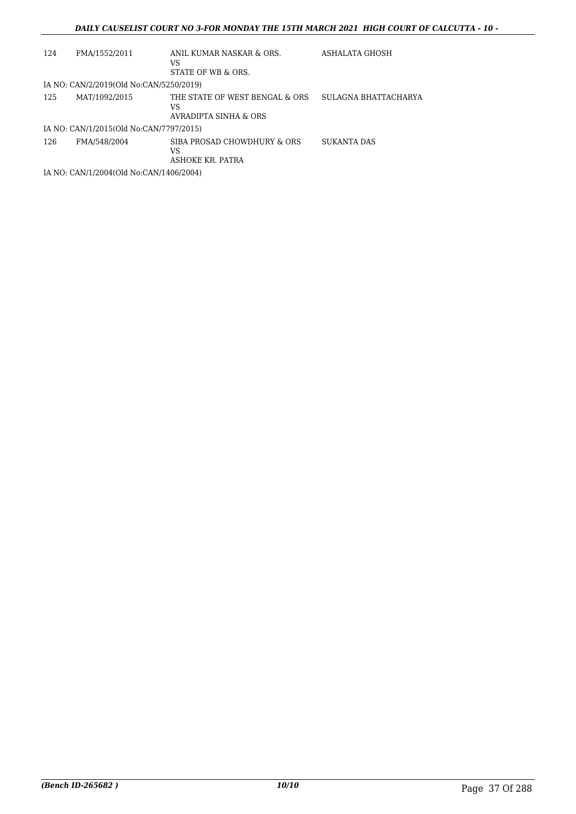| 124 | FMA/1552/2011                           | ANIL KUMAR NASKAR & ORS.<br>VS<br>STATE OF WB & ORS.          | ASHALATA GHOSH       |  |  |  |
|-----|-----------------------------------------|---------------------------------------------------------------|----------------------|--|--|--|
|     | IA NO: CAN/2/2019(Old No:CAN/5250/2019) |                                                               |                      |  |  |  |
| 125 | MAT/1092/2015                           | THE STATE OF WEST BENGAL & ORS<br>VS<br>AVRADIPTA SINHA & ORS | SULAGNA BHATTACHARYA |  |  |  |
|     | IA NO: CAN/1/2015(Old No:CAN/7797/2015) |                                                               |                      |  |  |  |
| 126 | FMA/548/2004                            | SIBA PROSAD CHOWDHURY & ORS<br>VS<br>ASHOKE KR. PATRA         | SUKANTA DAS          |  |  |  |
|     | IA NO: CAN/1/2004(Old No:CAN/1406/2004) |                                                               |                      |  |  |  |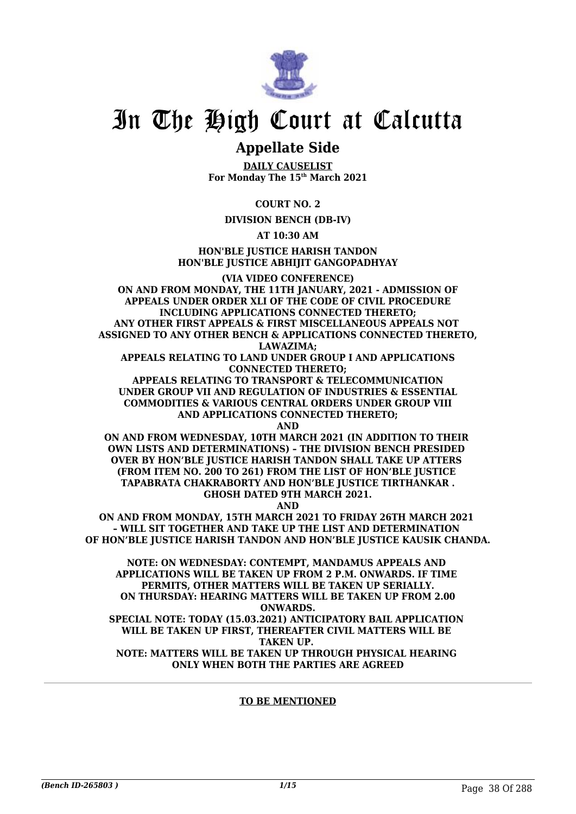

## **Appellate Side**

**DAILY CAUSELIST For Monday The 15th March 2021**

**COURT NO. 2**

**DIVISION BENCH (DB-IV)**

**AT 10:30 AM**

**HON'BLE JUSTICE HARISH TANDON HON'BLE JUSTICE ABHIJIT GANGOPADHYAY**

**(VIA VIDEO CONFERENCE) ON AND FROM MONDAY, THE 11TH JANUARY, 2021 - ADMISSION OF APPEALS UNDER ORDER XLI OF THE CODE OF CIVIL PROCEDURE INCLUDING APPLICATIONS CONNECTED THERETO; ANY OTHER FIRST APPEALS & FIRST MISCELLANEOUS APPEALS NOT ASSIGNED TO ANY OTHER BENCH & APPLICATIONS CONNECTED THERETO, LAWAZIMA;**

**APPEALS RELATING TO LAND UNDER GROUP I AND APPLICATIONS CONNECTED THERETO;**

**APPEALS RELATING TO TRANSPORT & TELECOMMUNICATION UNDER GROUP VII AND REGULATION OF INDUSTRIES & ESSENTIAL COMMODITIES & VARIOUS CENTRAL ORDERS UNDER GROUP VIII AND APPLICATIONS CONNECTED THERETO;**

**AND**

**ON AND FROM WEDNESDAY, 10TH MARCH 2021 (IN ADDITION TO THEIR OWN LISTS AND DETERMINATIONS) – THE DIVISION BENCH PRESIDED OVER BY HON'BLE JUSTICE HARISH TANDON SHALL TAKE UP ATTERS (FROM ITEM NO. 200 TO 261) FROM THE LIST OF HON'BLE JUSTICE TAPABRATA CHAKRABORTY AND HON'BLE JUSTICE TIRTHANKAR . GHOSH DATED 9TH MARCH 2021.**

**AND**

**ON AND FROM MONDAY, 15TH MARCH 2021 TO FRIDAY 26TH MARCH 2021 – WILL SIT TOGETHER AND TAKE UP THE LIST AND DETERMINATION OF HON'BLE JUSTICE HARISH TANDON AND HON'BLE JUSTICE KAUSIK CHANDA.**

**NOTE: ON WEDNESDAY: CONTEMPT, MANDAMUS APPEALS AND APPLICATIONS WILL BE TAKEN UP FROM 2 P.M. ONWARDS. IF TIME PERMITS, OTHER MATTERS WILL BE TAKEN UP SERIALLY. ON THURSDAY: HEARING MATTERS WILL BE TAKEN UP FROM 2.00 ONWARDS.**

**SPECIAL NOTE: TODAY (15.03.2021) ANTICIPATORY BAIL APPLICATION WILL BE TAKEN UP FIRST, THEREAFTER CIVIL MATTERS WILL BE TAKEN UP. NOTE: MATTERS WILL BE TAKEN UP THROUGH PHYSICAL HEARING** 

**ONLY WHEN BOTH THE PARTIES ARE AGREED**

#### **TO BE MENTIONED**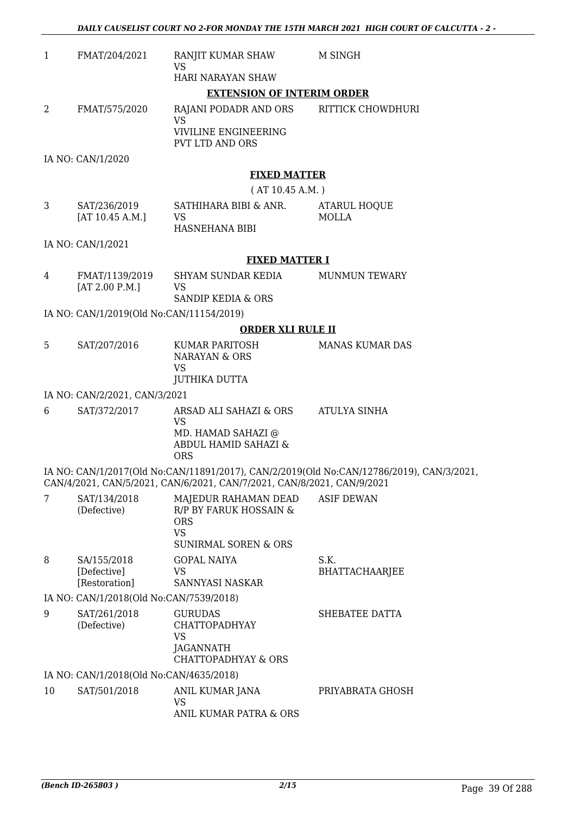*DAILY CAUSELIST COURT NO 2-FOR MONDAY THE 15TH MARCH 2021 HIGH COURT OF CALCUTTA - 2 -* 

| $\mathbf{1}$ | FMAT/204/2021                               | RANJIT KUMAR SHAW<br><b>VS</b>                                                                                          | M SINGH                                                                                  |  |
|--------------|---------------------------------------------|-------------------------------------------------------------------------------------------------------------------------|------------------------------------------------------------------------------------------|--|
|              |                                             | HARI NARAYAN SHAW                                                                                                       |                                                                                          |  |
|              |                                             | <b>EXTENSION OF INTERIM ORDER</b>                                                                                       |                                                                                          |  |
| 2            | FMAT/575/2020                               | RAJANI PODADR AND ORS<br><b>VS</b><br>VIVILINE ENGINEERING                                                              | RITTICK CHOWDHURI                                                                        |  |
|              |                                             | PVT LTD AND ORS                                                                                                         |                                                                                          |  |
|              | IA NO: CAN/1/2020                           |                                                                                                                         |                                                                                          |  |
|              |                                             | <b>FIXED MATTER</b>                                                                                                     |                                                                                          |  |
|              |                                             | (AT 10.45 A.M.)                                                                                                         |                                                                                          |  |
| 3            | SAT/236/2019<br>[AT 10.45 A.M.]             | SATHIHARA BIBI & ANR.<br><b>VS</b><br>HASNEHANA BIBI                                                                    | ATARUL HOQUE<br><b>MOLLA</b>                                                             |  |
|              | IA NO: CAN/1/2021                           |                                                                                                                         |                                                                                          |  |
|              |                                             | <b>FIXED MATTER I</b>                                                                                                   |                                                                                          |  |
| 4            | FMAT/1139/2019<br>[AT 2.00 P.M.]            | SHYAM SUNDAR KEDIA<br><b>VS</b>                                                                                         | <b>MUNMUN TEWARY</b>                                                                     |  |
|              |                                             | SANDIP KEDIA & ORS                                                                                                      |                                                                                          |  |
|              | IA NO: CAN/1/2019(Old No:CAN/11154/2019)    |                                                                                                                         |                                                                                          |  |
|              |                                             | <b>ORDER XLI RULE II</b>                                                                                                |                                                                                          |  |
| 5            | SAT/207/2016                                | KUMAR PARITOSH<br><b>NARAYAN &amp; ORS</b><br><b>VS</b>                                                                 | MANAS KUMAR DAS                                                                          |  |
|              |                                             | <b>JUTHIKA DUTTA</b>                                                                                                    |                                                                                          |  |
|              | IA NO: CAN/2/2021, CAN/3/2021               |                                                                                                                         |                                                                                          |  |
| 6            | SAT/372/2017                                | ARSAD ALI SAHAZI & ORS ATULYA SINHA<br><b>VS</b><br>MD. HAMAD SAHAZI @<br><b>ABDUL HAMID SAHAZI &amp;</b><br><b>ORS</b> |                                                                                          |  |
|              |                                             | CAN/4/2021, CAN/5/2021, CAN/6/2021, CAN/7/2021, CAN/8/2021, CAN/9/2021                                                  | IA NO: CAN/1/2017(Old No:CAN/11891/2017), CAN/2/2019(Old No:CAN/12786/2019), CAN/3/2021, |  |
| 7            | SAT/134/2018<br>(Defective)                 | MAJEDUR RAHAMAN DEAD<br>R/P BY FARUK HOSSAIN &<br><b>ORS</b><br><b>VS</b><br><b>SUNIRMAL SOREN &amp; ORS</b>            | <b>ASIF DEWAN</b>                                                                        |  |
| 8            | SA/155/2018<br>[Defective]<br>[Restoration] | <b>GOPAL NAIYA</b><br>VS<br>SANNYASI NASKAR                                                                             | S.K.<br>BHATTACHAARJEE                                                                   |  |
|              | IA NO: CAN/1/2018(Old No:CAN/7539/2018)     |                                                                                                                         |                                                                                          |  |
| 9            | SAT/261/2018                                | <b>GURUDAS</b>                                                                                                          | SHEBATEE DATTA                                                                           |  |
|              | (Defective)                                 | <b>CHATTOPADHYAY</b><br><b>VS</b><br><b>JAGANNATH</b><br><b>CHATTOPADHYAY &amp; ORS</b>                                 |                                                                                          |  |
|              | IA NO: CAN/1/2018(Old No:CAN/4635/2018)     |                                                                                                                         |                                                                                          |  |
| 10           | SAT/501/2018                                | ANIL KUMAR JANA                                                                                                         | PRIYABRATA GHOSH                                                                         |  |
|              |                                             | VS<br>ANIL KUMAR PATRA & ORS                                                                                            |                                                                                          |  |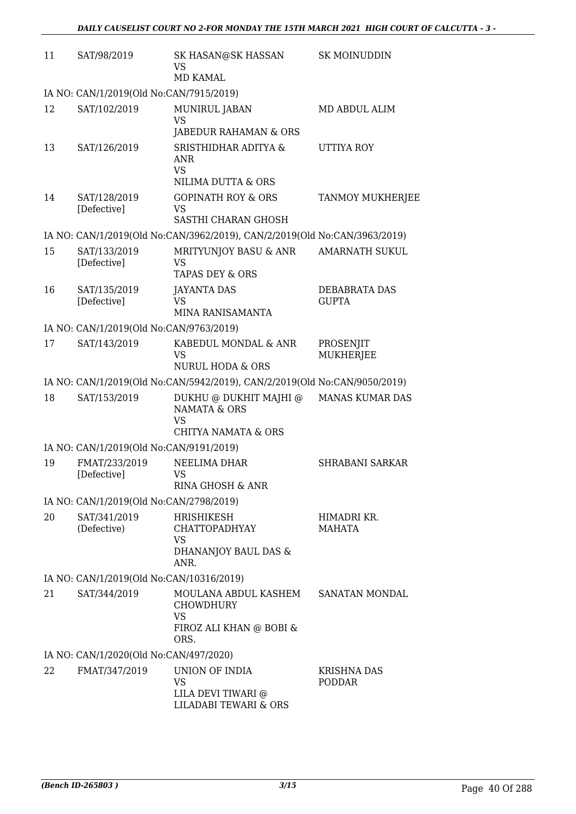| 11 | SAT/98/2019                              | SK HASAN@SK HASSAN<br><b>VS</b><br><b>MD KAMAL</b>                                               | <b>SK MOINUDDIN</b>                  |
|----|------------------------------------------|--------------------------------------------------------------------------------------------------|--------------------------------------|
|    | IA NO: CAN/1/2019(Old No:CAN/7915/2019)  |                                                                                                  |                                      |
| 12 | SAT/102/2019                             | MUNIRUL JABAN<br><b>VS</b>                                                                       | MD ABDUL ALIM                        |
| 13 | SAT/126/2019                             | JABEDUR RAHAMAN & ORS<br>SRISTHIDHAR ADITYA &<br>ANR<br><b>VS</b><br>NILIMA DUTTA & ORS          | UTTIYA ROY                           |
| 14 | SAT/128/2019<br>[Defective]              | <b>GOPINATH ROY &amp; ORS</b><br><b>VS</b><br>SASTHI CHARAN GHOSH                                | <b>TANMOY MUKHERJEE</b>              |
|    |                                          | IA NO: CAN/1/2019(Old No:CAN/3962/2019), CAN/2/2019(Old No:CAN/3963/2019)                        |                                      |
| 15 | SAT/133/2019<br>[Defective]              | MRITYUNJOY BASU & ANR<br>VS<br>TAPAS DEY & ORS                                                   | <b>AMARNATH SUKUL</b>                |
| 16 | SAT/135/2019<br>[Defective]              | <b>JAYANTA DAS</b><br><b>VS</b><br>MINA RANISAMANTA                                              | <b>DEBABRATA DAS</b><br><b>GUPTA</b> |
|    | IA NO: CAN/1/2019(Old No:CAN/9763/2019)  |                                                                                                  |                                      |
| 17 | SAT/143/2019                             | KABEDUL MONDAL & ANR<br>VS<br><b>NURUL HODA &amp; ORS</b>                                        | PROSENJIT<br><b>MUKHERJEE</b>        |
|    |                                          | IA NO: CAN/1/2019(Old No:CAN/5942/2019), CAN/2/2019(Old No:CAN/9050/2019)                        |                                      |
| 18 | SAT/153/2019                             | DUKHU @ DUKHIT MAJHI @<br><b>NAMATA &amp; ORS</b><br><b>VS</b><br><b>CHITYA NAMATA &amp; ORS</b> | <b>MANAS KUMAR DAS</b>               |
|    | IA NO: CAN/1/2019(Old No:CAN/9191/2019)  |                                                                                                  |                                      |
| 19 | FMAT/233/2019<br>[Defective]             | NEELIMA DHAR<br>VS<br>RINA GHOSH & ANR                                                           | <b>SHRABANI SARKAR</b>               |
|    | IA NO: CAN/1/2019(Old No:CAN/2798/2019)  |                                                                                                  |                                      |
| 20 | SAT/341/2019<br>(Defective)              | HRISHIKESH<br><b>CHATTOPADHYAY</b><br>VS<br>DHANANJOY BAUL DAS &<br>ANR.                         | HIMADRI KR.<br><b>MAHATA</b>         |
|    | IA NO: CAN/1/2019(Old No:CAN/10316/2019) |                                                                                                  |                                      |
| 21 | SAT/344/2019                             | MOULANA ABDUL KASHEM<br><b>CHOWDHURY</b><br>VS<br>FIROZ ALI KHAN @ BOBI &<br>ORS.                | SANATAN MONDAL                       |
|    | IA NO: CAN/1/2020(Old No:CAN/497/2020)   |                                                                                                  |                                      |
| 22 | FMAT/347/2019                            | UNION OF INDIA<br><b>VS</b><br>LILA DEVI TIWARI @<br><b>LILADABI TEWARI &amp; ORS</b>            | <b>KRISHNA DAS</b><br><b>PODDAR</b>  |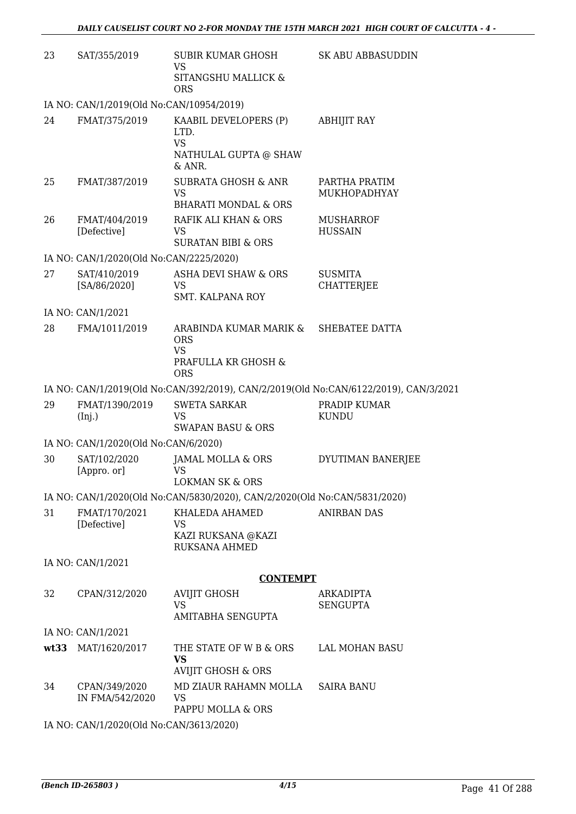| 23 | SAT/355/2019                             | SUBIR KUMAR GHOSH<br><b>VS</b><br>SITANGSHU MALLICK &<br><b>ORS</b>                      | <b>SK ABU ABBASUDDIN</b>                                                             |
|----|------------------------------------------|------------------------------------------------------------------------------------------|--------------------------------------------------------------------------------------|
|    | IA NO: CAN/1/2019(Old No:CAN/10954/2019) |                                                                                          |                                                                                      |
| 24 | FMAT/375/2019                            | KAABIL DEVELOPERS (P)<br>LTD.<br><b>VS</b><br>NATHULAL GUPTA @ SHAW<br>& ANR.            | <b>ABHIJIT RAY</b>                                                                   |
| 25 | FMAT/387/2019                            | <b>SUBRATA GHOSH &amp; ANR</b><br><b>VS</b><br><b>BHARATI MONDAL &amp; ORS</b>           | PARTHA PRATIM<br>MUKHOPADHYAY                                                        |
| 26 | FMAT/404/2019<br>[Defective]             | RAFIK ALI KHAN & ORS<br><b>VS</b><br><b>SURATAN BIBI &amp; ORS</b>                       | <b>MUSHARROF</b><br><b>HUSSAIN</b>                                                   |
|    | IA NO: CAN/1/2020(Old No:CAN/2225/2020)  |                                                                                          |                                                                                      |
| 27 | SAT/410/2019<br>[SA/86/2020]             | <b>ASHA DEVI SHAW &amp; ORS</b><br><b>VS</b><br><b>SMT. KALPANA ROY</b>                  | <b>SUSMITA</b><br><b>CHATTERJEE</b>                                                  |
|    | IA NO: CAN/1/2021                        |                                                                                          |                                                                                      |
| 28 | FMA/1011/2019                            | ARABINDA KUMAR MARIK &<br><b>ORS</b><br><b>VS</b><br>PRAFULLA KR GHOSH &<br><b>ORS</b>   | SHEBATEE DATTA                                                                       |
|    |                                          |                                                                                          | IA NO: CAN/1/2019(Old No:CAN/392/2019), CAN/2/2019(Old No:CAN/6122/2019), CAN/3/2021 |
| 29 | FMAT/1390/2019<br>(Inj.)                 | <b>SWETA SARKAR</b><br><b>VS</b><br><b>SWAPAN BASU &amp; ORS</b>                         | PRADIP KUMAR<br><b>KUNDU</b>                                                         |
|    | IA NO: CAN/1/2020(Old No:CAN/6/2020)     |                                                                                          |                                                                                      |
| 30 | SAT/102/2020<br>[Appro. or]              | JAMAL MOLLA & ORS<br><b>VS</b><br><b>LOKMAN SK &amp; ORS</b>                             | DYUTIMAN BANERJEE                                                                    |
|    |                                          | IA NO: CAN/1/2020(Old No:CAN/5830/2020), CAN/2/2020(Old No:CAN/5831/2020)                |                                                                                      |
| 31 | FMAT/170/2021<br>[Defective]             | KHALEDA AHAMED<br>VS<br>KAZI RUKSANA @KAZI<br>RUKSANA AHMED                              | <b>ANIRBAN DAS</b>                                                                   |
|    | IA NO: CAN/1/2021                        |                                                                                          |                                                                                      |
|    |                                          | <b>CONTEMPT</b>                                                                          |                                                                                      |
| 32 | CPAN/312/2020                            | <b>AVIJIT GHOSH</b><br><b>VS</b><br>AMITABHA SENGUPTA                                    | ARKADIPTA<br><b>SENGUPTA</b>                                                         |
|    | IA NO: CAN/1/2021                        |                                                                                          |                                                                                      |
|    | wt33 MAT/1620/2017                       | THE STATE OF W B & ORS<br><b>VS</b>                                                      | LAL MOHAN BASU                                                                       |
| 34 | CPAN/349/2020<br>IN FMA/542/2020         | <b>AVIJIT GHOSH &amp; ORS</b><br>MD ZIAUR RAHAMN MOLLA<br><b>VS</b><br>PAPPU MOLLA & ORS | <b>SAIRA BANU</b>                                                                    |

IA NO: CAN/1/2020(Old No:CAN/3613/2020)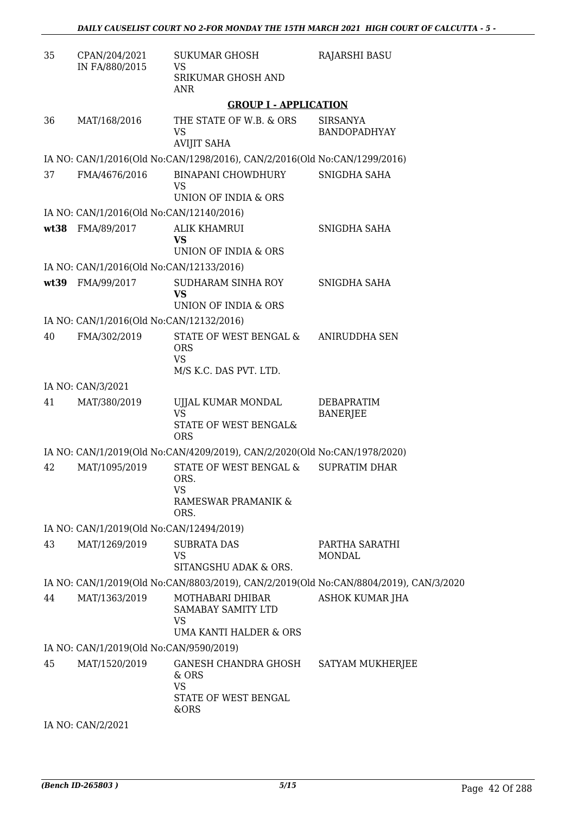| 35   | CPAN/204/2021<br>IN FA/880/2015          | <b>SUKUMAR GHOSH</b><br><b>VS</b>                                           | <b>RAJARSHI BASU</b>                                                                  |
|------|------------------------------------------|-----------------------------------------------------------------------------|---------------------------------------------------------------------------------------|
|      |                                          | SRIKUMAR GHOSH AND<br><b>ANR</b>                                            |                                                                                       |
|      |                                          | <b>GROUP I - APPLICATION</b>                                                |                                                                                       |
| 36   | MAT/168/2016                             | THE STATE OF W.B. & ORS<br><b>VS</b><br><b>AVIJIT SAHA</b>                  | <b>SIRSANYA</b><br>BANDOPADHYAY                                                       |
|      |                                          | IA NO: CAN/1/2016(Old No:CAN/1298/2016), CAN/2/2016(Old No:CAN/1299/2016)   |                                                                                       |
| 37   | FMA/4676/2016                            | <b>BINAPANI CHOWDHURY</b><br>VS<br>UNION OF INDIA & ORS                     | SNIGDHA SAHA                                                                          |
|      | IA NO: CAN/1/2016(Old No:CAN/12140/2016) |                                                                             |                                                                                       |
| wt38 | FMA/89/2017                              | <b>ALIK KHAMRUI</b><br><b>VS</b><br>UNION OF INDIA & ORS                    | SNIGDHA SAHA                                                                          |
|      | IA NO: CAN/1/2016(Old No:CAN/12133/2016) |                                                                             |                                                                                       |
|      | wt39 FMA/99/2017                         | SUDHARAM SINHA ROY<br><b>VS</b><br>UNION OF INDIA & ORS                     | SNIGDHA SAHA                                                                          |
|      | IA NO: CAN/1/2016(Old No:CAN/12132/2016) |                                                                             |                                                                                       |
| 40   | FMA/302/2019                             | STATE OF WEST BENGAL &<br><b>ORS</b><br><b>VS</b><br>M/S K.C. DAS PVT. LTD. | ANIRUDDHA SEN                                                                         |
|      | IA NO: CAN/3/2021                        |                                                                             |                                                                                       |
| 41   | MAT/380/2019                             | UJJAL KUMAR MONDAL<br>VS<br>STATE OF WEST BENGAL&                           | DEBAPRATIM<br><b>BANERJEE</b>                                                         |
|      |                                          | <b>ORS</b>                                                                  |                                                                                       |
|      |                                          | IA NO: CAN/1/2019(Old No:CAN/4209/2019), CAN/2/2020(Old No:CAN/1978/2020)   |                                                                                       |
| 42   | MAT/1095/2019                            | STATE OF WEST BENGAL &<br>ORS.<br><b>VS</b><br>RAMESWAR PRAMANIK &<br>ORS.  | <b>SUPRATIM DHAR</b>                                                                  |
|      | IA NO: CAN/1/2019(Old No:CAN/12494/2019) |                                                                             |                                                                                       |
| 43   | MAT/1269/2019                            | <b>SUBRATA DAS</b><br><b>VS</b><br>SITANGSHU ADAK & ORS.                    | PARTHA SARATHI<br><b>MONDAL</b>                                                       |
|      |                                          |                                                                             | IA NO: CAN/1/2019(Old No:CAN/8803/2019), CAN/2/2019(Old No:CAN/8804/2019), CAN/3/2020 |
| 44   | MAT/1363/2019                            | MOTHABARI DHIBAR<br>SAMABAY SAMITY LTD<br>VS<br>UMA KANTI HALDER & ORS      | ASHOK KUMAR JHA                                                                       |
|      | IA NO: CAN/1/2019(Old No:CAN/9590/2019)  |                                                                             |                                                                                       |
| 45   | MAT/1520/2019                            | GANESH CHANDRA GHOSH<br>& ORS<br><b>VS</b><br>STATE OF WEST BENGAL<br>&ORS  | SATYAM MUKHERJEE                                                                      |
|      | IA NO: CAN/2/2021                        |                                                                             |                                                                                       |
|      |                                          |                                                                             |                                                                                       |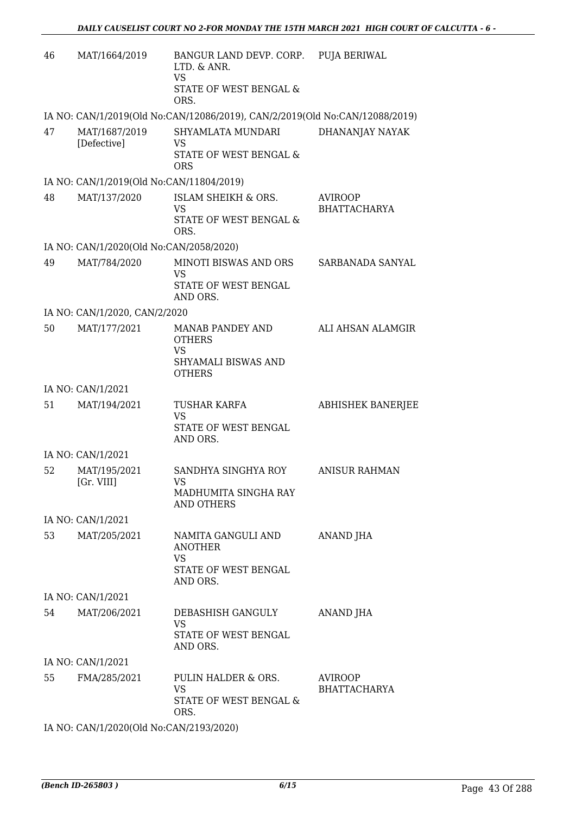| 46   | MAT/1664/2019                                 | BANGUR LAND DEVP. CORP. PUJA BERIWAL<br>LTD. & ANR.<br><b>VS</b><br>STATE OF WEST BENGAL &<br>ORS. |                                       |
|------|-----------------------------------------------|----------------------------------------------------------------------------------------------------|---------------------------------------|
|      |                                               | IA NO: CAN/1/2019(Old No:CAN/12086/2019), CAN/2/2019(Old No:CAN/12088/2019)                        |                                       |
| 47   | MAT/1687/2019<br>[Defective]                  | SHYAMLATA MUNDARI<br>VS<br>STATE OF WEST BENGAL &<br><b>ORS</b>                                    | DHANANJAY NAYAK                       |
|      | IA NO: CAN/1/2019(Old No:CAN/11804/2019)      |                                                                                                    |                                       |
| 48   | MAT/137/2020                                  | <b>ISLAM SHEIKH &amp; ORS.</b><br><b>VS</b><br>STATE OF WEST BENGAL &<br>ORS.                      | <b>AVIROOP</b><br><b>BHATTACHARYA</b> |
|      | IA NO: CAN/1/2020(Old No:CAN/2058/2020)       |                                                                                                    |                                       |
| 49   | MAT/784/2020                                  | MINOTI BISWAS AND ORS<br><b>VS</b><br>STATE OF WEST BENGAL                                         | SARBANADA SANYAL                      |
|      |                                               | AND ORS.                                                                                           |                                       |
| 50   | IA NO: CAN/1/2020, CAN/2/2020<br>MAT/177/2021 | <b>MANAB PANDEY AND</b>                                                                            | ALI AHSAN ALAMGIR                     |
|      |                                               | <b>OTHERS</b><br><b>VS</b><br>SHYAMALI BISWAS AND<br><b>OTHERS</b>                                 |                                       |
|      | IA NO: CAN/1/2021                             |                                                                                                    |                                       |
| 51   | MAT/194/2021                                  | <b>TUSHAR KARFA</b><br><b>VS</b><br>STATE OF WEST BENGAL<br>AND ORS.                               | <b>ABHISHEK BANERJEE</b>              |
|      | IA NO: CAN/1/2021                             |                                                                                                    |                                       |
| 52   | MAT/195/2021<br>[Gr. VIII]                    | SANDHYA SINGHYA ROY<br>VS.<br>MADHUMITA SINGHA RAY<br>AND OTHERS                                   | <b>ANISUR RAHMAN</b>                  |
|      | IA NO: CAN/1/2021                             |                                                                                                    |                                       |
| 53   | MAT/205/2021                                  | NAMITA GANGULI AND<br><b>ANOTHER</b><br><b>VS</b><br>STATE OF WEST BENGAL<br>AND ORS.              | ANAND JHA                             |
|      | IA NO: CAN/1/2021                             |                                                                                                    |                                       |
| 54 — | MAT/206/2021                                  | DEBASHISH GANGULY<br>VS<br>STATE OF WEST BENGAL<br>AND ORS.                                        | ANAND JHA                             |
|      | IA NO: CAN/1/2021                             |                                                                                                    |                                       |
| 55   | FMA/285/2021                                  | PULIN HALDER & ORS.<br><b>VS</b><br>STATE OF WEST BENGAL &<br>ORS.                                 | AVIROOP<br><b>BHATTACHARYA</b>        |

IA NO: CAN/1/2020(Old No:CAN/2193/2020)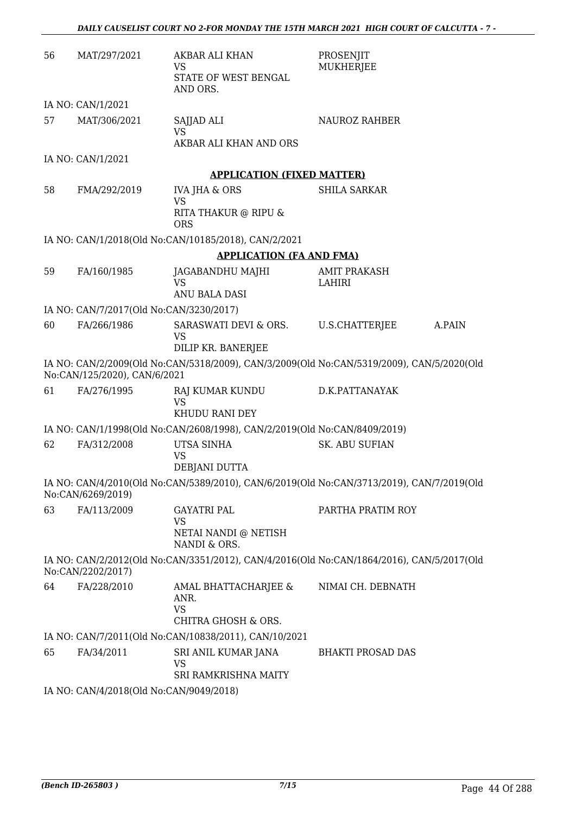| 56 | MAT/297/2021                            | AKBAR ALI KHAN<br>VS                                                      | PROSENJIT<br><b>MUKHERJEE</b>                                                             |
|----|-----------------------------------------|---------------------------------------------------------------------------|-------------------------------------------------------------------------------------------|
|    |                                         | STATE OF WEST BENGAL<br>AND ORS.                                          |                                                                                           |
|    | IA NO: CAN/1/2021                       |                                                                           |                                                                                           |
| 57 | MAT/306/2021                            | SAJJAD ALI<br><b>VS</b>                                                   | <b>NAUROZ RAHBER</b>                                                                      |
|    |                                         | AKBAR ALI KHAN AND ORS                                                    |                                                                                           |
|    | IA NO: CAN/1/2021                       | <b>APPLICATION (FIXED MATTER)</b>                                         |                                                                                           |
| 58 | FMA/292/2019                            | <b>IVA JHA &amp; ORS</b>                                                  | <b>SHILA SARKAR</b>                                                                       |
|    |                                         | <b>VS</b><br>RITA THAKUR @ RIPU &<br><b>ORS</b>                           |                                                                                           |
|    |                                         | IA NO: CAN/1/2018(Old No:CAN/10185/2018), CAN/2/2021                      |                                                                                           |
|    |                                         | <b>APPLICATION (FA AND FMA)</b>                                           |                                                                                           |
| 59 | FA/160/1985                             | JAGABANDHU MAJHI                                                          | <b>AMIT PRAKASH</b>                                                                       |
|    |                                         | <b>VS</b><br>ANU BALA DASI                                                | LAHIRI                                                                                    |
|    | IA NO: CAN/7/2017(Old No:CAN/3230/2017) |                                                                           |                                                                                           |
| 60 | FA/266/1986                             | SARASWATI DEVI & ORS.<br><b>VS</b>                                        | U.S.CHATTERJEE<br>A.PAIN                                                                  |
|    |                                         | DILIP KR. BANERJEE                                                        |                                                                                           |
|    | No:CAN/125/2020), CAN/6/2021            |                                                                           | IA NO: CAN/2/2009(Old No:CAN/5318/2009), CAN/3/2009(Old No:CAN/5319/2009), CAN/5/2020(Old |
| 61 | FA/276/1995                             | RAJ KUMAR KUNDU<br>VS<br>KHUDU RANI DEY                                   | D.K.PATTANAYAK                                                                            |
|    |                                         | IA NO: CAN/1/1998(Old No:CAN/2608/1998), CAN/2/2019(Old No:CAN/8409/2019) |                                                                                           |
| 62 | FA/312/2008                             | UTSA SINHA<br><b>VS</b><br>DEBJANI DUTTA                                  | <b>SK. ABU SUFIAN</b>                                                                     |
|    | No:CAN/6269/2019)                       |                                                                           | IA NO: CAN/4/2010(Old No:CAN/5389/2010), CAN/6/2019(Old No:CAN/3713/2019), CAN/7/2019(Old |
| 63 | FA/113/2009                             | <b>GAYATRI PAL</b><br><b>VS</b>                                           | PARTHA PRATIM ROY                                                                         |
|    |                                         | NETAI NANDI @ NETISH<br>NANDI & ORS.                                      |                                                                                           |
|    | No:CAN/2202/2017)                       |                                                                           | IA NO: CAN/2/2012(Old No:CAN/3351/2012), CAN/4/2016(Old No:CAN/1864/2016), CAN/5/2017(Old |
| 64 | FA/228/2010                             | AMAL BHATTACHARJEE &<br>ANR.<br><b>VS</b><br>CHITRA GHOSH & ORS.          | NIMAI CH. DEBNATH                                                                         |
|    |                                         | IA NO: CAN/7/2011(Old No:CAN/10838/2011), CAN/10/2021                     |                                                                                           |
| 65 | FA/34/2011                              | SRI ANIL KUMAR JANA<br><b>VS</b><br>SRI RAMKRISHNA MAITY                  | <b>BHAKTI PROSAD DAS</b>                                                                  |
|    | IA NO: CAN/4/2018(Old No:CAN/9049/2018) |                                                                           |                                                                                           |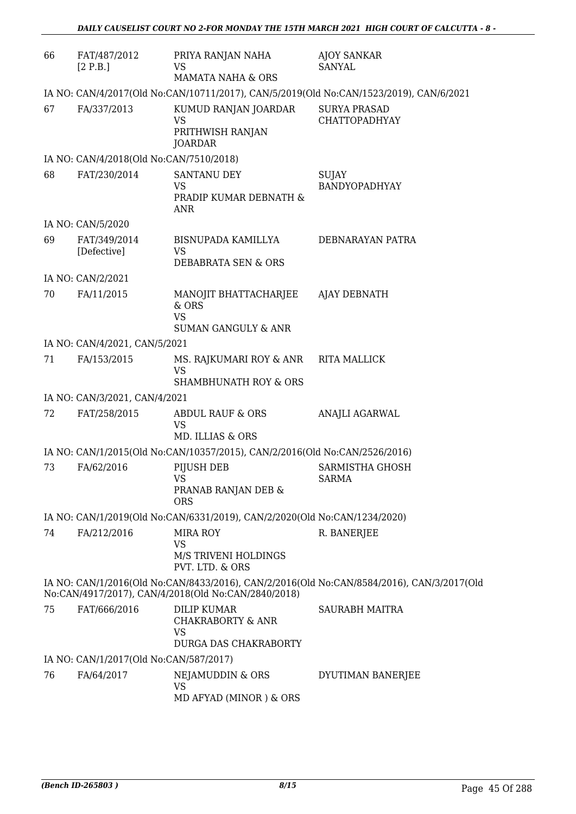| 66 | FAT/487/2012<br>[2 P.B.]                | PRIYA RANJAN NAHA<br>VS<br><b>MAMATA NAHA &amp; ORS</b>                                  | <b>AJOY SANKAR</b><br><b>SANYAL</b>                                                       |
|----|-----------------------------------------|------------------------------------------------------------------------------------------|-------------------------------------------------------------------------------------------|
|    |                                         |                                                                                          | IA NO: CAN/4/2017(Old No:CAN/10711/2017), CAN/5/2019(Old No:CAN/1523/2019), CAN/6/2021    |
| 67 | FA/337/2013                             | KUMUD RANJAN JOARDAR<br>VS<br>PRITHWISH RANJAN<br><b>JOARDAR</b>                         | <b>SURYA PRASAD</b><br><b>CHATTOPADHYAY</b>                                               |
|    | IA NO: CAN/4/2018(Old No:CAN/7510/2018) |                                                                                          |                                                                                           |
| 68 | FAT/230/2014                            | <b>SANTANU DEY</b><br><b>VS</b><br>PRADIP KUMAR DEBNATH &<br>ANR                         | <b>SUJAY</b><br>BANDYOPADHYAY                                                             |
|    | IA NO: CAN/5/2020                       |                                                                                          |                                                                                           |
| 69 | FAT/349/2014<br>[Defective]             | BISNUPADA KAMILLYA<br><b>VS</b><br>DEBABRATA SEN & ORS                                   | DEBNARAYAN PATRA                                                                          |
|    | IA NO: CAN/2/2021                       |                                                                                          |                                                                                           |
| 70 | FA/11/2015                              | MANOJIT BHATTACHARJEE<br>& ORS<br><b>VS</b><br><b>SUMAN GANGULY &amp; ANR</b>            | <b>AJAY DEBNATH</b>                                                                       |
|    | IA NO: CAN/4/2021, CAN/5/2021           |                                                                                          |                                                                                           |
| 71 | FA/153/2015                             | MS. RAJKUMARI ROY & ANR<br><b>VS</b><br><b>SHAMBHUNATH ROY &amp; ORS</b>                 | RITA MALLICK                                                                              |
|    | IA NO: CAN/3/2021, CAN/4/2021           |                                                                                          |                                                                                           |
| 72 | FAT/258/2015                            | <b>ABDUL RAUF &amp; ORS</b><br><b>VS</b><br>MD. ILLIAS & ORS                             | ANAJLI AGARWAL                                                                            |
|    |                                         | IA NO: CAN/1/2015(Old No:CAN/10357/2015), CAN/2/2016(Old No:CAN/2526/2016)               |                                                                                           |
| 73 | FA/62/2016                              | PIJUSH DEB<br>VS<br>PRANAB RANJAN DEB &<br><b>ORS</b>                                    | SARMISTHA GHOSH<br>SARMA                                                                  |
|    |                                         | IA NO: CAN/1/2019(Old No:CAN/6331/2019), CAN/2/2020(Old No:CAN/1234/2020)                |                                                                                           |
| 74 | FA/212/2016                             | <b>MIRA ROY</b><br>VS<br>M/S TRIVENI HOLDINGS<br>PVT. LTD. & ORS                         | R. BANERJEE                                                                               |
|    |                                         | No:CAN/4917/2017), CAN/4/2018(Old No:CAN/2840/2018)                                      | IA NO: CAN/1/2016(Old No:CAN/8433/2016), CAN/2/2016(Old No:CAN/8584/2016), CAN/3/2017(Old |
| 75 | FAT/666/2016                            | <b>DILIP KUMAR</b><br><b>CHAKRABORTY &amp; ANR</b><br><b>VS</b><br>DURGA DAS CHAKRABORTY | SAURABH MAITRA                                                                            |
|    | IA NO: CAN/1/2017(Old No:CAN/587/2017)  |                                                                                          |                                                                                           |
| 76 | FA/64/2017                              | NEJAMUDDIN & ORS<br><b>VS</b><br>MD AFYAD (MINOR) & ORS                                  | DYUTIMAN BANERJEE                                                                         |
|    |                                         |                                                                                          |                                                                                           |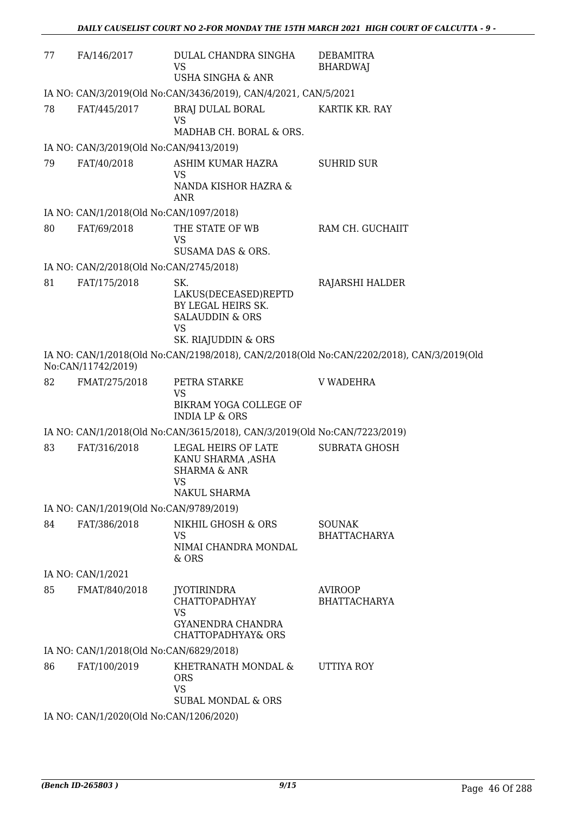| 77 | FA/146/2017                                                     | DULAL CHANDRA SINGHA<br>VS<br><b>USHA SINGHA &amp; ANR</b>                                                | <b>DEBAMITRA</b><br><b>BHARDWAJ</b>                                                       |  |  |
|----|-----------------------------------------------------------------|-----------------------------------------------------------------------------------------------------------|-------------------------------------------------------------------------------------------|--|--|
|    | IA NO: CAN/3/2019(Old No:CAN/3436/2019), CAN/4/2021, CAN/5/2021 |                                                                                                           |                                                                                           |  |  |
| 78 | FAT/445/2017                                                    | BRAJ DULAL BORAL<br><b>VS</b>                                                                             | KARTIK KR. RAY                                                                            |  |  |
|    |                                                                 | MADHAB CH. BORAL & ORS.                                                                                   |                                                                                           |  |  |
|    | IA NO: CAN/3/2019(Old No:CAN/9413/2019)                         |                                                                                                           |                                                                                           |  |  |
| 79 | FAT/40/2018                                                     | ASHIM KUMAR HAZRA<br><b>VS</b><br>NANDA KISHOR HAZRA &<br><b>ANR</b>                                      | <b>SUHRID SUR</b>                                                                         |  |  |
|    | IA NO: CAN/1/2018(Old No:CAN/1097/2018)                         |                                                                                                           |                                                                                           |  |  |
| 80 | FAT/69/2018                                                     | THE STATE OF WB<br>VS<br>SUSAMA DAS & ORS.                                                                | RAM CH. GUCHAIIT                                                                          |  |  |
|    | IA NO: CAN/2/2018(Old No:CAN/2745/2018)                         |                                                                                                           |                                                                                           |  |  |
| 81 | FAT/175/2018                                                    | SK.                                                                                                       | RAJARSHI HALDER                                                                           |  |  |
|    |                                                                 | LAKUS(DECEASED)REPTD<br>BY LEGAL HEIRS SK.<br><b>SALAUDDIN &amp; ORS</b><br><b>VS</b>                     |                                                                                           |  |  |
|    |                                                                 | SK. RIAJUDDIN & ORS                                                                                       |                                                                                           |  |  |
|    | No:CAN/11742/2019)                                              |                                                                                                           | IA NO: CAN/1/2018(Old No:CAN/2198/2018), CAN/2/2018(Old No:CAN/2202/2018), CAN/3/2019(Old |  |  |
| 82 | FMAT/275/2018                                                   | PETRA STARKE<br>VS<br>BIKRAM YOGA COLLEGE OF                                                              | <b>V WADEHRA</b>                                                                          |  |  |
|    |                                                                 | <b>INDIA LP &amp; ORS</b>                                                                                 |                                                                                           |  |  |
|    |                                                                 | IA NO: CAN/1/2018(Old No:CAN/3615/2018), CAN/3/2019(Old No:CAN/7223/2019)                                 |                                                                                           |  |  |
| 83 | FAT/316/2018                                                    | LEGAL HEIRS OF LATE<br>KANU SHARMA ,ASHA<br><b>SHARMA &amp; ANR</b><br><b>VS</b>                          | <b>SUBRATA GHOSH</b>                                                                      |  |  |
|    |                                                                 | NAKUL SHARMA                                                                                              |                                                                                           |  |  |
|    | IA NO: CAN/1/2019(Old No:CAN/9789/2019)                         |                                                                                                           |                                                                                           |  |  |
| 84 | FAT/386/2018                                                    | NIKHIL GHOSH & ORS<br>VS                                                                                  | <b>SOUNAK</b><br><b>BHATTACHARYA</b>                                                      |  |  |
|    |                                                                 | NIMAI CHANDRA MONDAL<br>$&$ ORS                                                                           |                                                                                           |  |  |
|    | IA NO: CAN/1/2021                                               |                                                                                                           |                                                                                           |  |  |
| 85 | FMAT/840/2018                                                   | <b>JYOTIRINDRA</b><br><b>CHATTOPADHYAY</b><br><b>VS</b><br><b>GYANENDRA CHANDRA</b><br>CHATTOPADHYAY& ORS | <b>AVIROOP</b><br><b>BHATTACHARYA</b>                                                     |  |  |
|    | IA NO: CAN/1/2018(Old No:CAN/6829/2018)                         |                                                                                                           |                                                                                           |  |  |
| 86 | FAT/100/2019                                                    | KHETRANATH MONDAL &<br><b>ORS</b><br><b>VS</b><br><b>SUBAL MONDAL &amp; ORS</b>                           | UTTIYA ROY                                                                                |  |  |
|    | IA NO: CAN/1/2020(Old No:CAN/1206/2020)                         |                                                                                                           |                                                                                           |  |  |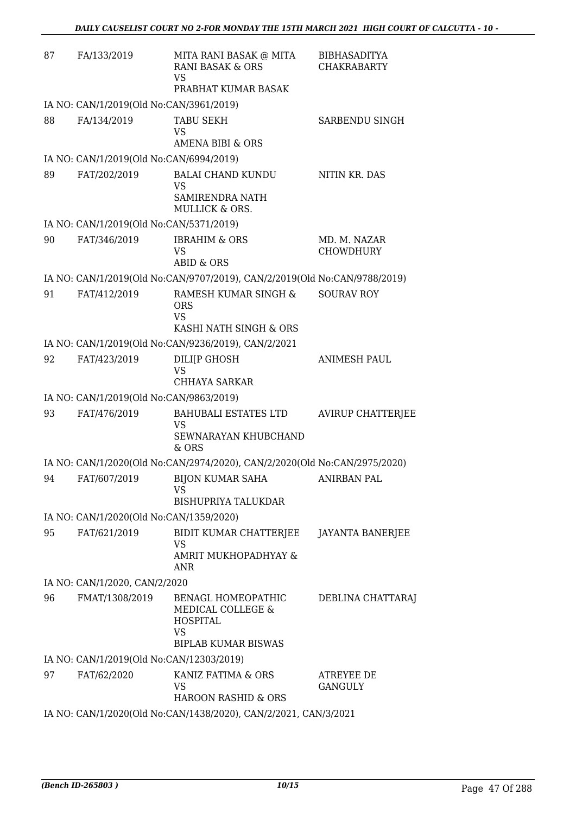| 87 | FA/133/2019                              | MITA RANI BASAK @ MITA<br><b>RANI BASAK &amp; ORS</b><br>VS<br>PRABHAT KUMAR BASAK | <b>BIBHASADITYA</b><br><b>CHAKRABARTY</b> |
|----|------------------------------------------|------------------------------------------------------------------------------------|-------------------------------------------|
|    | IA NO: CAN/1/2019(Old No:CAN/3961/2019)  |                                                                                    |                                           |
| 88 | FA/134/2019                              | <b>TABU SEKH</b><br><b>VS</b><br><b>AMENA BIBI &amp; ORS</b>                       | SARBENDU SINGH                            |
|    | IA NO: CAN/1/2019(Old No:CAN/6994/2019)  |                                                                                    |                                           |
| 89 | FAT/202/2019                             | <b>BALAI CHAND KUNDU</b><br><b>VS</b>                                              | NITIN KR. DAS                             |
|    |                                          | SAMIRENDRA NATH<br><b>MULLICK &amp; ORS.</b>                                       |                                           |
|    | IA NO: CAN/1/2019(Old No:CAN/5371/2019)  |                                                                                    |                                           |
| 90 | FAT/346/2019                             | <b>IBRAHIM &amp; ORS</b><br><b>VS</b><br><b>ABID &amp; ORS</b>                     | MD. M. NAZAR<br><b>CHOWDHURY</b>          |
|    |                                          | IA NO: CAN/1/2019(Old No:CAN/9707/2019), CAN/2/2019(Old No:CAN/9788/2019)          |                                           |
| 91 | FAT/412/2019                             | RAMESH KUMAR SINGH &<br><b>ORS</b><br><b>VS</b><br>KASHI NATH SINGH & ORS          | <b>SOURAV ROY</b>                         |
|    |                                          | IA NO: CAN/1/2019(Old No:CAN/9236/2019), CAN/2/2021                                |                                           |
| 92 | FAT/423/2019                             | DILI[P GHOSH<br><b>VS</b>                                                          | <b>ANIMESH PAUL</b>                       |
|    |                                          | CHHAYA SARKAR                                                                      |                                           |
|    | IA NO: CAN/1/2019(Old No:CAN/9863/2019)  |                                                                                    |                                           |
| 93 | FAT/476/2019                             | BAHUBALI ESTATES LTD<br>VS<br>SEWNARAYAN KHUBCHAND                                 | <b>AVIRUP CHATTERJEE</b>                  |
|    |                                          | $&$ ORS                                                                            |                                           |
|    |                                          | IA NO: CAN/1/2020(Old No:CAN/2974/2020), CAN/2/2020(Old No:CAN/2975/2020)          |                                           |
|    |                                          | 94 FAT/607/2019 BIJON KUMAR SAHA<br>VS<br><b>BISHUPRIYA TALUKDAR</b>               | <b>ANIRBAN PAL</b>                        |
|    | IA NO: CAN/1/2020(Old No:CAN/1359/2020)  |                                                                                    |                                           |
| 95 | FAT/621/2019                             | BIDIT KUMAR CHATTERJEE JAYANTA BANERJEE<br><b>VS</b><br>AMRIT MUKHOPADHYAY &       |                                           |
|    | IA NO: CAN/1/2020, CAN/2/2020            | ANR                                                                                |                                           |
| 96 | FMAT/1308/2019                           | BENAGL HOMEOPATHIC                                                                 | DEBLINA CHATTARAJ                         |
|    |                                          | MEDICAL COLLEGE &<br><b>HOSPITAL</b><br><b>VS</b><br><b>BIPLAB KUMAR BISWAS</b>    |                                           |
|    | IA NO: CAN/1/2019(Old No:CAN/12303/2019) |                                                                                    |                                           |
| 97 | FAT/62/2020                              | KANIZ FATIMA & ORS<br><b>VS</b><br>HAROON RASHID & ORS                             | <b>ATREYEE DE</b><br><b>GANGULY</b>       |
|    |                                          | IA NO: CAN/1/2020(Old No:CAN/1438/2020), CAN/2/2021, CAN/3/2021                    |                                           |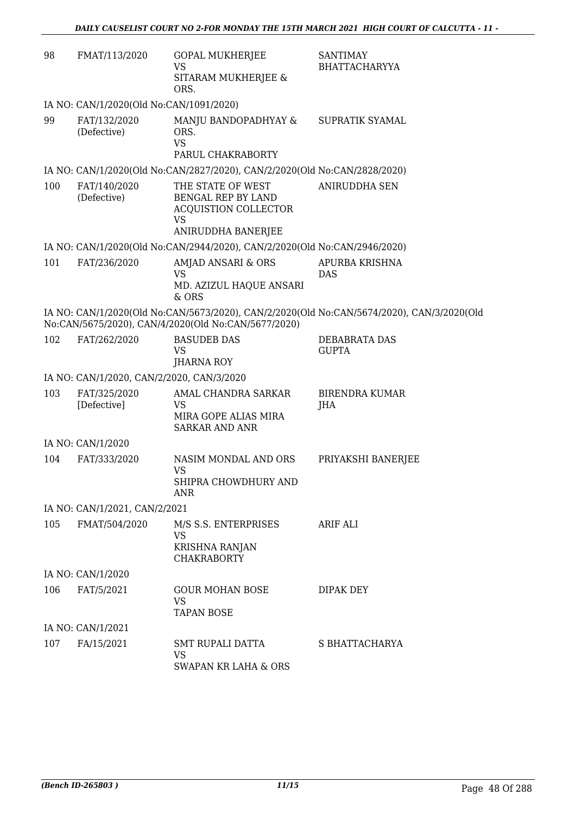| 98  | FMAT/113/2020                             | <b>GOPAL MUKHERJEE</b><br>VS                                                                       | <b>SANTIMAY</b><br><b>BHATTACHARYYA</b>                                                   |
|-----|-------------------------------------------|----------------------------------------------------------------------------------------------------|-------------------------------------------------------------------------------------------|
|     |                                           | SITARAM MUKHERJEE &<br>ORS.                                                                        |                                                                                           |
|     | IA NO: CAN/1/2020(Old No:CAN/1091/2020)   |                                                                                                    |                                                                                           |
| 99  | FAT/132/2020<br>(Defective)               | MANJU BANDOPADHYAY &<br>ORS.<br><b>VS</b><br>PARUL CHAKRABORTY                                     | SUPRATIK SYAMAL                                                                           |
|     |                                           |                                                                                                    |                                                                                           |
| 100 |                                           | IA NO: CAN/1/2020(Old No:CAN/2827/2020), CAN/2/2020(Old No:CAN/2828/2020)                          | <b>ANIRUDDHA SEN</b>                                                                      |
|     | FAT/140/2020<br>(Defective)               | THE STATE OF WEST<br>BENGAL REP BY LAND<br>ACQUISTION COLLECTOR<br><b>VS</b><br>ANIRUDDHA BANERJEE |                                                                                           |
|     |                                           | IA NO: CAN/1/2020(Old No:CAN/2944/2020), CAN/2/2020(Old No:CAN/2946/2020)                          |                                                                                           |
| 101 | FAT/236/2020                              | AMJAD ANSARI & ORS<br><b>VS</b>                                                                    | APURBA KRISHNA<br><b>DAS</b>                                                              |
|     |                                           | MD. AZIZUL HAQUE ANSARI<br>& ORS                                                                   |                                                                                           |
|     |                                           | No:CAN/5675/2020), CAN/4/2020(Old No:CAN/5677/2020)                                                | IA NO: CAN/1/2020(Old No:CAN/5673/2020), CAN/2/2020(Old No:CAN/5674/2020), CAN/3/2020(Old |
| 102 | FAT/262/2020                              | <b>BASUDEB DAS</b><br><b>VS</b><br><b>JHARNA ROY</b>                                               | DEBABRATA DAS<br><b>GUPTA</b>                                                             |
|     | IA NO: CAN/1/2020, CAN/2/2020, CAN/3/2020 |                                                                                                    |                                                                                           |
| 103 | FAT/325/2020<br>[Defective]               | AMAL CHANDRA SARKAR<br><b>VS</b>                                                                   | <b>BIRENDRA KUMAR</b><br>JHA                                                              |
|     |                                           | MIRA GOPE ALIAS MIRA<br><b>SARKAR AND ANR</b>                                                      |                                                                                           |
|     | IA NO: CAN/1/2020                         |                                                                                                    |                                                                                           |
| 104 | FAT/333/2020                              | NASIM MONDAL AND ORS<br><b>VS</b>                                                                  | PRIYAKSHI BANERJEE                                                                        |
|     |                                           | SHIPRA CHOWDHURY AND<br><b>ANR</b>                                                                 |                                                                                           |
|     | IA NO: CAN/1/2021, CAN/2/2021             |                                                                                                    |                                                                                           |
| 105 | FMAT/504/2020                             | M/S S.S. ENTERPRISES<br><b>VS</b>                                                                  | ARIF ALI                                                                                  |
|     |                                           | <b>KRISHNA RANJAN</b><br><b>CHAKRABORTY</b>                                                        |                                                                                           |
|     | IA NO: CAN/1/2020                         |                                                                                                    |                                                                                           |
| 106 | FAT/5/2021                                | <b>GOUR MOHAN BOSE</b><br>VS<br><b>TAPAN BOSE</b>                                                  | <b>DIPAK DEY</b>                                                                          |
|     | IA NO: CAN/1/2021                         |                                                                                                    |                                                                                           |
| 107 | FA/15/2021                                | <b>SMT RUPALI DATTA</b><br><b>VS</b>                                                               | S BHATTACHARYA                                                                            |
|     |                                           | SWAPAN KR LAHA & ORS                                                                               |                                                                                           |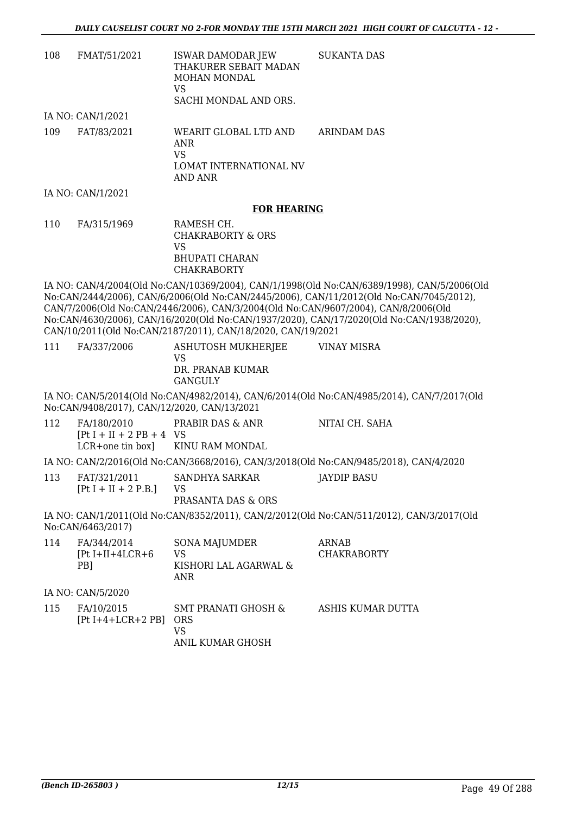| 108 | FMAT/51/2021      | ISWAR DAMODAR JEW<br>THAKURER SEBAIT MADAN<br>MOHAN MONDAL<br>VS<br>SACHI MONDAL AND ORS. | SUKANTA DAS |
|-----|-------------------|-------------------------------------------------------------------------------------------|-------------|
|     | IA NO: CAN/1/2021 |                                                                                           |             |
| 109 | FAT/83/2021       | WEARIT GLOBAL LTD AND<br>ANR<br>VS<br>LOMAT INTERNATIONAL NV<br>AND ANR                   | ARINDAM DAS |
|     | IA NO: CAN/1/2021 |                                                                                           |             |

#### **FOR HEARING**

110 FA/315/1969 RAMESH CH. CHAKRABORTY & ORS VS BHUPATI CHARAN CHAKRABORTY

IA NO: CAN/4/2004(Old No:CAN/10369/2004), CAN/1/1998(Old No:CAN/6389/1998), CAN/5/2006(Old No:CAN/2444/2006), CAN/6/2006(Old No:CAN/2445/2006), CAN/11/2012(Old No:CAN/7045/2012), CAN/7/2006(Old No:CAN/2446/2006), CAN/3/2004(Old No:CAN/9607/2004), CAN/8/2006(Old No:CAN/4630/2006), CAN/16/2020(Old No:CAN/1937/2020), CAN/17/2020(Old No:CAN/1938/2020), CAN/10/2011(Old No:CAN/2187/2011), CAN/18/2020, CAN/19/2021

| 111 | FA/337/2006 | ASHUTOSH MUKHERJEE<br>VS                                                    | VINAY MISRA |  |
|-----|-------------|-----------------------------------------------------------------------------|-------------|--|
|     |             | DR. PRANAB KUMAR<br>GANGULY                                                 |             |  |
|     |             | IA NO: CAN/5/2014(Old No:CAN/4982/2014) CAN/6/2014(Old No:CAN/4985/2014) CA |             |  |

IA NO: CAN/5/2014(Old No:CAN/4982/2014), CAN/6/2014(Old No:CAN/4985/2014), CAN/7/2017(Old No:CAN/9408/2017), CAN/12/2020, CAN/13/2021

- 112 FA/180/2010  $[Pt I + II + 2 PB + 4 VS]$ LCR+one tin box] PRABIR DAS & ANR KINU RAM MONDAL NITAI CH. SAHA IA NO: CAN/2/2016(Old No:CAN/3668/2016), CAN/3/2018(Old No:CAN/9485/2018), CAN/4/2020
- 113 FAT/321/2011  $[Pt I + II + 2 P.B.]$ SANDHYA SARKAR VS PRASANTA DAS & ORS JAYDIP BASU

IA NO: CAN/1/2011(Old No:CAN/8352/2011), CAN/2/2012(Old No:CAN/511/2012), CAN/3/2017(Old No:CAN/6463/2017)

| 114 | FA/344/2014<br>$[Pt I+II+4LCR+6]$<br>PB <sub>1</sub> | <b>SONA MAJUMDER</b><br>VS<br>KISHORI LAL AGARWAL &<br>ANR             | <b>ARNAB</b><br><b>CHAKRABORTY</b> |
|-----|------------------------------------------------------|------------------------------------------------------------------------|------------------------------------|
|     | IA NO: CAN/5/2020                                    |                                                                        |                                    |
| 115 | FA/10/2015<br>$[Pt I+4+LCR+2 PB]$                    | <b>SMT PRANATI GHOSH &amp;</b><br><b>ORS</b><br>VS<br>ANIL KUMAR GHOSH | ASHIS KUMAR DUTTA                  |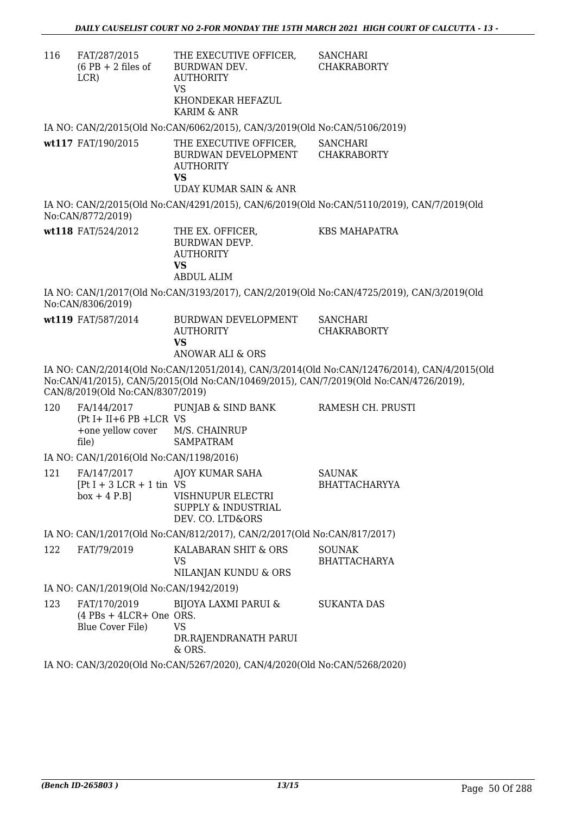| 116 | FAT/287/2015<br>$(6$ PB + 2 files of<br>LCR                               | THE EXECUTIVE OFFICER,<br>BURDWAN DEV.<br><b>AUTHORITY</b><br>VS<br>KHONDEKAR HEFAZUL<br>KARIM & ANR    | <b>SANCHARI</b><br><b>CHAKRABORTY</b>                                                                                                                                                |
|-----|---------------------------------------------------------------------------|---------------------------------------------------------------------------------------------------------|--------------------------------------------------------------------------------------------------------------------------------------------------------------------------------------|
|     |                                                                           | IA NO: CAN/2/2015(Old No:CAN/6062/2015), CAN/3/2019(Old No:CAN/5106/2019)                               |                                                                                                                                                                                      |
|     | wt117 FAT/190/2015                                                        | THE EXECUTIVE OFFICER,<br>BURDWAN DEVELOPMENT<br><b>AUTHORITY</b><br><b>VS</b><br>UDAY KUMAR SAIN & ANR | <b>SANCHARI</b><br><b>CHAKRABORTY</b>                                                                                                                                                |
|     | No:CAN/8772/2019)                                                         |                                                                                                         | IA NO: CAN/2/2015(Old No:CAN/4291/2015), CAN/6/2019(Old No:CAN/5110/2019), CAN/7/2019(Old                                                                                            |
|     | wt118 FAT/524/2012                                                        | THE EX. OFFICER,<br><b>BURDWAN DEVP.</b><br><b>AUTHORITY</b><br><b>VS</b>                               | <b>KBS MAHAPATRA</b>                                                                                                                                                                 |
|     |                                                                           | <b>ABDUL ALIM</b>                                                                                       |                                                                                                                                                                                      |
|     | No:CAN/8306/2019)                                                         |                                                                                                         | IA NO: CAN/1/2017(Old No:CAN/3193/2017), CAN/2/2019(Old No:CAN/4725/2019), CAN/3/2019(Old                                                                                            |
|     | wt119 FAT/587/2014                                                        | BURDWAN DEVELOPMENT<br><b>AUTHORITY</b><br><b>VS</b><br>ANOWAR ALI & ORS                                | <b>SANCHARI</b><br><b>CHAKRABORTY</b>                                                                                                                                                |
|     | CAN/8/2019(Old No:CAN/8307/2019)                                          |                                                                                                         | IA NO: CAN/2/2014(Old No:CAN/12051/2014), CAN/3/2014(Old No:CAN/12476/2014), CAN/4/2015(Old<br>No:CAN/41/2015), CAN/5/2015(Old No:CAN/10469/2015), CAN/7/2019(Old No:CAN/4726/2019), |
| 120 | $(Pt I + II + 6 PB + LCR VS)$<br>+one yellow cover M/S. CHAINRUP<br>file) | FA/144/2017 PUNJAB & SIND BANK<br><b>SAMPATRAM</b>                                                      | RAMESH CH. PRUSTI                                                                                                                                                                    |
|     | IA NO: CAN/1/2016(Old No:CAN/1198/2016)                                   |                                                                                                         |                                                                                                                                                                                      |
| 121 | FA/147/2017<br>$[Pt I + 3 LCR + 1 \text{ tin } VS$<br>$box + 4 P.B]$      | AJOY KUMAR SAHA<br>VISHNUPUR ELECTRI<br>SUPPLY & INDUSTRIAL<br>DEV. CO. LTD&ORS                         | <b>SAUNAK</b><br><b>BHATTACHARYYA</b>                                                                                                                                                |
|     |                                                                           | IA NO: CAN/1/2017(Old No:CAN/812/2017), CAN/2/2017(Old No:CAN/817/2017)                                 |                                                                                                                                                                                      |
| 122 | FAT/79/2019                                                               | KALABARAN SHIT & ORS<br>VS.<br>NILANJAN KUNDU & ORS                                                     | <b>SOUNAK</b><br><b>BHATTACHARYA</b>                                                                                                                                                 |
|     | IA NO: CAN/1/2019(Old No:CAN/1942/2019)                                   |                                                                                                         |                                                                                                                                                                                      |
| 123 | FAT/170/2019<br>$(4$ PBs + 4LCR+ One ORS.<br>Blue Cover File)             | BIJOYA LAXMI PARUI &<br><b>VS</b><br>DR.RAJENDRANATH PARUI<br>& ORS.                                    | <b>SUKANTA DAS</b>                                                                                                                                                                   |
|     |                                                                           | IA NO: CAN/3/2020(Old No:CAN/5267/2020), CAN/4/2020(Old No:CAN/5268/2020)                               |                                                                                                                                                                                      |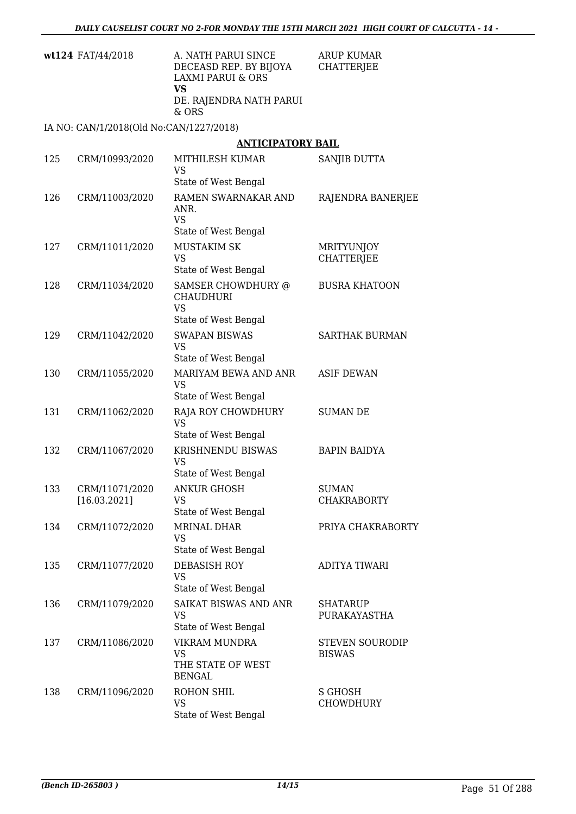| <b>wt124</b> FAT/44/2018 | A. NATH PARUI SINCE     | ARUP KUMAR |
|--------------------------|-------------------------|------------|
|                          | DECEASD REP. BY BIJOYA  | CHATTERJEE |
|                          | LAXMI PARUI & ORS       |            |
|                          | VS                      |            |
|                          | DE. RAJENDRA NATH PARUI |            |
|                          | & ORS                   |            |

IA NO: CAN/1/2018(Old No:CAN/1227/2018)

### **ANTICIPATORY BAIL**

| 125 | CRM/10993/2020                 | MITHILESH KUMAR<br><b>VS</b><br>State of West Bengal                        | SANJIB DUTTA                            |
|-----|--------------------------------|-----------------------------------------------------------------------------|-----------------------------------------|
| 126 | CRM/11003/2020                 | RAMEN SWARNAKAR AND<br>ANR.<br><b>VS</b><br>State of West Bengal            | RAJENDRA BANERJEE                       |
| 127 | CRM/11011/2020                 | <b>MUSTAKIM SK</b><br><b>VS</b><br>State of West Bengal                     | MRITYUNJOY<br><b>CHATTERJEE</b>         |
| 128 | CRM/11034/2020                 | SAMSER CHOWDHURY @<br><b>CHAUDHURI</b><br><b>VS</b><br>State of West Bengal | <b>BUSRA KHATOON</b>                    |
| 129 | CRM/11042/2020                 | <b>SWAPAN BISWAS</b><br>VS<br>State of West Bengal                          | <b>SARTHAK BURMAN</b>                   |
| 130 | CRM/11055/2020                 | MARIYAM BEWA AND ANR<br><b>VS</b><br>State of West Bengal                   | <b>ASIF DEWAN</b>                       |
| 131 | CRM/11062/2020                 | RAJA ROY CHOWDHURY<br><b>VS</b><br>State of West Bengal                     | <b>SUMAN DE</b>                         |
| 132 | CRM/11067/2020                 | KRISHNENDU BISWAS<br><b>VS</b><br>State of West Bengal                      | <b>BAPIN BAIDYA</b>                     |
| 133 | CRM/11071/2020<br>[16.03.2021] | <b>ANKUR GHOSH</b><br><b>VS</b><br>State of West Bengal                     | <b>SUMAN</b><br><b>CHAKRABORTY</b>      |
| 134 | CRM/11072/2020                 | <b>MRINAL DHAR</b><br><b>VS</b><br>State of West Bengal                     | PRIYA CHAKRABORTY                       |
| 135 | CRM/11077/2020                 | <b>DEBASISH ROY</b><br><b>VS</b><br>State of West Bengal                    | <b>ADITYA TIWARI</b>                    |
| 136 | CRM/11079/2020                 | SAIKAT BISWAS AND ANR<br><b>VS</b><br>State of West Bengal                  | <b>SHATARUP</b><br>PURAKAYASTHA         |
| 137 | CRM/11086/2020                 | VIKRAM MUNDRA<br><b>VS</b><br>THE STATE OF WEST<br><b>BENGAL</b>            | <b>STEVEN SOURODIP</b><br><b>BISWAS</b> |
| 138 | CRM/11096/2020                 | <b>ROHON SHIL</b><br><b>VS</b><br>State of West Bengal                      | S GHOSH<br><b>CHOWDHURY</b>             |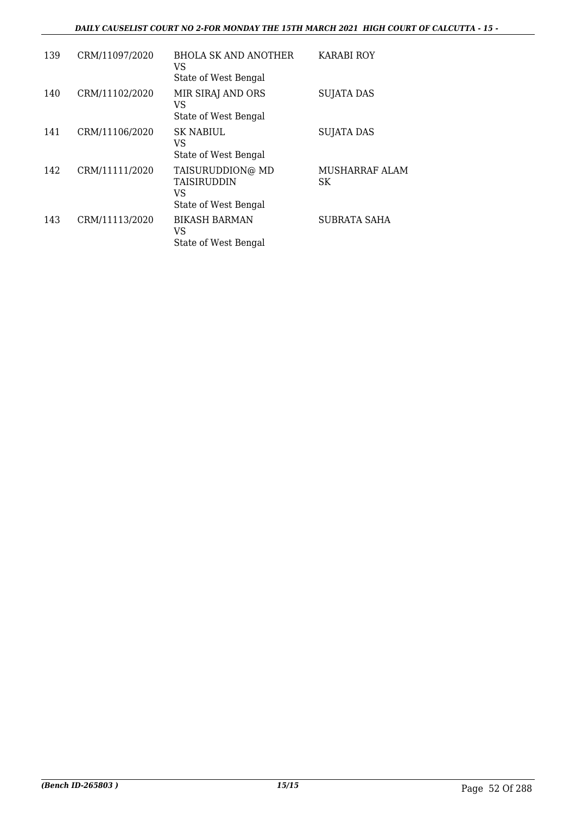#### *DAILY CAUSELIST COURT NO 2-FOR MONDAY THE 15TH MARCH 2021 HIGH COURT OF CALCUTTA - 15 -*

| 139 | CRM/11097/2020 | BHOLA SK AND ANOTHER<br>VS<br>State of West Bengal            | KARABI ROY           |
|-----|----------------|---------------------------------------------------------------|----------------------|
| 140 | CRM/11102/2020 | MIR SIRAJ AND ORS<br>VS<br>State of West Bengal               | <b>SUJATA DAS</b>    |
| 141 | CRM/11106/2020 | SK NABIUL<br>VS<br>State of West Bengal                       | <b>SUJATA DAS</b>    |
| 142 | CRM/11111/2020 | TAISURUDDION@ MD<br>TAISIRUDDIN<br>VS<br>State of West Bengal | MUSHARRAF ALAM<br>SK |
| 143 | CRM/11113/2020 | <b>BIKASH BARMAN</b><br>VS<br>State of West Bengal            | SUBRATA SAHA         |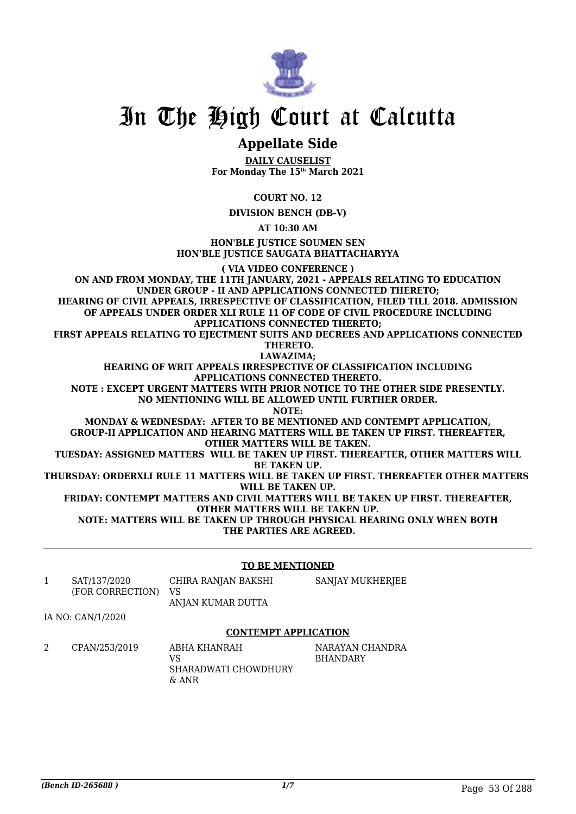

### **Appellate Side**

**DAILY CAUSELIST For Monday The 15th March 2021**

**COURT NO. 12**

**DIVISION BENCH (DB-V)**

**AT 10:30 AM**

**HON'BLE JUSTICE SOUMEN SEN HON'BLE JUSTICE SAUGATA BHATTACHARYYA**

**( VIA VIDEO CONFERENCE )**

**ON AND FROM MONDAY, THE 11TH JANUARY, 2021 - APPEALS RELATING TO EDUCATION UNDER GROUP - II AND APPLICATIONS CONNECTED THERETO; HEARING OF CIVIL APPEALS, IRRESPECTIVE OF CLASSIFICATION, FILED TILL 2018. ADMISSION OF APPEALS UNDER ORDER XLI RULE 11 OF CODE OF CIVIL PROCEDURE INCLUDING APPLICATIONS CONNECTED THERETO;** FIRST APPEALS RELATING TO EJECTMENT SUITS AND DECREES AND APPLICATIONS CONNECTED  **THERETO. LAWAZIMA; HEARING OF WRIT APPEALS IRRESPECTIVE OF CLASSIFICATION INCLUDING APPLICATIONS CONNECTED THERETO. NOTE : EXCEPT URGENT MATTERS WITH PRIOR NOTICE TO THE OTHER SIDE PRESENTLY. NO MENTIONING WILL BE ALLOWED UNTIL FURTHER ORDER. NOTE: MONDAY & WEDNESDAY: AFTER TO BE MENTIONED AND CONTEMPT APPLICATION, GROUP-II APPLICATION AND HEARING MATTERS WILL BE TAKEN UP FIRST. THEREAFTER, OTHER MATTERS WILL BE TAKEN. TUESDAY: ASSIGNED MATTERS WILL BE TAKEN UP FIRST. THEREAFTER, OTHER MATTERS WILL BE TAKEN UP. THURSDAY: ORDERXLI RULE 11 MATTERS WILL BE TAKEN UP FIRST. THEREAFTER OTHER MATTERS WILL BE TAKEN UP. FRIDAY: CONTEMPT MATTERS AND CIVIL MATTERS WILL BE TAKEN UP FIRST. THEREAFTER, OTHER MATTERS WILL BE TAKEN UP. NOTE: MATTERS WILL BE TAKEN UP THROUGH PHYSICAL HEARING ONLY WHEN BOTH THE PARTIES ARE AGREED.**

#### **TO BE MENTIONED**

1 SAT/137/2020 (FOR CORRECTION) CHIRA RANJAN BAKSHI VS ANJAN KUMAR DUTTA SANJAY MUKHERJEE

IA NO: CAN/1/2020

#### **CONTEMPT APPLICATION**

2 CPAN/253/2019 ABHA KHANRAH VS SHARADWATI CHOWDHURY & ANR NARAYAN CHANDRA BHANDARY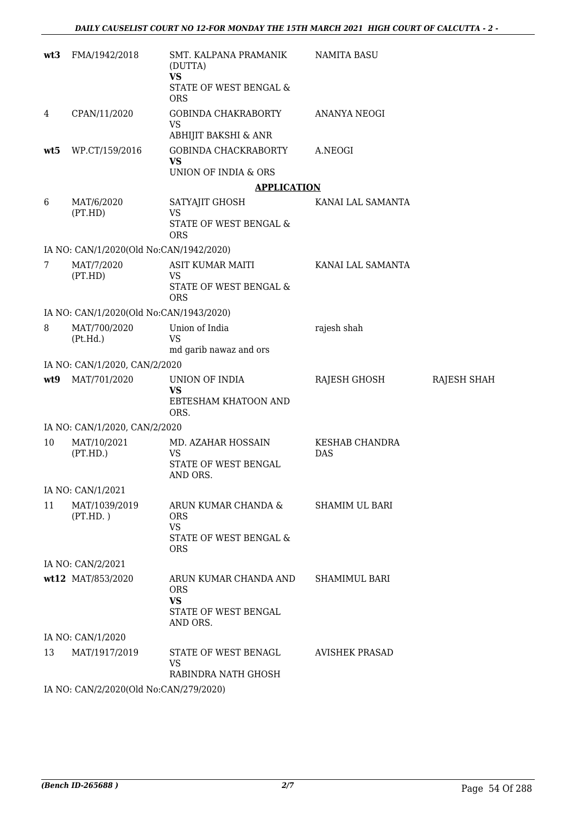| wt3 | FMA/1942/2018                           | SMT. KALPANA PRAMANIK<br>(DUTTA)<br><b>VS</b><br>STATE OF WEST BENGAL &<br><b>ORS</b>  | NAMITA BASU                         |             |  |  |
|-----|-----------------------------------------|----------------------------------------------------------------------------------------|-------------------------------------|-------------|--|--|
| 4   | CPAN/11/2020                            | GOBINDA CHAKRABORTY<br><b>VS</b>                                                       | ANANYA NEOGI                        |             |  |  |
| wt5 | WP.CT/159/2016                          | ABHIJIT BAKSHI & ANR<br>GOBINDA CHACKRABORTY<br><b>VS</b><br>UNION OF INDIA & ORS      | A.NEOGI                             |             |  |  |
|     |                                         | <b>APPLICATION</b>                                                                     |                                     |             |  |  |
| 6   | MAT/6/2020<br>(PT.HD)                   | SATYAJIT GHOSH<br><b>VS</b><br>STATE OF WEST BENGAL &<br><b>ORS</b>                    | KANAI LAL SAMANTA                   |             |  |  |
|     | IA NO: CAN/1/2020(Old No:CAN/1942/2020) |                                                                                        |                                     |             |  |  |
| 7   | MAT/7/2020<br>(PT.HD)                   | ASIT KUMAR MAITI<br><b>VS</b><br>STATE OF WEST BENGAL &<br><b>ORS</b>                  | KANAI LAL SAMANTA                   |             |  |  |
|     | IA NO: CAN/1/2020(Old No:CAN/1943/2020) |                                                                                        |                                     |             |  |  |
| 8   | MAT/700/2020<br>(Pt.Hd.)                | Union of India<br><b>VS</b><br>md garib nawaz and ors                                  | rajesh shah                         |             |  |  |
|     | IA NO: CAN/1/2020, CAN/2/2020           |                                                                                        |                                     |             |  |  |
| wt9 | MAT/701/2020                            | UNION OF INDIA<br>VS<br>EBTESHAM KHATOON AND<br>ORS.                                   | RAJESH GHOSH                        | RAJESH SHAH |  |  |
|     | IA NO: CAN/1/2020, CAN/2/2020           |                                                                                        |                                     |             |  |  |
| 10  | MAT/10/2021<br>(PT.HD.)                 | MD. AZAHAR HOSSAIN<br><b>VS</b><br>STATE OF WEST BENGAL<br>AND ORS.                    | <b>KESHAB CHANDRA</b><br><b>DAS</b> |             |  |  |
|     | IA NO: CAN/1/2021                       |                                                                                        |                                     |             |  |  |
| 11  | MAT/1039/2019<br>(PT.HD.)               | ARUN KUMAR CHANDA &<br><b>ORS</b><br><b>VS</b><br>STATE OF WEST BENGAL &<br><b>ORS</b> | <b>SHAMIM UL BARI</b>               |             |  |  |
|     | IA NO: CAN/2/2021                       |                                                                                        |                                     |             |  |  |
|     | wt12 MAT/853/2020                       | ARUN KUMAR CHANDA AND<br><b>ORS</b><br><b>VS</b><br>STATE OF WEST BENGAL<br>AND ORS.   | <b>SHAMIMUL BARI</b>                |             |  |  |
|     | IA NO: CAN/1/2020                       |                                                                                        |                                     |             |  |  |
| 13  | MAT/1917/2019                           | STATE OF WEST BENAGL<br>VS<br>RABINDRA NATH GHOSH                                      | AVISHEK PRASAD                      |             |  |  |
|     | IA NO: CAN/2/2020(Old No:CAN/279/2020)  |                                                                                        |                                     |             |  |  |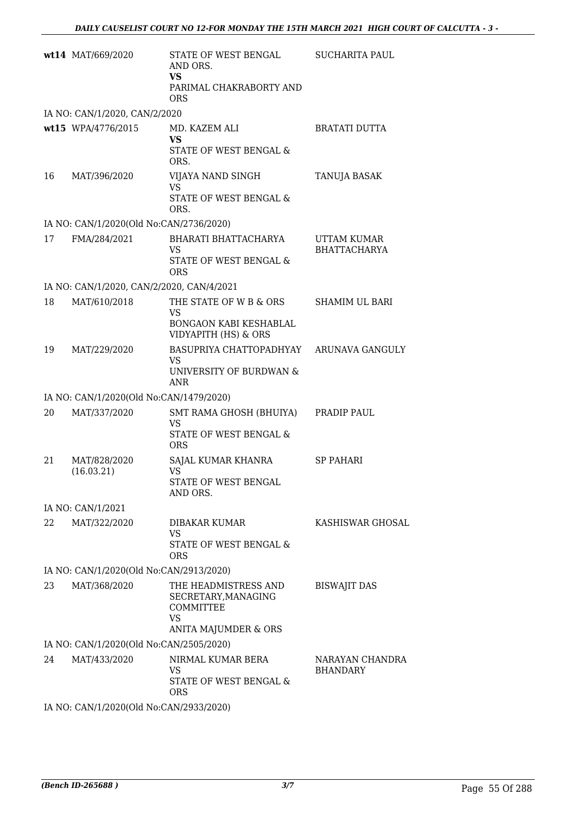|    | wt14 MAT/669/2020                         | STATE OF WEST BENGAL<br>AND ORS.<br><b>VS</b><br>PARIMAL CHAKRABORTY AND<br><b>ORS</b>        | <b>SUCHARITA PAUL</b>              |
|----|-------------------------------------------|-----------------------------------------------------------------------------------------------|------------------------------------|
|    | IA NO: CAN/1/2020, CAN/2/2020             |                                                                                               |                                    |
|    | wt15 WPA/4776/2015                        | MD. KAZEM ALI<br><b>VS</b><br>STATE OF WEST BENGAL &<br>ORS.                                  | <b>BRATATI DUTTA</b>               |
| 16 | MAT/396/2020                              | VIJAYA NAND SINGH<br><b>VS</b><br>STATE OF WEST BENGAL &<br>ORS.                              | TANUJA BASAK                       |
|    | IA NO: CAN/1/2020(Old No:CAN/2736/2020)   |                                                                                               |                                    |
| 17 | FMA/284/2021                              | BHARATI BHATTACHARYA<br><b>VS</b><br>STATE OF WEST BENGAL &<br><b>ORS</b>                     | UTTAM KUMAR<br><b>BHATTACHARYA</b> |
|    | IA NO: CAN/1/2020, CAN/2/2020, CAN/4/2021 |                                                                                               |                                    |
| 18 | MAT/610/2018                              | THE STATE OF W B & ORS<br><b>VS</b><br>BONGAON KABI KESHABLAL<br>VIDYAPITH (HS) & ORS         | <b>SHAMIM UL BARI</b>              |
| 19 | MAT/229/2020                              | BASUPRIYA CHATTOPADHYAY<br><b>VS</b><br>UNIVERSITY OF BURDWAN &<br>ANR                        | ARUNAVA GANGULY                    |
|    | IA NO: CAN/1/2020(Old No:CAN/1479/2020)   |                                                                                               |                                    |
| 20 | MAT/337/2020                              | SMT RAMA GHOSH (BHUIYA)<br><b>VS</b><br><b>STATE OF WEST BENGAL &amp;</b><br><b>ORS</b>       | PRADIP PAUL                        |
| 21 | MAT/828/2020<br>(16.03.21)                | SAJAL KUMAR KHANRA<br><b>VS</b><br>STATE OF WEST BENGAL<br>AND ORS.                           | <b>SP PAHARI</b>                   |
|    | IA NO: CAN/1/2021                         |                                                                                               |                                    |
| 22 | MAT/322/2020                              | <b>DIBAKAR KUMAR</b><br><b>VS</b><br><b>STATE OF WEST BENGAL &amp;</b><br><b>ORS</b>          | <b>KASHISWAR GHOSAL</b>            |
|    | IA NO: CAN/1/2020(Old No:CAN/2913/2020)   |                                                                                               |                                    |
| 23 | MAT/368/2020                              | THE HEADMISTRESS AND<br>SECRETARY, MANAGING<br>COMMITTEE<br><b>VS</b><br>ANITA MAJUMDER & ORS | <b>BISWAJIT DAS</b>                |
|    | IA NO: CAN/1/2020(Old No:CAN/2505/2020)   |                                                                                               |                                    |
| 24 | MAT/433/2020                              | NIRMAL KUMAR BERA<br><b>VS</b><br>STATE OF WEST BENGAL &<br><b>ORS</b>                        | NARAYAN CHANDRA<br><b>BHANDARY</b> |
|    | IA NO: CAN/1/2020(Old No:CAN/2933/2020)   |                                                                                               |                                    |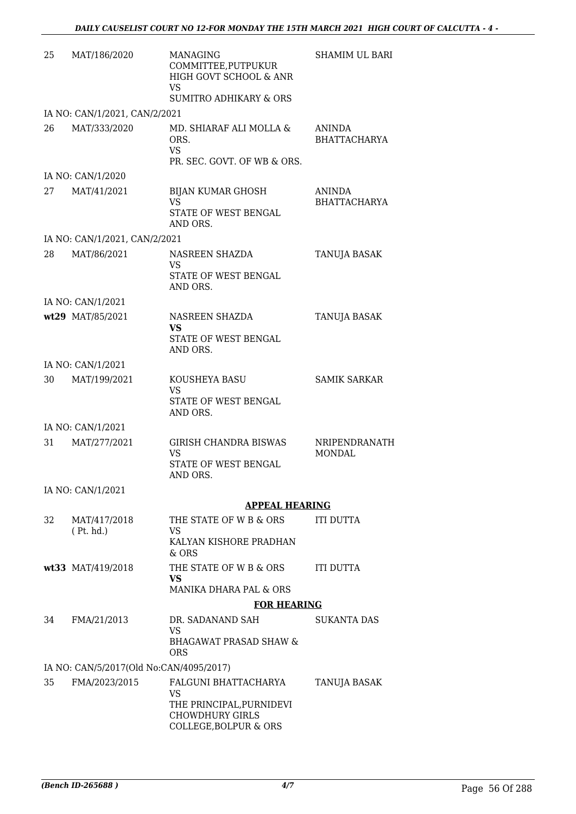| 25 | MAT/186/2020                            | <b>MANAGING</b><br>COMMITTEE, PUTPUKUR<br>HIGH GOVT SCHOOL & ANR<br><b>VS</b>                             | <b>SHAMIM UL BARI</b>                |
|----|-----------------------------------------|-----------------------------------------------------------------------------------------------------------|--------------------------------------|
|    |                                         | <b>SUMITRO ADHIKARY &amp; ORS</b>                                                                         |                                      |
|    | IA NO: CAN/1/2021, CAN/2/2021           |                                                                                                           |                                      |
| 26 | MAT/333/2020                            | MD. SHIARAF ALI MOLLA &<br>ORS.<br><b>VS</b><br>PR. SEC. GOVT. OF WB & ORS.                               | ANINDA<br><b>BHATTACHARYA</b>        |
|    | IA NO: CAN/1/2020                       |                                                                                                           |                                      |
| 27 | MAT/41/2021                             | <b>BIJAN KUMAR GHOSH</b><br><b>VS</b><br>STATE OF WEST BENGAL                                             | <b>ANINDA</b><br><b>BHATTACHARYA</b> |
|    | IA NO: CAN/1/2021, CAN/2/2021           | AND ORS.                                                                                                  |                                      |
| 28 | MAT/86/2021                             | NASREEN SHAZDA                                                                                            | TANUJA BASAK                         |
|    |                                         | VS<br>STATE OF WEST BENGAL<br>AND ORS.                                                                    |                                      |
|    | IA NO: CAN/1/2021                       |                                                                                                           |                                      |
|    | wt29 MAT/85/2021                        | NASREEN SHAZDA<br><b>VS</b>                                                                               | TANUJA BASAK                         |
|    |                                         | STATE OF WEST BENGAL<br>AND ORS.                                                                          |                                      |
|    | IA NO: CAN/1/2021                       |                                                                                                           |                                      |
| 30 | MAT/199/2021                            | KOUSHEYA BASU<br><b>VS</b><br>STATE OF WEST BENGAL<br>AND ORS.                                            | <b>SAMIK SARKAR</b>                  |
|    | IA NO: CAN/1/2021                       |                                                                                                           |                                      |
| 31 | MAT/277/2021                            | <b>GIRISH CHANDRA BISWAS</b><br><b>VS</b><br>STATE OF WEST BENGAL<br>AND ORS.                             | NRIPENDRANATH<br><b>MONDAL</b>       |
|    | IA NO: CAN/1/2021                       |                                                                                                           |                                      |
|    |                                         | <b>APPEAL HEARING</b>                                                                                     |                                      |
| 32 | MAT/417/2018<br>(Pt. hd.)               | THE STATE OF W B & ORS<br>VS                                                                              | <b>ITI DUTTA</b>                     |
|    |                                         | KALYAN KISHORE PRADHAN<br>& ORS                                                                           |                                      |
|    | wt33 MAT/419/2018                       | THE STATE OF W B & ORS<br><b>VS</b>                                                                       | <b>ITI DUTTA</b>                     |
|    |                                         | MANIKA DHARA PAL & ORS                                                                                    |                                      |
|    |                                         | <b>FOR HEARING</b>                                                                                        |                                      |
| 34 | FMA/21/2013                             | DR. SADANAND SAH<br><b>VS</b><br><b>BHAGAWAT PRASAD SHAW &amp;</b>                                        | <b>SUKANTA DAS</b>                   |
|    |                                         | <b>ORS</b>                                                                                                |                                      |
|    | IA NO: CAN/5/2017(Old No:CAN/4095/2017) |                                                                                                           |                                      |
| 35 | FMA/2023/2015                           | FALGUNI BHATTACHARYA<br>VS<br>THE PRINCIPAL, PURNIDEVI<br><b>CHOWDHURY GIRLS</b><br>COLLEGE, BOLPUR & ORS | TANUJA BASAK                         |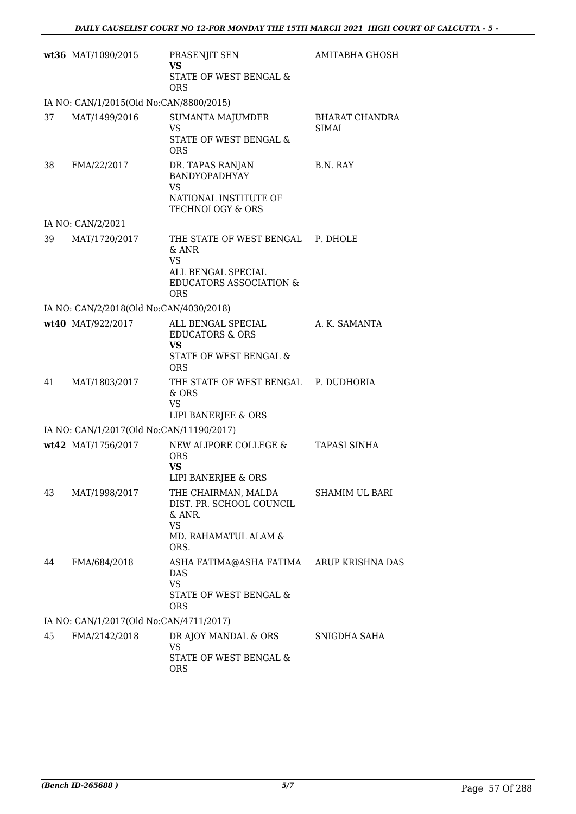|    | wt36 MAT/1090/2015                       | PRASENJIT SEN<br><b>VS</b>                                                                                                        | AMITABHA GHOSH                        |
|----|------------------------------------------|-----------------------------------------------------------------------------------------------------------------------------------|---------------------------------------|
|    |                                          | STATE OF WEST BENGAL &<br>ORS                                                                                                     |                                       |
|    | IA NO: CAN/1/2015(Old No:CAN/8800/2015)  |                                                                                                                                   |                                       |
| 37 | MAT/1499/2016                            | <b>SUMANTA MAJUMDER</b><br><b>VS</b><br>STATE OF WEST BENGAL &<br><b>ORS</b>                                                      | <b>BHARAT CHANDRA</b><br><b>SIMAI</b> |
| 38 | FMA/22/2017                              | DR. TAPAS RANJAN<br>BANDYOPADHYAY<br><b>VS</b>                                                                                    | B.N. RAY                              |
|    |                                          | NATIONAL INSTITUTE OF<br>TECHNOLOGY & ORS                                                                                         |                                       |
|    | IA NO: CAN/2/2021                        |                                                                                                                                   |                                       |
| 39 | MAT/1720/2017                            | THE STATE OF WEST BENGAL P. DHOLE<br>& ANR<br><b>VS</b><br>ALL BENGAL SPECIAL<br><b>EDUCATORS ASSOCIATION &amp;</b><br><b>ORS</b> |                                       |
|    | IA NO: CAN/2/2018(Old No:CAN/4030/2018)  |                                                                                                                                   |                                       |
|    | wt40 MAT/922/2017                        | ALL BENGAL SPECIAL<br><b>EDUCATORS &amp; ORS</b><br><b>VS</b><br>STATE OF WEST BENGAL &<br><b>ORS</b>                             | A. K. SAMANTA                         |
| 41 | MAT/1803/2017                            | THE STATE OF WEST BENGAL P. DUDHORIA<br>& ORS<br><b>VS</b><br>LIPI BANERJEE & ORS                                                 |                                       |
|    | IA NO: CAN/1/2017(Old No:CAN/11190/2017) |                                                                                                                                   |                                       |
|    | wt42 MAT/1756/2017                       | NEW ALIPORE COLLEGE &<br><b>ORS</b><br><b>VS</b><br>LIPI BANERJEE & ORS                                                           | <b>TAPASI SINHA</b>                   |
| 43 | MAT/1998/2017                            | THE CHAIRMAN, MALDA<br>DIST. PR. SCHOOL COUNCIL<br>& ANR.<br><b>VS</b><br>MD. RAHAMATUL ALAM &<br>ORS.                            | <b>SHAMIM UL BARI</b>                 |
| 44 | FMA/684/2018                             | ASHA FATIMA@ASHA FATIMA ARUP KRISHNA DAS<br>DAS<br><b>VS</b><br>STATE OF WEST BENGAL &<br><b>ORS</b>                              |                                       |
|    | IA NO: CAN/1/2017(Old No:CAN/4711/2017)  |                                                                                                                                   |                                       |
| 45 | FMA/2142/2018                            | DR AJOY MANDAL & ORS<br><b>VS</b><br>STATE OF WEST BENGAL &<br><b>ORS</b>                                                         | SNIGDHA SAHA                          |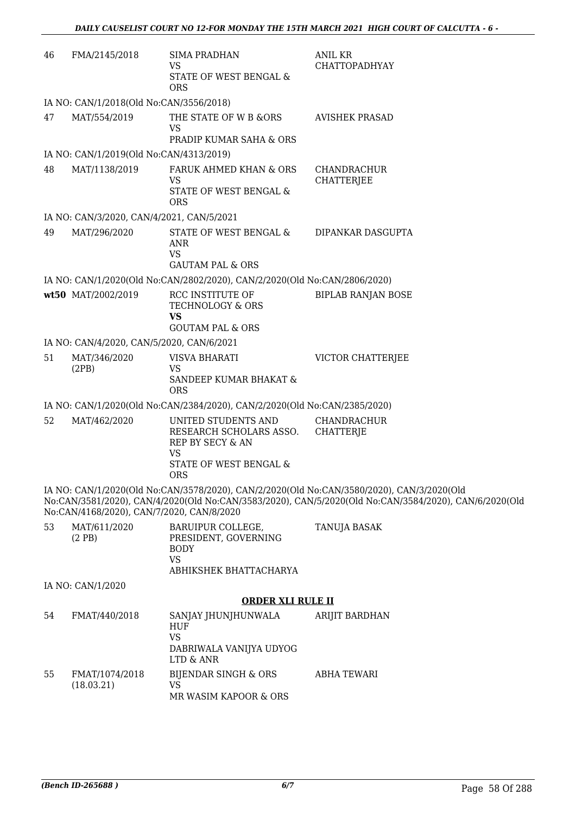| 46 | FMA/2145/2018                             | <b>SIMA PRADHAN</b><br><b>VS</b><br>STATE OF WEST BENGAL &<br><b>ORS</b>                                                | ANIL KR<br><b>CHATTOPADHYAY</b>                                                                                                                                                                    |  |  |  |
|----|-------------------------------------------|-------------------------------------------------------------------------------------------------------------------------|----------------------------------------------------------------------------------------------------------------------------------------------------------------------------------------------------|--|--|--|
|    | IA NO: CAN/1/2018(Old No:CAN/3556/2018)   |                                                                                                                         |                                                                                                                                                                                                    |  |  |  |
| 47 | MAT/554/2019                              | THE STATE OF W B &ORS<br><b>VS</b><br>PRADIP KUMAR SAHA & ORS                                                           | <b>AVISHEK PRASAD</b>                                                                                                                                                                              |  |  |  |
|    | IA NO: CAN/1/2019(Old No:CAN/4313/2019)   |                                                                                                                         |                                                                                                                                                                                                    |  |  |  |
| 48 | MAT/1138/2019                             | FARUK AHMED KHAN & ORS<br>VS<br>STATE OF WEST BENGAL &<br><b>ORS</b>                                                    | CHANDRACHUR<br><b>CHATTERJEE</b>                                                                                                                                                                   |  |  |  |
|    | IA NO: CAN/3/2020, CAN/4/2021, CAN/5/2021 |                                                                                                                         |                                                                                                                                                                                                    |  |  |  |
| 49 | MAT/296/2020                              | STATE OF WEST BENGAL &<br><b>ANR</b><br><b>VS</b><br><b>GAUTAM PAL &amp; ORS</b>                                        | DIPANKAR DASGUPTA                                                                                                                                                                                  |  |  |  |
|    |                                           | IA NO: CAN/1/2020(Old No:CAN/2802/2020), CAN/2/2020(Old No:CAN/2806/2020)                                               |                                                                                                                                                                                                    |  |  |  |
|    | wt50 MAT/2002/2019                        | RCC INSTITUTE OF<br><b>TECHNOLOGY &amp; ORS</b><br><b>VS</b>                                                            | <b>BIPLAB RANJAN BOSE</b>                                                                                                                                                                          |  |  |  |
|    |                                           | <b>GOUTAM PAL &amp; ORS</b>                                                                                             |                                                                                                                                                                                                    |  |  |  |
|    | IA NO: CAN/4/2020, CAN/5/2020, CAN/6/2021 |                                                                                                                         |                                                                                                                                                                                                    |  |  |  |
| 51 | MAT/346/2020<br>(2PB)                     | <b>VISVA BHARATI</b><br><b>VS</b><br>SANDEEP KUMAR BHAKAT &<br><b>ORS</b>                                               | VICTOR CHATTERJEE                                                                                                                                                                                  |  |  |  |
|    |                                           | IA NO: CAN/1/2020(Old No:CAN/2384/2020), CAN/2/2020(Old No:CAN/2385/2020)                                               |                                                                                                                                                                                                    |  |  |  |
| 52 | MAT/462/2020                              | UNITED STUDENTS AND<br>RESEARCH SCHOLARS ASSO.<br>REP BY SECY & AN<br><b>VS</b><br>STATE OF WEST BENGAL &<br><b>ORS</b> | CHANDRACHUR<br><b>CHATTERJE</b>                                                                                                                                                                    |  |  |  |
|    | No:CAN/4168/2020), CAN/7/2020, CAN/8/2020 |                                                                                                                         | IA NO: CAN/1/2020(Old No:CAN/3578/2020), CAN/2/2020(Old No:CAN/3580/2020), CAN/3/2020(Old<br>No:CAN/3581/2020), CAN/4/2020(Old No:CAN/3583/2020), CAN/5/2020(Old No:CAN/3584/2020), CAN/6/2020(Old |  |  |  |
| 53 | MAT/611/2020<br>(2PB)                     | BARUIPUR COLLEGE,<br>PRESIDENT, GOVERNING<br><b>BODY</b><br><b>VS</b><br>ABHIKSHEK BHATTACHARYA                         | TANUJA BASAK                                                                                                                                                                                       |  |  |  |
|    | IA NO: CAN/1/2020                         |                                                                                                                         |                                                                                                                                                                                                    |  |  |  |
|    |                                           | <b>ORDER XLI RULE II</b>                                                                                                |                                                                                                                                                                                                    |  |  |  |
| 54 | FMAT/440/2018                             | SANJAY JHUNJHUNWALA<br><b>HUF</b><br><b>VS</b><br>DABRIWALA VANIJYA UDYOG<br>LTD & ANR                                  | ARIJIT BARDHAN                                                                                                                                                                                     |  |  |  |
| 55 | FMAT/1074/2018<br>(18.03.21)              | <b>BIJENDAR SINGH &amp; ORS</b><br><b>VS</b><br>MR WASIM KAPOOR & ORS                                                   | <b>ABHA TEWARI</b>                                                                                                                                                                                 |  |  |  |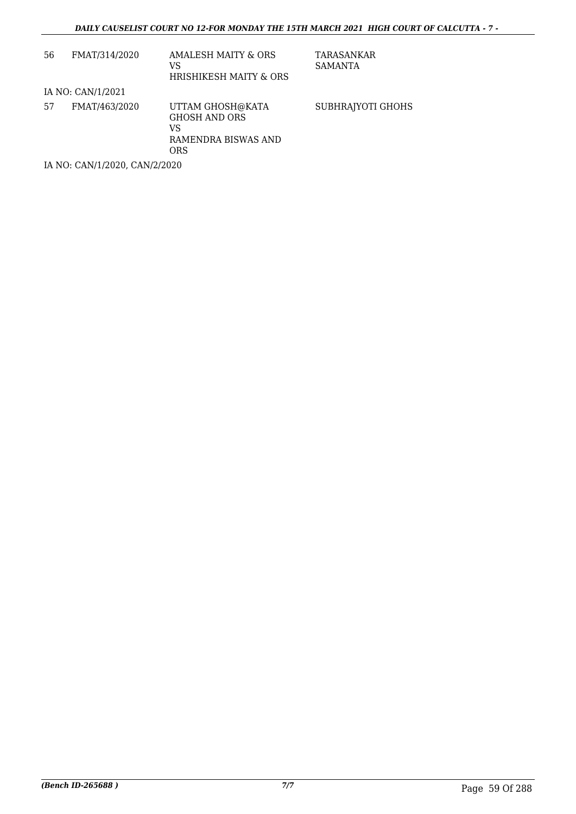| 56                            | FMAT/314/2020     | AMALESH MAITY & ORS<br>VS<br>HRISHIKESH MAITY & ORS                                 | TARASANKAR<br>SAMANTA |  |  |
|-------------------------------|-------------------|-------------------------------------------------------------------------------------|-----------------------|--|--|
|                               | IA NO: CAN/1/2021 |                                                                                     |                       |  |  |
| 57                            | FMAT/463/2020     | UTTAM GHOSH@KATA<br><b>GHOSH AND ORS</b><br>VS<br>RAMENDRA BISWAS AND<br><b>ORS</b> | SUBHRAJYOTI GHOHS     |  |  |
| IA NO: CAN/1/2020, CAN/2/2020 |                   |                                                                                     |                       |  |  |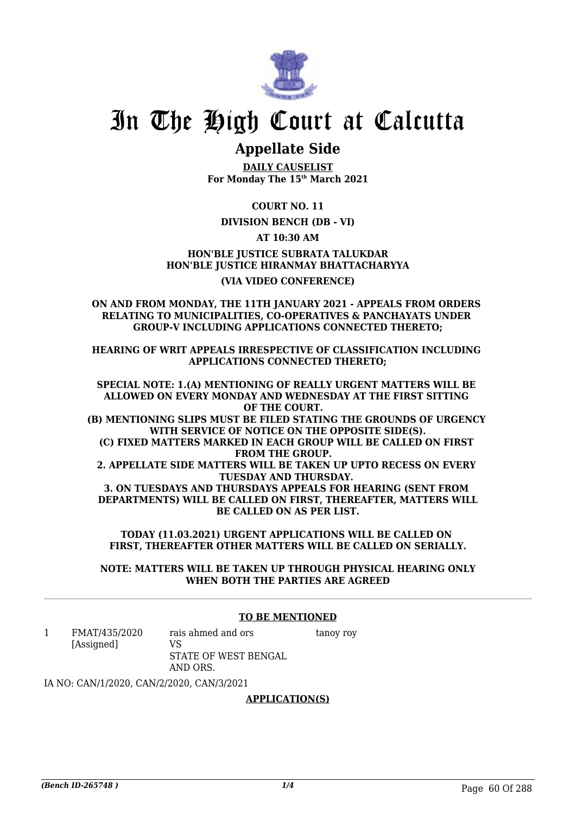

### **Appellate Side**

**DAILY CAUSELIST For Monday The 15th March 2021**

**COURT NO. 11**

#### **DIVISION BENCH (DB - VI)**

**AT 10:30 AM**

**HON'BLE JUSTICE SUBRATA TALUKDAR HON'BLE JUSTICE HIRANMAY BHATTACHARYYA (VIA VIDEO CONFERENCE)**

**ON AND FROM MONDAY, THE 11TH JANUARY 2021 - APPEALS FROM ORDERS RELATING TO MUNICIPALITIES, CO-OPERATIVES & PANCHAYATS UNDER GROUP-V INCLUDING APPLICATIONS CONNECTED THERETO;**

**HEARING OF WRIT APPEALS IRRESPECTIVE OF CLASSIFICATION INCLUDING APPLICATIONS CONNECTED THERETO;**

**SPECIAL NOTE: 1.(A) MENTIONING OF REALLY URGENT MATTERS WILL BE ALLOWED ON EVERY MONDAY AND WEDNESDAY AT THE FIRST SITTING OF THE COURT. (B) MENTIONING SLIPS MUST BE FILED STATING THE GROUNDS OF URGENCY WITH SERVICE OF NOTICE ON THE OPPOSITE SIDE(S). (C) FIXED MATTERS MARKED IN EACH GROUP WILL BE CALLED ON FIRST FROM THE GROUP. 2. APPELLATE SIDE MATTERS WILL BE TAKEN UP UPTO RECESS ON EVERY TUESDAY AND THURSDAY. 3. ON TUESDAYS AND THURSDAYS APPEALS FOR HEARING (SENT FROM DEPARTMENTS) WILL BE CALLED ON FIRST, THEREAFTER, MATTERS WILL BE CALLED ON AS PER LIST.**

**TODAY (11.03.2021) URGENT APPLICATIONS WILL BE CALLED ON FIRST, THEREAFTER OTHER MATTERS WILL BE CALLED ON SERIALLY.**

**NOTE: MATTERS WILL BE TAKEN UP THROUGH PHYSICAL HEARING ONLY WHEN BOTH THE PARTIES ARE AGREED**

#### **TO BE MENTIONED**

1 FMAT/435/2020 [Assigned] rais ahmed and ors  $V<sub>S</sub>$ STATE OF WEST BENGAL AND ORS. tanoy roy

IA NO: CAN/1/2020, CAN/2/2020, CAN/3/2021

#### **APPLICATION(S)**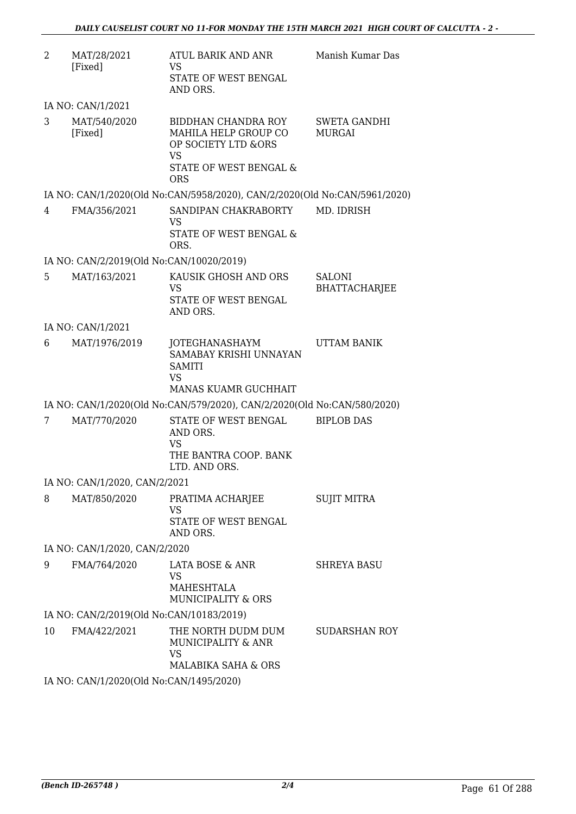| $\overline{2}$ | MAT/28/2021<br>[Fixed]                   | ATUL BARIK AND ANR<br><b>VS</b><br>STATE OF WEST BENGAL<br>AND ORS.                                                                | Manish Kumar Das                      |
|----------------|------------------------------------------|------------------------------------------------------------------------------------------------------------------------------------|---------------------------------------|
|                | IA NO: CAN/1/2021                        |                                                                                                                                    |                                       |
| 3              | MAT/540/2020<br>[Fixed]                  | BIDDHAN CHANDRA ROY<br>MAHILA HELP GROUP CO<br>OP SOCIETY LTD &ORS<br><b>VS</b><br><b>STATE OF WEST BENGAL &amp;</b><br><b>ORS</b> | <b>SWETA GANDHI</b><br><b>MURGAI</b>  |
|                |                                          | IA NO: CAN/1/2020(Old No:CAN/5958/2020), CAN/2/2020(Old No:CAN/5961/2020)                                                          |                                       |
| 4              | FMA/356/2021                             | SANDIPAN CHAKRABORTY<br><b>VS</b><br>STATE OF WEST BENGAL &<br>ORS.                                                                | MD. IDRISH                            |
|                | IA NO: CAN/2/2019(Old No:CAN/10020/2019) |                                                                                                                                    |                                       |
| 5              | MAT/163/2021                             | KAUSIK GHOSH AND ORS<br>VS<br>STATE OF WEST BENGAL<br>AND ORS.                                                                     | <b>SALONI</b><br><b>BHATTACHARJEE</b> |
|                | IA NO: CAN/1/2021                        |                                                                                                                                    |                                       |
| 6              | MAT/1976/2019                            | JOTEGHANASHAYM<br>SAMABAY KRISHI UNNAYAN<br><b>SAMITI</b><br><b>VS</b><br>MANAS KUAMR GUCHHAIT                                     | UTTAM BANIK                           |
|                |                                          | IA NO: CAN/1/2020(Old No:CAN/579/2020), CAN/2/2020(Old No:CAN/580/2020)                                                            |                                       |
| 7              | MAT/770/2020                             | STATE OF WEST BENGAL<br>AND ORS.<br><b>VS</b><br>THE BANTRA COOP. BANK<br>LTD. AND ORS.                                            | <b>BIPLOB DAS</b>                     |
|                | IA NO: CAN/1/2020, CAN/2/2021            |                                                                                                                                    |                                       |
| 8              | MAT/850/2020                             | PRATIMA ACHARJEE<br><b>VS</b><br>STATE OF WEST BENGAL<br>AND ORS.                                                                  | <b>SUJIT MITRA</b>                    |
|                | IA NO: CAN/1/2020, CAN/2/2020            |                                                                                                                                    |                                       |
| 9              | FMA/764/2020                             | <b>LATA BOSE &amp; ANR</b><br><b>VS</b><br><b>MAHESHTALA</b><br>MUNICIPALITY & ORS                                                 | <b>SHREYA BASU</b>                    |
|                | IA NO: CAN/2/2019(Old No:CAN/10183/2019) |                                                                                                                                    |                                       |
| 10             | FMA/422/2021                             | THE NORTH DUDM DUM<br>MUNICIPALITY & ANR<br><b>VS</b><br>MALABIKA SAHA & ORS                                                       | <b>SUDARSHAN ROY</b>                  |
|                | IA NO: CAN/1/2020(Old No:CAN/1495/2020)  |                                                                                                                                    |                                       |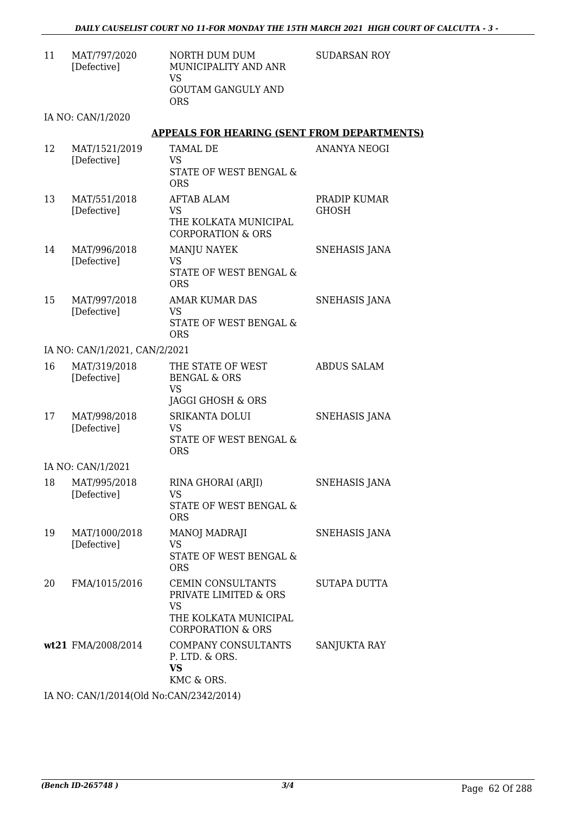11 MAT/797/2020 [Defective] NORTH DUM DUM MUNICIPALITY AND ANR VS GOUTAM GANGULY AND ORS

SUDARSAN ROY

IA NO: CAN/1/2020

#### **APPEALS FOR HEARING (SENT FROM DEPARTMENTS)**

| 12 | MAT/1521/2019<br>[Defective]  | <b>TAMAL DE</b><br>VS<br>STATE OF WEST BENGAL &<br><b>ORS</b>                                                           | <b>ANANYA NEOGI</b>   |
|----|-------------------------------|-------------------------------------------------------------------------------------------------------------------------|-----------------------|
| 13 | MAT/551/2018<br>[Defective]   | <b>AFTAB ALAM</b><br>VS<br>THE KOLKATA MUNICIPAL<br><b>CORPORATION &amp; ORS</b>                                        | PRADIP KUMAR<br>GHOSH |
| 14 | MAT/996/2018<br>[Defective]   | <b>MANJU NAYEK</b><br><b>VS</b><br>STATE OF WEST BENGAL &<br><b>ORS</b>                                                 | <b>SNEHASIS JANA</b>  |
| 15 | MAT/997/2018<br>[Defective]   | <b>AMAR KUMAR DAS</b><br>VS<br>STATE OF WEST BENGAL &<br><b>ORS</b>                                                     | SNEHASIS JANA         |
|    | IA NO: CAN/1/2021, CAN/2/2021 |                                                                                                                         |                       |
| 16 | MAT/319/2018<br>[Defective]   | THE STATE OF WEST<br><b>BENGAL &amp; ORS</b><br>VS.<br>JAGGI GHOSH & ORS                                                | <b>ABDUS SALAM</b>    |
| 17 | MAT/998/2018<br>[Defective]   | <b>SRIKANTA DOLUI</b><br>VS<br>STATE OF WEST BENGAL &<br><b>ORS</b>                                                     | SNEHASIS JANA         |
|    | IA NO: CAN/1/2021             |                                                                                                                         |                       |
| 18 | MAT/995/2018<br>[Defective]   | RINA GHORAI (ARJI)<br><b>VS</b><br>STATE OF WEST BENGAL &<br><b>ORS</b>                                                 | SNEHASIS JANA         |
| 19 | MAT/1000/2018<br>[Defective]  | MANOJ MADRAJI<br>VS<br>STATE OF WEST BENGAL &<br><b>ORS</b>                                                             | SNEHASIS JANA         |
| 20 | FMA/1015/2016                 | <b>CEMIN CONSULTANTS</b><br>PRIVATE LIMITED & ORS<br><b>VS</b><br>THE KOLKATA MUNICIPAL<br><b>CORPORATION &amp; ORS</b> | <b>SUTAPA DUTTA</b>   |
|    | wt21 FMA/2008/2014            | COMPANY CONSULTANTS<br>P. LTD. & ORS.<br><b>VS</b><br>KMC & ORS.                                                        | <b>SANJUKTA RAY</b>   |

IA NO: CAN/1/2014(Old No:CAN/2342/2014)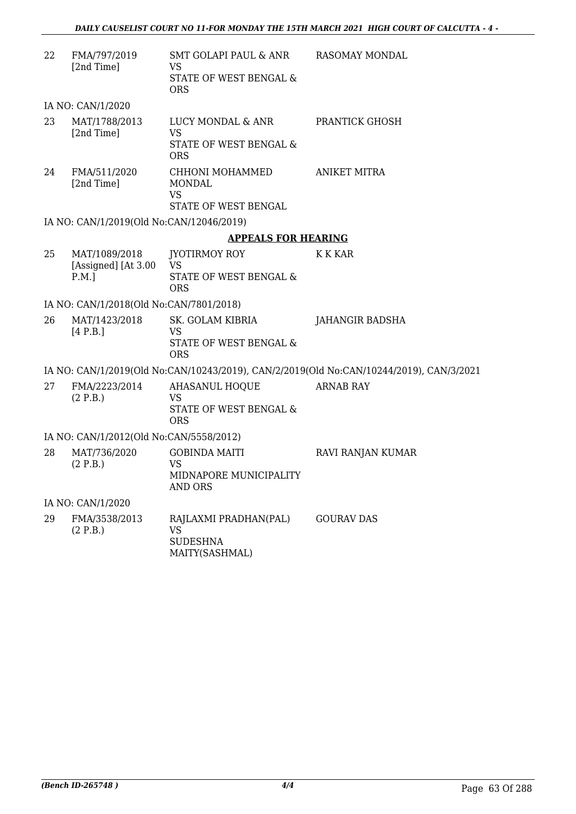| 22 | FMA/797/2019<br>[2nd Time]                       | SMT GOLAPI PAUL & ANR<br><b>VS</b><br>STATE OF WEST BENGAL &<br><b>ORS</b>    | RASOMAY MONDAL                                                                          |
|----|--------------------------------------------------|-------------------------------------------------------------------------------|-----------------------------------------------------------------------------------------|
|    | IA NO: CAN/1/2020                                |                                                                               |                                                                                         |
| 23 | MAT/1788/2013<br>[2nd Time]                      | LUCY MONDAL & ANR<br><b>VS</b><br>STATE OF WEST BENGAL &<br><b>ORS</b>        | PRANTICK GHOSH                                                                          |
| 24 | FMA/511/2020<br>[2nd Time]                       | CHHONI MOHAMMED<br><b>MONDAL</b><br><b>VS</b><br>STATE OF WEST BENGAL         | <b>ANIKET MITRA</b>                                                                     |
|    | IA NO: CAN/1/2019(Old No:CAN/12046/2019)         |                                                                               |                                                                                         |
|    |                                                  | <b>APPEALS FOR HEARING</b>                                                    |                                                                                         |
| 25 | MAT/1089/2018<br>[Assigned] [At 3.00<br>$P.M.$ ] | <b>JYOTIRMOY ROY</b><br><b>VS</b><br>STATE OF WEST BENGAL &<br><b>ORS</b>     | K K KAR                                                                                 |
|    | IA NO: CAN/1/2018(Old No:CAN/7801/2018)          |                                                                               |                                                                                         |
| 26 | MAT/1423/2018<br>[4 P.B.]                        | SK. GOLAM KIBRIA<br><b>VS</b><br>STATE OF WEST BENGAL &<br><b>ORS</b>         | <b>JAHANGIR BADSHA</b>                                                                  |
|    |                                                  |                                                                               | IA NO: CAN/1/2019(Old No:CAN/10243/2019), CAN/2/2019(Old No:CAN/10244/2019), CAN/3/2021 |
| 27 | FMA/2223/2014<br>(2 P.B.)                        | <b>AHASANUL HOQUE</b><br><b>VS</b><br>STATE OF WEST BENGAL &<br><b>ORS</b>    | <b>ARNAB RAY</b>                                                                        |
|    | IA NO: CAN/1/2012(Old No:CAN/5558/2012)          |                                                                               |                                                                                         |
| 28 | MAT/736/2020<br>(2 P.B.)                         | <b>GOBINDA MAITI</b><br><b>VS</b><br>MIDNAPORE MUNICIPALITY<br><b>AND ORS</b> | RAVI RANJAN KUMAR                                                                       |
|    | IA NO: CAN/1/2020                                |                                                                               |                                                                                         |
| 29 | FMA/3538/2013<br>(2 P.B.)                        | RAJLAXMI PRADHAN(PAL)<br><b>VS</b><br><b>SUDESHNA</b>                         | <b>GOURAV DAS</b>                                                                       |

MAITY(SASHMAL)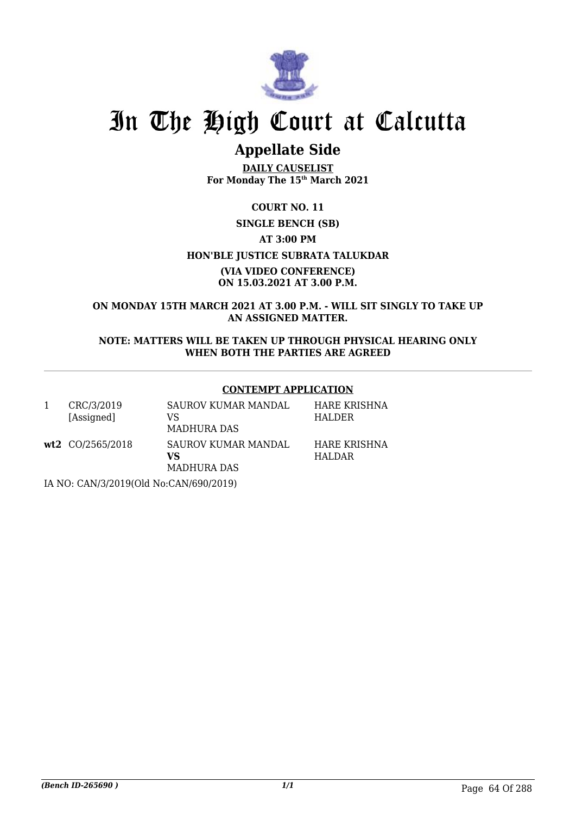

## **Appellate Side**

**DAILY CAUSELIST For Monday The 15th March 2021**

### **COURT NO. 11 SINGLE BENCH (SB) AT 3:00 PM HON'BLE JUSTICE SUBRATA TALUKDAR (VIA VIDEO CONFERENCE) ON 15.03.2021 AT 3.00 P.M.**

**ON MONDAY 15TH MARCH 2021 AT 3.00 P.M. - WILL SIT SINGLY TO TAKE UP AN ASSIGNED MATTER.**

**NOTE: MATTERS WILL BE TAKEN UP THROUGH PHYSICAL HEARING ONLY WHEN BOTH THE PARTIES ARE AGREED**

#### **CONTEMPT APPLICATION**

| CRC/3/2019 | SAUROV KUMAR MANDAL | HARE KRISHNA |
|------------|---------------------|--------------|
| [Assigned] | VS.                 | HALDER       |
|            | <b>MADHURA DAS</b>  |              |

**wt2** CO/2565/2018 SAUROV KUMAR MANDAL **VS** MADHURA DAS

HARE KRISHNA HALDAR

IA NO: CAN/3/2019(Old No:CAN/690/2019)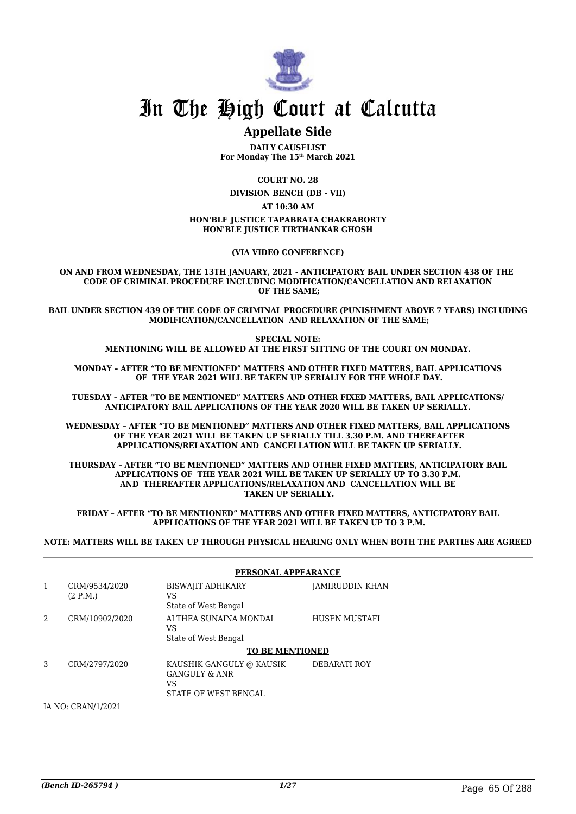

## **Appellate Side**

**DAILY CAUSELIST For Monday The 15th March 2021**

**COURT NO. 28**

**DIVISION BENCH (DB - VII)**

**AT 10:30 AM**

#### **HON'BLE JUSTICE TAPABRATA CHAKRABORTY HON'BLE JUSTICE TIRTHANKAR GHOSH**

**(VIA VIDEO CONFERENCE)**

**ON AND FROM WEDNESDAY, THE 13TH JANUARY, 2021 - ANTICIPATORY BAIL UNDER SECTION 438 OF THE CODE OF CRIMINAL PROCEDURE INCLUDING MODIFICATION/CANCELLATION AND RELAXATION OF THE SAME;**

**BAIL UNDER SECTION 439 OF THE CODE OF CRIMINAL PROCEDURE (PUNISHMENT ABOVE 7 YEARS) INCLUDING MODIFICATION/CANCELLATION AND RELAXATION OF THE SAME;**

> **SPECIAL NOTE: MENTIONING WILL BE ALLOWED AT THE FIRST SITTING OF THE COURT ON MONDAY.**

**MONDAY – AFTER "TO BE MENTIONED" MATTERS AND OTHER FIXED MATTERS, BAIL APPLICATIONS OF THE YEAR 2021 WILL BE TAKEN UP SERIALLY FOR THE WHOLE DAY.**

**TUESDAY – AFTER "TO BE MENTIONED" MATTERS AND OTHER FIXED MATTERS, BAIL APPLICATIONS/ ANTICIPATORY BAIL APPLICATIONS OF THE YEAR 2020 WILL BE TAKEN UP SERIALLY.**

**WEDNESDAY – AFTER "TO BE MENTIONED" MATTERS AND OTHER FIXED MATTERS, BAIL APPLICATIONS OF THE YEAR 2021 WILL BE TAKEN UP SERIALLY TILL 3.30 P.M. AND THEREAFTER APPLICATIONS/RELAXATION AND CANCELLATION WILL BE TAKEN UP SERIALLY.**

**THURSDAY – AFTER "TO BE MENTIONED" MATTERS AND OTHER FIXED MATTERS, ANTICIPATORY BAIL APPLICATIONS OF THE YEAR 2021 WILL BE TAKEN UP SERIALLY UP TO 3.30 P.M. AND THEREAFTER APPLICATIONS/RELAXATION AND CANCELLATION WILL BE TAKEN UP SERIALLY.**

**FRIDAY – AFTER "TO BE MENTIONED" MATTERS AND OTHER FIXED MATTERS, ANTICIPATORY BAIL APPLICATIONS OF THE YEAR 2021 WILL BE TAKEN UP TO 3 P.M.**

**NOTE: MATTERS WILL BE TAKEN UP THROUGH PHYSICAL HEARING ONLY WHEN BOTH THE PARTIES ARE AGREED**

|                |                           | PERSONAL APPEARANCE                                                                |                 |
|----------------|---------------------------|------------------------------------------------------------------------------------|-----------------|
| 1              | CRM/9534/2020<br>(2 P.M.) | BISWAJIT ADHIKARY<br>VS<br>State of West Bengal                                    | JAMIRUDDIN KHAN |
| $\mathfrak{D}$ | CRM/10902/2020            | ALTHEA SUNAINA MONDAL<br>VS<br>State of West Bengal                                | HUSEN MUSTAFI   |
|                |                           | <b>TO BE MENTIONED</b>                                                             |                 |
| 3              | CRM/2797/2020             | KAUSHIK GANGULY @ KAUSIK<br><b>GANGULY &amp; ANR</b><br>VS<br>STATE OF WEST BENGAL | DEBARATI ROY    |

IA NO: CRAN/1/2021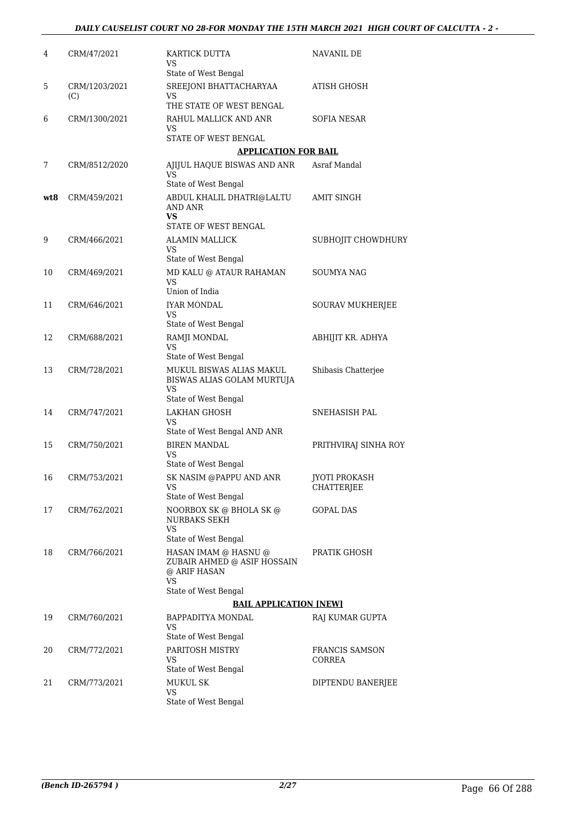| 4   | CRM/47/2021          | KARTICK DUTTA<br>VS<br>State of West Bengal                               | NAVANIL DE                         |
|-----|----------------------|---------------------------------------------------------------------------|------------------------------------|
| 5   | CRM/1203/2021<br>(C) | SREEJONI BHATTACHARYAA<br>VS                                              | ATISH GHOSH                        |
|     |                      | THE STATE OF WEST BENGAL                                                  |                                    |
| 6   | CRM/1300/2021        | RAHUL MALLICK AND ANR<br>VS                                               | SOFIA NESAR                        |
|     |                      | STATE OF WEST BENGAL                                                      |                                    |
|     |                      | <b>APPLICATION FOR BAIL</b>                                               |                                    |
| 7   | CRM/8512/2020        | AJIJUL HAQUE BISWAS AND ANR<br>VS<br>State of West Bengal                 | Asraf Mandal                       |
| wt8 | CRM/459/2021         | ABDUL KHALIL DHATRI@LALTU<br>AND ANR<br>VS                                | <b>AMIT SINGH</b>                  |
|     |                      | STATE OF WEST BENGAL                                                      |                                    |
| 9   | CRM/466/2021         | <b>ALAMIN MALLICK</b><br>VS<br>State of West Bengal                       | SUBHOJIT CHOWDHURY                 |
| 10  | CRM/469/2021         | MD KALU @ ATAUR RAHAMAN                                                   | SOUMYA NAG                         |
|     |                      | VS<br>Union of India                                                      |                                    |
| 11  | CRM/646/2021         | <b>IYAR MONDAL</b>                                                        | SOURAV MUKHERJEE                   |
|     |                      | VS<br>State of West Bengal                                                |                                    |
| 12  | CRM/688/2021         | RAMJI MONDAL                                                              | ABHIJIT KR. ADHYA                  |
|     |                      | VS<br>State of West Bengal                                                |                                    |
| 13  | CRM/728/2021         | MUKUL BISWAS ALIAS MAKUL<br>BISWAS ALIAS GOLAM MURTUJA<br>VS              | Shibasis Chatterjee                |
|     |                      | State of West Bengal                                                      |                                    |
| 14  | CRM/747/2021         | <b>LAKHAN GHOSH</b><br>VS<br>State of West Bengal AND ANR                 | SNEHASISH PAL                      |
| 15  | CRM/750/2021         | <b>BIREN MANDAL</b>                                                       | PRITHVIRAJ SINHA ROY               |
|     |                      | VS                                                                        |                                    |
|     |                      | State of West Bengal                                                      |                                    |
| 16  | CRM/753/2021         | SK NASIM @PAPPU AND ANR<br>VS<br>State of West Bengal                     | <b>JYOTI PROKASH</b><br>CHATTERJEE |
| 17  | CRM/762/2021         | NOORBOX SK @ BHOLA SK @                                                   | GOPAL DAS                          |
|     |                      | <b>NURBAKS SEKH</b><br><b>VS</b>                                          |                                    |
|     |                      | State of West Bengal                                                      |                                    |
| 18  | CRM/766/2021         | HASAN IMAM @ HASNU @<br>ZUBAIR AHMED @ ASIF HOSSAIN<br>@ ARIF HASAN<br>VS | PRATIK GHOSH                       |
|     |                      | State of West Bengal                                                      |                                    |
|     |                      | <b>BAIL APPLICATION [NEW]</b>                                             |                                    |
| 19  | CRM/760/2021         | BAPPADITYA MONDAL<br>VS                                                   | RAJ KUMAR GUPTA                    |
|     |                      | State of West Bengal                                                      |                                    |
| 20  | CRM/772/2021         | PARITOSH MISTRY<br>VS<br>State of West Bengal                             | FRANCIS SAMSON<br>CORREA           |
| 21  | CRM/773/2021         | <b>MUKUL SK</b>                                                           | DIPTENDU BANERJEE                  |
|     |                      | VS<br>State of West Bengal                                                |                                    |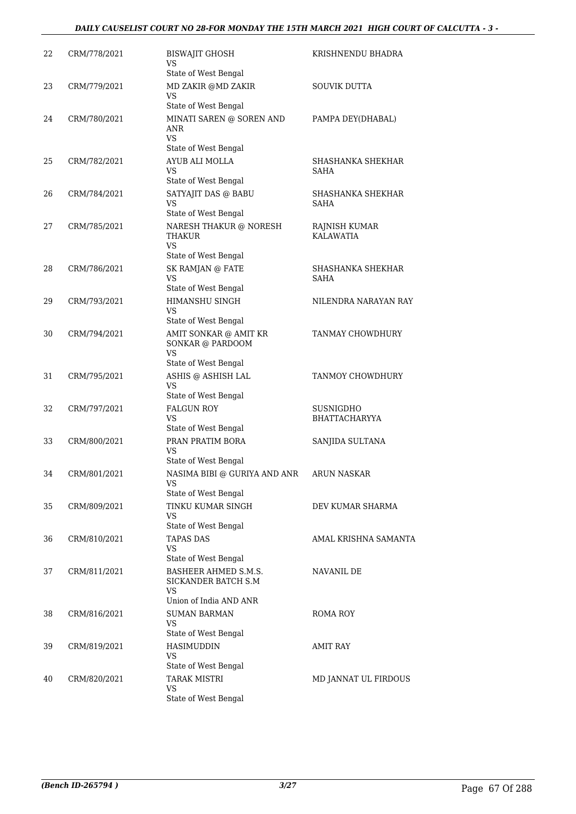#### *DAILY CAUSELIST COURT NO 28-FOR MONDAY THE 15TH MARCH 2021 HIGH COURT OF CALCUTTA - 3 -*

| 22 | CRM/778/2021 | <b>BISWAJIT GHOSH</b><br>VS<br>State of West Bengal                         | KRISHNENDU BHADRA                 |
|----|--------------|-----------------------------------------------------------------------------|-----------------------------------|
| 23 | CRM/779/2021 | MD ZAKIR @MD ZAKIR<br><b>VS</b><br>State of West Bengal                     | SOUVIK DUTTA                      |
| 24 | CRM/780/2021 | MINATI SAREN @ SOREN AND<br>ANR<br><b>VS</b><br>State of West Bengal        | PAMPA DEY(DHABAL)                 |
| 25 | CRM/782/2021 | AYUB ALI MOLLA<br>VS<br>State of West Bengal                                | SHASHANKA SHEKHAR<br>SAHA         |
| 26 | CRM/784/2021 | SATYAJIT DAS @ BABU<br><b>VS</b><br>State of West Bengal                    | SHASHANKA SHEKHAR<br>SAHA         |
| 27 | CRM/785/2021 | NARESH THAKUR @ NORESH<br>THAKUR<br>VS<br>State of West Bengal              | RAJNISH KUMAR<br><b>KALAWATIA</b> |
| 28 | CRM/786/2021 | SK RAMJAN @ FATE<br><b>VS</b><br>State of West Bengal                       | SHASHANKA SHEKHAR<br><b>SAHA</b>  |
| 29 | CRM/793/2021 | HIMANSHU SINGH<br><b>VS</b><br>State of West Bengal                         | NILENDRA NARAYAN RAY              |
| 30 | CRM/794/2021 | AMIT SONKAR @ AMIT KR<br>SONKAR @ PARDOOM<br>VS<br>State of West Bengal     | TANMAY CHOWDHURY                  |
| 31 | CRM/795/2021 | ASHIS @ ASHISH LAL<br>VS<br>State of West Bengal                            | TANMOY CHOWDHURY                  |
| 32 | CRM/797/2021 | <b>FALGUN ROY</b><br><b>VS</b><br>State of West Bengal                      | SUSNIGDHO<br><b>BHATTACHARYYA</b> |
| 33 | CRM/800/2021 | PRAN PRATIM BORA<br>VS<br>State of West Bengal                              | SANJIDA SULTANA                   |
| 34 | CRM/801/2021 | NASIMA BIBI @ GURIYA AND ANR<br>VS<br>State of West Bengal                  | <b>ARUN NASKAR</b>                |
| 35 | CRM/809/2021 | TINKU KUMAR SINGH<br>VS<br>State of West Bengal                             | DEV KUMAR SHARMA                  |
| 36 | CRM/810/2021 | <b>TAPAS DAS</b><br>VS<br>State of West Bengal                              | AMAL KRISHNA SAMANTA              |
| 37 | CRM/811/2021 | BASHEER AHMED S.M.S.<br>SICKANDER BATCH S.M<br>VS<br>Union of India AND ANR | NAVANIL DE                        |
| 38 | CRM/816/2021 | <b>SUMAN BARMAN</b><br>VS<br>State of West Bengal                           | ROMA ROY                          |
| 39 | CRM/819/2021 | <b>HASIMUDDIN</b><br>VS<br>State of West Bengal                             | <b>AMIT RAY</b>                   |
| 40 | CRM/820/2021 | <b>TARAK MISTRI</b><br>VS<br>State of West Bengal                           | MD JANNAT UL FIRDOUS              |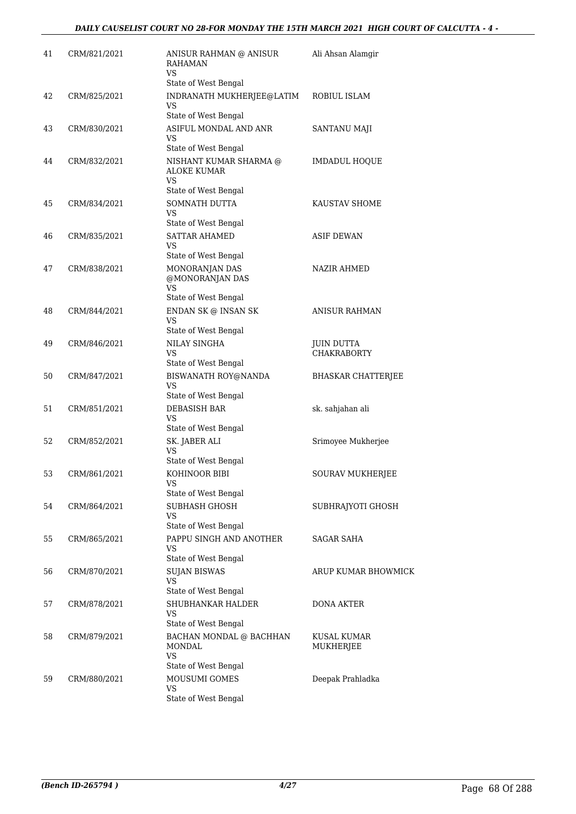| 41 | CRM/821/2021 | ANISUR RAHMAN @ ANISUR<br><b>RAHAMAN</b><br>VS.                                        | Ali Ahsan Alamgir                       |
|----|--------------|----------------------------------------------------------------------------------------|-----------------------------------------|
| 42 | CRM/825/2021 | State of West Bengal<br>INDRANATH MUKHERJEE@LATIM<br><b>VS</b><br>State of West Bengal | ROBIUL ISLAM                            |
| 43 | CRM/830/2021 | ASIFUL MONDAL AND ANR<br>VS<br>State of West Bengal                                    | SANTANU MAJI                            |
| 44 | CRM/832/2021 | NISHANT KUMAR SHARMA @<br>ALOKE KUMAR<br><b>VS</b><br>State of West Bengal             | <b>IMDADUL HOQUE</b>                    |
| 45 | CRM/834/2021 | SOMNATH DUTTA<br><b>VS</b><br>State of West Bengal                                     | KAUSTAV SHOME                           |
| 46 | CRM/835/2021 | <b>SATTAR AHAMED</b><br>VS<br>State of West Bengal                                     | <b>ASIF DEWAN</b>                       |
| 47 | CRM/838/2021 | MONORANJAN DAS<br>@MONORANJAN DAS<br>VS<br>State of West Bengal                        | NAZIR AHMED                             |
| 48 | CRM/844/2021 | ENDAN SK @ INSAN SK<br>VS<br>State of West Bengal                                      | <b>ANISUR RAHMAN</b>                    |
| 49 | CRM/846/2021 | <b>NILAY SINGHA</b><br>VS<br>State of West Bengal                                      | <b>JUIN DUTTA</b><br><b>CHAKRABORTY</b> |
| 50 | CRM/847/2021 | BISWANATH ROY@NANDA<br>VS<br>State of West Bengal                                      | <b>BHASKAR CHATTERJEE</b>               |
| 51 | CRM/851/2021 | DEBASISH BAR<br>VS<br>State of West Bengal                                             | sk. sahjahan ali                        |
| 52 | CRM/852/2021 | SK. JABER ALI<br><b>VS</b><br>State of West Bengal                                     | Srimoyee Mukherjee                      |
| 53 | CRM/861/2021 | KOHINOOR BIBI<br><b>VS</b><br>State of West Bengal                                     | SOURAV MUKHERJEE                        |
| 54 | CRM/864/2021 | SUBHASH GHOSH<br><b>VS</b><br>State of West Bengal                                     | SUBHRAJYOTI GHOSH                       |
| 55 | CRM/865/2021 | PAPPU SINGH AND ANOTHER<br>VS<br>State of West Bengal                                  | SAGAR SAHA                              |
| 56 | CRM/870/2021 | <b>SUJAN BISWAS</b><br><b>VS</b><br>State of West Bengal                               | ARUP KUMAR BHOWMICK                     |
| 57 | CRM/878/2021 | SHUBHANKAR HALDER<br>VS.<br>State of West Bengal                                       | <b>DONA AKTER</b>                       |
| 58 | CRM/879/2021 | BACHAN MONDAL @ BACHHAN<br>MONDAL<br>VS                                                | KUSAL KUMAR<br>MUKHERJEE                |
| 59 | CRM/880/2021 | State of West Bengal<br>MOUSUMI GOMES<br>VS<br>State of West Bengal                    | Deepak Prahladka                        |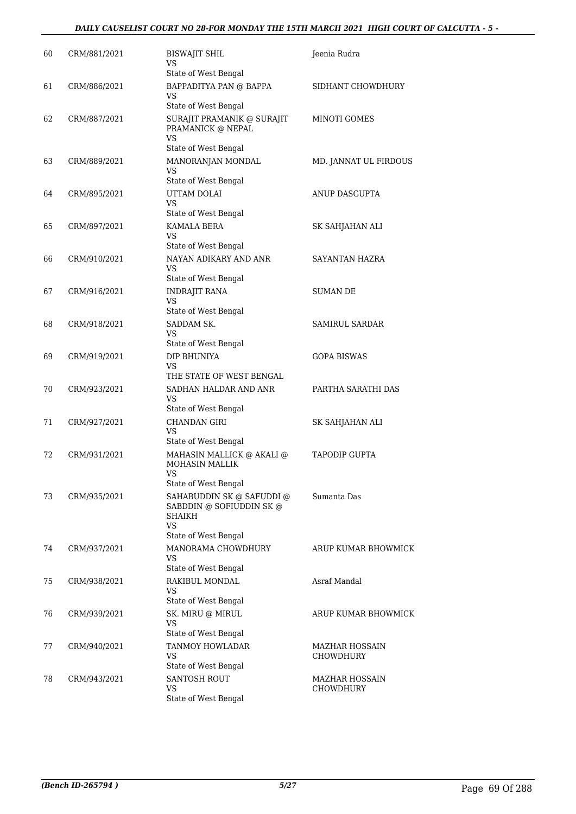#### *DAILY CAUSELIST COURT NO 28-FOR MONDAY THE 15TH MARCH 2021 HIGH COURT OF CALCUTTA - 5 -*

| 60 | CRM/881/2021 | <b>BISWAJIT SHIL</b><br>VS<br>State of West Bengal                                                   | Jeenia Rudra                       |
|----|--------------|------------------------------------------------------------------------------------------------------|------------------------------------|
| 61 | CRM/886/2021 | BAPPADITYA PAN @ BAPPA<br>VS<br>State of West Bengal                                                 | SIDHANT CHOWDHURY                  |
| 62 | CRM/887/2021 | SURAJIT PRAMANIK @ SURAJIT<br>PRAMANICK @ NEPAL<br>VS                                                | MINOTI GOMES                       |
| 63 | CRM/889/2021 | State of West Bengal<br>MANORANJAN MONDAL<br>VS<br>State of West Bengal                              | MD. JANNAT UL FIRDOUS              |
| 64 | CRM/895/2021 | UTTAM DOLAI<br>VS.<br>State of West Bengal                                                           | ANUP DASGUPTA                      |
| 65 | CRM/897/2021 | KAMALA BERA<br>VS.<br>State of West Bengal                                                           | SK SAHJAHAN ALI                    |
| 66 | CRM/910/2021 | NAYAN ADIKARY AND ANR<br>VS<br>State of West Bengal                                                  | SAYANTAN HAZRA                     |
| 67 | CRM/916/2021 | <b>INDRAJIT RANA</b><br><b>VS</b><br>State of West Bengal                                            | <b>SUMAN DE</b>                    |
| 68 | CRM/918/2021 | SADDAM SK.<br>VS<br>State of West Bengal                                                             | SAMIRUL SARDAR                     |
| 69 | CRM/919/2021 | DIP BHUNIYA<br>VS<br>THE STATE OF WEST BENGAL                                                        | <b>GOPA BISWAS</b>                 |
| 70 | CRM/923/2021 | SADHAN HALDAR AND ANR<br>VS<br>State of West Bengal                                                  | PARTHA SARATHI DAS                 |
| 71 | CRM/927/2021 | CHANDAN GIRI<br>VS<br>State of West Bengal                                                           | SK SAHJAHAN ALI                    |
| 72 | CRM/931/2021 | MAHASIN MALLICK @ AKALI @<br><b>MOHASIN MALLIK</b><br>VS<br>State of West Bengal                     | <b>TAPODIP GUPTA</b>               |
| 73 | CRM/935/2021 | SAHABUDDIN SK @ SAFUDDI @<br>SABDDIN @ SOFIUDDIN SK @<br>SHAIKH<br><b>VS</b><br>State of West Bengal | Sumanta Das                        |
| 74 | CRM/937/2021 | MANORAMA CHOWDHURY<br>VS<br>State of West Bengal                                                     | ARUP KUMAR BHOWMICK                |
| 75 | CRM/938/2021 | RAKIBUL MONDAL<br><b>VS</b><br>State of West Bengal                                                  | Asraf Mandal                       |
| 76 | CRM/939/2021 | SK. MIRU @ MIRUL<br><b>VS</b><br>State of West Bengal                                                | ARUP KUMAR BHOWMICK                |
| 77 | CRM/940/2021 | TANMOY HOWLADAR<br>VS<br>State of West Bengal                                                        | MAZHAR HOSSAIN<br><b>CHOWDHURY</b> |
| 78 | CRM/943/2021 | <b>SANTOSH ROUT</b><br>VS<br>State of West Bengal                                                    | MAZHAR HOSSAIN<br><b>CHOWDHURY</b> |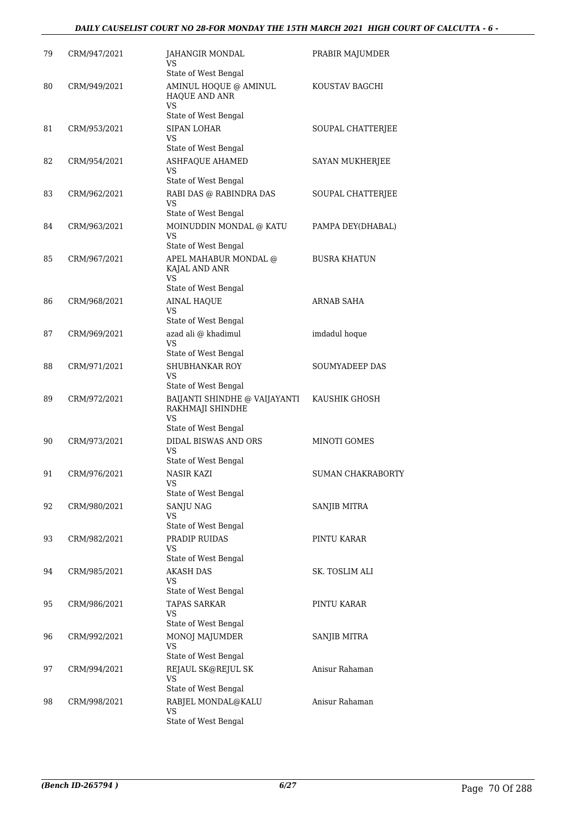#### *DAILY CAUSELIST COURT NO 28-FOR MONDAY THE 15TH MARCH 2021 HIGH COURT OF CALCUTTA - 6 -*

| 79 | CRM/947/2021 | JAHANGIR MONDAL<br>VS                                          | PRABIR MAJUMDER     |
|----|--------------|----------------------------------------------------------------|---------------------|
| 80 | CRM/949/2021 | State of West Bengal<br>AMINUL HOQUE @ AMINUL                  | KOUSTAV BAGCHI      |
|    |              | HAQUE AND ANR<br><b>VS</b><br>State of West Bengal             |                     |
| 81 | CRM/953/2021 | <b>SIPAN LOHAR</b><br>VS                                       | SOUPAL CHATTERJEE   |
|    |              | State of West Bengal                                           |                     |
| 82 | CRM/954/2021 | <b>ASHFAQUE AHAMED</b><br>VS<br>State of West Bengal           | SAYAN MUKHERJEE     |
| 83 | CRM/962/2021 | RABI DAS @ RABINDRA DAS                                        | SOUPAL CHATTERJEE   |
|    |              | VS<br>State of West Bengal                                     |                     |
| 84 | CRM/963/2021 | MOINUDDIN MONDAL @ KATU<br>VS                                  | PAMPA DEY(DHABAL)   |
|    |              | State of West Bengal                                           |                     |
| 85 | CRM/967/2021 | APEL MAHABUR MONDAL @<br>KAJAL AND ANR<br>VS                   | <b>BUSRA KHATUN</b> |
|    |              | State of West Bengal                                           |                     |
| 86 | CRM/968/2021 | <b>AINAL HAQUE</b><br>VS                                       | <b>ARNAB SAHA</b>   |
|    |              | State of West Bengal                                           |                     |
| 87 | CRM/969/2021 | azad ali @ khadimul<br>VS<br>State of West Bengal              | imdadul hoque       |
| 88 | CRM/971/2021 | SHUBHANKAR ROY                                                 | SOUMYADEEP DAS      |
|    |              | <b>VS</b><br>State of West Bengal                              |                     |
| 89 | CRM/972/2021 | BAIJANTI SHINDHE @ VAIJAYANTI<br>RAKHMAJI SHINDHE<br><b>VS</b> | KAUSHIK GHOSH       |
|    |              | State of West Bengal                                           |                     |
| 90 | CRM/973/2021 | DIDAL BISWAS AND ORS<br>VS<br>State of West Bengal             | MINOTI GOMES        |
| 91 | CRM/976/2021 | NASIR KAZI                                                     | SUMAN CHAKRABORTY   |
|    |              | <b>VS</b><br>State of West Bengal                              |                     |
| 92 | CRM/980/2021 | <b>SANJU NAG</b><br>VS                                         | <b>SANJIB MITRA</b> |
|    |              | State of West Bengal                                           |                     |
| 93 | CRM/982/2021 | PRADIP RUIDAS<br><b>VS</b><br>State of West Bengal             | PINTU KARAR         |
| 94 | CRM/985/2021 | <b>AKASH DAS</b>                                               | SK. TOSLIM ALI      |
|    |              | VS                                                             |                     |
|    |              | State of West Bengal                                           |                     |
| 95 | CRM/986/2021 | <b>TAPAS SARKAR</b><br>VS<br>State of West Bengal              | PINTU KARAR         |
| 96 | CRM/992/2021 | MONOJ MAJUMDER<br><b>VS</b>                                    | <b>SANJIB MITRA</b> |
|    |              | State of West Bengal                                           |                     |
| 97 | CRM/994/2021 | REJAUL SK@REJUL SK<br><b>VS</b>                                | Anisur Rahaman      |
|    |              | State of West Bengal                                           |                     |
| 98 | CRM/998/2021 | RABJEL MONDAL@KALU<br>VS<br>State of West Bengal               | Anisur Rahaman      |
|    |              |                                                                |                     |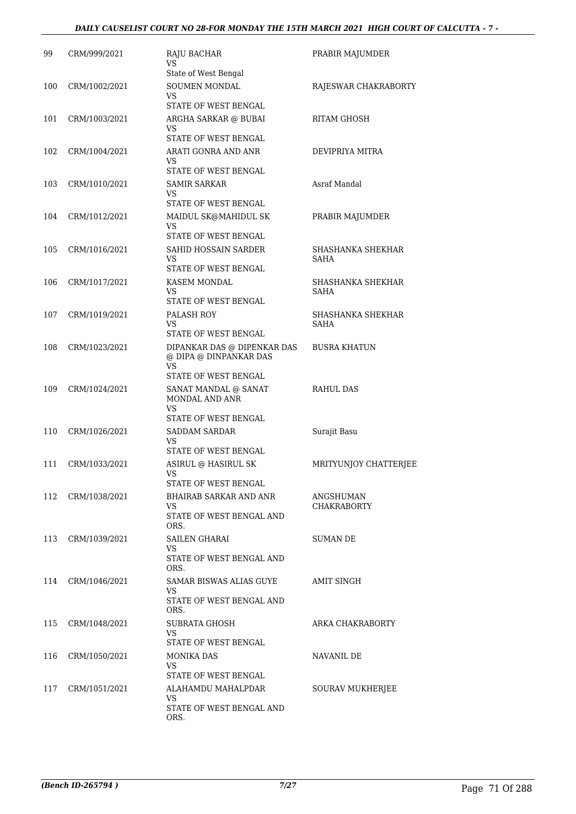# *DAILY CAUSELIST COURT NO 28-FOR MONDAY THE 15TH MARCH 2021 HIGH COURT OF CALCUTTA - 7 -*

| 99  | CRM/999/2021  | RAJU BACHAR<br>VS<br>State of West Bengal                                                           | PRABIR MAJUMDER                  |
|-----|---------------|-----------------------------------------------------------------------------------------------------|----------------------------------|
| 100 | CRM/1002/2021 | SOUMEN MONDAL<br><b>VS</b><br><b>STATE OF WEST BENGAL</b>                                           | RAJESWAR CHAKRABORTY             |
| 101 | CRM/1003/2021 | ARGHA SARKAR @ BUBAI<br>VS<br>STATE OF WEST BENGAL                                                  | <b>RITAM GHOSH</b>               |
| 102 | CRM/1004/2021 | ARATI GONRA AND ANR<br>VS<br>STATE OF WEST BENGAL                                                   | DEVIPRIYA MITRA                  |
| 103 | CRM/1010/2021 | <b>SAMIR SARKAR</b><br>VS<br>STATE OF WEST BENGAL                                                   | Asraf Mandal                     |
| 104 | CRM/1012/2021 | MAIDUL SK@MAHIDUL SK<br><b>VS</b><br>STATE OF WEST BENGAL                                           | PRABIR MAJUMDER                  |
| 105 | CRM/1016/2021 | SAHID HOSSAIN SARDER<br>VS<br>STATE OF WEST BENGAL                                                  | SHASHANKA SHEKHAR<br>SAHA        |
| 106 | CRM/1017/2021 | KASEM MONDAL<br>VS<br>STATE OF WEST BENGAL                                                          | SHASHANKA SHEKHAR<br>SAHA        |
| 107 | CRM/1019/2021 | PALASH ROY<br>VS<br>STATE OF WEST BENGAL                                                            | SHASHANKA SHEKHAR<br><b>SAHA</b> |
| 108 | CRM/1023/2021 | DIPANKAR DAS @ DIPENKAR DAS<br>@ DIPA @ DINPANKAR DAS<br>VS                                         | <b>BUSRA KHATUN</b>              |
| 109 | CRM/1024/2021 | STATE OF WEST BENGAL<br>SANAT MANDAL @ SANAT<br>MONDAL AND ANR<br><b>VS</b><br>STATE OF WEST BENGAL | <b>RAHUL DAS</b>                 |
| 110 | CRM/1026/2021 | <b>SADDAM SARDAR</b><br>VS<br>STATE OF WEST BENGAL                                                  | Surajit Basu                     |
| 111 | CRM/1033/2021 | ASIRUL @ HASIRUL SK<br>VS<br>STATE OF WEST BENGAL                                                   | MRITYUNJOY CHATTERJEE            |
| 112 | CRM/1038/2021 | BHAIRAB SARKAR AND ANR<br>VS<br>STATE OF WEST BENGAL AND<br>ORS.                                    | ANGSHUMAN<br><b>CHAKRABORTY</b>  |
| 113 | CRM/1039/2021 | SAILEN GHARAI<br>VS<br>STATE OF WEST BENGAL AND<br>ORS.                                             | SUMAN DE                         |
| 114 | CRM/1046/2021 | SAMAR BISWAS ALIAS GUYE<br>VS<br>STATE OF WEST BENGAL AND<br>ORS.                                   | <b>AMIT SINGH</b>                |
| 115 | CRM/1048/2021 | SUBRATA GHOSH<br>VS<br>STATE OF WEST BENGAL                                                         | ARKA CHAKRABORTY                 |
| 116 | CRM/1050/2021 | MONIKA DAS<br>VS<br>STATE OF WEST BENGAL                                                            | NAVANIL DE                       |
| 117 | CRM/1051/2021 | ALAHAMDU MAHALPDAR<br>VS.<br>STATE OF WEST BENGAL AND<br>ORS.                                       | <b>SOURAV MUKHERJEE</b>          |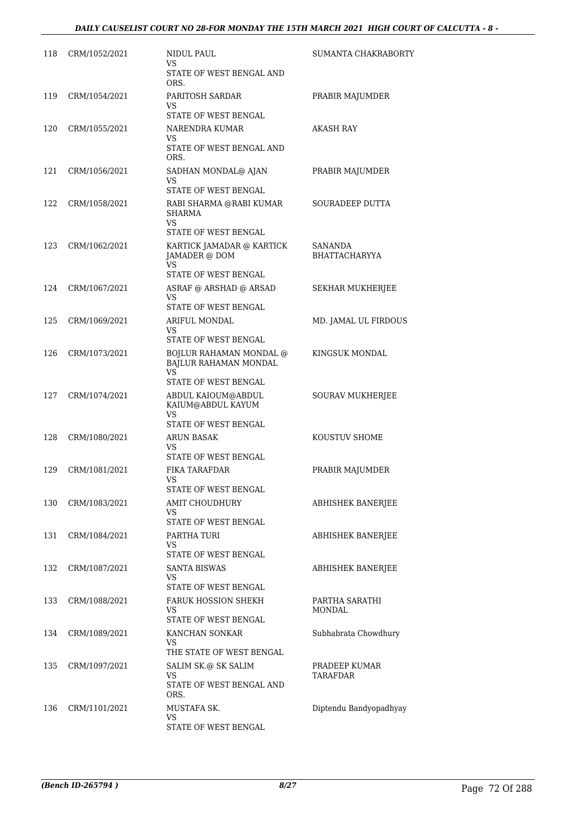| 118 | CRM/1052/2021 | NIDUL PAUL<br>VS<br>STATE OF WEST BENGAL AND                                    | <b>SUMANTA CHAKRABORTY</b>       |
|-----|---------------|---------------------------------------------------------------------------------|----------------------------------|
|     |               | ORS.                                                                            |                                  |
| 119 | CRM/1054/2021 | PARITOSH SARDAR<br>VS                                                           | PRABIR MAJUMDER                  |
|     |               | STATE OF WEST BENGAL                                                            |                                  |
| 120 | CRM/1055/2021 | NARENDRA KUMAR<br>VS<br>STATE OF WEST BENGAL AND<br>ORS.                        | AKASH RAY                        |
| 121 | CRM/1056/2021 | SADHAN MONDAL@ AJAN<br>VS<br>STATE OF WEST BENGAL                               | PRABIR MAJUMDER                  |
| 122 | CRM/1058/2021 | RABI SHARMA @RABI KUMAR<br><b>SHARMA</b><br>VS<br>STATE OF WEST BENGAL          | SOURADEEP DUTTA                  |
| 123 | CRM/1062/2021 | KARTICK JAMADAR @ KARTICK<br>JAMADER @ DOM<br><b>VS</b><br>STATE OF WEST BENGAL | SANANDA<br><b>BHATTACHARYYA</b>  |
| 124 | CRM/1067/2021 | ASRAF @ ARSHAD @ ARSAD<br>VS<br>STATE OF WEST BENGAL                            | SEKHAR MUKHERJEE                 |
| 125 | CRM/1069/2021 | ARIFUL MONDAL                                                                   | MD. JAMAL UL FIRDOUS             |
|     |               | VS                                                                              |                                  |
| 126 | CRM/1073/2021 | STATE OF WEST BENGAL<br>BOJLUR RAHAMAN MONDAL @<br>BAJLUR RAHAMAN MONDAL        | KINGSUK MONDAL                   |
|     |               | VS<br>STATE OF WEST BENGAL                                                      |                                  |
| 127 | CRM/1074/2021 | ABDUL KAIOUM@ABDUL<br>KAIUM@ABDUL KAYUM<br>VS                                   | SOURAV MUKHERJEE                 |
|     |               | STATE OF WEST BENGAL                                                            |                                  |
| 128 | CRM/1080/2021 | ARUN BASAK<br>VS                                                                | KOUSTUV SHOME                    |
|     | CRM/1081/2021 | STATE OF WEST BENGAL<br>FIKA TARAFDAR                                           |                                  |
| 129 |               | VS.<br>STATE OF WEST BENGAL                                                     | PRABIR MAJUMDER                  |
| 130 | CRM/1083/2021 | <b>AMIT CHOUDHURY</b><br>VS<br>STATE OF WEST BENGAL                             | ABHISHEK BANERJEE                |
| 131 | CRM/1084/2021 | PARTHA TURI                                                                     | ABHISHEK BANERJEE                |
|     |               | VS<br>STATE OF WEST BENGAL                                                      |                                  |
| 132 | CRM/1087/2021 | <b>SANTA BISWAS</b><br>VS                                                       | ABHISHEK BANERJEE                |
|     |               | STATE OF WEST BENGAL                                                            |                                  |
| 133 | CRM/1088/2021 | <b>FARUK HOSSION SHEKH</b><br>VS<br>STATE OF WEST BENGAL                        | PARTHA SARATHI<br><b>MONDAL</b>  |
| 134 | CRM/1089/2021 | KANCHAN SONKAR                                                                  | Subhabrata Chowdhury             |
|     |               | VS<br>THE STATE OF WEST BENGAL                                                  |                                  |
| 135 | CRM/1097/2021 | SALIM SK.@ SK SALIM<br>VS                                                       | PRADEEP KUMAR<br><b>TARAFDAR</b> |
|     |               | STATE OF WEST BENGAL AND<br>ORS.                                                |                                  |
| 136 | CRM/1101/2021 | MUSTAFA SK.                                                                     | Diptendu Bandyopadhyay           |
|     |               | VS<br>STATE OF WEST BENGAL                                                      |                                  |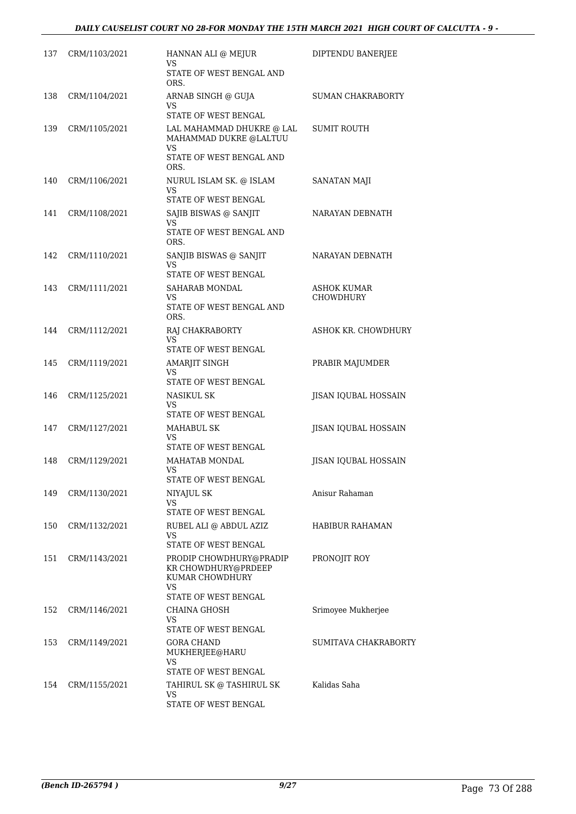| 137 | CRM/1103/2021 | HANNAN ALI @ MEJUR<br>VS                                                                         | DIPTENDU BANERJEE               |
|-----|---------------|--------------------------------------------------------------------------------------------------|---------------------------------|
|     |               | STATE OF WEST BENGAL AND<br>ORS.                                                                 |                                 |
| 138 | CRM/1104/2021 | ARNAB SINGH @ GUJA<br>VS<br>STATE OF WEST BENGAL                                                 | SUMAN CHAKRABORTY               |
| 139 | CRM/1105/2021 | LAL MAHAMMAD DHUKRE @ LAL<br>MAHAMMAD DUKRE @LALTUU<br>VS<br>STATE OF WEST BENGAL AND<br>ORS.    | <b>SUMIT ROUTH</b>              |
| 140 | CRM/1106/2021 | NURUL ISLAM SK. @ ISLAM<br>VS<br>STATE OF WEST BENGAL                                            | SANATAN MAJI                    |
| 141 | CRM/1108/2021 | SAJIB BISWAS @ SANJIT<br>VS<br>STATE OF WEST BENGAL AND                                          | NARAYAN DEBNATH                 |
| 142 | CRM/1110/2021 | ORS.<br>SANJIB BISWAS @ SANJIT<br>VS<br>STATE OF WEST BENGAL                                     | NARAYAN DEBNATH                 |
| 143 | CRM/1111/2021 | SAHARAB MONDAL<br>VS<br>STATE OF WEST BENGAL AND<br>ORS.                                         | ASHOK KUMAR<br><b>CHOWDHURY</b> |
| 144 | CRM/1112/2021 | RAJ CHAKRABORTY<br>VS<br>STATE OF WEST BENGAL                                                    | ASHOK KR. CHOWDHURY             |
| 145 | CRM/1119/2021 | AMARJIT SINGH<br>VS<br>STATE OF WEST BENGAL                                                      | PRABIR MAJUMDER                 |
| 146 | CRM/1125/2021 | NASIKUL SK<br>VS<br>STATE OF WEST BENGAL                                                         | JISAN IQUBAL HOSSAIN            |
| 147 | CRM/1127/2021 | MAHABUL SK<br>VS<br>STATE OF WEST BENGAL                                                         | JISAN IQUBAL HOSSAIN            |
| 148 | CRM/1129/2021 | MAHATAB MONDAL<br>VS<br>STATE OF WEST BENGAL                                                     | <b>IISAN IOUBAL HOSSAIN</b>     |
| 149 | CRM/1130/2021 | NIYAJUL SK<br>VS<br>STATE OF WEST BENGAL                                                         | Anisur Rahaman                  |
| 150 | CRM/1132/2021 | RUBEL ALI @ ABDUL AZIZ<br>VS<br>STATE OF WEST BENGAL                                             | <b>HABIBUR RAHAMAN</b>          |
| 151 | CRM/1143/2021 | PRODIP CHOWDHURY@PRADIP<br>KR CHOWDHURY@PRDEEP<br>KUMAR CHOWDHURY<br>VS.<br>STATE OF WEST BENGAL | PRONOJIT ROY                    |
| 152 | CRM/1146/2021 | <b>CHAINA GHOSH</b><br>VS<br>STATE OF WEST BENGAL                                                | Srimoyee Mukherjee              |
| 153 | CRM/1149/2021 | <b>GORA CHAND</b><br>MUKHERJEE@HARU<br>VS<br>STATE OF WEST BENGAL                                | <b>SUMITAVA CHAKRABORTY</b>     |
| 154 | CRM/1155/2021 | TAHIRUL SK @ TASHIRUL SK<br>VS<br>STATE OF WEST BENGAL                                           | Kalidas Saha                    |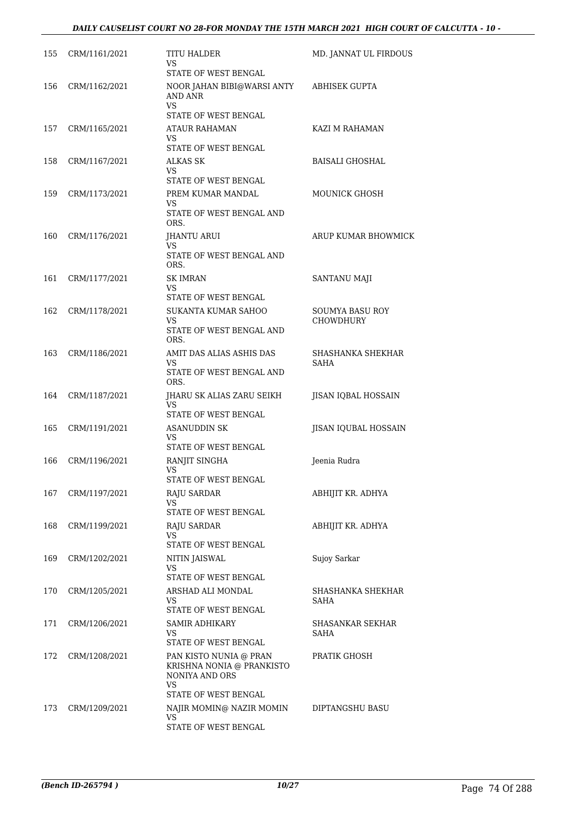| 155 | CRM/1161/2021 | TITU HALDER<br>VS<br>STATE OF WEST BENGAL                 | MD. JANNAT UL FIRDOUS  |
|-----|---------------|-----------------------------------------------------------|------------------------|
| 156 | CRM/1162/2021 | NOOR JAHAN BIBI@WARSI ANTY<br><b>AND ANR</b><br><b>VS</b> | <b>ABHISEK GUPTA</b>   |
|     |               | STATE OF WEST BENGAL                                      |                        |
| 157 | CRM/1165/2021 | ATAUR RAHAMAN<br>VS.<br>STATE OF WEST BENGAL              | KAZI M RAHAMAN         |
| 158 | CRM/1167/2021 | ALKAS SK                                                  | <b>BAISALI GHOSHAL</b> |
|     |               | VS                                                        |                        |
|     |               | STATE OF WEST BENGAL                                      |                        |
| 159 | CRM/1173/2021 | PREM KUMAR MANDAL<br>VS                                   | <b>MOUNICK GHOSH</b>   |
|     |               | STATE OF WEST BENGAL AND<br>ORS.                          |                        |
| 160 | CRM/1176/2021 | JHANTU ARUI<br>VS.                                        | ARUP KUMAR BHOWMICK    |
|     |               | STATE OF WEST BENGAL AND<br>ORS.                          |                        |
| 161 | CRM/1177/2021 | <b>SK IMRAN</b>                                           | <b>SANTANU MAJI</b>    |
|     |               | VS<br>STATE OF WEST BENGAL                                |                        |
| 162 | CRM/1178/2021 | SUKANTA KUMAR SAHOO                                       | <b>SOUMYA BASU ROY</b> |
|     |               | VS<br>STATE OF WEST BENGAL AND<br>ORS.                    | <b>CHOWDHURY</b>       |
| 163 | CRM/1186/2021 | AMIT DAS ALIAS ASHIS DAS                                  | SHASHANKA SHEKHAR      |
|     |               | VS.<br>STATE OF WEST BENGAL AND<br>ORS.                   | <b>SAHA</b>            |
| 164 | CRM/1187/2021 | JHARU SK ALIAS ZARU SEIKH<br>VS.                          | JISAN IQBAL HOSSAIN    |
|     |               | STATE OF WEST BENGAL                                      |                        |
| 165 | CRM/1191/2021 | <b>ASANUDDIN SK</b><br>VS<br>STATE OF WEST BENGAL         | JISAN IQUBAL HOSSAIN   |
| 166 | CRM/1196/2021 | RANJIT SINGHA                                             | Jeenia Rudra           |
|     |               | VS<br>STATE OF WEST BENGAL                                |                        |
| 167 | CRM/1197/2021 | RAJU SARDAR                                               | ABHIJIT KR. ADHYA      |
|     |               | VS<br>STATE OF WEST BENGAL                                |                        |
| 168 | CRM/1199/2021 | <b>RAJU SARDAR</b>                                        | ABHIJIT KR. ADHYA      |
|     |               | VS                                                        |                        |
|     |               | STATE OF WEST BENGAL                                      |                        |
| 169 | CRM/1202/2021 | <b>NITIN JAISWAL</b><br>VS.<br>STATE OF WEST BENGAL       | Sujoy Sarkar           |
| 170 | CRM/1205/2021 | ARSHAD ALI MONDAL                                         | SHASHANKA SHEKHAR      |
|     |               | VS.<br>STATE OF WEST BENGAL                               | SAHA                   |
| 171 | CRM/1206/2021 | SAMIR ADHIKARY                                            | SHASANKAR SEKHAR       |
|     |               | VS<br>STATE OF WEST BENGAL                                | SAHA                   |
| 172 | CRM/1208/2021 | PAN KISTO NUNIA @ PRAN<br>KRISHNA NONIA @ PRANKISTO       | PRATIK GHOSH           |
|     |               | NONIYA AND ORS<br>VS.                                     |                        |
|     |               | STATE OF WEST BENGAL                                      |                        |
| 173 | CRM/1209/2021 | NAJIR MOMIN@ NAZIR MOMIN<br>VS                            | DIPTANGSHU BASU        |
|     |               | STATE OF WEST BENGAL                                      |                        |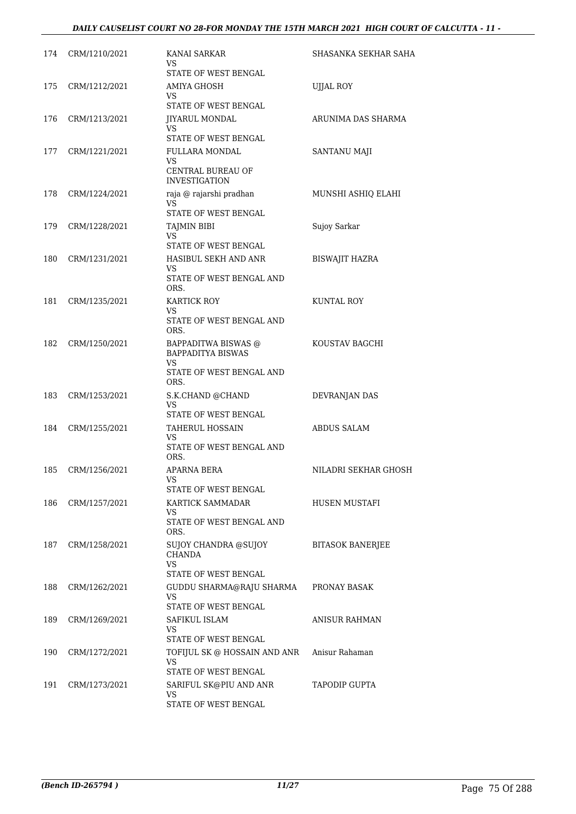| 174 | CRM/1210/2021 | KANAI SARKAR<br>VS<br>STATE OF WEST BENGAL                                                 | SHASANKA SEKHAR SAHA    |
|-----|---------------|--------------------------------------------------------------------------------------------|-------------------------|
| 175 | CRM/1212/2021 | AMIYA GHOSH<br>VS<br>STATE OF WEST BENGAL                                                  | <b>UJJAL ROY</b>        |
| 176 | CRM/1213/2021 | JIYARUL MONDAL<br>VS.<br>STATE OF WEST BENGAL                                              | ARUNIMA DAS SHARMA      |
| 177 | CRM/1221/2021 | <b>FULLARA MONDAL</b><br>VS<br>CENTRAL BUREAU OF<br><b>INVESTIGATION</b>                   | <b>SANTANU MAJI</b>     |
| 178 | CRM/1224/2021 | raja @ rajarshi pradhan<br>VS<br>STATE OF WEST BENGAL                                      | MUNSHI ASHIQ ELAHI      |
| 179 | CRM/1228/2021 | <b>TAJMIN BIBI</b><br>VS.<br>STATE OF WEST BENGAL                                          | Sujoy Sarkar            |
| 180 | CRM/1231/2021 | HASIBUL SEKH AND ANR<br>VS<br>STATE OF WEST BENGAL AND<br>ORS.                             | <b>BISWAJIT HAZRA</b>   |
| 181 | CRM/1235/2021 | <b>KARTICK ROY</b><br>VS<br>STATE OF WEST BENGAL AND<br>ORS.                               | KUNTAL ROY              |
| 182 | CRM/1250/2021 | BAPPADITWA BISWAS @<br><b>BAPPADITYA BISWAS</b><br>VS.<br>STATE OF WEST BENGAL AND<br>ORS. | KOUSTAV BAGCHI          |
| 183 | CRM/1253/2021 | S.K.CHAND @CHAND<br>VS.<br>STATE OF WEST BENGAL                                            | DEVRANJAN DAS           |
| 184 | CRM/1255/2021 | <b>TAHERUL HOSSAIN</b><br>VS.<br>STATE OF WEST BENGAL AND<br>ORS.                          | ABDUS SALAM             |
| 185 | CRM/1256/2021 | APARNA BERA<br>VS.<br>STATE OF WEST BENGAL                                                 | NILADRI SEKHAR GHOSH    |
| 186 | CRM/1257/2021 | KARTICK SAMMADAR<br>VS.<br>STATE OF WEST BENGAL AND<br>ORS.                                | HUSEN MUSTAFI           |
| 187 | CRM/1258/2021 | SUJOY CHANDRA @SUJOY<br><b>CHANDA</b><br><b>VS</b><br>STATE OF WEST BENGAL                 | <b>BITASOK BANERJEE</b> |
| 188 | CRM/1262/2021 | GUDDU SHARMA@RAJU SHARMA<br>VS<br>STATE OF WEST BENGAL                                     | PRONAY BASAK            |
| 189 | CRM/1269/2021 | SAFIKUL ISLAM<br>VS<br>STATE OF WEST BENGAL                                                | ANISUR RAHMAN           |
| 190 | CRM/1272/2021 | TOFIJUL SK @ HOSSAIN AND ANR<br>VS<br>STATE OF WEST BENGAL                                 | Anisur Rahaman          |
| 191 | CRM/1273/2021 | SARIFUL SK@PIU AND ANR<br>VS<br>STATE OF WEST BENGAL                                       | TAPODIP GUPTA           |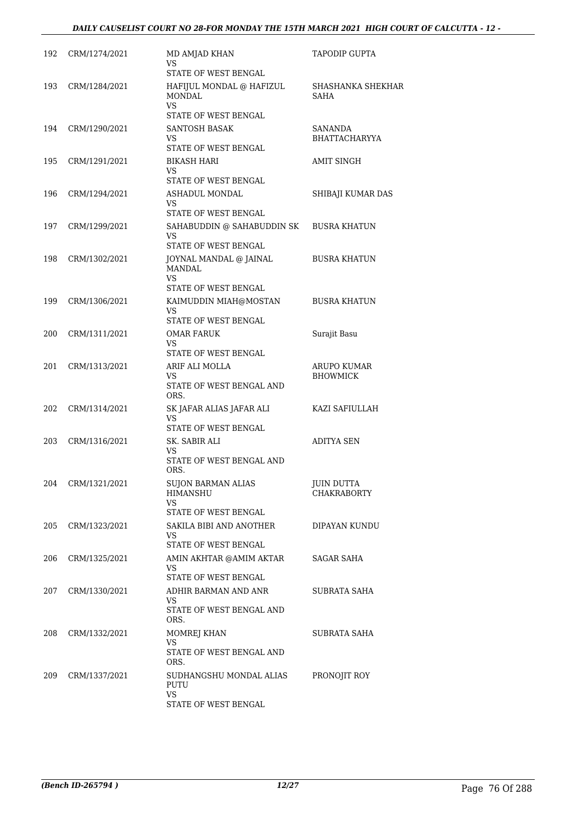# *DAILY CAUSELIST COURT NO 28-FOR MONDAY THE 15TH MARCH 2021 HIGH COURT OF CALCUTTA - 12 -*

| 192 | CRM/1274/2021 | MD AMJAD KHAN<br>VS                                               | TAPODIP GUPTA                           |
|-----|---------------|-------------------------------------------------------------------|-----------------------------------------|
| 193 | CRM/1284/2021 | STATE OF WEST BENGAL<br>HAFIJUL MONDAL @ HAFIZUL<br><b>MONDAL</b> | SHASHANKA SHEKHAR<br><b>SAHA</b>        |
|     |               | <b>VS</b><br>STATE OF WEST BENGAL                                 |                                         |
| 194 | CRM/1290/2021 | SANTOSH BASAK<br>VS.<br>STATE OF WEST BENGAL                      | SANANDA<br><b>BHATTACHARYYA</b>         |
| 195 | CRM/1291/2021 | <b>BIKASH HARI</b><br>VS<br>STATE OF WEST BENGAL                  | <b>AMIT SINGH</b>                       |
| 196 | CRM/1294/2021 | ASHADUL MONDAL<br>VS.<br>STATE OF WEST BENGAL                     | SHIBAJI KUMAR DAS                       |
| 197 | CRM/1299/2021 | SAHABUDDIN @ SAHABUDDIN SK<br>VS.<br>STATE OF WEST BENGAL         | <b>BUSRA KHATUN</b>                     |
| 198 | CRM/1302/2021 | JOYNAL MANDAL @ JAINAL<br><b>MANDAL</b><br>VS                     | <b>BUSRA KHATUN</b>                     |
|     |               | STATE OF WEST BENGAL                                              |                                         |
| 199 | CRM/1306/2021 | KAIMUDDIN MIAH@MOSTAN<br>VS.<br>STATE OF WEST BENGAL              | <b>BUSRA KHATUN</b>                     |
| 200 | CRM/1311/2021 | <b>OMAR FARUK</b><br>VS.<br>STATE OF WEST BENGAL                  | Surajit Basu                            |
| 201 | CRM/1313/2021 | ARIF ALI MOLLA                                                    | ARUPO KUMAR                             |
|     |               | VS.<br>STATE OF WEST BENGAL AND<br>ORS.                           | <b>BHOWMICK</b>                         |
| 202 | CRM/1314/2021 | SK JAFAR ALIAS JAFAR ALI<br><b>VS</b>                             | KAZI SAFIULLAH                          |
| 203 | CRM/1316/2021 | STATE OF WEST BENGAL<br>SK. SABIR ALI                             | <b>ADITYA SEN</b>                       |
|     |               | VS<br>STATE OF WEST BENGAL AND<br>ORS.                            |                                         |
| 204 | CRM/1321/2021 | <b>SUJON BARMAN ALIAS</b><br>HIMANSHU<br>VS                       | <b>JUIN DUTTA</b><br><b>CHAKRABORTY</b> |
|     |               | STATE OF WEST BENGAL                                              |                                         |
| 205 | CRM/1323/2021 | SAKILA BIBI AND ANOTHER<br>VS.<br>STATE OF WEST BENGAL            | DIPAYAN KUNDU                           |
| 206 | CRM/1325/2021 | AMIN AKHTAR @AMIM AKTAR<br>VS                                     | SAGAR SAHA                              |
|     |               | STATE OF WEST BENGAL                                              |                                         |
| 207 | CRM/1330/2021 | ADHIR BARMAN AND ANR<br>VS.<br>STATE OF WEST BENGAL AND<br>ORS.   | SUBRATA SAHA                            |
| 208 | CRM/1332/2021 | MOMREJ KHAN                                                       | SUBRATA SAHA                            |
|     |               | VS<br>STATE OF WEST BENGAL AND<br>ORS.                            |                                         |
| 209 | CRM/1337/2021 | SUDHANGSHU MONDAL ALIAS<br>PUTU<br><b>VS</b>                      | PRONOJIT ROY                            |
|     |               | STATE OF WEST BENGAL                                              |                                         |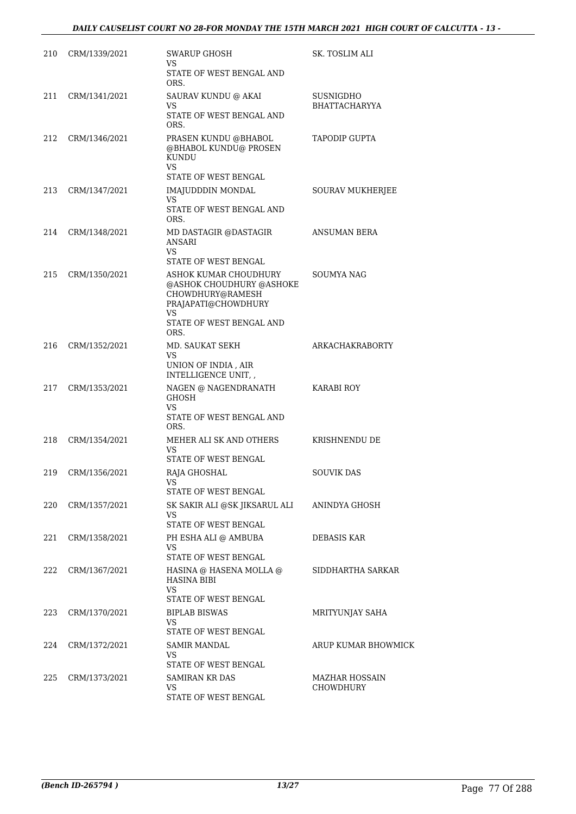| 210 | CRM/1339/2021 | SWARUP GHOSH<br>VS.<br>STATE OF WEST BENGAL AND                                                                                        | SK. TOSLIM ALI                    |
|-----|---------------|----------------------------------------------------------------------------------------------------------------------------------------|-----------------------------------|
| 211 | CRM/1341/2021 | ORS.<br>SAURAV KUNDU @ AKAI<br><b>VS</b><br>STATE OF WEST BENGAL AND<br>ORS.                                                           | SUSNIGDHO<br><b>BHATTACHARYYA</b> |
| 212 | CRM/1346/2021 | PRASEN KUNDU @BHABOL<br>@BHABOL KUNDU@ PROSEN<br><b>KUNDU</b><br><b>VS</b>                                                             | <b>TAPODIP GUPTA</b>              |
| 213 | CRM/1347/2021 | STATE OF WEST BENGAL<br>IMAJUDDDIN MONDAL<br><b>VS</b>                                                                                 | SOURAV MUKHERJEE                  |
|     |               | STATE OF WEST BENGAL AND<br>ORS.                                                                                                       |                                   |
| 214 | CRM/1348/2021 | MD DASTAGIR @DASTAGIR<br>ANSARI<br><b>VS</b>                                                                                           | ANSUMAN BERA                      |
|     |               | STATE OF WEST BENGAL                                                                                                                   |                                   |
| 215 | CRM/1350/2021 | ASHOK KUMAR CHOUDHURY<br>@ASHOK CHOUDHURY @ASHOKE<br>CHOWDHURY@RAMESH<br>PRAJAPATI@CHOWDHURY<br>VS<br>STATE OF WEST BENGAL AND<br>ORS. | SOUMYA NAG                        |
| 216 | CRM/1352/2021 | MD. SAUKAT SEKH<br>VS<br>UNION OF INDIA, AIR<br>INTELLIGENCE UNIT,                                                                     | ARKACHAKRABORTY                   |
| 217 | CRM/1353/2021 | NAGEN @ NAGENDRANATH<br><b>GHOSH</b><br><b>VS</b><br>STATE OF WEST BENGAL AND<br>ORS.                                                  | <b>KARABI ROY</b>                 |
| 218 | CRM/1354/2021 | MEHER ALI SK AND OTHERS<br>VS.<br>STATE OF WEST BENGAL                                                                                 | KRISHNENDU DE                     |
| 219 | CRM/1356/2021 | RAJA GHOSHAL<br>VS<br>STATE OF WEST BENGAL                                                                                             | SOUVIK DAS                        |
| 220 | CRM/1357/2021 | SK SAKIR ALI @SK JIKSARUL ALI<br>VS.<br>STATE OF WEST BENGAL                                                                           | ANINDYA GHOSH                     |
| 221 | CRM/1358/2021 | PH ESHA ALI @ AMBUBA<br>VS.<br>STATE OF WEST BENGAL                                                                                    | DEBASIS KAR                       |
| 222 | CRM/1367/2021 | HASINA @ HASENA MOLLA @<br><b>HASINA BIBI</b><br><b>VS</b><br>STATE OF WEST BENGAL                                                     | SIDDHARTHA SARKAR                 |
| 223 | CRM/1370/2021 | <b>BIPLAB BISWAS</b><br>VS<br>STATE OF WEST BENGAL                                                                                     | MRITYUNJAY SAHA                   |
| 224 | CRM/1372/2021 | SAMIR MANDAL<br>VS<br>STATE OF WEST BENGAL                                                                                             | ARUP KUMAR BHOWMICK               |
| 225 | CRM/1373/2021 | <b>SAMIRAN KR DAS</b><br>VS<br>STATE OF WEST BENGAL                                                                                    | MAZHAR HOSSAIN<br>CHOWDHURY       |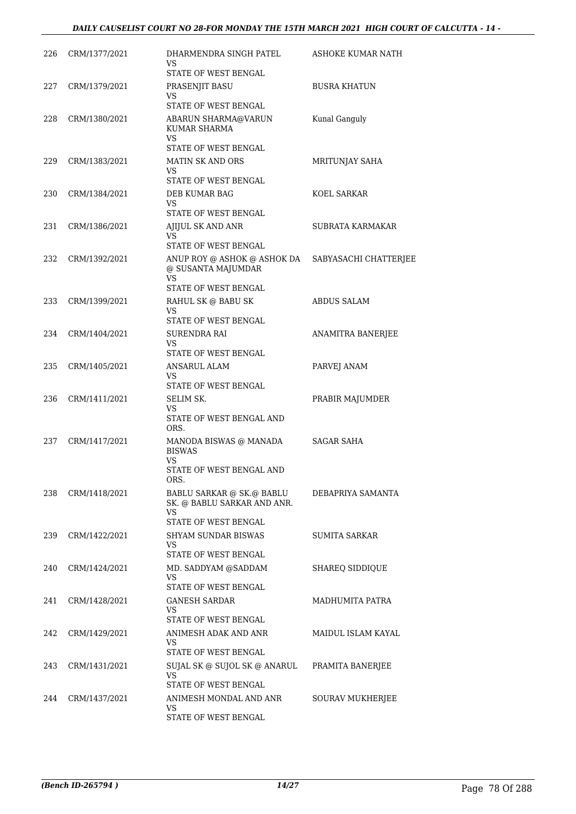| 226 | CRM/1377/2021 | DHARMENDRA SINGH PATEL<br>VS                                                              | ASHOKE KUMAR NATH     |
|-----|---------------|-------------------------------------------------------------------------------------------|-----------------------|
|     |               | STATE OF WEST BENGAL                                                                      |                       |
| 227 | CRM/1379/2021 | PRASENJIT BASU<br><b>VS</b><br>STATE OF WEST BENGAL                                       | <b>BUSRA KHATUN</b>   |
| 228 | CRM/1380/2021 | ABARUN SHARMA@VARUN<br><b>KUMAR SHARMA</b><br>VS.                                         | Kunal Ganguly         |
| 229 | CRM/1383/2021 | STATE OF WEST BENGAL<br>MATIN SK AND ORS<br><b>VS</b>                                     | MRITUNJAY SAHA        |
| 230 | CRM/1384/2021 | STATE OF WEST BENGAL<br>DEB KUMAR BAG<br>VS                                               | KOEL SARKAR           |
| 231 | CRM/1386/2021 | STATE OF WEST BENGAL<br>AJIJUL SK AND ANR<br>VS                                           | SUBRATA KARMAKAR      |
| 232 | CRM/1392/2021 | <b>STATE OF WEST BENGAL</b><br>ANUP ROY @ ASHOK @ ASHOK DA                                | SABYASACHI CHATTERJEE |
|     |               | @ SUSANTA MAJUMDAR<br>VS.<br>STATE OF WEST BENGAL                                         |                       |
| 233 | CRM/1399/2021 | RAHUL SK @ BABU SK<br>VS<br>STATE OF WEST BENGAL                                          | ABDUS SALAM           |
| 234 | CRM/1404/2021 | SURENDRA RAI<br>VS<br>STATE OF WEST BENGAL                                                | ANAMITRA BANERJEE     |
| 235 | CRM/1405/2021 | <b>ANSARUL ALAM</b><br>VS<br>STATE OF WEST BENGAL                                         | PARVEJ ANAM           |
| 236 | CRM/1411/2021 | SELIM SK.<br>VS<br>STATE OF WEST BENGAL AND                                               | PRABIR MAJUMDER       |
| 237 | CRM/1417/2021 | ORS.<br>MANODA BISWAS @ MANADA<br><b>BISWAS</b><br>VS<br>STATE OF WEST BENGAL AND<br>ORS. | <b>SAGAR SAHA</b>     |
| 238 | CRM/1418/2021 | BABLU SARKAR @ SK.@ BABLU<br>SK. @ BABLU SARKAR AND ANR.<br>VS.                           | DEBAPRIYA SAMANTA     |
| 239 | CRM/1422/2021 | STATE OF WEST BENGAL<br>SHYAM SUNDAR BISWAS<br>VS<br>STATE OF WEST BENGAL                 | <b>SUMITA SARKAR</b>  |
| 240 | CRM/1424/2021 | MD. SADDYAM @SADDAM<br>VS<br>STATE OF WEST BENGAL                                         | SHAREQ SIDDIQUE       |
| 241 | CRM/1428/2021 | <b>GANESH SARDAR</b><br>VS.<br>STATE OF WEST BENGAL                                       | MADHUMITA PATRA       |
| 242 | CRM/1429/2021 | ANIMESH ADAK AND ANR<br>VS<br>STATE OF WEST BENGAL                                        | MAIDUL ISLAM KAYAL    |
| 243 | CRM/1431/2021 | SUJAL SK @ SUJOL SK @ ANARUL<br>VS<br>STATE OF WEST BENGAL                                | PRAMITA BANERJEE      |
| 244 | CRM/1437/2021 | ANIMESH MONDAL AND ANR<br>VS<br>STATE OF WEST BENGAL                                      | SOURAV MUKHERJEE      |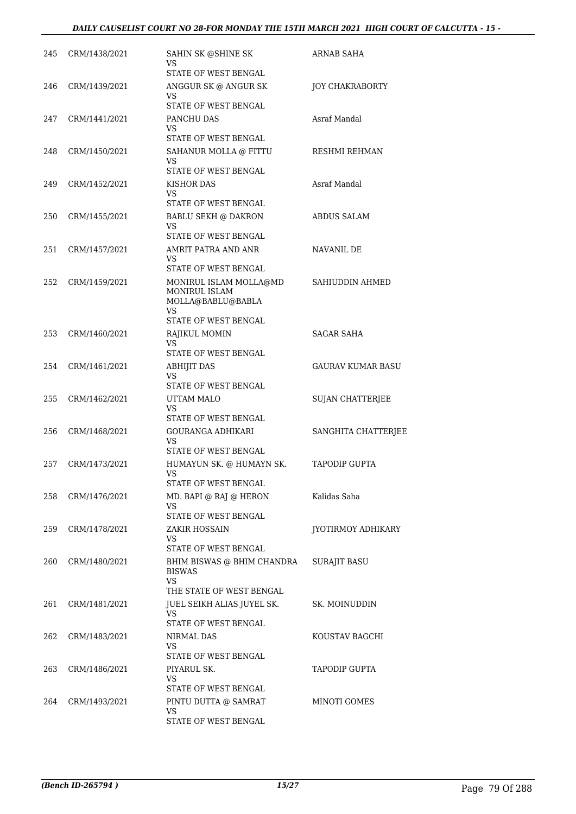| 245 | CRM/1438/2021 | SAHIN SK @SHINE SK<br>VS<br>STATE OF WEST BENGAL                                            | ARNAB SAHA               |
|-----|---------------|---------------------------------------------------------------------------------------------|--------------------------|
| 246 | CRM/1439/2021 | ANGGUR SK @ ANGUR SK<br>VS<br>STATE OF WEST BENGAL                                          | <b>JOY CHAKRABORTY</b>   |
| 247 | CRM/1441/2021 | PANCHU DAS<br>VS<br>STATE OF WEST BENGAL                                                    | Asraf Mandal             |
| 248 | CRM/1450/2021 | SAHANUR MOLLA @ FITTU<br>VS<br>STATE OF WEST BENGAL                                         | RESHMI REHMAN            |
| 249 | CRM/1452/2021 | KISHOR DAS<br>VS<br>STATE OF WEST BENGAL                                                    | Asraf Mandal             |
| 250 | CRM/1455/2021 | <b>BABLU SEKH @ DAKRON</b><br>VS<br>STATE OF WEST BENGAL                                    | ABDUS SALAM              |
| 251 | CRM/1457/2021 | AMRIT PATRA AND ANR<br>VS.<br>STATE OF WEST BENGAL                                          | NAVANIL DE               |
| 252 | CRM/1459/2021 | MONIRUL ISLAM MOLLA@MD<br>MONIRUL ISLAM<br>MOLLA@BABLU@BABLA<br>VS.<br>STATE OF WEST BENGAL | SAHIUDDIN AHMED          |
| 253 | CRM/1460/2021 | RAJIKUL MOMIN<br>VS.<br>STATE OF WEST BENGAL                                                | SAGAR SAHA               |
| 254 | CRM/1461/2021 | <b>ABHIJIT DAS</b><br>VS<br>STATE OF WEST BENGAL                                            | <b>GAURAV KUMAR BASU</b> |
| 255 | CRM/1462/2021 | UTTAM MALO<br><b>VS</b><br>STATE OF WEST BENGAL                                             | <b>SUJAN CHATTERJEE</b>  |
| 256 | CRM/1468/2021 | <b>GOURANGA ADHIKARI</b><br>VS<br>STATE OF WEST BENGAL                                      | SANGHITA CHATTERJEE      |
| 257 | CRM/1473/2021 | HUMAYUN SK. @ HUMAYN SK.<br>VS<br>STATE OF WEST BENGAL                                      | <b>TAPODIP GUPTA</b>     |
| 258 | CRM/1476/2021 | MD. BAPI @ RAJ @ HERON<br>VS<br>STATE OF WEST BENGAL                                        | Kalidas Saha             |
| 259 | CRM/1478/2021 | <b>ZAKIR HOSSAIN</b><br>VS<br>STATE OF WEST BENGAL                                          | JYOTIRMOY ADHIKARY       |
| 260 | CRM/1480/2021 | BHIM BISWAS @ BHIM CHANDRA<br><b>BISWAS</b><br><b>VS</b><br>THE STATE OF WEST BENGAL        | <b>SURAJIT BASU</b>      |
| 261 | CRM/1481/2021 | JUEL SEIKH ALIAS JUYEL SK.<br>VS<br>STATE OF WEST BENGAL                                    | SK. MOINUDDIN            |
| 262 | CRM/1483/2021 | NIRMAL DAS<br>VS<br>STATE OF WEST BENGAL                                                    | KOUSTAV BAGCHI           |
| 263 | CRM/1486/2021 | PIYARUL SK.<br>VS<br>STATE OF WEST BENGAL                                                   | <b>TAPODIP GUPTA</b>     |
| 264 | CRM/1493/2021 | PINTU DUTTA @ SAMRAT<br>VS.<br>STATE OF WEST BENGAL                                         | MINOTI GOMES             |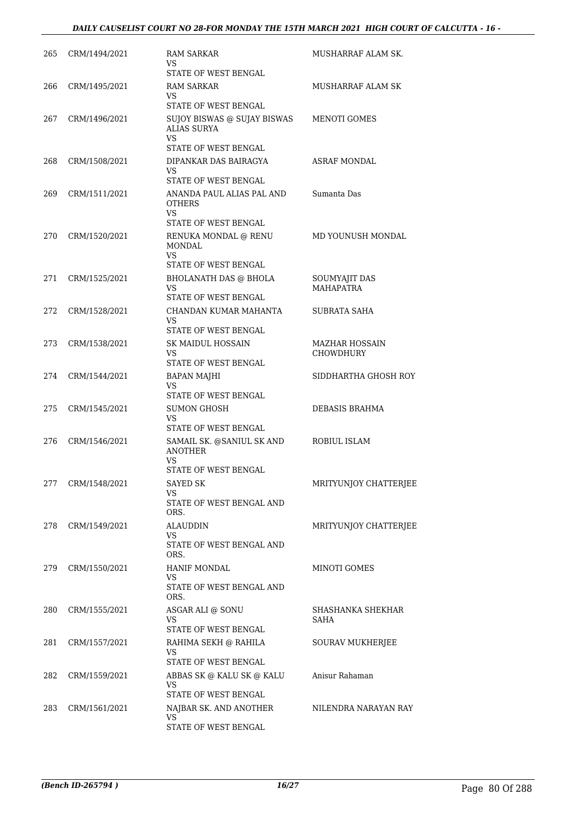| 265 | CRM/1494/2021 | <b>RAM SARKAR</b><br>VS<br>STATE OF WEST BENGAL                                   | MUSHARRAF ALAM SK.                 |
|-----|---------------|-----------------------------------------------------------------------------------|------------------------------------|
| 266 | CRM/1495/2021 | RAM SARKAR<br>VS<br>STATE OF WEST BENGAL                                          | MUSHARRAF ALAM SK                  |
| 267 | CRM/1496/2021 | SUJOY BISWAS @ SUJAY BISWAS<br><b>ALIAS SURYA</b><br>VS.                          | MENOTI GOMES                       |
| 268 | CRM/1508/2021 | STATE OF WEST BENGAL<br>DIPANKAR DAS BAIRAGYA<br>VS.                              | <b>ASRAF MONDAL</b>                |
| 269 | CRM/1511/2021 | STATE OF WEST BENGAL<br>ANANDA PAUL ALIAS PAL AND<br><b>OTHERS</b><br><b>VS</b>   | Sumanta Das                        |
| 270 | CRM/1520/2021 | STATE OF WEST BENGAL<br>RENUKA MONDAL @ RENU<br><b>MONDAL</b><br>VS               | MD YOUNUSH MONDAL                  |
| 271 | CRM/1525/2021 | STATE OF WEST BENGAL<br>BHOLANATH DAS @ BHOLA<br>VS.<br>STATE OF WEST BENGAL      | SOUMYAJIT DAS<br><b>MAHAPATRA</b>  |
| 272 | CRM/1528/2021 | CHANDAN KUMAR MAHANTA<br>VS<br>STATE OF WEST BENGAL                               | SUBRATA SAHA                       |
| 273 | CRM/1538/2021 | <b>SK MAIDUL HOSSAIN</b><br>VS<br>STATE OF WEST BENGAL                            | MAZHAR HOSSAIN<br><b>CHOWDHURY</b> |
| 274 | CRM/1544/2021 | BAPAN MAJHI<br>VS<br>STATE OF WEST BENGAL                                         | SIDDHARTHA GHOSH ROY               |
| 275 | CRM/1545/2021 | <b>SUMON GHOSH</b><br>VS.<br>STATE OF WEST BENGAL                                 | DEBASIS BRAHMA                     |
| 276 | CRM/1546/2021 | SAMAIL SK. @SANIUL SK AND<br><b>ANOTHER</b><br><b>VS</b>                          | ROBIUL ISLAM                       |
| 277 | CRM/1548/2021 | STATE OF WEST BENGAL<br><b>SAYED SK</b><br>VS<br>STATE OF WEST BENGAL AND<br>ORS. | MRITYUNJOY CHATTERJEE              |
| 278 | CRM/1549/2021 | ALAUDDIN<br>VS.<br>STATE OF WEST BENGAL AND<br>ORS.                               | MRITYUNJOY CHATTERJEE              |
| 279 | CRM/1550/2021 | <b>HANIF MONDAL</b><br>VS.<br>STATE OF WEST BENGAL AND<br>ORS.                    | MINOTI GOMES                       |
| 280 | CRM/1555/2021 | ASGAR ALI @ SONU<br>VS<br>STATE OF WEST BENGAL                                    | SHASHANKA SHEKHAR<br>SAHA          |
| 281 | CRM/1557/2021 | RAHIMA SEKH @ RAHILA<br>VS.<br>STATE OF WEST BENGAL                               | SOURAV MUKHERJEE                   |
| 282 | CRM/1559/2021 | ABBAS SK @ KALU SK @ KALU<br>VS.<br>STATE OF WEST BENGAL                          | Anisur Rahaman                     |
| 283 | CRM/1561/2021 | NAJBAR SK. AND ANOTHER<br>VS.<br>STATE OF WEST BENGAL                             | NILENDRA NARAYAN RAY               |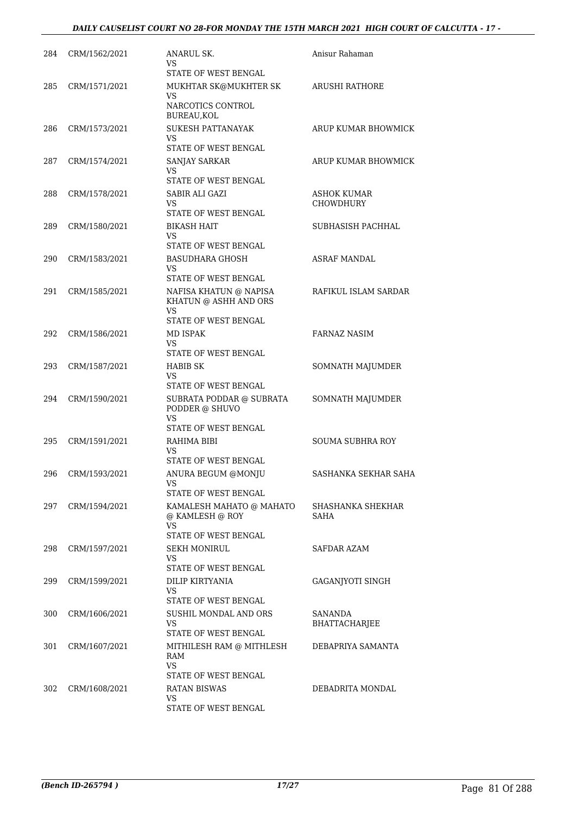# *DAILY CAUSELIST COURT NO 28-FOR MONDAY THE 15TH MARCH 2021 HIGH COURT OF CALCUTTA - 17 -*

| 284 | CRM/1562/2021 | ANARUL SK.<br>VS<br>STATE OF WEST BENGAL                                      | Anisur Rahaman                         |
|-----|---------------|-------------------------------------------------------------------------------|----------------------------------------|
| 285 | CRM/1571/2021 | MUKHTAR SK@MUKHTER SK<br><b>VS</b><br>NARCOTICS CONTROL<br>BUREAU, KOL        | <b>ARUSHI RATHORE</b>                  |
| 286 | CRM/1573/2021 | <b>SUKESH PATTANAYAK</b><br>VS.<br>STATE OF WEST BENGAL                       | ARUP KUMAR BHOWMICK                    |
| 287 | CRM/1574/2021 | SANJAY SARKAR<br><b>VS</b><br>STATE OF WEST BENGAL                            | ARUP KUMAR BHOWMICK                    |
| 288 | CRM/1578/2021 | SABIR ALI GAZI<br>VS<br>STATE OF WEST BENGAL                                  | <b>ASHOK KUMAR</b><br><b>CHOWDHURY</b> |
| 289 | CRM/1580/2021 | <b>BIKASH HAIT</b><br>VS.<br>STATE OF WEST BENGAL                             | SUBHASISH PACHHAL                      |
| 290 | CRM/1583/2021 | <b>BASUDHARA GHOSH</b><br>VS<br>STATE OF WEST BENGAL                          | <b>ASRAF MANDAL</b>                    |
| 291 | CRM/1585/2021 | NAFISA KHATUN @ NAPISA<br>KHATUN @ ASHH AND ORS<br>VS<br>STATE OF WEST BENGAL | RAFIKUL ISLAM SARDAR                   |
| 292 | CRM/1586/2021 | MD ISPAK<br>VS.<br>STATE OF WEST BENGAL                                       | FARNAZ NASIM                           |
| 293 | CRM/1587/2021 | HABIB SK<br>VS<br>STATE OF WEST BENGAL                                        | SOMNATH MAJUMDER                       |
| 294 | CRM/1590/2021 | SUBRATA PODDAR @ SUBRATA<br>PODDER @ SHUVO<br>VS<br>STATE OF WEST BENGAL      | SOMNATH MAJUMDER                       |
| 295 | CRM/1591/2021 | RAHIMA BIBI<br>VS<br>STATE OF WEST BENGAL                                     | <b>SOUMA SUBHRA ROY</b>                |
| 296 | CRM/1593/2021 | ANURA BEGUM @MONJU<br>VS<br>STATE OF WEST BENGAL                              | SASHANKA SEKHAR SAHA                   |
| 297 | CRM/1594/2021 | KAMALESH MAHATO @ MAHATO<br>@ KAMLESH @ ROY<br>VS.<br>STATE OF WEST BENGAL    | SHASHANKA SHEKHAR<br>SAHA              |
| 298 | CRM/1597/2021 | SEKH MONIRUL<br>VS<br>STATE OF WEST BENGAL                                    | SAFDAR AZAM                            |
| 299 | CRM/1599/2021 | DILIP KIRTYANIA<br>VS<br>STATE OF WEST BENGAL                                 | GAGANJYOTI SINGH                       |
| 300 | CRM/1606/2021 | SUSHIL MONDAL AND ORS<br><b>VS</b><br>STATE OF WEST BENGAL                    | SANANDA<br><b>BHATTACHARJEE</b>        |
| 301 | CRM/1607/2021 | MITHILESH RAM @ MITHLESH<br>RAM<br>VS<br>STATE OF WEST BENGAL                 | DEBAPRIYA SAMANTA                      |
| 302 | CRM/1608/2021 | <b>RATAN BISWAS</b><br>VS<br>STATE OF WEST BENGAL                             | DEBADRITA MONDAL                       |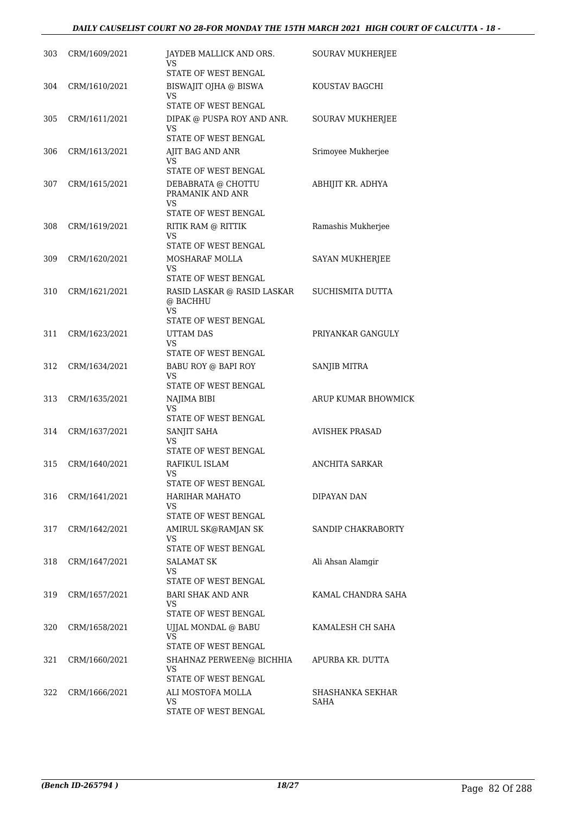| 303 | CRM/1609/2021 | JAYDEB MALLICK AND ORS.<br>VS<br>STATE OF WEST BENGAL                       | SOURAV MUKHERJEE         |
|-----|---------------|-----------------------------------------------------------------------------|--------------------------|
| 304 | CRM/1610/2021 | BISWAJIT OJHA @ BISWA<br>VS<br>STATE OF WEST BENGAL                         | KOUSTAV BAGCHI           |
| 305 | CRM/1611/2021 | DIPAK @ PUSPA ROY AND ANR.<br><b>VS</b><br>STATE OF WEST BENGAL             | SOURAV MUKHERJEE         |
| 306 | CRM/1613/2021 | AJIT BAG AND ANR<br>VS<br>STATE OF WEST BENGAL                              | Srimoyee Mukherjee       |
| 307 | CRM/1615/2021 | DEBABRATA @ CHOTTU<br>PRAMANIK AND ANR<br><b>VS</b><br>STATE OF WEST BENGAL | ABHIJIT KR. ADHYA        |
| 308 | CRM/1619/2021 | RITIK RAM @ RITTIK<br>VS<br>STATE OF WEST BENGAL                            | Ramashis Mukherjee       |
| 309 | CRM/1620/2021 | MOSHARAF MOLLA<br><b>VS</b><br>STATE OF WEST BENGAL                         | <b>SAYAN MUKHERJEE</b>   |
| 310 | CRM/1621/2021 | RASID LASKAR @ RASID LASKAR<br>@ BACHHU<br><b>VS</b>                        | SUCHISMITA DUTTA         |
| 311 | CRM/1623/2021 | STATE OF WEST BENGAL<br><b>UTTAM DAS</b><br>VS<br>STATE OF WEST BENGAL      | PRIYANKAR GANGULY        |
| 312 | CRM/1634/2021 | BABU ROY @ BAPI ROY<br>VS<br>STATE OF WEST BENGAL                           | SANJIB MITRA             |
| 313 | CRM/1635/2021 | NAJIMA BIBI<br>VS<br>STATE OF WEST BENGAL                                   | ARUP KUMAR BHOWMICK      |
| 314 | CRM/1637/2021 | SANJIT SAHA<br>VS<br>STATE OF WEST BENGAL                                   | <b>AVISHEK PRASAD</b>    |
| 315 | CRM/1640/2021 | RAFIKUL ISLAM<br>VS<br>STATE OF WEST BENGAL                                 | <b>ANCHITA SARKAR</b>    |
| 316 | CRM/1641/2021 | HARIHAR MAHATO<br>VS.<br>STATE OF WEST BENGAL                               | DIPAYAN DAN              |
| 317 | CRM/1642/2021 | AMIRUL SK@RAMJAN SK<br>VS<br>STATE OF WEST BENGAL                           | SANDIP CHAKRABORTY       |
| 318 | CRM/1647/2021 | SALAMAT SK<br>VS<br>STATE OF WEST BENGAL                                    | Ali Ahsan Alamgir        |
| 319 | CRM/1657/2021 | <b>BARI SHAK AND ANR</b><br>VS.<br>STATE OF WEST BENGAL                     | KAMAL CHANDRA SAHA       |
| 320 | CRM/1658/2021 | UJJAL MONDAL @ BABU<br>VS<br>STATE OF WEST BENGAL                           | KAMALESH CH SAHA         |
| 321 | CRM/1660/2021 | SHAHNAZ PERWEEN@ BICHHIA<br><b>VS</b><br>STATE OF WEST BENGAL               | APURBA KR. DUTTA         |
| 322 | CRM/1666/2021 | ALI MOSTOFA MOLLA<br>VS<br>STATE OF WEST BENGAL                             | SHASHANKA SEKHAR<br>SAHA |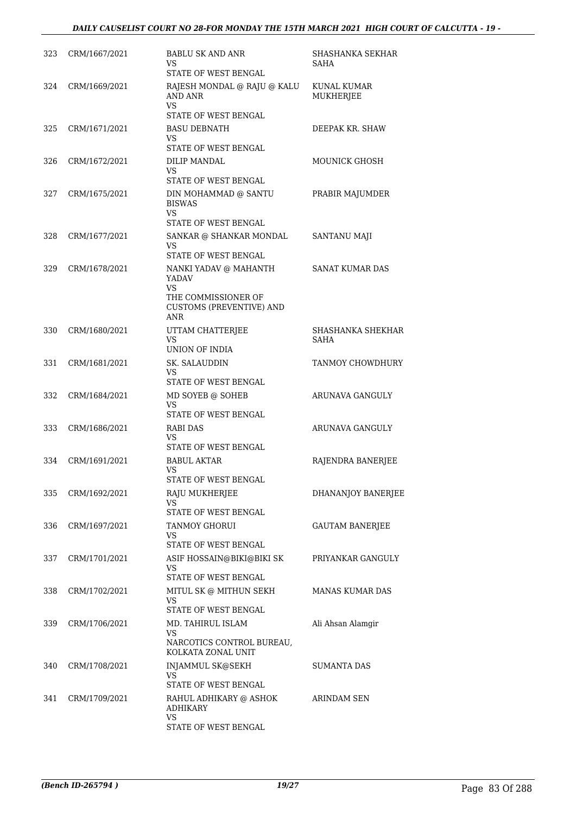# *DAILY CAUSELIST COURT NO 28-FOR MONDAY THE 15TH MARCH 2021 HIGH COURT OF CALCUTTA - 19 -*

| 323 | CRM/1667/2021 | <b>BABLU SK AND ANR</b><br>VS                                        | SHASHANKA SEKHAR<br>SAHA  |
|-----|---------------|----------------------------------------------------------------------|---------------------------|
|     |               | STATE OF WEST BENGAL                                                 |                           |
| 324 | CRM/1669/2021 | RAJESH MONDAL @ RAJU @ KALU<br><b>AND ANR</b><br><b>VS</b>           | KUNAL KUMAR<br>MUKHERJEE  |
|     |               | STATE OF WEST BENGAL                                                 |                           |
| 325 | CRM/1671/2021 | <b>BASU DEBNATH</b><br>VS.<br>STATE OF WEST BENGAL                   | DEEPAK KR. SHAW           |
| 326 | CRM/1672/2021 | DILIP MANDAL                                                         | <b>MOUNICK GHOSH</b>      |
|     |               | VS.<br>STATE OF WEST BENGAL                                          |                           |
| 327 | CRM/1675/2021 | DIN MOHAMMAD @ SANTU<br><b>BISWAS</b><br>VS.                         | PRABIR MAJUMDER           |
|     |               | STATE OF WEST BENGAL                                                 |                           |
| 328 | CRM/1677/2021 | SANKAR @ SHANKAR MONDAL<br>VS.                                       | SANTANU MAJI              |
|     |               | STATE OF WEST BENGAL                                                 |                           |
| 329 | CRM/1678/2021 | NANKI YADAV @ MAHANTH<br><b>YADAV</b><br><b>VS</b>                   | SANAT KUMAR DAS           |
|     |               | THE COMMISSIONER OF<br><b>CUSTOMS (PREVENTIVE) AND</b><br><b>ANR</b> |                           |
| 330 | CRM/1680/2021 | UTTAM CHATTERJEE<br><b>VS</b>                                        | SHASHANKA SHEKHAR<br>SAHA |
|     |               | UNION OF INDIA                                                       |                           |
| 331 | CRM/1681/2021 | SK. SALAUDDIN<br><b>VS</b>                                           | TANMOY CHOWDHURY          |
|     |               | STATE OF WEST BENGAL                                                 |                           |
| 332 | CRM/1684/2021 | MD SOYEB @ SOHEB<br><b>VS</b><br>STATE OF WEST BENGAL                | ARUNAVA GANGULY           |
| 333 | CRM/1686/2021 | RABI DAS<br>VS                                                       | ARUNAVA GANGULY           |
|     |               | STATE OF WEST BENGAL                                                 |                           |
| 334 | CRM/1691/2021 | <b>BABUL AKTAR</b><br>VS                                             | RAJENDRA BANERJEE         |
|     |               | STATE OF WEST BENGAL                                                 |                           |
| 335 | CRM/1692/2021 | RAJU MUKHERJEE<br>VS.                                                | DHANANJOY BANERJEE        |
|     |               | STATE OF WEST BENGAL                                                 |                           |
| 336 | CRM/1697/2021 | TANMOY GHORUI<br>VS.<br>STATE OF WEST BENGAL                         | <b>GAUTAM BANERJEE</b>    |
| 337 | CRM/1701/2021 | ASIF HOSSAIN@BIKI@BIKI SK<br>VS                                      | PRIYANKAR GANGULY         |
|     |               | STATE OF WEST BENGAL                                                 |                           |
| 338 | CRM/1702/2021 | MITUL SK @ MITHUN SEKH<br>VS                                         | <b>MANAS KUMAR DAS</b>    |
|     |               | STATE OF WEST BENGAL                                                 |                           |
| 339 | CRM/1706/2021 | MD. TAHIRUL ISLAM<br><b>VS</b><br>NARCOTICS CONTROL BUREAU,          | Ali Ahsan Alamgir         |
|     |               | KOLKATA ZONAL UNIT                                                   |                           |
| 340 | CRM/1708/2021 | INJAMMUL SK@SEKH<br>VS.                                              | <b>SUMANTA DAS</b>        |
|     |               | STATE OF WEST BENGAL                                                 |                           |
| 341 | CRM/1709/2021 | RAHUL ADHIKARY @ ASHOK<br><b>ADHIKARY</b><br>VS.                     | ARINDAM SEN               |
|     |               | STATE OF WEST BENGAL                                                 |                           |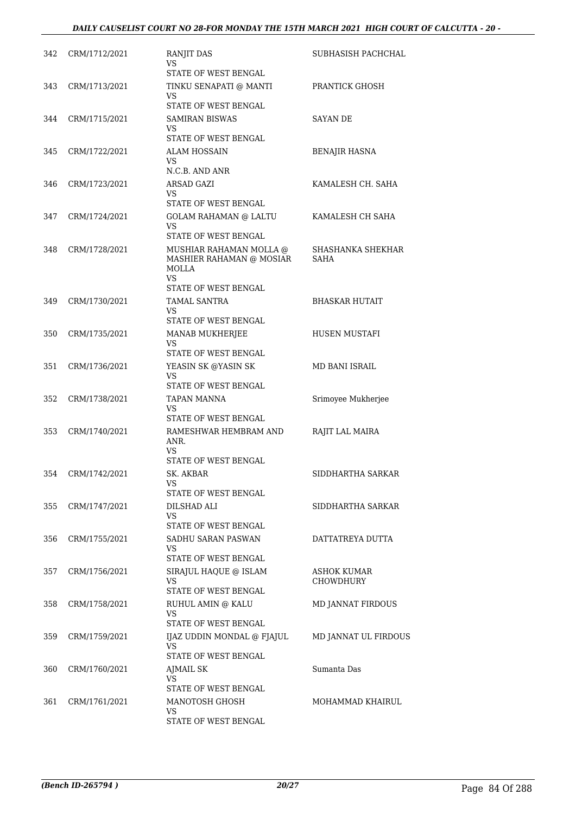| 342 | CRM/1712/2021 | <b>RANJIT DAS</b><br>VS<br>STATE OF WEST BENGAL                                                   | SUBHASISH PACHCHAL              |
|-----|---------------|---------------------------------------------------------------------------------------------------|---------------------------------|
| 343 | CRM/1713/2021 | TINKU SENAPATI @ MANTI<br>VS<br>STATE OF WEST BENGAL                                              | PRANTICK GHOSH                  |
| 344 | CRM/1715/2021 | SAMIRAN BISWAS<br>VS                                                                              | SAYAN DE                        |
| 345 | CRM/1722/2021 | STATE OF WEST BENGAL<br><b>ALAM HOSSAIN</b><br>VS<br>N.C.B. AND ANR                               | <b>BENAJIR HASNA</b>            |
| 346 | CRM/1723/2021 | ARSAD GAZI<br>VS<br>STATE OF WEST BENGAL                                                          | KAMALESH CH. SAHA               |
| 347 | CRM/1724/2021 | <b>GOLAM RAHAMAN @ LALTU</b><br>VS<br>STATE OF WEST BENGAL                                        | KAMALESH CH SAHA                |
| 348 | CRM/1728/2021 | MUSHIAR RAHAMAN MOLLA @<br>MASHIER RAHAMAN @ MOSIAR<br>MOLLA<br><b>VS</b><br>STATE OF WEST BENGAL | SHASHANKA SHEKHAR<br>SAHA       |
| 349 | CRM/1730/2021 | TAMAL SANTRA<br>VS<br>STATE OF WEST BENGAL                                                        | <b>BHASKAR HUTAIT</b>           |
| 350 | CRM/1735/2021 | MANAB MUKHERJEE<br>VS<br>STATE OF WEST BENGAL                                                     | HUSEN MUSTAFI                   |
| 351 | CRM/1736/2021 | YEASIN SK @YASIN SK<br>VS<br>STATE OF WEST BENGAL                                                 | MD BANI ISRAIL                  |
| 352 | CRM/1738/2021 | TAPAN MANNA<br>VS<br>STATE OF WEST BENGAL                                                         | Srimoyee Mukherjee              |
| 353 | CRM/1740/2021 | RAMESHWAR HEMBRAM AND<br>ANR.<br>VS<br>STATE OF WEST BENGAL                                       | RAJIT LAL MAIRA                 |
| 354 | CRM/1742/2021 | SK. AKBAR<br>VS<br>STATE OF WEST BENGAL                                                           | SIDDHARTHA SARKAR               |
| 355 | CRM/1747/2021 | DILSHAD ALI<br><b>VS</b><br>STATE OF WEST BENGAL                                                  | SIDDHARTHA SARKAR               |
| 356 | CRM/1755/2021 | SADHU SARAN PASWAN<br>VS<br>STATE OF WEST BENGAL                                                  | DATTATREYA DUTTA                |
| 357 | CRM/1756/2021 | SIRAJUL HAQUE @ ISLAM<br>VS<br>STATE OF WEST BENGAL                                               | ASHOK KUMAR<br><b>CHOWDHURY</b> |
| 358 | CRM/1758/2021 | RUHUL AMIN @ KALU<br>VS<br>STATE OF WEST BENGAL                                                   | MD JANNAT FIRDOUS               |
| 359 | CRM/1759/2021 | IJAZ UDDIN MONDAL @ FJAJUL<br>VS<br>STATE OF WEST BENGAL                                          | MD JANNAT UL FIRDOUS            |
| 360 | CRM/1760/2021 | AJMAIL SK<br>VS<br>STATE OF WEST BENGAL                                                           | Sumanta Das                     |
| 361 | CRM/1761/2021 | MANOTOSH GHOSH<br>VS<br>STATE OF WEST BENGAL                                                      | MOHAMMAD KHAIRUL                |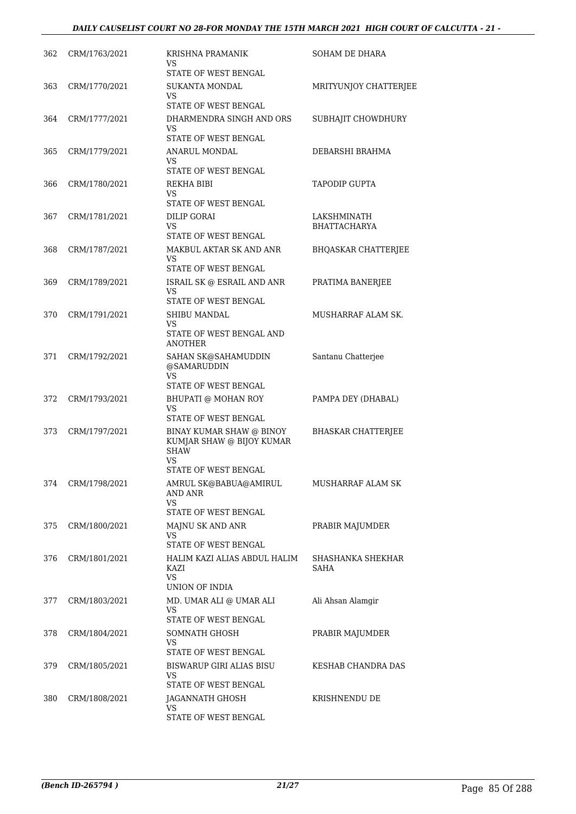| 362 | CRM/1763/2021 | <b>KRISHNA PRAMANIK</b><br>VS<br>STATE OF WEST BENGAL                                                     | <b>SOHAM DE DHARA</b>       |
|-----|---------------|-----------------------------------------------------------------------------------------------------------|-----------------------------|
| 363 | CRM/1770/2021 | SUKANTA MONDAL<br>VS<br>STATE OF WEST BENGAL                                                              | MRITYUNJOY CHATTERJEE       |
| 364 | CRM/1777/2021 | DHARMENDRA SINGH AND ORS<br>VS                                                                            | SUBHAJIT CHOWDHURY          |
| 365 | CRM/1779/2021 | STATE OF WEST BENGAL<br>ANARUL MONDAL<br>VS                                                               | DEBARSHI BRAHMA             |
| 366 | CRM/1780/2021 | STATE OF WEST BENGAL<br>REKHA BIBI<br>VS<br>STATE OF WEST BENGAL                                          | TAPODIP GUPTA               |
| 367 | CRM/1781/2021 | DILIP GORAI<br>VS                                                                                         | LAKSHMINATH<br>BHATTACHARYA |
| 368 | CRM/1787/2021 | STATE OF WEST BENGAL<br>MAKBUL AKTAR SK AND ANR<br>VS<br>STATE OF WEST BENGAL                             | <b>BHQASKAR CHATTERJEE</b>  |
| 369 | CRM/1789/2021 | ISRAIL SK @ ESRAIL AND ANR<br>VS<br>STATE OF WEST BENGAL                                                  | PRATIMA BANERJEE            |
| 370 | CRM/1791/2021 | SHIBU MANDAL<br>VS<br>STATE OF WEST BENGAL AND<br>ANOTHER                                                 | MUSHARRAF ALAM SK.          |
| 371 | CRM/1792/2021 | SAHAN SK@SAHAMUDDIN<br>@SAMARUDDIN<br>VS<br>STATE OF WEST BENGAL                                          | Santanu Chatterjee          |
| 372 | CRM/1793/2021 | BHUPATI @ MOHAN ROY<br>VS<br>STATE OF WEST BENGAL                                                         | PAMPA DEY (DHABAL)          |
| 373 | CRM/1797/2021 | BINAY KUMAR SHAW @ BINOY<br>KUMJAR SHAW @ BIJOY KUMAR<br><b>SHAW</b><br><b>VS</b><br>STATE OF WEST BENGAL | <b>BHASKAR CHATTERJEE</b>   |
| 374 | CRM/1798/2021 | AMRUL SK@BABUA@AMIRUL<br>AND ANR<br>VS<br>STATE OF WEST BENGAL                                            | MUSHARRAF ALAM SK           |
| 375 | CRM/1800/2021 | MAJNU SK AND ANR<br>VS<br>STATE OF WEST BENGAL                                                            | PRABIR MAJUMDER             |
| 376 | CRM/1801/2021 | HALIM KAZI ALIAS ABDUL HALIM<br>KAZI<br>VS.<br>UNION OF INDIA                                             | SHASHANKA SHEKHAR<br>SAHA   |
| 377 | CRM/1803/2021 | MD. UMAR ALI @ UMAR ALI<br>VS<br>STATE OF WEST BENGAL                                                     | Ali Ahsan Alamgir           |
| 378 | CRM/1804/2021 | SOMNATH GHOSH<br>VS.<br>STATE OF WEST BENGAL                                                              | PRABIR MAJUMDER             |
| 379 | CRM/1805/2021 | BISWARUP GIRI ALIAS BISU<br>VS<br>STATE OF WEST BENGAL                                                    | KESHAB CHANDRA DAS          |
| 380 | CRM/1808/2021 | JAGANNATH GHOSH<br>VS<br>STATE OF WEST BENGAL                                                             | KRISHNENDU DE               |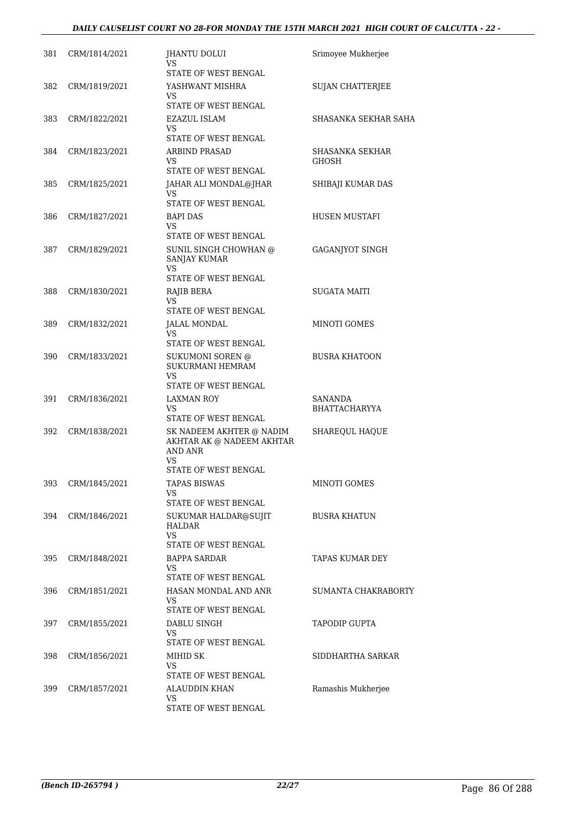# *DAILY CAUSELIST COURT NO 28-FOR MONDAY THE 15TH MARCH 2021 HIGH COURT OF CALCUTTA - 22 -*

| 381 | CRM/1814/2021 | JHANTU DOLUI<br>VS                                                            | Srimoyee Mukherjee      |
|-----|---------------|-------------------------------------------------------------------------------|-------------------------|
| 382 | CRM/1819/2021 | STATE OF WEST BENGAL<br>YASHWANT MISHRA<br>VS                                 | <b>SUJAN CHATTERJEE</b> |
| 383 | CRM/1822/2021 | STATE OF WEST BENGAL<br>EZAZUL ISLAM                                          | SHASANKA SEKHAR SAHA    |
|     |               | VS<br>STATE OF WEST BENGAL                                                    |                         |
| 384 | CRM/1823/2021 | <b>ARBIND PRASAD</b>                                                          | SHASANKA SEKHAR         |
|     |               | VS<br>STATE OF WEST BENGAL                                                    | <b>GHOSH</b>            |
| 385 | CRM/1825/2021 | JAHAR ALI MONDAL@JHAR<br>VS                                                   | SHIBAJI KUMAR DAS       |
|     |               | STATE OF WEST BENGAL                                                          |                         |
| 386 | CRM/1827/2021 | <b>BAPI DAS</b><br>VS                                                         | HUSEN MUSTAFI           |
|     |               | STATE OF WEST BENGAL                                                          |                         |
| 387 | CRM/1829/2021 | SUNIL SINGH CHOWHAN @<br><b>SANJAY KUMAR</b><br>VS                            | GAGANJYOT SINGH         |
|     |               | STATE OF WEST BENGAL                                                          |                         |
| 388 | CRM/1830/2021 | RAJIB BERA<br>VS<br>STATE OF WEST BENGAL                                      | <b>SUGATA MAITI</b>     |
| 389 | CRM/1832/2021 | <b>JALAL MONDAL</b><br>VS                                                     | <b>MINOTI GOMES</b>     |
|     |               | STATE OF WEST BENGAL                                                          |                         |
| 390 | CRM/1833/2021 | SUKUMONI SOREN @<br>SUKURMANI HEMRAM<br>VS<br>STATE OF WEST BENGAL            | <b>BUSRA KHATOON</b>    |
| 391 | CRM/1836/2021 | LAXMAN ROY                                                                    | SANANDA                 |
|     |               | VS<br>STATE OF WEST BENGAL                                                    | <b>BHATTACHARYYA</b>    |
| 392 | CRM/1838/2021 | SK NADEEM AKHTER @ NADIM<br>AKHTAR AK @ NADEEM AKHTAR<br><b>AND ANR</b><br>VS | SHAREQUL HAQUE          |
|     |               | STATE OF WEST BENGAL                                                          |                         |
| 393 | CRM/1845/2021 | <b>TAPAS BISWAS</b><br>VS<br>STATE OF WEST BENGAL                             | MINOTI GOMES            |
| 394 | CRM/1846/2021 | SUKUMAR HALDAR@SUJIT<br>HALDAR<br><b>VS</b>                                   | <b>BUSRA KHATUN</b>     |
| 395 | CRM/1848/2021 | STATE OF WEST BENGAL<br>BAPPA SARDAR                                          | TAPAS KUMAR DEY         |
|     |               | VS<br>STATE OF WEST BENGAL                                                    |                         |
| 396 | CRM/1851/2021 | HASAN MONDAL AND ANR<br>VS                                                    | SUMANTA CHAKRABORTY     |
| 397 | CRM/1855/2021 | STATE OF WEST BENGAL<br>DABLU SINGH                                           | <b>TAPODIP GUPTA</b>    |
|     |               | VS<br>STATE OF WEST BENGAL                                                    |                         |
| 398 | CRM/1856/2021 | MIHID SK                                                                      | SIDDHARTHA SARKAR       |
|     |               | VS                                                                            |                         |
| 399 | CRM/1857/2021 | STATE OF WEST BENGAL<br>ALAUDDIN KHAN                                         | Ramashis Mukherjee      |
|     |               | VS                                                                            |                         |
|     |               | STATE OF WEST BENGAL                                                          |                         |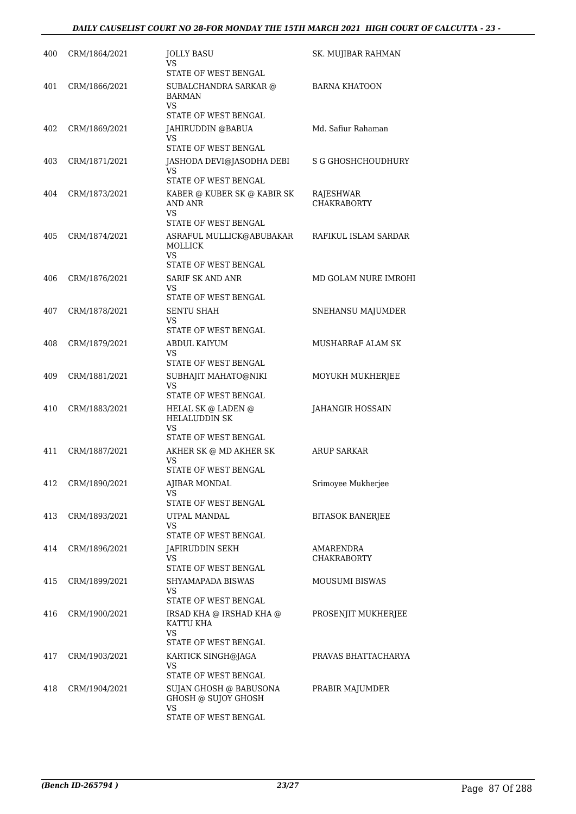| 400 | CRM/1864/2021 | <b>JOLLY BASU</b><br>VS                                                         | SK. MUJIBAR RAHMAN              |
|-----|---------------|---------------------------------------------------------------------------------|---------------------------------|
| 401 | CRM/1866/2021 | STATE OF WEST BENGAL<br>SUBALCHANDRA SARKAR @<br><b>BARMAN</b><br>VS            | <b>BARNA KHATOON</b>            |
| 402 | CRM/1869/2021 | STATE OF WEST BENGAL<br>JAHIRUDDIN @BABUA<br>VS.                                | Md. Safiur Rahaman              |
|     |               | STATE OF WEST BENGAL                                                            |                                 |
| 403 | CRM/1871/2021 | JASHODA DEVI@JASODHA DEBI<br>VS.<br>STATE OF WEST BENGAL                        | <b>S G GHOSHCHOUDHURY</b>       |
| 404 | CRM/1873/2021 | KABER @ KUBER SK @ KABIR SK<br><b>AND ANR</b><br><b>VS</b>                      | RAJESHWAR<br><b>CHAKRABORTY</b> |
| 405 | CRM/1874/2021 | STATE OF WEST BENGAL<br>ASRAFUL MULLICK@ABUBAKAR<br><b>MOLLICK</b><br><b>VS</b> | RAFIKUL ISLAM SARDAR            |
|     |               | STATE OF WEST BENGAL                                                            |                                 |
| 406 | CRM/1876/2021 | SARIF SK AND ANR<br>VS<br>STATE OF WEST BENGAL                                  | MD GOLAM NURE IMROHI            |
| 407 | CRM/1878/2021 | <b>SENTU SHAH</b><br>VS<br>STATE OF WEST BENGAL                                 | SNEHANSU MAJUMDER               |
| 408 | CRM/1879/2021 | ABDUL KAIYUM<br><b>VS</b><br>STATE OF WEST BENGAL                               | MUSHARRAF ALAM SK               |
| 409 | CRM/1881/2021 | SUBHAJIT MAHATO@NIKI<br><b>VS</b><br>STATE OF WEST BENGAL                       | MOYUKH MUKHERJEE                |
| 410 | CRM/1883/2021 | HELAL SK @ LADEN @<br>HELALUDDIN SK<br>VS                                       | JAHANGIR HOSSAIN                |
|     |               | STATE OF WEST BENGAL                                                            |                                 |
| 411 | CRM/1887/2021 | AKHER SK @ MD AKHER SK<br>VS<br>STATE OF WEST BENGAL                            | <b>ARUP SARKAR</b>              |
| 412 | CRM/1890/2021 | AJIBAR MONDAL<br>VS                                                             | Srimoyee Mukherjee              |
| 413 | CRM/1893/2021 | STATE OF WEST BENGAL<br>UTPAL MANDAL<br><b>VS</b>                               | BITASOK BANERJEE                |
|     |               | STATE OF WEST BENGAL                                                            |                                 |
| 414 | CRM/1896/2021 | JAFIRUDDIN SEKH<br>VS<br>STATE OF WEST BENGAL                                   | AMARENDRA<br><b>CHAKRABORTY</b> |
| 415 | CRM/1899/2021 | SHYAMAPADA BISWAS<br><b>VS</b><br>STATE OF WEST BENGAL                          | MOUSUMI BISWAS                  |
| 416 | CRM/1900/2021 | IRSAD KHA @ IRSHAD KHA @<br>KATTU KHA<br><b>VS</b><br>STATE OF WEST BENGAL      | PROSENJIT MUKHERJEE             |
| 417 | CRM/1903/2021 | KARTICK SINGH@JAGA<br>VS.                                                       | PRAVAS BHATTACHARYA             |
| 418 | CRM/1904/2021 | STATE OF WEST BENGAL<br>SUJAN GHOSH @ BABUSONA<br>GHOSH @ SUJOY GHOSH           | PRABIR MAJUMDER                 |
|     |               | <b>VS</b><br>STATE OF WEST BENGAL                                               |                                 |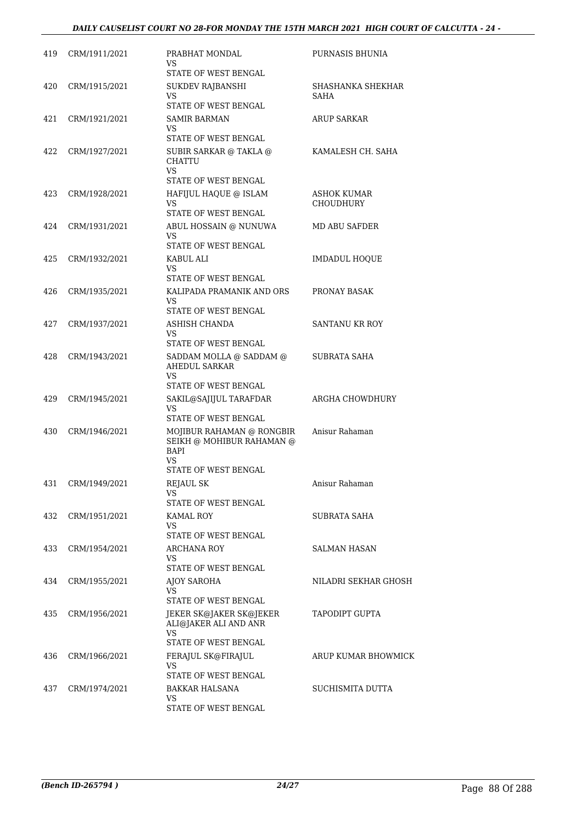| 419 | CRM/1911/2021 | PRABHAT MONDAL<br>VS                                                                  | PURNASIS BHUNIA                 |
|-----|---------------|---------------------------------------------------------------------------------------|---------------------------------|
| 420 | CRM/1915/2021 | STATE OF WEST BENGAL<br>SUKDEV RAJBANSHI<br>VS.<br>STATE OF WEST BENGAL               | SHASHANKA SHEKHAR<br>SAHA       |
| 421 | CRM/1921/2021 | <b>SAMIR BARMAN</b><br>VS                                                             | ARUP SARKAR                     |
| 422 | CRM/1927/2021 | STATE OF WEST BENGAL<br>SUBIR SARKAR @ TAKLA @<br><b>CHATTU</b><br><b>VS</b>          | KAMALESH CH. SAHA               |
|     |               | STATE OF WEST BENGAL                                                                  |                                 |
| 423 | CRM/1928/2021 | HAFIJUL HAQUE @ ISLAM<br>VS.<br>STATE OF WEST BENGAL                                  | ASHOK KUMAR<br><b>CHOUDHURY</b> |
| 424 | CRM/1931/2021 | ABUL HOSSAIN @ NUNUWA<br>VS.                                                          | <b>MD ABU SAFDER</b>            |
| 425 | CRM/1932/2021 | STATE OF WEST BENGAL<br>KABUL ALI<br>VS                                               | <b>IMDADUL HOQUE</b>            |
| 426 | CRM/1935/2021 | STATE OF WEST BENGAL<br>KALIPADA PRAMANIK AND ORS<br>VS                               | PRONAY BASAK                    |
| 427 | CRM/1937/2021 | STATE OF WEST BENGAL<br>ASHISH CHANDA<br>VS.<br>STATE OF WEST BENGAL                  | <b>SANTANU KR ROY</b>           |
| 428 | CRM/1943/2021 | SADDAM MOLLA @ SADDAM @<br><b>AHEDUL SARKAR</b><br>VS.                                | SUBRATA SAHA                    |
| 429 | CRM/1945/2021 | STATE OF WEST BENGAL<br>SAKIL@SAJIJUL TARAFDAR<br><b>VS</b><br>STATE OF WEST BENGAL   | ARGHA CHOWDHURY                 |
| 430 | CRM/1946/2021 | MOJIBUR RAHAMAN @ RONGBIR<br>SEIKH @ MOHIBUR RAHAMAN @<br>BAPI<br>VS                  | Anisur Rahaman                  |
| 431 | CRM/1949/2021 | STATE OF WEST BENGAL<br>REJAUL SK<br>VS                                               | Anisur Rahaman                  |
| 432 | CRM/1951/2021 | STATE OF WEST BENGAL<br>KAMAL ROY<br>VS<br>STATE OF WEST BENGAL                       | SUBRATA SAHA                    |
| 433 | CRM/1954/2021 | <b>ARCHANA ROY</b><br>VS.<br>STATE OF WEST BENGAL                                     | <b>SALMAN HASAN</b>             |
| 434 | CRM/1955/2021 | AJOY SAROHA<br>VS<br>STATE OF WEST BENGAL                                             | NILADRI SEKHAR GHOSH            |
| 435 | CRM/1956/2021 | JEKER SK@JAKER SK@JEKER<br>ALI@JAKER ALI AND ANR<br><b>VS</b><br>STATE OF WEST BENGAL | TAPODIPT GUPTA                  |
| 436 | CRM/1966/2021 | FERAJUL SK@FIRAJUL<br>VS.<br>STATE OF WEST BENGAL                                     | ARUP KUMAR BHOWMICK             |
| 437 | CRM/1974/2021 | BAKKAR HALSANA<br>VS<br>STATE OF WEST BENGAL                                          | SUCHISMITA DUTTA                |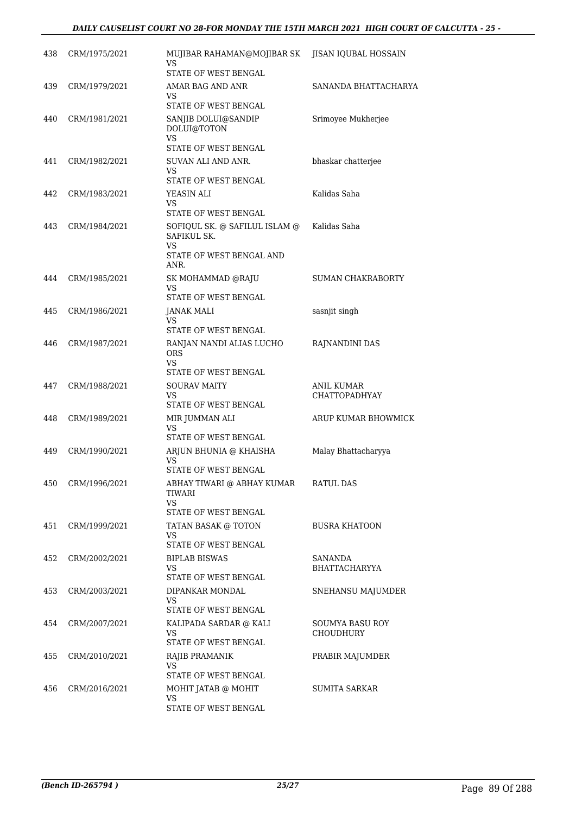| 438 | CRM/1975/2021 | MUJIBAR RAHAMAN@MOJIBAR SK<br>VS.<br>STATE OF WEST BENGAL                              | JISAN IQUBAL HOSSAIN                |
|-----|---------------|----------------------------------------------------------------------------------------|-------------------------------------|
| 439 | CRM/1979/2021 | AMAR BAG AND ANR<br>VS.<br>STATE OF WEST BENGAL                                        | SANANDA BHATTACHARYA                |
| 440 | CRM/1981/2021 | SANJIB DOLUI@SANDIP<br>DOLUI@TOTON<br><b>VS</b><br>STATE OF WEST BENGAL                | Srimoyee Mukherjee                  |
| 441 | CRM/1982/2021 | SUVAN ALI AND ANR.<br>VS<br>STATE OF WEST BENGAL                                       | bhaskar chatterjee                  |
| 442 | CRM/1983/2021 | YEASIN ALI<br>VS<br>STATE OF WEST BENGAL                                               | Kalidas Saha                        |
| 443 | CRM/1984/2021 | SOFIQUL SK. @ SAFILUL ISLAM @<br>SAFIKUL SK.<br>VS<br>STATE OF WEST BENGAL AND<br>ANR. | Kalidas Saha                        |
| 444 | CRM/1985/2021 | SK MOHAMMAD @RAJU<br>VS.<br>STATE OF WEST BENGAL                                       | <b>SUMAN CHAKRABORTY</b>            |
| 445 | CRM/1986/2021 | <b>JANAK MALI</b><br>VS.<br>STATE OF WEST BENGAL                                       | sasnjit singh                       |
| 446 | CRM/1987/2021 | RANJAN NANDI ALIAS LUCHO<br><b>ORS</b><br>VS.<br>STATE OF WEST BENGAL                  | RAJNANDINI DAS                      |
| 447 | CRM/1988/2021 | <b>SOURAV MAITY</b><br>VS<br>STATE OF WEST BENGAL                                      | ANIL KUMAR<br><b>CHATTOPADHYAY</b>  |
| 448 | CRM/1989/2021 | MIR JUMMAN ALI<br>VS.<br>STATE OF WEST BENGAL                                          | ARUP KUMAR BHOWMICK                 |
| 449 | CRM/1990/2021 | ARJUN BHUNIA @ KHAISHA<br>VS<br>STATE OF WEST BENGAL                                   | Malay Bhattacharyya                 |
| 450 | CRM/1996/2021 | ABHAY TIWARI @ ABHAY KUMAR<br>TIWARI<br>VS.<br>STATE OF WEST BENGAL                    | <b>RATUL DAS</b>                    |
| 451 | CRM/1999/2021 | TATAN BASAK @ TOTON<br>VS.<br>STATE OF WEST BENGAL                                     | <b>BUSRA KHATOON</b>                |
| 452 | CRM/2002/2021 | <b>BIPLAB BISWAS</b><br>VS.<br>STATE OF WEST BENGAL                                    | SANANDA<br><b>BHATTACHARYYA</b>     |
| 453 | CRM/2003/2021 | DIPANKAR MONDAL<br>VS.<br>STATE OF WEST BENGAL                                         | SNEHANSU MAJUMDER                   |
| 454 | CRM/2007/2021 | KALIPADA SARDAR @ KALI<br>VS.<br>STATE OF WEST BENGAL                                  | SOUMYA BASU ROY<br><b>CHOUDHURY</b> |
| 455 | CRM/2010/2021 | RAJIB PRAMANIK<br>VS<br>STATE OF WEST BENGAL                                           | PRABIR MAJUMDER                     |
| 456 | CRM/2016/2021 | MOHIT JATAB @ MOHIT<br>VS.<br>STATE OF WEST BENGAL                                     | SUMITA SARKAR                       |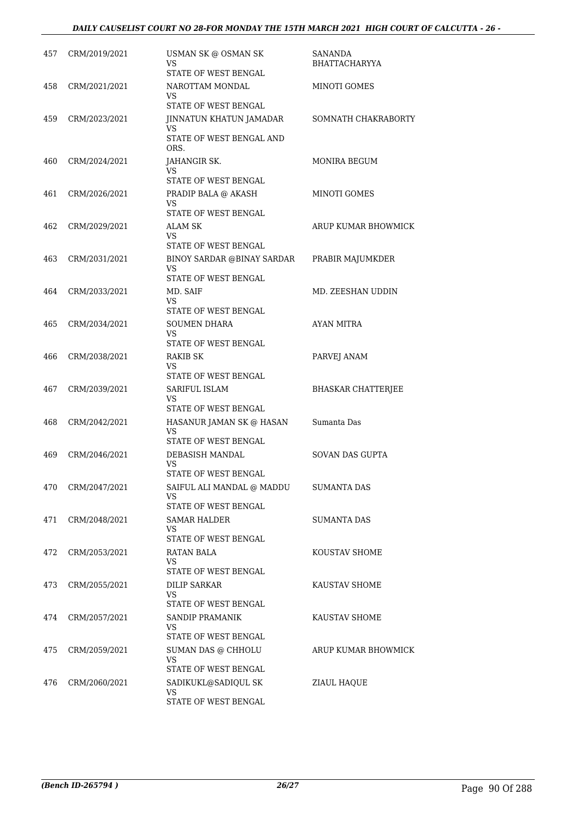| 457 | CRM/2019/2021 | USMAN SK @ OSMAN SK<br>VS<br>STATE OF WEST BENGAL                         | SANANDA<br>BHATTACHARYYA  |
|-----|---------------|---------------------------------------------------------------------------|---------------------------|
| 458 | CRM/2021/2021 | NAROTTAM MONDAL<br>VS<br>STATE OF WEST BENGAL                             | MINOTI GOMES              |
| 459 | CRM/2023/2021 | JINNATUN KHATUN JAMADAR<br>VS<br>STATE OF WEST BENGAL AND<br>ORS.         | SOMNATH CHAKRABORTY       |
| 460 | CRM/2024/2021 | JAHANGIR SK.<br>VS<br>STATE OF WEST BENGAL                                | MONIRA BEGUM              |
| 461 | CRM/2026/2021 | PRADIP BALA @ AKASH<br>VS<br>STATE OF WEST BENGAL                         | MINOTI GOMES              |
| 462 | CRM/2029/2021 | ALAM SK<br>VS.<br>STATE OF WEST BENGAL                                    | ARUP KUMAR BHOWMICK       |
| 463 | CRM/2031/2021 | BINOY SARDAR @BINAY SARDAR<br><b>VS</b><br>STATE OF WEST BENGAL           | PRABIR MAJUMKDER          |
| 464 | CRM/2033/2021 | MD. SAIF<br>VS<br>STATE OF WEST BENGAL                                    | MD. ZEESHAN UDDIN         |
| 465 | CRM/2034/2021 | <b>SOUMEN DHARA</b><br>VS<br>STATE OF WEST BENGAL                         | AYAN MITRA                |
| 466 | CRM/2038/2021 | RAKIB SK<br>VS<br>STATE OF WEST BENGAL                                    | PARVEJ ANAM               |
| 467 | CRM/2039/2021 | SARIFUL ISLAM<br>VS<br>STATE OF WEST BENGAL                               | <b>BHASKAR CHATTERJEE</b> |
| 468 | CRM/2042/2021 | HASANUR JAMAN SK @ HASAN<br>VS<br>STATE OF WEST BENGAL                    | Sumanta Das               |
| 469 | CRM/2046/2021 | <b>DEBASISH MANDAL</b><br>VS<br>STATE OF WEST BENGAL                      | <b>SOVAN DAS GUPTA</b>    |
| 470 | CRM/2047/2021 | SAIFUL ALI MANDAL @ MADDU<br>VS<br>STATE OF WEST BENGAL                   | <b>SUMANTA DAS</b>        |
| 471 | CRM/2048/2021 | SAMAR HALDER<br>VS<br>STATE OF WEST BENGAL                                | <b>SUMANTA DAS</b>        |
| 472 | CRM/2053/2021 | RATAN BALA<br>VS<br>STATE OF WEST BENGAL                                  | KOUSTAV SHOME             |
| 473 | CRM/2055/2021 | DILIP SARKAR<br>VS<br>STATE OF WEST BENGAL                                | KAUSTAV SHOME             |
| 474 | CRM/2057/2021 | SANDIP PRAMANIK<br>VS<br>STATE OF WEST BENGAL                             | KAUSTAV SHOME             |
| 475 | CRM/2059/2021 | SUMAN DAS @ CHHOLU<br>VS                                                  | ARUP KUMAR BHOWMICK       |
| 476 | CRM/2060/2021 | STATE OF WEST BENGAL<br>SADIKUKL@SADIQUL SK<br>VS<br>STATE OF WEST BENGAL | ZIAUL HAQUE               |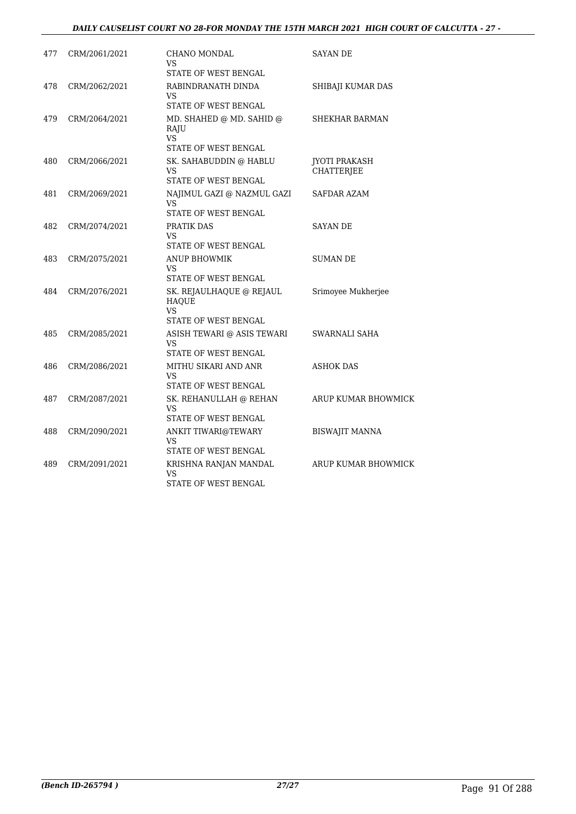# *DAILY CAUSELIST COURT NO 28-FOR MONDAY THE 15TH MARCH 2021 HIGH COURT OF CALCUTTA - 27 -*

| 477 | CRM/2061/2021 | CHANO MONDAL<br>VS<br>STATE OF WEST BENGAL                                    | <b>SAYAN DE</b>                    |
|-----|---------------|-------------------------------------------------------------------------------|------------------------------------|
| 478 | CRM/2062/2021 | RABINDRANATH DINDA<br>VS<br>STATE OF WEST BENGAL                              | SHIBAJI KUMAR DAS                  |
| 479 | CRM/2064/2021 | MD. SHAHED @ MD. SAHID @<br>RAJU<br><b>VS</b><br>STATE OF WEST BENGAL         | <b>SHEKHAR BARMAN</b>              |
| 480 | CRM/2066/2021 | SK. SAHABUDDIN @ HABLU<br>VS<br>STATE OF WEST BENGAL                          | <b>JYOTI PRAKASH</b><br>CHATTERJEE |
| 481 | CRM/2069/2021 | NAJIMUL GAZI @ NAZMUL GAZI<br><b>VS</b><br>STATE OF WEST BENGAL               | SAFDAR AZAM                        |
| 482 | CRM/2074/2021 | PRATIK DAS<br>VS<br>STATE OF WEST BENGAL                                      | <b>SAYAN DE</b>                    |
| 483 | CRM/2075/2021 | <b>ANUP BHOWMIK</b><br>VS<br>STATE OF WEST BENGAL                             | <b>SUMAN DE</b>                    |
| 484 | CRM/2076/2021 | SK. REJAULHAQUE @ REJAUL<br><b>HAOUE</b><br><b>VS</b><br>STATE OF WEST BENGAL | Srimoyee Mukherjee                 |
| 485 | CRM/2085/2021 | ASISH TEWARI @ ASIS TEWARI<br>VS<br>STATE OF WEST BENGAL                      | SWARNALI SAHA                      |
| 486 | CRM/2086/2021 | MITHU SIKARI AND ANR<br>VS<br>STATE OF WEST BENGAL                            | ASHOK DAS                          |
| 487 | CRM/2087/2021 | SK. REHANULLAH @ REHAN<br>VS<br>STATE OF WEST BENGAL                          | ARUP KUMAR BHOWMICK                |
| 488 | CRM/2090/2021 | ANKIT TIWARI@TEWARY<br>VS<br>STATE OF WEST BENGAL                             | <b>BISWAJIT MANNA</b>              |
| 489 | CRM/2091/2021 | KRISHNA RANJAN MANDAL<br>VS<br>STATE OF WEST BENGAL                           | ARUP KUMAR BHOWMICK                |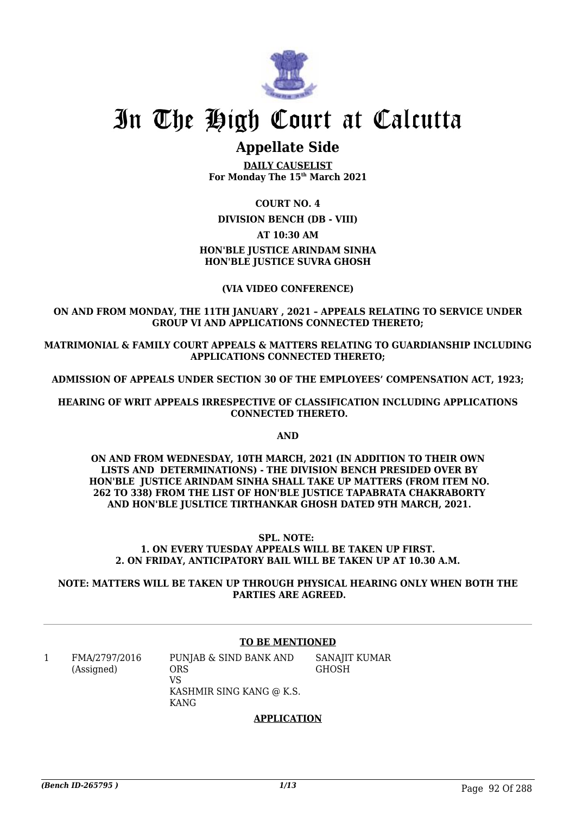

# In The High Court at Calcutta

# **Appellate Side**

**DAILY CAUSELIST For Monday The 15th March 2021**

# **COURT NO. 4**

**DIVISION BENCH (DB - VIII)**

# **AT 10:30 AM**

# **HON'BLE JUSTICE ARINDAM SINHA HON'BLE JUSTICE SUVRA GHOSH**

# **(VIA VIDEO CONFERENCE)**

# **ON AND FROM MONDAY, THE 11TH JANUARY , 2021 – APPEALS RELATING TO SERVICE UNDER GROUP VI AND APPLICATIONS CONNECTED THERETO;**

**MATRIMONIAL & FAMILY COURT APPEALS & MATTERS RELATING TO GUARDIANSHIP INCLUDING APPLICATIONS CONNECTED THERETO;**

**ADMISSION OF APPEALS UNDER SECTION 30 OF THE EMPLOYEES' COMPENSATION ACT, 1923;**

**HEARING OF WRIT APPEALS IRRESPECTIVE OF CLASSIFICATION INCLUDING APPLICATIONS CONNECTED THERETO.**

**AND**

**ON AND FROM WEDNESDAY, 10TH MARCH, 2021 (IN ADDITION TO THEIR OWN LISTS AND DETERMINATIONS) - THE DIVISION BENCH PRESIDED OVER BY HON'BLE JUSTICE ARINDAM SINHA SHALL TAKE UP MATTERS (FROM ITEM NO. 262 TO 338) FROM THE LIST OF HON'BLE JUSTICE TAPABRATA CHAKRABORTY AND HON'BLE JUSLTICE TIRTHANKAR GHOSH DATED 9TH MARCH, 2021.** 

**SPL. NOTE: 1. ON EVERY TUESDAY APPEALS WILL BE TAKEN UP FIRST. 2. ON FRIDAY, ANTICIPATORY BAIL WILL BE TAKEN UP AT 10.30 A.M.**

**NOTE: MATTERS WILL BE TAKEN UP THROUGH PHYSICAL HEARING ONLY WHEN BOTH THE PARTIES ARE AGREED.**

# **TO BE MENTIONED**

1 FMA/2797/2016 (Assigned) PUNJAB & SIND BANK AND ORS VS KASHMIR SING KANG @ K.S. KANG SANAJIT KUMAR GHOSH

### **APPLICATION**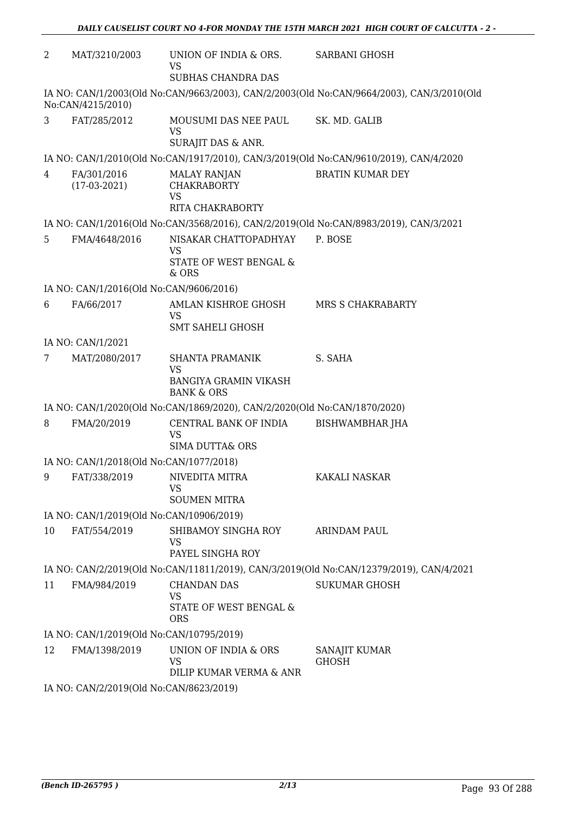| 2  | MAT/3210/2003                            | UNION OF INDIA & ORS.<br>VS                                                                  | <b>SARBANI GHOSH</b>                                                                      |
|----|------------------------------------------|----------------------------------------------------------------------------------------------|-------------------------------------------------------------------------------------------|
|    |                                          | SUBHAS CHANDRA DAS                                                                           |                                                                                           |
|    | No:CAN/4215/2010)                        |                                                                                              | IA NO: CAN/1/2003(Old No:CAN/9663/2003), CAN/2/2003(Old No:CAN/9664/2003), CAN/3/2010(Old |
| 3  | FAT/285/2012                             | MOUSUMI DAS NEE PAUL<br><b>VS</b>                                                            | SK. MD. GALIB                                                                             |
|    |                                          | SURAJIT DAS & ANR.                                                                           |                                                                                           |
|    |                                          |                                                                                              | IA NO: CAN/1/2010(Old No:CAN/1917/2010), CAN/3/2019(Old No:CAN/9610/2019), CAN/4/2020     |
| 4  | FA/301/2016<br>$(17-03-2021)$            | <b>MALAY RANJAN</b><br><b>CHAKRABORTY</b><br><b>VS</b><br><b>RITA CHAKRABORTY</b>            | <b>BRATIN KUMAR DEY</b>                                                                   |
|    |                                          |                                                                                              | IA NO: CAN/1/2016(Old No:CAN/3568/2016), CAN/2/2019(Old No:CAN/8983/2019), CAN/3/2021     |
| 5  | FMA/4648/2016                            | NISAKAR CHATTOPADHYAY<br><b>VS</b>                                                           | P. BOSE                                                                                   |
|    |                                          | STATE OF WEST BENGAL &<br>& ORS                                                              |                                                                                           |
|    | IA NO: CAN/1/2016(Old No:CAN/9606/2016)  |                                                                                              |                                                                                           |
| 6  | FA/66/2017                               | AMLAN KISHROE GHOSH<br><b>VS</b>                                                             | MRS S CHAKRABARTY                                                                         |
|    |                                          | <b>SMT SAHELI GHOSH</b>                                                                      |                                                                                           |
|    | IA NO: CAN/1/2021                        |                                                                                              |                                                                                           |
| 7  | MAT/2080/2017                            | <b>SHANTA PRAMANIK</b><br><b>VS</b><br><b>BANGIYA GRAMIN VIKASH</b><br><b>BANK &amp; ORS</b> | S. SAHA                                                                                   |
|    |                                          | IA NO: CAN/1/2020(Old No:CAN/1869/2020), CAN/2/2020(Old No:CAN/1870/2020)                    |                                                                                           |
| 8  | FMA/20/2019                              | CENTRAL BANK OF INDIA<br>VS                                                                  | BISHWAMBHAR JHA                                                                           |
|    |                                          | <b>SIMA DUTTA&amp; ORS</b>                                                                   |                                                                                           |
|    | IA NO: CAN/1/2018(Old No:CAN/1077/2018)  |                                                                                              |                                                                                           |
|    | 9 FAT/338/2019 NIVEDITA MITRA            | VS                                                                                           | <b>KAKALI NASKAR</b>                                                                      |
|    |                                          | <b>SOUMEN MITRA</b>                                                                          |                                                                                           |
|    | IA NO: CAN/1/2019(Old No:CAN/10906/2019) |                                                                                              |                                                                                           |
| 10 | FAT/554/2019                             | SHIBAMOY SINGHA ROY<br><b>VS</b><br>PAYEL SINGHA ROY                                         | <b>ARINDAM PAUL</b>                                                                       |
|    |                                          |                                                                                              | IA NO: CAN/2/2019(Old No:CAN/11811/2019), CAN/3/2019(Old No:CAN/12379/2019), CAN/4/2021   |
| 11 | FMA/984/2019                             | <b>CHANDAN DAS</b>                                                                           | <b>SUKUMAR GHOSH</b>                                                                      |
|    |                                          | VS<br>STATE OF WEST BENGAL &<br><b>ORS</b>                                                   |                                                                                           |
|    | IA NO: CAN/1/2019(Old No:CAN/10795/2019) |                                                                                              |                                                                                           |
| 12 | FMA/1398/2019                            | UNION OF INDIA & ORS                                                                         | SANAJIT KUMAR                                                                             |
|    |                                          | VS<br>DILIP KUMAR VERMA & ANR                                                                | <b>GHOSH</b>                                                                              |
|    | IA NO: CAN/2/2019(Old No:CAN/8623/2019)  |                                                                                              |                                                                                           |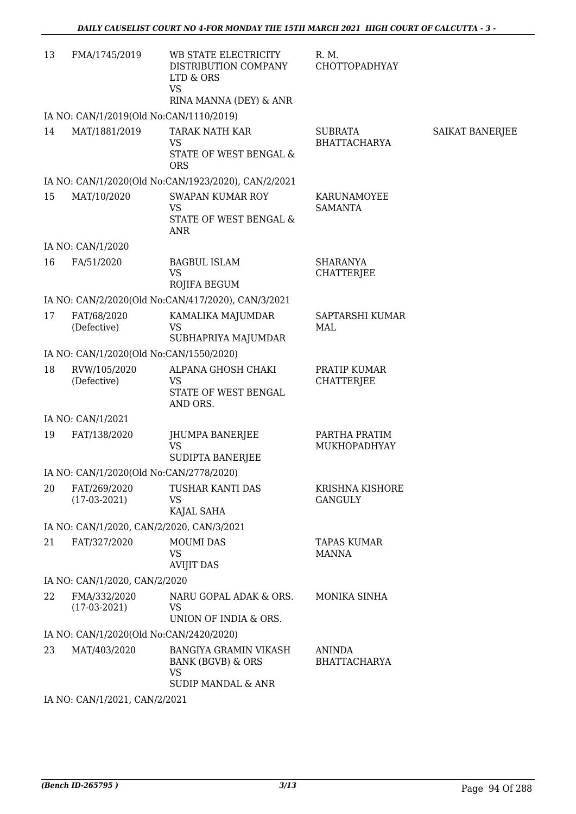| 13 | FMA/1745/2019                             | WB STATE ELECTRICITY<br>DISTRIBUTION COMPANY<br>LTD & ORS<br><b>VS</b><br>RINA MANNA (DEY) & ANR | R. M.<br><b>CHOTTOPADHYAY</b>         |                 |  |  |
|----|-------------------------------------------|--------------------------------------------------------------------------------------------------|---------------------------------------|-----------------|--|--|
|    | IA NO: CAN/1/2019(Old No:CAN/1110/2019)   |                                                                                                  |                                       |                 |  |  |
| 14 | MAT/1881/2019                             | TARAK NATH KAR<br><b>VS</b><br>STATE OF WEST BENGAL &<br><b>ORS</b>                              | <b>SUBRATA</b><br><b>BHATTACHARYA</b> | SAIKAT BANERJEE |  |  |
|    |                                           | IA NO: CAN/1/2020(Old No:CAN/1923/2020), CAN/2/2021                                              |                                       |                 |  |  |
| 15 | MAT/10/2020                               | <b>SWAPAN KUMAR ROY</b><br><b>VS</b><br>STATE OF WEST BENGAL &<br><b>ANR</b>                     | KARUNAMOYEE<br><b>SAMANTA</b>         |                 |  |  |
|    | IA NO: CAN/1/2020                         |                                                                                                  |                                       |                 |  |  |
| 16 | FA/51/2020                                | <b>BAGBUL ISLAM</b><br><b>VS</b><br>ROJIFA BEGUM                                                 | <b>SHARANYA</b><br><b>CHATTERJEE</b>  |                 |  |  |
|    |                                           | IA NO: CAN/2/2020(Old No:CAN/417/2020), CAN/3/2021                                               |                                       |                 |  |  |
| 17 | FAT/68/2020<br>(Defective)                | KAMALIKA MAJUMDAR<br><b>VS</b><br>SUBHAPRIYA MAJUMDAR                                            | SAPTARSHI KUMAR<br>MAL                |                 |  |  |
|    | IA NO: CAN/1/2020(Old No:CAN/1550/2020)   |                                                                                                  |                                       |                 |  |  |
| 18 | RVW/105/2020<br>(Defective)               | ALPANA GHOSH CHAKI<br><b>VS</b><br>STATE OF WEST BENGAL<br>AND ORS.                              | PRATIP KUMAR<br><b>CHATTERJEE</b>     |                 |  |  |
|    | IA NO: CAN/1/2021                         |                                                                                                  |                                       |                 |  |  |
| 19 | FAT/138/2020                              | JHUMPA BANERJEE<br><b>VS</b><br>SUDIPTA BANERJEE                                                 | PARTHA PRATIM<br>MUKHOPADHYAY         |                 |  |  |
|    | IA NO: CAN/1/2020(Old No:CAN/2778/2020)   |                                                                                                  |                                       |                 |  |  |
| 20 | FAT/269/2020<br>$(17-03-2021)$            | TUSHAR KANTI DAS<br>VS<br>KAJAL SAHA                                                             | KRISHNA KISHORE<br><b>GANGULY</b>     |                 |  |  |
|    | IA NO: CAN/1/2020, CAN/2/2020, CAN/3/2021 |                                                                                                  |                                       |                 |  |  |
| 21 | FAT/327/2020                              | <b>MOUMI DAS</b><br><b>VS</b><br><b>AVIJIT DAS</b>                                               | <b>TAPAS KUMAR</b><br><b>MANNA</b>    |                 |  |  |
|    | IA NO: CAN/1/2020, CAN/2/2020             |                                                                                                  |                                       |                 |  |  |
| 22 | FMA/332/2020<br>$(17-03-2021)$            | NARU GOPAL ADAK & ORS.<br>VS<br>UNION OF INDIA & ORS.                                            | MONIKA SINHA                          |                 |  |  |
|    | IA NO: CAN/1/2020(Old No:CAN/2420/2020)   |                                                                                                  |                                       |                 |  |  |
| 23 | MAT/403/2020                              | <b>BANGIYA GRAMIN VIKASH</b><br><b>BANK (BGVB) &amp; ORS</b><br><b>VS</b><br>SUDIP MANDAL & ANR  | <b>ANINDA</b><br><b>BHATTACHARYA</b>  |                 |  |  |
|    | IA NO: CAN/1/2021, CAN/2/2021             |                                                                                                  |                                       |                 |  |  |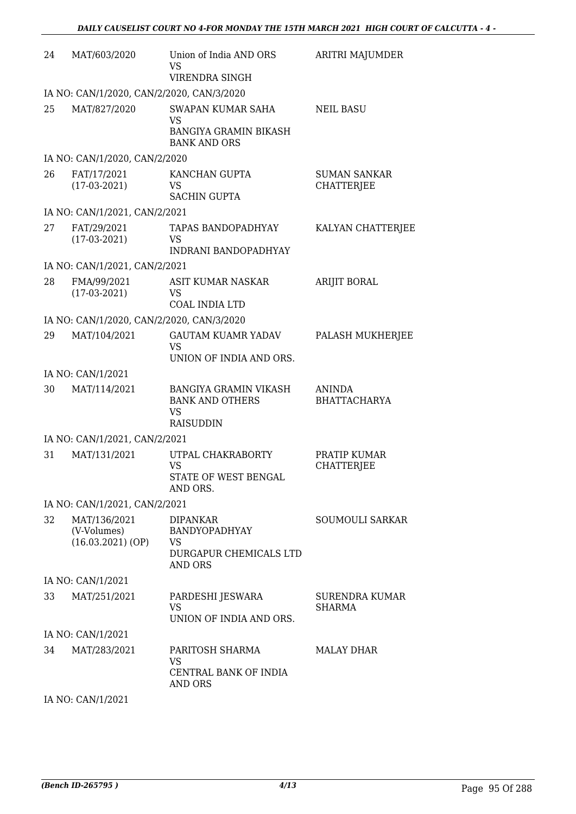| 24 | MAT/603/2020                                     | Union of India AND ORS<br>VS<br>VIRENDRA SINGH                                   | ARITRI MAJUMDER                          |  |  |  |
|----|--------------------------------------------------|----------------------------------------------------------------------------------|------------------------------------------|--|--|--|
|    | IA NO: CAN/1/2020, CAN/2/2020, CAN/3/2020        |                                                                                  |                                          |  |  |  |
| 25 | MAT/827/2020                                     | SWAPAN KUMAR SAHA<br>VS<br><b>BANGIYA GRAMIN BIKASH</b><br><b>BANK AND ORS</b>   | <b>NEIL BASU</b>                         |  |  |  |
|    | IA NO: CAN/1/2020, CAN/2/2020                    |                                                                                  |                                          |  |  |  |
| 26 | FAT/17/2021<br>$(17-03-2021)$                    | KANCHAN GUPTA<br><b>VS</b><br><b>SACHIN GUPTA</b>                                | <b>SUMAN SANKAR</b><br><b>CHATTERJEE</b> |  |  |  |
|    | IA NO: CAN/1/2021, CAN/2/2021                    |                                                                                  |                                          |  |  |  |
| 27 | FAT/29/2021<br>$(17-03-2021)$                    | <b>TAPAS BANDOPADHYAY</b><br>VS<br><b>INDRANI BANDOPADHYAY</b>                   | KALYAN CHATTERJEE                        |  |  |  |
|    | IA NO: CAN/1/2021, CAN/2/2021                    |                                                                                  |                                          |  |  |  |
| 28 | FMA/99/2021<br>$(17-03-2021)$                    | ASIT KUMAR NASKAR<br>VS<br>COAL INDIA LTD                                        | <b>ARIJIT BORAL</b>                      |  |  |  |
|    | IA NO: CAN/1/2020, CAN/2/2020, CAN/3/2020        |                                                                                  |                                          |  |  |  |
| 29 | MAT/104/2021                                     | <b>GAUTAM KUAMR YADAV</b><br><b>VS</b><br>UNION OF INDIA AND ORS.                | PALASH MUKHERJEE                         |  |  |  |
|    | IA NO: CAN/1/2021                                |                                                                                  |                                          |  |  |  |
| 30 | MAT/114/2021                                     | <b>BANGIYA GRAMIN VIKASH</b><br><b>BANK AND OTHERS</b><br><b>VS</b><br>RAISUDDIN | ANINDA<br><b>BHATTACHARYA</b>            |  |  |  |
|    | IA NO: CAN/1/2021, CAN/2/2021                    |                                                                                  |                                          |  |  |  |
| 31 | MAT/131/2021                                     | UTPAL CHAKRABORTY<br>VS<br>STATE OF WEST BENGAL<br>AND ORS.                      | PRATIP KUMAR<br><b>CHATTERJEE</b>        |  |  |  |
|    | IA NO: CAN/1/2021, CAN/2/2021                    |                                                                                  |                                          |  |  |  |
| 32 | MAT/136/2021<br>(V-Volumes)<br>(16.03.2021) (OP) | <b>DIPANKAR</b><br>BANDYOPADHYAY<br>VS<br>DURGAPUR CHEMICALS LTD<br>AND ORS      | SOUMOULI SARKAR                          |  |  |  |
|    | IA NO: CAN/1/2021                                |                                                                                  |                                          |  |  |  |
| 33 | MAT/251/2021                                     | PARDESHI JESWARA<br>VS.<br>UNION OF INDIA AND ORS.                               | <b>SURENDRA KUMAR</b><br><b>SHARMA</b>   |  |  |  |
|    | IA NO: CAN/1/2021                                |                                                                                  |                                          |  |  |  |
| 34 | MAT/283/2021                                     | PARITOSH SHARMA<br>VS<br>CENTRAL BANK OF INDIA<br><b>AND ORS</b>                 | MALAY DHAR                               |  |  |  |

IA NO: CAN/1/2021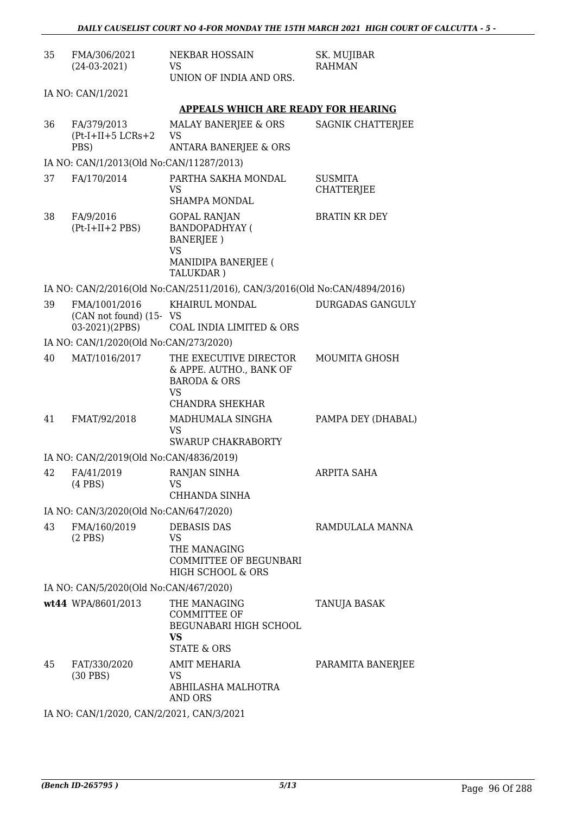| 35 | FMA/306/2021<br>$(24-03-2021)$                             | <b>NEKBAR HOSSAIN</b><br>VS<br>UNION OF INDIA AND ORS.                                                | SK. MUJIBAR<br><b>RAHMAN</b>        |
|----|------------------------------------------------------------|-------------------------------------------------------------------------------------------------------|-------------------------------------|
|    | IA NO: CAN/1/2021                                          |                                                                                                       |                                     |
|    |                                                            | <b>APPEALS WHICH ARE READY FOR HEARING</b>                                                            |                                     |
| 36 | FA/379/2013<br>$(Pt-I+II+5 LCRs+2$<br>PBS)                 | MALAY BANERJEE & ORS<br>VS<br><b>ANTARA BANERJEE &amp; ORS</b>                                        | SAGNIK CHATTERJEE                   |
|    | IA NO: CAN/1/2013(Old No:CAN/11287/2013)                   |                                                                                                       |                                     |
| 37 | FA/170/2014                                                | PARTHA SAKHA MONDAL<br>VS<br><b>SHAMPA MONDAL</b>                                                     | <b>SUSMITA</b><br><b>CHATTERJEE</b> |
| 38 | FA/9/2016<br>$(Pt-I+II+2 PBS)$                             | <b>GOPAL RANJAN</b><br><b>BANDOPADHYAY (</b><br><b>BANERJEE</b> )<br><b>VS</b><br>MANIDIPA BANERJEE ( | <b>BRATIN KR DEY</b>                |
|    |                                                            | TALUKDAR)<br>IA NO: CAN/2/2016(Old No:CAN/2511/2016), CAN/3/2016(Old No:CAN/4894/2016)                |                                     |
| 39 | FMA/1001/2016<br>(CAN not found) (15- VS<br>03-2021)(2PBS) | KHAIRUL MONDAL<br>COAL INDIA LIMITED & ORS                                                            | <b>DURGADAS GANGULY</b>             |
|    | IA NO: CAN/1/2020(Old No:CAN/273/2020)                     |                                                                                                       |                                     |
| 40 | MAT/1016/2017                                              | THE EXECUTIVE DIRECTOR<br>& APPE. AUTHO., BANK OF<br><b>BARODA &amp; ORS</b><br>VS<br>CHANDRA SHEKHAR | <b>MOUMITA GHOSH</b>                |
| 41 | FMAT/92/2018                                               | MADHUMALA SINGHA<br>VS<br><b>SWARUP CHAKRABORTY</b>                                                   | PAMPA DEY (DHABAL)                  |
|    | IA NO: CAN/2/2019(Old No:CAN/4836/2019)                    |                                                                                                       |                                     |
| 42 | FA/41/2019<br>$(4$ PBS $)$                                 | RANJAN SINHA<br>VS<br>CHHANDA SINHA                                                                   | ARPITA SAHA                         |
|    | IA NO: CAN/3/2020(Old No:CAN/647/2020)                     |                                                                                                       |                                     |
| 43 | FMA/160/2019<br>$(2$ PBS)                                  | <b>DEBASIS DAS</b><br>VS<br>THE MANAGING<br>COMMITTEE OF BEGUNBARI<br>HIGH SCHOOL & ORS               | RAMDULALA MANNA                     |
|    | IA NO: CAN/5/2020(Old No:CAN/467/2020)                     |                                                                                                       |                                     |
|    | wt44 WPA/8601/2013                                         | THE MANAGING<br><b>COMMITTEE OF</b><br>BEGUNABARI HIGH SCHOOL<br>VS<br><b>STATE &amp; ORS</b>         | <b>TANUJA BASAK</b>                 |
| 45 | FAT/330/2020<br>$(30$ PBS)                                 | AMIT MEHARIA<br>VS<br>ABHILASHA MALHOTRA<br><b>AND ORS</b>                                            | PARAMITA BANERJEE                   |
|    |                                                            |                                                                                                       |                                     |

IA NO: CAN/1/2020, CAN/2/2021, CAN/3/2021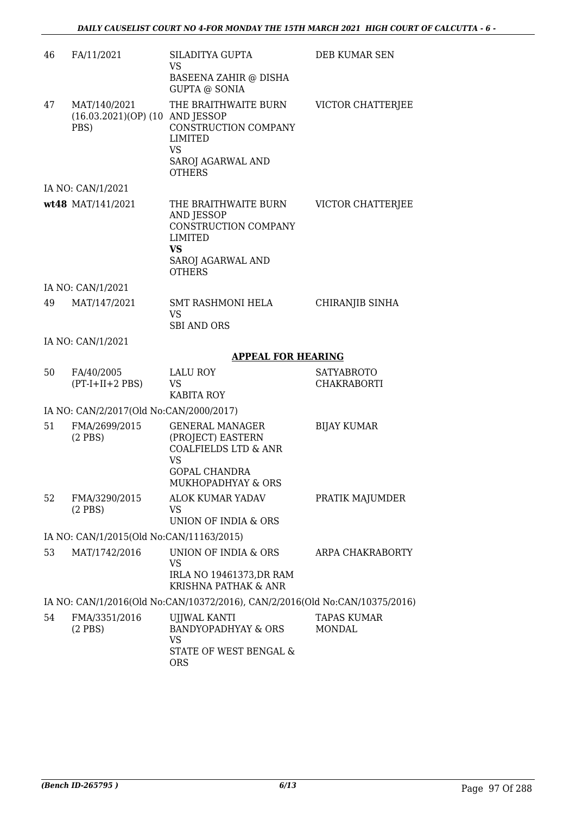| 46                | FA/11/2021                                              | SILADITYA GUPTA<br>VS                                                                                                              | DEB KUMAR SEN                       |  |
|-------------------|---------------------------------------------------------|------------------------------------------------------------------------------------------------------------------------------------|-------------------------------------|--|
|                   |                                                         | <b>BASEENA ZAHIR @ DISHA</b><br><b>GUPTA @ SONIA</b>                                                                               |                                     |  |
| 47                | MAT/140/2021<br>(16.03.2021)(OP) (10 AND JESSOP<br>PBS) | THE BRAITHWAITE BURN<br>CONSTRUCTION COMPANY<br>LIMITED<br><b>VS</b><br>SAROJ AGARWAL AND<br><b>OTHERS</b>                         | VICTOR CHATTERJEE                   |  |
| IA NO: CAN/1/2021 |                                                         |                                                                                                                                    |                                     |  |
|                   | wt48 MAT/141/2021                                       | THE BRAITHWAITE BURN<br>AND JESSOP<br>CONSTRUCTION COMPANY<br><b>LIMITED</b><br>VS.<br>SAROJ AGARWAL AND<br><b>OTHERS</b>          | VICTOR CHATTERJEE                   |  |
|                   | IA NO: CAN/1/2021                                       |                                                                                                                                    |                                     |  |
| 49                | MAT/147/2021                                            | <b>SMT RASHMONI HELA</b><br><b>VS</b><br><b>SBI AND ORS</b>                                                                        | CHIRANJIB SINHA                     |  |
|                   | IA NO: CAN/1/2021                                       |                                                                                                                                    |                                     |  |
|                   |                                                         | <b>APPEAL FOR HEARING</b>                                                                                                          |                                     |  |
| 50                | FA/40/2005<br>$(PT-I+II+2 PBS)$                         | <b>LALU ROY</b><br>VS<br>KABITA ROY                                                                                                | SATYABROTO<br>CHAKRABORTI           |  |
|                   | IA NO: CAN/2/2017(Old No:CAN/2000/2017)                 |                                                                                                                                    |                                     |  |
| 51                | FMA/2699/2015<br>$(2$ PBS)                              | <b>GENERAL MANAGER</b><br>(PROJECT) EASTERN<br>COALFIELDS LTD & ANR<br>VS<br><b>GOPAL CHANDRA</b><br><b>MUKHOPADHYAY &amp; ORS</b> | <b>BIJAY KUMAR</b>                  |  |
| 52                | FMA/3290/2015<br>$(2$ PBS)                              | ALOK KUMAR YADAV<br>VS<br>UNION OF INDIA & ORS                                                                                     | PRATIK MAJUMDER                     |  |
|                   | IA NO: CAN/1/2015(Old No:CAN/11163/2015)                |                                                                                                                                    |                                     |  |
| 53                | MAT/1742/2016                                           | UNION OF INDIA & ORS<br><b>VS</b><br>IRLA NO 19461373, DR RAM<br>KRISHNA PATHAK & ANR                                              | ARPA CHAKRABORTY                    |  |
|                   |                                                         | IA NO: CAN/1/2016(Old No:CAN/10372/2016), CAN/2/2016(Old No:CAN/10375/2016)                                                        |                                     |  |
| 54                | FMA/3351/2016<br>$(2$ PBS)                              | UJJWAL KANTI<br>BANDYOPADHYAY & ORS<br>VS<br>STATE OF WEST BENGAL &<br><b>ORS</b>                                                  | <b>TAPAS KUMAR</b><br><b>MONDAL</b> |  |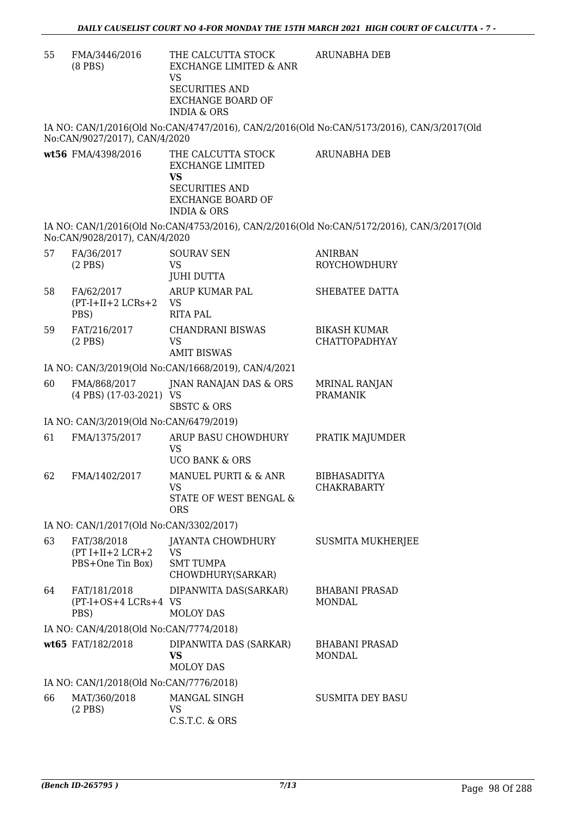55 FMA/3446/2016 (8 PBS) THE CALCUTTA STOCK EXCHANGE LIMITED & ANR VS SECURITIES AND EXCHANGE BOARD OF INDIA & ORS ARUNABHA DEB

IA NO: CAN/1/2016(Old No:CAN/4747/2016), CAN/2/2016(Old No:CAN/5173/2016), CAN/3/2017(Old No:CAN/9027/2017), CAN/4/2020

**wt56** FMA/4398/2016 THE CALCUTTA STOCK EXCHANGE LIMITED **VS** SECURITIES AND EXCHANGE BOARD OF INDIA & ORS ARUNABHA DEB

IA NO: CAN/1/2016(Old No:CAN/4753/2016), CAN/2/2016(Old No:CAN/5172/2016), CAN/3/2017(Old No:CAN/9028/2017), CAN/4/2020

| 57 | FA/36/2017<br>$(2$ PBS)                               | <b>SOURAV SEN</b><br><b>VS</b><br><b>JUHI DUTTA</b>                | <b>ANIRBAN</b><br><b>ROYCHOWDHURY</b>       |  |  |  |
|----|-------------------------------------------------------|--------------------------------------------------------------------|---------------------------------------------|--|--|--|
| 58 | FA/62/2017<br>$(PT-I+II+2 LCRs+2)$<br>PBS)            | ARUP KUMAR PAL<br><b>VS</b><br><b>RITA PAL</b>                     | SHEBATEE DATTA                              |  |  |  |
| 59 | FAT/216/2017<br>$(2$ PBS)                             | <b>CHANDRANI BISWAS</b><br>VS<br><b>AMIT BISWAS</b>                | <b>BIKASH KUMAR</b><br><b>CHATTOPADHYAY</b> |  |  |  |
|    |                                                       | IA NO: CAN/3/2019(Old No:CAN/1668/2019), CAN/4/2021                |                                             |  |  |  |
| 60 | FMA/868/2017<br>$(4$ PBS $)$ $(17-03-2021)$           | JNAN RANAJAN DAS & ORS<br>VS<br><b>SBSTC &amp; ORS</b>             | <b>MRINAL RANJAN</b><br><b>PRAMANIK</b>     |  |  |  |
|    | IA NO: CAN/3/2019(Old No:CAN/6479/2019)               |                                                                    |                                             |  |  |  |
| 61 | FMA/1375/2017                                         | ARUP BASU CHOWDHURY<br>VS.<br><b>UCO BANK &amp; ORS</b>            | PRATIK MAJUMDER                             |  |  |  |
| 62 | FMA/1402/2017                                         | MANUEL PURTI & & ANR<br>VS<br>STATE OF WEST BENGAL &<br><b>ORS</b> | <b>BIBHASADITYA</b><br><b>CHAKRABARTY</b>   |  |  |  |
|    | IA NO: CAN/1/2017(Old No:CAN/3302/2017)               |                                                                    |                                             |  |  |  |
| 63 | FAT/38/2018<br>$(PT I+II+2 LCR+2$<br>PBS+One Tin Box) | JAYANTA CHOWDHURY<br>VS.<br><b>SMT TUMPA</b><br>CHOWDHURY(SARKAR)  | <b>SUSMITA MUKHERJEE</b>                    |  |  |  |
| 64 | FAT/181/2018<br>(PT-I+OS+4 LCRs+4 VS<br>PBS)          | DIPANWITA DAS(SARKAR)<br><b>MOLOY DAS</b>                          | <b>BHABANI PRASAD</b><br><b>MONDAL</b>      |  |  |  |
|    | IA NO: CAN/4/2018(Old No:CAN/7774/2018)               |                                                                    |                                             |  |  |  |
|    | wt65 FAT/182/2018                                     | DIPANWITA DAS (SARKAR)<br>VS<br><b>MOLOY DAS</b>                   | <b>BHABANI PRASAD</b><br><b>MONDAL</b>      |  |  |  |
|    | IA NO: CAN/1/2018(Old No:CAN/7776/2018)               |                                                                    |                                             |  |  |  |
| 66 | MAT/360/2018<br>$(2$ PBS)                             | MANGAL SINGH<br><b>VS</b><br>C.S.T.C. & ORS                        | SUSMITA DEY BASU                            |  |  |  |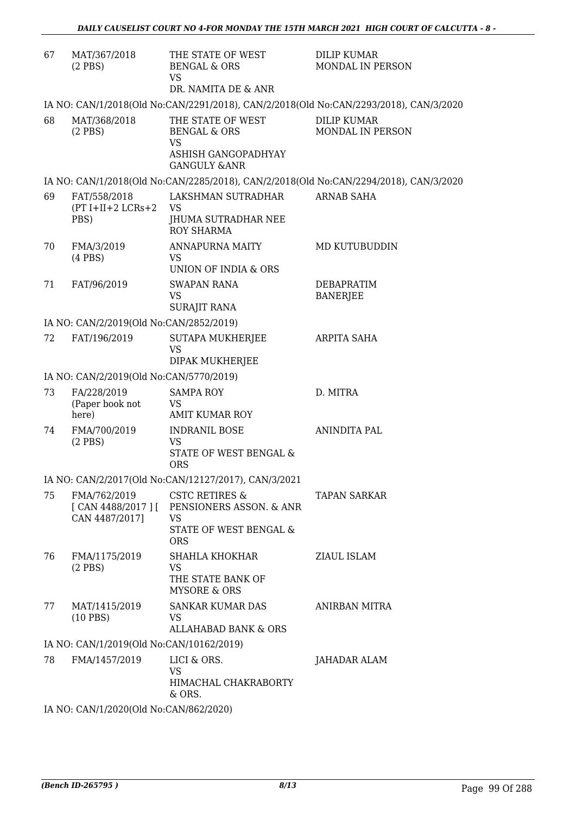| 67                                                                                    | MAT/367/2018<br>$(2$ PBS $)$                                                          | THE STATE OF WEST<br><b>BENGAL &amp; ORS</b><br><b>VS</b><br>DR. NAMITA DE & ANR | <b>DILIP KUMAR</b><br>MONDAL IN PERSON |  |  |
|---------------------------------------------------------------------------------------|---------------------------------------------------------------------------------------|----------------------------------------------------------------------------------|----------------------------------------|--|--|
|                                                                                       | IA NO: CAN/1/2018(Old No:CAN/2291/2018), CAN/2/2018(Old No:CAN/2293/2018), CAN/3/2020 |                                                                                  |                                        |  |  |
| 68                                                                                    | MAT/368/2018<br>$(2$ PBS)                                                             | THE STATE OF WEST<br><b>BENGAL &amp; ORS</b><br><b>VS</b>                        | <b>DILIP KUMAR</b><br>MONDAL IN PERSON |  |  |
|                                                                                       |                                                                                       | ASHISH GANGOPADHYAY<br><b>GANGULY &amp;ANR</b>                                   |                                        |  |  |
| IA NO: CAN/1/2018(Old No:CAN/2285/2018), CAN/2/2018(Old No:CAN/2294/2018), CAN/3/2020 |                                                                                       |                                                                                  |                                        |  |  |
| 69                                                                                    | FAT/558/2018<br>$(PT I+II+2 LCRs+2$<br>PBS)                                           | LAKSHMAN SUTRADHAR<br>VS<br>JHUMA SUTRADHAR NEE<br><b>ROY SHARMA</b>             | <b>ARNAB SAHA</b>                      |  |  |
| 70                                                                                    | FMA/3/2019                                                                            | ANNAPURNA MAITY                                                                  | MD KUTUBUDDIN                          |  |  |
|                                                                                       | $(4$ PBS $)$                                                                          | <b>VS</b><br>UNION OF INDIA & ORS                                                |                                        |  |  |
| 71                                                                                    | FAT/96/2019                                                                           | SWAPAN RANA<br><b>VS</b>                                                         | <b>DEBAPRATIM</b><br><b>BANERJEE</b>   |  |  |
|                                                                                       |                                                                                       | SURAJIT RANA                                                                     |                                        |  |  |
|                                                                                       | IA NO: CAN/2/2019(Old No:CAN/2852/2019)                                               |                                                                                  |                                        |  |  |
| 72                                                                                    | FAT/196/2019                                                                          | SUTAPA MUKHERJEE<br><b>VS</b>                                                    | ARPITA SAHA                            |  |  |
|                                                                                       |                                                                                       | DIPAK MUKHERJEE                                                                  |                                        |  |  |
|                                                                                       | IA NO: CAN/2/2019(Old No:CAN/5770/2019)                                               |                                                                                  |                                        |  |  |
| 73                                                                                    | FA/228/2019<br>(Paper book not<br>here)                                               | <b>SAMPA ROY</b><br>VS<br><b>AMIT KUMAR ROY</b>                                  | D. MITRA                               |  |  |
| 74                                                                                    | FMA/700/2019<br>$(2$ PBS)                                                             | <b>INDRANIL BOSE</b><br><b>VS</b><br>STATE OF WEST BENGAL &<br><b>ORS</b>        | <b>ANINDITA PAL</b>                    |  |  |
|                                                                                       |                                                                                       | IA NO: CAN/2/2017(Old No:CAN/12127/2017), CAN/3/2021                             |                                        |  |  |
| 75                                                                                    | FMA/762/2019<br>CAN 4487/2017]                                                        | <b>CSTC RETIRES &amp;</b><br>[CAN 4488/2017] [ PENSIONERS ASSON. & ANR<br>VS     | TAPAN SARKAR                           |  |  |
|                                                                                       |                                                                                       | STATE OF WEST BENGAL &<br><b>ORS</b>                                             |                                        |  |  |
| 76                                                                                    | FMA/1175/2019<br>$(2$ PBS $)$                                                         | SHAHLA KHOKHAR<br>VS                                                             | ZIAUL ISLAM                            |  |  |
|                                                                                       |                                                                                       | THE STATE BANK OF<br>MYSORE & ORS                                                |                                        |  |  |
| 77                                                                                    | MAT/1415/2019<br>$(10$ PBS)                                                           | <b>SANKAR KUMAR DAS</b><br>VS.                                                   | ANIRBAN MITRA                          |  |  |
|                                                                                       |                                                                                       | ALLAHABAD BANK & ORS                                                             |                                        |  |  |
|                                                                                       | IA NO: CAN/1/2019(Old No:CAN/10162/2019)                                              |                                                                                  |                                        |  |  |
| 78                                                                                    | FMA/1457/2019                                                                         | LICI & ORS.<br>VS<br>HIMACHAL CHAKRABORTY<br>& ORS.                              | JAHADAR ALAM                           |  |  |
|                                                                                       | IA NO $\cdot$ CAN/1/2020(Old No $\cdot$ CAN/862/2020)                                 |                                                                                  |                                        |  |  |

IA NO: CAN/1/2020(Old No:CAN/862/2020)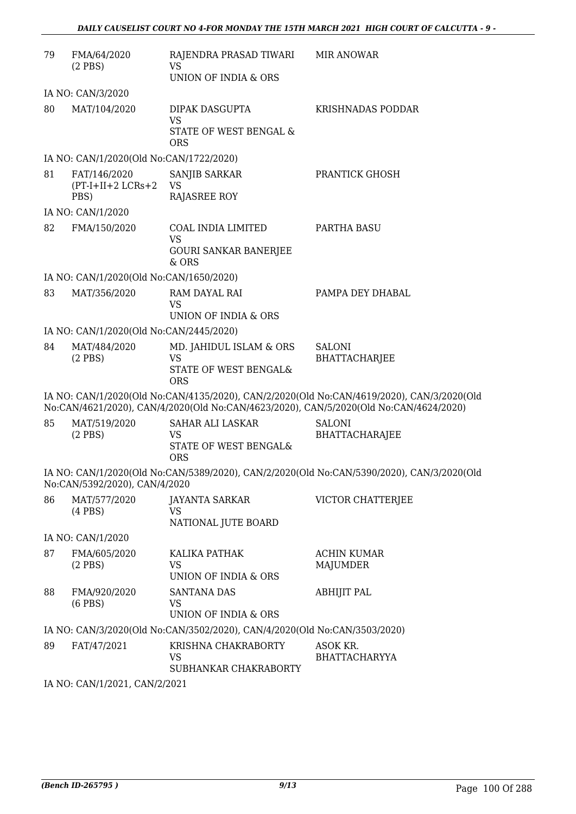| 79                | FMA/64/2020<br>$(2$ PBS)                     | RAJENDRA PRASAD TIWARI<br>VS<br>UNION OF INDIA & ORS                        | <b>MIR ANOWAR</b>                                                                                                                                                                  |  |
|-------------------|----------------------------------------------|-----------------------------------------------------------------------------|------------------------------------------------------------------------------------------------------------------------------------------------------------------------------------|--|
| IA NO: CAN/3/2020 |                                              |                                                                             |                                                                                                                                                                                    |  |
| 80                | MAT/104/2020                                 | DIPAK DASGUPTA<br><b>VS</b>                                                 | KRISHNADAS PODDAR                                                                                                                                                                  |  |
|                   |                                              | STATE OF WEST BENGAL &<br><b>ORS</b>                                        |                                                                                                                                                                                    |  |
|                   | IA NO: CAN/1/2020(Old No:CAN/1722/2020)      |                                                                             |                                                                                                                                                                                    |  |
| 81                | FAT/146/2020<br>$(PT-I+II+2 LCRs+2)$<br>PBS) | SANJIB SARKAR<br><b>VS</b><br>RAJASREE ROY                                  | PRANTICK GHOSH                                                                                                                                                                     |  |
|                   | IA NO: CAN/1/2020                            |                                                                             |                                                                                                                                                                                    |  |
| 82                | FMA/150/2020                                 | COAL INDIA LIMITED<br><b>VS</b><br><b>GOURI SANKAR BANERJEE</b><br>$&$ ORS  | PARTHA BASU                                                                                                                                                                        |  |
|                   | IA NO: CAN/1/2020(Old No:CAN/1650/2020)      |                                                                             |                                                                                                                                                                                    |  |
| 83                | MAT/356/2020                                 | RAM DAYAL RAI                                                               | PAMPA DEY DHABAL                                                                                                                                                                   |  |
|                   |                                              | <b>VS</b>                                                                   |                                                                                                                                                                                    |  |
|                   |                                              | UNION OF INDIA & ORS                                                        |                                                                                                                                                                                    |  |
|                   | IA NO: CAN/1/2020(Old No:CAN/2445/2020)      |                                                                             |                                                                                                                                                                                    |  |
| 84                | MAT/484/2020<br>$(2$ PBS)                    | MD. JAHIDUL ISLAM & ORS<br><b>VS</b><br>STATE OF WEST BENGAL&<br><b>ORS</b> | <b>SALONI</b><br>BHATTACHARJEE                                                                                                                                                     |  |
|                   |                                              |                                                                             | IA NO: CAN/1/2020(Old No:CAN/4135/2020), CAN/2/2020(Old No:CAN/4619/2020), CAN/3/2020(Old<br>No:CAN/4621/2020), CAN/4/2020(Old No:CAN/4623/2020), CAN/5/2020(Old No:CAN/4624/2020) |  |
| 85                | MAT/519/2020<br>$(2$ PBS)                    | <b>SAHAR ALI LASKAR</b><br><b>VS</b><br>STATE OF WEST BENGAL&<br><b>ORS</b> | <b>SALONI</b><br>BHATTACHARAJEE                                                                                                                                                    |  |
|                   | No:CAN/5392/2020), CAN/4/2020                |                                                                             | IA NO: CAN/1/2020(Old No:CAN/5389/2020), CAN/2/2020(Old No:CAN/5390/2020), CAN/3/2020(Old                                                                                          |  |
| 86                | MAT/577/2020<br>$(4$ PBS $)$                 | JAYANTA SARKAR<br><b>VS</b><br>NATIONAL JUTE BOARD                          | VICTOR CHATTERJEE                                                                                                                                                                  |  |
|                   | IA NO: CAN/1/2020                            |                                                                             |                                                                                                                                                                                    |  |
| 87                | FMA/605/2020                                 | KALIKA PATHAK                                                               | <b>ACHIN KUMAR</b>                                                                                                                                                                 |  |
|                   | $(2$ PBS)                                    | <b>VS</b><br>UNION OF INDIA & ORS                                           | MAJUMDER                                                                                                                                                                           |  |
| 88                | FMA/920/2020<br>$(6$ PBS $)$                 | SANTANA DAS<br>VS.<br>UNION OF INDIA & ORS                                  | <b>ABHIJIT PAL</b>                                                                                                                                                                 |  |
|                   |                                              | IA NO: CAN/3/2020(Old No:CAN/3502/2020), CAN/4/2020(Old No:CAN/3503/2020)   |                                                                                                                                                                                    |  |
| 89                | FAT/47/2021                                  | KRISHNA CHAKRABORTY                                                         | ASOK KR.                                                                                                                                                                           |  |
|                   |                                              | VS<br>SUBHANKAR CHAKRABORTY                                                 | <b>BHATTACHARYYA</b>                                                                                                                                                               |  |
|                   | 211100001                                    |                                                                             |                                                                                                                                                                                    |  |

IA NO: CAN/1/2021, CAN/2/2021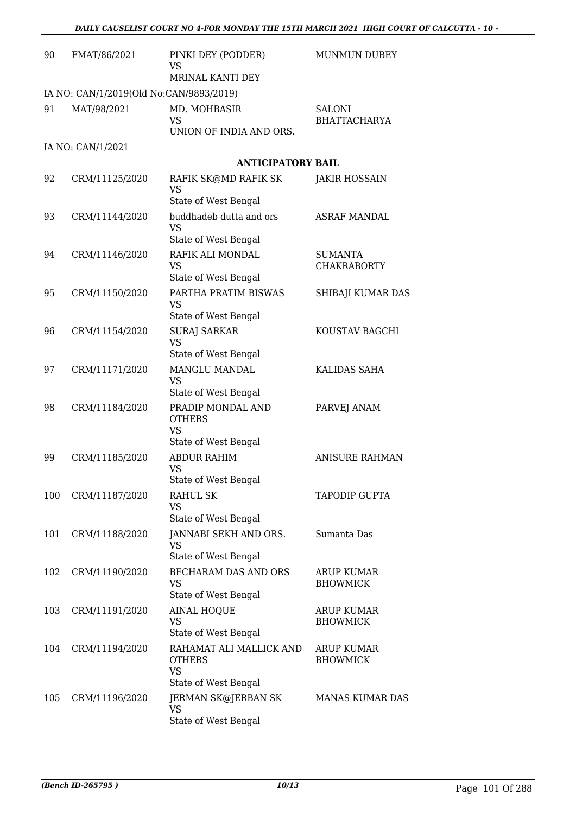| 90  | FMAT/86/2021                            | PINKI DEY (PODDER)<br>VS                                   | <b>MUNMUN DUBEY</b>                  |
|-----|-----------------------------------------|------------------------------------------------------------|--------------------------------------|
|     |                                         | MRINAL KANTI DEY                                           |                                      |
|     | IA NO: CAN/1/2019(Old No:CAN/9893/2019) |                                                            |                                      |
| 91  | MAT/98/2021                             | MD. MOHBASIR<br><b>VS</b><br>UNION OF INDIA AND ORS.       | SALONI<br><b>BHATTACHARYA</b>        |
|     | IA NO: CAN/1/2021                       |                                                            |                                      |
|     |                                         | <b>ANTICIPATORY BAIL</b>                                   |                                      |
| 92  | CRM/11125/2020                          | RAFIK SK@MD RAFIK SK                                       | <b>JAKIR HOSSAIN</b>                 |
|     |                                         | <b>VS</b><br>State of West Bengal                          |                                      |
| 93  | CRM/11144/2020                          | buddhadeb dutta and ors<br><b>VS</b>                       | <b>ASRAF MANDAL</b>                  |
|     |                                         | State of West Bengal                                       |                                      |
| 94  | CRM/11146/2020                          | RAFIK ALI MONDAL<br>VS                                     | <b>SUMANTA</b><br><b>CHAKRABORTY</b> |
|     |                                         | State of West Bengal                                       |                                      |
| 95  | CRM/11150/2020                          | PARTHA PRATIM BISWAS<br><b>VS</b><br>State of West Bengal  | SHIBAJI KUMAR DAS                    |
| 96  | CRM/11154/2020                          | <b>SURAJ SARKAR</b>                                        | KOUSTAV BAGCHI                       |
|     |                                         | <b>VS</b>                                                  |                                      |
|     |                                         | State of West Bengal                                       |                                      |
| 97  | CRM/11171/2020                          | MANGLU MANDAL<br><b>VS</b><br>State of West Bengal         | KALIDAS SAHA                         |
| 98  | CRM/11184/2020                          | PRADIP MONDAL AND<br><b>OTHERS</b>                         | PARVEJ ANAM                          |
|     |                                         | <b>VS</b><br>State of West Bengal                          |                                      |
| 99  | CRM/11185/2020                          | ABDUR RAHIM<br>VS                                          | <b>ANISURE RAHMAN</b>                |
|     |                                         | State of West Bengal                                       |                                      |
| 100 | CRM/11187/2020                          | RAHUL SK<br>VS                                             | <b>TAPODIP GUPTA</b>                 |
|     |                                         | State of West Bengal                                       |                                      |
| 101 | CRM/11188/2020                          | JANNABI SEKH AND ORS.<br><b>VS</b><br>State of West Bengal | Sumanta Das                          |
| 102 | CRM/11190/2020                          | <b>BECHARAM DAS AND ORS</b>                                | <b>ARUP KUMAR</b>                    |
|     |                                         | <b>VS</b><br>State of West Bengal                          | <b>BHOWMICK</b>                      |
| 103 | CRM/11191/2020                          | <b>AINAL HOQUE</b>                                         | <b>ARUP KUMAR</b>                    |
|     |                                         | VS<br>State of West Bengal                                 | <b>BHOWMICK</b>                      |
| 104 | CRM/11194/2020                          | RAHAMAT ALI MALLICK AND<br><b>OTHERS</b><br><b>VS</b>      | ARUP KUMAR<br><b>BHOWMICK</b>        |
|     |                                         | State of West Bengal                                       |                                      |
| 105 | CRM/11196/2020                          | JERMAN SK@JERBAN SK<br>VS<br>State of West Bengal          | <b>MANAS KUMAR DAS</b>               |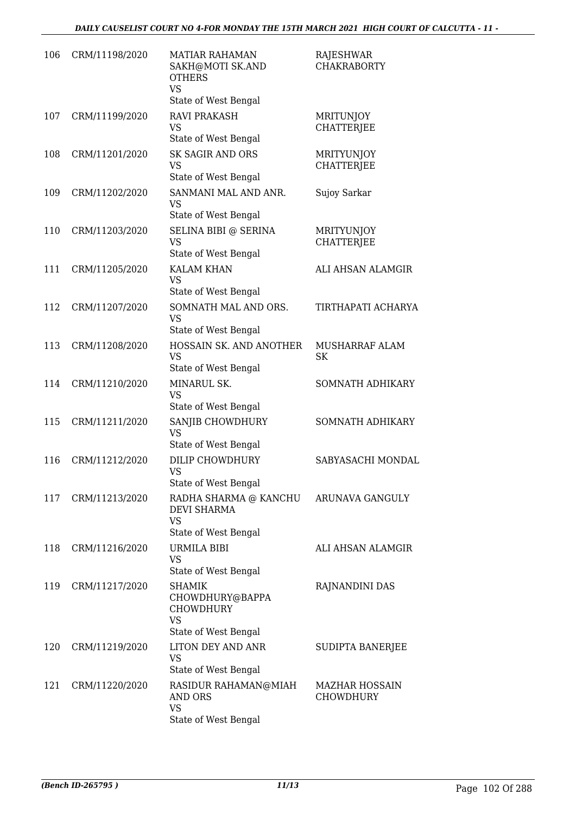| 106 | CRM/11198/2020 | <b>MATIAR RAHAMAN</b><br>SAKH@MOTI SK.AND<br><b>OTHERS</b><br><b>VS</b>                   | RAJESHWAR<br><b>CHAKRABORTY</b>           |
|-----|----------------|-------------------------------------------------------------------------------------------|-------------------------------------------|
|     |                | State of West Bengal                                                                      |                                           |
| 107 | CRM/11199/2020 | <b>RAVI PRAKASH</b><br>VS<br>State of West Bengal                                         | MRITUNJOY<br><b>CHATTERJEE</b>            |
| 108 | CRM/11201/2020 | <b>SK SAGIR AND ORS</b><br><b>VS</b><br>State of West Bengal                              | <b>MRITYUNJOY</b><br><b>CHATTERJEE</b>    |
| 109 | CRM/11202/2020 | SANMANI MAL AND ANR.<br><b>VS</b><br>State of West Bengal                                 | Sujoy Sarkar                              |
| 110 | CRM/11203/2020 | SELINA BIBI @ SERINA<br>VS<br>State of West Bengal                                        | <b>MRITYUNJOY</b><br><b>CHATTERJEE</b>    |
| 111 | CRM/11205/2020 | <b>KALAM KHAN</b><br><b>VS</b><br>State of West Bengal                                    | ALI AHSAN ALAMGIR                         |
| 112 | CRM/11207/2020 | SOMNATH MAL AND ORS.<br><b>VS</b><br>State of West Bengal                                 | TIRTHAPATI ACHARYA                        |
| 113 | CRM/11208/2020 | HOSSAIN SK. AND ANOTHER<br><b>VS</b><br>State of West Bengal                              | MUSHARRAF ALAM<br>SK                      |
| 114 | CRM/11210/2020 | MINARUL SK.<br><b>VS</b><br>State of West Bengal                                          | SOMNATH ADHIKARY                          |
| 115 | CRM/11211/2020 | SANJIB CHOWDHURY<br><b>VS</b><br>State of West Bengal                                     | SOMNATH ADHIKARY                          |
| 116 | CRM/11212/2020 | DILIP CHOWDHURY<br>VS<br>State of West Bengal                                             | SABYASACHI MONDAL                         |
| 117 | CRM/11213/2020 | RADHA SHARMA @ KANCHU<br><b>DEVI SHARMA</b><br>VS<br>State of West Bengal                 | ARUNAVA GANGULY                           |
| 118 | CRM/11216/2020 | URMILA BIBI<br><b>VS</b><br>State of West Bengal                                          | ALI AHSAN ALAMGIR                         |
| 119 | CRM/11217/2020 | <b>SHAMIK</b><br>CHOWDHURY@BAPPA<br><b>CHOWDHURY</b><br><b>VS</b><br>State of West Bengal | RAJNANDINI DAS                            |
| 120 | CRM/11219/2020 | LITON DEY AND ANR<br>VS<br>State of West Bengal                                           | SUDIPTA BANERJEE                          |
| 121 | CRM/11220/2020 | RASIDUR RAHAMAN@MIAH<br>AND ORS<br><b>VS</b><br>State of West Bengal                      | <b>MAZHAR HOSSAIN</b><br><b>CHOWDHURY</b> |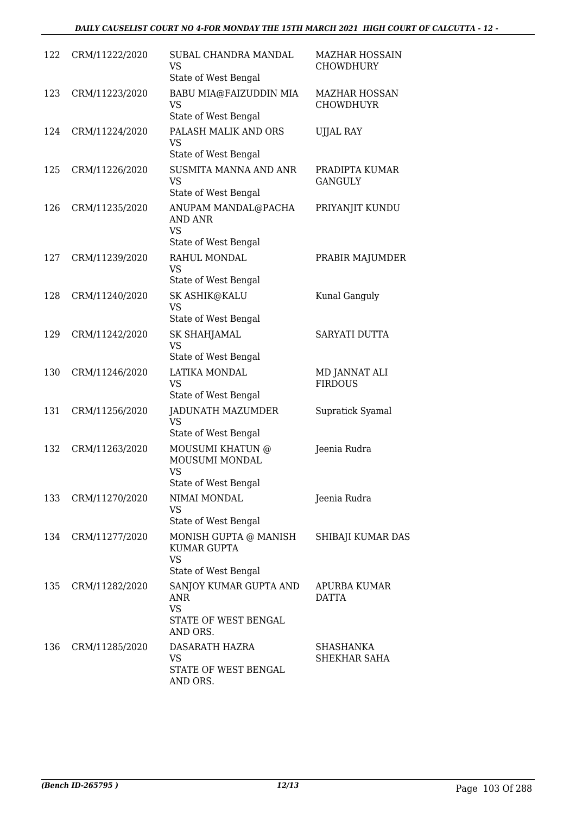| 122 | CRM/11222/2020 | SUBAL CHANDRA MANDAL<br>VS<br>State of West Bengal                             | <b>MAZHAR HOSSAIN</b><br><b>CHOWDHURY</b> |
|-----|----------------|--------------------------------------------------------------------------------|-------------------------------------------|
| 123 | CRM/11223/2020 | BABU MIA@FAIZUDDIN MIA<br>VS<br>State of West Bengal                           | <b>MAZHAR HOSSAN</b><br><b>CHOWDHUYR</b>  |
| 124 | CRM/11224/2020 | PALASH MALIK AND ORS<br>VS<br>State of West Bengal                             | <b>UJJAL RAY</b>                          |
| 125 | CRM/11226/2020 | SUSMITA MANNA AND ANR<br><b>VS</b><br>State of West Bengal                     | PRADIPTA KUMAR<br><b>GANGULY</b>          |
| 126 | CRM/11235/2020 | ANUPAM MANDAL@PACHA<br><b>AND ANR</b><br>VS                                    | PRIYANJIT KUNDU                           |
| 127 | CRM/11239/2020 | State of West Bengal<br>RAHUL MONDAL<br>VS<br>State of West Bengal             | PRABIR MAJUMDER                           |
| 128 | CRM/11240/2020 | SK ASHIK@KALU<br>VS<br>State of West Bengal                                    | Kunal Ganguly                             |
| 129 | CRM/11242/2020 | SK SHAHJAMAL<br>VS<br>State of West Bengal                                     | SARYATI DUTTA                             |
| 130 | CRM/11246/2020 | LATIKA MONDAL<br>VS<br>State of West Bengal                                    | MD JANNAT ALI<br><b>FIRDOUS</b>           |
| 131 | CRM/11256/2020 | JADUNATH MAZUMDER<br><b>VS</b><br>State of West Bengal                         | Supratick Syamal                          |
| 132 | CRM/11263/2020 | MOUSUMI KHATUN @<br>MOUSUMI MONDAL<br><b>VS</b><br>State of West Bengal        | Jeenia Rudra                              |
| 133 | CRM/11270/2020 | NIMAI MONDAL<br>VS<br>State of West Bengal                                     | Jeenia Rudra                              |
| 134 | CRM/11277/2020 | MONISH GUPTA @ MANISH<br>KUMAR GUPTA<br><b>VS</b><br>State of West Bengal      | SHIBAJI KUMAR DAS                         |
| 135 | CRM/11282/2020 | SANJOY KUMAR GUPTA AND<br>ANR<br><b>VS</b><br>STATE OF WEST BENGAL<br>AND ORS. | APURBA KUMAR<br><b>DATTA</b>              |
| 136 | CRM/11285/2020 | DASARATH HAZRA<br>VS<br>STATE OF WEST BENGAL<br>AND ORS.                       | SHASHANKA<br>SHEKHAR SAHA                 |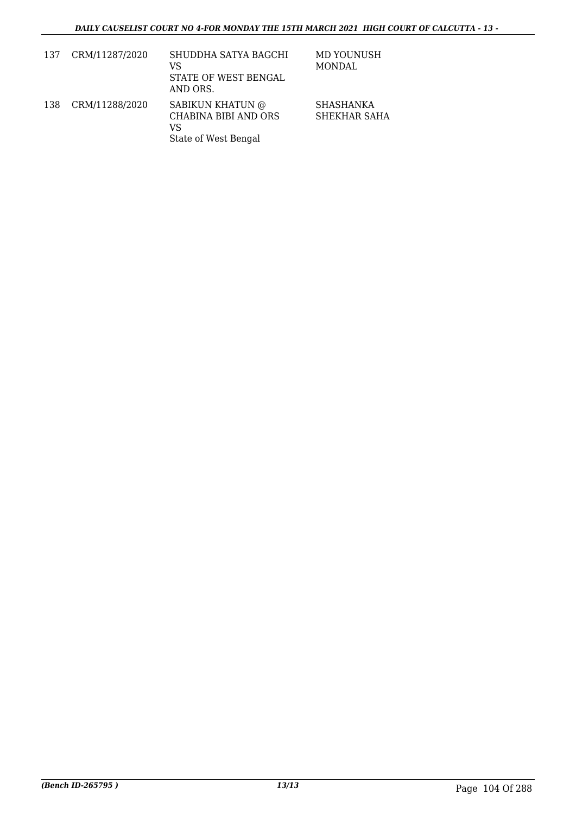| 137 | CRM/11287/2020 | SHUDDHA SATYA BAGCHI<br>VS<br>STATE OF WEST BENGAL<br>AND ORS.         | MD YOUNUSH<br>MONDAL      |
|-----|----------------|------------------------------------------------------------------------|---------------------------|
| 138 | CRM/11288/2020 | SABIKUN KHATUN @<br>CHABINA BIBI AND ORS<br>VS<br>State of West Bengal | SHASHANKA<br>SHEKHAR SAHA |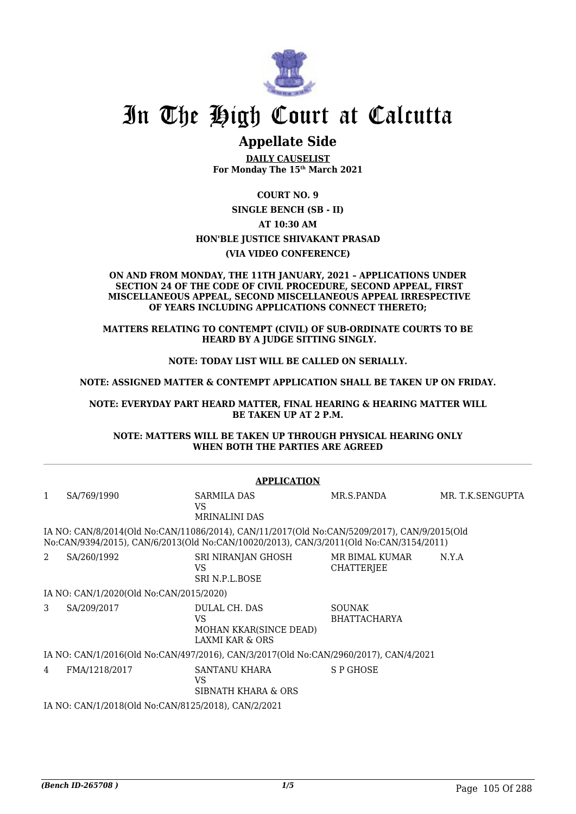

# In The High Court at Calcutta

# **Appellate Side**

**DAILY CAUSELIST For Monday The 15th March 2021**

**COURT NO. 9**

**SINGLE BENCH (SB - II)**

**AT 10:30 AM**

**HON'BLE JUSTICE SHIVAKANT PRASAD**

**(VIA VIDEO CONFERENCE)**

#### **ON AND FROM MONDAY, THE 11TH JANUARY, 2021 – APPLICATIONS UNDER SECTION 24 OF THE CODE OF CIVIL PROCEDURE, SECOND APPEAL, FIRST MISCELLANEOUS APPEAL, SECOND MISCELLANEOUS APPEAL IRRESPECTIVE OF YEARS INCLUDING APPLICATIONS CONNECT THERETO;**

#### **MATTERS RELATING TO CONTEMPT (CIVIL) OF SUB-ORDINATE COURTS TO BE HEARD BY A JUDGE SITTING SINGLY.**

**NOTE: TODAY LIST WILL BE CALLED ON SERIALLY.**

**NOTE: ASSIGNED MATTER & CONTEMPT APPLICATION SHALL BE TAKEN UP ON FRIDAY.**

**NOTE: EVERYDAY PART HEARD MATTER, FINAL HEARING & HEARING MATTER WILL BE TAKEN UP AT 2 P.M.**

**NOTE: MATTERS WILL BE TAKEN UP THROUGH PHYSICAL HEARING ONLY WHEN BOTH THE PARTIES ARE AGREED**

|   | <b>APPLICATION</b>                                                                   |                                                                                                                                                                                       |                                      |                  |
|---|--------------------------------------------------------------------------------------|---------------------------------------------------------------------------------------------------------------------------------------------------------------------------------------|--------------------------------------|------------------|
| 1 | SA/769/1990                                                                          | SARMILA DAS<br>VS.<br><b>MRINALINI DAS</b>                                                                                                                                            | MR.S.PANDA                           | MR. T.K.SENGUPTA |
|   |                                                                                      | IA NO: CAN/8/2014(Old No:CAN/11086/2014), CAN/11/2017(Old No:CAN/5209/2017), CAN/9/2015(Old<br>No:CAN/9394/2015), CAN/6/2013(Old No:CAN/10020/2013), CAN/3/2011(Old No:CAN/3154/2011) |                                      |                  |
| 2 | SA/260/1992                                                                          | SRI NIRANJAN GHOSH<br>VS.<br>SRI N.P.I. BOSE                                                                                                                                          | MR BIMAL KUMAR<br>CHATTERJEE         | N.Y.A            |
|   | IA NO: CAN/1/2020(Old No:CAN/2015/2020)                                              |                                                                                                                                                                                       |                                      |                  |
| 3 | SA/209/2017                                                                          | DULAL CH. DAS<br>VS.<br>MOHAN KKAR(SINCE DEAD)<br><b>LAXMI KAR &amp; ORS</b>                                                                                                          | <b>SOUNAK</b><br><b>BHATTACHARYA</b> |                  |
|   | IA NO: CAN/1/2016(Old No:CAN/497/2016), CAN/3/2017(Old No:CAN/2960/2017), CAN/4/2021 |                                                                                                                                                                                       |                                      |                  |
| 4 | FMA/1218/2017                                                                        | SANTANU KHARA<br>VS.<br>SIBNATH KHARA & ORS                                                                                                                                           | S P GHOSE                            |                  |
|   | IA NO: CAN/1/2018(Old No:CAN/8125/2018), CAN/2/2021                                  |                                                                                                                                                                                       |                                      |                  |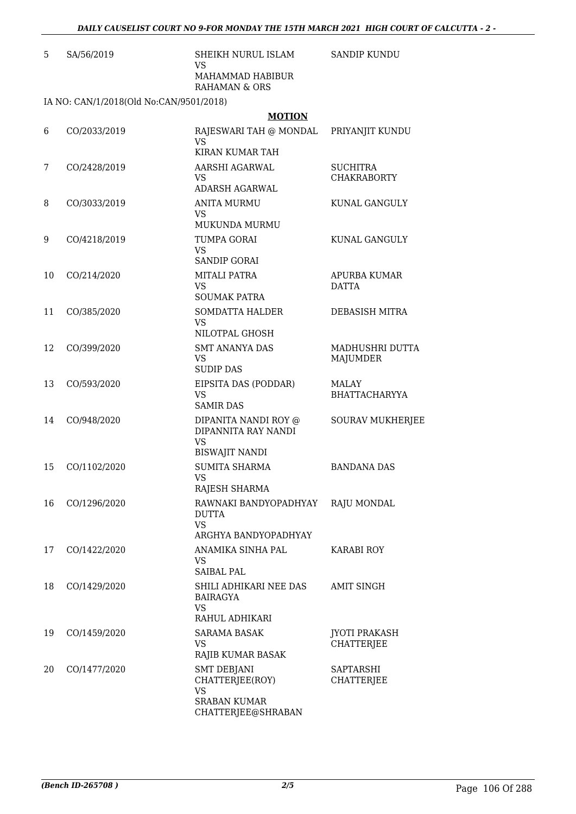| 5  | SA/56/2019                              | SHEIKH NURUL ISLAM<br>VS                           | <b>SANDIP KUNDU</b>                   |
|----|-----------------------------------------|----------------------------------------------------|---------------------------------------|
|    |                                         | MAHAMMAD HABIBUR<br>RAHAMAN & ORS                  |                                       |
|    | IA NO: CAN/1/2018(Old No:CAN/9501/2018) |                                                    |                                       |
|    |                                         | <b>MOTION</b>                                      |                                       |
| 6  | CO/2033/2019                            | RAJESWARI TAH @ MONDAL<br>VS.                      | PRIYANJIT KUNDU                       |
|    |                                         | KIRAN KUMAR TAH                                    |                                       |
| 7  | CO/2428/2019                            | AARSHI AGARWAL<br><b>VS</b>                        | <b>SUCHITRA</b><br><b>CHAKRABORTY</b> |
|    |                                         | ADARSH AGARWAL                                     |                                       |
| 8  | CO/3033/2019                            | <b>ANITA MURMU</b><br><b>VS</b><br>MUKUNDA MURMU   | KUNAL GANGULY                         |
| 9  | CO/4218/2019                            | TUMPA GORAI                                        | KUNAL GANGULY                         |
|    |                                         | <b>VS</b><br><b>SANDIP GORAI</b>                   |                                       |
| 10 | CO/214/2020                             | MITALI PATRA                                       | APURBA KUMAR                          |
|    |                                         | VS<br><b>SOUMAK PATRA</b>                          | <b>DATTA</b>                          |
| 11 | CO/385/2020                             | SOMDATTA HALDER                                    | DEBASISH MITRA                        |
|    |                                         | <b>VS</b><br>NILOTPAL GHOSH                        |                                       |
| 12 | CO/399/2020                             | <b>SMT ANANYA DAS</b>                              | MADHUSHRI DUTTA                       |
|    |                                         | <b>VS</b><br><b>SUDIP DAS</b>                      | MAJUMDER                              |
| 13 | CO/593/2020                             | EIPSITA DAS (PODDAR)                               | MALAY                                 |
|    |                                         | <b>VS</b><br><b>SAMIR DAS</b>                      | <b>BHATTACHARYYA</b>                  |
| 14 | CO/948/2020                             | DIPANITA NANDI ROY @<br>DIPANNITA RAY NANDI        | <b>SOURAV MUKHERJEE</b>               |
|    |                                         | <b>VS</b>                                          |                                       |
| 15 | CO/1102/2020                            | <b>BISWAJIT NANDI</b><br><b>SUMITA SHARMA</b>      | <b>BANDANA DAS</b>                    |
|    |                                         | <b>VS</b>                                          |                                       |
|    |                                         | RAJESH SHARMA                                      |                                       |
| 16 | CO/1296/2020                            | RAWNAKI BANDYOPADHYAY<br>DUTTA                     | RAJU MONDAL                           |
|    |                                         | <b>VS</b><br>ARGHYA BANDYOPADHYAY                  |                                       |
| 17 | CO/1422/2020                            | ANAMIKA SINHA PAL                                  | KARABI ROY                            |
|    |                                         | VS.                                                |                                       |
|    |                                         | <b>SAIBAL PAL</b>                                  |                                       |
| 18 | CO/1429/2020                            | SHILI ADHIKARI NEE DAS<br>BAIRAGYA<br><b>VS</b>    | <b>AMIT SINGH</b>                     |
|    |                                         | RAHUL ADHIKARI                                     |                                       |
| 19 | CO/1459/2020                            | SARAMA BASAK                                       | JYOTI PRAKASH                         |
|    |                                         | <b>VS</b>                                          | <b>CHATTERJEE</b>                     |
|    |                                         | RAJIB KUMAR BASAK                                  |                                       |
| 20 | CO/1477/2020                            | <b>SMT DEBJANI</b><br>CHATTERJEE(ROY)<br><b>VS</b> | SAPTARSHI<br>CHATTERJEE               |
|    |                                         | <b>SRABAN KUMAR</b><br>CHATTERJEE@SHRABAN          |                                       |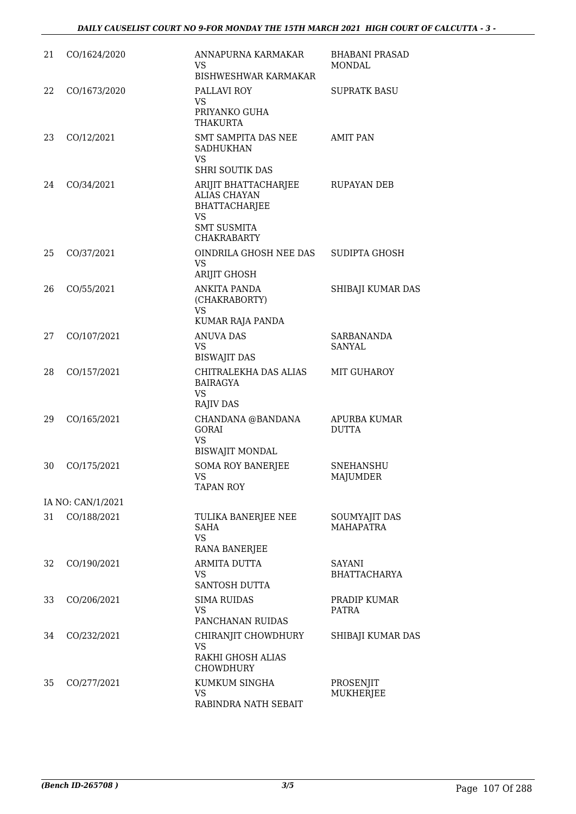| 21 | CO/1624/2020      | ANNAPURNA KARMAKAR<br>VS<br><b>BISHWESHWAR KARMAKAR</b>                                                               | <b>BHABANI PRASAD</b><br>MONDAL   |
|----|-------------------|-----------------------------------------------------------------------------------------------------------------------|-----------------------------------|
| 22 | CO/1673/2020      | PALLAVI ROY<br><b>VS</b><br>PRIYANKO GUHA<br>THAKURTA                                                                 | <b>SUPRATK BASU</b>               |
| 23 | CO/12/2021        | SMT SAMPITA DAS NEE<br><b>SADHUKHAN</b><br><b>VS</b><br>SHRI SOUTIK DAS                                               | <b>AMIT PAN</b>                   |
| 24 | CO/34/2021        | ARIJIT BHATTACHARJEE<br><b>ALIAS CHAYAN</b><br>BHATTACHARJEE<br><b>VS</b><br><b>SMT SUSMITA</b><br><b>CHAKRABARTY</b> | RUPAYAN DEB                       |
| 25 | CO/37/2021        | OINDRILA GHOSH NEE DAS<br><b>VS</b><br>ARIJIT GHOSH                                                                   | SUDIPTA GHOSH                     |
| 26 | CO/55/2021        | ANKITA PANDA<br>(CHAKRABORTY)<br><b>VS</b><br>KUMAR RAJA PANDA                                                        | SHIBAJI KUMAR DAS                 |
| 27 | CO/107/2021       | <b>ANUVA DAS</b><br>VS<br><b>BISWAJIT DAS</b>                                                                         | <b>SARBANANDA</b><br>SANYAL       |
| 28 | CO/157/2021       | CHITRALEKHA DAS ALIAS<br><b>BAIRAGYA</b><br><b>VS</b><br><b>RAJIV DAS</b>                                             | <b>MIT GUHAROY</b>                |
| 29 | CO/165/2021       | CHANDANA @BANDANA<br><b>GORAI</b><br><b>VS</b><br><b>BISWAJIT MONDAL</b>                                              | APURBA KUMAR<br><b>DUTTA</b>      |
| 30 | CO/175/2021       | <b>SOMA ROY BANERJEE</b><br>VS<br><b>TAPAN ROY</b>                                                                    | <b>SNEHANSHU</b><br>MAJUMDER      |
|    | IA NO: CAN/1/2021 |                                                                                                                       |                                   |
| 31 | CO/188/2021       | TULIKA BANERJEE NEE<br><b>SAHA</b><br>VS<br>RANA BANERJEE                                                             | SOUMYAJIT DAS<br><b>MAHAPATRA</b> |
| 32 | CO/190/2021       | ARMITA DUTTA<br>VS<br>SANTOSH DUTTA                                                                                   | SAYANI<br><b>BHATTACHARYA</b>     |
| 33 | CO/206/2021       | <b>SIMA RUIDAS</b><br>VS<br>PANCHANAN RUIDAS                                                                          | PRADIP KUMAR<br>PATRA             |
| 34 | CO/232/2021       | CHIRANJIT CHOWDHURY<br>VS.<br>RAKHI GHOSH ALIAS<br><b>CHOWDHURY</b>                                                   | SHIBAJI KUMAR DAS                 |
| 35 | CO/277/2021       | KUMKUM SINGHA<br><b>VS</b><br>RABINDRA NATH SEBAIT                                                                    | PROSENJIT<br>MUKHERJEE            |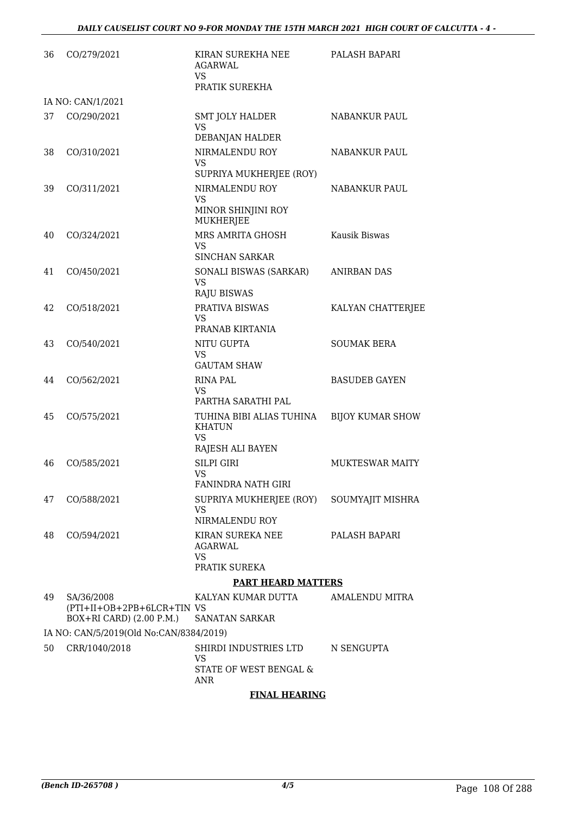| 36 | CO/279/2021                                                           | KIRAN SUREKHA NEE<br><b>AGARWAL</b><br><b>VS</b><br>PRATIK SUREKHA                        | PALASH BAPARI           |
|----|-----------------------------------------------------------------------|-------------------------------------------------------------------------------------------|-------------------------|
|    | IA NO: CAN/1/2021                                                     |                                                                                           |                         |
| 37 | CO/290/2021                                                           | <b>SMT JOLY HALDER</b><br>VS<br>DEBANJAN HALDER                                           | NABANKUR PAUL           |
| 38 | CO/310/2021                                                           | NIRMALENDU ROY<br><b>VS</b>                                                               | NABANKUR PAUL           |
| 39 | CO/311/2021                                                           | SUPRIYA MUKHERJEE (ROY)<br>NIRMALENDU ROY<br><b>VS</b><br>MINOR SHINJINI ROY<br>MUKHERJEE | NABANKUR PAUL           |
| 40 | CO/324/2021                                                           | MRS AMRITA GHOSH<br><b>VS</b>                                                             | Kausik Biswas           |
| 41 | CO/450/2021                                                           | <b>SINCHAN SARKAR</b><br>SONALI BISWAS (SARKAR)<br><b>VS</b><br><b>RAJU BISWAS</b>        | <b>ANIRBAN DAS</b>      |
| 42 | CO/518/2021                                                           | PRATIVA BISWAS<br>VS.<br>PRANAB KIRTANIA                                                  | KALYAN CHATTERJEE       |
| 43 | CO/540/2021                                                           | NITU GUPTA<br><b>VS</b><br><b>GAUTAM SHAW</b>                                             | <b>SOUMAK BERA</b>      |
| 44 | CO/562/2021                                                           | RINA PAL<br>VS<br>PARTHA SARATHI PAL                                                      | <b>BASUDEB GAYEN</b>    |
| 45 | CO/575/2021                                                           | TUHINA BIBI ALIAS TUHINA<br><b>KHATUN</b><br><b>VS</b><br>RAJESH ALI BAYEN                | <b>BIJOY KUMAR SHOW</b> |
| 46 | CO/585/2021                                                           | SILPI GIRI<br>VS                                                                          | <b>MUKTESWAR MAITY</b>  |
| 47 | CO/588/2021                                                           | <b>FANINDRA NATH GIRI</b><br>SUPRIYA MUKHERJEE (ROY)<br>VS<br>NIRMALENDU ROY              | SOUMYAJIT MISHRA        |
| 48 | CO/594/2021                                                           | KIRAN SUREKA NEE<br>AGARWAL<br><b>VS</b><br>PRATIK SUREKA                                 | PALASH BAPARI           |
|    |                                                                       | <b>PART HEARD MATTERS</b>                                                                 |                         |
| 49 | SA/36/2008<br>(PTI+II+OB+2PB+6LCR+TIN VS)<br>BOX+RI CARD) (2.00 P.M.) | KALYAN KUMAR DUTTA<br><b>SANATAN SARKAR</b>                                               | AMALENDU MITRA          |
|    | IA NO: CAN/5/2019(Old No:CAN/8384/2019)                               |                                                                                           |                         |
| 50 | CRR/1040/2018                                                         | SHIRDI INDUSTRIES LTD<br>VS<br>STATE OF WEST BENGAL &<br>ANR                              | N SENGUPTA              |

# **FINAL HEARING**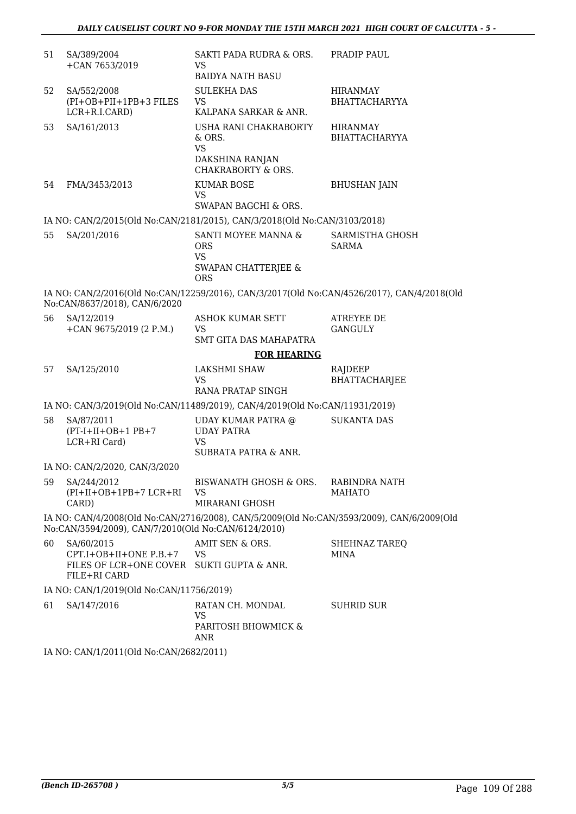| 51 | SA/389/2004<br>+CAN 7653/2019                                                                                                                    | SAKTI PADA RUDRA & ORS.<br>VS<br><b>BAIDYA NATH BASU</b>                                       | PRADIP PAUL                                                                                |  |  |
|----|--------------------------------------------------------------------------------------------------------------------------------------------------|------------------------------------------------------------------------------------------------|--------------------------------------------------------------------------------------------|--|--|
| 52 | SA/552/2008<br>(PI+OB+PII+1PB+3 FILES<br>LCR+R.I.CARD)                                                                                           | <b>SULEKHA DAS</b><br><b>VS</b><br>KALPANA SARKAR & ANR.                                       | <b>HIRANMAY</b><br><b>BHATTACHARYYA</b>                                                    |  |  |
| 53 | SA/161/2013                                                                                                                                      | USHA RANI CHAKRABORTY<br>& ORS.<br><b>VS</b><br>DAKSHINA RANJAN<br>CHAKRABORTY & ORS.          | <b>HIRANMAY</b><br><b>BHATTACHARYYA</b>                                                    |  |  |
| 54 | FMA/3453/2013                                                                                                                                    | <b>KUMAR BOSE</b><br><b>VS</b><br>SWAPAN BAGCHI & ORS.                                         | <b>BHUSHAN JAIN</b>                                                                        |  |  |
|    |                                                                                                                                                  | IA NO: CAN/2/2015(Old No:CAN/2181/2015), CAN/3/2018(Old No:CAN/3103/2018)                      |                                                                                            |  |  |
| 55 | SA/201/2016                                                                                                                                      | SANTI MOYEE MANNA &<br><b>ORS</b><br><b>VS</b><br><b>SWAPAN CHATTERJEE &amp;</b><br><b>ORS</b> | SARMISTHA GHOSH<br><b>SARMA</b>                                                            |  |  |
|    | No:CAN/8637/2018), CAN/6/2020                                                                                                                    |                                                                                                | IA NO: CAN/2/2016(Old No:CAN/12259/2016), CAN/3/2017(Old No:CAN/4526/2017), CAN/4/2018(Old |  |  |
| 56 | SA/12/2019<br>+CAN $9675/2019$ (2 P.M.)                                                                                                          | ASHOK KUMAR SETT<br><b>VS</b><br>SMT GITA DAS MAHAPATRA                                        | ATREYEE DE<br><b>GANGULY</b>                                                               |  |  |
|    |                                                                                                                                                  | <b>FOR HEARING</b>                                                                             |                                                                                            |  |  |
| 57 | SA/125/2010                                                                                                                                      | LAKSHMI SHAW<br><b>VS</b><br>RANA PRATAP SINGH                                                 | RAJDEEP<br><b>BHATTACHARJEE</b>                                                            |  |  |
|    |                                                                                                                                                  | IA NO: CAN/3/2019(Old No:CAN/11489/2019), CAN/4/2019(Old No:CAN/11931/2019)                    |                                                                                            |  |  |
| 58 | SA/87/2011<br>$(PT-I+II+OB+1PB+7)$<br>LCR+RI Card)                                                                                               | UDAY KUMAR PATRA @<br><b>UDAY PATRA</b><br><b>VS</b><br>SUBRATA PATRA & ANR.                   | <b>SUKANTA DAS</b>                                                                         |  |  |
|    | IA NO: CAN/2/2020, CAN/3/2020                                                                                                                    |                                                                                                |                                                                                            |  |  |
| 59 | SA/244/2012<br>$(PI+II+OB+1PB+7 LCR+RI)$<br>CARD)                                                                                                | <b>BISWANATH GHOSH &amp; ORS.</b><br>VS<br>MIRARANI GHOSH                                      | RABINDRA NATH<br><b>MAHATO</b>                                                             |  |  |
|    | IA NO: CAN/4/2008(Old No:CAN/2716/2008), CAN/5/2009(Old No:CAN/3593/2009), CAN/6/2009(Old<br>No:CAN/3594/2009), CAN/7/2010(Old No:CAN/6124/2010) |                                                                                                |                                                                                            |  |  |
| 60 | SA/60/2015<br>CPT.I+OB+II+ONE P.B.+7<br>FILES OF LCR+ONE COVER SUKTI GUPTA & ANR.<br>FILE+RI CARD                                                | AMIT SEN & ORS.<br>VS                                                                          | SHEHNAZ TAREQ<br>MINA                                                                      |  |  |
|    | IA NO: CAN/1/2019(Old No:CAN/11756/2019)                                                                                                         |                                                                                                |                                                                                            |  |  |
| 61 | SA/147/2016                                                                                                                                      | RATAN CH. MONDAL<br>VS<br>PARITOSH BHOWMICK &<br>ANR                                           | SUHRID SUR                                                                                 |  |  |
|    | IA NO: CAN/1/2011(Old No:CAN/2682/2011)                                                                                                          |                                                                                                |                                                                                            |  |  |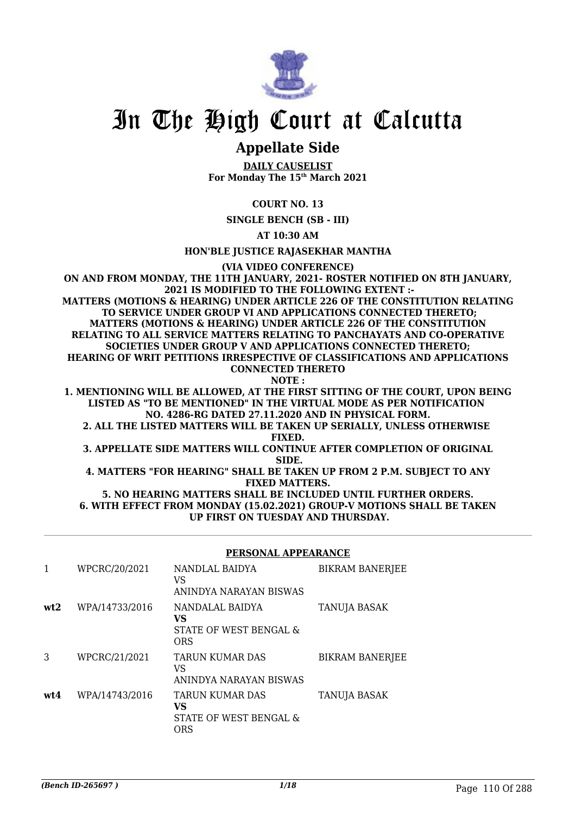

# In The High Court at Calcutta

# **Appellate Side**

**DAILY CAUSELIST For Monday The 15th March 2021**

# **COURT NO. 13**

**SINGLE BENCH (SB - III)**

**AT 10:30 AM**

### **HON'BLE JUSTICE RAJASEKHAR MANTHA**

**(VIA VIDEO CONFERENCE)**

**ON AND FROM MONDAY, THE 11TH JANUARY, 2021- ROSTER NOTIFIED ON 8TH JANUARY, 2021 IS MODIFIED TO THE FOLLOWING EXTENT :- MATTERS (MOTIONS & HEARING) UNDER ARTICLE 226 OF THE CONSTITUTION RELATING TO SERVICE UNDER GROUP VI AND APPLICATIONS CONNECTED THERETO; MATTERS (MOTIONS & HEARING) UNDER ARTICLE 226 OF THE CONSTITUTION RELATING TO ALL SERVICE MATTERS RELATING TO PANCHAYATS AND CO-OPERATIVE SOCIETIES UNDER GROUP V AND APPLICATIONS CONNECTED THERETO; HEARING OF WRIT PETITIONS IRRESPECTIVE OF CLASSIFICATIONS AND APPLICATIONS CONNECTED THERETO NOTE :**

**1. MENTIONING WILL BE ALLOWED, AT THE FIRST SITTING OF THE COURT, UPON BEING LISTED AS "TO BE MENTIONED" IN THE VIRTUAL MODE AS PER NOTIFICATION NO. 4286-RG DATED 27.11.2020 AND IN PHYSICAL FORM.**

**2. ALL THE LISTED MATTERS WILL BE TAKEN UP SERIALLY, UNLESS OTHERWISE FIXED.**

**3. APPELLATE SIDE MATTERS WILL CONTINUE AFTER COMPLETION OF ORIGINAL SIDE.**

**4. MATTERS "FOR HEARING" SHALL BE TAKEN UP FROM 2 P.M. SUBJECT TO ANY FIXED MATTERS.**

**5. NO HEARING MATTERS SHALL BE INCLUDED UNTIL FURTHER ORDERS. 6. WITH EFFECT FROM MONDAY (15.02.2021) GROUP-V MOTIONS SHALL BE TAKEN UP FIRST ON TUESDAY AND THURSDAY.**

#### **PERSONAL APPEARANCE**

|     | WPCRC/20/2021  | NANDLAL BAIDYA<br>VS<br>ANINDYA NARAYAN BISWAS                       | BIKRAM BANERJEE        |
|-----|----------------|----------------------------------------------------------------------|------------------------|
| wt2 | WPA/14733/2016 | NANDALAL BAIDYA<br>VS<br>STATE OF WEST BENGAL &<br><b>ORS</b>        | TANUJA BASAK           |
| 3   | WPCRC/21/2021  | <b>TARUN KUMAR DAS</b><br>VS<br>ANINDYA NARAYAN BISWAS               | <b>BIKRAM BANERJEE</b> |
| wt4 | WPA/14743/2016 | TARUN KUMAR DAS<br><b>VS</b><br>STATE OF WEST BENGAL &<br><b>ORS</b> | <b>TANUJA BASAK</b>    |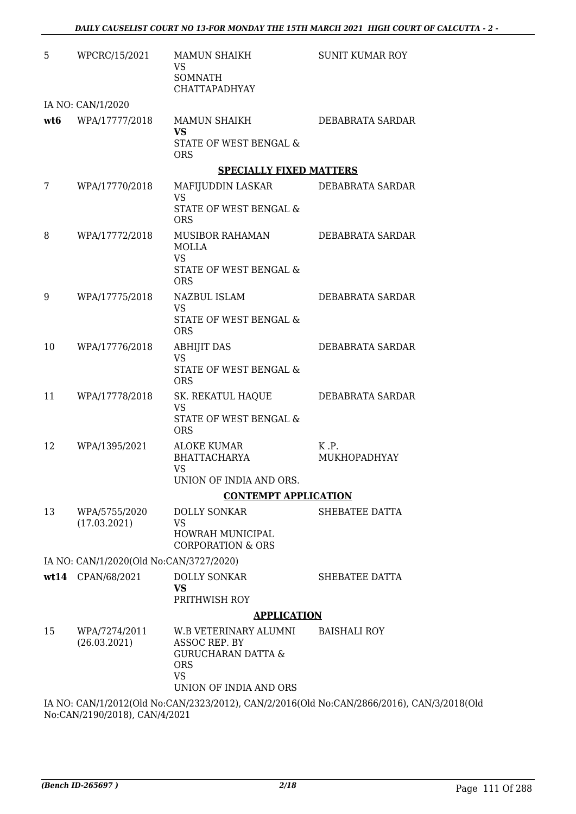| 5   | WPCRC/15/2021                           | MAMUN SHAIKH<br>VS<br>SOMNATH<br>CHATTAPADHYAY                                                                               | <b>SUNIT KUMAR ROY</b>                                                                    |
|-----|-----------------------------------------|------------------------------------------------------------------------------------------------------------------------------|-------------------------------------------------------------------------------------------|
|     | IA NO: CAN/1/2020                       |                                                                                                                              |                                                                                           |
| wt6 | WPA/17777/2018                          | MAMUN SHAIKH<br><b>VS</b><br>STATE OF WEST BENGAL &<br><b>ORS</b>                                                            | DEBABRATA SARDAR                                                                          |
|     |                                         | <b>SPECIALLY FIXED MATTERS</b>                                                                                               |                                                                                           |
| 7   | WPA/17770/2018                          | MAFIJUDDIN LASKAR DEBABRATA SARDAR<br><b>VS</b><br>STATE OF WEST BENGAL &<br><b>ORS</b>                                      |                                                                                           |
| 8   | WPA/17772/2018                          | MUSIBOR RAHAMAN<br><b>MOLLA</b><br><b>VS</b><br>STATE OF WEST BENGAL &<br><b>ORS</b>                                         | DEBABRATA SARDAR                                                                          |
| 9   | WPA/17775/2018                          | NAZBUL ISLAM<br><b>VS</b><br>STATE OF WEST BENGAL &<br><b>ORS</b>                                                            | DEBABRATA SARDAR                                                                          |
| 10  | WPA/17776/2018                          | <b>ABHIJIT DAS</b><br><b>VS</b><br>STATE OF WEST BENGAL &<br><b>ORS</b>                                                      | DEBABRATA SARDAR                                                                          |
| 11  | WPA/17778/2018                          | SK. REKATUL HAQUE DEBABRATA SARDAR<br><b>VS</b><br>STATE OF WEST BENGAL &<br><b>ORS</b>                                      |                                                                                           |
| 12  | WPA/1395/2021                           | ALOKE KUMAR<br>BHATTACHARYA<br><b>VS</b><br>UNION OF INDIA AND ORS.                                                          | K.P.<br>MUKHOPADHYAY                                                                      |
|     |                                         | <b>CONTEMPT APPLICATION</b>                                                                                                  |                                                                                           |
| 13  | WPA/5755/2020<br>(17.03.2021)           | <b>DOLLY SONKAR</b><br><b>VS</b><br>HOWRAH MUNICIPAL<br><b>CORPORATION &amp; ORS</b>                                         | SHEBATEE DATTA                                                                            |
|     | IA NO: CAN/1/2020(Old No:CAN/3727/2020) |                                                                                                                              |                                                                                           |
|     | wt14 CPAN/68/2021                       | <b>DOLLY SONKAR</b><br><b>VS</b><br>PRITHWISH ROY                                                                            | SHEBATEE DATTA                                                                            |
|     |                                         | <b>APPLICATION</b>                                                                                                           |                                                                                           |
| 15  | WPA/7274/2011<br>(26.03.2021)           | W.B VETERINARY ALUMNI<br>ASSOC REP. BY<br><b>GURUCHARAN DATTA &amp;</b><br><b>ORS</b><br><b>VS</b><br>UNION OF INDIA AND ORS | <b>BAISHALI ROY</b>                                                                       |
|     |                                         |                                                                                                                              | IA NO: CAN/1/2012(Old No:CAN/2323/2012), CAN/2/2016(Old No:CAN/2866/2016), CAN/3/2018(Old |

No:CAN/2190/2018), CAN/4/2021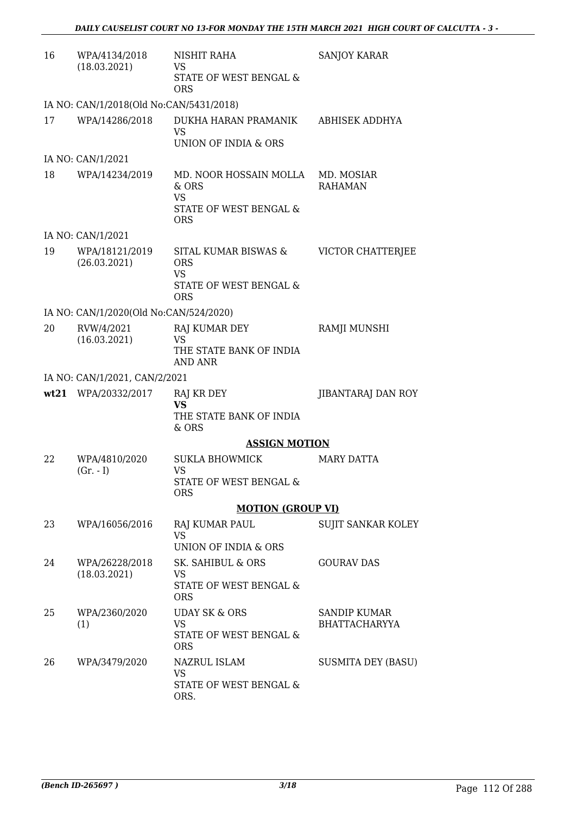| 16 | WPA/4134/2018<br>(18.03.2021)           | NISHIT RAHA<br>VS.<br>STATE OF WEST BENGAL &                                            | SANJOY KARAR                         |
|----|-----------------------------------------|-----------------------------------------------------------------------------------------|--------------------------------------|
|    |                                         | <b>ORS</b>                                                                              |                                      |
|    | IA NO: CAN/1/2018(Old No:CAN/5431/2018) |                                                                                         |                                      |
| 17 | WPA/14286/2018                          | DUKHA HARAN PRAMANIK<br><b>VS</b><br>UNION OF INDIA & ORS                               | ABHISEK ADDHYA                       |
|    | IA NO: CAN/1/2021                       |                                                                                         |                                      |
| 18 | WPA/14234/2019                          | MD. NOOR HOSSAIN MOLLA<br>& ORS<br><b>VS</b><br>STATE OF WEST BENGAL &<br><b>ORS</b>    | MD. MOSIAR<br><b>RAHAMAN</b>         |
|    | IA NO: CAN/1/2021                       |                                                                                         |                                      |
| 19 | WPA/18121/2019<br>(26.03.2021)          | SITAL KUMAR BISWAS &<br><b>ORS</b><br><b>VS</b><br>STATE OF WEST BENGAL &<br><b>ORS</b> | VICTOR CHATTERJEE                    |
|    | IA NO: CAN/1/2020(Old No:CAN/524/2020)  |                                                                                         |                                      |
| 20 | RVW/4/2021<br>(16.03.2021)              | RAJ KUMAR DEY<br><b>VS</b><br>THE STATE BANK OF INDIA<br>AND ANR                        | RAMJI MUNSHI                         |
|    | IA NO: CAN/1/2021, CAN/2/2021           |                                                                                         |                                      |
|    | wt21 WPA/20332/2017                     | RAJ KR DEY<br><b>VS</b><br>THE STATE BANK OF INDIA<br>& ORS                             | JIBANTARAJ DAN ROY                   |
|    |                                         | <b>ASSIGN MOTION</b>                                                                    |                                      |
| 22 | WPA/4810/2020<br>$(Gr. - I)$            | <b>SUKLA BHOWMICK</b><br>VS                                                             | <b>MARY DATTA</b>                    |
|    |                                         | STATE OF WEST BENGAL &<br><b>ORS</b>                                                    |                                      |
|    |                                         | <b>MOTION (GROUP VI)</b>                                                                |                                      |
| 23 | WPA/16056/2016                          | <b>RAJ KUMAR PAUL</b><br><b>VS</b><br>UNION OF INDIA & ORS                              | <b>SUJIT SANKAR KOLEY</b>            |
| 24 | WPA/26228/2018<br>(18.03.2021)          | SK. SAHIBUL & ORS<br>VS<br>STATE OF WEST BENGAL &<br><b>ORS</b>                         | <b>GOURAV DAS</b>                    |
| 25 | WPA/2360/2020<br>(1)                    | <b>UDAY SK &amp; ORS</b><br><b>VS</b><br>STATE OF WEST BENGAL &<br><b>ORS</b>           | SANDIP KUMAR<br><b>BHATTACHARYYA</b> |
| 26 | WPA/3479/2020                           | NAZRUL ISLAM<br>VS<br>STATE OF WEST BENGAL &<br>ORS.                                    | <b>SUSMITA DEY (BASU)</b>            |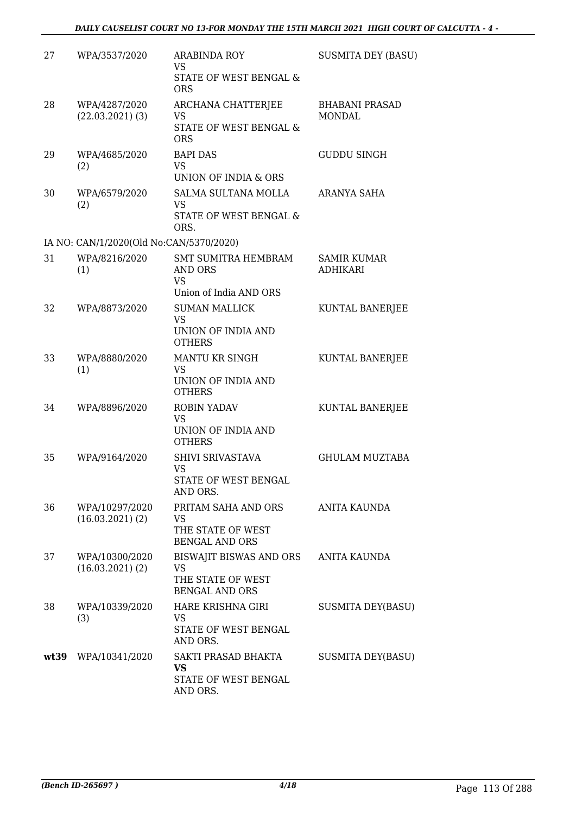| 27   | WPA/3537/2020                           | <b>ARABINDA ROY</b><br><b>VS</b>                                                    | <b>SUSMITA DEY (BASU)</b>              |
|------|-----------------------------------------|-------------------------------------------------------------------------------------|----------------------------------------|
|      |                                         | STATE OF WEST BENGAL &<br><b>ORS</b>                                                |                                        |
| 28   | WPA/4287/2020<br>$(22.03.2021)$ (3)     | ARCHANA CHATTERJEE<br>VS<br>STATE OF WEST BENGAL &                                  | <b>BHABANI PRASAD</b><br><b>MONDAL</b> |
|      |                                         | <b>ORS</b>                                                                          |                                        |
| 29   | WPA/4685/2020<br>(2)                    | <b>BAPI DAS</b><br><b>VS</b><br>UNION OF INDIA & ORS                                | <b>GUDDU SINGH</b>                     |
| 30   | WPA/6579/2020<br>(2)                    | <b>SALMA SULTANA MOLLA</b><br>VS<br>STATE OF WEST BENGAL &                          | ARANYA SAHA                            |
|      |                                         | ORS.                                                                                |                                        |
|      | IA NO: CAN/1/2020(Old No:CAN/5370/2020) |                                                                                     |                                        |
| 31   | WPA/8216/2020<br>(1)                    | <b>SMT SUMITRA HEMBRAM</b><br><b>AND ORS</b><br><b>VS</b><br>Union of India AND ORS | <b>SAMIR KUMAR</b><br><b>ADHIKARI</b>  |
| 32   | WPA/8873/2020                           | <b>SUMAN MALLICK</b>                                                                | KUNTAL BANERJEE                        |
|      |                                         | VS<br>UNION OF INDIA AND<br><b>OTHERS</b>                                           |                                        |
| 33   | WPA/8880/2020                           | MANTU KR SINGH                                                                      | KUNTAL BANERJEE                        |
|      | (1)                                     | <b>VS</b><br>UNION OF INDIA AND<br><b>OTHERS</b>                                    |                                        |
| 34   | WPA/8896/2020                           | ROBIN YADAV<br><b>VS</b>                                                            | KUNTAL BANERJEE                        |
|      |                                         | UNION OF INDIA AND<br><b>OTHERS</b>                                                 |                                        |
| 35   | WPA/9164/2020                           | SHIVI SRIVASTAVA<br>VS                                                              | <b>GHULAM MUZTABA</b>                  |
|      |                                         | STATE OF WEST BENGAL<br>AND ORS.                                                    |                                        |
| 36   | WPA/10297/2020<br>$(16.03.2021)$ $(2)$  | PRITAM SAHA AND ORS                                                                 | <b>ANITA KAUNDA</b>                    |
|      |                                         | VS<br>THE STATE OF WEST<br><b>BENGAL AND ORS</b>                                    |                                        |
| 37   | WPA/10300/2020<br>$(16.03.2021)$ $(2)$  | BISWAJIT BISWAS AND ORS<br>VS<br>THE STATE OF WEST<br><b>BENGAL AND ORS</b>         | ANITA KAUNDA                           |
| 38   | WPA/10339/2020<br>(3)                   | HARE KRISHNA GIRI<br>VS<br>STATE OF WEST BENGAL                                     | <b>SUSMITA DEY(BASU)</b>               |
|      |                                         | AND ORS.                                                                            |                                        |
| wt39 | WPA/10341/2020                          | SAKTI PRASAD BHAKTA<br><b>VS</b>                                                    | <b>SUSMITA DEY(BASU)</b>               |
|      |                                         | STATE OF WEST BENGAL<br>AND ORS.                                                    |                                        |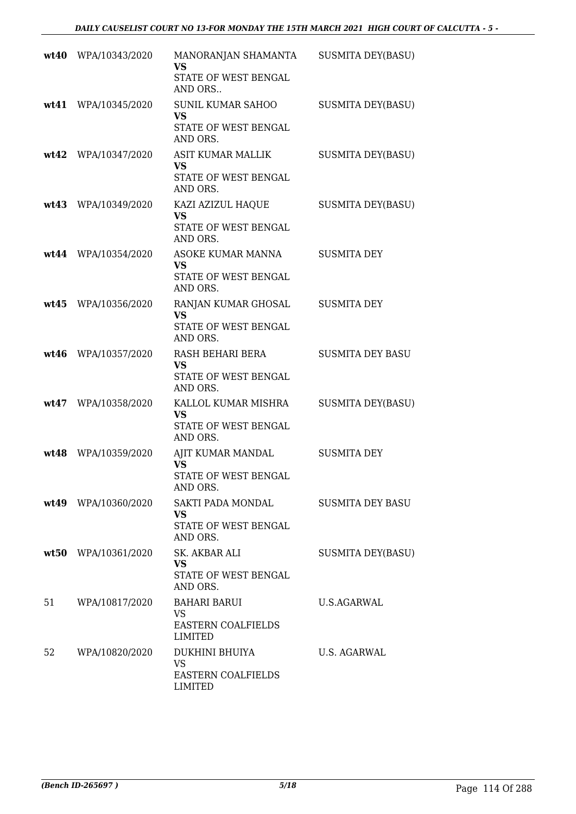|      | wt40 WPA/10343/2020 | MANORANJAN SHAMANTA<br><b>VS</b><br>STATE OF WEST BENGAL<br>AND ORS       | <b>SUSMITA DEY(BASU)</b> |
|------|---------------------|---------------------------------------------------------------------------|--------------------------|
| wt41 | WPA/10345/2020      | <b>SUNIL KUMAR SAHOO</b><br><b>VS</b><br>STATE OF WEST BENGAL<br>AND ORS. | <b>SUSMITA DEY(BASU)</b> |
|      | wt42 WPA/10347/2020 | ASIT KUMAR MALLIK<br><b>VS</b><br>STATE OF WEST BENGAL<br>AND ORS.        | SUSMITA DEY(BASU)        |
|      | wt43 WPA/10349/2020 | KAZI AZIZUL HAQUE<br><b>VS</b><br>STATE OF WEST BENGAL<br>AND ORS.        | <b>SUSMITA DEY(BASU)</b> |
|      | wt44 WPA/10354/2020 | ASOKE KUMAR MANNA<br><b>VS</b><br>STATE OF WEST BENGAL<br>AND ORS.        | <b>SUSMITA DEY</b>       |
|      | wt45 WPA/10356/2020 | RANJAN KUMAR GHOSAL<br><b>VS</b><br>STATE OF WEST BENGAL<br>AND ORS.      | <b>SUSMITA DEY</b>       |
|      | wt46 WPA/10357/2020 | RASH BEHARI BERA<br><b>VS</b><br>STATE OF WEST BENGAL<br>AND ORS.         | <b>SUSMITA DEY BASU</b>  |
| wt47 | WPA/10358/2020      | KALLOL KUMAR MISHRA<br><b>VS</b><br>STATE OF WEST BENGAL<br>AND ORS.      | <b>SUSMITA DEY(BASU)</b> |
|      | wt48 WPA/10359/2020 | AJIT KUMAR MANDAL<br><b>VS</b><br>STATE OF WEST BENGAL<br>AND ORS.        | <b>SUSMITA DEY</b>       |
|      | wt49 WPA/10360/2020 | SAKTI PADA MONDAL<br><b>VS</b><br>STATE OF WEST BENGAL<br>AND ORS.        | <b>SUSMITA DEY BASU</b>  |
|      | wt50 WPA/10361/2020 | SK. AKBAR ALI<br><b>VS</b><br>STATE OF WEST BENGAL<br>AND ORS.            | <b>SUSMITA DEY(BASU)</b> |
| 51   | WPA/10817/2020      | <b>BAHARI BARUI</b><br>VS.<br><b>EASTERN COALFIELDS</b><br>LIMITED        | U.S.AGARWAL              |
| 52   | WPA/10820/2020      | DUKHINI BHUIYA<br><b>VS</b><br>EASTERN COALFIELDS<br><b>LIMITED</b>       | U.S. AGARWAL             |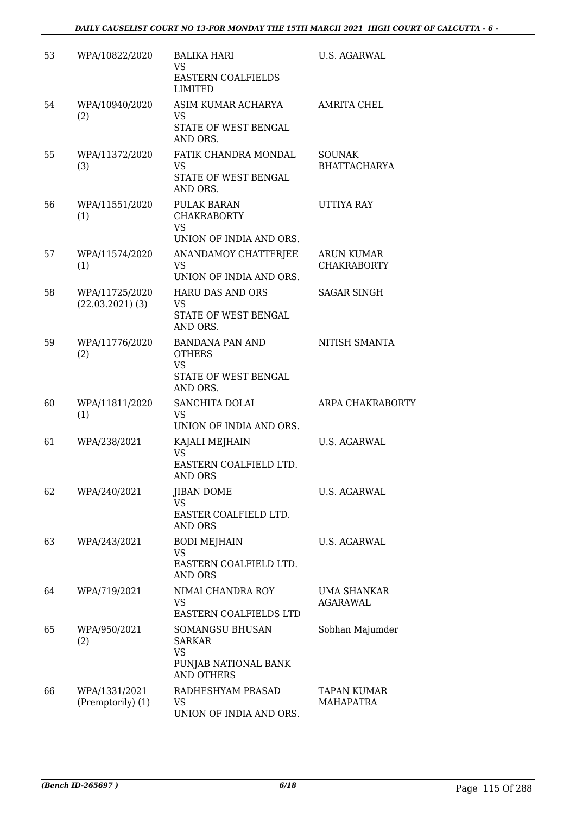## *DAILY CAUSELIST COURT NO 13-FOR MONDAY THE 15TH MARCH 2021 HIGH COURT OF CALCUTTA - 6 -*

| 53 | WPA/10822/2020                       | <b>BALIKA HARI</b><br>VS.<br><b>EASTERN COALFIELDS</b><br>LIMITED                        | <b>U.S. AGARWAL</b>                     |
|----|--------------------------------------|------------------------------------------------------------------------------------------|-----------------------------------------|
| 54 | WPA/10940/2020<br>(2)                | ASIM KUMAR ACHARYA<br><b>VS</b><br>STATE OF WEST BENGAL<br>AND ORS.                      | <b>AMRITA CHEL</b>                      |
| 55 | WPA/11372/2020<br>(3)                | FATIK CHANDRA MONDAL<br><b>VS</b><br>STATE OF WEST BENGAL<br>AND ORS.                    | <b>SOUNAK</b><br><b>BHATTACHARYA</b>    |
| 56 | WPA/11551/2020<br>(1)                | PULAK BARAN<br><b>CHAKRABORTY</b><br><b>VS</b><br>UNION OF INDIA AND ORS.                | UTTIYA RAY                              |
| 57 | WPA/11574/2020<br>(1)                | ANANDAMOY CHATTERJEE<br><b>VS</b><br>UNION OF INDIA AND ORS.                             | <b>ARUN KUMAR</b><br><b>CHAKRABORTY</b> |
| 58 | WPA/11725/2020<br>$(22.03.2021)$ (3) | <b>HARU DAS AND ORS</b><br><b>VS</b><br>STATE OF WEST BENGAL<br>AND ORS.                 | <b>SAGAR SINGH</b>                      |
| 59 | WPA/11776/2020<br>(2)                | <b>BANDANA PAN AND</b><br><b>OTHERS</b><br><b>VS</b><br>STATE OF WEST BENGAL<br>AND ORS. | NITISH SMANTA                           |
| 60 | WPA/11811/2020<br>(1)                | SANCHITA DOLAI<br><b>VS</b><br>UNION OF INDIA AND ORS.                                   | ARPA CHAKRABORTY                        |
| 61 | WPA/238/2021                         | KAJALI MEJHAIN<br><b>VS</b><br>EASTERN COALFIELD LTD.<br>AND ORS                         | <b>U.S. AGARWAL</b>                     |
| 62 | WPA/240/2021                         | <b>JIBAN DOME</b><br><b>VS</b><br>EASTER COALFIELD LTD.<br>AND ORS                       | <b>U.S. AGARWAL</b>                     |
| 63 | WPA/243/2021                         | <b>BODI MEJHAIN</b><br><b>VS</b><br>EASTERN COALFIELD LTD.<br>AND ORS                    | U.S. AGARWAL                            |
| 64 | WPA/719/2021                         | NIMAI CHANDRA ROY<br>VS<br>EASTERN COALFIELDS LTD                                        | <b>UMA SHANKAR</b><br><b>AGARAWAL</b>   |
| 65 | WPA/950/2021<br>(2)                  | SOMANGSU BHUSAN<br><b>SARKAR</b><br>VS<br>PUNJAB NATIONAL BANK<br><b>AND OTHERS</b>      | Sobhan Majumder                         |
| 66 | WPA/1331/2021<br>(Premptorily) (1)   | RADHESHYAM PRASAD<br>VS.<br>UNION OF INDIA AND ORS.                                      | <b>TAPAN KUMAR</b><br><b>MAHAPATRA</b>  |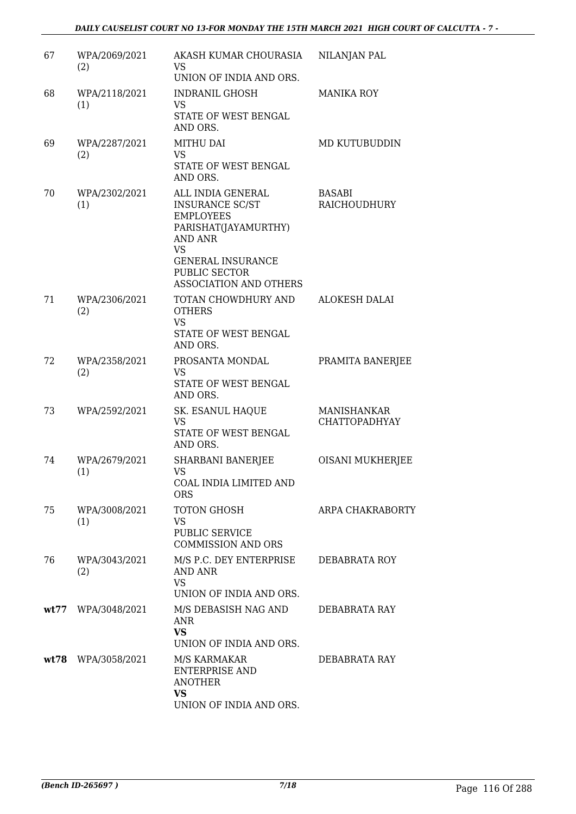| 67 | WPA/2069/2021<br>(2) | AKASH KUMAR CHOURASIA<br>VS.                                                                                                                                 | NILANJAN PAL                        |
|----|----------------------|--------------------------------------------------------------------------------------------------------------------------------------------------------------|-------------------------------------|
|    |                      | UNION OF INDIA AND ORS.                                                                                                                                      |                                     |
| 68 | WPA/2118/2021<br>(1) | <b>INDRANIL GHOSH</b><br>VS<br>STATE OF WEST BENGAL                                                                                                          | <b>MANIKA ROY</b>                   |
|    |                      | AND ORS.                                                                                                                                                     |                                     |
| 69 | WPA/2287/2021<br>(2) | <b>MITHU DAI</b><br><b>VS</b>                                                                                                                                | MD KUTUBUDDIN                       |
|    |                      | STATE OF WEST BENGAL<br>AND ORS.                                                                                                                             |                                     |
| 70 | WPA/2302/2021<br>(1) | ALL INDIA GENERAL<br><b>INSURANCE SC/ST</b><br><b>EMPLOYEES</b><br>PARISHAT(JAYAMURTHY)<br>AND ANR<br><b>VS</b><br><b>GENERAL INSURANCE</b><br>PUBLIC SECTOR | <b>BASABI</b><br>RAICHOUDHURY       |
|    |                      | <b>ASSOCIATION AND OTHERS</b>                                                                                                                                |                                     |
| 71 | WPA/2306/2021<br>(2) | TOTAN CHOWDHURY AND<br><b>OTHERS</b><br><b>VS</b>                                                                                                            | ALOKESH DALAI                       |
|    |                      | STATE OF WEST BENGAL<br>AND ORS.                                                                                                                             |                                     |
| 72 | WPA/2358/2021<br>(2) | PROSANTA MONDAL<br><b>VS</b><br>STATE OF WEST BENGAL<br>AND ORS.                                                                                             | PRAMITA BANERJEE                    |
| 73 | WPA/2592/2021        | SK. ESANUL HAQUE<br><b>VS</b><br>STATE OF WEST BENGAL<br>AND ORS.                                                                                            | MANISHANKAR<br><b>CHATTOPADHYAY</b> |
| 74 | WPA/2679/2021<br>(1) | SHARBANI BANERJEE<br><b>VS</b><br>COAL INDIA LIMITED AND<br><b>ORS</b>                                                                                       | <b>OISANI MUKHERJEE</b>             |
| 75 | WPA/3008/2021<br>(1) | TOTON GHOSH<br><b>VS</b><br><b>PUBLIC SERVICE</b><br><b>COMMISSION AND ORS</b>                                                                               | ARPA CHAKRABORTY                    |
| 76 | WPA/3043/2021<br>(2) | M/S P.C. DEY ENTERPRISE<br>AND ANR<br><b>VS</b>                                                                                                              | DEBABRATA ROY                       |
|    |                      | UNION OF INDIA AND ORS.                                                                                                                                      |                                     |
|    | wt77 WPA/3048/2021   | M/S DEBASISH NAG AND<br><b>ANR</b><br><b>VS</b><br>UNION OF INDIA AND ORS.                                                                                   | DEBABRATA RAY                       |
|    | $wt78$ WPA/3058/2021 | M/S KARMAKAR<br><b>ENTERPRISE AND</b><br><b>ANOTHER</b><br><b>VS</b><br>UNION OF INDIA AND ORS.                                                              | DEBABRATA RAY                       |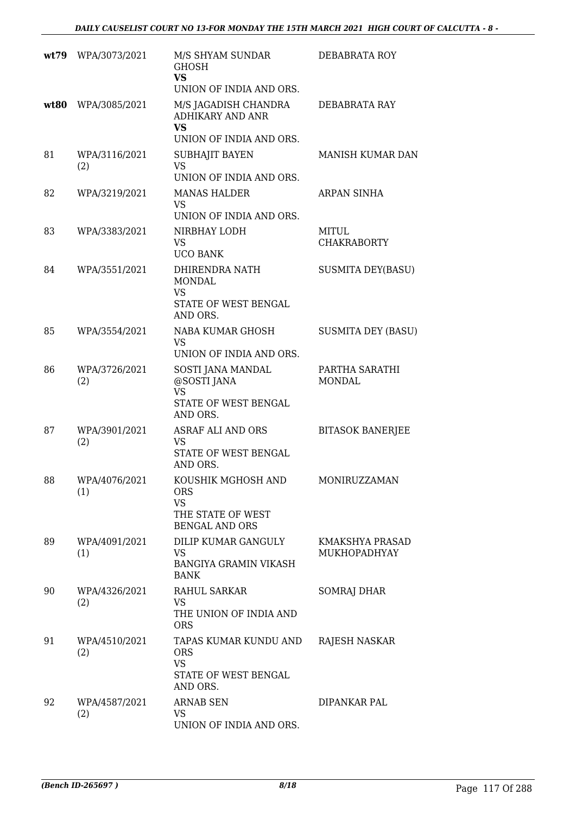|      | wt79 WPA/3073/2021   | M/S SHYAM SUNDAR<br><b>GHOSH</b><br><b>VS</b><br>UNION OF INDIA AND ORS.                    | DEBABRATA ROY                          |
|------|----------------------|---------------------------------------------------------------------------------------------|----------------------------------------|
| wt80 | WPA/3085/2021        | M/S JAGADISH CHANDRA<br><b>ADHIKARY AND ANR</b><br><b>VS</b><br>UNION OF INDIA AND ORS.     | DEBABRATA RAY                          |
| 81   | WPA/3116/2021<br>(2) | <b>SUBHAJIT BAYEN</b><br><b>VS</b><br>UNION OF INDIA AND ORS.                               | MANISH KUMAR DAN                       |
| 82   | WPA/3219/2021        | <b>MANAS HALDER</b><br><b>VS</b><br>UNION OF INDIA AND ORS.                                 | <b>ARPAN SINHA</b>                     |
| 83   | WPA/3383/2021        | NIRBHAY LODH<br><b>VS</b><br><b>UCO BANK</b>                                                | <b>MITUL</b><br><b>CHAKRABORTY</b>     |
| 84   | WPA/3551/2021        | DHIRENDRA NATH<br><b>MONDAL</b><br><b>VS</b><br>STATE OF WEST BENGAL<br>AND ORS.            | <b>SUSMITA DEY(BASU)</b>               |
| 85   | WPA/3554/2021        | NABA KUMAR GHOSH<br><b>VS</b><br>UNION OF INDIA AND ORS.                                    | <b>SUSMITA DEY (BASU)</b>              |
| 86   | WPA/3726/2021<br>(2) | SOSTI JANA MANDAL<br>@SOSTI JANA<br><b>VS</b><br>STATE OF WEST BENGAL<br>AND ORS.           | PARTHA SARATHI<br><b>MONDAL</b>        |
| 87   | WPA/3901/2021<br>(2) | ASRAF ALI AND ORS<br><b>VS</b><br>STATE OF WEST BENGAL<br>AND ORS.                          | <b>BITASOK BANERJEE</b>                |
| 88   | WPA/4076/2021<br>(1) | KOUSHIK MGHOSH AND<br><b>ORS</b><br><b>VS</b><br>THE STATE OF WEST<br><b>BENGAL AND ORS</b> | MONIRUZZAMAN                           |
| 89   | WPA/4091/2021<br>(1) | DILIP KUMAR GANGULY<br><b>VS</b><br>BANGIYA GRAMIN VIKASH<br><b>BANK</b>                    | <b>KMAKSHYA PRASAD</b><br>MUKHOPADHYAY |
| 90   | WPA/4326/2021<br>(2) | RAHUL SARKAR<br><b>VS</b><br>THE UNION OF INDIA AND<br><b>ORS</b>                           | <b>SOMRAJ DHAR</b>                     |
| 91   | WPA/4510/2021<br>(2) | TAPAS KUMAR KUNDU AND<br><b>ORS</b><br><b>VS</b><br>STATE OF WEST BENGAL<br>AND ORS.        | RAJESH NASKAR                          |
| 92   | WPA/4587/2021<br>(2) | <b>ARNAB SEN</b><br><b>VS</b><br>UNION OF INDIA AND ORS.                                    | DIPANKAR PAL                           |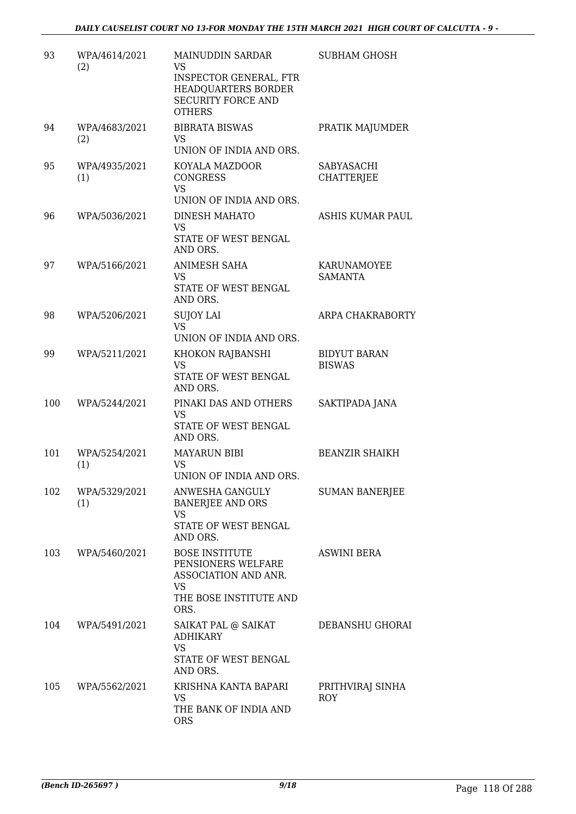| 93  | WPA/4614/2021<br>(2) | <b>MAINUDDIN SARDAR</b><br><b>VS</b><br><b>INSPECTOR GENERAL, FTR</b><br>HEADQUARTERS BORDER<br><b>SECURITY FORCE AND</b><br><b>OTHERS</b> | <b>SUBHAM GHOSH</b>                  |
|-----|----------------------|--------------------------------------------------------------------------------------------------------------------------------------------|--------------------------------------|
| 94  | WPA/4683/2021<br>(2) | <b>BIBRATA BISWAS</b><br><b>VS</b><br>UNION OF INDIA AND ORS.                                                                              | PRATIK MAJUMDER                      |
| 95  | WPA/4935/2021<br>(1) | KOYALA MAZDOOR<br><b>CONGRESS</b><br><b>VS</b><br>UNION OF INDIA AND ORS.                                                                  | SABYASACHI<br><b>CHATTERJEE</b>      |
| 96  | WPA/5036/2021        | <b>DINESH MAHATO</b><br><b>VS</b><br>STATE OF WEST BENGAL<br>AND ORS.                                                                      | ASHIS KUMAR PAUL                     |
| 97  | WPA/5166/2021        | ANIMESH SAHA<br>VS<br>STATE OF WEST BENGAL<br>AND ORS.                                                                                     | KARUNAMOYEE<br>SAMANTA               |
| 98  | WPA/5206/2021        | <b>SUJOY LAI</b><br><b>VS</b><br>UNION OF INDIA AND ORS.                                                                                   | ARPA CHAKRABORTY                     |
| 99  | WPA/5211/2021        | KHOKON RAJBANSHI<br>VS<br>STATE OF WEST BENGAL<br>AND ORS.                                                                                 | <b>BIDYUT BARAN</b><br><b>BISWAS</b> |
| 100 | WPA/5244/2021        | PINAKI DAS AND OTHERS<br>VS<br>STATE OF WEST BENGAL<br>AND ORS.                                                                            | SAKTIPADA JANA                       |
| 101 | WPA/5254/2021<br>(1) | <b>MAYARUN BIBI</b><br><b>VS</b><br>UNION OF INDIA AND ORS.                                                                                | <b>BEANZIR SHAIKH</b>                |
| 102 | WPA/5329/2021<br>(1) | ANWESHA GANGULY<br><b>BANERJEE AND ORS</b><br><b>VS</b><br>STATE OF WEST BENGAL<br>AND ORS.                                                | <b>SUMAN BANERJEE</b>                |
| 103 | WPA/5460/2021        | <b>BOSE INSTITUTE</b><br>PENSIONERS WELFARE<br>ASSOCIATION AND ANR.<br>VS<br>THE BOSE INSTITUTE AND<br>ORS.                                | <b>ASWINI BERA</b>                   |
| 104 | WPA/5491/2021        | SAIKAT PAL @ SAIKAT<br><b>ADHIKARY</b><br><b>VS</b><br>STATE OF WEST BENGAL<br>AND ORS.                                                    | DEBANSHU GHORAI                      |
| 105 | WPA/5562/2021        | KRISHNA KANTA BAPARI<br>VS.<br>THE BANK OF INDIA AND<br><b>ORS</b>                                                                         | PRITHVIRAJ SINHA<br><b>ROY</b>       |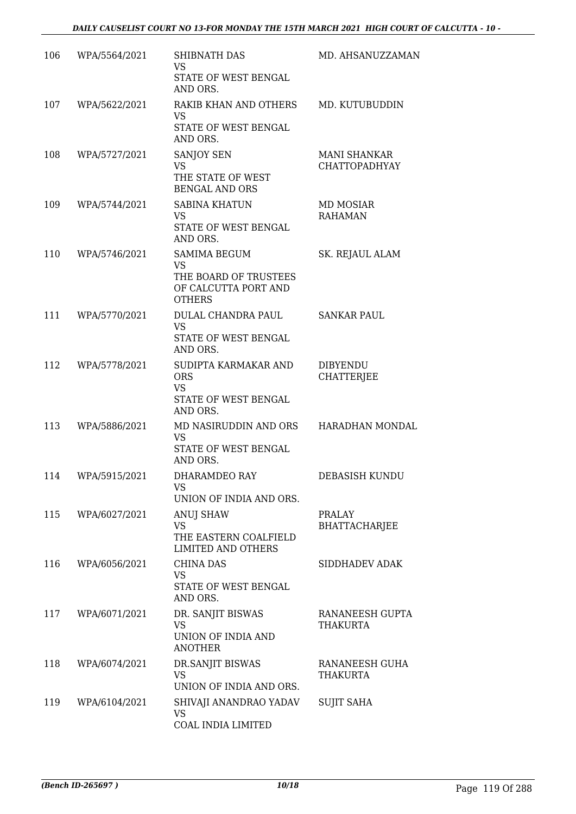| 106 | WPA/5564/2021 | SHIBNATH DAS<br>VS<br>STATE OF WEST BENGAL<br>AND ORS.                                             | MD. AHSANUZZAMAN                            |
|-----|---------------|----------------------------------------------------------------------------------------------------|---------------------------------------------|
| 107 | WPA/5622/2021 | RAKIB KHAN AND OTHERS<br><b>VS</b><br>STATE OF WEST BENGAL<br>AND ORS.                             | MD. KUTUBUDDIN                              |
| 108 | WPA/5727/2021 | SANJOY SEN<br><b>VS</b><br>THE STATE OF WEST<br><b>BENGAL AND ORS</b>                              | <b>MANI SHANKAR</b><br><b>CHATTOPADHYAY</b> |
| 109 | WPA/5744/2021 | <b>SABINA KHATUN</b><br><b>VS</b><br>STATE OF WEST BENGAL<br>AND ORS.                              | MD MOSIAR<br><b>RAHAMAN</b>                 |
| 110 | WPA/5746/2021 | <b>SAMIMA BEGUM</b><br><b>VS</b><br>THE BOARD OF TRUSTEES<br>OF CALCUTTA PORT AND<br><b>OTHERS</b> | SK. REJAUL ALAM                             |
| 111 | WPA/5770/2021 | DULAL CHANDRA PAUL<br><b>VS</b><br>STATE OF WEST BENGAL<br>AND ORS.                                | <b>SANKAR PAUL</b>                          |
| 112 | WPA/5778/2021 | SUDIPTA KARMAKAR AND<br><b>ORS</b><br><b>VS</b><br>STATE OF WEST BENGAL<br>AND ORS.                | <b>DIBYENDU</b><br><b>CHATTERJEE</b>        |
| 113 | WPA/5886/2021 | MD NASIRUDDIN AND ORS<br>VS<br>STATE OF WEST BENGAL<br>AND ORS.                                    | HARADHAN MONDAL                             |
| 114 | WPA/5915/2021 | DHARAMDEO RAY<br>VS<br>UNION OF INDIA AND ORS.                                                     | DEBASISH KUNDU                              |
| 115 | WPA/6027/2021 | <b>ANUJ SHAW</b><br>VS<br>THE EASTERN COALFIELD<br>LIMITED AND OTHERS                              | <b>PRALAY</b><br><b>BHATTACHARJEE</b>       |
| 116 | WPA/6056/2021 | <b>CHINA DAS</b><br><b>VS</b><br>STATE OF WEST BENGAL<br>AND ORS.                                  | SIDDHADEV ADAK                              |
| 117 | WPA/6071/2021 | DR. SANJIT BISWAS<br><b>VS</b><br>UNION OF INDIA AND<br><b>ANOTHER</b>                             | RANANEESH GUPTA<br><b>THAKURTA</b>          |
| 118 | WPA/6074/2021 | DR.SANJIT BISWAS<br>VS<br>UNION OF INDIA AND ORS.                                                  | RANANEESH GUHA<br>THAKURTA                  |
| 119 | WPA/6104/2021 | SHIVAJI ANANDRAO YADAV<br><b>VS</b><br>COAL INDIA LIMITED                                          | <b>SUJIT SAHA</b>                           |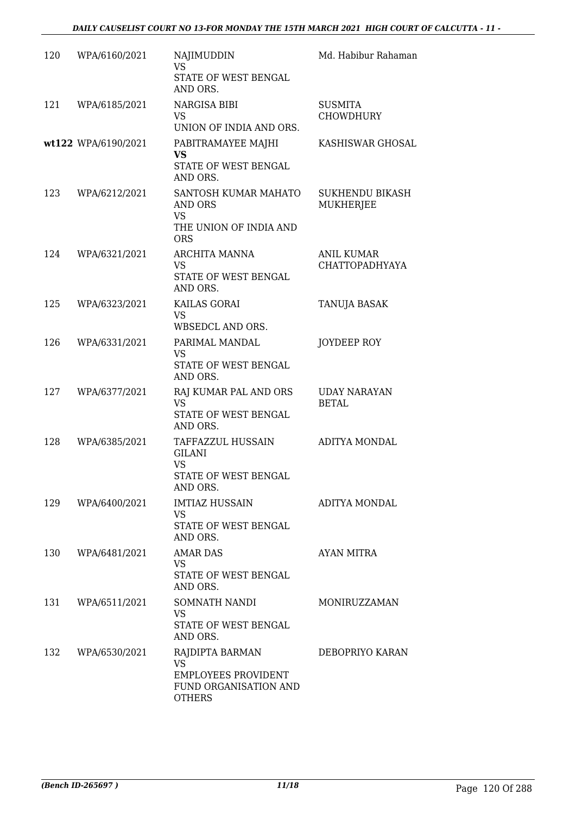| 120 | WPA/6160/2021       | NAJIMUDDIN<br><b>VS</b><br>STATE OF WEST BENGAL<br>AND ORS.                                          | Md. Habibur Rahaman                        |
|-----|---------------------|------------------------------------------------------------------------------------------------------|--------------------------------------------|
| 121 | WPA/6185/2021       | NARGISA BIBI<br>VS<br>UNION OF INDIA AND ORS.                                                        | <b>SUSMITA</b><br>CHOWDHURY                |
|     | wt122 WPA/6190/2021 | PABITRAMAYEE MAJHI<br><b>VS</b><br>STATE OF WEST BENGAL<br>AND ORS.                                  | KASHISWAR GHOSAL                           |
| 123 | WPA/6212/2021       | SANTOSH KUMAR MAHATO<br>AND ORS<br><b>VS</b><br>THE UNION OF INDIA AND<br><b>ORS</b>                 | <b>SUKHENDU BIKASH</b><br><b>MUKHERJEE</b> |
| 124 | WPA/6321/2021       | ARCHITA MANNA<br>VS<br>STATE OF WEST BENGAL<br>AND ORS.                                              | <b>ANIL KUMAR</b><br><b>CHATTOPADHYAYA</b> |
| 125 | WPA/6323/2021       | KAILAS GORAI<br><b>VS</b><br>WBSEDCL AND ORS.                                                        | TANUJA BASAK                               |
| 126 | WPA/6331/2021       | PARIMAL MANDAL<br>VS<br>STATE OF WEST BENGAL<br>AND ORS.                                             | JOYDEEP ROY                                |
| 127 | WPA/6377/2021       | RAJ KUMAR PAL AND ORS<br><b>VS</b><br>STATE OF WEST BENGAL<br>AND ORS.                               | <b>UDAY NARAYAN</b><br><b>BETAL</b>        |
| 128 | WPA/6385/2021       | TAFFAZZUL HUSSAIN<br>GILANI<br><b>VS</b><br>STATE OF WEST BENGAL<br>AND ORS.                         | ADITYA MONDAL                              |
| 129 | WPA/6400/2021       | <b>IMTIAZ HUSSAIN</b><br>VS<br>STATE OF WEST BENGAL<br>AND ORS.                                      | ADITYA MONDAL                              |
| 130 | WPA/6481/2021       | <b>AMAR DAS</b><br>VS<br>STATE OF WEST BENGAL<br>AND ORS.                                            | AYAN MITRA                                 |
| 131 | WPA/6511/2021       | SOMNATH NANDI<br>VS.<br>STATE OF WEST BENGAL<br>AND ORS.                                             | MONIRUZZAMAN                               |
| 132 | WPA/6530/2021       | RAJDIPTA BARMAN<br><b>VS</b><br><b>EMPLOYEES PROVIDENT</b><br>FUND ORGANISATION AND<br><b>OTHERS</b> | DEBOPRIYO KARAN                            |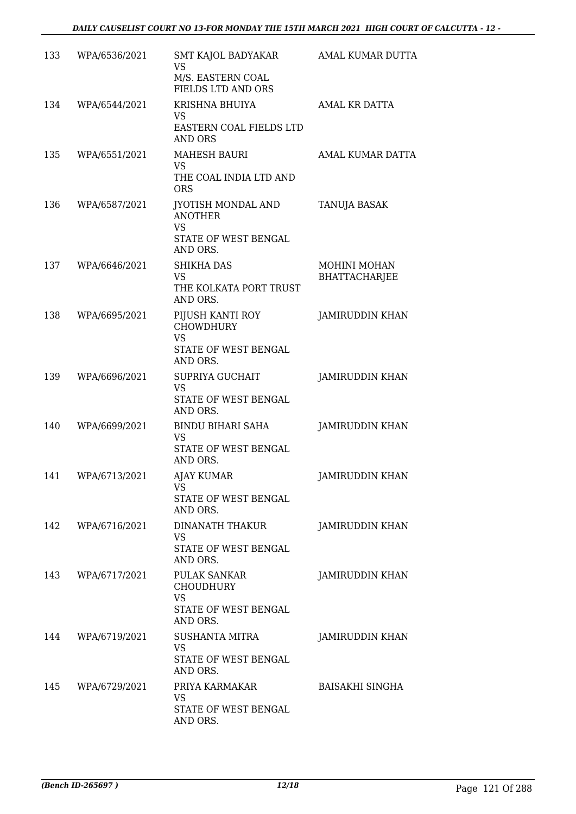| 133 | WPA/6536/2021 | SMT KAJOL BADYAKAR<br><b>VS</b><br>M/S. EASTERN COAL<br>FIELDS LTD AND ORS            | AMAL KUMAR DUTTA                            |
|-----|---------------|---------------------------------------------------------------------------------------|---------------------------------------------|
| 134 | WPA/6544/2021 | KRISHNA BHUIYA<br>VS<br>EASTERN COAL FIELDS LTD<br><b>AND ORS</b>                     | AMAL KR DATTA                               |
| 135 | WPA/6551/2021 | <b>MAHESH BAURI</b><br>VS.<br>THE COAL INDIA LTD AND<br><b>ORS</b>                    | AMAL KUMAR DATTA                            |
| 136 | WPA/6587/2021 | JYOTISH MONDAL AND<br><b>ANOTHER</b><br><b>VS</b><br>STATE OF WEST BENGAL<br>AND ORS. | TANUJA BASAK                                |
| 137 | WPA/6646/2021 | <b>SHIKHA DAS</b><br><b>VS</b><br>THE KOLKATA PORT TRUST<br>AND ORS.                  | <b>MOHINI MOHAN</b><br><b>BHATTACHARJEE</b> |
| 138 | WPA/6695/2021 | PIJUSH KANTI ROY<br><b>CHOWDHURY</b><br><b>VS</b><br>STATE OF WEST BENGAL<br>AND ORS. | <b>JAMIRUDDIN KHAN</b>                      |
| 139 | WPA/6696/2021 | <b>SUPRIYA GUCHAIT</b><br><b>VS</b><br>STATE OF WEST BENGAL<br>AND ORS.               | JAMIRUDDIN KHAN                             |
| 140 | WPA/6699/2021 | <b>BINDU BIHARI SAHA</b><br><b>VS</b><br>STATE OF WEST BENGAL<br>AND ORS.             | JAMIRUDDIN KHAN                             |
| 141 | WPA/6713/2021 | <b>AJAY KUMAR</b><br>VS<br>STATE OF WEST BENGAL<br>AND ORS.                           | JAMIRUDDIN KHAN                             |
| 142 | WPA/6716/2021 | DINANATH THAKUR<br>VS<br>STATE OF WEST BENGAL<br>AND ORS.                             | <b>JAMIRUDDIN KHAN</b>                      |
| 143 | WPA/6717/2021 | PULAK SANKAR<br><b>CHOUDHURY</b><br>VS<br>STATE OF WEST BENGAL<br>AND ORS.            | <b>JAMIRUDDIN KHAN</b>                      |
| 144 | WPA/6719/2021 | SUSHANTA MITRA<br><b>VS</b><br>STATE OF WEST BENGAL<br>AND ORS.                       | <b>JAMIRUDDIN KHAN</b>                      |
| 145 | WPA/6729/2021 | PRIYA KARMAKAR<br>VS.<br>STATE OF WEST BENGAL<br>AND ORS.                             | <b>BAISAKHI SINGHA</b>                      |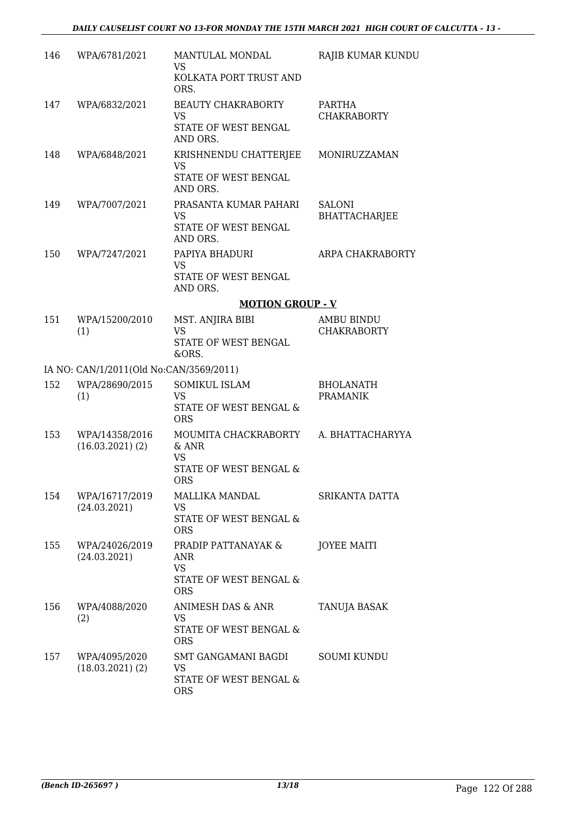| 146 | WPA/6781/2021                           | MANTULAL MONDAL<br>VS<br>KOLKATA PORT TRUST AND<br>ORS.                           | RAJIB KUMAR KUNDU                       |
|-----|-----------------------------------------|-----------------------------------------------------------------------------------|-----------------------------------------|
| 147 | WPA/6832/2021                           | <b>BEAUTY CHAKRABORTY</b><br><b>VS</b><br>STATE OF WEST BENGAL<br>AND ORS.        | PARTHA<br><b>CHAKRABORTY</b>            |
| 148 | WPA/6848/2021                           | KRISHNENDU CHATTERJEE<br><b>VS</b><br>STATE OF WEST BENGAL<br>AND ORS.            | MONIRUZZAMAN                            |
| 149 | WPA/7007/2021                           | PRASANTA KUMAR PAHARI<br>VS.<br>STATE OF WEST BENGAL<br>AND ORS.                  | <b>SALONI</b><br><b>BHATTACHARJEE</b>   |
| 150 | WPA/7247/2021                           | PAPIYA BHADURI<br><b>VS</b><br>STATE OF WEST BENGAL<br>AND ORS.                   | ARPA CHAKRABORTY                        |
|     |                                         | <b>MOTION GROUP - V</b>                                                           |                                         |
| 151 | WPA/15200/2010<br>(1)                   | MST. ANJIRA BIBI<br><b>VS</b><br>STATE OF WEST BENGAL<br>&ORS.                    | <b>AMBU BINDU</b><br><b>CHAKRABORTY</b> |
|     | IA NO: CAN/1/2011(Old No:CAN/3569/2011) |                                                                                   |                                         |
| 152 | WPA/28690/2015<br>(1)                   | <b>SOMIKUL ISLAM</b><br><b>VS</b><br>STATE OF WEST BENGAL &<br><b>ORS</b>         | <b>BHOLANATH</b><br><b>PRAMANIK</b>     |
| 153 | WPA/14358/2016<br>$(16.03.2021)$ $(2)$  | MOUMITA CHACKRABORTY<br>$&$ ANR<br>VS<br><b>STATE OF WEST BENGAL &amp;</b><br>ORS | A. BHATTACHARYYA                        |
| 154 | WPA/16717/2019<br>(24.03.2021)          | MALLIKA MANDAL<br>VS<br>STATE OF WEST BENGAL &<br><b>ORS</b>                      | SRIKANTA DATTA                          |
| 155 | WPA/24026/2019<br>(24.03.2021)          | PRADIP PATTANAYAK &<br>ANR<br>VS.<br>STATE OF WEST BENGAL &<br><b>ORS</b>         | <b>JOYEE MAITI</b>                      |
| 156 | WPA/4088/2020<br>(2)                    | ANIMESH DAS & ANR<br>VS<br>STATE OF WEST BENGAL &<br><b>ORS</b>                   | TANUJA BASAK                            |
| 157 | WPA/4095/2020<br>$(18.03.2021)$ $(2)$   | SMT GANGAMANI BAGDI<br>VS<br>STATE OF WEST BENGAL &<br><b>ORS</b>                 | <b>SOUMI KUNDU</b>                      |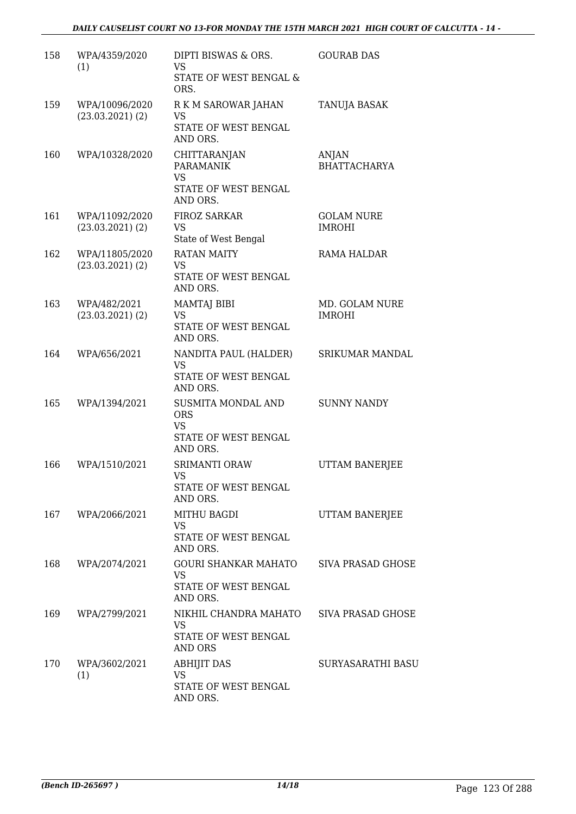| 158 | WPA/4359/2020<br>(1)                   | DIPTI BISWAS & ORS.<br>VS                                                         | <b>GOURAB DAS</b>                  |
|-----|----------------------------------------|-----------------------------------------------------------------------------------|------------------------------------|
|     |                                        | STATE OF WEST BENGAL &<br>ORS.                                                    |                                    |
| 159 | WPA/10096/2020<br>$(23.03.2021)$ $(2)$ | R K M SAROWAR JAHAN<br>VS<br>STATE OF WEST BENGAL<br>AND ORS.                     | TANUJA BASAK                       |
| 160 | WPA/10328/2020                         | CHITTARANJAN<br><b>PARAMANIK</b><br><b>VS</b><br>STATE OF WEST BENGAL<br>AND ORS. | ANJAN<br><b>BHATTACHARYA</b>       |
| 161 | WPA/11092/2020<br>$(23.03.2021)$ $(2)$ | <b>FIROZ SARKAR</b><br>VS<br>State of West Bengal                                 | <b>GOLAM NURE</b><br><b>IMROHI</b> |
| 162 | WPA/11805/2020<br>$(23.03.2021)$ $(2)$ | <b>RATAN MAITY</b><br><b>VS</b><br>STATE OF WEST BENGAL<br>AND ORS.               | RAMA HALDAR                        |
| 163 | WPA/482/2021<br>$(23.03.2021)$ $(2)$   | <b>MAMTAJ BIBI</b><br>VS<br>STATE OF WEST BENGAL<br>AND ORS.                      | MD. GOLAM NURE<br><b>IMROHI</b>    |
| 164 | WPA/656/2021                           | NANDITA PAUL (HALDER)<br>VS<br>STATE OF WEST BENGAL<br>AND ORS.                   | SRIKUMAR MANDAL                    |
| 165 | WPA/1394/2021                          | SUSMITA MONDAL AND<br><b>ORS</b><br><b>VS</b><br>STATE OF WEST BENGAL<br>AND ORS. | <b>SUNNY NANDY</b>                 |
| 166 | WPA/1510/2021                          | <b>SRIMANTI ORAW</b><br>VS<br>STATE OF WEST BENGAL<br>AND ORS.                    | <b>UTTAM BANERJEE</b>              |
|     | 167 WPA/2066/2021                      | <b>MITHU BAGDI</b><br>VS<br>STATE OF WEST BENGAL<br>AND ORS.                      | UTTAM BANERJEE                     |
| 168 | WPA/2074/2021                          | GOURI SHANKAR MAHATO<br><b>VS</b><br>STATE OF WEST BENGAL<br>AND ORS.             | SIVA PRASAD GHOSE                  |
| 169 | WPA/2799/2021                          | NIKHIL CHANDRA MAHATO<br><b>VS</b><br>STATE OF WEST BENGAL<br>AND ORS             | SIVA PRASAD GHOSE                  |
| 170 | WPA/3602/2021<br>(1)                   | <b>ABHIJIT DAS</b><br>VS<br>STATE OF WEST BENGAL<br>AND ORS.                      | SURYASARATHI BASU                  |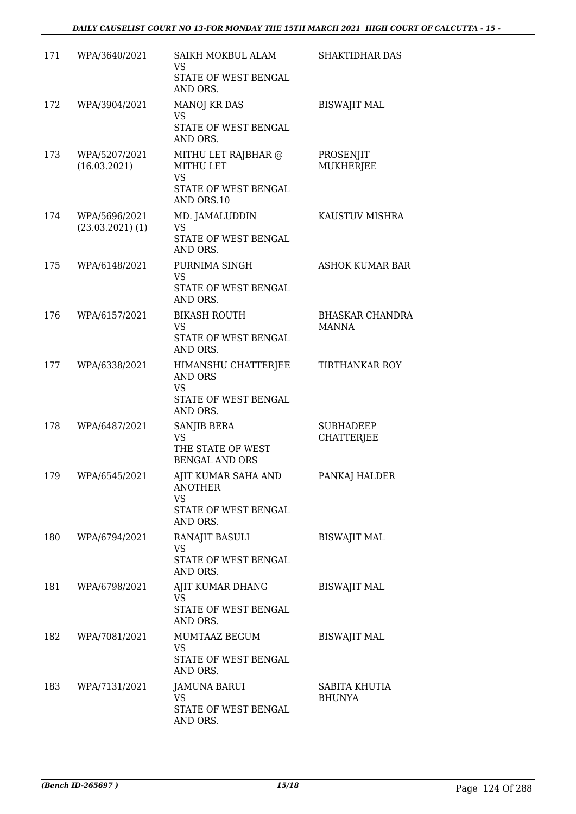## *DAILY CAUSELIST COURT NO 13-FOR MONDAY THE 15TH MARCH 2021 HIGH COURT OF CALCUTTA - 15 -*

| 171 | WPA/3640/2021                         | SAIKH MOKBUL ALAM<br><b>VS</b>                                                             | <b>SHAKTIDHAR DAS</b>                 |
|-----|---------------------------------------|--------------------------------------------------------------------------------------------|---------------------------------------|
|     |                                       | STATE OF WEST BENGAL<br>AND ORS.                                                           |                                       |
| 172 | WPA/3904/2021                         | <b>MANOJ KR DAS</b><br><b>VS</b>                                                           | <b>BISWAJIT MAL</b>                   |
|     |                                       | STATE OF WEST BENGAL<br>AND ORS.                                                           |                                       |
| 173 | WPA/5207/2021<br>(16.03.2021)         | MITHU LET RAJBHAR @<br><b>MITHU LET</b><br><b>VS</b><br>STATE OF WEST BENGAL<br>AND ORS.10 | PROSENJIT<br>MUKHERJEE                |
| 174 | WPA/5696/2021<br>$(23.03.2021)$ $(1)$ | MD. JAMALUDDIN<br>VS<br>STATE OF WEST BENGAL                                               | KAUSTUV MISHRA                        |
|     |                                       | AND ORS.                                                                                   |                                       |
| 175 | WPA/6148/2021                         | PURNIMA SINGH<br><b>VS</b><br>STATE OF WEST BENGAL<br>AND ORS.                             | <b>ASHOK KUMAR BAR</b>                |
| 176 | WPA/6157/2021                         | <b>BIKASH ROUTH</b>                                                                        | <b>BHASKAR CHANDRA</b>                |
|     |                                       | VS.<br>STATE OF WEST BENGAL<br>AND ORS.                                                    | <b>MANNA</b>                          |
| 177 | WPA/6338/2021                         | HIMANSHU CHATTERJEE<br><b>AND ORS</b><br><b>VS</b><br>STATE OF WEST BENGAL                 | <b>TIRTHANKAR ROY</b>                 |
| 178 | WPA/6487/2021                         | AND ORS.<br>SANJIB BERA<br><b>VS</b><br>THE STATE OF WEST<br><b>BENGAL AND ORS</b>         | <b>SUBHADEEP</b><br><b>CHATTERIEE</b> |
| 179 | WPA/6545/2021                         | AJIT KUMAR SAHA AND<br><b>ANOTHER</b>                                                      | PANKAJ HALDER                         |
|     |                                       | <b>VS</b><br>STATE OF WEST BENGAL<br>AND ORS.                                              |                                       |
| 180 | WPA/6794/2021                         | RANAJIT BASULI<br><b>VS</b><br>STATE OF WEST BENGAL                                        | <b>BISWAJIT MAL</b>                   |
|     |                                       | AND ORS.                                                                                   |                                       |
| 181 | WPA/6798/2021                         | AJIT KUMAR DHANG<br><b>VS</b><br>STATE OF WEST BENGAL                                      | <b>BISWAJIT MAL</b>                   |
|     |                                       | AND ORS.                                                                                   |                                       |
| 182 | WPA/7081/2021                         | MUMTAAZ BEGUM<br><b>VS</b><br>STATE OF WEST BENGAL                                         | <b>BISWAJIT MAL</b>                   |
|     |                                       | AND ORS.                                                                                   |                                       |
| 183 | WPA/7131/2021                         | JAMUNA BARUI<br>VS.                                                                        | SABITA KHUTIA<br><b>BHUNYA</b>        |
|     |                                       | STATE OF WEST BENGAL<br>AND ORS.                                                           |                                       |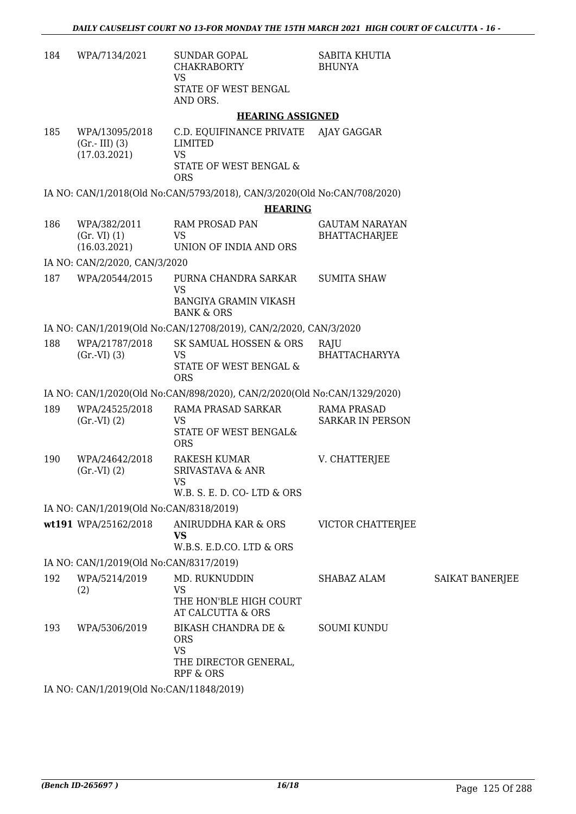| 184 | WPA/7134/2021                                     | <b>SUNDAR GOPAL</b><br><b>CHAKRABORTY</b><br><b>VS</b><br>STATE OF WEST BENGAL                  | SABITA KHUTIA<br><b>BHUNYA</b>                |                        |
|-----|---------------------------------------------------|-------------------------------------------------------------------------------------------------|-----------------------------------------------|------------------------|
|     |                                                   | AND ORS.                                                                                        |                                               |                        |
|     |                                                   | <b>HEARING ASSIGNED</b>                                                                         |                                               |                        |
| 185 | WPA/13095/2018<br>$(Gr.-III)$ (3)<br>(17.03.2021) | C.D. EQUIFINANCE PRIVATE<br><b>LIMITED</b><br><b>VS</b>                                         | AJAY GAGGAR                                   |                        |
|     |                                                   | STATE OF WEST BENGAL &<br><b>ORS</b>                                                            |                                               |                        |
|     |                                                   | IA NO: CAN/1/2018(Old No:CAN/5793/2018), CAN/3/2020(Old No:CAN/708/2020)                        |                                               |                        |
|     |                                                   | <b>HEARING</b>                                                                                  |                                               |                        |
| 186 | WPA/382/2011<br>(Gr. VI) (1)<br>(16.03.2021)      | <b>RAM PROSAD PAN</b><br><b>VS</b><br>UNION OF INDIA AND ORS                                    | <b>GAUTAM NARAYAN</b><br><b>BHATTACHARJEE</b> |                        |
|     | IA NO: CAN/2/2020, CAN/3/2020                     |                                                                                                 |                                               |                        |
| 187 | WPA/20544/2015                                    | PURNA CHANDRA SARKAR<br><b>VS</b>                                                               | <b>SUMITA SHAW</b>                            |                        |
|     |                                                   | <b>BANGIYA GRAMIN VIKASH</b><br><b>BANK &amp; ORS</b>                                           |                                               |                        |
|     |                                                   | IA NO: CAN/1/2019(Old No:CAN/12708/2019), CAN/2/2020, CAN/3/2020                                |                                               |                        |
| 188 | WPA/21787/2018<br>(Gr.VI) (3)                     | SK SAMUAL HOSSEN & ORS<br><b>VS</b><br>STATE OF WEST BENGAL &<br><b>ORS</b>                     | RAJU<br><b>BHATTACHARYYA</b>                  |                        |
|     |                                                   | IA NO: CAN/1/2020(Old No:CAN/898/2020), CAN/2/2020(Old No:CAN/1329/2020)                        |                                               |                        |
| 189 | WPA/24525/2018<br>(Gr.VI) (2)                     | RAMA PRASAD SARKAR<br><b>VS</b><br>STATE OF WEST BENGAL&<br><b>ORS</b>                          | <b>RAMA PRASAD</b><br><b>SARKAR IN PERSON</b> |                        |
| 190 | WPA/24642/2018<br>(Gr.VI) (2)                     | <b>RAKESH KUMAR</b><br><b>SRIVASTAVA &amp; ANR</b><br><b>VS</b><br>W.B. S. E. D. CO-LTD & ORS   | V. CHATTERJEE                                 |                        |
|     | IA NO: CAN/1/2019(Old No:CAN/8318/2019)           |                                                                                                 |                                               |                        |
|     | wt191 WPA/25162/2018                              | ANIRUDDHA KAR & ORS<br><b>VS</b><br>W.B.S. E.D.CO. LTD & ORS                                    | VICTOR CHATTERJEE                             |                        |
|     | IA NO: CAN/1/2019(Old No:CAN/8317/2019)           |                                                                                                 |                                               |                        |
| 192 | WPA/5214/2019<br>(2)                              | MD. RUKNUDDIN<br><b>VS</b><br>THE HON'BLE HIGH COURT<br>AT CALCUTTA & ORS                       | SHABAZ ALAM                                   | <b>SAIKAT BANERJEE</b> |
| 193 | WPA/5306/2019                                     | <b>BIKASH CHANDRA DE &amp;</b><br><b>ORS</b><br><b>VS</b><br>THE DIRECTOR GENERAL,<br>RPF & ORS | <b>SOUMI KUNDU</b>                            |                        |
|     | IA NO: CAN/1/2019(Old No:CAN/11848/2019)          |                                                                                                 |                                               |                        |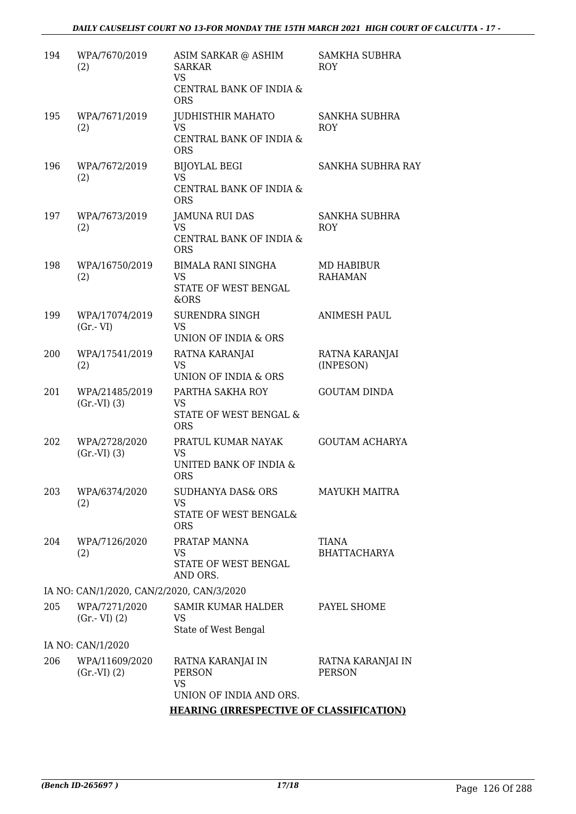### *DAILY CAUSELIST COURT NO 13-FOR MONDAY THE 15TH MARCH 2021 HIGH COURT OF CALCUTTA - 17 -*

| 194 | WPA/7670/2019<br>(2)                      | ASIM SARKAR @ ASHIM<br><b>SARKAR</b><br><b>VS</b><br>CENTRAL BANK OF INDIA &<br><b>ORS</b> | SAMKHA SUBHRA<br><b>ROY</b>        |
|-----|-------------------------------------------|--------------------------------------------------------------------------------------------|------------------------------------|
| 195 | WPA/7671/2019<br>(2)                      | <b>JUDHISTHIR MAHATO</b><br><b>VS</b><br>CENTRAL BANK OF INDIA &<br><b>ORS</b>             | SANKHA SUBHRA<br><b>ROY</b>        |
| 196 | WPA/7672/2019<br>(2)                      | <b>BIJOYLAL BEGI</b><br><b>VS</b><br>CENTRAL BANK OF INDIA &<br><b>ORS</b>                 | SANKHA SUBHRA RAY                  |
| 197 | WPA/7673/2019<br>(2)                      | <b>JAMUNA RUI DAS</b><br><b>VS</b><br>CENTRAL BANK OF INDIA &<br><b>ORS</b>                | SANKHA SUBHRA<br><b>ROY</b>        |
| 198 | WPA/16750/2019<br>(2)                     | <b>BIMALA RANI SINGHA</b><br>VS<br>STATE OF WEST BENGAL<br>&ORS                            | MD HABIBUR<br><b>RAHAMAN</b>       |
| 199 | WPA/17074/2019<br>$(Gr.-VI)$              | <b>SURENDRA SINGH</b><br><b>VS</b><br>UNION OF INDIA & ORS                                 | <b>ANIMESH PAUL</b>                |
| 200 | WPA/17541/2019<br>(2)                     | RATNA KARANJAI<br><b>VS</b><br>UNION OF INDIA & ORS                                        | RATNA KARANJAI<br>(INPESON)        |
| 201 | WPA/21485/2019<br>(Gr.VI) (3)             | PARTHA SAKHA ROY<br><b>VS</b><br>STATE OF WEST BENGAL &<br><b>ORS</b>                      | <b>GOUTAM DINDA</b>                |
| 202 | WPA/2728/2020<br>(Gr.VI) (3)              | PRATUL KUMAR NAYAK<br><b>VS</b><br>UNITED BANK OF INDIA &<br><b>ORS</b>                    | <b>GOUTAM ACHARYA</b>              |
| 203 | WPA/6374/2020<br>(2)                      | SUDHANYA DAS& ORS<br><b>VS</b><br>STATE OF WEST BENGAL&<br><b>ORS</b>                      | <b>MAYUKH MAITRA</b>               |
| 204 | WPA/7126/2020<br>(2)                      | PRATAP MANNA<br>VS<br>STATE OF WEST BENGAL<br>AND ORS.                                     | TIANA<br><b>BHATTACHARYA</b>       |
|     | IA NO: CAN/1/2020, CAN/2/2020, CAN/3/2020 |                                                                                            |                                    |
| 205 | WPA/7271/2020<br>$(Gr.-VI)$ $(2)$         | SAMIR KUMAR HALDER<br><b>VS</b><br>State of West Bengal                                    | PAYEL SHOME                        |
|     | IA NO: CAN/1/2020                         |                                                                                            |                                    |
| 206 | WPA/11609/2020<br>(Gr.VI) (2)             | RATNA KARANJAI IN<br><b>PERSON</b><br><b>VS</b><br>UNION OF INDIA AND ORS.                 | RATNA KARANJAI IN<br><b>PERSON</b> |
|     |                                           | <b>HEARING (IRRESPECTIVE OF CLASSIFICATION)</b>                                            |                                    |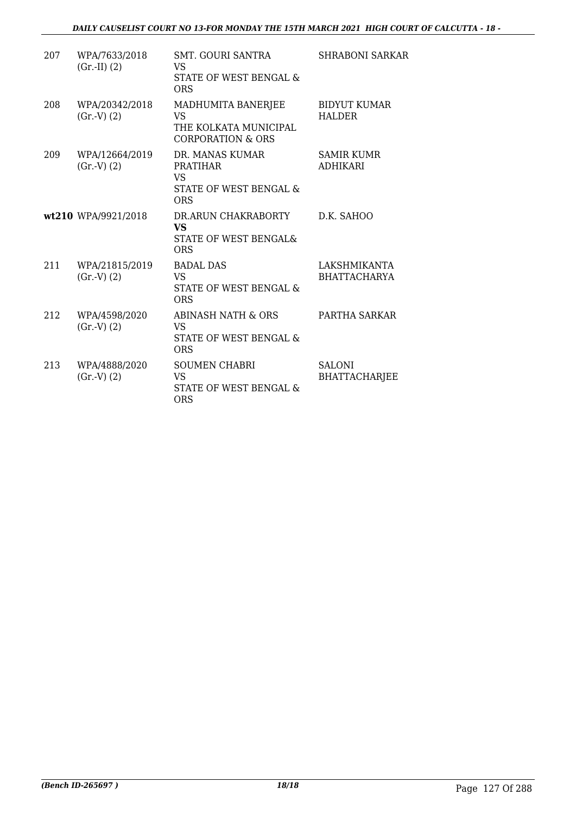| 207 | WPA/7633/2018<br>$(Gr.-II) (2)$ | SMT. GOURI SANTRA<br>VS<br><b>STATE OF WEST BENGAL &amp;</b><br><b>ORS</b>              | <b>SHRABONI SARKAR</b>                |
|-----|---------------------------------|-----------------------------------------------------------------------------------------|---------------------------------------|
| 208 | WPA/20342/2018<br>(Gr.V) (2)    | MADHUMITA BANERJEE<br>VS<br>THE KOLKATA MUNICIPAL<br><b>CORPORATION &amp; ORS</b>       | <b>BIDYUT KUMAR</b><br><b>HALDER</b>  |
| 209 | WPA/12664/2019<br>(Gr.V) (2)    | DR. MANAS KUMAR<br><b>PRATIHAR</b><br><b>VS</b><br>STATE OF WEST BENGAL &<br><b>ORS</b> | <b>SAMIR KUMR</b><br><b>ADHIKARI</b>  |
|     | wt210 WPA/9921/2018             | DR.ARUN CHAKRABORTY<br><b>VS</b><br>STATE OF WEST BENGAL&<br><b>ORS</b>                 | D.K. SAHOO                            |
| 211 | WPA/21815/2019<br>(Gr.V) (2)    | <b>BADAL DAS</b><br>VS<br>STATE OF WEST BENGAL &<br><b>ORS</b>                          | LAKSHMIKANTA<br><b>BHATTACHARYA</b>   |
| 212 | WPA/4598/2020<br>(Gr.V) (2)     | <b>ABINASH NATH &amp; ORS</b><br><b>VS</b><br>STATE OF WEST BENGAL &<br><b>ORS</b>      | PARTHA SARKAR                         |
| 213 | WPA/4888/2020<br>(Gr.V) (2)     | <b>SOUMEN CHABRI</b><br><b>VS</b><br>STATE OF WEST BENGAL &<br><b>ORS</b>               | <b>SALONI</b><br><b>BHATTACHARJEE</b> |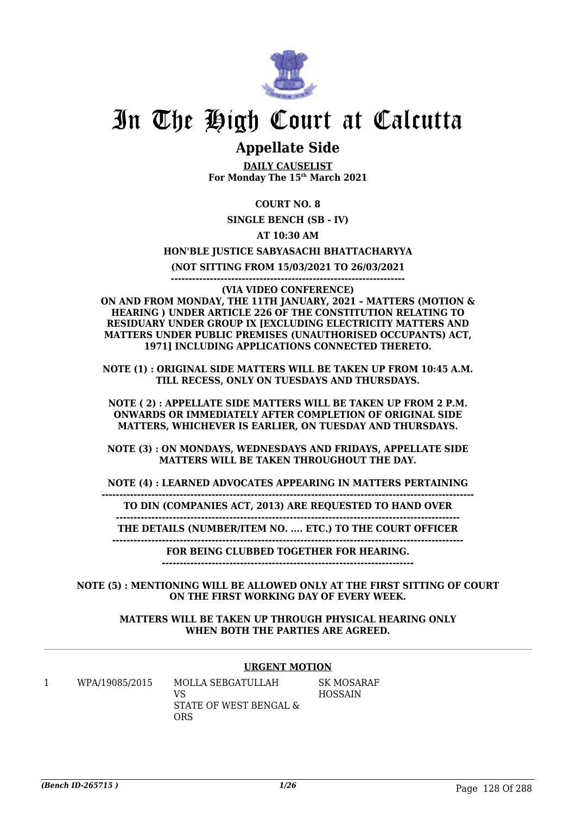

# In The High Court at Calcutta

# **Appellate Side**

**DAILY CAUSELIST For Monday The 15th March 2021**

## **COURT NO. 8**

**SINGLE BENCH (SB - IV)**

## **AT 10:30 AM**

### **HON'BLE JUSTICE SABYASACHI BHATTACHARYYA**

**(NOT SITTING FROM 15/03/2021 TO 26/03/2021**

**------------------------------------------------------------------**

**(VIA VIDEO CONFERENCE) ON AND FROM MONDAY, THE 11TH JANUARY, 2021 – MATTERS (MOTION & HEARING ) UNDER ARTICLE 226 OF THE CONSTITUTION RELATING TO RESIDUARY UNDER GROUP IX [EXCLUDING ELECTRICITY MATTERS AND MATTERS UNDER PUBLIC PREMISES (UNAUTHORISED OCCUPANTS) ACT, 1971] INCLUDING APPLICATIONS CONNECTED THERETO.**

**NOTE (1) : ORIGINAL SIDE MATTERS WILL BE TAKEN UP FROM 10:45 A.M. TILL RECESS, ONLY ON TUESDAYS AND THURSDAYS.**

**NOTE ( 2) : APPELLATE SIDE MATTERS WILL BE TAKEN UP FROM 2 P.M. ONWARDS OR IMMEDIATELY AFTER COMPLETION OF ORIGINAL SIDE MATTERS, WHICHEVER IS EARLIER, ON TUESDAY AND THURSDAYS.**

**NOTE (3) : ON MONDAYS, WEDNESDAYS AND FRIDAYS, APPELLATE SIDE MATTERS WILL BE TAKEN THROUGHOUT THE DAY.**

**NOTE (4) : LEARNED ADVOCATES APPEARING IN MATTERS PERTAINING**

**--------------------------------------------------------------------------------------------------------- TO DIN (COMPANIES ACT, 2013) ARE REQUESTED TO HAND OVER**

**-------------------------------------------------------------------------------------------------**

**THE DETAILS (NUMBER/ITEM NO. .... ETC.) TO THE COURT OFFICER**

**--------------------------------------------------------------------------------------------------- FOR BEING CLUBBED TOGETHER FOR HEARING.**

**-----------------------------------------------------------------------**

**NOTE (5) : MENTIONING WILL BE ALLOWED ONLY AT THE FIRST SITTING OF COURT ON THE FIRST WORKING DAY OF EVERY WEEK.**

#### **MATTERS WILL BE TAKEN UP THROUGH PHYSICAL HEARING ONLY WHEN BOTH THE PARTIES ARE AGREED.**

## **URGENT MOTION**

1 WPA/19085/2015 MOLLA SEBGATULLAH VS STATE OF WEST BENGAL & ORS

SK MOSARAF HOSSAIN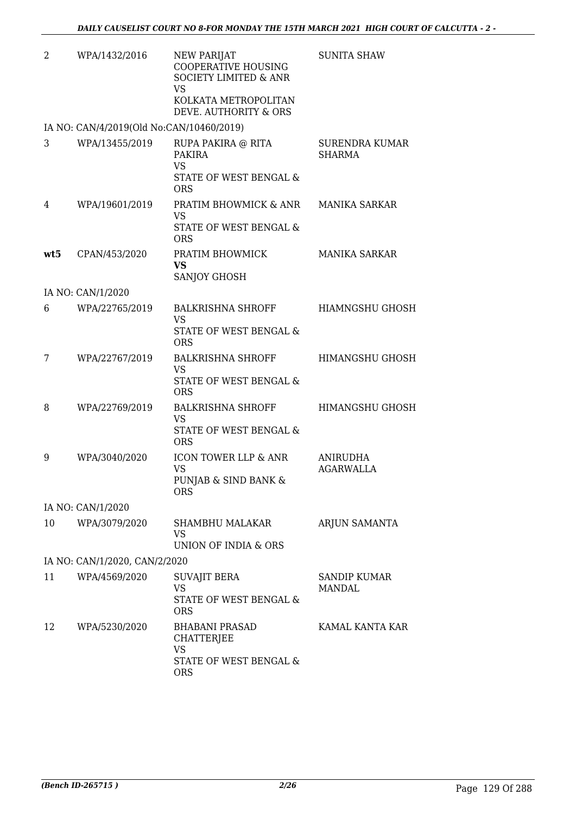| 2   | WPA/1432/2016                            | <b>NEW PARIJAT</b><br><b>COOPERATIVE HOUSING</b><br><b>SOCIETY LIMITED &amp; ANR</b><br>VS<br>KOLKATA METROPOLITAN<br>DEVE. AUTHORITY & ORS | <b>SUNITA SHAW</b>                     |
|-----|------------------------------------------|---------------------------------------------------------------------------------------------------------------------------------------------|----------------------------------------|
|     | IA NO: CAN/4/2019(Old No:CAN/10460/2019) |                                                                                                                                             |                                        |
| 3   | WPA/13455/2019                           | RUPA PAKIRA @ RITA<br><b>PAKIRA</b><br><b>VS</b><br>STATE OF WEST BENGAL &<br><b>ORS</b>                                                    | <b>SURENDRA KUMAR</b><br><b>SHARMA</b> |
| 4   | WPA/19601/2019                           | PRATIM BHOWMICK & ANR<br><b>VS</b><br>STATE OF WEST BENGAL &<br><b>ORS</b>                                                                  | <b>MANIKA SARKAR</b>                   |
| wt5 | CPAN/453/2020                            | PRATIM BHOWMICK<br>VS<br>SANJOY GHOSH                                                                                                       | <b>MANIKA SARKAR</b>                   |
|     | IA NO: CAN/1/2020                        |                                                                                                                                             |                                        |
| 6   | WPA/22765/2019                           | <b>BALKRISHNA SHROFF</b><br><b>VS</b><br>STATE OF WEST BENGAL &                                                                             | <b>HIAMNGSHU GHOSH</b>                 |
|     |                                          | <b>ORS</b>                                                                                                                                  |                                        |
| 7   | WPA/22767/2019                           | <b>BALKRISHNA SHROFF</b><br><b>VS</b><br>STATE OF WEST BENGAL &<br><b>ORS</b>                                                               | <b>HIMANGSHU GHOSH</b>                 |
| 8   | WPA/22769/2019                           | <b>BALKRISHNA SHROFF</b><br><b>VS</b><br>STATE OF WEST BENGAL &<br><b>ORS</b>                                                               | HIMANGSHU GHOSH                        |
| 9   | WPA/3040/2020                            | ICON TOWER LLP & ANR<br><b>VS</b><br>PUNJAB & SIND BANK &<br><b>ORS</b>                                                                     | ANIRUDHA<br>AGARWALLA                  |
|     | IA NO: CAN/1/2020                        |                                                                                                                                             |                                        |
| 10  | WPA/3079/2020                            | SHAMBHU MALAKAR<br><b>VS</b><br>UNION OF INDIA & ORS                                                                                        | ARJUN SAMANTA                          |
|     | IA NO: CAN/1/2020, CAN/2/2020            |                                                                                                                                             |                                        |
| 11  | WPA/4569/2020                            | <b>SUVAJIT BERA</b><br><b>VS</b><br>STATE OF WEST BENGAL &<br><b>ORS</b>                                                                    | <b>SANDIP KUMAR</b><br>MANDAL          |
| 12  | WPA/5230/2020                            | <b>BHABANI PRASAD</b><br>CHATTERJEE<br><b>VS</b><br>STATE OF WEST BENGAL &<br><b>ORS</b>                                                    | KAMAL KANTA KAR                        |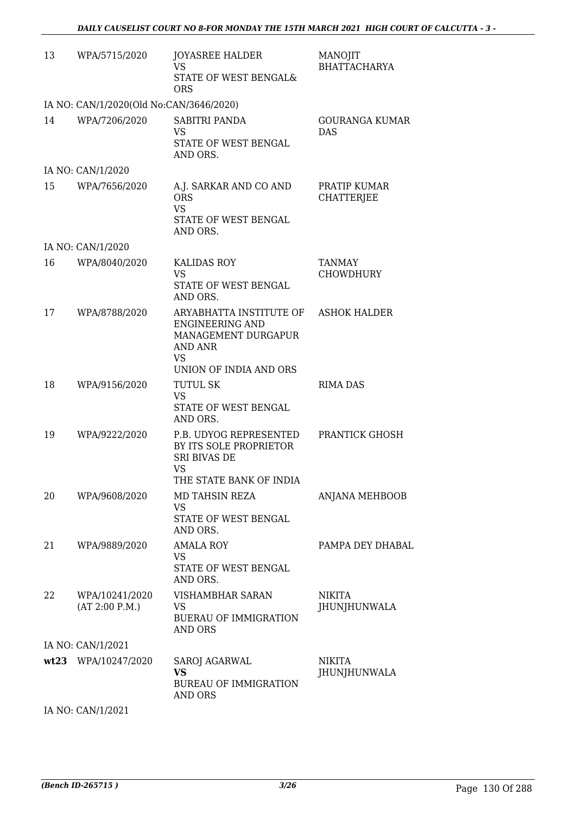| 13 | WPA/5715/2020                           | <b>JOYASREE HALDER</b><br><b>VS</b><br><b>STATE OF WEST BENGAL&amp;</b><br><b>ORS</b>                               | MANOJIT<br><b>BHATTACHARYA</b>    |
|----|-----------------------------------------|---------------------------------------------------------------------------------------------------------------------|-----------------------------------|
|    | IA NO: CAN/1/2020(Old No:CAN/3646/2020) |                                                                                                                     |                                   |
| 14 | WPA/7206/2020                           | SABITRI PANDA<br>VS<br>STATE OF WEST BENGAL<br>AND ORS.                                                             | GOURANGA KUMAR<br><b>DAS</b>      |
|    | IA NO: CAN/1/2020                       |                                                                                                                     |                                   |
| 15 | WPA/7656/2020                           | A.J. SARKAR AND CO AND<br><b>ORS</b><br><b>VS</b><br>STATE OF WEST BENGAL<br>AND ORS.                               | PRATIP KUMAR<br><b>CHATTERJEE</b> |
|    | IA NO: CAN/1/2020                       |                                                                                                                     |                                   |
| 16 | WPA/8040/2020                           | <b>KALIDAS ROY</b><br>VS<br>STATE OF WEST BENGAL<br>AND ORS.                                                        | <b>TANMAY</b><br><b>CHOWDHURY</b> |
| 17 | WPA/8788/2020                           | ARYABHATTA INSTITUTE OF<br><b>ENGINEERING AND</b><br>MANAGEMENT DURGAPUR<br>AND ANR<br>VS<br>UNION OF INDIA AND ORS | <b>ASHOK HALDER</b>               |
| 18 | WPA/9156/2020                           | TUTUL SK<br>VS<br>STATE OF WEST BENGAL<br>AND ORS.                                                                  | <b>RIMA DAS</b>                   |
| 19 | WPA/9222/2020                           | P.B. UDYOG REPRESENTED<br>BY ITS SOLE PROPRIETOR<br><b>SRI BIVAS DE</b><br>VS<br>THE STATE BANK OF INDIA            | PRANTICK GHOSH                    |
| 20 | WPA/9608/2020                           | MD TAHSIN REZA<br>VS<br>STATE OF WEST BENGAL<br>AND ORS.                                                            | <b>ANJANA MEHBOOB</b>             |
| 21 | WPA/9889/2020                           | <b>AMALA ROY</b><br>VS<br>STATE OF WEST BENGAL<br>AND ORS.                                                          | PAMPA DEY DHABAL                  |
| 22 | WPA/10241/2020<br>(AT 2:00 P.M.)        | <b>VISHAMBHAR SARAN</b><br>VS<br><b>BUERAU OF IMMIGRATION</b><br>AND ORS                                            | <b>NIKITA</b><br>JHUNJHUNWALA     |
|    | IA NO: CAN/1/2021                       |                                                                                                                     |                                   |
|    | wt23 WPA/10247/2020                     | SAROJ AGARWAL<br><b>VS</b><br><b>BUREAU OF IMMIGRATION</b><br>AND ORS                                               | <b>NIKITA</b><br>JHUNJHUNWALA     |
|    | IA NO: CAN/1/2021                       |                                                                                                                     |                                   |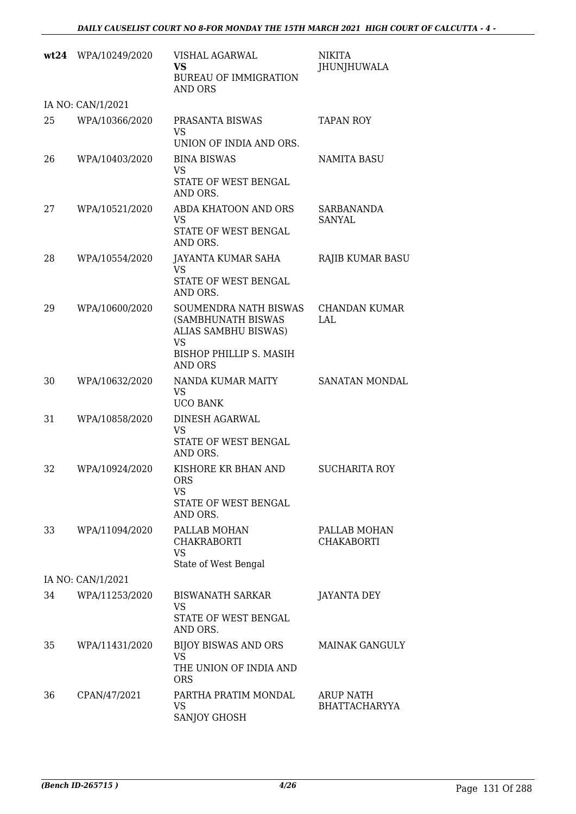|    | wt24 WPA/10249/2020 | VISHAL AGARWAL<br><b>VS</b><br><b>BUREAU OF IMMIGRATION</b><br>AND ORS           | <b>NIKITA</b><br>JHUNJHUWALA             |
|----|---------------------|----------------------------------------------------------------------------------|------------------------------------------|
|    | IA NO: CAN/1/2021   |                                                                                  |                                          |
| 25 | WPA/10366/2020      | PRASANTA BISWAS<br><b>VS</b><br>UNION OF INDIA AND ORS.                          | <b>TAPAN ROY</b>                         |
| 26 | WPA/10403/2020      | <b>BINA BISWAS</b><br><b>VS</b>                                                  | <b>NAMITA BASU</b>                       |
|    |                     | STATE OF WEST BENGAL<br>AND ORS.                                                 |                                          |
| 27 | WPA/10521/2020      | ABDA KHATOON AND ORS<br><b>VS</b><br>STATE OF WEST BENGAL<br>AND ORS.            | SARBANANDA<br>SANYAL                     |
| 28 | WPA/10554/2020      | JAYANTA KUMAR SAHA<br><b>VS</b>                                                  | RAJIB KUMAR BASU                         |
|    |                     | STATE OF WEST BENGAL<br>AND ORS.                                                 |                                          |
| 29 | WPA/10600/2020      | SOUMENDRA NATH BISWAS<br>(SAMBHUNATH BISWAS<br>ALIAS SAMBHU BISWAS)<br><b>VS</b> | CHANDAN KUMAR<br>LAL                     |
|    |                     | BISHOP PHILLIP S. MASIH<br>AND ORS                                               |                                          |
| 30 | WPA/10632/2020      | NANDA KUMAR MAITY<br><b>VS</b><br><b>UCO BANK</b>                                | SANATAN MONDAL                           |
| 31 | WPA/10858/2020      | DINESH AGARWAL                                                                   |                                          |
|    |                     | <b>VS</b><br>STATE OF WEST BENGAL<br>AND ORS.                                    |                                          |
| 32 | WPA/10924/2020      | KISHORE KR BHAN AND<br>ORS<br>VS<br>STATE OF WEST BENGAL<br>AND ORS.             | <b>SUCHARITA ROY</b>                     |
| 33 | WPA/11094/2020      | PALLAB MOHAN<br><b>CHAKRABORTI</b><br><b>VS</b><br>State of West Bengal          | PALLAB MOHAN<br><b>CHAKABORTI</b>        |
|    | IA NO: CAN/1/2021   |                                                                                  |                                          |
| 34 | WPA/11253/2020      | <b>BISWANATH SARKAR</b><br>VS<br>STATE OF WEST BENGAL<br>AND ORS.                | <b>JAYANTA DEY</b>                       |
| 35 | WPA/11431/2020      | <b>BIJOY BISWAS AND ORS</b><br><b>VS</b><br>THE UNION OF INDIA AND<br><b>ORS</b> | <b>MAINAK GANGULY</b>                    |
| 36 | CPAN/47/2021        | PARTHA PRATIM MONDAL<br><b>VS</b><br>SANJOY GHOSH                                | <b>ARUP NATH</b><br><b>BHATTACHARYYA</b> |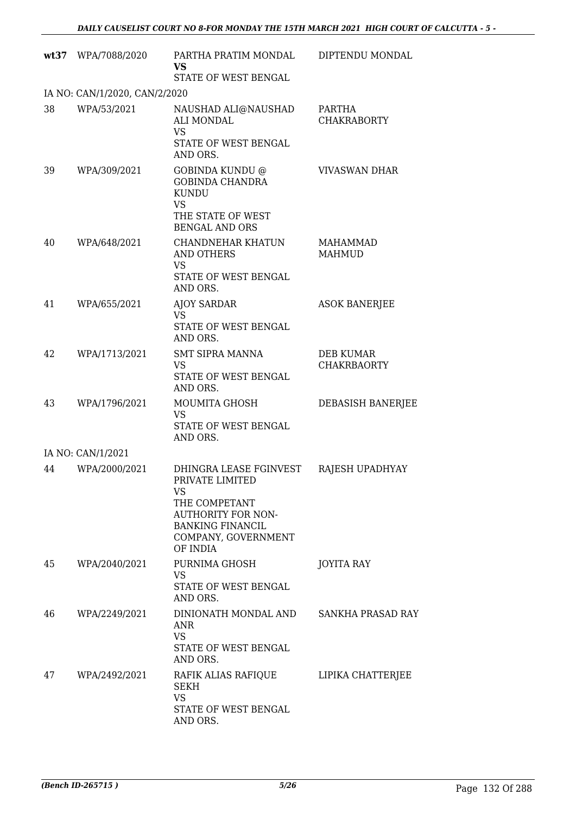|    | wt37 WPA/7088/2020            | PARTHA PRATIM MONDAL<br><b>VS</b><br>STATE OF WEST BENGAL                                                                                                   | DIPTENDU MONDAL                        |
|----|-------------------------------|-------------------------------------------------------------------------------------------------------------------------------------------------------------|----------------------------------------|
|    | IA NO: CAN/1/2020, CAN/2/2020 |                                                                                                                                                             |                                        |
| 38 | WPA/53/2021                   | NAUSHAD ALI@NAUSHAD<br><b>ALI MONDAL</b><br><b>VS</b><br>STATE OF WEST BENGAL<br>AND ORS.                                                                   | PARTHA<br><b>CHAKRABORTY</b>           |
| 39 | WPA/309/2021                  | GOBINDA KUNDU @<br><b>GOBINDA CHANDRA</b><br><b>KUNDU</b><br><b>VS</b><br>THE STATE OF WEST<br><b>BENGAL AND ORS</b>                                        | <b>VIVASWAN DHAR</b>                   |
| 40 | WPA/648/2021                  | <b>CHANDNEHAR KHATUN</b><br><b>AND OTHERS</b><br>VS<br>STATE OF WEST BENGAL<br>AND ORS.                                                                     | <b>MAHAMMAD</b><br><b>MAHMUD</b>       |
| 41 | WPA/655/2021                  | <b>AJOY SARDAR</b><br><b>VS</b><br>STATE OF WEST BENGAL<br>AND ORS.                                                                                         | <b>ASOK BANERJEE</b>                   |
| 42 | WPA/1713/2021                 | <b>SMT SIPRA MANNA</b><br><b>VS</b><br>STATE OF WEST BENGAL<br>AND ORS.                                                                                     | <b>DEB KUMAR</b><br><b>CHAKRBAORTY</b> |
| 43 | WPA/1796/2021                 | <b>MOUMITA GHOSH</b><br><b>VS</b><br>STATE OF WEST BENGAL<br>AND ORS.                                                                                       | DEBASISH BANERJEE                      |
|    | IA NO: CAN/1/2021             |                                                                                                                                                             |                                        |
| 44 | WPA/2000/2021                 | DHINGRA LEASE FGINVEST<br>PRIVATE LIMITED<br>VS<br>THE COMPETANT<br><b>AUTHORITY FOR NON-</b><br><b>BANKING FINANCIL</b><br>COMPANY, GOVERNMENT<br>OF INDIA | RAJESH UPADHYAY                        |
| 45 | WPA/2040/2021                 | PURNIMA GHOSH<br><b>VS</b><br>STATE OF WEST BENGAL<br>AND ORS.                                                                                              | <b>JOYITA RAY</b>                      |
| 46 | WPA/2249/2021                 | DINIONATH MONDAL AND SANKHA PRASAD RAY<br>ANR<br><b>VS</b><br>STATE OF WEST BENGAL<br>AND ORS.                                                              |                                        |
| 47 | WPA/2492/2021                 | RAFIK ALIAS RAFIQUE<br>SEKH<br>VS.<br>STATE OF WEST BENGAL<br>AND ORS.                                                                                      | LIPIKA CHATTERJEE                      |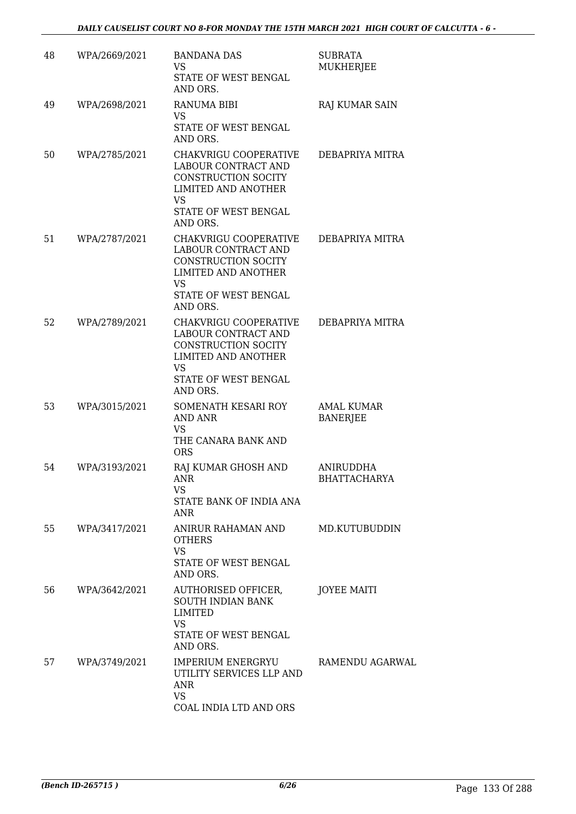| 48 | WPA/2669/2021 | <b>BANDANA DAS</b><br>VS<br>STATE OF WEST BENGAL<br>AND ORS.                                                                                              | SUBRATA<br><b>MUKHERJEE</b>          |
|----|---------------|-----------------------------------------------------------------------------------------------------------------------------------------------------------|--------------------------------------|
| 49 | WPA/2698/2021 | <b>RANUMA BIBI</b><br>VS.<br>STATE OF WEST BENGAL<br>AND ORS.                                                                                             | RAJ KUMAR SAIN                       |
| 50 | WPA/2785/2021 | CHAKVRIGU COOPERATIVE<br>LABOUR CONTRACT AND<br><b>CONSTRUCTION SOCITY</b><br><b>LIMITED AND ANOTHER</b><br><b>VS</b><br>STATE OF WEST BENGAL<br>AND ORS. | DEBAPRIYA MITRA                      |
| 51 | WPA/2787/2021 | CHAKVRIGU COOPERATIVE<br>LABOUR CONTRACT AND<br>CONSTRUCTION SOCITY<br><b>LIMITED AND ANOTHER</b><br>VS<br>STATE OF WEST BENGAL<br>AND ORS.               | DEBAPRIYA MITRA                      |
| 52 | WPA/2789/2021 | CHAKVRIGU COOPERATIVE<br>LABOUR CONTRACT AND<br><b>CONSTRUCTION SOCITY</b><br><b>LIMITED AND ANOTHER</b><br><b>VS</b><br>STATE OF WEST BENGAL<br>AND ORS. | DEBAPRIYA MITRA                      |
| 53 | WPA/3015/2021 | SOMENATH KESARI ROY<br><b>AND ANR</b><br><b>VS</b><br>THE CANARA BANK AND<br><b>ORS</b>                                                                   | <b>AMAL KUMAR</b><br><b>BANERJEE</b> |
| 54 | WPA/3193/2021 | RAJ KUMAR GHOSH AND<br>ANR<br>VS<br>STATE BANK OF INDIA ANA<br>ANR                                                                                        | ANIRUDDHA<br>BHATTACHARYA            |
| 55 | WPA/3417/2021 | ANIRUR RAHAMAN AND<br><b>OTHERS</b><br><b>VS</b><br>STATE OF WEST BENGAL<br>AND ORS.                                                                      | MD.KUTUBUDDIN                        |
| 56 | WPA/3642/2021 | AUTHORISED OFFICER,<br>SOUTH INDIAN BANK<br>LIMITED<br>VS<br>STATE OF WEST BENGAL<br>AND ORS.                                                             | <b>JOYEE MAITI</b>                   |
| 57 | WPA/3749/2021 | IMPERIUM ENERGRYU<br>UTILITY SERVICES LLP AND<br>ANR<br><b>VS</b><br>COAL INDIA LTD AND ORS                                                               | RAMENDU AGARWAL                      |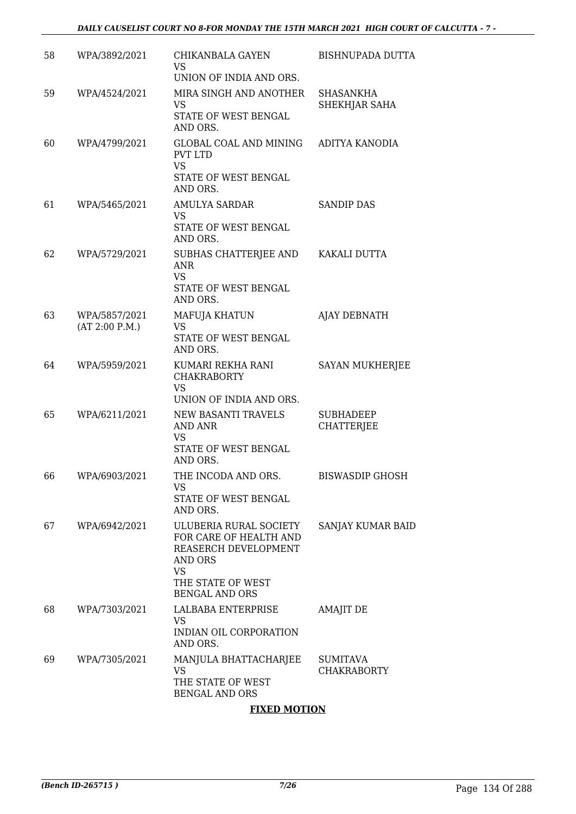| 58 | WPA/3892/2021                   | CHIKANBALA GAYEN<br>VS                                                                                                                         | <b>BISHNUPADA DUTTA</b>               |
|----|---------------------------------|------------------------------------------------------------------------------------------------------------------------------------------------|---------------------------------------|
| 59 | WPA/4524/2021                   | UNION OF INDIA AND ORS.<br>MIRA SINGH AND ANOTHER<br>VS<br>STATE OF WEST BENGAL<br>AND ORS.                                                    | <b>SHASANKHA</b><br>SHEKHJAR SAHA     |
| 60 | WPA/4799/2021                   | GLOBAL COAL AND MINING<br>PVT LTD<br><b>VS</b><br>STATE OF WEST BENGAL<br>AND ORS.                                                             | ADITYA KANODIA                        |
| 61 | WPA/5465/2021                   | <b>AMULYA SARDAR</b><br>VS<br>STATE OF WEST BENGAL<br>AND ORS.                                                                                 | <b>SANDIP DAS</b>                     |
| 62 | WPA/5729/2021                   | SUBHAS CHATTERJEE AND KAKALI DUTTA<br><b>ANR</b><br><b>VS</b><br>STATE OF WEST BENGAL<br>AND ORS.                                              |                                       |
| 63 | WPA/5857/2021<br>(AT 2:00 P.M.) | MAFUJA KHATUN<br><b>VS</b><br>STATE OF WEST BENGAL<br>AND ORS.                                                                                 | <b>AJAY DEBNATH</b>                   |
| 64 | WPA/5959/2021                   | KUMARI REKHA RANI<br><b>CHAKRABORTY</b><br><b>VS</b><br>UNION OF INDIA AND ORS.                                                                | SAYAN MUKHERJEE                       |
| 65 | WPA/6211/2021                   | NEW BASANTI TRAVELS<br><b>AND ANR</b><br>VS<br>STATE OF WEST BENGAL<br>AND ORS.                                                                | <b>SUBHADEEP</b><br><b>CHATTERJEE</b> |
| 66 | WPA/6903/2021                   | THE INCODA AND ORS.<br>VS<br>STATE OF WEST BENGAL<br>AND ORS.                                                                                  | <b>BISWASDIP GHOSH</b>                |
| 67 | WPA/6942/2021                   | ULUBERIA RURAL SOCIETY<br>FOR CARE OF HEALTH AND<br>REASERCH DEVELOPMENT<br>AND ORS<br><b>VS</b><br>THE STATE OF WEST<br><b>BENGAL AND ORS</b> | SANJAY KUMAR BAID                     |
| 68 | WPA/7303/2021                   | LALBABA ENTERPRISE<br>VS<br>INDIAN OIL CORPORATION<br>AND ORS.                                                                                 | <b>AMAJIT DE</b>                      |
| 69 | WPA/7305/2021                   | MANJULA BHATTACHARJEE<br>VS<br>THE STATE OF WEST<br><b>BENGAL AND ORS</b>                                                                      | <b>SUMITAVA</b><br><b>CHAKRABORTY</b> |

### **FIXED MOTION**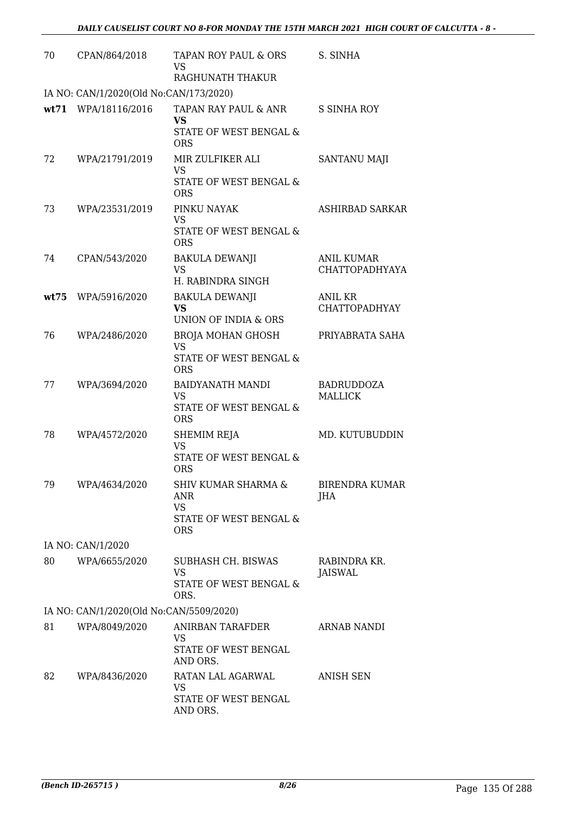| 70   | CPAN/864/2018                           | TAPAN ROY PAUL & ORS<br>VS<br>RAGHUNATH THAKUR                                             | S. SINHA                                   |
|------|-----------------------------------------|--------------------------------------------------------------------------------------------|--------------------------------------------|
|      | IA NO: CAN/1/2020(Old No:CAN/173/2020)  |                                                                                            |                                            |
|      | wt71 WPA/18116/2016                     | TAPAN RAY PAUL & ANR<br><b>VS</b><br>STATE OF WEST BENGAL &<br><b>ORS</b>                  | <b>S SINHA ROY</b>                         |
| 72   | WPA/21791/2019                          | MIR ZULFIKER ALI<br><b>VS</b><br>STATE OF WEST BENGAL &<br><b>ORS</b>                      | <b>SANTANU MAJI</b>                        |
| 73   | WPA/23531/2019                          | PINKU NAYAK<br><b>VS</b><br>STATE OF WEST BENGAL &<br><b>ORS</b>                           | <b>ASHIRBAD SARKAR</b>                     |
| 74   | CPAN/543/2020                           | <b>BAKULA DEWANJI</b><br><b>VS</b><br>H. RABINDRA SINGH                                    | <b>ANIL KUMAR</b><br><b>CHATTOPADHYAYA</b> |
| wt75 | WPA/5916/2020                           | BAKULA DEWANJI<br><b>VS</b><br>UNION OF INDIA & ORS                                        | ANIL KR<br><b>CHATTOPADHYAY</b>            |
| 76   | WPA/2486/2020                           | <b>BROJA MOHAN GHOSH</b><br>VS<br>STATE OF WEST BENGAL &<br><b>ORS</b>                     | PRIYABRATA SAHA                            |
| 77   | WPA/3694/2020                           | <b>BAIDYANATH MANDI</b><br><b>VS</b><br>STATE OF WEST BENGAL &<br><b>ORS</b>               | <b>BADRUDDOZA</b><br><b>MALLICK</b>        |
| 78   | WPA/4572/2020                           | SHEMIM REJA<br><b>VS</b><br>STATE OF WEST BENGAL &<br><b>ORS</b>                           | MD. KUTUBUDDIN                             |
| 79   | WPA/4634/2020                           | <b>SHIV KUMAR SHARMA &amp;</b><br>ANR<br><b>VS</b><br>STATE OF WEST BENGAL &<br><b>ORS</b> | <b>BIRENDRA KUMAR</b><br>JHA               |
|      | IA NO: CAN/1/2020                       |                                                                                            |                                            |
| 80   | WPA/6655/2020                           | SUBHASH CH. BISWAS<br><b>VS</b><br><b>STATE OF WEST BENGAL &amp;</b><br>ORS.               | RABINDRA KR.<br>JAISWAL                    |
|      | IA NO: CAN/1/2020(Old No:CAN/5509/2020) |                                                                                            |                                            |
| 81   | WPA/8049/2020                           | ANIRBAN TARAFDER<br>VS<br>STATE OF WEST BENGAL<br>AND ORS.                                 | ARNAB NANDI                                |
| 82   | WPA/8436/2020                           | RATAN LAL AGARWAL<br>VS<br>STATE OF WEST BENGAL<br>AND ORS.                                | <b>ANISH SEN</b>                           |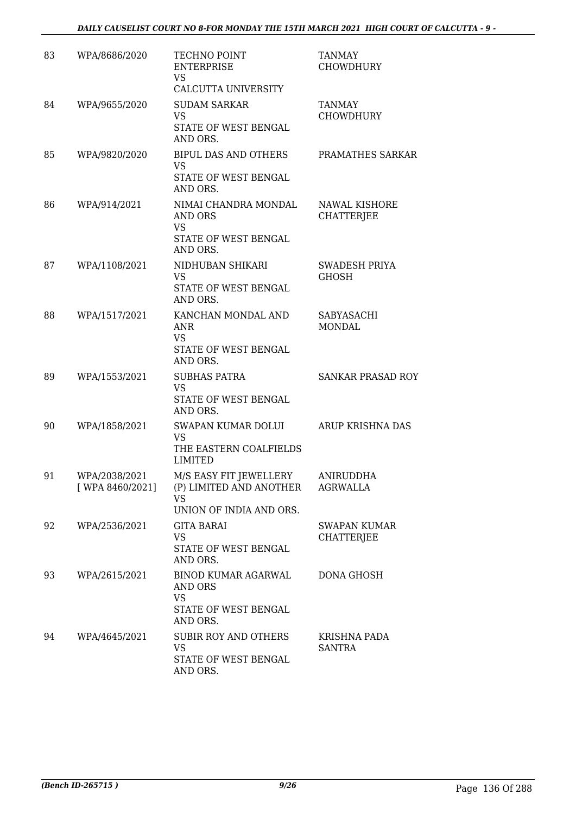| 83 | WPA/8686/2020                     | TECHNO POINT<br><b>ENTERPRISE</b><br><b>VS</b><br>CALCUTTA UNIVERSITY                         | <b>TANMAY</b><br><b>CHOWDHURY</b>         |
|----|-----------------------------------|-----------------------------------------------------------------------------------------------|-------------------------------------------|
| 84 | WPA/9655/2020                     | <b>SUDAM SARKAR</b><br><b>VS</b><br>STATE OF WEST BENGAL<br>AND ORS.                          | <b>TANMAY</b><br><b>CHOWDHURY</b>         |
| 85 | WPA/9820/2020                     | BIPUL DAS AND OTHERS<br><b>VS</b><br>STATE OF WEST BENGAL<br>AND ORS.                         | PRAMATHES SARKAR                          |
| 86 | WPA/914/2021                      | NIMAI CHANDRA MONDAL<br>AND ORS<br><b>VS</b><br>STATE OF WEST BENGAL<br>AND ORS.              | <b>NAWAL KISHORE</b><br><b>CHATTERJEE</b> |
| 87 | WPA/1108/2021                     | NIDHUBAN SHIKARI<br><b>VS</b><br>STATE OF WEST BENGAL<br>AND ORS.                             | SWADESH PRIYA<br><b>GHOSH</b>             |
| 88 | WPA/1517/2021                     | KANCHAN MONDAL AND<br>ANR<br>VS.<br>STATE OF WEST BENGAL<br>AND ORS.                          | SABYASACHI<br>MONDAL                      |
| 89 | WPA/1553/2021                     | <b>SUBHAS PATRA</b><br><b>VS</b><br>STATE OF WEST BENGAL<br>AND ORS.                          | <b>SANKAR PRASAD ROY</b>                  |
| 90 | WPA/1858/2021                     | SWAPAN KUMAR DOLUI<br><b>VS</b><br>THE EASTERN COALFIELDS<br><b>LIMITED</b>                   | ARUP KRISHNA DAS                          |
| 91 | WPA/2038/2021<br>[ WPA 8460/2021] | M/S EASY FIT JEWELLERY<br>(P) LIMITED AND ANOTHER<br>VS<br>UNION OF INDIA AND ORS.            | ANIRUDDHA<br>AGRWALLA                     |
| 92 | WPA/2536/2021                     | <b>GITA BARAI</b><br>VS.<br>STATE OF WEST BENGAL<br>AND ORS.                                  | <b>SWAPAN KUMAR</b><br><b>CHATTERJEE</b>  |
| 93 | WPA/2615/2021                     | <b>BINOD KUMAR AGARWAL</b><br><b>AND ORS</b><br><b>VS</b><br>STATE OF WEST BENGAL<br>AND ORS. | DONA GHOSH                                |
| 94 | WPA/4645/2021                     | <b>SUBIR ROY AND OTHERS</b><br><b>VS</b><br>STATE OF WEST BENGAL<br>AND ORS.                  | KRISHNA PADA<br><b>SANTRA</b>             |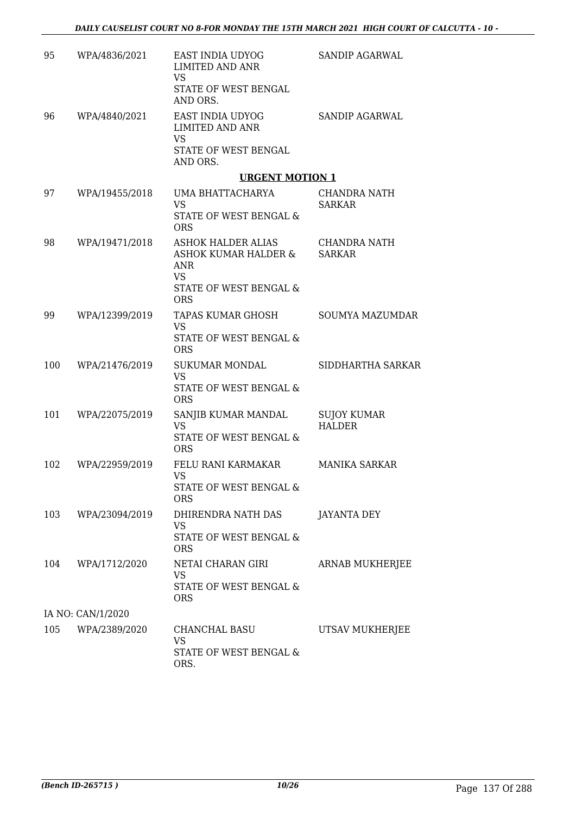| 95  | WPA/4836/2021     | EAST INDIA UDYOG<br><b>LIMITED AND ANR</b><br><b>VS</b><br>STATE OF WEST BENGAL<br>AND ORS.            | <b>SANDIP AGARWAL</b>               |
|-----|-------------------|--------------------------------------------------------------------------------------------------------|-------------------------------------|
| 96  | WPA/4840/2021     | EAST INDIA UDYOG<br><b>LIMITED AND ANR</b><br><b>VS</b><br>STATE OF WEST BENGAL<br>AND ORS.            | SANDIP AGARWAL                      |
|     |                   | <b>URGENT MOTION 1</b>                                                                                 |                                     |
| 97  | WPA/19455/2018    | UMA BHATTACHARYA<br><b>VS</b><br>STATE OF WEST BENGAL &<br><b>ORS</b>                                  | CHANDRA NATH<br><b>SARKAR</b>       |
| 98  | WPA/19471/2018    | ASHOK HALDER ALIAS<br>ASHOK KUMAR HALDER &<br>ANR<br><b>VS</b><br>STATE OF WEST BENGAL &<br><b>ORS</b> | CHANDRA NATH<br><b>SARKAR</b>       |
| 99  | WPA/12399/2019    | <b>TAPAS KUMAR GHOSH</b><br><b>VS</b><br>STATE OF WEST BENGAL &<br><b>ORS</b>                          | <b>SOUMYA MAZUMDAR</b>              |
| 100 | WPA/21476/2019    | <b>SUKUMAR MONDAL</b><br><b>VS</b><br>STATE OF WEST BENGAL &<br><b>ORS</b>                             | SIDDHARTHA SARKAR                   |
| 101 | WPA/22075/2019    | SANJIB KUMAR MANDAL<br><b>VS</b><br><b>STATE OF WEST BENGAL &amp;</b><br><b>ORS</b>                    | <b>SUJOY KUMAR</b><br><b>HALDER</b> |
| 102 | WPA/22959/2019    | FELU RANI KARMAKAR<br><b>VS</b><br>STATE OF WEST BENGAL &<br><b>ORS</b>                                | <b>MANIKA SARKAR</b>                |
| 103 | WPA/23094/2019    | DHIRENDRA NATH DAS<br>VS<br>STATE OF WEST BENGAL &<br><b>ORS</b>                                       | JAYANTA DEY                         |
| 104 | WPA/1712/2020     | NETAI CHARAN GIRI<br>VS<br>STATE OF WEST BENGAL &<br><b>ORS</b>                                        | ARNAB MUKHERJEE                     |
|     | IA NO: CAN/1/2020 |                                                                                                        |                                     |
| 105 | WPA/2389/2020     | CHANCHAL BASU<br>VS.<br>STATE OF WEST BENGAL &<br>ORS.                                                 | UTSAV MUKHERJEE                     |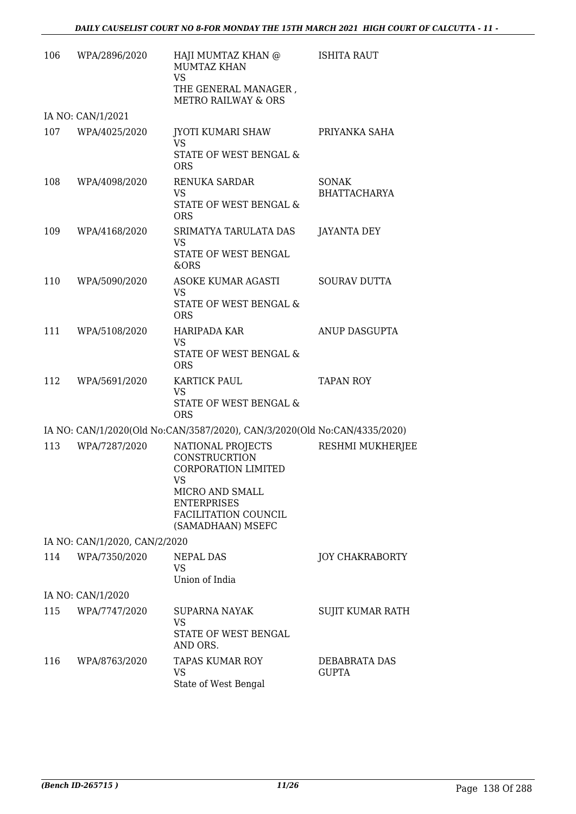| 106 | WPA/2896/2020                 | HAJI MUMTAZ KHAN @<br><b>MUMTAZ KHAN</b><br><b>VS</b><br>THE GENERAL MANAGER,<br><b>METRO RAILWAY &amp; ORS</b>                                                     | <b>ISHITA RAUT</b>                  |
|-----|-------------------------------|---------------------------------------------------------------------------------------------------------------------------------------------------------------------|-------------------------------------|
|     | IA NO: CAN/1/2021             |                                                                                                                                                                     |                                     |
| 107 | WPA/4025/2020                 | JYOTI KUMARI SHAW<br><b>VS</b><br>STATE OF WEST BENGAL &<br><b>ORS</b>                                                                                              | PRIYANKA SAHA                       |
| 108 | WPA/4098/2020                 | RENUKA SARDAR<br>VS<br>STATE OF WEST BENGAL &<br><b>ORS</b>                                                                                                         | <b>SONAK</b><br><b>BHATTACHARYA</b> |
| 109 | WPA/4168/2020                 | SRIMATYA TARULATA DAS<br><b>VS</b><br>STATE OF WEST BENGAL<br>&ORS                                                                                                  | <b>JAYANTA DEY</b>                  |
| 110 | WPA/5090/2020                 | ASOKE KUMAR AGASTI<br><b>VS</b><br>STATE OF WEST BENGAL &<br><b>ORS</b>                                                                                             | <b>SOURAV DUTTA</b>                 |
| 111 | WPA/5108/2020                 | <b>HARIPADA KAR</b><br><b>VS</b><br>STATE OF WEST BENGAL &<br><b>ORS</b>                                                                                            | ANUP DASGUPTA                       |
| 112 | WPA/5691/2020                 | <b>KARTICK PAUL</b><br><b>VS</b><br>STATE OF WEST BENGAL &<br><b>ORS</b>                                                                                            | <b>TAPAN ROY</b>                    |
|     |                               | IA NO: CAN/1/2020(Old No:CAN/3587/2020), CAN/3/2020(Old No:CAN/4335/2020)                                                                                           |                                     |
| 113 | WPA/7287/2020                 | NATIONAL PROJECTS<br><b>CONSTRUCRTION</b><br><b>CORPORATION LIMITED</b><br>VS<br>MICRO AND SMALL<br><b>ENTERPRISES</b><br>FACILITATION COUNCIL<br>(SAMADHAAN) MSEFC | <b>RESHMI MUKHERJEE</b>             |
|     | IA NO: CAN/1/2020, CAN/2/2020 |                                                                                                                                                                     |                                     |
| 114 | WPA/7350/2020                 | NEPAL DAS<br><b>VS</b><br>Union of India                                                                                                                            | <b>JOY CHAKRABORTY</b>              |
|     | IA NO: CAN/1/2020             |                                                                                                                                                                     |                                     |
| 115 | WPA/7747/2020                 | <b>SUPARNA NAYAK</b><br><b>VS</b><br>STATE OF WEST BENGAL                                                                                                           | SUJIT KUMAR RATH                    |
| 116 | WPA/8763/2020                 | AND ORS.<br><b>TAPAS KUMAR ROY</b><br><b>VS</b><br>State of West Bengal                                                                                             | DEBABRATA DAS<br><b>GUPTA</b>       |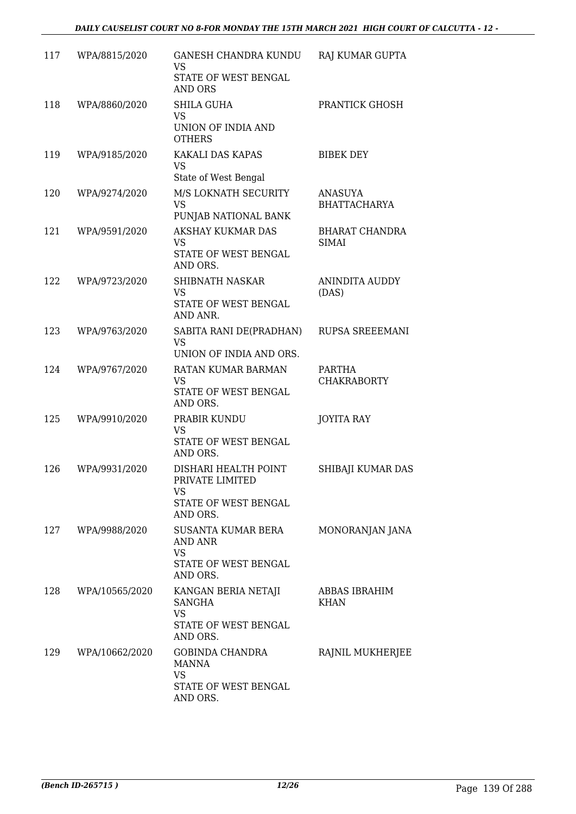| 117 | WPA/8815/2020  | <b>GANESH CHANDRA KUNDU</b><br>VS<br>STATE OF WEST BENGAL<br><b>AND ORS</b>           | RAJ KUMAR GUPTA                       |
|-----|----------------|---------------------------------------------------------------------------------------|---------------------------------------|
| 118 | WPA/8860/2020  | SHILA GUHA<br><b>VS</b><br>UNION OF INDIA AND<br><b>OTHERS</b>                        | PRANTICK GHOSH                        |
| 119 | WPA/9185/2020  | KAKALI DAS KAPAS<br><b>VS</b><br>State of West Bengal                                 | <b>BIBEK DEY</b>                      |
| 120 | WPA/9274/2020  | M/S LOKNATH SECURITY<br><b>VS</b><br>PUNJAB NATIONAL BANK                             | <b>ANASUYA</b><br><b>BHATTACHARYA</b> |
| 121 | WPA/9591/2020  | AKSHAY KUKMAR DAS<br><b>VS</b><br>STATE OF WEST BENGAL<br>AND ORS.                    | <b>BHARAT CHANDRA</b><br>SIMAI        |
| 122 | WPA/9723/2020  | SHIBNATH NASKAR<br><b>VS</b><br>STATE OF WEST BENGAL<br>AND ANR.                      | <b>ANINDITA AUDDY</b><br>(DAS)        |
| 123 | WPA/9763/2020  | SABITA RANI DE(PRADHAN)<br><b>VS</b><br>UNION OF INDIA AND ORS.                       | RUPSA SREEEMANI                       |
| 124 | WPA/9767/2020  | RATAN KUMAR BARMAN<br><b>VS</b><br>STATE OF WEST BENGAL<br>AND ORS.                   | PARTHA<br><b>CHAKRABORTY</b>          |
| 125 | WPA/9910/2020  | PRABIR KUNDU<br><b>VS</b><br>STATE OF WEST BENGAL<br>AND ORS.                         | <b>JOYITA RAY</b>                     |
| 126 | WPA/9931/2020  | DISHARI HEALTH POINT<br>PRIVATE LIMITED<br>VS<br>STATE OF WEST BENGAL<br>AND ORS.     | SHIBAJI KUMAR DAS                     |
| 127 | WPA/9988/2020  | SUSANTA KUMAR BERA<br><b>AND ANR</b><br><b>VS</b><br>STATE OF WEST BENGAL<br>AND ORS. | MONORANJAN JANA                       |
| 128 | WPA/10565/2020 | KANGAN BERIA NETAJI<br>SANGHA<br><b>VS</b><br>STATE OF WEST BENGAL<br>AND ORS.        | ABBAS IBRAHIM<br><b>KHAN</b>          |
| 129 | WPA/10662/2020 | GOBINDA CHANDRA<br><b>MANNA</b><br><b>VS</b><br>STATE OF WEST BENGAL<br>AND ORS.      | RAJNIL MUKHERJEE                      |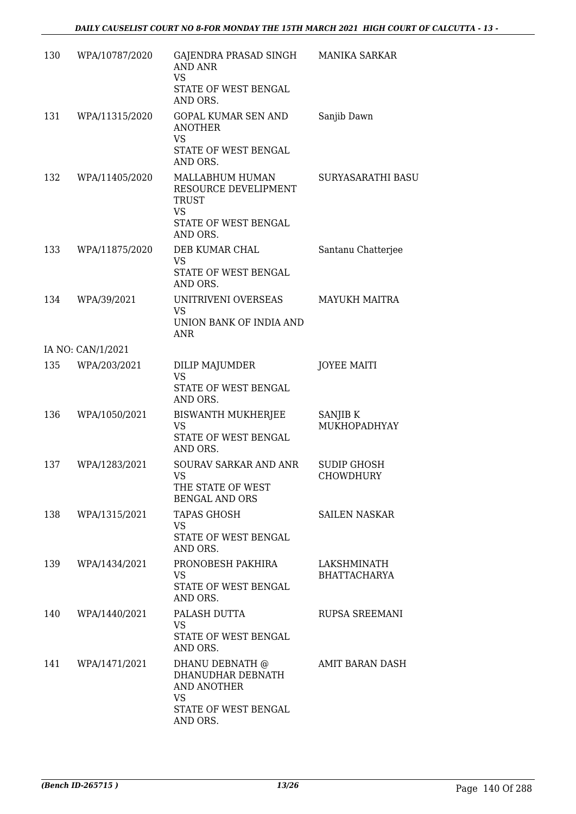| 130 | WPA/10787/2020    | GAJENDRA PRASAD SINGH MANIKA SARKAR<br><b>AND ANR</b><br><b>VS</b><br>STATE OF WEST BENGAL<br>AND ORS. |                                    |
|-----|-------------------|--------------------------------------------------------------------------------------------------------|------------------------------------|
| 131 | WPA/11315/2020    | <b>GOPAL KUMAR SEN AND</b><br><b>ANOTHER</b><br><b>VS</b><br>STATE OF WEST BENGAL<br>AND ORS.          | Sanjib Dawn                        |
| 132 | WPA/11405/2020    | MALLABHUM HUMAN<br>RESOURCE DEVELIPMENT<br>TRUST<br><b>VS</b><br>STATE OF WEST BENGAL<br>AND ORS.      | SURYASARATHI BASU                  |
| 133 | WPA/11875/2020    | DEB KUMAR CHAL<br>VS<br>STATE OF WEST BENGAL<br>AND ORS.                                               | Santanu Chatterjee                 |
| 134 | WPA/39/2021       | UNITRIVENI OVERSEAS<br>VS<br>UNION BANK OF INDIA AND<br>ANR                                            | <b>MAYUKH MAITRA</b>               |
|     | IA NO: CAN/1/2021 |                                                                                                        |                                    |
| 135 | WPA/203/2021      | DILIP MAJUMDER<br><b>VS</b><br>STATE OF WEST BENGAL<br>AND ORS.                                        | <b>JOYEE MAITI</b>                 |
| 136 | WPA/1050/2021     | <b>BISWANTH MUKHERJEE</b><br><b>VS</b><br>STATE OF WEST BENGAL<br>AND ORS.                             | SANJIB K<br>MUKHOPADHYAY           |
| 137 | WPA/1283/2021     | SOURAV SARKAR AND ANR<br><b>VS</b><br>THE STATE OF WEST<br><b>BENGAL AND ORS</b>                       | <b>SUDIP GHOSH</b><br>CHOWDHURY    |
| 138 | WPA/1315/2021     | <b>TAPAS GHOSH</b><br>VS<br>STATE OF WEST BENGAL<br>AND ORS.                                           | <b>SAILEN NASKAR</b>               |
| 139 | WPA/1434/2021     | PRONOBESH PAKHIRA<br>VS<br>STATE OF WEST BENGAL<br>AND ORS.                                            | LAKSHMINATH<br><b>BHATTACHARYA</b> |
| 140 | WPA/1440/2021     | PALASH DUTTA<br>VS<br>STATE OF WEST BENGAL<br>AND ORS.                                                 | RUPSA SREEMANI                     |
| 141 | WPA/1471/2021     | DHANU DEBNATH @<br>DHANUDHAR DEBNATH<br>AND ANOTHER<br>VS<br>STATE OF WEST BENGAL<br>AND ORS.          | AMIT BARAN DASH                    |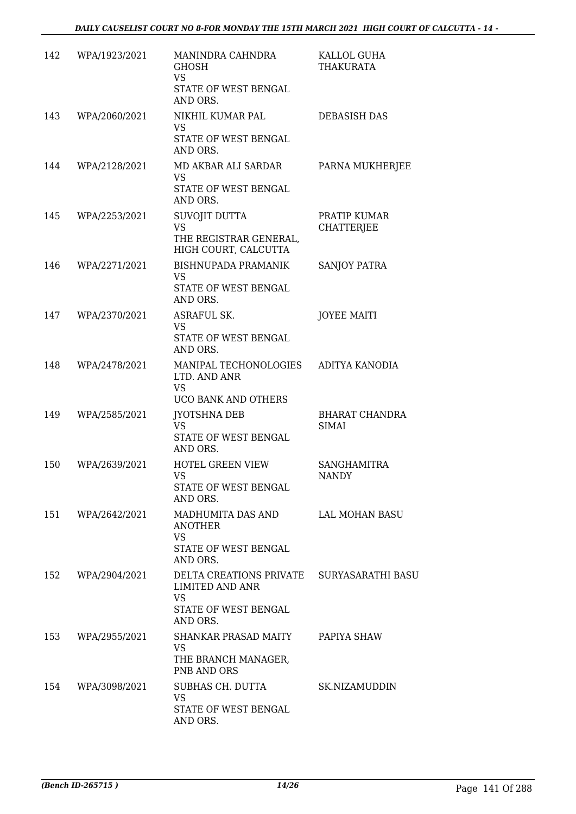| 142 | WPA/1923/2021     | MANINDRA CAHNDRA<br><b>GHOSH</b><br><b>VS</b><br>STATE OF WEST BENGAL<br>AND ORS.                      | KALLOL GUHA<br><b>THAKURATA</b>   |
|-----|-------------------|--------------------------------------------------------------------------------------------------------|-----------------------------------|
| 143 | WPA/2060/2021     | NIKHIL KUMAR PAL<br><b>VS</b><br>STATE OF WEST BENGAL                                                  | DEBASISH DAS                      |
| 144 | WPA/2128/2021     | AND ORS.<br>MD AKBAR ALI SARDAR<br><b>VS</b><br>STATE OF WEST BENGAL<br>AND ORS.                       | PARNA MUKHERJEE                   |
| 145 | WPA/2253/2021     | SUVOJIT DUTTA<br><b>VS</b><br>THE REGISTRAR GENERAL,<br>HIGH COURT, CALCUTTA                           | PRATIP KUMAR<br><b>CHATTERJEE</b> |
| 146 | WPA/2271/2021     | BISHNUPADA PRAMANIK<br>VS<br>STATE OF WEST BENGAL<br>AND ORS.                                          | <b>SANJOY PATRA</b>               |
| 147 | WPA/2370/2021     | ASRAFUL SK.<br><b>VS</b><br>STATE OF WEST BENGAL<br>AND ORS.                                           | <b>JOYEE MAITI</b>                |
| 148 | WPA/2478/2021     | MANIPAL TECHONOLOGIES<br>LTD. AND ANR<br><b>VS</b><br>UCO BANK AND OTHERS                              | ADITYA KANODIA                    |
| 149 | WPA/2585/2021     | <b>JYOTSHNA DEB</b><br><b>VS</b><br>STATE OF WEST BENGAL<br>AND ORS.                                   | <b>BHARAT CHANDRA</b><br>SIMAI    |
| 150 | WPA/2639/2021     | <b>HOTEL GREEN VIEW</b><br><b>VS</b><br>STATE OF WEST BENGAL<br>AND ORS.                               | SANGHAMITRA<br><b>NANDY</b>       |
|     | 151 WPA/2642/2021 | MADHUMITA DAS AND<br><b>ANOTHER</b><br><b>VS</b><br>STATE OF WEST BENGAL<br>AND ORS.                   | LAL MOHAN BASU                    |
| 152 | WPA/2904/2021     | DELTA CREATIONS PRIVATE SURYASARATHI BASU<br>LIMITED AND ANR<br>VS<br>STATE OF WEST BENGAL<br>AND ORS. |                                   |
| 153 | WPA/2955/2021     | SHANKAR PRASAD MAITY<br><b>VS</b><br>THE BRANCH MANAGER,<br>PNB AND ORS                                | PAPIYA SHAW                       |
| 154 | WPA/3098/2021     | SUBHAS CH. DUTTA<br><b>VS</b><br>STATE OF WEST BENGAL<br>AND ORS.                                      | SK.NIZAMUDDIN                     |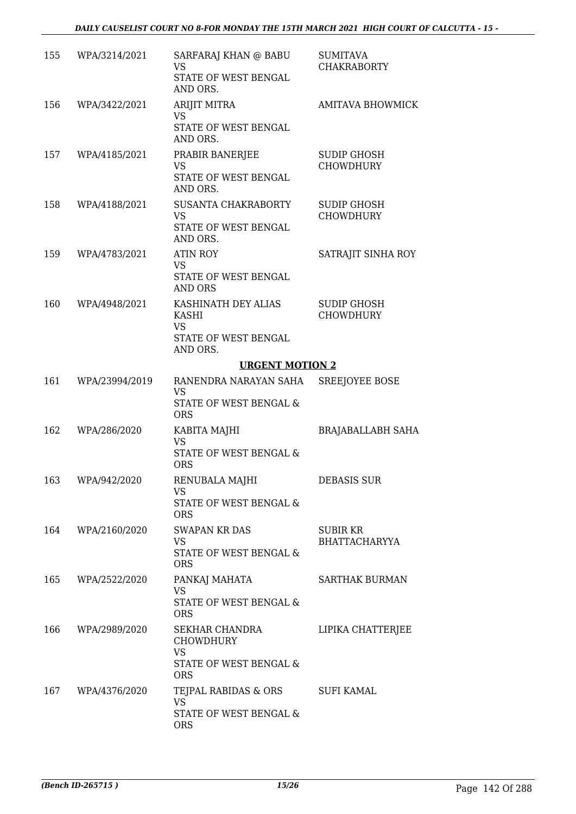| 155 | WPA/3214/2021     | SARFARAJ KHAN @ BABU<br><b>VS</b><br>STATE OF WEST BENGAL<br>AND ORS.                | <b>SUMITAVA</b><br><b>CHAKRABORTY</b>  |
|-----|-------------------|--------------------------------------------------------------------------------------|----------------------------------------|
| 156 | WPA/3422/2021     | <b>ARIJIT MITRA</b><br><b>VS</b><br>STATE OF WEST BENGAL<br>AND ORS.                 | <b>AMITAVA BHOWMICK</b>                |
| 157 | WPA/4185/2021     | PRABIR BANERJEE<br>VS<br>STATE OF WEST BENGAL<br>AND ORS.                            | <b>SUDIP GHOSH</b><br><b>CHOWDHURY</b> |
| 158 | WPA/4188/2021     | SUSANTA CHAKRABORTY<br><b>VS</b><br>STATE OF WEST BENGAL<br>AND ORS.                 | <b>SUDIP GHOSH</b><br><b>CHOWDHURY</b> |
| 159 | WPA/4783/2021     | <b>ATIN ROY</b><br>VS<br>STATE OF WEST BENGAL<br><b>AND ORS</b>                      | SATRAJIT SINHA ROY                     |
| 160 | WPA/4948/2021     | KASHINATH DEY ALIAS<br><b>KASHI</b><br><b>VS</b><br>STATE OF WEST BENGAL<br>AND ORS. | <b>SUDIP GHOSH</b><br><b>CHOWDHURY</b> |
|     |                   | <b>URGENT MOTION 2</b>                                                               |                                        |
| 161 | WPA/23994/2019    | RANENDRA NARAYAN SAHA<br><b>VS</b><br>STATE OF WEST BENGAL &<br><b>ORS</b>           | <b>SREEJOYEE BOSE</b>                  |
| 162 | WPA/286/2020      | KABITA MAJHI<br><b>VS</b><br><b>STATE OF WEST BENGAL &amp;</b><br><b>ORS</b>         | BRAJABALLABH SAHA                      |
|     | 163 WPA/942/2020  | RENUBALA MAJHI<br>VS<br>STATE OF WEST BENGAL &<br><b>ORS</b>                         | DEBASIS SUR                            |
|     | 164 WPA/2160/2020 | <b>SWAPAN KR DAS</b><br>VS<br>STATE OF WEST BENGAL &<br><b>ORS</b>                   | SUBIR KR<br><b>BHATTACHARYYA</b>       |
| 165 | WPA/2522/2020     | PANKAJ MAHATA<br>VS                                                                  | SARTHAK BURMAN                         |
|     |                   | STATE OF WEST BENGAL &<br><b>ORS</b>                                                 |                                        |
| 166 | WPA/2989/2020     | SEKHAR CHANDRA<br><b>CHOWDHURY</b><br>VS<br>STATE OF WEST BENGAL &<br><b>ORS</b>     | LIPIKA CHATTERJEE                      |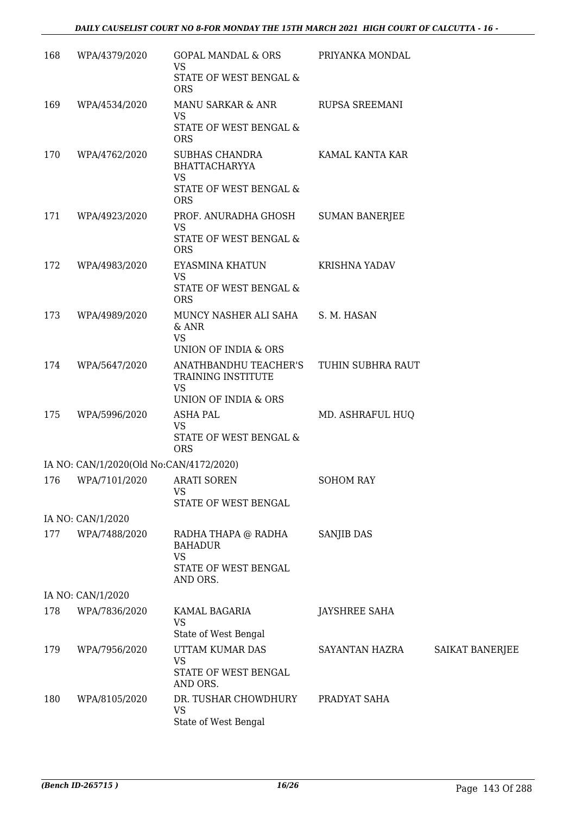| 168 | WPA/4379/2020                           | GOPAL MANDAL & ORS<br><b>VS</b>                                                             | PRIYANKA MONDAL       |                 |
|-----|-----------------------------------------|---------------------------------------------------------------------------------------------|-----------------------|-----------------|
|     |                                         | STATE OF WEST BENGAL &<br><b>ORS</b>                                                        |                       |                 |
| 169 | WPA/4534/2020                           | MANU SARKAR & ANR<br><b>VS</b>                                                              | <b>RUPSA SREEMANI</b> |                 |
|     |                                         | STATE OF WEST BENGAL &<br><b>ORS</b>                                                        |                       |                 |
| 170 | WPA/4762/2020                           | SUBHAS CHANDRA<br><b>BHATTACHARYYA</b><br><b>VS</b><br>STATE OF WEST BENGAL &<br><b>ORS</b> | KAMAL KANTA KAR       |                 |
| 171 | WPA/4923/2020                           | PROF. ANURADHA GHOSH<br>VS<br>STATE OF WEST BENGAL &<br><b>ORS</b>                          | <b>SUMAN BANERJEE</b> |                 |
| 172 | WPA/4983/2020                           | EYASMINA KHATUN<br><b>VS</b><br>STATE OF WEST BENGAL &<br><b>ORS</b>                        | <b>KRISHNA YADAV</b>  |                 |
| 173 | WPA/4989/2020                           | MUNCY NASHER ALI SAHA<br>& ANR<br><b>VS</b><br>UNION OF INDIA & ORS                         | S. M. HASAN           |                 |
| 174 | WPA/5647/2020                           | ANATHBANDHU TEACHER'S<br>TRAINING INSTITUTE<br><b>VS</b><br>UNION OF INDIA & ORS            | TUHIN SUBHRA RAUT     |                 |
| 175 | WPA/5996/2020                           | <b>ASHA PAL</b><br><b>VS</b><br>STATE OF WEST BENGAL &<br><b>ORS</b>                        | MD. ASHRAFUL HUQ      |                 |
|     | IA NO: CAN/1/2020(Old No:CAN/4172/2020) |                                                                                             |                       |                 |
|     | 176 WPA/7101/2020 ARATI SOREN           | <b>VS</b><br>STATE OF WEST BENGAL                                                           | <b>SOHOM RAY</b>      |                 |
|     | IA NO: CAN/1/2020                       |                                                                                             |                       |                 |
| 177 | WPA/7488/2020                           | RADHA THAPA @ RADHA<br><b>BAHADUR</b><br><b>VS</b><br>STATE OF WEST BENGAL<br>AND ORS.      | SANJIB DAS            |                 |
|     | IA NO: CAN/1/2020                       |                                                                                             |                       |                 |
| 178 | WPA/7836/2020                           | KAMAL BAGARIA<br><b>VS</b><br>State of West Bengal                                          | <b>JAYSHREE SAHA</b>  |                 |
| 179 | WPA/7956/2020                           | UTTAM KUMAR DAS<br><b>VS</b><br>STATE OF WEST BENGAL<br>AND ORS.                            | SAYANTAN HAZRA        | SAIKAT BANERJEE |
| 180 | WPA/8105/2020                           | DR. TUSHAR CHOWDHURY<br><b>VS</b><br>State of West Bengal                                   | PRADYAT SAHA          |                 |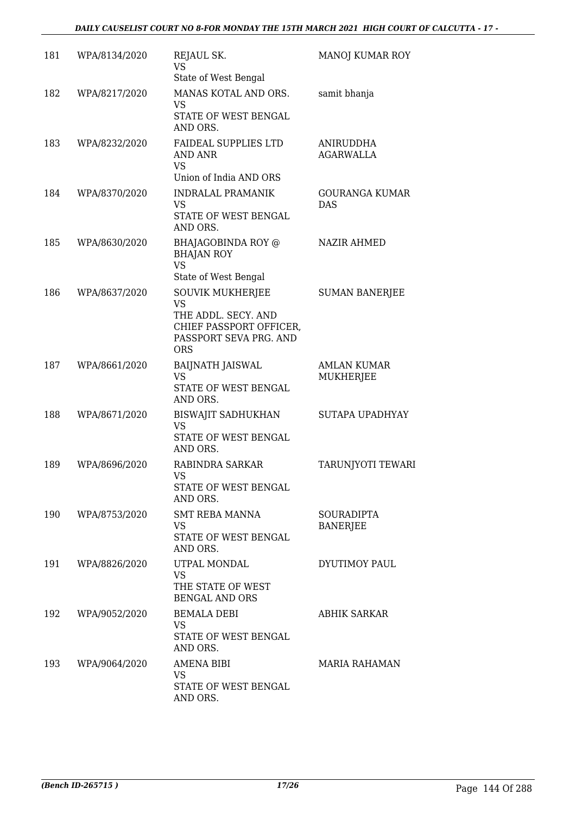#### *DAILY CAUSELIST COURT NO 8-FOR MONDAY THE 15TH MARCH 2021 HIGH COURT OF CALCUTTA - 17 -*

| 181 | WPA/8134/2020 | REJAUL SK.<br><b>VS</b><br>State of West Bengal                                                                                | MANOJ KUMAR ROY                      |
|-----|---------------|--------------------------------------------------------------------------------------------------------------------------------|--------------------------------------|
| 182 | WPA/8217/2020 | MANAS KOTAL AND ORS.<br>VS<br>STATE OF WEST BENGAL<br>AND ORS.                                                                 | samit bhanja                         |
| 183 | WPA/8232/2020 | FAIDEAL SUPPLIES LTD<br>AND ANR<br><b>VS</b><br>Union of India AND ORS                                                         | ANIRUDDHA<br><b>AGARWALLA</b>        |
| 184 | WPA/8370/2020 | <b>INDRALAL PRAMANIK</b><br><b>VS</b><br>STATE OF WEST BENGAL<br>AND ORS.                                                      | GOURANGA KUMAR<br><b>DAS</b>         |
| 185 | WPA/8630/2020 | BHAJAGOBINDA ROY @<br><b>BHAJAN ROY</b><br><b>VS</b><br>State of West Bengal                                                   | <b>NAZIR AHMED</b>                   |
| 186 | WPA/8637/2020 | <b>SOUVIK MUKHERJEE</b><br><b>VS</b><br>THE ADDL. SECY. AND<br>CHIEF PASSPORT OFFICER,<br>PASSPORT SEVA PRG. AND<br><b>ORS</b> | <b>SUMAN BANERJEE</b>                |
| 187 | WPA/8661/2020 | <b>BAIJNATH JAISWAL</b><br><b>VS</b><br>STATE OF WEST BENGAL<br>AND ORS.                                                       | <b>AMLAN KUMAR</b><br>MUKHERJEE      |
| 188 | WPA/8671/2020 | <b>BISWAJIT SADHUKHAN</b><br><b>VS</b><br>STATE OF WEST BENGAL<br>AND ORS.                                                     | SUTAPA UPADHYAY                      |
| 189 | WPA/8696/2020 | RABINDRA SARKAR<br><b>VS</b><br>STATE OF WEST BENGAL<br>AND ORS.                                                               | TARUNJYOTI TEWARI                    |
| 190 | WPA/8753/2020 | SMT REBA MANNA<br>VS<br>STATE OF WEST BENGAL<br>AND ORS.                                                                       | <b>SOURADIPTA</b><br><b>BANERJEE</b> |
| 191 | WPA/8826/2020 | UTPAL MONDAL<br><b>VS</b><br>THE STATE OF WEST<br><b>BENGAL AND ORS</b>                                                        | DYUTIMOY PAUL                        |
| 192 | WPA/9052/2020 | <b>BEMALA DEBI</b><br>VS.<br>STATE OF WEST BENGAL<br>AND ORS.                                                                  | <b>ABHIK SARKAR</b>                  |
| 193 | WPA/9064/2020 | <b>AMENA BIBI</b><br>VS<br>STATE OF WEST BENGAL<br>AND ORS.                                                                    | MARIA RAHAMAN                        |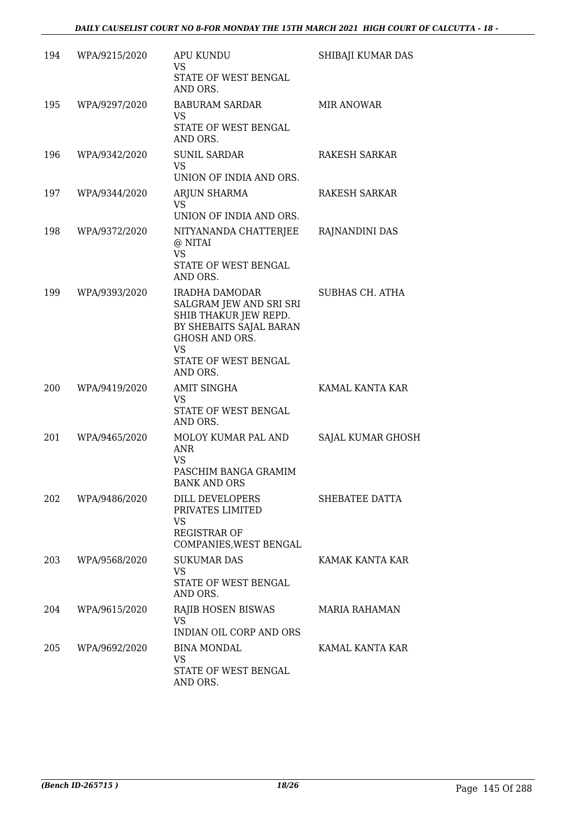| 194 | WPA/9215/2020 | <b>APU KUNDU</b><br>VS<br>STATE OF WEST BENGAL<br>AND ORS.                                                                                                              | SHIBAJI KUMAR DAS      |
|-----|---------------|-------------------------------------------------------------------------------------------------------------------------------------------------------------------------|------------------------|
| 195 | WPA/9297/2020 | <b>BABURAM SARDAR</b><br>VS<br>STATE OF WEST BENGAL<br>AND ORS.                                                                                                         | <b>MIR ANOWAR</b>      |
| 196 | WPA/9342/2020 | <b>SUNIL SARDAR</b><br><b>VS</b><br>UNION OF INDIA AND ORS.                                                                                                             | RAKESH SARKAR          |
| 197 | WPA/9344/2020 | ARJUN SHARMA<br><b>VS</b><br>UNION OF INDIA AND ORS.                                                                                                                    | RAKESH SARKAR          |
| 198 | WPA/9372/2020 | NITYANANDA CHATTERJEE<br>@ NITAI<br><b>VS</b><br>STATE OF WEST BENGAL<br>AND ORS.                                                                                       | RAJNANDINI DAS         |
| 199 | WPA/9393/2020 | IRADHA DAMODAR<br>SALGRAM JEW AND SRI SRI<br>SHIB THAKUR JEW REPD.<br>BY SHEBAITS SAJAL BARAN<br><b>GHOSH AND ORS.</b><br><b>VS</b><br>STATE OF WEST BENGAL<br>AND ORS. | <b>SUBHAS CH. ATHA</b> |
| 200 | WPA/9419/2020 | <b>AMIT SINGHA</b><br>VS<br>STATE OF WEST BENGAL<br>AND ORS.                                                                                                            | KAMAL KANTA KAR        |
| 201 | WPA/9465/2020 | MOLOY KUMAR PAL AND<br>ANR<br><b>VS</b><br>PASCHIM BANGA GRAMIM<br><b>BANK AND ORS</b>                                                                                  | SAJAL KUMAR GHOSH      |
| 202 | WPA/9486/2020 | DILL DEVELOPERS<br>PRIVATES LIMITED<br><b>VS</b><br><b>REGISTRAR OF</b><br>COMPANIES, WEST BENGAL                                                                       | SHEBATEE DATTA         |
| 203 | WPA/9568/2020 | <b>SUKUMAR DAS</b><br><b>VS</b><br>STATE OF WEST BENGAL<br>AND ORS.                                                                                                     | KAMAK KANTA KAR        |
| 204 | WPA/9615/2020 | RAJIB HOSEN BISWAS<br><b>VS</b><br>INDIAN OIL CORP AND ORS                                                                                                              | <b>MARIA RAHAMAN</b>   |
| 205 | WPA/9692/2020 | <b>BINA MONDAL</b><br><b>VS</b><br>STATE OF WEST BENGAL<br>AND ORS.                                                                                                     | KAMAL KANTA KAR        |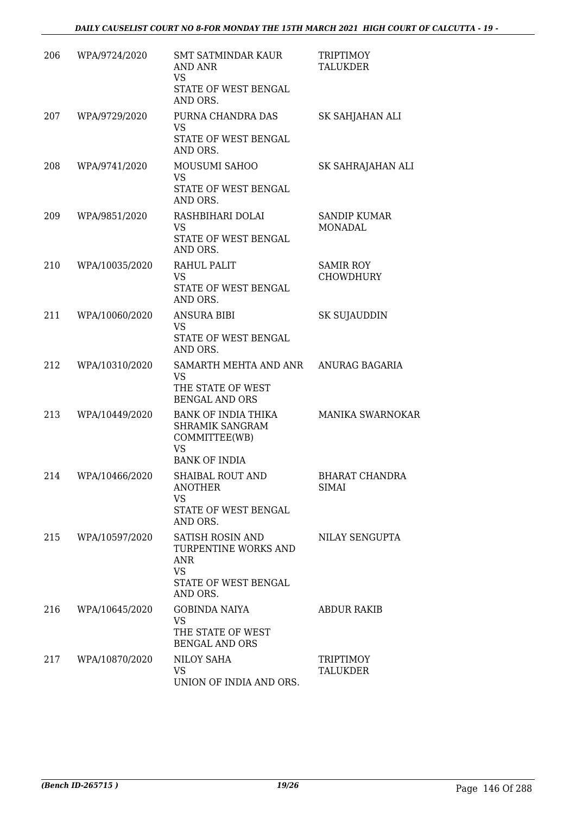| 206 | WPA/9724/2020  | <b>SMT SATMINDAR KAUR</b><br><b>AND ANR</b><br><b>VS</b><br>STATE OF WEST BENGAL<br>AND ORS.        | <b>TRIPTIMOY</b><br><b>TALUKDER</b>   |
|-----|----------------|-----------------------------------------------------------------------------------------------------|---------------------------------------|
| 207 | WPA/9729/2020  | PURNA CHANDRA DAS<br><b>VS</b><br>STATE OF WEST BENGAL<br>AND ORS.                                  | SK SAHJAHAN ALI                       |
| 208 | WPA/9741/2020  | MOUSUMI SAHOO<br><b>VS</b><br>STATE OF WEST BENGAL<br>AND ORS.                                      | SK SAHRAJAHAN ALI                     |
| 209 | WPA/9851/2020  | RASHBIHARI DOLAI<br>VS<br>STATE OF WEST BENGAL<br>AND ORS.                                          | <b>SANDIP KUMAR</b><br>MONADAL        |
| 210 | WPA/10035/2020 | RAHUL PALIT<br><b>VS</b><br>STATE OF WEST BENGAL<br>AND ORS.                                        | <b>SAMIR ROY</b><br><b>CHOWDHURY</b>  |
| 211 | WPA/10060/2020 | <b>ANSURA BIBI</b><br><b>VS</b><br>STATE OF WEST BENGAL<br>AND ORS.                                 | <b>SK SUJAUDDIN</b>                   |
| 212 | WPA/10310/2020 | SAMARTH MEHTA AND ANR ANURAG BAGARIA<br>VS<br>THE STATE OF WEST<br><b>BENGAL AND ORS</b>            |                                       |
| 213 | WPA/10449/2020 | <b>BANK OF INDIA THIKA</b><br>SHRAMIK SANGRAM<br>COMMITTEE(WB)<br><b>VS</b><br><b>BANK OF INDIA</b> | MANIKA SWARNOKAR                      |
| 214 | WPA/10466/2020 | SHAIBAL ROUT AND<br>ANOTHER<br><b>VS</b><br>STATE OF WEST BENGAL<br>AND ORS.                        | <b>BHARAT CHANDRA</b><br><b>SIMAI</b> |
| 215 | WPA/10597/2020 | SATISH ROSIN AND<br>TURPENTINE WORKS AND<br>ANR<br><b>VS</b><br>STATE OF WEST BENGAL<br>AND ORS.    | NILAY SENGUPTA                        |
| 216 | WPA/10645/2020 | <b>GOBINDA NAIYA</b><br>VS<br>THE STATE OF WEST<br><b>BENGAL AND ORS</b>                            | <b>ABDUR RAKIB</b>                    |
| 217 | WPA/10870/2020 | NILOY SAHA<br><b>VS</b><br>UNION OF INDIA AND ORS.                                                  | TRIPTIMOY<br>TALUKDER                 |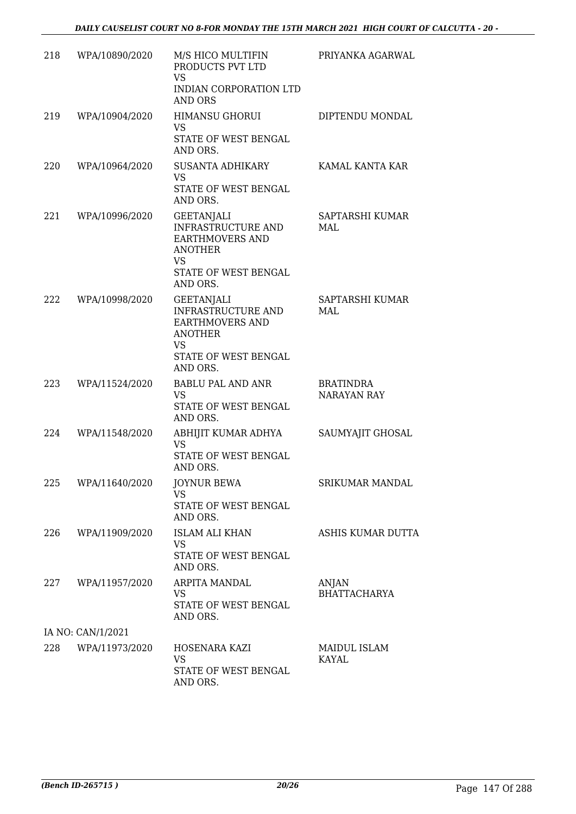| 218 | WPA/10890/2020     | M/S HICO MULTIFIN<br>PRODUCTS PVT LTD<br><b>VS</b><br>INDIAN CORPORATION LTD<br><b>AND ORS</b>                                       | PRIYANKA AGARWAL                       |
|-----|--------------------|--------------------------------------------------------------------------------------------------------------------------------------|----------------------------------------|
| 219 | WPA/10904/2020     | <b>HIMANSU GHORUI</b><br>VS<br>STATE OF WEST BENGAL<br>AND ORS.                                                                      | DIPTENDU MONDAL                        |
| 220 | WPA/10964/2020     | SUSANTA ADHIKARY<br>VS<br>STATE OF WEST BENGAL<br>AND ORS.                                                                           | KAMAL KANTA KAR                        |
| 221 | WPA/10996/2020     | <b>GEETANJALI</b><br>INFRASTRUCTURE AND<br><b>EARTHMOVERS AND</b><br><b>ANOTHER</b><br><b>VS</b><br>STATE OF WEST BENGAL<br>AND ORS. | SAPTARSHI KUMAR<br>MAL                 |
| 222 | WPA/10998/2020     | <b>GEETANJALI</b><br>INFRASTRUCTURE AND<br><b>EARTHMOVERS AND</b><br><b>ANOTHER</b><br>VS<br>STATE OF WEST BENGAL<br>AND ORS.        | SAPTARSHI KUMAR<br>MAL                 |
| 223 | WPA/11524/2020     | BABLU PAL AND ANR<br><b>VS</b><br>STATE OF WEST BENGAL<br>AND ORS.                                                                   | <b>BRATINDRA</b><br><b>NARAYAN RAY</b> |
| 224 | WPA/11548/2020     | ABHIJIT KUMAR ADHYA<br><b>VS</b><br>STATE OF WEST BENGAL<br>AND ORS.                                                                 | SAUMYAJIT GHOSAL                       |
| 225 | WPA/11640/2020     | <b>JOYNUR BEWA</b><br>VS<br>STATE OF WEST BENGAL<br>AND ORS.                                                                         | SRIKUMAR MANDAL                        |
| 226 | WPA/11909/2020     | <b>ISLAM ALI KHAN</b><br>VS<br>STATE OF WEST BENGAL<br>AND ORS.                                                                      | ASHIS KUMAR DUTTA                      |
|     | 227 WPA/11957/2020 | <b>ARPITA MANDAL</b><br><b>VS</b><br>STATE OF WEST BENGAL<br>AND ORS.                                                                | ANJAN<br><b>BHATTACHARYA</b>           |
|     | IA NO: CAN/1/2021  |                                                                                                                                      |                                        |
| 228 | WPA/11973/2020     | HOSENARA KAZI<br><b>VS</b><br>STATE OF WEST BENGAL<br>AND ORS.                                                                       | MAIDUL ISLAM<br>KAYAL                  |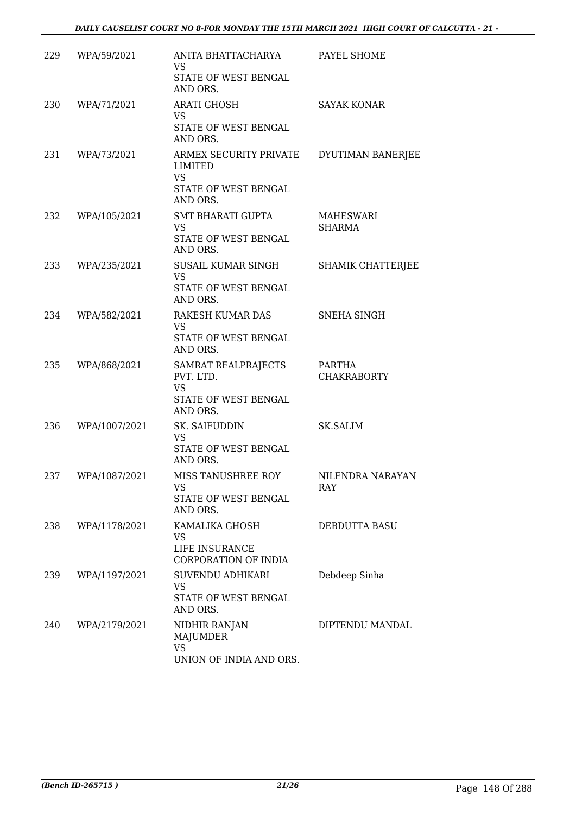| 229 | WPA/59/2021   | ANITA BHATTACHARYA<br><b>VS</b><br>STATE OF WEST BENGAL<br>AND ORS.                       | PAYEL SHOME                  |
|-----|---------------|-------------------------------------------------------------------------------------------|------------------------------|
| 230 | WPA/71/2021   | <b>ARATI GHOSH</b><br>VS<br>STATE OF WEST BENGAL<br>AND ORS.                              | <b>SAYAK KONAR</b>           |
| 231 | WPA/73/2021   | ARMEX SECURITY PRIVATE<br><b>LIMITED</b><br><b>VS</b><br>STATE OF WEST BENGAL<br>AND ORS. | DYUTIMAN BANERJEE            |
| 232 | WPA/105/2021  | SMT BHARATI GUPTA<br><b>VS</b><br>STATE OF WEST BENGAL<br>AND ORS.                        | MAHESWARI<br><b>SHARMA</b>   |
| 233 | WPA/235/2021  | SUSAIL KUMAR SINGH<br><b>VS</b><br>STATE OF WEST BENGAL<br>AND ORS.                       | SHAMIK CHATTERJEE            |
| 234 | WPA/582/2021  | RAKESH KUMAR DAS<br>VS.<br>STATE OF WEST BENGAL<br>AND ORS.                               | SNEHA SINGH                  |
| 235 | WPA/868/2021  | SAMRAT REALPRAJECTS<br>PVT. LTD.<br><b>VS</b><br>STATE OF WEST BENGAL<br>AND ORS.         | PARTHA<br><b>CHAKRABORTY</b> |
| 236 | WPA/1007/2021 | SK. SAIFUDDIN<br><b>VS</b><br>STATE OF WEST BENGAL<br>AND ORS.                            | <b>SK.SALIM</b>              |
| 237 | WPA/1087/2021 | MISS TANUSHREE ROY<br>VS<br>STATE OF WEST BENGAL<br>AND ORS.                              | NILENDRA NARAYAN<br>RAY      |
| 238 | WPA/1178/2021 | KAMALIKA GHOSH<br>VS<br>LIFE INSURANCE<br>CORPORATION OF INDIA                            | DEBDUTTA BASU                |
| 239 | WPA/1197/2021 | SUVENDU ADHIKARI<br><b>VS</b><br>STATE OF WEST BENGAL<br>AND ORS.                         | Debdeep Sinha                |
| 240 | WPA/2179/2021 | NIDHIR RANJAN<br><b>MAJUMDER</b><br><b>VS</b><br>UNION OF INDIA AND ORS.                  | DIPTENDU MANDAL              |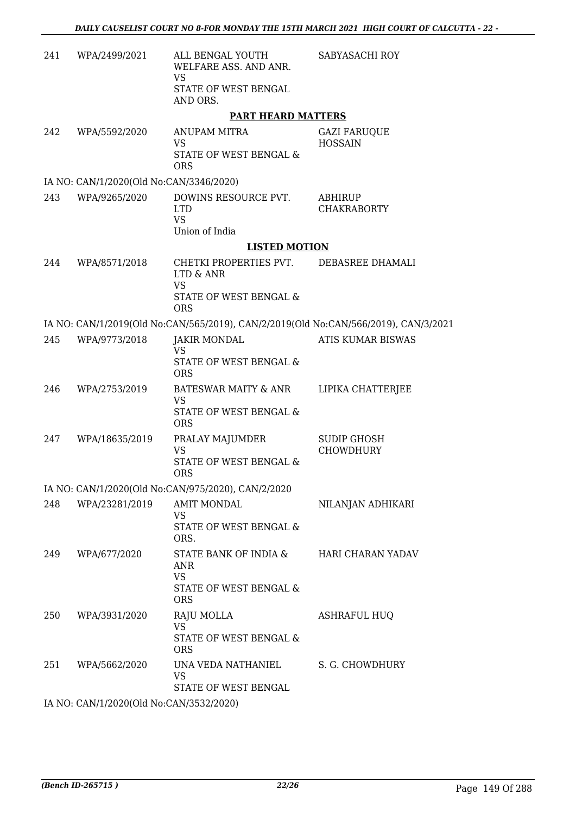| 241 | WPA/2499/2021                           | ALL BENGAL YOUTH<br>WELFARE ASS. AND ANR.<br><b>VS</b><br>STATE OF WEST BENGAL<br>AND ORS.        | SABYASACHI ROY                        |
|-----|-----------------------------------------|---------------------------------------------------------------------------------------------------|---------------------------------------|
|     |                                         | <b>PART HEARD MATTERS</b>                                                                         |                                       |
| 242 | WPA/5592/2020                           | ANUPAM MITRA<br><b>VS</b><br>STATE OF WEST BENGAL &<br><b>ORS</b>                                 | <b>GAZI FARUQUE</b><br><b>HOSSAIN</b> |
|     | IA NO: CAN/1/2020(Old No:CAN/3346/2020) |                                                                                                   |                                       |
| 243 | WPA/9265/2020                           | DOWINS RESOURCE PVT.<br><b>LTD</b><br><b>VS</b><br>Union of India                                 | ABHIRUP<br><b>CHAKRABORTY</b>         |
|     |                                         | <b>LISTED MOTION</b>                                                                              |                                       |
| 244 | WPA/8571/2018                           | CHETKI PROPERTIES PVT.<br>LTD & ANR<br><b>VS</b><br>STATE OF WEST BENGAL &                        | DEBASREE DHAMALI                      |
|     |                                         | <b>ORS</b><br>IA NO: CAN/1/2019(Old No:CAN/565/2019), CAN/2/2019(Old No:CAN/566/2019), CAN/3/2021 |                                       |
| 245 | WPA/9773/2018                           | <b>JAKIR MONDAL</b>                                                                               | <b>ATIS KUMAR BISWAS</b>              |
|     |                                         | <b>VS</b><br>STATE OF WEST BENGAL &<br><b>ORS</b>                                                 |                                       |
| 246 | WPA/2753/2019                           | BATESWAR MAITY & ANR<br>VS<br>STATE OF WEST BENGAL &<br><b>ORS</b>                                | LIPIKA CHATTERJEE                     |
| 247 | WPA/18635/2019                          | PRALAY MAJUMDER<br>VS<br>STATE OF WEST BENGAL &<br><b>ORS</b>                                     | SUDIP GHOSH<br><b>CHOWDHURY</b>       |
|     |                                         | IA NO: CAN/1/2020(Old No:CAN/975/2020), CAN/2/2020                                                |                                       |
| 248 | WPA/23281/2019                          | <b>AMIT MONDAL</b><br>VS<br>STATE OF WEST BENGAL &<br>ORS.                                        | NILANJAN ADHIKARI                     |
| 249 | WPA/677/2020                            | STATE BANK OF INDIA &<br>ANR<br><b>VS</b><br>STATE OF WEST BENGAL &<br><b>ORS</b>                 | <b>HARI CHARAN YADAV</b>              |
| 250 | WPA/3931/2020                           | RAJU MOLLA<br><b>VS</b><br>STATE OF WEST BENGAL &<br><b>ORS</b>                                   | ASHRAFUL HUQ                          |
| 251 | WPA/5662/2020                           | UNA VEDA NATHANIEL<br>VS<br>STATE OF WEST BENGAL                                                  | S. G. CHOWDHURY                       |
|     | IA NO: CAN/1/2020(Old No:CAN/3532/2020) |                                                                                                   |                                       |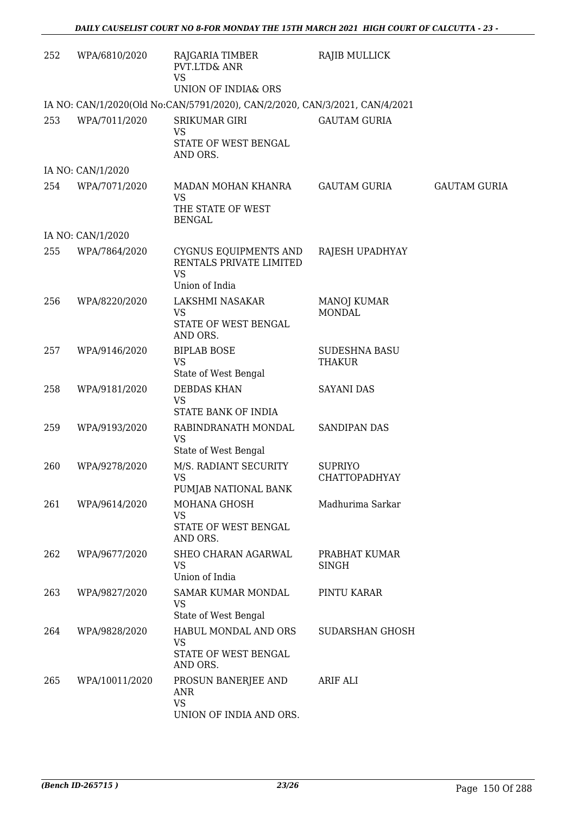| 252 | WPA/6810/2020     | RAJGARIA TIMBER<br>PVT.LTD& ANR<br><b>VS</b><br>UNION OF INDIA& ORS             | RAJIB MULLICK                       |                     |
|-----|-------------------|---------------------------------------------------------------------------------|-------------------------------------|---------------------|
|     |                   | IA NO: CAN/1/2020(Old No:CAN/5791/2020), CAN/2/2020, CAN/3/2021, CAN/4/2021     |                                     |                     |
| 253 | WPA/7011/2020     | <b>SRIKUMAR GIRI</b><br><b>VS</b><br>STATE OF WEST BENGAL<br>AND ORS.           | <b>GAUTAM GURIA</b>                 |                     |
|     | IA NO: CAN/1/2020 |                                                                                 |                                     |                     |
| 254 | WPA/7071/2020     | MADAN MOHAN KHANRA<br>VS<br>THE STATE OF WEST<br><b>BENGAL</b>                  | <b>GAUTAM GURIA</b>                 | <b>GAUTAM GURIA</b> |
|     | IA NO: CAN/1/2020 |                                                                                 |                                     |                     |
| 255 | WPA/7864/2020     | CYGNUS EQUIPMENTS AND<br>RENTALS PRIVATE LIMITED<br><b>VS</b><br>Union of India | RAJESH UPADHYAY                     |                     |
| 256 | WPA/8220/2020     | LAKSHMI NASAKAR<br><b>VS</b><br>STATE OF WEST BENGAL<br>AND ORS.                | <b>MANOJ KUMAR</b><br><b>MONDAL</b> |                     |
| 257 | WPA/9146/2020     | <b>BIPLAB BOSE</b><br><b>VS</b><br>State of West Bengal                         | <b>SUDESHNA BASU</b><br>THAKUR      |                     |
| 258 | WPA/9181/2020     | <b>DEBDAS KHAN</b><br><b>VS</b><br>STATE BANK OF INDIA                          | <b>SAYANI DAS</b>                   |                     |
| 259 | WPA/9193/2020     | RABINDRANATH MONDAL<br><b>VS</b><br>State of West Bengal                        | <b>SANDIPAN DAS</b>                 |                     |
| 260 | WPA/9278/2020     | M/S. RADIANT SECURITY<br>VS.<br>PUMJAB NATIONAL BANK                            | <b>SUPRIYO</b><br>CHATTOPADHYAY     |                     |
| 261 | WPA/9614/2020     | MOHANA GHOSH<br><b>VS</b><br>STATE OF WEST BENGAL<br>AND ORS.                   | Madhurima Sarkar                    |                     |
| 262 | WPA/9677/2020     | SHEO CHARAN AGARWAL<br>VS<br>Union of India                                     | PRABHAT KUMAR<br><b>SINGH</b>       |                     |
| 263 | WPA/9827/2020     | <b>SAMAR KUMAR MONDAL</b><br><b>VS</b><br>State of West Bengal                  | PINTU KARAR                         |                     |
| 264 | WPA/9828/2020     | HABUL MONDAL AND ORS<br>VS<br>STATE OF WEST BENGAL<br>AND ORS.                  | <b>SUDARSHAN GHOSH</b>              |                     |
| 265 | WPA/10011/2020    | PROSUN BANERJEE AND<br>ANR<br><b>VS</b><br>UNION OF INDIA AND ORS.              | <b>ARIF ALI</b>                     |                     |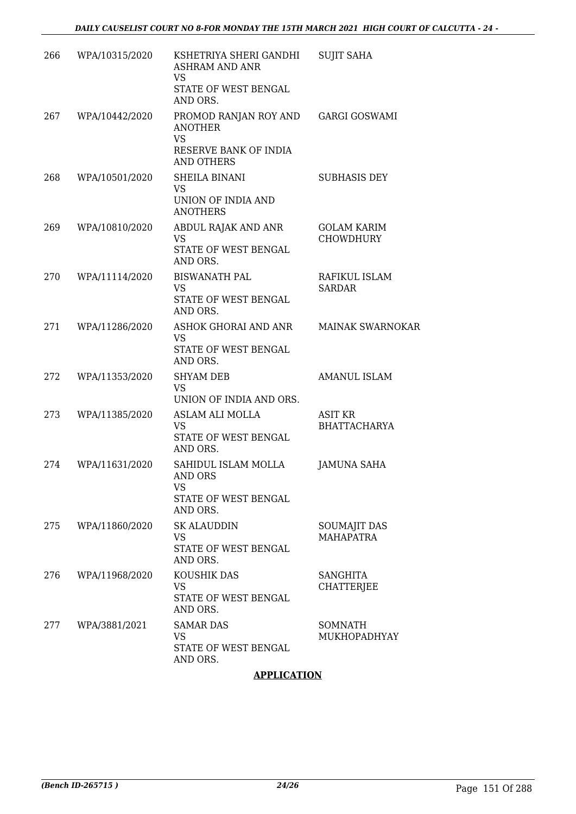| 266 | WPA/10315/2020 | KSHETRIYA SHERI GANDHI<br><b>ASHRAM AND ANR</b><br><b>VS</b><br>STATE OF WEST BENGAL<br>AND ORS.   | <b>SUJIT SAHA</b>                       |
|-----|----------------|----------------------------------------------------------------------------------------------------|-----------------------------------------|
| 267 | WPA/10442/2020 | PROMOD RANJAN ROY AND<br><b>ANOTHER</b><br><b>VS</b><br>RESERVE BANK OF INDIA<br><b>AND OTHERS</b> | <b>GARGI GOSWAMI</b>                    |
| 268 | WPA/10501/2020 | SHEILA BINANI<br><b>VS</b><br>UNION OF INDIA AND<br><b>ANOTHERS</b>                                | <b>SUBHASIS DEY</b>                     |
| 269 | WPA/10810/2020 | ABDUL RAJAK AND ANR<br>VS<br>STATE OF WEST BENGAL<br>AND ORS.                                      | <b>GOLAM KARIM</b><br><b>CHOWDHURY</b>  |
| 270 | WPA/11114/2020 | <b>BISWANATH PAL</b><br>VS<br>STATE OF WEST BENGAL<br>AND ORS.                                     | RAFIKUL ISLAM<br><b>SARDAR</b>          |
| 271 | WPA/11286/2020 | ASHOK GHORAI AND ANR<br><b>VS</b><br>STATE OF WEST BENGAL<br>AND ORS.                              | <b>MAINAK SWARNOKAR</b>                 |
| 272 | WPA/11353/2020 | <b>SHYAM DEB</b><br><b>VS</b><br>UNION OF INDIA AND ORS.                                           | <b>AMANUL ISLAM</b>                     |
| 273 | WPA/11385/2020 | ASLAM ALI MOLLA<br><b>VS</b><br>STATE OF WEST BENGAL<br>AND ORS.                                   | <b>ASIT KR</b><br><b>BHATTACHARYA</b>   |
| 274 | WPA/11631/2020 | SAHIDUL ISLAM MOLLA<br><b>AND ORS</b><br>VS<br>STATE OF WEST BENGAL<br>AND ORS.                    | <b>JAMUNA SAHA</b>                      |
| 275 | WPA/11860/2020 | <b>SK ALAUDDIN</b><br>VS<br>STATE OF WEST BENGAL<br>AND ORS.                                       | <b>SOUMAJIT DAS</b><br><b>MAHAPATRA</b> |
| 276 | WPA/11968/2020 | KOUSHIK DAS<br>VS<br>STATE OF WEST BENGAL<br>AND ORS.                                              | <b>SANGHITA</b><br>CHATTERJEE           |
| 277 | WPA/3881/2021  | <b>SAMAR DAS</b><br>VS<br>STATE OF WEST BENGAL<br>AND ORS.                                         | SOMNATH<br>MUKHOPADHYAY                 |

#### **APPLICATION**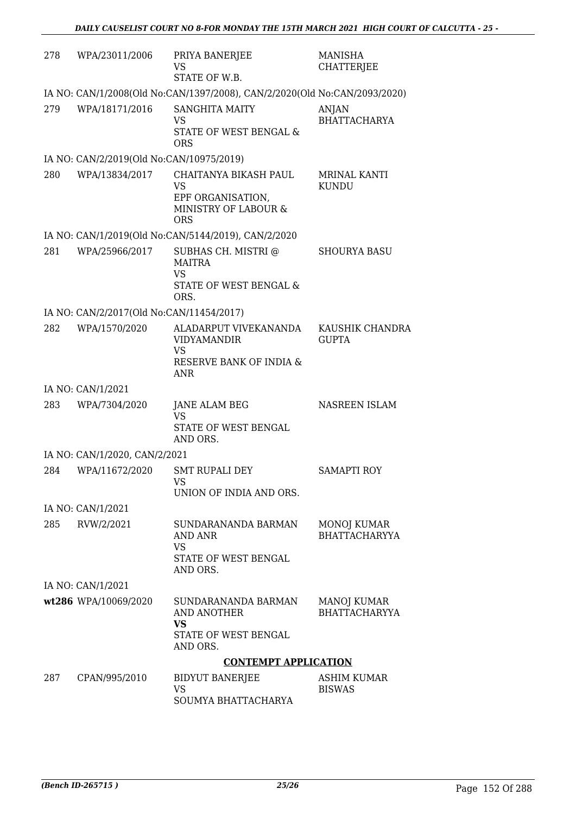| 278 | WPA/23011/2006                           | PRIYA BANERJEE<br>VS<br>STATE OF W.B.                                                      | <b>MANISHA</b><br><b>CHATTERJEE</b> |
|-----|------------------------------------------|--------------------------------------------------------------------------------------------|-------------------------------------|
|     |                                          | IA NO: CAN/1/2008(Old No:CAN/1397/2008), CAN/2/2020(Old No:CAN/2093/2020)                  |                                     |
| 279 | WPA/18171/2016                           | <b>SANGHITA MAITY</b><br><b>VS</b><br>STATE OF WEST BENGAL &<br><b>ORS</b>                 | <b>ANJAN</b><br><b>BHATTACHARYA</b> |
|     | IA NO: CAN/2/2019(Old No:CAN/10975/2019) |                                                                                            |                                     |
| 280 | WPA/13834/2017                           | CHAITANYA BIKASH PAUL<br>VS<br>EPF ORGANISATION,<br>MINISTRY OF LABOUR &<br><b>ORS</b>     | <b>MRINAL KANTI</b><br><b>KUNDU</b> |
|     |                                          | IA NO: CAN/1/2019(Old No:CAN/5144/2019), CAN/2/2020                                        |                                     |
| 281 | WPA/25966/2017                           | SUBHAS CH. MISTRI @<br><b>MAITRA</b><br><b>VS</b><br>STATE OF WEST BENGAL &<br>ORS.        | <b>SHOURYA BASU</b>                 |
|     | IA NO: CAN/2/2017(Old No:CAN/11454/2017) |                                                                                            |                                     |
| 282 | WPA/1570/2020                            | ALADARPUT VIVEKANANDA<br><b>VIDYAMANDIR</b><br><b>VS</b><br>RESERVE BANK OF INDIA &<br>ANR | KAUSHIK CHANDRA<br><b>GUPTA</b>     |
|     | IA NO: CAN/1/2021                        |                                                                                            |                                     |
| 283 | WPA/7304/2020                            | <b>JANE ALAM BEG</b><br><b>VS</b><br>STATE OF WEST BENGAL<br>AND ORS.                      | NASREEN ISLAM                       |
|     | IA NO: CAN/1/2020, CAN/2/2021            |                                                                                            |                                     |
| 284 | WPA/11672/2020                           | <b>SMT RUPALI DEY</b><br><b>VS</b><br>UNION OF INDIA AND ORS.                              | <b>SAMAPTI ROY</b>                  |
|     | IA NO: CAN/1/2021                        |                                                                                            |                                     |
| 285 | RVW/2/2021                               | SUNDARANANDA BARMAN<br>AND ANR<br><b>VS</b><br>STATE OF WEST BENGAL<br>AND ORS.            | MONOJ KUMAR<br><b>BHATTACHARYYA</b> |
|     | IA NO: CAN/1/2021                        |                                                                                            |                                     |
|     | wt286 WPA/10069/2020                     | SUNDARANANDA BARMAN<br>AND ANOTHER<br><b>VS</b><br>STATE OF WEST BENGAL<br>AND ORS.        | MANOJ KUMAR<br><b>BHATTACHARYYA</b> |
|     |                                          | <b>CONTEMPT APPLICATION</b>                                                                |                                     |
| 287 | CPAN/995/2010                            | <b>BIDYUT BANERJEE</b><br>VS<br>SOUMYA BHATTACHARYA                                        | ASHIM KUMAR<br><b>BISWAS</b>        |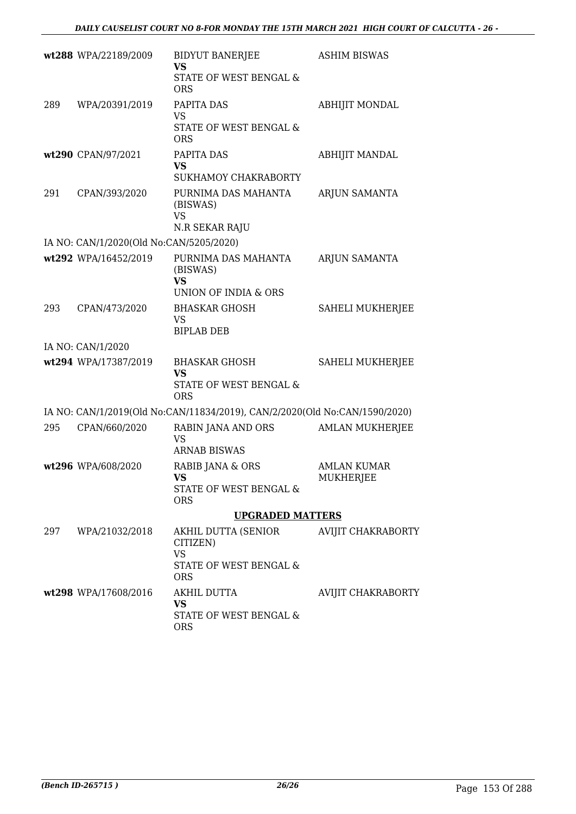|     | wt288 WPA/22189/2009                    | <b>BIDYUT BANERJEE</b><br><b>VS</b>                                        | <b>ASHIM BISWAS</b>    |
|-----|-----------------------------------------|----------------------------------------------------------------------------|------------------------|
|     |                                         | STATE OF WEST BENGAL &<br><b>ORS</b>                                       |                        |
| 289 | WPA/20391/2019                          | PAPITA DAS<br><b>VS</b>                                                    | <b>ABHIJIT MONDAL</b>  |
|     |                                         | STATE OF WEST BENGAL &<br><b>ORS</b>                                       |                        |
|     | wt290 CPAN/97/2021                      | PAPITA DAS<br><b>VS</b>                                                    | <b>ABHIJIT MANDAL</b>  |
|     |                                         | SUKHAMOY CHAKRABORTY                                                       |                        |
| 291 | CPAN/393/2020                           | PURNIMA DAS MAHANTA<br>(BISWAS)<br><b>VS</b><br>N.R SEKAR RAJU             | ARJUN SAMANTA          |
|     | IA NO: CAN/1/2020(Old No:CAN/5205/2020) |                                                                            |                        |
|     | wt292 WPA/16452/2019                    | PURNIMA DAS MAHANTA                                                        | ARJUN SAMANTA          |
|     |                                         | (BISWAS)<br>VS<br>UNION OF INDIA & ORS                                     |                        |
| 293 | CPAN/473/2020                           | <b>BHASKAR GHOSH</b><br>VS                                                 | SAHELI MUKHERJEE       |
|     |                                         | <b>BIPLAB DEB</b>                                                          |                        |
|     | IA NO: CAN/1/2020                       |                                                                            |                        |
|     | wt294 WPA/17387/2019                    | <b>BHASKAR GHOSH</b><br><b>VS</b><br>STATE OF WEST BENGAL &                | SAHELI MUKHERJEE       |
|     |                                         | <b>ORS</b>                                                                 |                        |
|     |                                         | IA NO: CAN/1/2019(Old No:CAN/11834/2019), CAN/2/2020(Old No:CAN/1590/2020) |                        |
| 295 | CPAN/660/2020                           | RABIN JANA AND ORS<br><b>VS</b><br><b>ARNAB BISWAS</b>                     | <b>AMLAN MUKHERJEE</b> |
|     | wt296 WPA/608/2020                      | RABIB JANA & ORS                                                           | <b>AMLAN KUMAR</b>     |
|     |                                         | <b>VS</b><br>STATE OF WEST BENGAL &                                        | MUKHERJEE              |
|     |                                         | <b>ORS</b>                                                                 |                        |
|     |                                         | <b>UPGRADED MATTERS</b>                                                    |                        |
|     | 297 WPA/21032/2018                      | AKHIL DUTTA (SENIOR<br>CITIZEN)<br><b>VS</b><br>STATE OF WEST BENGAL &     | AVIJIT CHAKRABORTY     |
|     |                                         | <b>ORS</b>                                                                 |                        |
|     | wt298 WPA/17608/2016                    | AKHIL DUTTA<br>VS                                                          | AVIJIT CHAKRABORTY     |
|     |                                         | STATE OF WEST BENGAL &<br><b>ORS</b>                                       |                        |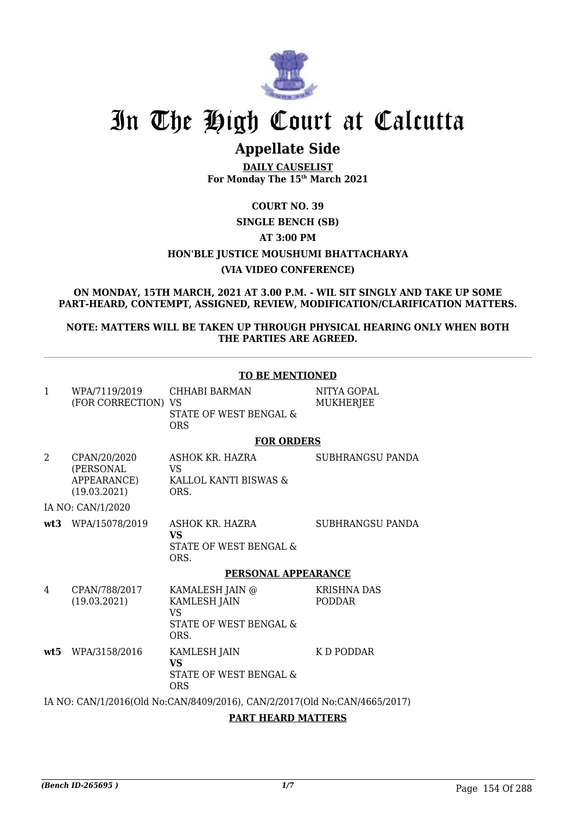

# In The High Court at Calcutta

## **Appellate Side**

**DAILY CAUSELIST For Monday The 15th March 2021**

### **COURT NO. 39 SINGLE BENCH (SB) AT 3:00 PM HON'BLE JUSTICE MOUSHUMI BHATTACHARYA**

#### **(VIA VIDEO CONFERENCE)**

#### **ON MONDAY, 15TH MARCH, 2021 AT 3.00 P.M. - WIL SIT SINGLY AND TAKE UP SOME PART-HEARD, CONTEMPT, ASSIGNED, REVIEW, MODIFICATION/CLARIFICATION MATTERS.**

#### **NOTE: MATTERS WILL BE TAKEN UP THROUGH PHYSICAL HEARING ONLY WHEN BOTH THE PARTIES ARE AGREED.**

|              |                                                          | <b>TO BE MENTIONED</b>                                                                |                                     |  |  |
|--------------|----------------------------------------------------------|---------------------------------------------------------------------------------------|-------------------------------------|--|--|
| $\mathbf{1}$ | WPA/7119/2019<br>(FOR CORRECTION) VS                     | CHHABI BARMAN<br>STATE OF WEST BENGAL &<br><b>ORS</b>                                 | NITYA GOPAL<br><b>MUKHERJEE</b>     |  |  |
|              |                                                          | <b>FOR ORDERS</b>                                                                     |                                     |  |  |
| 2            | CPAN/20/2020<br>(PERSONAL<br>APPEARANCE)<br>(19.03.2021) | ASHOK KR. HAZRA<br>VS.<br>KALLOL KANTI BISWAS &<br>ORS.                               | SUBHRANGSU PANDA                    |  |  |
|              | IA NO: CAN/1/2020                                        |                                                                                       |                                     |  |  |
|              | wt3 WPA/15078/2019                                       | ASHOK KR. HAZRA<br><b>VS</b><br>STATE OF WEST BENGAL &<br>ORS.                        | SUBHRANGSU PANDA                    |  |  |
|              |                                                          | PERSONAL APPEARANCE                                                                   |                                     |  |  |
| 4            | CPAN/788/2017<br>(19.03.2021)                            | KAMALESH JAIN @<br><b>KAMLESH JAIN</b><br><b>VS</b><br>STATE OF WEST BENGAL &<br>ORS. | <b>KRISHNA DAS</b><br><b>PODDAR</b> |  |  |
| wt5          | WPA/3158/2016                                            | KAMLESH JAIN<br><b>VS</b><br>STATE OF WEST BENGAL &<br><b>ORS</b>                     | K D PODDAR                          |  |  |
|              |                                                          | IA NO: CAN/1/2016(Old No:CAN/8409/2016), CAN/2/2017(Old No:CAN/4665/2017)             |                                     |  |  |

**PART HEARD MATTERS**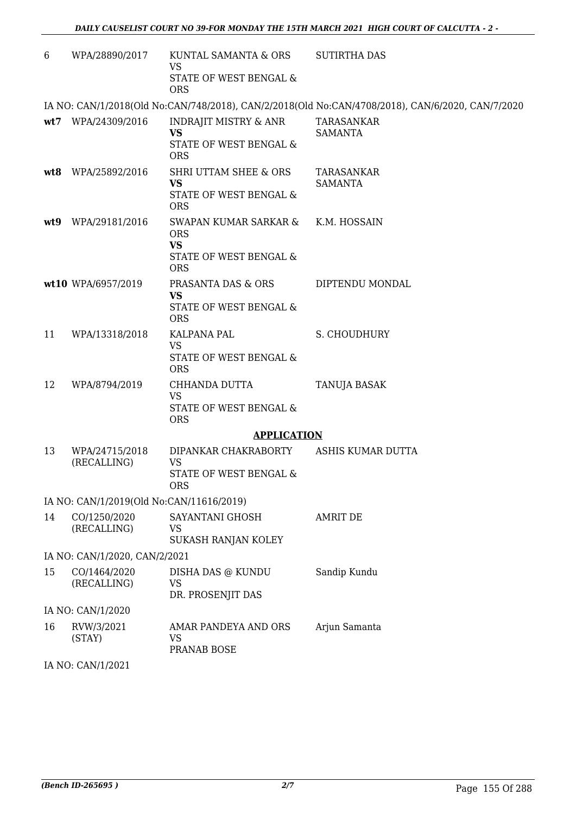| 6   | WPA/28890/2017                           | KUNTAL SAMANTA & ORS<br>VS<br>STATE OF WEST BENGAL &<br><b>ORS</b>                       | <b>SUTIRTHA DAS</b>                                                                              |
|-----|------------------------------------------|------------------------------------------------------------------------------------------|--------------------------------------------------------------------------------------------------|
|     |                                          |                                                                                          | IA NO: CAN/1/2018(Old No:CAN/748/2018), CAN/2/2018(Old No:CAN/4708/2018), CAN/6/2020, CAN/7/2020 |
|     | wt7 WPA/24309/2016                       | <b>INDRAJIT MISTRY &amp; ANR</b><br><b>VS</b><br>STATE OF WEST BENGAL &<br><b>ORS</b>    | TARASANKAR<br><b>SAMANTA</b>                                                                     |
|     | wt8 WPA/25892/2016                       | SHRI UTTAM SHEE & ORS<br><b>VS</b><br>STATE OF WEST BENGAL &<br><b>ORS</b>               | TARASANKAR<br><b>SAMANTA</b>                                                                     |
| wt9 | WPA/29181/2016                           | SWAPAN KUMAR SARKAR &<br><b>ORS</b><br><b>VS</b><br>STATE OF WEST BENGAL &<br><b>ORS</b> | K.M. HOSSAIN                                                                                     |
|     | wt10 WPA/6957/2019                       | PRASANTA DAS & ORS<br>VS<br>STATE OF WEST BENGAL &<br><b>ORS</b>                         | DIPTENDU MONDAL                                                                                  |
| 11  | WPA/13318/2018                           | KALPANA PAL<br><b>VS</b><br>STATE OF WEST BENGAL &<br><b>ORS</b>                         | S. CHOUDHURY                                                                                     |
| 12  | WPA/8794/2019                            | CHHANDA DUTTA<br><b>VS</b><br>STATE OF WEST BENGAL &<br><b>ORS</b>                       | TANUJA BASAK                                                                                     |
|     |                                          | <b>APPLICATION</b>                                                                       |                                                                                                  |
| 13  | WPA/24715/2018<br>(RECALLING)            | DIPANKAR CHAKRABORTY<br><b>VS</b><br>STATE OF WEST BENGAL &<br><b>ORS</b>                | ASHIS KUMAR DUTTA                                                                                |
|     | IA NO: CAN/1/2019(Old No:CAN/11616/2019) |                                                                                          |                                                                                                  |
| 14  | CO/1250/2020<br>(RECALLING)              | SAYANTANI GHOSH<br><b>VS</b><br>SUKASH RANJAN KOLEY                                      | <b>AMRIT DE</b>                                                                                  |
|     | IA NO: CAN/1/2020, CAN/2/2021            |                                                                                          |                                                                                                  |
| 15  | CO/1464/2020<br>(RECALLING)              | DISHA DAS @ KUNDU<br>VS<br>DR. PROSENJIT DAS                                             | Sandip Kundu                                                                                     |
|     | IA NO: CAN/1/2020                        |                                                                                          |                                                                                                  |
| 16  | RVW/3/2021<br>(STAY)                     | AMAR PANDEYA AND ORS<br>VS<br>PRANAB BOSE                                                | Arjun Samanta                                                                                    |
|     | IA NO: CAN/1/2021                        |                                                                                          |                                                                                                  |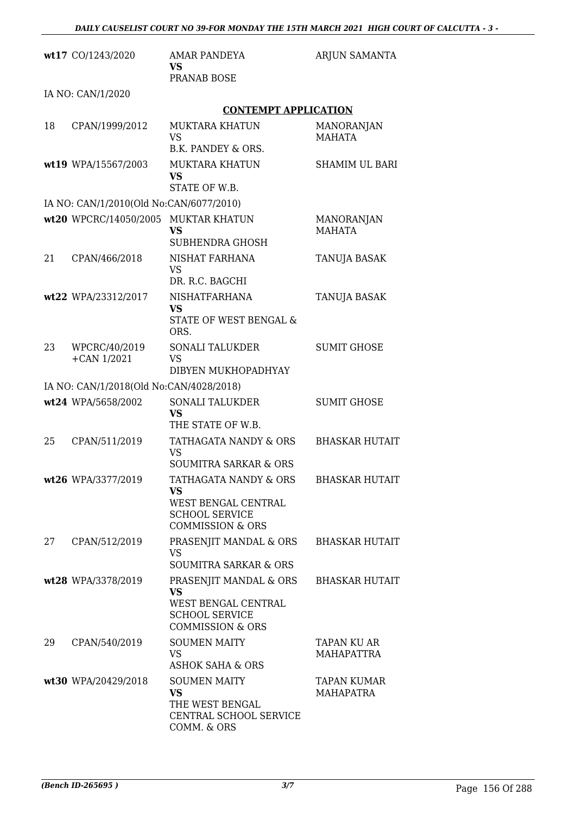|    | wt17 CO/1243/2020                       | <b>AMAR PANDEYA</b><br>VS.                                                                                         | ARJUN SAMANTA                          |
|----|-----------------------------------------|--------------------------------------------------------------------------------------------------------------------|----------------------------------------|
|    |                                         | PRANAB BOSE                                                                                                        |                                        |
|    | IA NO: CAN/1/2020                       |                                                                                                                    |                                        |
|    |                                         | <b>CONTEMPT APPLICATION</b>                                                                                        |                                        |
| 18 | CPAN/1999/2012                          | <b>MUKTARA KHATUN</b><br><b>VS</b><br>B.K. PANDEY & ORS.                                                           | <b>MANORANJAN</b><br><b>MAHATA</b>     |
|    | wt19 WPA/15567/2003                     | <b>MUKTARA KHATUN</b><br><b>VS</b><br>STATE OF W.B.                                                                | <b>SHAMIM UL BARI</b>                  |
|    | IA NO: CAN/1/2010(Old No:CAN/6077/2010) |                                                                                                                    |                                        |
|    | wt20 WPCRC/14050/2005 MUKTAR KHATUN     | <b>VS</b><br>SUBHENDRA GHOSH                                                                                       | MANORANJAN<br><b>MAHATA</b>            |
| 21 | CPAN/466/2018                           | <b>NISHAT FARHANA</b><br>VS<br>DR. R.C. BAGCHI                                                                     | TANUJA BASAK                           |
|    | wt22 WPA/23312/2017                     | <b>NISHATFARHANA</b><br><b>VS</b><br>STATE OF WEST BENGAL &<br>ORS.                                                | TANUJA BASAK                           |
| 23 | WPCRC/40/2019<br>$+$ CAN $1/2021$       | <b>SONALI TALUKDER</b><br><b>VS</b><br>DIBYEN MUKHOPADHYAY                                                         | <b>SUMIT GHOSE</b>                     |
|    | IA NO: CAN/1/2018(Old No:CAN/4028/2018) |                                                                                                                    |                                        |
|    | wt24 WPA/5658/2002                      | <b>SONALI TALUKDER</b><br><b>VS</b><br>THE STATE OF W.B.                                                           | <b>SUMIT GHOSE</b>                     |
| 25 | CPAN/511/2019                           | TATHAGATA NANDY & ORS<br><b>VS</b><br><b>SOUMITRA SARKAR &amp; ORS</b>                                             | <b>BHASKAR HUTAIT</b>                  |
|    | wt26 WPA/3377/2019                      | TATHAGATA NANDY & ORS<br>VS.<br>WEST BENGAL CENTRAL<br><b>SCHOOL SERVICE</b><br><b>COMMISSION &amp; ORS</b>        | <b>BHASKAR HUTAIT</b>                  |
| 27 | CPAN/512/2019                           | PRASENJIT MANDAL & ORS<br><b>VS</b><br><b>SOUMITRA SARKAR &amp; ORS</b>                                            | <b>BHASKAR HUTAIT</b>                  |
|    | wt28 WPA/3378/2019                      | PRASENJIT MANDAL & ORS<br><b>VS</b><br>WEST BENGAL CENTRAL<br><b>SCHOOL SERVICE</b><br><b>COMMISSION &amp; ORS</b> | <b>BHASKAR HUTAIT</b>                  |
| 29 | CPAN/540/2019                           | <b>SOUMEN MAITY</b><br>VS<br>ASHOK SAHA & ORS                                                                      | TAPAN KU AR<br><b>MAHAPATTRA</b>       |
|    | wt30 WPA/20429/2018                     | <b>SOUMEN MAITY</b><br><b>VS</b><br>THE WEST BENGAL<br>CENTRAL SCHOOL SERVICE<br>COMM. & ORS                       | <b>TAPAN KUMAR</b><br><b>MAHAPATRA</b> |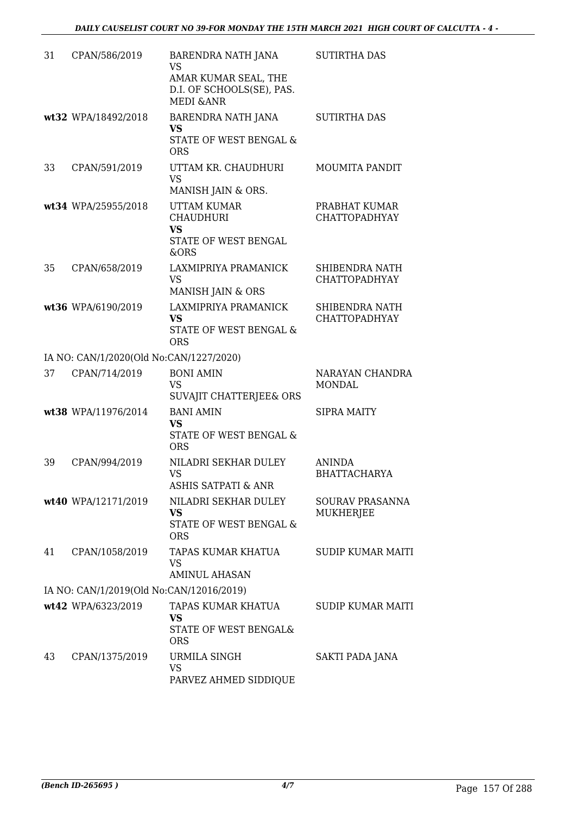| 31 | CPAN/586/2019                            | BARENDRA NATH JANA<br><b>VS</b><br>AMAR KUMAR SEAL, THE<br>D.I. OF SCHOOLS(SE), PAS.<br><b>MEDI &amp;ANR</b> | <b>SUTIRTHA DAS</b>                        |
|----|------------------------------------------|--------------------------------------------------------------------------------------------------------------|--------------------------------------------|
|    | wt32 WPA/18492/2018                      | BARENDRA NATH JANA<br><b>VS</b><br>STATE OF WEST BENGAL &<br><b>ORS</b>                                      | <b>SUTIRTHA DAS</b>                        |
| 33 | CPAN/591/2019                            | UTTAM KR. CHAUDHURI<br><b>VS</b><br>MANISH JAIN & ORS.                                                       | <b>MOUMITA PANDIT</b>                      |
|    | wt34 WPA/25955/2018                      | <b>UTTAM KUMAR</b><br><b>CHAUDHURI</b><br><b>VS</b><br>STATE OF WEST BENGAL<br>&ORS                          | PRABHAT KUMAR<br><b>CHATTOPADHYAY</b>      |
| 35 | CPAN/658/2019                            | LAXMIPRIYA PRAMANICK<br><b>VS</b><br>MANISH JAIN & ORS                                                       | SHIBENDRA NATH<br><b>CHATTOPADHYAY</b>     |
|    | wt36 WPA/6190/2019                       | LAXMIPRIYA PRAMANICK<br><b>VS</b><br>STATE OF WEST BENGAL &<br><b>ORS</b>                                    | SHIBENDRA NATH<br><b>CHATTOPADHYAY</b>     |
|    | IA NO: CAN/1/2020(Old No:CAN/1227/2020)  |                                                                                                              |                                            |
| 37 | CPAN/714/2019                            | <b>BONI AMIN</b><br><b>VS</b><br>SUVAJIT CHATTERJEE& ORS                                                     | NARAYAN CHANDRA<br><b>MONDAL</b>           |
|    | wt38 WPA/11976/2014                      | <b>BANI AMIN</b><br><b>VS</b><br><b>STATE OF WEST BENGAL &amp;</b><br><b>ORS</b>                             | <b>SIPRA MAITY</b>                         |
| 39 | CPAN/994/2019                            | NILADRI SEKHAR DULEY<br>VS<br><b>ASHIS SATPATI &amp; ANR</b>                                                 | <b>ANINDA</b><br><b>BHATTACHARYA</b>       |
|    | wt40 WPA/12171/2019                      | NILADRI SEKHAR DULEY<br>VS<br><b>STATE OF WEST BENGAL &amp;</b><br><b>ORS</b>                                | <b>SOURAV PRASANNA</b><br><b>MUKHERJEE</b> |
| 41 | CPAN/1058/2019                           | TAPAS KUMAR KHATUA<br><b>VS</b><br><b>AMINUL AHASAN</b>                                                      | <b>SUDIP KUMAR MAITI</b>                   |
|    | IA NO: CAN/1/2019(Old No:CAN/12016/2019) |                                                                                                              |                                            |
|    | wt42 WPA/6323/2019                       | TAPAS KUMAR KHATUA<br>VS<br>STATE OF WEST BENGAL&<br><b>ORS</b>                                              | <b>SUDIP KUMAR MAITI</b>                   |
| 43 | CPAN/1375/2019                           | URMILA SINGH<br><b>VS</b><br>PARVEZ AHMED SIDDIQUE                                                           | SAKTI PADA JANA                            |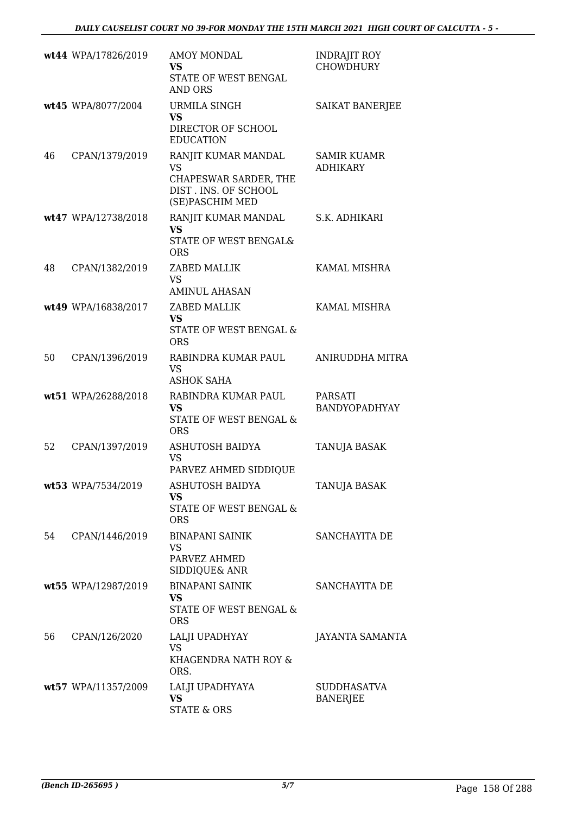|    | wt44 WPA/17826/2019 | <b>AMOY MONDAL</b><br><b>VS</b><br>STATE OF WEST BENGAL<br><b>AND ORS</b>                            | <b>INDRAJIT ROY</b><br><b>CHOWDHURY</b> |
|----|---------------------|------------------------------------------------------------------------------------------------------|-----------------------------------------|
|    | wt45 WPA/8077/2004  | <b>URMILA SINGH</b><br><b>VS</b><br>DIRECTOR OF SCHOOL<br><b>EDUCATION</b>                           | <b>SAIKAT BANERJEE</b>                  |
| 46 | CPAN/1379/2019      | RANJIT KUMAR MANDAL<br><b>VS</b><br>CHAPESWAR SARDER, THE<br>DIST. INS. OF SCHOOL<br>(SE)PASCHIM MED | <b>SAMIR KUAMR</b><br><b>ADHIKARY</b>   |
|    | wt47 WPA/12738/2018 | RANJIT KUMAR MANDAL<br>VS<br>STATE OF WEST BENGAL&<br><b>ORS</b>                                     | S.K. ADHIKARI                           |
| 48 | CPAN/1382/2019      | ZABED MALLIK<br>VS.<br><b>AMINUL AHASAN</b>                                                          | KAMAL MISHRA                            |
|    | wt49 WPA/16838/2017 | ZABED MALLIK<br><b>VS</b><br>STATE OF WEST BENGAL &<br><b>ORS</b>                                    | <b>KAMAL MISHRA</b>                     |
| 50 | CPAN/1396/2019      | RABINDRA KUMAR PAUL<br><b>VS</b><br><b>ASHOK SAHA</b>                                                | ANIRUDDHA MITRA                         |
|    | wt51 WPA/26288/2018 | RABINDRA KUMAR PAUL<br><b>VS</b><br>STATE OF WEST BENGAL &<br><b>ORS</b>                             | <b>PARSATI</b><br><b>BANDYOPADHYAY</b>  |
| 52 | CPAN/1397/2019      | <b>ASHUTOSH BAIDYA</b><br><b>VS</b><br>PARVEZ AHMED SIDDIQUE                                         | TANUJA BASAK                            |
|    | wt53 WPA/7534/2019  | <b>ASHUTOSH BAIDYA</b><br><b>VS</b><br>STATE OF WEST BENGAL &<br><b>ORS</b>                          | TANUJA BASAK                            |
| 54 | CPAN/1446/2019      | <b>BINAPANI SAINIK</b><br>VS<br>PARVEZ AHMED<br>SIDDIQUE& ANR                                        | SANCHAYITA DE                           |
|    | wt55 WPA/12987/2019 | <b>BINAPANI SAINIK</b><br>VS.<br>STATE OF WEST BENGAL &<br><b>ORS</b>                                | SANCHAYITA DE                           |
| 56 | CPAN/126/2020       | LALJI UPADHYAY<br><b>VS</b><br>KHAGENDRA NATH ROY &<br>ORS.                                          | JAYANTA SAMANTA                         |
|    | wt57 WPA/11357/2009 | LALJI UPADHYAYA<br><b>VS</b><br><b>STATE &amp; ORS</b>                                               | <b>SUDDHASATVA</b><br><b>BANERJEE</b>   |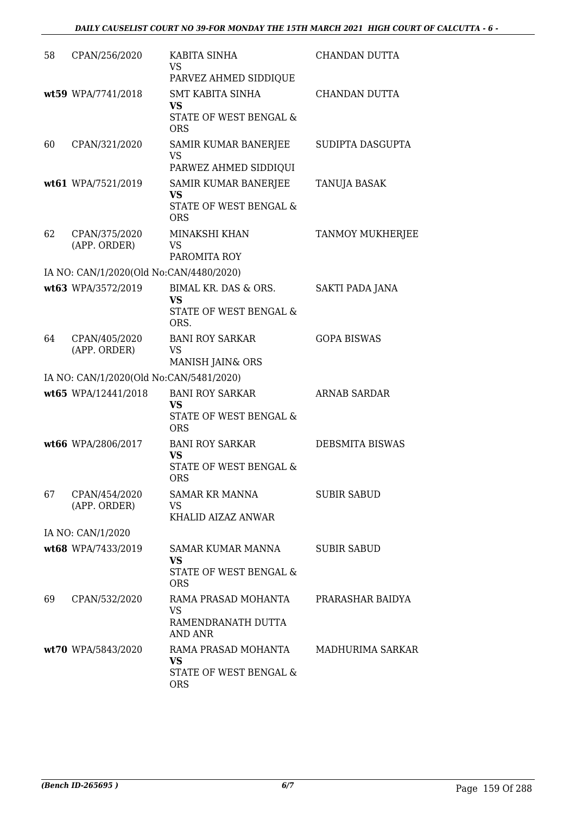| 58 | CPAN/256/2020                           | KABITA SINHA<br><b>VS</b><br>PARVEZ AHMED SIDDIQUE                           | CHANDAN DUTTA          |
|----|-----------------------------------------|------------------------------------------------------------------------------|------------------------|
|    | wt59 WPA/7741/2018                      | <b>SMT KABITA SINHA</b><br><b>VS</b><br>STATE OF WEST BENGAL &<br><b>ORS</b> | CHANDAN DUTTA          |
| 60 | CPAN/321/2020                           | SAMIR KUMAR BANERJEE<br>VS<br>PARWEZ AHMED SIDDIQUI                          | SUDIPTA DASGUPTA       |
|    | wt61 WPA/7521/2019                      | SAMIR KUMAR BANERJEE<br><b>VS</b><br>STATE OF WEST BENGAL &<br><b>ORS</b>    | TANUJA BASAK           |
| 62 | CPAN/375/2020<br>(APP. ORDER)           | MINAKSHI KHAN<br><b>VS</b><br>PAROMITA ROY                                   | TANMOY MUKHERJEE       |
|    | IA NO: CAN/1/2020(Old No:CAN/4480/2020) |                                                                              |                        |
|    | wt63 WPA/3572/2019                      | BIMAL KR. DAS & ORS.<br><b>VS</b><br>STATE OF WEST BENGAL &<br>ORS.          | SAKTI PADA JANA        |
| 64 | CPAN/405/2020<br>(APP. ORDER)           | <b>BANI ROY SARKAR</b><br><b>VS</b><br>MANISH JAIN& ORS                      | <b>GOPA BISWAS</b>     |
|    | IA NO: CAN/1/2020(Old No:CAN/5481/2020) |                                                                              |                        |
|    | wt65 WPA/12441/2018                     | <b>BANI ROY SARKAR</b><br><b>VS</b><br>STATE OF WEST BENGAL &<br><b>ORS</b>  | <b>ARNAB SARDAR</b>    |
|    | wt66 WPA/2806/2017                      | <b>BANI ROY SARKAR</b><br><b>VS</b><br>STATE OF WEST BENGAL &<br><b>ORS</b>  | <b>DEBSMITA BISWAS</b> |
| 67 | CPAN/454/2020<br>(APP. ORDER)           | <b>SAMAR KR MANNA</b><br>VS<br>KHALID AIZAZ ANWAR                            | <b>SUBIR SABUD</b>     |
|    | IA NO: CAN/1/2020                       |                                                                              |                        |
|    | wt68 WPA/7433/2019                      | SAMAR KUMAR MANNA<br><b>VS</b><br>STATE OF WEST BENGAL &<br><b>ORS</b>       | <b>SUBIR SABUD</b>     |
| 69 | CPAN/532/2020                           | RAMA PRASAD MOHANTA<br><b>VS</b><br>RAMENDRANATH DUTTA<br><b>AND ANR</b>     | PRARASHAR BAIDYA       |
|    | wt70 WPA/5843/2020                      | RAMA PRASAD MOHANTA<br><b>VS</b><br>STATE OF WEST BENGAL &<br><b>ORS</b>     | MADHURIMA SARKAR       |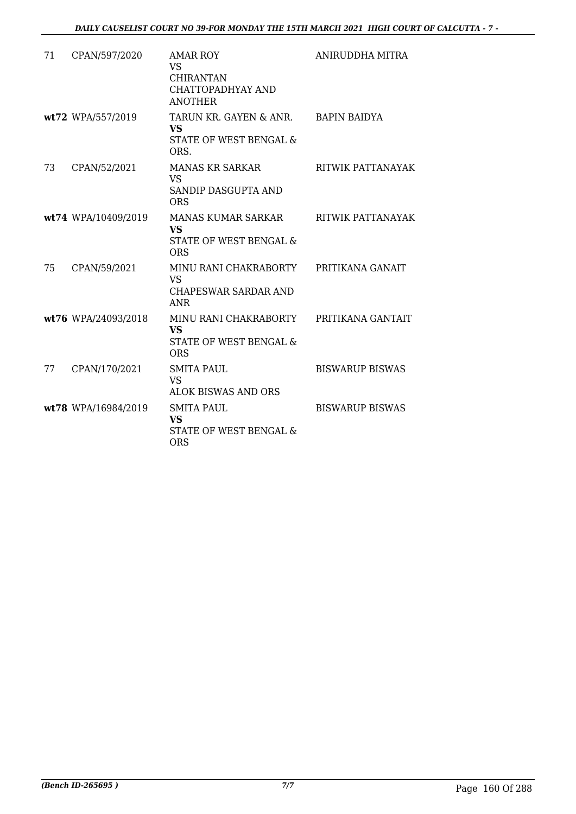| 71 | CPAN/597/2020       | <b>AMAR ROY</b><br>VS<br><b>CHIRANTAN</b><br>CHATTOPADHYAY AND<br><b>ANOTHER</b> | ANIRUDDHA MITRA        |
|----|---------------------|----------------------------------------------------------------------------------|------------------------|
|    | wt72 WPA/557/2019   | TARUN KR. GAYEN & ANR.<br><b>VS</b><br>STATE OF WEST BENGAL &<br>ORS.            | <b>BAPIN BAIDYA</b>    |
| 73 | CPAN/52/2021        | <b>MANAS KR SARKAR</b><br><b>VS</b><br>SANDIP DASGUPTA AND<br><b>ORS</b>         | RITWIK PATTANAYAK      |
|    | wt74 WPA/10409/2019 | MANAS KUMAR SARKAR<br><b>VS</b><br>STATE OF WEST BENGAL &<br><b>ORS</b>          | RITWIK PATTANAYAK      |
| 75 | CPAN/59/2021        | MINU RANI CHAKRABORTY<br><b>VS</b><br>CHAPESWAR SARDAR AND<br><b>ANR</b>         | PRITIKANA GANAIT       |
|    | wt76 WPA/24093/2018 | MINU RANI CHAKRABORTY<br><b>VS</b><br>STATE OF WEST BENGAL &<br><b>ORS</b>       | PRITIKANA GANTAIT      |
| 77 | CPAN/170/2021       | <b>SMITA PAUL</b><br><b>VS</b><br><b>ALOK BISWAS AND ORS</b>                     | <b>BISWARUP BISWAS</b> |
|    | wt78 WPA/16984/2019 | <b>SMITA PAUL</b><br><b>VS</b><br>STATE OF WEST BENGAL &<br><b>ORS</b>           | <b>BISWARUP BISWAS</b> |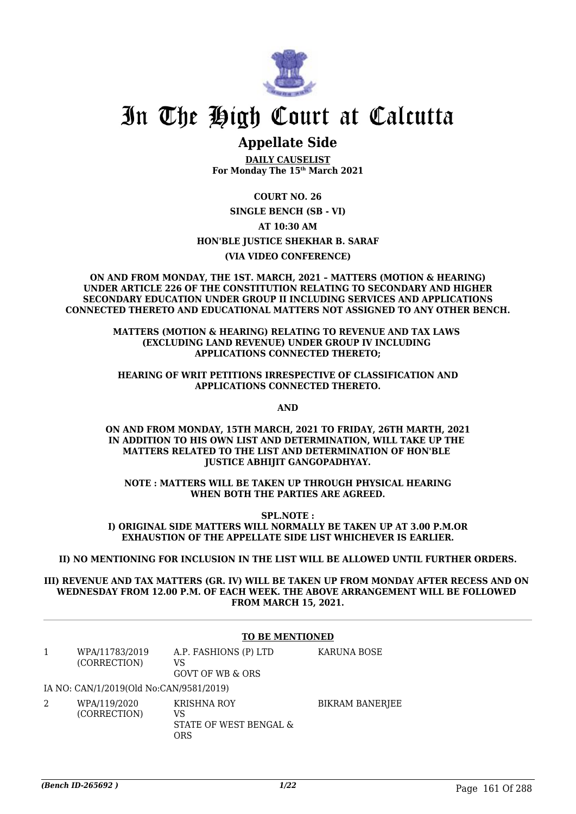

## In The High Court at Calcutta

## **Appellate Side**

**DAILY CAUSELIST For Monday The 15th March 2021**

**COURT NO. 26 SINGLE BENCH (SB - VI) AT 10:30 AM HON'BLE JUSTICE SHEKHAR B. SARAF (VIA VIDEO CONFERENCE)**

**ON AND FROM MONDAY, THE 1ST. MARCH, 2021 – MATTERS (MOTION & HEARING) UNDER ARTICLE 226 OF THE CONSTITUTION RELATING TO SECONDARY AND HIGHER SECONDARY EDUCATION UNDER GROUP II INCLUDING SERVICES AND APPLICATIONS CONNECTED THERETO AND EDUCATIONAL MATTERS NOT ASSIGNED TO ANY OTHER BENCH.**

> **MATTERS (MOTION & HEARING) RELATING TO REVENUE AND TAX LAWS (EXCLUDING LAND REVENUE) UNDER GROUP IV INCLUDING APPLICATIONS CONNECTED THERETO;**

**HEARING OF WRIT PETITIONS IRRESPECTIVE OF CLASSIFICATION AND APPLICATIONS CONNECTED THERETO.**

**AND**

**ON AND FROM MONDAY, 15TH MARCH, 2021 TO FRIDAY, 26TH MARTH, 2021 IN ADDITION TO HIS OWN LIST AND DETERMINATION, WILL TAKE UP THE MATTERS RELATED TO THE LIST AND DETERMINATION OF HON'BLE JUSTICE ABHIJIT GANGOPADHYAY.**

**NOTE : MATTERS WILL BE TAKEN UP THROUGH PHYSICAL HEARING WHEN BOTH THE PARTIES ARE AGREED.**

**SPL.NOTE : I) ORIGINAL SIDE MATTERS WILL NORMALLY BE TAKEN UP AT 3.00 P.M.OR EXHAUSTION OF THE APPELLATE SIDE LIST WHICHEVER IS EARLIER.**

**II) NO MENTIONING FOR INCLUSION IN THE LIST WILL BE ALLOWED UNTIL FURTHER ORDERS.**

**III) REVENUE AND TAX MATTERS (GR. IV) WILL BE TAKEN UP FROM MONDAY AFTER RECESS AND ON WEDNESDAY FROM 12.00 P.M. OF EACH WEEK. THE ABOVE ARRANGEMENT WILL BE FOLLOWED FROM MARCH 15, 2021.**

|   | <b>TO BE MENTIONED</b>                  |                                                    |                 |
|---|-----------------------------------------|----------------------------------------------------|-----------------|
|   | WPA/11783/2019<br>(CORRECTION)          | A.P. FASHIONS (P) LTD<br>VS<br>GOVT OF WB & ORS    | KARUNA BOSE     |
|   | IA NO: CAN/1/2019(Old No:CAN/9581/2019) |                                                    |                 |
| 2 | WPA/119/2020<br>(CORRECTION)            | KRISHNA ROY<br>VS<br>STATE OF WEST BENGAL &<br>ORS | BIKRAM BANERJEE |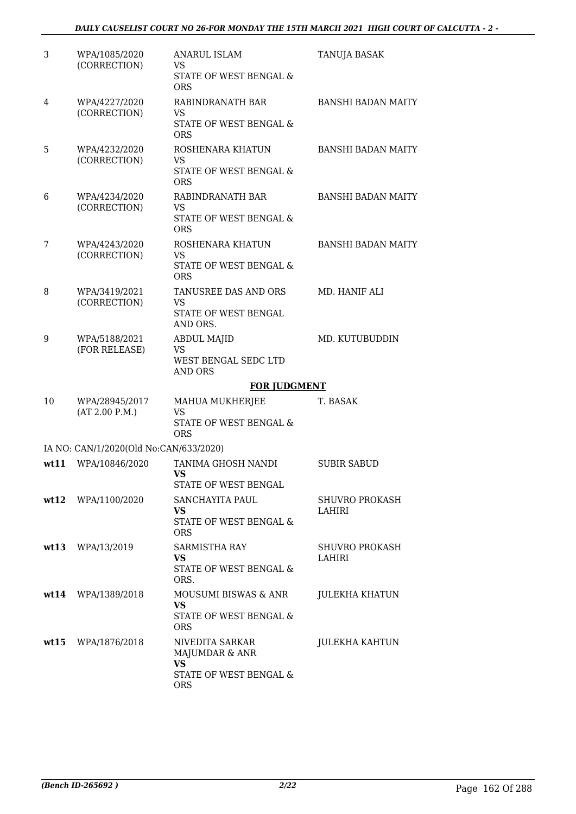| 3    | WPA/1085/2020<br>(CORRECTION)          | <b>ANARUL ISLAM</b><br><b>VS</b><br>STATE OF WEST BENGAL &<br>ORS         | TANUJA BASAK                    |
|------|----------------------------------------|---------------------------------------------------------------------------|---------------------------------|
| 4    | WPA/4227/2020<br>(CORRECTION)          | RABINDRANATH BAR<br>VS.<br>STATE OF WEST BENGAL &<br><b>ORS</b>           | <b>BANSHI BADAN MAITY</b>       |
| 5    | WPA/4232/2020<br>(CORRECTION)          | ROSHENARA KHATUN<br>VS.<br>STATE OF WEST BENGAL &<br><b>ORS</b>           | <b>BANSHI BADAN MAITY</b>       |
| 6    | WPA/4234/2020<br>(CORRECTION)          | RABINDRANATH BAR<br><b>VS</b><br>STATE OF WEST BENGAL &<br><b>ORS</b>     | <b>BANSHI BADAN MAITY</b>       |
| 7    | WPA/4243/2020<br>(CORRECTION)          | ROSHENARA KHATUN<br><b>VS</b><br>STATE OF WEST BENGAL &<br><b>ORS</b>     | <b>BANSHI BADAN MAITY</b>       |
| 8    | WPA/3419/2021<br>(CORRECTION)          | TANUSREE DAS AND ORS<br><b>VS</b><br>STATE OF WEST BENGAL<br>AND ORS.     | MD. HANIF ALI                   |
| 9    | WPA/5188/2021<br>(FOR RELEASE)         | <b>ABDUL MAJID</b><br><b>VS</b><br>WEST BENGAL SEDC LTD<br><b>AND ORS</b> | MD. KUTUBUDDIN                  |
|      |                                        | <b>FOR JUDGMENT</b>                                                       |                                 |
| 10   | WPA/28945/2017<br>(AT 2.00 P.M.)       | MAHUA MUKHERJEE<br>VS<br>STATE OF WEST BENGAL &<br><b>ORS</b>             | T. BASAK                        |
|      | IA NO: CAN/1/2020(Old No:CAN/633/2020) |                                                                           |                                 |
| wt11 |                                        |                                                                           |                                 |
|      | WPA/10846/2020                         | TANIMA GHOSH NANDI<br><b>VS</b><br>STATE OF WEST BENGAL                   | <b>SUBIR SABUD</b>              |
|      | wt12 WPA/1100/2020                     | SANCHAYITA PAUL<br>VS<br>STATE OF WEST BENGAL &<br><b>ORS</b>             | SHUVRO PROKASH<br>LAHIRI        |
|      | wt13 WPA/13/2019                       | SARMISTHA RAY<br><b>VS</b><br>STATE OF WEST BENGAL &<br>ORS.              | <b>SHUVRO PROKASH</b><br>LAHIRI |
|      | wt14 WPA/1389/2018                     | MOUSUMI BISWAS & ANR<br><b>VS</b><br>STATE OF WEST BENGAL &<br><b>ORS</b> | <b>JULEKHA KHATUN</b>           |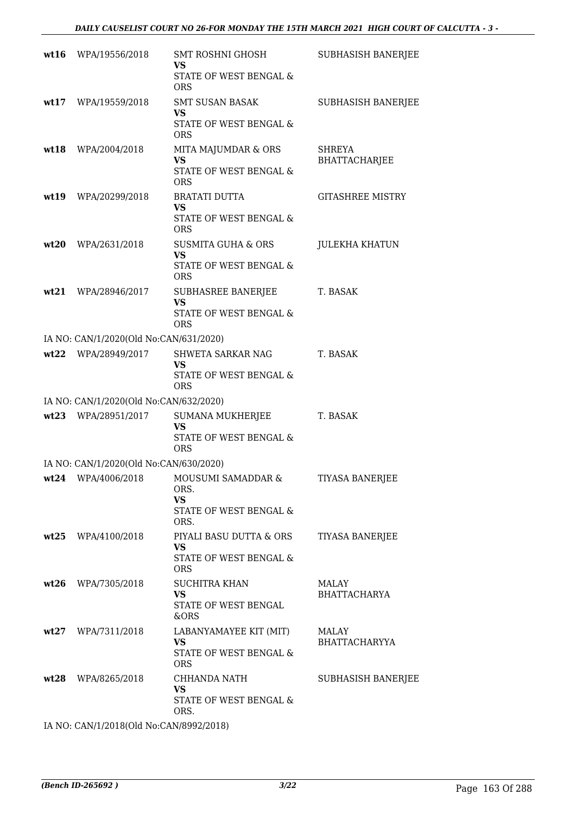| wt16 | WPA/19556/2018                         | SMT ROSHNI GHOSH<br><b>VS</b><br>STATE OF WEST BENGAL &<br><b>ORS</b>              | <b>SUBHASISH BANERJEE</b>     |
|------|----------------------------------------|------------------------------------------------------------------------------------|-------------------------------|
|      | wt17 WPA/19559/2018                    | <b>SMT SUSAN BASAK</b><br>VS<br>STATE OF WEST BENGAL &<br><b>ORS</b>               | <b>SUBHASISH BANERJEE</b>     |
|      | wt18 WPA/2004/2018                     | MITA MAJUMDAR & ORS<br><b>VS</b><br>STATE OF WEST BENGAL &<br><b>ORS</b>           | SHREYA<br>BHATTACHARJEE       |
|      | wt19 WPA/20299/2018                    | <b>BRATATI DUTTA</b><br><b>VS</b><br>STATE OF WEST BENGAL &<br><b>ORS</b>          | <b>GITASHREE MISTRY</b>       |
|      | wt20 WPA/2631/2018                     | <b>SUSMITA GUHA &amp; ORS</b><br><b>VS</b><br>STATE OF WEST BENGAL &<br><b>ORS</b> | <b>JULEKHA KHATUN</b>         |
|      | wt21 WPA/28946/2017                    | <b>SUBHASREE BANERJEE</b><br><b>VS</b><br>STATE OF WEST BENGAL &<br><b>ORS</b>     | T. BASAK                      |
|      | IA NO: CAN/1/2020(Old No:CAN/631/2020) |                                                                                    |                               |
|      | wt22 WPA/28949/2017                    | SHWETA SARKAR NAG<br><b>VS</b><br>STATE OF WEST BENGAL &<br><b>ORS</b>             | T. BASAK                      |
|      | IA NO: CAN/1/2020(Old No:CAN/632/2020) |                                                                                    |                               |
|      | wt23 WPA/28951/2017                    | SUMANA MUKHERJEE<br><b>VS</b><br>STATE OF WEST BENGAL &<br><b>ORS</b>              | T. BASAK                      |
|      | IA NO: CAN/1/2020(Old No:CAN/630/2020) |                                                                                    |                               |
|      | $wt24$ WPA/4006/2018                   | MOUSUMI SAMADDAR &<br>ORS.<br><b>VS</b><br>STATE OF WEST BENGAL &<br>ORS.          | <b>TIYASA BANERJEE</b>        |
|      | wt25 WPA/4100/2018                     | PIYALI BASU DUTTA & ORS<br><b>VS</b><br>STATE OF WEST BENGAL &<br><b>ORS</b>       | TIYASA BANERJEE               |
|      | wt26 WPA/7305/2018                     | <b>SUCHITRA KHAN</b><br><b>VS</b><br>STATE OF WEST BENGAL<br>&ORS                  | MALAY<br><b>BHATTACHARYA</b>  |
|      | wt27 WPA/7311/2018                     | LABANYAMAYEE KIT (MIT)<br><b>VS</b><br>STATE OF WEST BENGAL &<br><b>ORS</b>        | MALAY<br><b>BHATTACHARYYA</b> |
|      | wt28 WPA/8265/2018                     | CHHANDA NATH<br>VS.<br>STATE OF WEST BENGAL &<br>ORS.                              | SUBHASISH BANERJEE            |
|      |                                        |                                                                                    |                               |

IA NO: CAN/1/2018(Old No:CAN/8992/2018)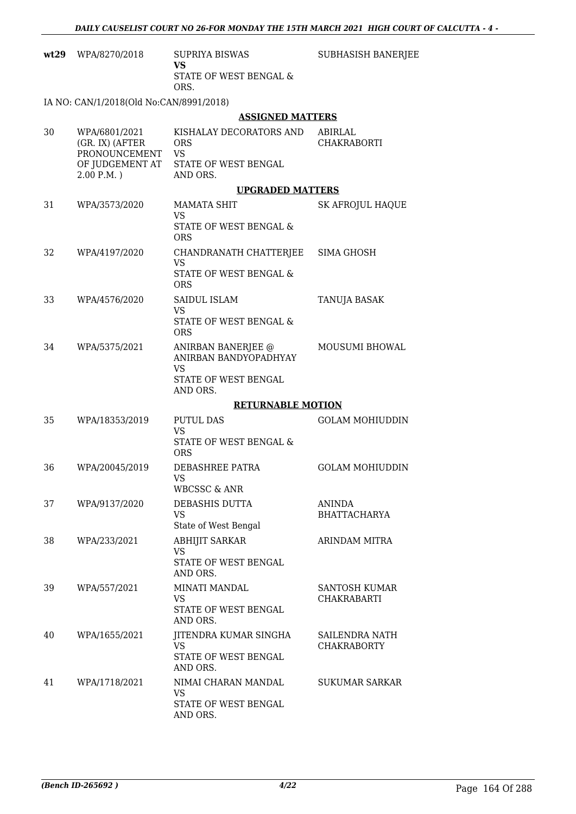| wt29 | WPA/8270/2018                                     | <b>SUPRIYA BISWAS</b><br><b>VS</b><br>STATE OF WEST BENGAL &                | SUBHASISH BANERJEE                   |
|------|---------------------------------------------------|-----------------------------------------------------------------------------|--------------------------------------|
|      |                                                   | ORS.                                                                        |                                      |
|      | IA NO: CAN/1/2018(Old No:CAN/8991/2018)           |                                                                             |                                      |
|      |                                                   | <b>ASSIGNED MATTERS</b>                                                     |                                      |
| 30   | WPA/6801/2021<br>(GR. IX) (AFTER<br>PRONOUNCEMENT | KISHALAY DECORATORS AND<br><b>ORS</b><br><b>VS</b>                          | ABIRLAL<br><b>CHAKRABORTI</b>        |
|      | OF JUDGEMENT AT<br>$2.00 P.M.$ )                  | STATE OF WEST BENGAL<br>AND ORS.                                            |                                      |
|      |                                                   | <b>UPGRADED MATTERS</b>                                                     |                                      |
| 31   | WPA/3573/2020                                     | <b>MAMATA SHIT</b><br><b>VS</b>                                             | <b>SK AFROJUL HAQUE</b>              |
|      |                                                   | STATE OF WEST BENGAL &<br><b>ORS</b>                                        |                                      |
| 32   | WPA/4197/2020                                     | CHANDRANATH CHATTERJEE<br><b>VS</b><br>STATE OF WEST BENGAL &<br><b>ORS</b> | SIMA GHOSH                           |
| 33   | WPA/4576/2020                                     | SAIDUL ISLAM<br><b>VS</b>                                                   | TANUJA BASAK                         |
|      |                                                   | STATE OF WEST BENGAL &<br><b>ORS</b>                                        |                                      |
| 34   | WPA/5375/2021                                     | ANIRBAN BANERJEE @<br>ANIRBAN BANDYOPADHYAY<br>VS                           | <b>MOUSUMI BHOWAL</b>                |
|      |                                                   | STATE OF WEST BENGAL<br>AND ORS.                                            |                                      |
|      |                                                   | <b>RETURNABLE MOTION</b>                                                    |                                      |
| 35   | WPA/18353/2019                                    | <b>PUTUL DAS</b><br><b>VS</b><br>STATE OF WEST BENGAL &                     | <b>GOLAM MOHIUDDIN</b>               |
|      |                                                   | <b>ORS</b>                                                                  |                                      |
| 36   | WPA/20045/2019                                    | DEBASHREE PATRA<br>VS                                                       | <b>GOLAM MOHIUDDIN</b>               |
|      |                                                   | WBCSSC & ANR                                                                |                                      |
| 37   | WPA/9137/2020                                     | DEBASHIS DUTTA<br><b>VS</b><br>State of West Bengal                         | <b>ANINDA</b><br><b>BHATTACHARYA</b> |
| 38   | WPA/233/2021                                      | <b>ABHIJIT SARKAR</b><br><b>VS</b>                                          | ARINDAM MITRA                        |
|      |                                                   | STATE OF WEST BENGAL<br>AND ORS.                                            |                                      |
| 39   | WPA/557/2021                                      | MINATI MANDAL<br><b>VS</b><br>STATE OF WEST BENGAL<br>AND ORS.              | SANTOSH KUMAR<br><b>CHAKRABARTI</b>  |
| 40   | WPA/1655/2021                                     | JITENDRA KUMAR SINGHA<br><b>VS</b><br>STATE OF WEST BENGAL                  | SAILENDRA NATH<br><b>CHAKRABORTY</b> |
|      |                                                   | AND ORS.                                                                    |                                      |
| 41   | WPA/1718/2021                                     | NIMAI CHARAN MANDAL<br><b>VS</b>                                            | <b>SUKUMAR SARKAR</b>                |
|      |                                                   | STATE OF WEST BENGAL<br>AND ORS.                                            |                                      |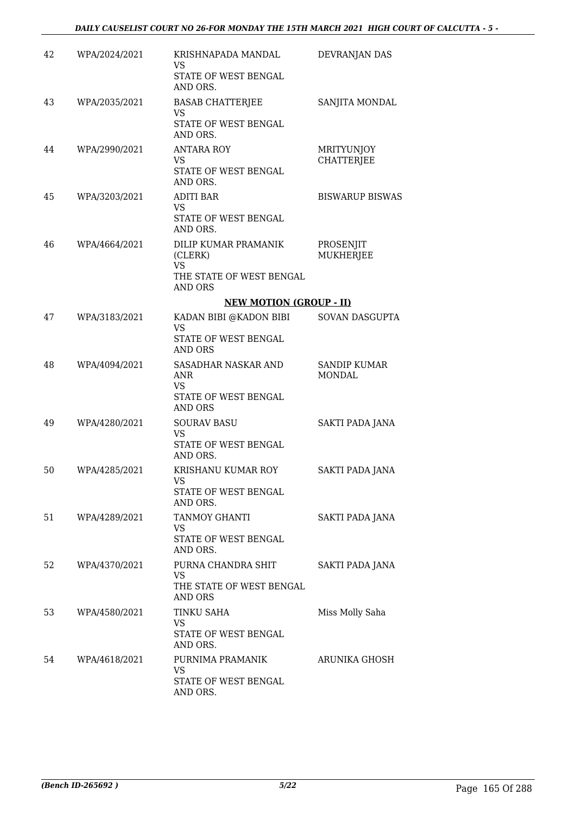| 42 | WPA/2024/2021 | KRISHNAPADA MANDAL<br>VS<br>STATE OF WEST BENGAL<br>AND ORS.                                         | DEVRANJAN DAS                          |
|----|---------------|------------------------------------------------------------------------------------------------------|----------------------------------------|
| 43 | WPA/2035/2021 | <b>BASAB CHATTERJEE</b><br><b>VS</b><br>STATE OF WEST BENGAL<br>AND ORS.                             | SANJITA MONDAL                         |
| 44 | WPA/2990/2021 | <b>ANTARA ROY</b><br>VS.<br>STATE OF WEST BENGAL<br>AND ORS.                                         | <b>MRITYUNJOY</b><br><b>CHATTERJEE</b> |
| 45 | WPA/3203/2021 | <b>ADITI BAR</b><br>VS.<br>STATE OF WEST BENGAL<br>AND ORS.                                          | <b>BISWARUP BISWAS</b>                 |
| 46 | WPA/4664/2021 | <b>DILIP KUMAR PRAMANIK</b><br>(CLERK)<br><b>VS</b><br>THE STATE OF WEST BENGAL<br><b>AND ORS</b>    | PROSENJIT<br><b>MUKHERJEE</b>          |
|    |               | <b>NEW MOTION (GROUP - II)</b>                                                                       |                                        |
| 47 | WPA/3183/2021 | KADAN BIBI @KADON BIBI<br><b>VS</b><br>STATE OF WEST BENGAL                                          | SOVAN DASGUPTA                         |
| 48 | WPA/4094/2021 | <b>AND ORS</b><br>SASADHAR NASKAR AND<br><b>ANR</b><br>VS.<br>STATE OF WEST BENGAL<br><b>AND ORS</b> | <b>SANDIP KUMAR</b><br><b>MONDAL</b>   |
| 49 | WPA/4280/2021 | <b>SOURAV BASU</b><br>VS<br>STATE OF WEST BENGAL<br>AND ORS.                                         | <b>SAKTI PADA JANA</b>                 |
| 50 | WPA/4285/2021 | KRISHANU KUMAR ROY<br>VS<br>STATE OF WEST BENGAL<br>AND ORS.                                         | SAKTI PADA JANA                        |
| 51 | WPA/4289/2021 | TANMOY GHANTI<br><b>VS</b><br>STATE OF WEST BENGAL<br>AND ORS.                                       | SAKTI PADA JANA                        |
| 52 | WPA/4370/2021 | PURNA CHANDRA SHIT<br><b>VS</b><br>THE STATE OF WEST BENGAL<br>AND ORS                               | SAKTI PADA JANA                        |
| 53 | WPA/4580/2021 | TINKU SAHA<br>VS<br>STATE OF WEST BENGAL<br>AND ORS.                                                 | Miss Molly Saha                        |
| 54 | WPA/4618/2021 | PURNIMA PRAMANIK<br><b>VS</b><br>STATE OF WEST BENGAL<br>AND ORS.                                    | ARUNIKA GHOSH                          |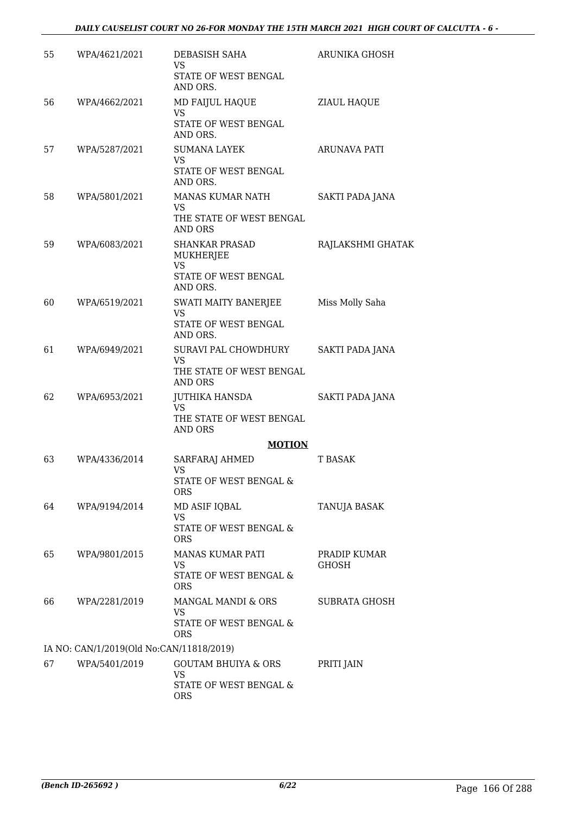| 55 | WPA/4621/2021                            | DEBASISH SAHA<br>VS.<br>STATE OF WEST BENGAL                                      | ARUNIKA GHOSH         |
|----|------------------------------------------|-----------------------------------------------------------------------------------|-----------------------|
| 56 | WPA/4662/2021                            | AND ORS.<br>MD FAIJUL HAQUE<br><b>VS</b><br>STATE OF WEST BENGAL                  | ZIAUL HAQUE           |
|    |                                          | AND ORS.                                                                          |                       |
| 57 | WPA/5287/2021                            | <b>SUMANA LAYEK</b><br><b>VS</b><br>STATE OF WEST BENGAL<br>AND ORS.              | ARUNAVA PATI          |
| 58 | WPA/5801/2021                            | MANAS KUMAR NATH<br>VS.<br>THE STATE OF WEST BENGAL<br><b>AND ORS</b>             | SAKTI PADA JANA       |
| 59 | WPA/6083/2021                            | <b>SHANKAR PRASAD</b><br>MUKHERJEE<br><b>VS</b><br>STATE OF WEST BENGAL           | RAJLAKSHMI GHATAK     |
| 60 | WPA/6519/2021                            | AND ORS.<br>SWATI MAITY BANERJEE<br><b>VS</b><br>STATE OF WEST BENGAL<br>AND ORS. | Miss Molly Saha       |
| 61 | WPA/6949/2021                            | SURAVI PAL CHOWDHURY<br><b>VS</b><br>THE STATE OF WEST BENGAL<br>AND ORS          | SAKTI PADA JANA       |
| 62 | WPA/6953/2021                            | JUTHIKA HANSDA<br><b>VS</b><br>THE STATE OF WEST BENGAL<br>AND ORS                | SAKTI PADA JANA       |
|    |                                          | <b>MOTION</b>                                                                     |                       |
| 63 | WPA/4336/2014                            | SARFARAJ AHMED<br>VS<br>STATE OF WEST BENGAL &                                    | <b>T BASAK</b>        |
| 64 | WPA/9194/2014                            | <b>ORS</b><br>MD ASIF IQBAL<br>VS<br>STATE OF WEST BENGAL &                       | TANUJA BASAK          |
|    |                                          | <b>ORS</b>                                                                        |                       |
| 65 | WPA/9801/2015                            | <b>MANAS KUMAR PATI</b><br><b>VS</b><br>STATE OF WEST BENGAL &<br><b>ORS</b>      | PRADIP KUMAR<br>GHOSH |
| 66 | WPA/2281/2019                            | MANGAL MANDI & ORS<br><b>VS</b><br>STATE OF WEST BENGAL &<br><b>ORS</b>           | <b>SUBRATA GHOSH</b>  |
|    | IA NO: CAN/1/2019(Old No:CAN/11818/2019) |                                                                                   |                       |
| 67 | WPA/5401/2019                            | <b>GOUTAM BHUIYA &amp; ORS</b><br>VS<br>STATE OF WEST BENGAL &<br><b>ORS</b>      | PRITI JAIN            |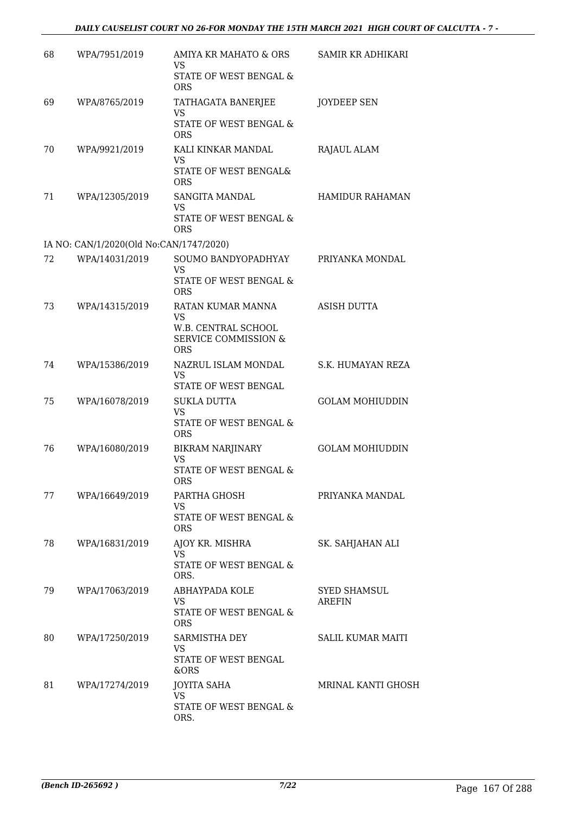#### *DAILY CAUSELIST COURT NO 26-FOR MONDAY THE 15TH MARCH 2021 HIGH COURT OF CALCUTTA - 7 -*

| 68 | WPA/7951/2019                           | AMIYA KR MAHATO & ORS<br>VS<br>STATE OF WEST BENGAL &<br><b>ORS</b>                                    | SAMIR KR ADHIKARI             |
|----|-----------------------------------------|--------------------------------------------------------------------------------------------------------|-------------------------------|
| 69 | WPA/8765/2019                           | TATHAGATA BANERJEE<br><b>VS</b><br>STATE OF WEST BENGAL &                                              | JOYDEEP SEN                   |
| 70 | WPA/9921/2019                           | <b>ORS</b><br>KALI KINKAR MANDAL<br><b>VS</b>                                                          | RAJAUL ALAM                   |
|    |                                         | STATE OF WEST BENGAL&<br><b>ORS</b>                                                                    |                               |
| 71 | WPA/12305/2019                          | SANGITA MANDAL<br>VS.<br>STATE OF WEST BENGAL &<br><b>ORS</b>                                          | HAMIDUR RAHAMAN               |
|    | IA NO: CAN/1/2020(Old No:CAN/1747/2020) |                                                                                                        |                               |
| 72 | WPA/14031/2019                          | SOUMO BANDYOPADHYAY<br><b>VS</b>                                                                       | PRIYANKA MONDAL               |
|    |                                         | STATE OF WEST BENGAL &<br>ORS                                                                          |                               |
| 73 | WPA/14315/2019                          | RATAN KUMAR MANNA<br><b>VS</b><br>W.B. CENTRAL SCHOOL<br><b>SERVICE COMMISSION &amp;</b><br><b>ORS</b> | ASISH DUTTA                   |
| 74 | WPA/15386/2019                          | NAZRUL ISLAM MONDAL<br><b>VS</b><br>STATE OF WEST BENGAL                                               | S.K. HUMAYAN REZA             |
| 75 | WPA/16078/2019                          | <b>SUKLA DUTTA</b><br><b>VS</b><br>STATE OF WEST BENGAL &<br><b>ORS</b>                                | <b>GOLAM MOHIUDDIN</b>        |
| 76 | WPA/16080/2019                          | <b>BIKRAM NARJINARY</b><br><b>VS</b><br><b>STATE OF WEST BENGAL &amp;</b><br>ORS                       | <b>GOLAM MOHIUDDIN</b>        |
| 77 | WPA/16649/2019                          | PARTHA GHOSH<br><b>VS</b><br>STATE OF WEST BENGAL &<br><b>ORS</b>                                      | PRIYANKA MANDAL               |
| 78 | WPA/16831/2019                          | AJOY KR. MISHRA<br><b>VS</b><br>STATE OF WEST BENGAL &<br>ORS.                                         | SK. SAHJAHAN ALI              |
| 79 | WPA/17063/2019                          | ABHAYPADA KOLE<br><b>VS</b><br>STATE OF WEST BENGAL &<br><b>ORS</b>                                    | <b>SYED SHAMSUL</b><br>AREFIN |
| 80 | WPA/17250/2019                          | SARMISTHA DEY<br><b>VS</b><br>STATE OF WEST BENGAL<br>&ORS                                             | <b>SALIL KUMAR MAITI</b>      |
| 81 | WPA/17274/2019                          | <b>JOYITA SAHA</b><br><b>VS</b><br>STATE OF WEST BENGAL &<br>ORS.                                      | MRINAL KANTI GHOSH            |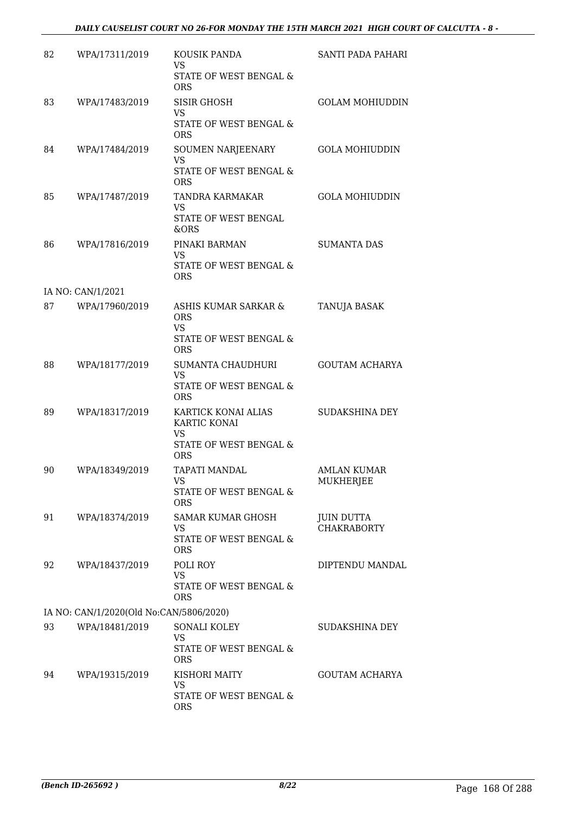#### *DAILY CAUSELIST COURT NO 26-FOR MONDAY THE 15TH MARCH 2021 HIGH COURT OF CALCUTTA - 8 -*

| 82 | WPA/17311/2019                          | KOUSIK PANDA<br><b>VS</b>                        | SANTI PADA PAHARI                       |
|----|-----------------------------------------|--------------------------------------------------|-----------------------------------------|
|    |                                         | STATE OF WEST BENGAL &<br>ORS                    |                                         |
| 83 | WPA/17483/2019                          | <b>SISIR GHOSH</b><br><b>VS</b>                  | <b>GOLAM MOHIUDDIN</b>                  |
|    |                                         | STATE OF WEST BENGAL &<br><b>ORS</b>             |                                         |
| 84 | WPA/17484/2019                          | SOUMEN NARJEENARY<br><b>VS</b>                   | <b>GOLA MOHIUDDIN</b>                   |
|    |                                         | STATE OF WEST BENGAL &<br><b>ORS</b>             |                                         |
| 85 | WPA/17487/2019                          | TANDRA KARMAKAR<br><b>VS</b>                     | <b>GOLA MOHIUDDIN</b>                   |
|    |                                         | STATE OF WEST BENGAL<br>&ORS                     |                                         |
| 86 | WPA/17816/2019                          | PINAKI BARMAN<br>VS                              | <b>SUMANTA DAS</b>                      |
|    |                                         | STATE OF WEST BENGAL &<br><b>ORS</b>             |                                         |
|    | IA NO: CAN/1/2021                       |                                                  |                                         |
| 87 | WPA/17960/2019                          | ASHIS KUMAR SARKAR &<br><b>ORS</b><br><b>VS</b>  | TANUJA BASAK                            |
|    |                                         | STATE OF WEST BENGAL &<br><b>ORS</b>             |                                         |
| 88 | WPA/18177/2019                          | SUMANTA CHAUDHURI<br><b>VS</b>                   | <b>GOUTAM ACHARYA</b>                   |
|    |                                         | STATE OF WEST BENGAL &<br><b>ORS</b>             |                                         |
| 89 | WPA/18317/2019                          | KARTICK KONAI ALIAS<br>KARTIC KONAI<br><b>VS</b> | SUDAKSHINA DEY                          |
|    |                                         | STATE OF WEST BENGAL &<br><b>ORS</b>             |                                         |
| 90 | WPA/18349/2019                          | <b>TAPATI MANDAL</b><br>VS                       | AMLAN KUMAR<br>MUKHERJEE                |
|    |                                         | STATE OF WEST BENGAL &<br><b>ORS</b>             |                                         |
| 91 | WPA/18374/2019                          | <b>SAMAR KUMAR GHOSH</b><br><b>VS</b>            | <b>JUIN DUTTA</b><br><b>CHAKRABORTY</b> |
|    |                                         | STATE OF WEST BENGAL &<br><b>ORS</b>             |                                         |
| 92 | WPA/18437/2019                          | POLI ROY<br><b>VS</b>                            | DIPTENDU MANDAL                         |
|    |                                         | <b>STATE OF WEST BENGAL &amp;</b><br><b>ORS</b>  |                                         |
|    | IA NO: CAN/1/2020(Old No:CAN/5806/2020) |                                                  |                                         |
| 93 | WPA/18481/2019                          | SONALI KOLEY<br><b>VS</b>                        | SUDAKSHINA DEY                          |
|    |                                         | STATE OF WEST BENGAL &<br><b>ORS</b>             |                                         |
| 94 | WPA/19315/2019                          | KISHORI MAITY<br><b>VS</b>                       | <b>GOUTAM ACHARYA</b>                   |
|    |                                         | STATE OF WEST BENGAL &<br><b>ORS</b>             |                                         |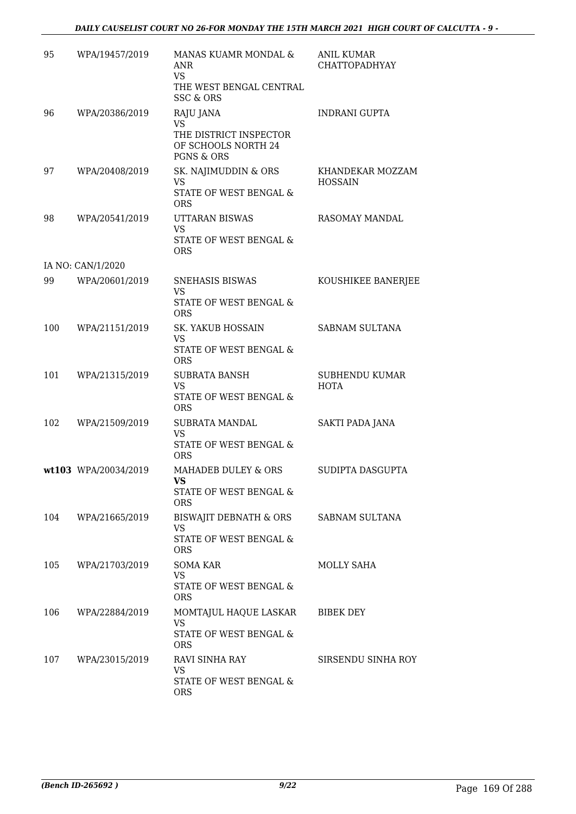| 95  | WPA/19457/2019       | MANAS KUAMR MONDAL &<br>ANR<br><b>VS</b><br>THE WEST BENGAL CENTRAL<br><b>SSC &amp; ORS</b>      | <b>ANIL KUMAR</b><br>CHATTOPADHYAY   |
|-----|----------------------|--------------------------------------------------------------------------------------------------|--------------------------------------|
| 96  | WPA/20386/2019       | RAJU JANA<br><b>VS</b><br>THE DISTRICT INSPECTOR<br>OF SCHOOLS NORTH 24<br><b>PGNS &amp; ORS</b> | <b>INDRANI GUPTA</b>                 |
| 97  | WPA/20408/2019       | SK. NAJIMUDDIN & ORS<br><b>VS</b><br>STATE OF WEST BENGAL &<br><b>ORS</b>                        | KHANDEKAR MOZZAM<br><b>HOSSAIN</b>   |
| 98  | WPA/20541/2019       | UTTARAN BISWAS<br><b>VS</b><br>STATE OF WEST BENGAL &<br><b>ORS</b>                              | RASOMAY MANDAL                       |
|     | IA NO: CAN/1/2020    |                                                                                                  |                                      |
| 99  | WPA/20601/2019       | SNEHASIS BISWAS<br><b>VS</b><br>STATE OF WEST BENGAL &<br><b>ORS</b>                             | KOUSHIKEE BANERJEE                   |
| 100 | WPA/21151/2019       | SK. YAKUB HOSSAIN<br><b>VS</b><br>STATE OF WEST BENGAL &<br><b>ORS</b>                           | SABNAM SULTANA                       |
| 101 | WPA/21315/2019       | <b>SUBRATA BANSH</b><br><b>VS</b><br>STATE OF WEST BENGAL &<br>ORS                               | <b>SUBHENDU KUMAR</b><br><b>HOTA</b> |
| 102 | WPA/21509/2019       | <b>SUBRATA MANDAL</b><br><b>VS</b><br>STATE OF WEST BENGAL &<br><b>ORS</b>                       | SAKTI PADA JANA                      |
|     | wt103 WPA/20034/2019 | MAHADEB DULEY & ORS<br><b>VS</b><br>STATE OF WEST BENGAL &<br><b>ORS</b>                         | SUDIPTA DASGUPTA                     |
| 104 | WPA/21665/2019       | BISWAJIT DEBNATH & ORS<br>VS<br>STATE OF WEST BENGAL &<br>ORS                                    | SABNAM SULTANA                       |
| 105 | WPA/21703/2019       | SOMA KAR<br>VS<br>STATE OF WEST BENGAL &<br><b>ORS</b>                                           | MOLLY SAHA                           |
| 106 | WPA/22884/2019       | MOMTAJUL HAQUE LASKAR<br><b>VS</b><br>STATE OF WEST BENGAL &<br><b>ORS</b>                       | BIBEK DEY                            |
| 107 | WPA/23015/2019       | RAVI SINHA RAY<br><b>VS</b><br>STATE OF WEST BENGAL &<br><b>ORS</b>                              | SIRSENDU SINHA ROY                   |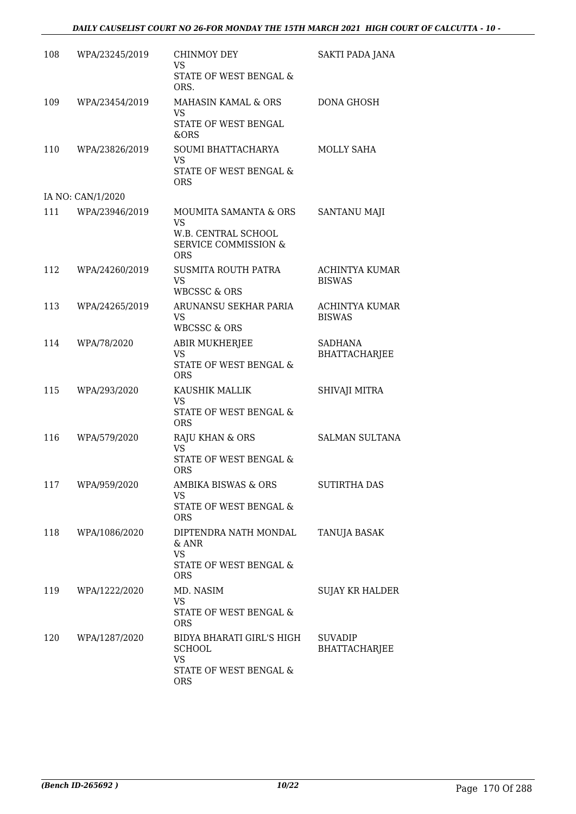| 108 | WPA/23245/2019    | CHINMOY DEY<br>VS<br>STATE OF WEST BENGAL &                                                                | SAKTI PADA JANA                        |
|-----|-------------------|------------------------------------------------------------------------------------------------------------|----------------------------------------|
| 109 | WPA/23454/2019    | ORS.<br>MAHASIN KAMAL & ORS<br><b>VS</b><br>STATE OF WEST BENGAL                                           | <b>DONA GHOSH</b>                      |
|     |                   | &ORS                                                                                                       |                                        |
| 110 | WPA/23826/2019    | SOUMI BHATTACHARYA<br>VS<br>STATE OF WEST BENGAL &<br>ORS                                                  | <b>MOLLY SAHA</b>                      |
|     | IA NO: CAN/1/2020 |                                                                                                            |                                        |
| 111 | WPA/23946/2019    | MOUMITA SAMANTA & ORS<br><b>VS</b><br>W.B. CENTRAL SCHOOL<br><b>SERVICE COMMISSION &amp;</b><br><b>ORS</b> | <b>SANTANU MAJI</b>                    |
| 112 | WPA/24260/2019    | SUSMITA ROUTH PATRA<br><b>VS</b><br>WBCSSC & ORS                                                           | ACHINTYA KUMAR<br><b>BISWAS</b>        |
| 113 | WPA/24265/2019    | ARUNANSU SEKHAR PARIA<br><b>VS</b><br><b>WBCSSC &amp; ORS</b>                                              | <b>ACHINTYA KUMAR</b><br><b>BISWAS</b> |
| 114 | WPA/78/2020       | ABIR MUKHERJEE<br><b>VS</b><br>STATE OF WEST BENGAL &<br><b>ORS</b>                                        | SADHANA<br><b>BHATTACHARJEE</b>        |
| 115 | WPA/293/2020      | KAUSHIK MALLIK<br><b>VS</b><br>STATE OF WEST BENGAL &<br><b>ORS</b>                                        | SHIVAJI MITRA                          |
| 116 | WPA/579/2020      | RAJU KHAN & ORS<br><b>VS</b><br>STATE OF WEST BENGAL &<br><b>ORS</b>                                       | <b>SALMAN SULTANA</b>                  |
| 117 | WPA/959/2020      | <b>AMBIKA BISWAS &amp; ORS</b><br><b>VS</b><br>STATE OF WEST BENGAL &<br><b>ORS</b>                        | SUTIRTHA DAS                           |
| 118 | WPA/1086/2020     | DIPTENDRA NATH MONDAL<br>$&$ ANR<br><b>VS</b><br>STATE OF WEST BENGAL &<br><b>ORS</b>                      | TANUJA BASAK                           |
| 119 | WPA/1222/2020     | MD. NASIM<br><b>VS</b><br>STATE OF WEST BENGAL &<br><b>ORS</b>                                             | SUJAY KR HALDER                        |
| 120 | WPA/1287/2020     | BIDYA BHARATI GIRL'S HIGH<br><b>SCHOOL</b><br><b>VS</b><br>STATE OF WEST BENGAL &<br><b>ORS</b>            | <b>SUVADIP</b><br><b>BHATTACHARJEE</b> |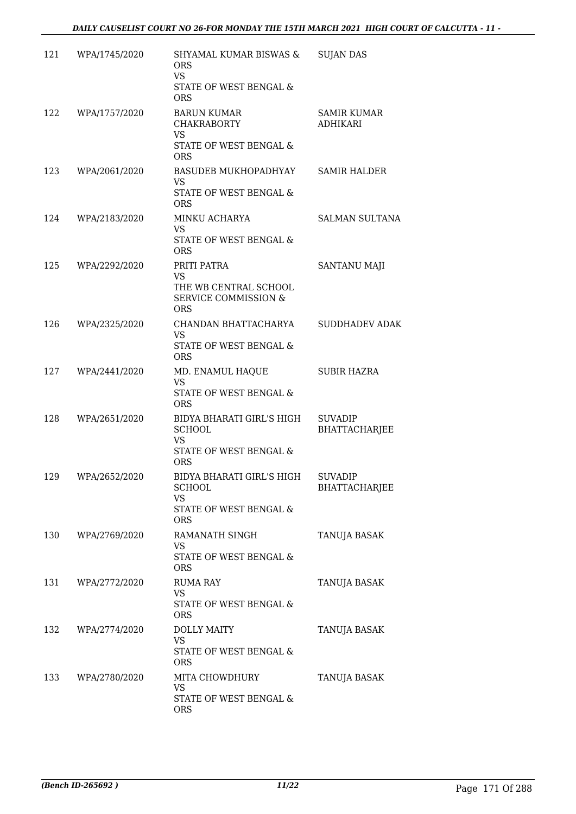| 121 | WPA/1745/2020 | SHYAMAL KUMAR BISWAS &<br><b>ORS</b><br><b>VS</b><br>STATE OF WEST BENGAL &<br><b>ORS</b>                  | <b>SUJAN DAS</b>                       |
|-----|---------------|------------------------------------------------------------------------------------------------------------|----------------------------------------|
| 122 | WPA/1757/2020 | <b>BARUN KUMAR</b><br><b>CHAKRABORTY</b><br><b>VS</b><br>STATE OF WEST BENGAL &<br><b>ORS</b>              | <b>SAMIR KUMAR</b><br><b>ADHIKARI</b>  |
| 123 | WPA/2061/2020 | <b>BASUDEB MUKHOPADHYAY</b><br><b>VS</b><br>STATE OF WEST BENGAL &<br><b>ORS</b>                           | <b>SAMIR HALDER</b>                    |
| 124 | WPA/2183/2020 | MINKU ACHARYA<br><b>VS</b><br>STATE OF WEST BENGAL &<br><b>ORS</b>                                         | <b>SALMAN SULTANA</b>                  |
| 125 | WPA/2292/2020 | PRITI PATRA<br>VS<br>THE WB CENTRAL SCHOOL<br><b>SERVICE COMMISSION &amp;</b><br><b>ORS</b>                | SANTANU MAJI                           |
| 126 | WPA/2325/2020 | CHANDAN BHATTACHARYA<br><b>VS</b><br>STATE OF WEST BENGAL &<br><b>ORS</b>                                  | <b>SUDDHADEV ADAK</b>                  |
| 127 | WPA/2441/2020 | MD. ENAMUL HAQUE<br><b>VS</b><br>STATE OF WEST BENGAL &<br><b>ORS</b>                                      | SUBIR HAZRA                            |
| 128 | WPA/2651/2020 | BIDYA BHARATI GIRL'S HIGH<br><b>SCHOOL</b><br><b>VS</b><br>STATE OF WEST BENGAL &<br><b>ORS</b>            | <b>SUVADIP</b><br><b>BHATTACHARJEE</b> |
| 129 | WPA/2652/2020 | BIDYA BHARATI GIRL'S HIGH<br><b>SCHOOL</b><br><b>VS</b><br><b>STATE OF WEST BENGAL &amp;</b><br><b>ORS</b> | <b>SUVADIP</b><br><b>BHATTACHARJEE</b> |
| 130 | WPA/2769/2020 | RAMANATH SINGH<br><b>VS</b><br><b>STATE OF WEST BENGAL &amp;</b><br><b>ORS</b>                             | TANUJA BASAK                           |
| 131 | WPA/2772/2020 | <b>RUMA RAY</b><br><b>VS</b><br>STATE OF WEST BENGAL &<br><b>ORS</b>                                       | TANUJA BASAK                           |
| 132 | WPA/2774/2020 | <b>DOLLY MAITY</b><br><b>VS</b><br>STATE OF WEST BENGAL &<br><b>ORS</b>                                    | TANUJA BASAK                           |
| 133 | WPA/2780/2020 | MITA CHOWDHURY<br>VS<br>STATE OF WEST BENGAL &<br><b>ORS</b>                                               | TANUJA BASAK                           |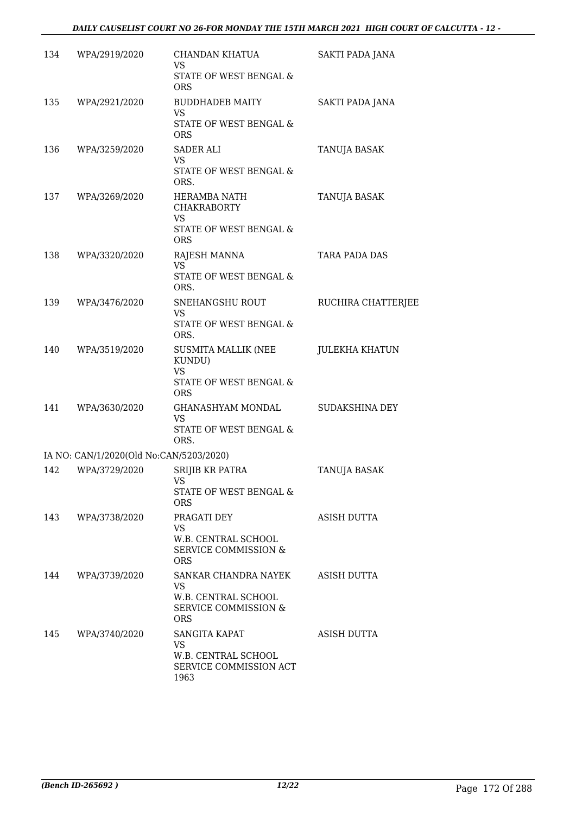| 134 | WPA/2919/2020                           | CHANDAN KHATUA<br><b>VS</b><br>STATE OF WEST BENGAL &<br><b>ORS</b>                            | SAKTI PADA JANA        |
|-----|-----------------------------------------|------------------------------------------------------------------------------------------------|------------------------|
| 135 | WPA/2921/2020                           | <b>BUDDHADEB MAITY</b><br><b>VS</b><br>STATE OF WEST BENGAL &<br><b>ORS</b>                    | <b>SAKTI PADA JANA</b> |
| 136 | WPA/3259/2020                           | SADER ALI<br><b>VS</b><br>STATE OF WEST BENGAL &<br>ORS.                                       | TANUJA BASAK           |
| 137 | WPA/3269/2020                           | HERAMBA NATH<br><b>CHAKRABORTY</b><br><b>VS</b><br>STATE OF WEST BENGAL &<br><b>ORS</b>        | TANUJA BASAK           |
| 138 | WPA/3320/2020                           | RAJESH MANNA<br>VS.<br>STATE OF WEST BENGAL &<br>ORS.                                          | TARA PADA DAS          |
| 139 | WPA/3476/2020                           | SNEHANGSHU ROUT<br><b>VS</b><br>STATE OF WEST BENGAL &<br>ORS.                                 | RUCHIRA CHATTERJEE     |
| 140 | WPA/3519/2020                           | <b>SUSMITA MALLIK (NEE</b><br>KUNDU)<br><b>VS</b><br>STATE OF WEST BENGAL &<br><b>ORS</b>      | <b>JULEKHA KHATUN</b>  |
| 141 | WPA/3630/2020                           | GHANASHYAM MONDAL<br><b>VS</b><br>STATE OF WEST BENGAL &<br>ORS.                               | SUDAKSHINA DEY         |
|     | IA NO: CAN/1/2020(Old No:CAN/5203/2020) |                                                                                                |                        |
| 142 | WPA/3729/2020                           | <b>SRIJIB KR PATRA</b><br>VS<br>STATE OF WEST BENGAL &<br><b>ORS</b>                           | TANUJA BASAK           |
| 143 | WPA/3738/2020                           | PRAGATI DEY<br><b>VS</b><br>W.B. CENTRAL SCHOOL<br>SERVICE COMMISSION &<br><b>ORS</b>          | <b>ASISH DUTTA</b>     |
| 144 | WPA/3739/2020                           | SANKAR CHANDRA NAYEK<br><b>VS</b><br>W.B. CENTRAL SCHOOL<br>SERVICE COMMISSION &<br><b>ORS</b> | ASISH DUTTA            |
| 145 | WPA/3740/2020                           | SANGITA KAPAT<br><b>VS</b><br>W.B. CENTRAL SCHOOL<br>SERVICE COMMISSION ACT<br>1963            | ASISH DUTTA            |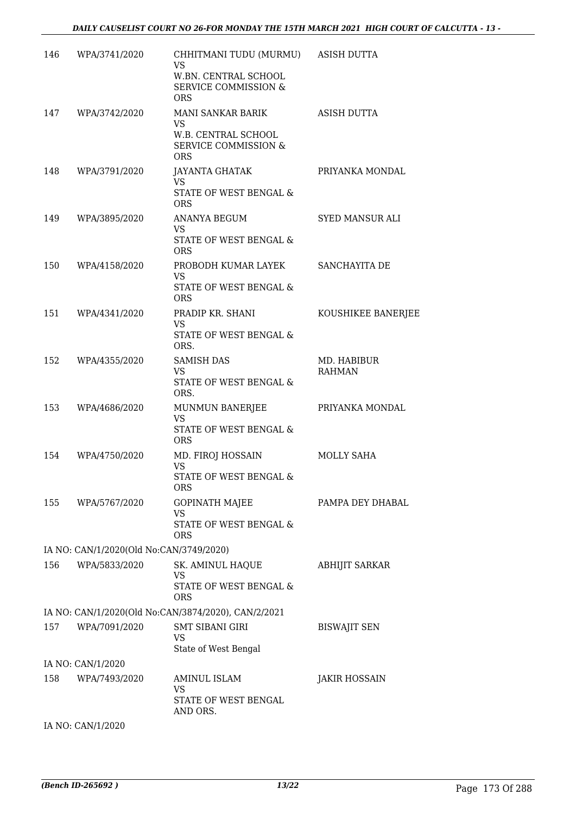| 146 | WPA/3741/2020                           | CHHITMANI TUDU (MURMU) ASISH DUTTA<br><b>VS</b><br>W.BN. CENTRAL SCHOOL<br><b>SERVICE COMMISSION &amp;</b><br><b>ORS</b> |                              |
|-----|-----------------------------------------|--------------------------------------------------------------------------------------------------------------------------|------------------------------|
|     | 147 WPA/3742/2020                       | MANI SANKAR BARIK<br><b>VS</b><br>W.B. CENTRAL SCHOOL<br><b>SERVICE COMMISSION &amp;</b><br><b>ORS</b>                   | ASISH DUTTA                  |
| 148 | WPA/3791/2020                           | <b>JAYANTA GHATAK</b><br><b>VS</b><br>STATE OF WEST BENGAL &<br><b>ORS</b>                                               | PRIYANKA MONDAL              |
| 149 | WPA/3895/2020                           | ANANYA BEGUM<br><b>VS</b><br>STATE OF WEST BENGAL &<br><b>ORS</b>                                                        | SYED MANSUR ALI              |
| 150 | WPA/4158/2020                           | PROBODH KUMAR LAYEK<br><b>VS</b><br>STATE OF WEST BENGAL &<br><b>ORS</b>                                                 | SANCHAYITA DE                |
| 151 | WPA/4341/2020                           | PRADIP KR. SHANI<br><b>VS</b><br>STATE OF WEST BENGAL &<br>ORS.                                                          | KOUSHIKEE BANERJEE           |
| 152 | WPA/4355/2020                           | <b>SAMISH DAS</b><br><b>VS</b><br>STATE OF WEST BENGAL &<br>ORS.                                                         | MD. HABIBUR<br><b>RAHMAN</b> |
| 153 | WPA/4686/2020                           | MUNMUN BANERJEE<br><b>VS</b><br>STATE OF WEST BENGAL &<br><b>ORS</b>                                                     | PRIYANKA MONDAL              |
| 154 | WPA/4750/2020                           | MD. FIROJ HOSSAIN<br><b>VS</b><br>STATE OF WEST BENGAL &<br><b>ORS</b>                                                   | <b>MOLLY SAHA</b>            |
| 155 | WPA/5767/2020                           | <b>GOPINATH MAJEE</b><br>VS<br>STATE OF WEST BENGAL &<br>ORS                                                             | PAMPA DEY DHABAL             |
|     | IA NO: CAN/1/2020(Old No:CAN/3749/2020) |                                                                                                                          |                              |
| 156 | WPA/5833/2020                           | SK. AMINUL HAQUE<br>VS<br>STATE OF WEST BENGAL &<br><b>ORS</b>                                                           | <b>ABHIJIT SARKAR</b>        |
|     |                                         | IA NO: CAN/1/2020(Old No:CAN/3874/2020), CAN/2/2021                                                                      |                              |
| 157 | WPA/7091/2020                           | <b>SMT SIBANI GIRI</b><br><b>VS</b><br>State of West Bengal                                                              | <b>BISWAJIT SEN</b>          |
|     | IA NO: CAN/1/2020                       |                                                                                                                          |                              |
| 158 | WPA/7493/2020                           | AMINUL ISLAM<br>VS.<br>STATE OF WEST BENGAL<br>AND ORS.                                                                  | <b>JAKIR HOSSAIN</b>         |
|     | IA NO: CAN/1/2020                       |                                                                                                                          |                              |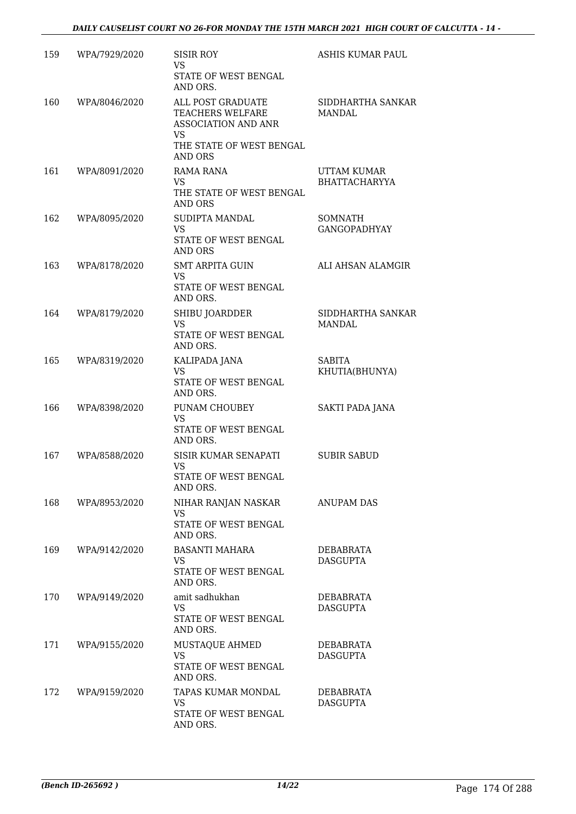| 159 | WPA/7929/2020 | <b>SISIR ROY</b><br><b>VS</b><br>STATE OF WEST BENGAL<br>AND ORS.                                                       | ASHIS KUMAR PAUL                           |
|-----|---------------|-------------------------------------------------------------------------------------------------------------------------|--------------------------------------------|
| 160 | WPA/8046/2020 | ALL POST GRADUATE<br>TEACHERS WELFARE<br>ASSOCIATION AND ANR<br><b>VS</b><br>THE STATE OF WEST BENGAL<br><b>AND ORS</b> | SIDDHARTHA SANKAR<br><b>MANDAL</b>         |
| 161 | WPA/8091/2020 | RAMA RANA<br>VS.<br>THE STATE OF WEST BENGAL<br><b>AND ORS</b>                                                          | <b>UTTAM KUMAR</b><br><b>BHATTACHARYYA</b> |
| 162 | WPA/8095/2020 | SUDIPTA MANDAL<br><b>VS</b><br>STATE OF WEST BENGAL<br><b>AND ORS</b>                                                   | SOMNATH<br><b>GANGOPADHYAY</b>             |
| 163 | WPA/8178/2020 | <b>SMT ARPITA GUIN</b><br><b>VS</b><br>STATE OF WEST BENGAL<br>AND ORS.                                                 | ALI AHSAN ALAMGIR                          |
| 164 | WPA/8179/2020 | SHIBU JOARDDER<br><b>VS</b><br>STATE OF WEST BENGAL<br>AND ORS.                                                         | SIDDHARTHA SANKAR<br>MANDAL                |
| 165 | WPA/8319/2020 | KALIPADA JANA<br><b>VS</b><br>STATE OF WEST BENGAL<br>AND ORS.                                                          | <b>SABITA</b><br>KHUTIA(BHUNYA)            |
| 166 | WPA/8398/2020 | PUNAM CHOUBEY<br><b>VS</b><br>STATE OF WEST BENGAL<br>AND ORS.                                                          | SAKTI PADA JANA                            |
| 167 | WPA/8588/2020 | SISIR KUMAR SENAPATI<br><b>VS</b><br>STATE OF WEST BENGAL<br>AND ORS.                                                   | <b>SUBIR SABUD</b>                         |
| 168 | WPA/8953/2020 | NIHAR RANJAN NASKAR<br><b>VS</b><br>STATE OF WEST BENGAL<br>AND ORS.                                                    | <b>ANUPAM DAS</b>                          |
| 169 | WPA/9142/2020 | <b>BASANTI MAHARA</b><br><b>VS</b><br>STATE OF WEST BENGAL<br>AND ORS.                                                  | DEBABRATA<br><b>DASGUPTA</b>               |
| 170 | WPA/9149/2020 | amit sadhukhan<br>VS.<br>STATE OF WEST BENGAL<br>AND ORS.                                                               | DEBABRATA<br>DASGUPTA                      |
| 171 | WPA/9155/2020 | MUSTAQUE AHMED<br>VS.<br>STATE OF WEST BENGAL<br>AND ORS.                                                               | DEBABRATA<br><b>DASGUPTA</b>               |
| 172 | WPA/9159/2020 | TAPAS KUMAR MONDAL<br><b>VS</b><br>STATE OF WEST BENGAL<br>AND ORS.                                                     | DEBABRATA<br><b>DASGUPTA</b>               |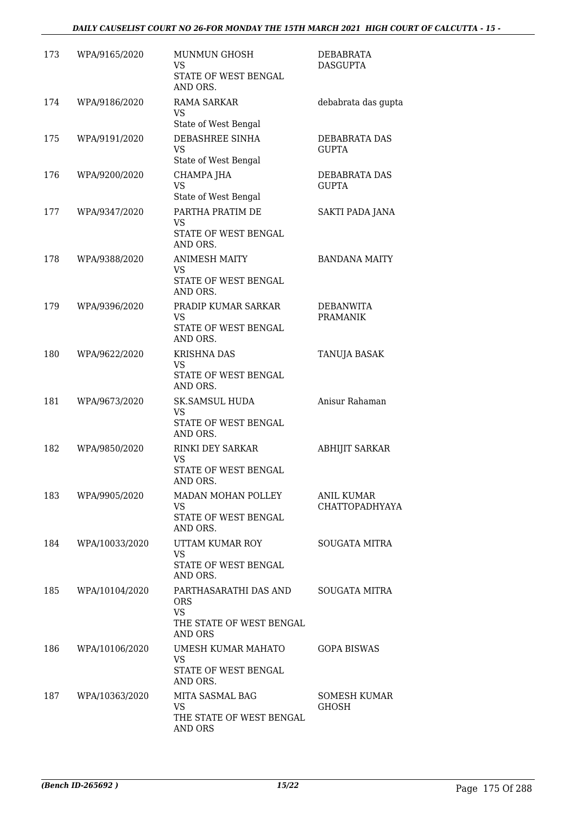| 173 | WPA/9165/2020  | <b>MUNMUN GHOSH</b><br><b>VS</b><br>STATE OF WEST BENGAL<br>AND ORS.                    | <b>DEBABRATA</b><br><b>DASGUPTA</b>        |
|-----|----------------|-----------------------------------------------------------------------------------------|--------------------------------------------|
| 174 | WPA/9186/2020  | RAMA SARKAR<br><b>VS</b><br>State of West Bengal                                        | debabrata das gupta                        |
| 175 | WPA/9191/2020  | DEBASHREE SINHA<br><b>VS</b><br>State of West Bengal                                    | DEBABRATA DAS<br><b>GUPTA</b>              |
| 176 | WPA/9200/2020  | CHAMPA JHA<br><b>VS</b><br>State of West Bengal                                         | DEBABRATA DAS<br><b>GUPTA</b>              |
| 177 | WPA/9347/2020  | PARTHA PRATIM DE<br><b>VS</b><br>STATE OF WEST BENGAL<br>AND ORS.                       | SAKTI PADA JANA                            |
| 178 | WPA/9388/2020  | <b>ANIMESH MAITY</b><br><b>VS</b><br>STATE OF WEST BENGAL<br>AND ORS.                   | <b>BANDANA MAITY</b>                       |
| 179 | WPA/9396/2020  | PRADIP KUMAR SARKAR<br><b>VS</b><br>STATE OF WEST BENGAL<br>AND ORS.                    | <b>DEBANWITA</b><br><b>PRAMANIK</b>        |
| 180 | WPA/9622/2020  | <b>KRISHNA DAS</b><br>VS<br>STATE OF WEST BENGAL<br>AND ORS.                            | TANUJA BASAK                               |
| 181 | WPA/9673/2020  | <b>SK.SAMSUL HUDA</b><br>VS<br>STATE OF WEST BENGAL<br>AND ORS.                         | Anisur Rahaman                             |
| 182 | WPA/9850/2020  | RINKI DEY SARKAR<br><b>VS</b><br>STATE OF WEST BENGAL<br>AND ORS.                       | <b>ABHIJIT SARKAR</b>                      |
| 183 | WPA/9905/2020  | MADAN MOHAN POLLEY<br><b>VS</b><br>STATE OF WEST BENGAL<br>AND ORS.                     | <b>ANIL KUMAR</b><br><b>CHATTOPADHYAYA</b> |
| 184 | WPA/10033/2020 | UTTAM KUMAR ROY<br><b>VS</b><br>STATE OF WEST BENGAL<br>AND ORS.                        | <b>SOUGATA MITRA</b>                       |
| 185 | WPA/10104/2020 | PARTHASARATHI DAS AND<br><b>ORS</b><br><b>VS</b><br>THE STATE OF WEST BENGAL<br>AND ORS | <b>SOUGATA MITRA</b>                       |
| 186 | WPA/10106/2020 | UMESH KUMAR MAHATO<br><b>VS</b><br>STATE OF WEST BENGAL<br>AND ORS.                     | <b>GOPA BISWAS</b>                         |
| 187 | WPA/10363/2020 | MITA SASMAL BAG<br><b>VS</b><br>THE STATE OF WEST BENGAL<br>AND ORS                     | SOMESH KUMAR<br><b>GHOSH</b>               |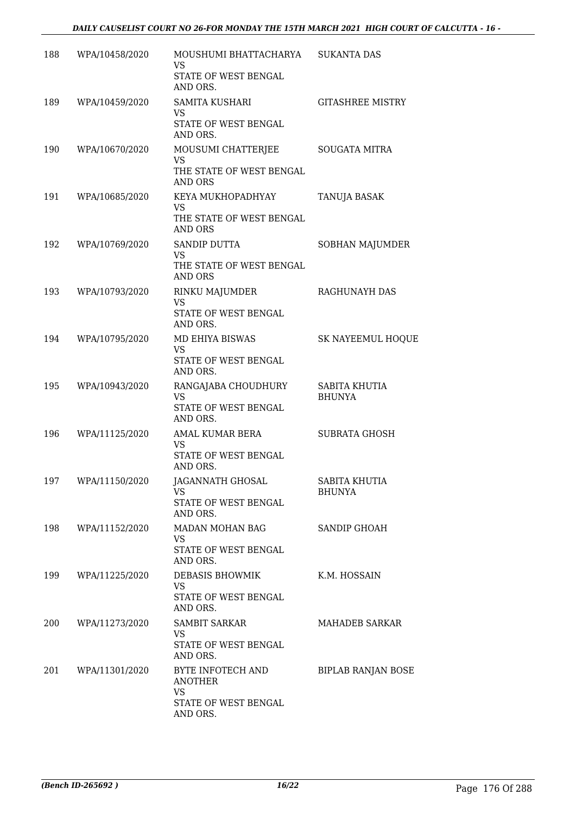| 188 | WPA/10458/2020     | MOUSHUMI BHATTACHARYA<br><b>VS</b><br>STATE OF WEST BENGAL<br>AND ORS.                    | <b>SUKANTA DAS</b>             |
|-----|--------------------|-------------------------------------------------------------------------------------------|--------------------------------|
| 189 | WPA/10459/2020     | SAMITA KUSHARI<br><b>VS</b><br>STATE OF WEST BENGAL                                       | <b>GITASHREE MISTRY</b>        |
| 190 | WPA/10670/2020     | AND ORS.<br>MOUSUMI CHATTERJEE<br><b>VS</b><br>THE STATE OF WEST BENGAL<br><b>AND ORS</b> | <b>SOUGATA MITRA</b>           |
| 191 | WPA/10685/2020     | KEYA MUKHOPADHYAY<br><b>VS</b><br>THE STATE OF WEST BENGAL<br><b>AND ORS</b>              | TANUJA BASAK                   |
| 192 | WPA/10769/2020     | SANDIP DUTTA<br><b>VS</b><br>THE STATE OF WEST BENGAL<br><b>AND ORS</b>                   | SOBHAN MAJUMDER                |
| 193 | WPA/10793/2020     | <b>RINKU MAJUMDER</b><br><b>VS</b><br>STATE OF WEST BENGAL<br>AND ORS.                    | RAGHUNAYH DAS                  |
| 194 | WPA/10795/2020     | MD EHIYA BISWAS<br><b>VS</b><br>STATE OF WEST BENGAL<br>AND ORS.                          | <b>SK NAYEEMUL HOQUE</b>       |
| 195 | WPA/10943/2020     | RANGAJABA CHOUDHURY<br><b>VS</b><br>STATE OF WEST BENGAL<br>AND ORS.                      | SABITA KHUTIA<br><b>BHUNYA</b> |
| 196 | WPA/11125/2020     | AMAL KUMAR BERA<br><b>VS</b><br>STATE OF WEST BENGAL<br>AND ORS.                          | SUBRATA GHOSH                  |
|     | 197 WPA/11150/2020 | JAGANNATH GHOSAL<br>VS<br>STATE OF WEST BENGAL<br>AND ORS.                                | SABITA KHUTIA<br><b>BHUNYA</b> |
| 198 | WPA/11152/2020     | MADAN MOHAN BAG<br>VS.<br>STATE OF WEST BENGAL<br>AND ORS.                                | <b>SANDIP GHOAH</b>            |
| 199 | WPA/11225/2020     | DEBASIS BHOWMIK<br><b>VS</b><br>STATE OF WEST BENGAL<br>AND ORS.                          | K.M. HOSSAIN                   |
| 200 | WPA/11273/2020     | <b>SAMBIT SARKAR</b><br><b>VS</b><br>STATE OF WEST BENGAL<br>AND ORS.                     | <b>MAHADEB SARKAR</b>          |
| 201 | WPA/11301/2020     | BYTE INFOTECH AND<br><b>ANOTHER</b><br>VS.<br>STATE OF WEST BENGAL<br>AND ORS.            | <b>BIPLAB RANJAN BOSE</b>      |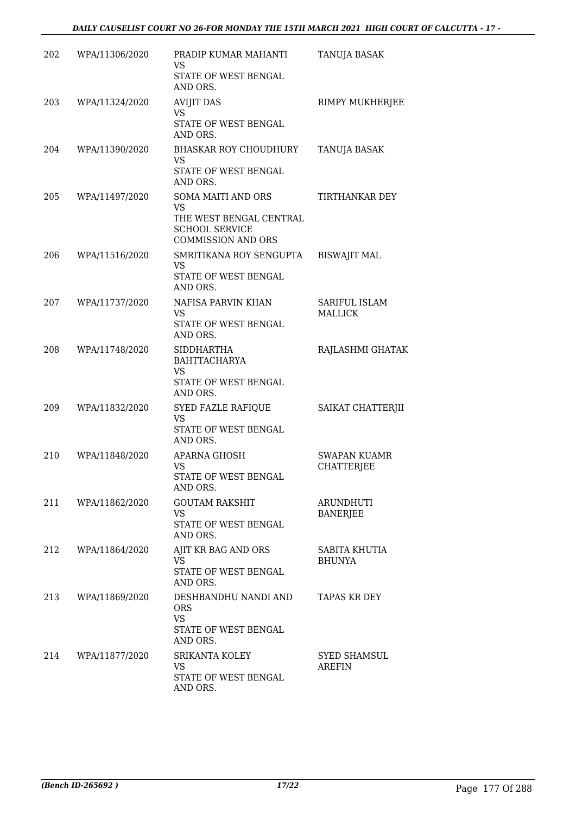| 202 | WPA/11306/2020 | PRADIP KUMAR MAHANTI<br><b>VS</b><br>STATE OF WEST BENGAL<br>AND ORS.                                                   | TANUJA BASAK                         |
|-----|----------------|-------------------------------------------------------------------------------------------------------------------------|--------------------------------------|
| 203 | WPA/11324/2020 | <b>AVIJIT DAS</b><br><b>VS</b><br>STATE OF WEST BENGAL<br>AND ORS.                                                      | RIMPY MUKHERJEE                      |
| 204 | WPA/11390/2020 | <b>BHASKAR ROY CHOUDHURY</b><br>VS.<br>STATE OF WEST BENGAL<br>AND ORS.                                                 | TANUJA BASAK                         |
| 205 | WPA/11497/2020 | <b>SOMA MAITI AND ORS</b><br><b>VS</b><br>THE WEST BENGAL CENTRAL<br><b>SCHOOL SERVICE</b><br><b>COMMISSION AND ORS</b> | TIRTHANKAR DEY                       |
| 206 | WPA/11516/2020 | SMRITIKANA ROY SENGUPTA<br><b>VS</b><br>STATE OF WEST BENGAL<br>AND ORS.                                                | <b>BISWAJIT MAL</b>                  |
| 207 | WPA/11737/2020 | NAFISA PARVIN KHAN<br><b>VS</b><br>STATE OF WEST BENGAL<br>AND ORS.                                                     | SARIFUL ISLAM<br>MALLICK             |
| 208 | WPA/11748/2020 | <b>SIDDHARTHA</b><br><b>BAHTTACHARYA</b><br><b>VS</b><br>STATE OF WEST BENGAL<br>AND ORS.                               | RAJLASHMI GHATAK                     |
| 209 | WPA/11832/2020 | <b>SYED FAZLE RAFIQUE</b><br><b>VS</b><br>STATE OF WEST BENGAL<br>AND ORS.                                              | SAIKAT CHATTERJII                    |
| 210 | WPA/11848/2020 | APARNA GHOSH<br><b>VS</b><br>STATE OF WEST BENGAL<br>AND ORS.                                                           | SWAPAN KUAMR<br><b>CHATTERJEE</b>    |
| 211 | WPA/11862/2020 | <b>GOUTAM RAKSHIT</b><br><b>VS</b><br>STATE OF WEST BENGAL<br>AND ORS.                                                  | ARUNDHUTI<br><b>BANERJEE</b>         |
| 212 | WPA/11864/2020 | AJIT KR BAG AND ORS<br><b>VS</b><br>STATE OF WEST BENGAL<br>AND ORS.                                                    | SABITA KHUTIA<br><b>BHUNYA</b>       |
| 213 | WPA/11869/2020 | DESHBANDHU NANDI AND<br><b>ORS</b><br><b>VS</b><br>STATE OF WEST BENGAL<br>AND ORS.                                     | <b>TAPAS KR DEY</b>                  |
| 214 | WPA/11877/2020 | SRIKANTA KOLEY<br><b>VS</b><br>STATE OF WEST BENGAL<br>AND ORS.                                                         | <b>SYED SHAMSUL</b><br><b>AREFIN</b> |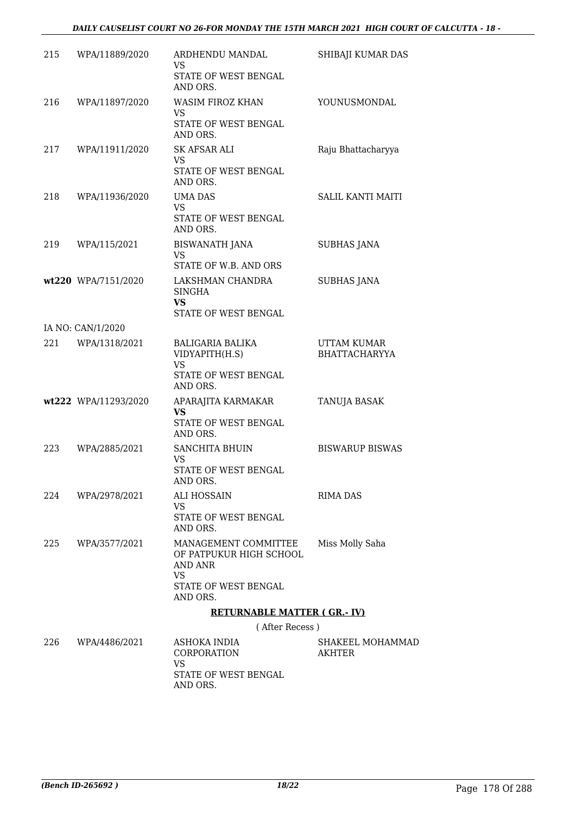| 215 | WPA/11889/2020       | ARDHENDU MANDAL<br>VS.                                                                          | SHIBAJI KUMAR DAS                   |
|-----|----------------------|-------------------------------------------------------------------------------------------------|-------------------------------------|
|     |                      | STATE OF WEST BENGAL<br>AND ORS.                                                                |                                     |
| 216 | WPA/11897/2020       | <b>WASIM FIROZ KHAN</b><br><b>VS</b>                                                            | YOUNUSMONDAL                        |
|     |                      | STATE OF WEST BENGAL<br>AND ORS.                                                                |                                     |
| 217 | WPA/11911/2020       | <b>SK AFSAR ALI</b><br>VS                                                                       | Raju Bhattacharyya                  |
|     |                      | STATE OF WEST BENGAL<br>AND ORS.                                                                |                                     |
| 218 | WPA/11936/2020       | UMA DAS<br><b>VS</b>                                                                            | <b>SALIL KANTI MAITI</b>            |
|     |                      | STATE OF WEST BENGAL<br>AND ORS.                                                                |                                     |
| 219 | WPA/115/2021         | <b>BISWANATH JANA</b><br><b>VS</b>                                                              | <b>SUBHAS JANA</b>                  |
|     |                      | STATE OF W.B. AND ORS                                                                           |                                     |
|     | wt220 WPA/7151/2020  | LAKSHMAN CHANDRA<br><b>SINGHA</b><br><b>VS</b>                                                  | <b>SUBHAS JANA</b>                  |
|     |                      | STATE OF WEST BENGAL                                                                            |                                     |
|     | IA NO: CAN/1/2020    |                                                                                                 |                                     |
| 221 | WPA/1318/2021        | BALIGARIA BALIKA<br>VIDYAPITH(H.S)<br><b>VS</b><br>STATE OF WEST BENGAL                         | UTTAM KUMAR<br><b>BHATTACHARYYA</b> |
|     |                      | AND ORS.                                                                                        |                                     |
|     | wt222 WPA/11293/2020 | APARAJITA KARMAKAR<br><b>VS</b>                                                                 | TANUJA BASAK                        |
|     |                      | STATE OF WEST BENGAL<br>AND ORS.                                                                |                                     |
| 223 | WPA/2885/2021        | <b>SANCHITA BHUIN</b><br><b>VS</b>                                                              | <b>BISWARUP BISWAS</b>              |
|     |                      | STATE OF WEST BENGAL<br>AND ORS.                                                                |                                     |
| 224 | WPA/2978/2021        | ALI HOSSAIN<br><b>VS</b>                                                                        | RIMA DAS                            |
|     |                      | <b>STATE OF WEST BENGAL</b><br>AND ORS.                                                         |                                     |
| 225 | WPA/3577/2021        | MANAGEMENT COMMITTEE<br>OF PATPUKUR HIGH SCHOOL<br>AND ANR<br><b>VS</b><br>STATE OF WEST BENGAL | Miss Molly Saha                     |
|     |                      | AND ORS.                                                                                        |                                     |
|     |                      | <b>RETURNABLE MATTER (GR.-IV)</b>                                                               |                                     |
|     |                      | (After Recess)                                                                                  |                                     |
| 226 | WPA/4486/2021        | ASHOKA INDIA<br>CORPORATION                                                                     | SHAKEEL MOHAMMAD<br>AKHTER          |

VS

AND ORS.

STATE OF WEST BENGAL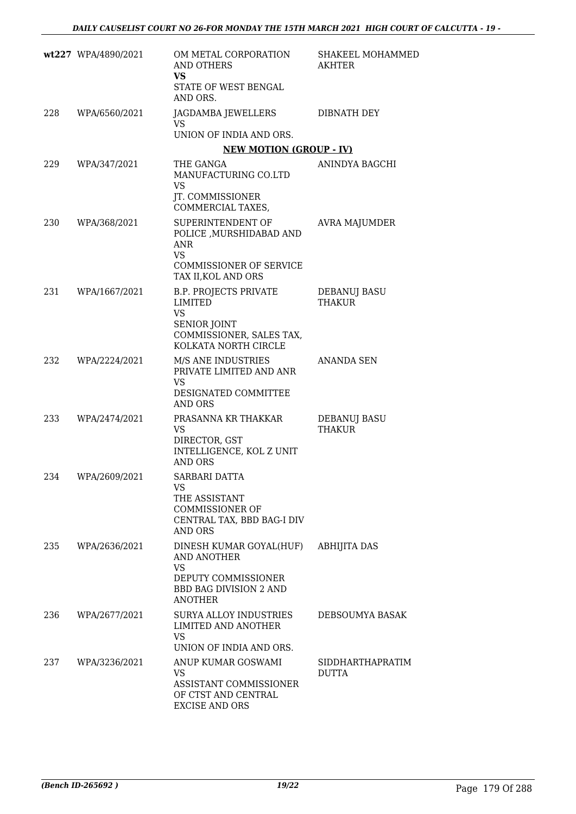|     | wt227 WPA/4890/2021 | OM METAL CORPORATION<br>AND OTHERS<br>VS<br>STATE OF WEST BENGAL<br>AND ORS.                                                               | SHAKEEL MOHAMMED<br>AKHTER           |
|-----|---------------------|--------------------------------------------------------------------------------------------------------------------------------------------|--------------------------------------|
| 228 | WPA/6560/2021       | JAGDAMBA JEWELLERS<br>VS<br>UNION OF INDIA AND ORS.                                                                                        | DIBNATH DEY                          |
|     |                     | <b>NEW MOTION (GROUP - IV)</b>                                                                                                             |                                      |
| 229 | WPA/347/2021        | THE GANGA<br>MANUFACTURING CO.LTD<br>VS<br>JT. COMMISSIONER                                                                                | ANINDYA BAGCHI                       |
|     |                     | COMMERCIAL TAXES,                                                                                                                          |                                      |
| 230 | WPA/368/2021        | SUPERINTENDENT OF<br>POLICE , MURSHIDABAD AND<br>ANR<br><b>VS</b><br><b>COMMISSIONER OF SERVICE</b><br>TAX II, KOL AND ORS                 | <b>AVRA MAJUMDER</b>                 |
| 231 | WPA/1667/2021       | <b>B.P. PROJECTS PRIVATE</b><br><b>LIMITED</b><br><b>VS</b><br><b>SENIOR JOINT</b><br>COMMISSIONER, SALES TAX,<br>KOLKATA NORTH CIRCLE     | <b>DEBANUJ BASU</b><br><b>THAKUR</b> |
| 232 | WPA/2224/2021       | M/S ANE INDUSTRIES<br>PRIVATE LIMITED AND ANR<br>VS.<br>DESIGNATED COMMITTEE<br><b>AND ORS</b>                                             | ANANDA SEN                           |
| 233 | WPA/2474/2021       | PRASANNA KR THAKKAR<br><b>VS</b><br>DIRECTOR, GST<br>INTELLIGENCE, KOL Z UNIT<br><b>AND ORS</b>                                            | DEBANUJ BASU<br><b>THAKUR</b>        |
| 234 | WPA/2609/2021       | SARBARI DATTA<br>VS<br>THE ASSISTANT<br><b>COMMISSIONER OF</b><br>CENTRAL TAX, BBD BAG-I DIV<br>AND ORS                                    |                                      |
| 235 | WPA/2636/2021       | DINESH KUMAR GOYAL(HUF) ABHIJITA DAS<br>AND ANOTHER<br><b>VS</b><br>DEPUTY COMMISSIONER<br><b>BBD BAG DIVISION 2 AND</b><br><b>ANOTHER</b> |                                      |
| 236 | WPA/2677/2021       | SURYA ALLOY INDUSTRIES<br>LIMITED AND ANOTHER<br><b>VS</b><br>UNION OF INDIA AND ORS.                                                      | DEBSOUMYA BASAK                      |
| 237 | WPA/3236/2021       | ANUP KUMAR GOSWAMI<br>VS.<br>ASSISTANT COMMISSIONER<br>OF CTST AND CENTRAL<br><b>EXCISE AND ORS</b>                                        | SIDDHARTHAPRATIM<br><b>DUTTA</b>     |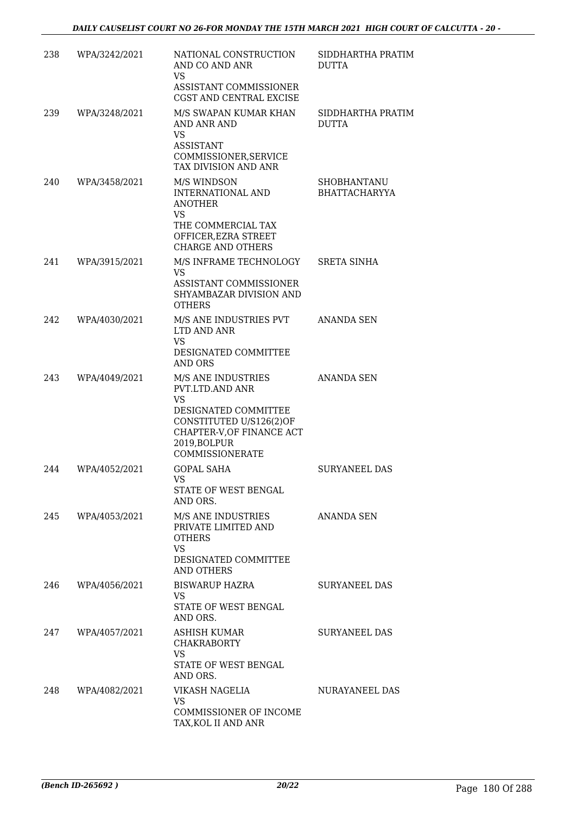| 238 | WPA/3242/2021 | NATIONAL CONSTRUCTION<br>AND CO AND ANR<br><b>VS</b><br>ASSISTANT COMMISSIONER<br>CGST AND CENTRAL EXCISE                                                                    | SIDDHARTHA PRATIM<br><b>DUTTA</b>          |
|-----|---------------|------------------------------------------------------------------------------------------------------------------------------------------------------------------------------|--------------------------------------------|
| 239 | WPA/3248/2021 | M/S SWAPAN KUMAR KHAN<br>AND ANR AND<br><b>VS</b><br><b>ASSISTANT</b><br>COMMISSIONER, SERVICE<br>TAX DIVISION AND ANR                                                       | SIDDHARTHA PRATIM<br><b>DUTTA</b>          |
| 240 | WPA/3458/2021 | M/S WINDSON<br>INTERNATIONAL AND<br><b>ANOTHER</b><br><b>VS</b><br>THE COMMERCIAL TAX<br>OFFICER, EZRA STREET<br><b>CHARGE AND OTHERS</b>                                    | <b>SHOBHANTANU</b><br><b>BHATTACHARYYA</b> |
| 241 | WPA/3915/2021 | M/S INFRAME TECHNOLOGY SRETA SINHA<br><b>VS</b><br>ASSISTANT COMMISSIONER<br>SHYAMBAZAR DIVISION AND<br><b>OTHERS</b>                                                        |                                            |
| 242 | WPA/4030/2021 | M/S ANE INDUSTRIES PVT<br>LTD AND ANR<br><b>VS</b><br>DESIGNATED COMMITTEE<br>AND ORS                                                                                        | <b>ANANDA SEN</b>                          |
| 243 | WPA/4049/2021 | M/S ANE INDUSTRIES<br>PVT.LTD.AND ANR<br><b>VS</b><br>DESIGNATED COMMITTEE<br>CONSTITUTED U/S126(2)OF<br>CHAPTER-V, OF FINANCE ACT<br>2019, BOLPUR<br><b>COMMISSIONERATE</b> | ANANDA SEN                                 |
| 244 | WPA/4052/2021 | <b>GOPAL SAHA</b><br>VS 7<br>STATE OF WEST BENGAL<br>AND ORS.                                                                                                                | <b>SURYANEEL DAS</b>                       |
| 245 | WPA/4053/2021 | M/S ANE INDUSTRIES<br>PRIVATE LIMITED AND<br><b>OTHERS</b><br><b>VS</b><br>DESIGNATED COMMITTEE<br>AND OTHERS                                                                | ANANDA SEN                                 |
| 246 | WPA/4056/2021 | <b>BISWARUP HAZRA</b><br>VS.<br>STATE OF WEST BENGAL<br>AND ORS.                                                                                                             | <b>SURYANEEL DAS</b>                       |
| 247 | WPA/4057/2021 | ASHISH KUMAR<br><b>CHAKRABORTY</b><br><b>VS</b><br>STATE OF WEST BENGAL<br>AND ORS.                                                                                          | <b>SURYANEEL DAS</b>                       |
| 248 | WPA/4082/2021 | VIKASH NAGELIA<br><b>VS</b><br>COMMISSIONER OF INCOME<br>TAX, KOL II AND ANR                                                                                                 | NURAYANEEL DAS                             |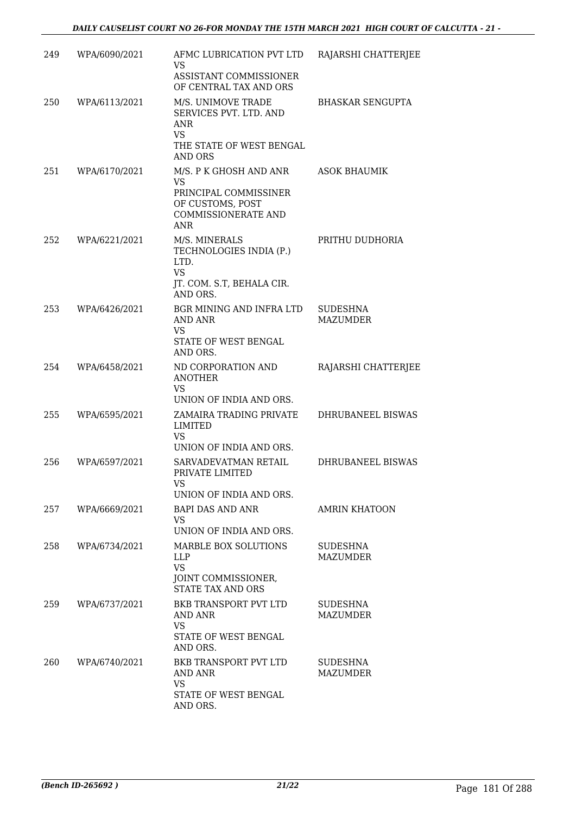| 249 | WPA/6090/2021 | AFMC LUBRICATION PVT LTD<br><b>VS</b>                                                                                        | RAJARSHI CHATTERJEE                |
|-----|---------------|------------------------------------------------------------------------------------------------------------------------------|------------------------------------|
|     |               | ASSISTANT COMMISSIONER<br>OF CENTRAL TAX AND ORS                                                                             |                                    |
| 250 | WPA/6113/2021 | M/S. UNIMOVE TRADE<br>SERVICES PVT. LTD. AND<br><b>ANR</b><br><b>VS</b><br>THE STATE OF WEST BENGAL<br>AND ORS               | <b>BHASKAR SENGUPTA</b>            |
| 251 | WPA/6170/2021 | M/S. P K GHOSH AND ANR<br><b>VS</b><br>PRINCIPAL COMMISSINER<br>OF CUSTOMS, POST<br><b>COMMISSIONERATE AND</b><br><b>ANR</b> | <b>ASOK BHAUMIK</b>                |
| 252 | WPA/6221/2021 | M/S. MINERALS<br>TECHNOLOGIES INDIA (P.)<br>LTD.<br><b>VS</b><br>JT. COM. S.T, BEHALA CIR.<br>AND ORS.                       | PRITHU DUDHORIA                    |
| 253 | WPA/6426/2021 | BGR MINING AND INFRA LTD<br><b>AND ANR</b><br><b>VS</b><br>STATE OF WEST BENGAL<br>AND ORS.                                  | <b>SUDESHNA</b><br><b>MAZUMDER</b> |
| 254 | WPA/6458/2021 | ND CORPORATION AND<br><b>ANOTHER</b><br><b>VS</b><br>UNION OF INDIA AND ORS.                                                 | RAJARSHI CHATTERJEE                |
| 255 | WPA/6595/2021 | ZAMAIRA TRADING PRIVATE<br><b>LIMITED</b><br><b>VS</b><br>UNION OF INDIA AND ORS.                                            | DHRUBANEEL BISWAS                  |
| 256 | WPA/6597/2021 | SARVADEVATMAN RETAIL<br>PRIVATE LIMITED<br>VS<br>UNION OF INDIA AND ORS.                                                     | DHRUBANEEL BISWAS                  |
| 257 | WPA/6669/2021 | BAPI DAS AND ANR<br><b>VS</b><br>UNION OF INDIA AND ORS.                                                                     | <b>AMRIN KHATOON</b>               |
| 258 | WPA/6734/2021 | MARBLE BOX SOLUTIONS<br><b>LLP</b><br><b>VS</b><br>JOINT COMMISSIONER,<br><b>STATE TAX AND ORS</b>                           | SUDESHNA<br><b>MAZUMDER</b>        |
| 259 | WPA/6737/2021 | BKB TRANSPORT PVT LTD<br>AND ANR<br><b>VS</b><br>STATE OF WEST BENGAL<br>AND ORS.                                            | <b>SUDESHNA</b><br>MAZUMDER        |
| 260 | WPA/6740/2021 | <b>BKB TRANSPORT PVT LTD</b><br>AND ANR<br><b>VS</b><br>STATE OF WEST BENGAL<br>AND ORS.                                     | <b>SUDESHNA</b><br>MAZUMDER        |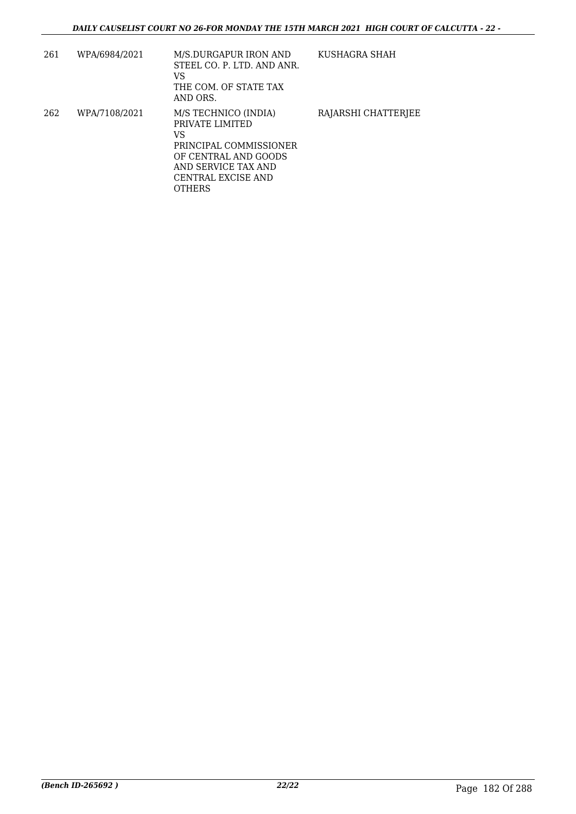| 261 | WPA/6984/2021 | M/S.DURGAPUR IRON AND<br>STEEL CO. P. LTD. AND ANR.<br>VS<br>THE COM. OF STATE TAX<br>AND ORS.                                                                | KUSHAGRA SHAH       |
|-----|---------------|---------------------------------------------------------------------------------------------------------------------------------------------------------------|---------------------|
| 262 | WPA/7108/2021 | M/S TECHNICO (INDIA)<br>PRIVATE LIMITED<br>VS<br>PRINCIPAL COMMISSIONER<br>OF CENTRAL AND GOODS<br>AND SERVICE TAX AND<br>CENTRAL EXCISE AND<br><b>OTHERS</b> | RAJARSHI CHATTERJEE |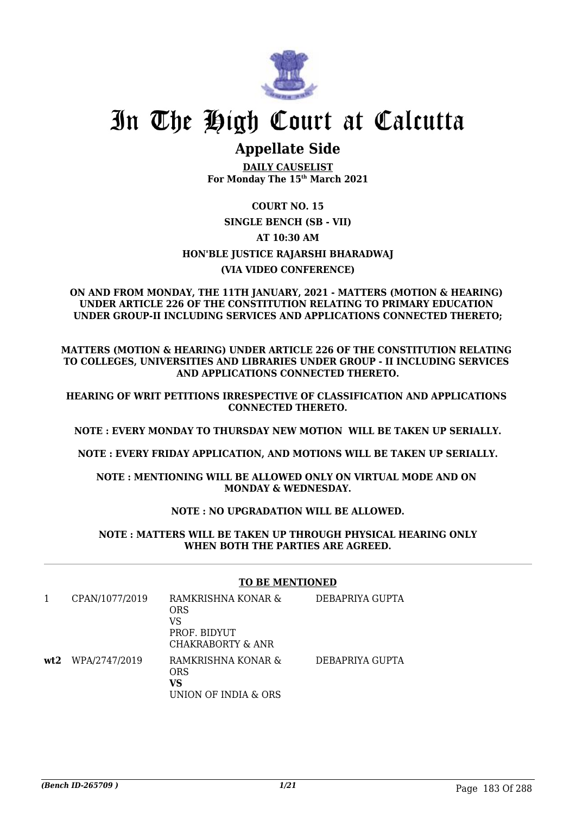

# In The High Court at Calcutta

## **Appellate Side**

**DAILY CAUSELIST For Monday The 15th March 2021**

### **COURT NO. 15 SINGLE BENCH (SB - VII) AT 10:30 AM HON'BLE JUSTICE RAJARSHI BHARADWAJ (VIA VIDEO CONFERENCE)**

### **ON AND FROM MONDAY, THE 11TH JANUARY, 2021 - MATTERS (MOTION & HEARING) UNDER ARTICLE 226 OF THE CONSTITUTION RELATING TO PRIMARY EDUCATION UNDER GROUP-II INCLUDING SERVICES AND APPLICATIONS CONNECTED THERETO;**

**MATTERS (MOTION & HEARING) UNDER ARTICLE 226 OF THE CONSTITUTION RELATING TO COLLEGES, UNIVERSITIES AND LIBRARIES UNDER GROUP - II INCLUDING SERVICES AND APPLICATIONS CONNECTED THERETO.**

**HEARING OF WRIT PETITIONS IRRESPECTIVE OF CLASSIFICATION AND APPLICATIONS CONNECTED THERETO.**

**NOTE : EVERY MONDAY TO THURSDAY NEW MOTION WILL BE TAKEN UP SERIALLY.**

**NOTE : EVERY FRIDAY APPLICATION, AND MOTIONS WILL BE TAKEN UP SERIALLY.**

**NOTE : MENTIONING WILL BE ALLOWED ONLY ON VIRTUAL MODE AND ON MONDAY & WEDNESDAY.**

### **NOTE : NO UPGRADATION WILL BE ALLOWED.**

**NOTE : MATTERS WILL BE TAKEN UP THROUGH PHYSICAL HEARING ONLY WHEN BOTH THE PARTIES ARE AGREED.**

### **TO BE MENTIONED**

|     | CPAN/1077/2019 | RAMKRISHNA KONAR &<br><b>ORS</b><br>VS<br>PROF. BIDYUT<br>CHAKRABORTY & ANR | DEBAPRIYA GUPTA |
|-----|----------------|-----------------------------------------------------------------------------|-----------------|
| wt2 | WPA/2747/2019  | RAMKRISHNA KONAR &<br><b>ORS</b><br>VS<br>UNION OF INDIA & ORS              | DEBAPRIYA GUPTA |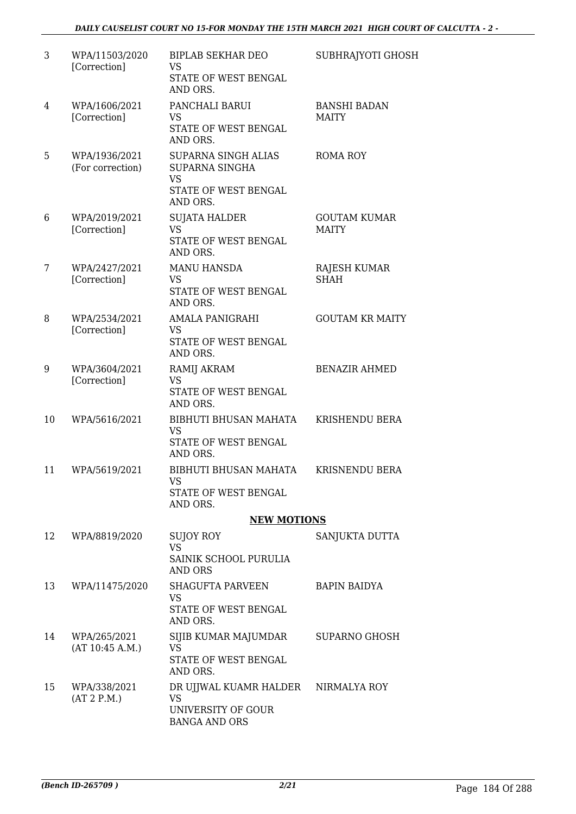| 3  | WPA/11503/2020<br>[Correction]    | <b>BIPLAB SEKHAR DEO</b><br><b>VS</b><br>STATE OF WEST BENGAL<br>AND ORS.                     | SUBHRAJYOTI GHOSH                   |
|----|-----------------------------------|-----------------------------------------------------------------------------------------------|-------------------------------------|
| 4  | WPA/1606/2021<br>[Correction]     | PANCHALI BARUI<br><b>VS</b><br>STATE OF WEST BENGAL<br>AND ORS.                               | <b>BANSHI BADAN</b><br><b>MAITY</b> |
| 5  | WPA/1936/2021<br>(For correction) | <b>SUPARNA SINGH ALIAS</b><br>SUPARNA SINGHA<br><b>VS</b><br>STATE OF WEST BENGAL<br>AND ORS. | <b>ROMA ROY</b>                     |
| 6  | WPA/2019/2021<br>[Correction]     | <b>SUJATA HALDER</b><br><b>VS</b><br>STATE OF WEST BENGAL<br>AND ORS.                         | <b>GOUTAM KUMAR</b><br><b>MAITY</b> |
| 7  | WPA/2427/2021<br>[Correction]     | <b>MANU HANSDA</b><br><b>VS</b><br>STATE OF WEST BENGAL<br>AND ORS.                           | <b>RAJESH KUMAR</b><br><b>SHAH</b>  |
| 8  | WPA/2534/2021<br>[Correction]     | <b>AMALA PANIGRAHI</b><br><b>VS</b><br>STATE OF WEST BENGAL<br>AND ORS.                       | <b>GOUTAM KR MAITY</b>              |
| 9  | WPA/3604/2021<br>[Correction]     | RAMIJ AKRAM<br>VS<br>STATE OF WEST BENGAL<br>AND ORS.                                         | <b>BENAZIR AHMED</b>                |
| 10 | WPA/5616/2021                     | BIBHUTI BHUSAN MAHATA<br>VS<br><b>STATE OF WEST BENGAL</b><br>AND ORS.                        | <b>KRISHENDU BERA</b>               |
| 11 | WPA/5619/2021                     | <b>BIBHUTI BHUSAN MAHATA</b><br>VS<br>STATE OF WEST BENGAL<br>AND ORS.                        | <b>KRISNENDU BERA</b>               |
|    |                                   | <b>NEW MOTIONS</b>                                                                            |                                     |
| 12 | WPA/8819/2020                     | SUJOY ROY<br><b>VS</b><br>SAINIK SCHOOL PURULIA<br><b>AND ORS</b>                             | SANJUKTA DUTTA                      |
| 13 | WPA/11475/2020                    | <b>SHAGUFTA PARVEEN</b><br><b>VS</b><br>STATE OF WEST BENGAL<br>AND ORS.                      | <b>BAPIN BAIDYA</b>                 |
| 14 | WPA/265/2021<br>(AT 10:45 A.M.)   | SIJIB KUMAR MAJUMDAR<br><b>VS</b><br>STATE OF WEST BENGAL<br>AND ORS.                         | SUPARNO GHOSH                       |
| 15 | WPA/338/2021<br>(AT 2 P.M.)       | DR UJJWAL KUAMR HALDER<br>VS<br>UNIVERSITY OF GOUR<br><b>BANGA AND ORS</b>                    | NIRMALYA ROY                        |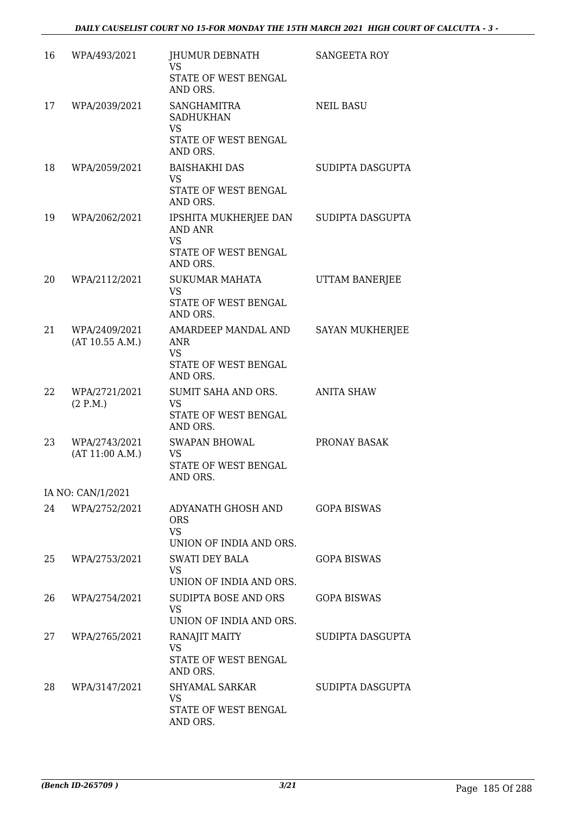| 16 | WPA/493/2021                     | JHUMUR DEBNATH<br><b>VS</b><br>STATE OF WEST BENGAL<br>AND ORS.                          | <b>SANGEETA ROY</b>    |
|----|----------------------------------|------------------------------------------------------------------------------------------|------------------------|
| 17 | WPA/2039/2021                    | <b>SANGHAMITRA</b><br><b>SADHUKHAN</b><br><b>VS</b><br>STATE OF WEST BENGAL<br>AND ORS.  | <b>NEIL BASU</b>       |
| 18 | WPA/2059/2021                    | <b>BAISHAKHI DAS</b><br><b>VS</b><br>STATE OF WEST BENGAL<br>AND ORS.                    | SUDIPTA DASGUPTA       |
| 19 | WPA/2062/2021                    | IPSHITA MUKHERJEE DAN<br><b>AND ANR</b><br><b>VS</b><br>STATE OF WEST BENGAL<br>AND ORS. | SUDIPTA DASGUPTA       |
| 20 | WPA/2112/2021                    | <b>SUKUMAR MAHATA</b><br>VS<br>STATE OF WEST BENGAL<br>AND ORS.                          | UTTAM BANERJEE         |
| 21 | WPA/2409/2021<br>(AT 10.55 A.M.) | AMARDEEP MANDAL AND<br>ANR<br><b>VS</b><br>STATE OF WEST BENGAL<br>AND ORS.              | <b>SAYAN MUKHERJEE</b> |
| 22 | WPA/2721/2021<br>(2 P.M.)        | SUMIT SAHA AND ORS.<br><b>VS</b><br>STATE OF WEST BENGAL<br>AND ORS.                     | <b>ANITA SHAW</b>      |
| 23 | WPA/2743/2021<br>(AT 11:00 A.M.) | <b>SWAPAN BHOWAL</b><br><b>VS</b><br>STATE OF WEST BENGAL<br>AND ORS.                    | PRONAY BASAK           |
|    | IA NO: CAN/1/2021                |                                                                                          |                        |
| 24 | WPA/2752/2021                    | ADYANATH GHOSH AND<br><b>ORS</b><br><b>VS</b><br>UNION OF INDIA AND ORS.                 | <b>GOPA BISWAS</b>     |
| 25 | WPA/2753/2021                    | SWATI DEY BALA<br><b>VS</b><br>UNION OF INDIA AND ORS.                                   | <b>GOPA BISWAS</b>     |
| 26 | WPA/2754/2021                    | SUDIPTA BOSE AND ORS<br><b>VS</b><br>UNION OF INDIA AND ORS.                             | <b>GOPA BISWAS</b>     |
| 27 | WPA/2765/2021                    | RANAJIT MAITY<br><b>VS</b><br>STATE OF WEST BENGAL<br>AND ORS.                           | SUDIPTA DASGUPTA       |
| 28 | WPA/3147/2021                    | SHYAMAL SARKAR<br>VS<br>STATE OF WEST BENGAL<br>AND ORS.                                 | SUDIPTA DASGUPTA       |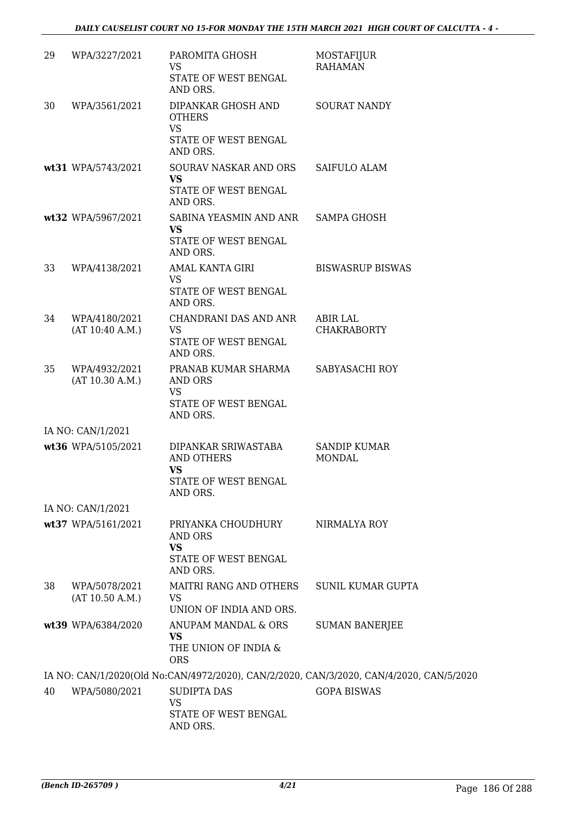| 29 | WPA/3227/2021                    | PAROMITA GHOSH<br><b>VS</b><br>STATE OF WEST BENGAL                             | <b>MOSTAFIJUR</b><br><b>RAHAMAN</b>                                                     |
|----|----------------------------------|---------------------------------------------------------------------------------|-----------------------------------------------------------------------------------------|
| 30 | WPA/3561/2021                    | AND ORS.<br>DIPANKAR GHOSH AND                                                  | <b>SOURAT NANDY</b>                                                                     |
|    |                                  | <b>OTHERS</b><br><b>VS</b>                                                      |                                                                                         |
|    |                                  | STATE OF WEST BENGAL<br>AND ORS.                                                |                                                                                         |
|    | wt31 WPA/5743/2021               | SOURAV NASKAR AND ORS<br><b>VS</b>                                              | SAIFULO ALAM                                                                            |
|    |                                  | STATE OF WEST BENGAL<br>AND ORS.                                                |                                                                                         |
|    | wt32 WPA/5967/2021               | SABINA YEASMIN AND ANR SAMPA GHOSH<br>VS                                        |                                                                                         |
|    |                                  | STATE OF WEST BENGAL<br>AND ORS.                                                |                                                                                         |
| 33 | WPA/4138/2021                    | AMAL KANTA GIRI                                                                 | <b>BISWASRUP BISWAS</b>                                                                 |
|    |                                  | <b>VS</b><br>STATE OF WEST BENGAL<br>AND ORS.                                   |                                                                                         |
| 34 | WPA/4180/2021                    | CHANDRANI DAS AND ANR                                                           | ABIR LAL                                                                                |
|    | (AT 10:40 A.M.)                  | <b>VS</b><br>STATE OF WEST BENGAL<br>AND ORS.                                   | <b>CHAKRABORTY</b>                                                                      |
| 35 | WPA/4932/2021<br>(AT 10.30 A.M.) | PRANAB KUMAR SHARMA<br>AND ORS<br><b>VS</b><br>STATE OF WEST BENGAL<br>AND ORS. | SABYASACHI ROY                                                                          |
|    | IA NO: CAN/1/2021                |                                                                                 |                                                                                         |
|    | wt36 WPA/5105/2021               | DIPANKAR SRIWASTABA<br><b>AND OTHERS</b><br>VS<br>STATE OF WEST BENGAL          | <b>SANDIP KUMAR</b><br><b>MONDAL</b>                                                    |
|    |                                  | AND ORS.                                                                        |                                                                                         |
|    | IA NO: CAN/1/2021                |                                                                                 |                                                                                         |
|    | wt37 WPA/5161/2021               | PRIYANKA CHOUDHURY<br>AND ORS<br><b>VS</b><br>STATE OF WEST BENGAL              | NIRMALYA ROY                                                                            |
|    |                                  | AND ORS.                                                                        |                                                                                         |
| 38 | WPA/5078/2021<br>(AT 10.50 A.M.) | MAITRI RANG AND OTHERS<br><b>VS</b><br>UNION OF INDIA AND ORS.                  | <b>SUNIL KUMAR GUPTA</b>                                                                |
|    | wt39 WPA/6384/2020               | ANUPAM MANDAL & ORS                                                             | <b>SUMAN BANERJEE</b>                                                                   |
|    |                                  | <b>VS</b><br>THE UNION OF INDIA &<br><b>ORS</b>                                 |                                                                                         |
|    |                                  |                                                                                 | IA NO: CAN/1/2020(Old No:CAN/4972/2020), CAN/2/2020, CAN/3/2020, CAN/4/2020, CAN/5/2020 |
| 40 | WPA/5080/2021                    | <b>SUDIPTA DAS</b>                                                              | <b>GOPA BISWAS</b>                                                                      |
|    |                                  | <b>VS</b><br>STATE OF WEST BENGAL<br>AND ORS.                                   |                                                                                         |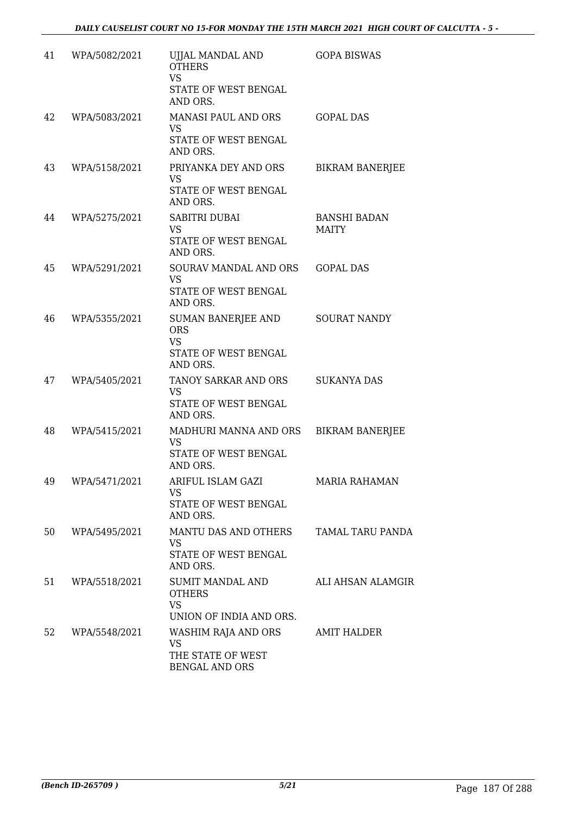| 41 | WPA/5082/2021 | UJJAL MANDAL AND<br><b>OTHERS</b><br><b>VS</b><br>STATE OF WEST BENGAL<br>AND ORS. | <b>GOPA BISWAS</b>                  |
|----|---------------|------------------------------------------------------------------------------------|-------------------------------------|
| 42 | WPA/5083/2021 | MANASI PAUL AND ORS<br><b>VS</b><br>STATE OF WEST BENGAL<br>AND ORS.               | <b>GOPAL DAS</b>                    |
| 43 | WPA/5158/2021 | PRIYANKA DEY AND ORS<br><b>VS</b><br>STATE OF WEST BENGAL<br>AND ORS.              | <b>BIKRAM BANERJEE</b>              |
| 44 | WPA/5275/2021 | SABITRI DUBAI<br><b>VS</b><br>STATE OF WEST BENGAL<br>AND ORS.                     | <b>BANSHI BADAN</b><br><b>MAITY</b> |
| 45 | WPA/5291/2021 | SOURAV MANDAL AND ORS<br><b>VS</b><br>STATE OF WEST BENGAL<br>AND ORS.             | <b>GOPAL DAS</b>                    |
| 46 | WPA/5355/2021 | SUMAN BANERJEE AND<br><b>ORS</b><br><b>VS</b><br>STATE OF WEST BENGAL<br>AND ORS.  | <b>SOURAT NANDY</b>                 |
| 47 | WPA/5405/2021 | TANOY SARKAR AND ORS<br><b>VS</b><br>STATE OF WEST BENGAL<br>AND ORS.              | <b>SUKANYA DAS</b>                  |
| 48 | WPA/5415/2021 | MADHURI MANNA AND ORS<br><b>VS</b><br>STATE OF WEST BENGAL<br>AND ORS.             | <b>BIKRAM BANERJEE</b>              |
| 49 | WPA/5471/2021 | ARIFUL ISLAM GAZI<br><b>VS</b><br>STATE OF WEST BENGAL<br>AND ORS.                 | <b>MARIA RAHAMAN</b>                |
| 50 | WPA/5495/2021 | MANTU DAS AND OTHERS<br><b>VS</b><br>STATE OF WEST BENGAL<br>AND ORS.              | <b>TAMAL TARU PANDA</b>             |
| 51 | WPA/5518/2021 | SUMIT MANDAL AND<br><b>OTHERS</b><br><b>VS</b><br>UNION OF INDIA AND ORS.          | ALI AHSAN ALAMGIR                   |
| 52 | WPA/5548/2021 | WASHIM RAJA AND ORS<br>VS<br>THE STATE OF WEST<br><b>BENGAL AND ORS</b>            | <b>AMIT HALDER</b>                  |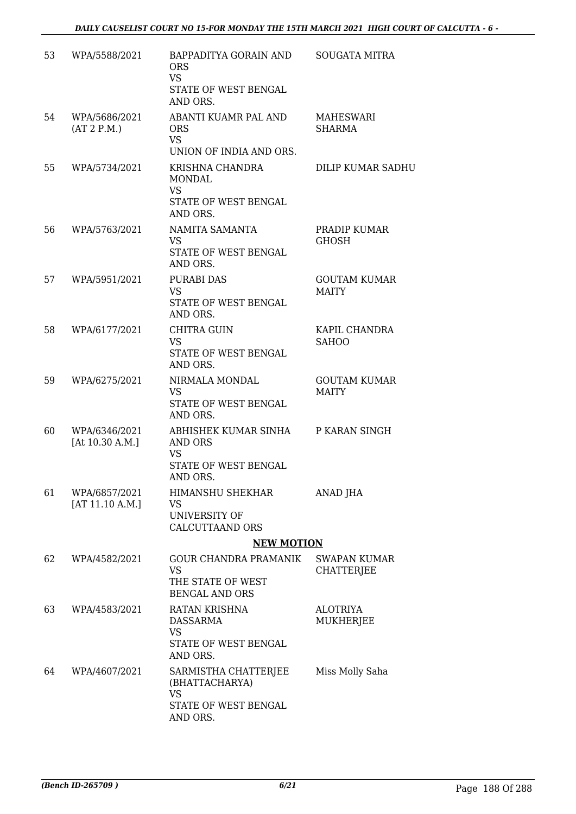| 53 | WPA/5588/2021                      | BAPPADITYA GORAIN AND<br><b>ORS</b><br><b>VS</b><br>STATE OF WEST BENGAL<br>AND ORS.    | <b>SOUGATA MITRA</b>                     |
|----|------------------------------------|-----------------------------------------------------------------------------------------|------------------------------------------|
| 54 | WPA/5686/2021<br>(AT 2 P.M.)       | ABANTI KUAMR PAL AND<br><b>ORS</b><br><b>VS</b><br>UNION OF INDIA AND ORS.              | MAHESWARI<br><b>SHARMA</b>               |
| 55 | WPA/5734/2021                      | KRISHNA CHANDRA<br><b>MONDAL</b><br><b>VS</b><br>STATE OF WEST BENGAL<br>AND ORS.       | DILIP KUMAR SADHU                        |
| 56 | WPA/5763/2021                      | NAMITA SAMANTA<br><b>VS</b><br>STATE OF WEST BENGAL<br>AND ORS.                         | PRADIP KUMAR<br><b>GHOSH</b>             |
| 57 | WPA/5951/2021                      | <b>PURABI DAS</b><br><b>VS</b><br>STATE OF WEST BENGAL<br>AND ORS.                      | <b>GOUTAM KUMAR</b><br><b>MAITY</b>      |
| 58 | WPA/6177/2021                      | CHITRA GUIN<br><b>VS</b><br>STATE OF WEST BENGAL<br>AND ORS.                            | KAPIL CHANDRA<br><b>SAHOO</b>            |
| 59 | WPA/6275/2021                      | NIRMALA MONDAL<br><b>VS</b><br>STATE OF WEST BENGAL<br>AND ORS.                         | <b>GOUTAM KUMAR</b><br><b>MAITY</b>      |
| 60 | WPA/6346/2021<br>[At $10.30$ A.M.] | ABHISHEK KUMAR SINHA<br>AND ORS<br><b>VS</b><br>STATE OF WEST BENGAL<br>AND ORS.        | P KARAN SINGH                            |
| 61 | WPA/6857/2021<br>[AT 11.10 A.M.]   | HIMANSHU SHEKHAR<br>VS<br>UNIVERSITY OF<br><b>CALCUTTAAND ORS</b>                       | ANAD JHA                                 |
|    |                                    | <b>NEW MOTION</b>                                                                       |                                          |
| 62 | WPA/4582/2021                      | <b>GOUR CHANDRA PRAMANIK</b><br><b>VS</b><br>THE STATE OF WEST<br><b>BENGAL AND ORS</b> | <b>SWAPAN KUMAR</b><br><b>CHATTERJEE</b> |
| 63 | WPA/4583/2021                      | RATAN KRISHNA<br>DASSARMA<br><b>VS</b><br>STATE OF WEST BENGAL<br>AND ORS.              | <b>ALOTRIYA</b><br>MUKHERJEE             |
| 64 | WPA/4607/2021                      | SARMISTHA CHATTERJEE<br>(BHATTACHARYA)<br><b>VS</b><br>STATE OF WEST BENGAL<br>AND ORS. | Miss Molly Saha                          |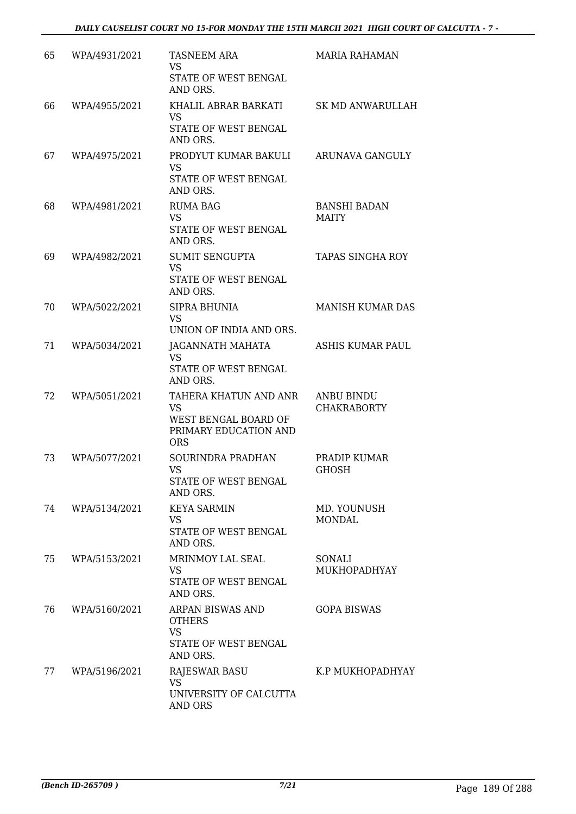| 65 | WPA/4931/2021 | <b>TASNEEM ARA</b><br>VS<br>STATE OF WEST BENGAL<br>AND ORS.                                      | <b>MARIA RAHAMAN</b>                    |
|----|---------------|---------------------------------------------------------------------------------------------------|-----------------------------------------|
| 66 | WPA/4955/2021 | KHALIL ABRAR BARKATI<br><b>VS</b><br>STATE OF WEST BENGAL<br>AND ORS.                             | <b>SK MD ANWARULLAH</b>                 |
| 67 | WPA/4975/2021 | PRODYUT KUMAR BAKULI<br><b>VS</b><br>STATE OF WEST BENGAL<br>AND ORS.                             | ARUNAVA GANGULY                         |
| 68 | WPA/4981/2021 | <b>RUMA BAG</b><br><b>VS</b><br>STATE OF WEST BENGAL<br>AND ORS.                                  | <b>BANSHI BADAN</b><br><b>MAITY</b>     |
| 69 | WPA/4982/2021 | <b>SUMIT SENGUPTA</b><br><b>VS</b><br><b>STATE OF WEST BENGAL</b><br>AND ORS.                     | <b>TAPAS SINGHA ROY</b>                 |
| 70 | WPA/5022/2021 | SIPRA BHUNIA<br><b>VS</b><br>UNION OF INDIA AND ORS.                                              | <b>MANISH KUMAR DAS</b>                 |
| 71 | WPA/5034/2021 | JAGANNATH MAHATA<br><b>VS</b><br>STATE OF WEST BENGAL<br>AND ORS.                                 | ASHIS KUMAR PAUL                        |
| 72 | WPA/5051/2021 | TAHERA KHATUN AND ANR<br><b>VS</b><br>WEST BENGAL BOARD OF<br>PRIMARY EDUCATION AND<br><b>ORS</b> | <b>ANBU BINDU</b><br><b>CHAKRABORTY</b> |
| 73 | WPA/5077/2021 | SOURINDRA PRADHAN<br><b>VS</b><br>STATE OF WEST BENGAL<br>AND ORS.                                | PRADIP KUMAR<br><b>GHOSH</b>            |
| 74 | WPA/5134/2021 | <b>KEYA SARMIN</b><br><b>VS</b><br>STATE OF WEST BENGAL<br>AND ORS.                               | MD. YOUNUSH<br><b>MONDAL</b>            |
| 75 | WPA/5153/2021 | MRINMOY LAL SEAL<br><b>VS</b><br>STATE OF WEST BENGAL<br>AND ORS.                                 | SONALI<br>MUKHOPADHYAY                  |
| 76 | WPA/5160/2021 | ARPAN BISWAS AND<br><b>OTHERS</b><br><b>VS</b><br>STATE OF WEST BENGAL<br>AND ORS.                | <b>GOPA BISWAS</b>                      |
| 77 | WPA/5196/2021 | <b>RAJESWAR BASU</b><br><b>VS</b><br>UNIVERSITY OF CALCUTTA<br><b>AND ORS</b>                     | K.P MUKHOPADHYAY                        |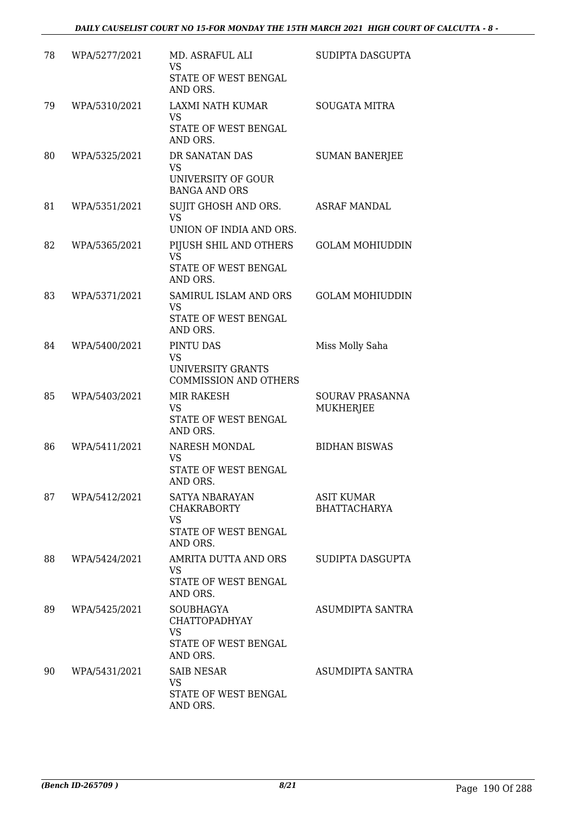| 78 | WPA/5277/2021 | MD. ASRAFUL ALI<br><b>VS</b><br>STATE OF WEST BENGAL<br>AND ORS.                          | SUDIPTA DASGUPTA                         |
|----|---------------|-------------------------------------------------------------------------------------------|------------------------------------------|
| 79 | WPA/5310/2021 | <b>LAXMI NATH KUMAR</b><br><b>VS</b><br>STATE OF WEST BENGAL<br>AND ORS.                  | <b>SOUGATA MITRA</b>                     |
| 80 | WPA/5325/2021 | DR SANATAN DAS<br>VS<br>UNIVERSITY OF GOUR<br><b>BANGA AND ORS</b>                        | <b>SUMAN BANERJEE</b>                    |
| 81 | WPA/5351/2021 | SUJIT GHOSH AND ORS.<br><b>VS</b><br>UNION OF INDIA AND ORS.                              | <b>ASRAF MANDAL</b>                      |
| 82 | WPA/5365/2021 | PIJUSH SHIL AND OTHERS<br><b>VS</b><br>STATE OF WEST BENGAL<br>AND ORS.                   | <b>GOLAM MOHIUDDIN</b>                   |
| 83 | WPA/5371/2021 | SAMIRUL ISLAM AND ORS<br><b>VS</b><br>STATE OF WEST BENGAL<br>AND ORS.                    | <b>GOLAM MOHIUDDIN</b>                   |
| 84 | WPA/5400/2021 | PINTU DAS<br>VS<br>UNIVERSITY GRANTS<br><b>COMMISSION AND OTHERS</b>                      | Miss Molly Saha                          |
| 85 | WPA/5403/2021 | MIR RAKESH<br><b>VS</b><br>STATE OF WEST BENGAL<br>AND ORS.                               | SOURAV PRASANNA<br><b>MUKHERJEE</b>      |
| 86 | WPA/5411/2021 | NARESH MONDAL<br><b>VS</b><br><b>STATE OF WEST BENGAL</b><br>AND ORS.                     | <b>BIDHAN BISWAS</b>                     |
| 87 | WPA/5412/2021 | SATYA NBARAYAN<br><b>CHAKRABORTY</b><br><b>VS</b><br>STATE OF WEST BENGAL<br>AND ORS.     | <b>ASIT KUMAR</b><br><b>BHATTACHARYA</b> |
| 88 | WPA/5424/2021 | AMRITA DUTTA AND ORS<br>VS<br>STATE OF WEST BENGAL<br>AND ORS.                            | SUDIPTA DASGUPTA                         |
| 89 | WPA/5425/2021 | <b>SOUBHAGYA</b><br><b>CHATTOPADHYAY</b><br><b>VS</b><br>STATE OF WEST BENGAL<br>AND ORS. | ASUMDIPTA SANTRA                         |
| 90 | WPA/5431/2021 | <b>SAIB NESAR</b><br>VS<br>STATE OF WEST BENGAL<br>AND ORS.                               | ASUMDIPTA SANTRA                         |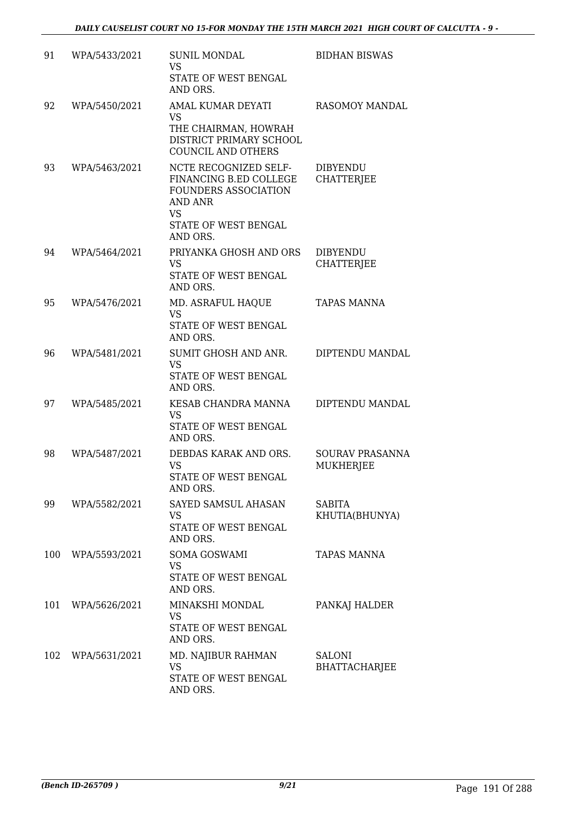| 91  | WPA/5433/2021 | <b>SUNIL MONDAL</b><br><b>VS</b><br>STATE OF WEST BENGAL<br>AND ORS.                                                                       | <b>BIDHAN BISWAS</b>                       |
|-----|---------------|--------------------------------------------------------------------------------------------------------------------------------------------|--------------------------------------------|
| 92  | WPA/5450/2021 | AMAL KUMAR DEYATI<br><b>VS</b><br>THE CHAIRMAN, HOWRAH<br>DISTRICT PRIMARY SCHOOL<br><b>COUNCIL AND OTHERS</b>                             | RASOMOY MANDAL                             |
| 93  | WPA/5463/2021 | NCTE RECOGNIZED SELF-<br>FINANCING B.ED COLLEGE<br>FOUNDERS ASSOCIATION<br><b>AND ANR</b><br><b>VS</b><br>STATE OF WEST BENGAL<br>AND ORS. | <b>DIBYENDU</b><br><b>CHATTERJEE</b>       |
| 94  | WPA/5464/2021 | PRIYANKA GHOSH AND ORS<br>VS<br>STATE OF WEST BENGAL<br>AND ORS.                                                                           | <b>DIBYENDU</b><br><b>CHATTERJEE</b>       |
| 95  | WPA/5476/2021 | MD. ASRAFUL HAQUE<br><b>VS</b><br><b>STATE OF WEST BENGAL</b><br>AND ORS.                                                                  | <b>TAPAS MANNA</b>                         |
| 96  | WPA/5481/2021 | SUMIT GHOSH AND ANR.<br><b>VS</b><br>STATE OF WEST BENGAL<br>AND ORS.                                                                      | DIPTENDU MANDAL                            |
| 97  | WPA/5485/2021 | KESAB CHANDRA MANNA<br><b>VS</b><br>STATE OF WEST BENGAL<br>AND ORS.                                                                       | DIPTENDU MANDAL                            |
| 98  | WPA/5487/2021 | DEBDAS KARAK AND ORS.<br><b>VS</b><br>STATE OF WEST BENGAL<br>AND ORS.                                                                     | <b>SOURAV PRASANNA</b><br><b>MUKHERJEE</b> |
| 99  | WPA/5582/2021 | SAYED SAMSUL AHASAN<br>VS<br>STATE OF WEST BENGAL<br>AND ORS.                                                                              | <b>SABITA</b><br>KHUTIA(BHUNYA)            |
| 100 | WPA/5593/2021 | <b>SOMA GOSWAMI</b><br><b>VS</b><br>STATE OF WEST BENGAL<br>AND ORS.                                                                       | <b>TAPAS MANNA</b>                         |
| 101 | WPA/5626/2021 | MINAKSHI MONDAL<br><b>VS</b><br>STATE OF WEST BENGAL<br>AND ORS.                                                                           | PANKAJ HALDER                              |
| 102 | WPA/5631/2021 | MD. NAJIBUR RAHMAN<br>VS<br>STATE OF WEST BENGAL<br>AND ORS.                                                                               | <b>SALONI</b><br><b>BHATTACHARJEE</b>      |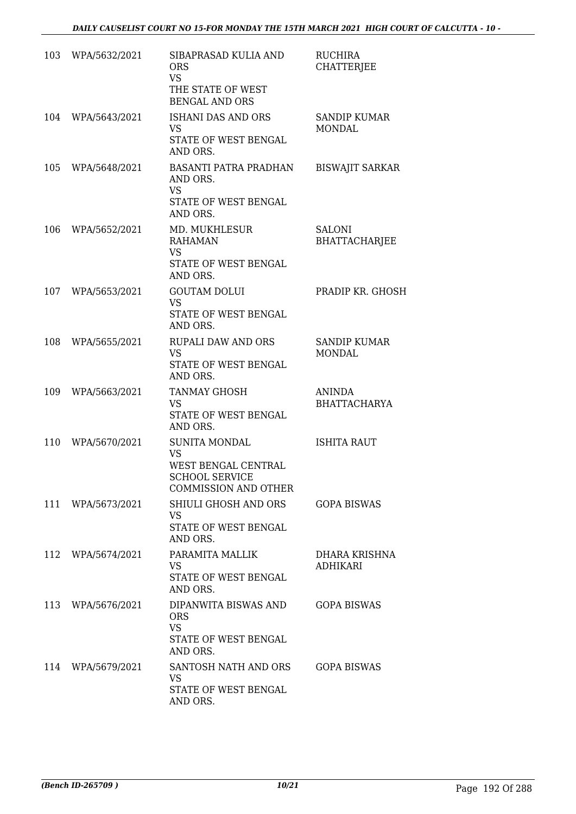| 103 | WPA/5632/2021     | SIBAPRASAD KULIA AND<br><b>ORS</b><br><b>VS</b><br>THE STATE OF WEST<br><b>BENGAL AND ORS</b>                    | <b>RUCHIRA</b><br><b>CHATTERIEE</b>  |
|-----|-------------------|------------------------------------------------------------------------------------------------------------------|--------------------------------------|
| 104 | WPA/5643/2021     | <b>ISHANI DAS AND ORS</b><br><b>VS</b><br>STATE OF WEST BENGAL<br>AND ORS.                                       | <b>SANDIP KUMAR</b><br><b>MONDAL</b> |
| 105 | WPA/5648/2021     | <b>BASANTI PATRA PRADHAN</b><br>AND ORS.<br><b>VS</b><br>STATE OF WEST BENGAL<br>AND ORS.                        | <b>BISWAJIT SARKAR</b>               |
| 106 | WPA/5652/2021     | MD. MUKHLESUR<br><b>RAHAMAN</b><br><b>VS</b><br>STATE OF WEST BENGAL<br>AND ORS.                                 | <b>SALONI</b><br>BHATTACHARJEE       |
| 107 | WPA/5653/2021     | <b>GOUTAM DOLUI</b><br><b>VS</b><br>STATE OF WEST BENGAL<br>AND ORS.                                             | PRADIP KR. GHOSH                     |
| 108 | WPA/5655/2021     | <b>RUPALI DAW AND ORS</b><br><b>VS</b><br>STATE OF WEST BENGAL<br>AND ORS.                                       | <b>SANDIP KUMAR</b><br><b>MONDAL</b> |
| 109 | WPA/5663/2021     | <b>TANMAY GHOSH</b><br><b>VS</b><br>STATE OF WEST BENGAL<br>AND ORS.                                             | <b>ANINDA</b><br><b>BHATTACHARYA</b> |
| 110 | WPA/5670/2021     | <b>SUNITA MONDAL</b><br><b>VS</b><br>WEST BENGAL CENTRAL<br><b>SCHOOL SERVICE</b><br><b>COMMISSION AND OTHER</b> | <b>ISHITA RAUT</b>                   |
|     | 111 WPA/5673/2021 | SHIULI GHOSH AND ORS<br>VS<br>STATE OF WEST BENGAL<br>AND ORS.                                                   | <b>GOPA BISWAS</b>                   |
| 112 | WPA/5674/2021     | PARAMITA MALLIK<br><b>VS</b><br>STATE OF WEST BENGAL<br>AND ORS.                                                 | DHARA KRISHNA<br><b>ADHIKARI</b>     |
|     | 113 WPA/5676/2021 | DIPANWITA BISWAS AND<br><b>ORS</b><br><b>VS</b><br>STATE OF WEST BENGAL<br>AND ORS.                              | <b>GOPA BISWAS</b>                   |
|     | 114 WPA/5679/2021 | SANTOSH NATH AND ORS<br>VS<br>STATE OF WEST BENGAL<br>AND ORS.                                                   | <b>GOPA BISWAS</b>                   |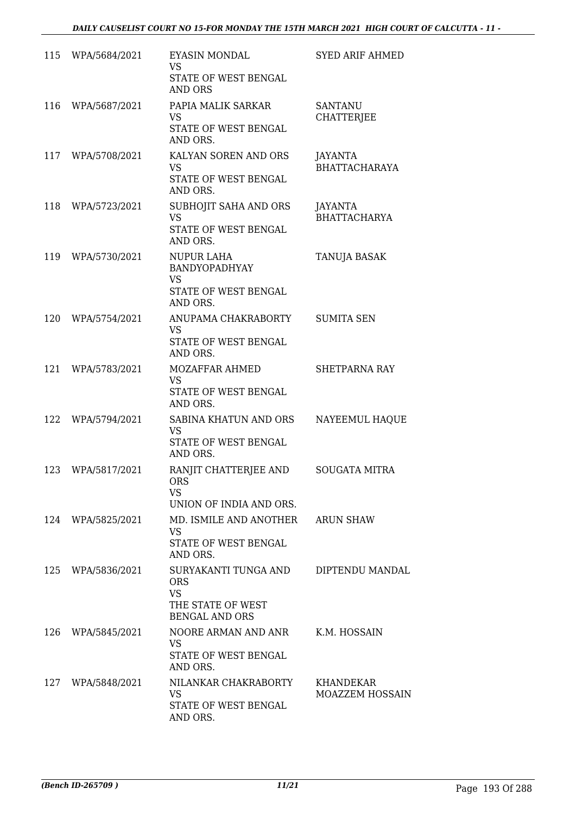| 115 | WPA/5684/2021     | <b>EYASIN MONDAL</b><br><b>VS</b><br>STATE OF WEST BENGAL<br><b>AND ORS</b>                   | <b>SYED ARIF AHMED</b>              |
|-----|-------------------|-----------------------------------------------------------------------------------------------|-------------------------------------|
| 116 | WPA/5687/2021     | PAPIA MALIK SARKAR<br><b>VS</b><br>STATE OF WEST BENGAL<br>AND ORS.                           | <b>SANTANU</b><br><b>CHATTERJEE</b> |
| 117 | WPA/5708/2021     | KALYAN SOREN AND ORS<br><b>VS</b><br>STATE OF WEST BENGAL<br>AND ORS.                         | JAYANTA<br><b>BHATTACHARAYA</b>     |
| 118 | WPA/5723/2021     | SUBHOJIT SAHA AND ORS<br><b>VS</b><br>STATE OF WEST BENGAL<br>AND ORS.                        | JAYANTA<br><b>BHATTACHARYA</b>      |
| 119 | WPA/5730/2021     | <b>NUPUR LAHA</b><br><b>BANDYOPADHYAY</b><br><b>VS</b><br>STATE OF WEST BENGAL<br>AND ORS.    | TANUJA BASAK                        |
| 120 | WPA/5754/2021     | ANUPAMA CHAKRABORTY<br><b>VS</b><br>STATE OF WEST BENGAL<br>AND ORS.                          | <b>SUMITA SEN</b>                   |
| 121 | WPA/5783/2021     | MOZAFFAR AHMED<br><b>VS</b><br>STATE OF WEST BENGAL<br>AND ORS.                               | SHETPARNA RAY                       |
| 122 | WPA/5794/2021     | SABINA KHATUN AND ORS<br><b>VS</b><br>STATE OF WEST BENGAL<br>AND ORS.                        | NAYEEMUL HAQUE                      |
| 123 | WPA/5817/2021     | RANJIT CHATTERJEE AND<br>ORS<br><b>VS</b><br>UNION OF INDIA AND ORS.                          | <b>SOUGATA MITRA</b>                |
| 124 | WPA/5825/2021     | MD. ISMILE AND ANOTHER ARUN SHAW<br><b>VS</b><br>STATE OF WEST BENGAL<br>AND ORS.             |                                     |
|     | 125 WPA/5836/2021 | SURYAKANTI TUNGA AND<br><b>ORS</b><br><b>VS</b><br>THE STATE OF WEST<br><b>BENGAL AND ORS</b> | DIPTENDU MANDAL                     |
| 126 | WPA/5845/2021     | NOORE ARMAN AND ANR<br><b>VS</b><br>STATE OF WEST BENGAL<br>AND ORS.                          | K.M. HOSSAIN                        |
| 127 | WPA/5848/2021     | NILANKAR CHAKRABORTY<br><b>VS</b><br>STATE OF WEST BENGAL<br>AND ORS.                         | KHANDEKAR<br><b>MOAZZEM HOSSAIN</b> |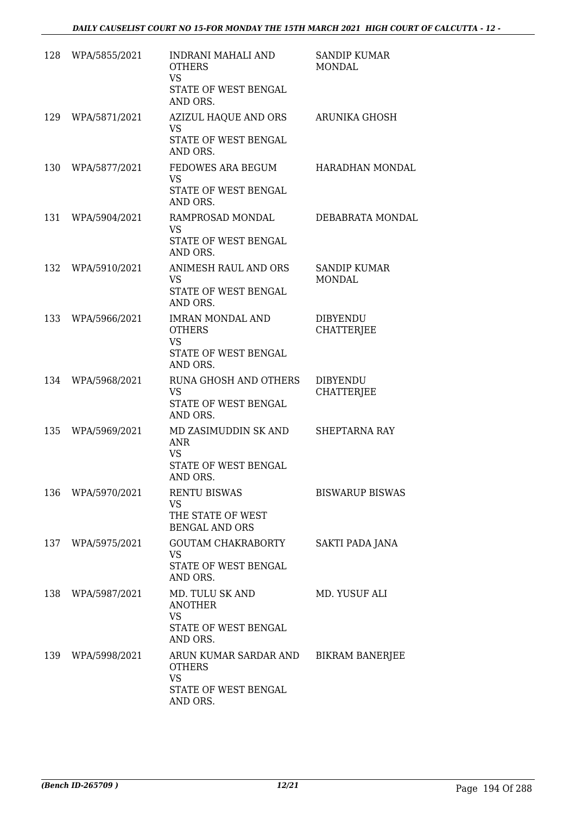|     | 128 WPA/5855/2021 | <b>INDRANI MAHALI AND</b><br><b>OTHERS</b><br><b>VS</b><br>STATE OF WEST BENGAL<br>AND ORS.      | <b>SANDIP KUMAR</b><br><b>MONDAL</b> |
|-----|-------------------|--------------------------------------------------------------------------------------------------|--------------------------------------|
| 129 | WPA/5871/2021     | AZIZUL HAQUE AND ORS<br><b>VS</b><br>STATE OF WEST BENGAL<br>AND ORS.                            | ARUNIKA GHOSH                        |
| 130 | WPA/5877/2021     | FEDOWES ARA BEGUM<br><b>VS</b><br>STATE OF WEST BENGAL<br>AND ORS.                               | HARADHAN MONDAL                      |
| 131 | WPA/5904/2021     | RAMPROSAD MONDAL<br>VS<br>STATE OF WEST BENGAL<br>AND ORS.                                       | DEBABRATA MONDAL                     |
| 132 | WPA/5910/2021     | ANIMESH RAUL AND ORS<br><b>VS</b><br>STATE OF WEST BENGAL<br>AND ORS.                            | SANDIP KUMAR<br><b>MONDAL</b>        |
| 133 | WPA/5966/2021     | <b>IMRAN MONDAL AND</b><br><b>OTHERS</b><br><b>VS</b><br>STATE OF WEST BENGAL<br>AND ORS.        | <b>DIBYENDU</b><br><b>CHATTERJEE</b> |
| 134 | WPA/5968/2021     | RUNA GHOSH AND OTHERS<br><b>VS</b><br>STATE OF WEST BENGAL<br>AND ORS.                           | <b>DIBYENDU</b><br><b>CHATTERJEE</b> |
| 135 | WPA/5969/2021     | MD ZASIMUDDIN SK AND<br><b>ANR</b><br><b>VS</b><br><b>STATE OF WEST BENGAL</b><br><b>AND ORS</b> | <b>SHEPTARNA RAY</b>                 |
|     | 136 WPA/5970/2021 | <b>RENTU BISWAS</b><br><b>VS</b><br>THE STATE OF WEST<br><b>BENGAL AND ORS</b>                   | <b>BISWARUP BISWAS</b>               |
|     | 137 WPA/5975/2021 | GOUTAM CHAKRABORTY<br><b>VS</b><br>STATE OF WEST BENGAL<br>AND ORS.                              | SAKTI PADA JANA                      |
|     | 138 WPA/5987/2021 | MD. TULU SK AND<br><b>ANOTHER</b><br><b>VS</b><br>STATE OF WEST BENGAL<br>AND ORS.               | MD. YUSUF ALI                        |
|     | 139 WPA/5998/2021 | ARUN KUMAR SARDAR AND<br><b>OTHERS</b><br><b>VS</b><br>STATE OF WEST BENGAL<br>AND ORS.          | <b>BIKRAM BANERJEE</b>               |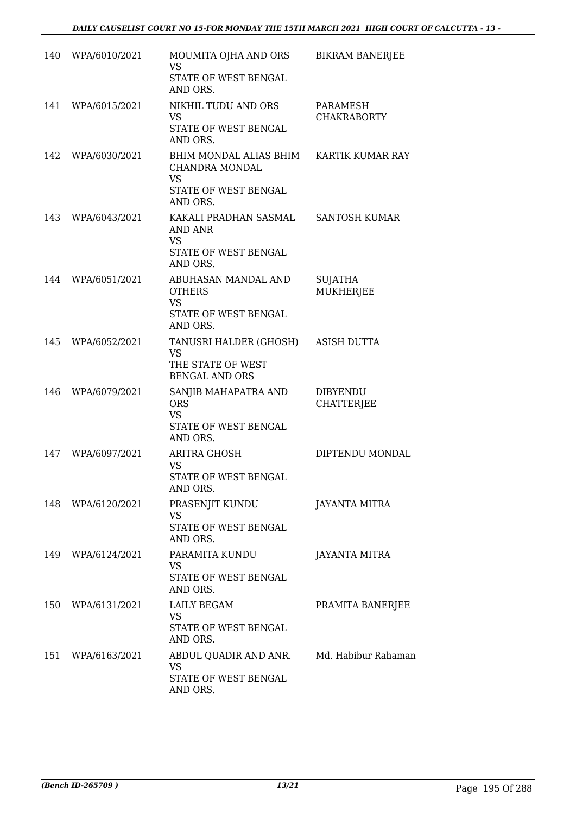| 140 | WPA/6010/2021     | MOUMITA OJHA AND ORS<br><b>VS</b><br>STATE OF WEST BENGAL<br>AND ORS.                                       | <b>BIKRAM BANERJEE</b>               |
|-----|-------------------|-------------------------------------------------------------------------------------------------------------|--------------------------------------|
| 141 | WPA/6015/2021     | NIKHIL TUDU AND ORS<br><b>VS</b><br>STATE OF WEST BENGAL<br>AND ORS.                                        | PARAMESH<br><b>CHAKRABORTY</b>       |
| 142 | WPA/6030/2021     | BHIM MONDAL ALIAS BHIM KARTIK KUMAR RAY<br>CHANDRA MONDAL<br><b>VS</b><br>STATE OF WEST BENGAL              |                                      |
| 143 | WPA/6043/2021     | AND ORS.<br>KAKALI PRADHAN SASMAL SANTOSH KUMAR<br>AND ANR<br><b>VS</b><br>STATE OF WEST BENGAL<br>AND ORS. |                                      |
| 144 | WPA/6051/2021     | ABUHASAN MANDAL AND<br><b>OTHERS</b><br><b>VS</b><br>STATE OF WEST BENGAL<br>AND ORS.                       | <b>SUJATHA</b><br>MUKHERJEE          |
| 145 | WPA/6052/2021     | TANUSRI HALDER (GHOSH)<br><b>VS</b><br>THE STATE OF WEST<br><b>BENGAL AND ORS</b>                           | <b>ASISH DUTTA</b>                   |
| 146 | WPA/6079/2021     | SANJIB MAHAPATRA AND<br><b>ORS</b><br><b>VS</b><br>STATE OF WEST BENGAL<br>AND ORS.                         | <b>DIBYENDU</b><br><b>CHATTERJEE</b> |
| 147 | WPA/6097/2021     | <b>ARITRA GHOSH</b><br><b>VS</b><br>STATE OF WEST BENGAL<br>AND ORS.                                        | DIPTENDU MONDAL                      |
|     | 148 WPA/6120/2021 | PRASENJIT KUNDU<br>VS<br>STATE OF WEST BENGAL<br>AND ORS.                                                   | <b>JAYANTA MITRA</b>                 |
|     | 149 WPA/6124/2021 | PARAMITA KUNDU<br><b>VS</b><br>STATE OF WEST BENGAL<br>AND ORS.                                             | <b>JAYANTA MITRA</b>                 |
|     | 150 WPA/6131/2021 | <b>LAILY BEGAM</b><br>VS<br>STATE OF WEST BENGAL<br>AND ORS.                                                | PRAMITA BANERJEE                     |
|     | 151 WPA/6163/2021 | ABDUL QUADIR AND ANR. Md. Habibur Rahaman<br>VS<br>STATE OF WEST BENGAL<br>AND ORS.                         |                                      |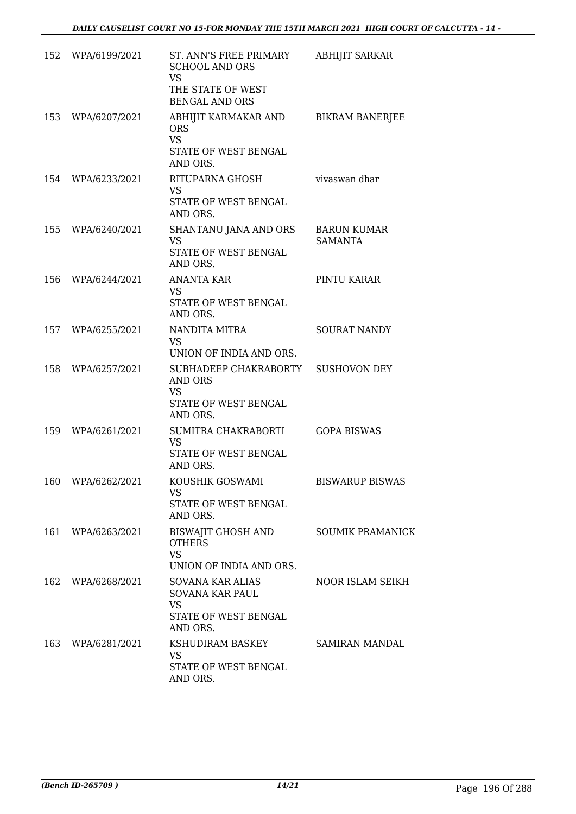|     | 152 WPA/6199/2021 | ST. ANN'S FREE PRIMARY<br><b>SCHOOL AND ORS</b><br><b>VS</b><br>THE STATE OF WEST<br><b>BENGAL AND ORS</b> | <b>ABHIJIT SARKAR</b>                |
|-----|-------------------|------------------------------------------------------------------------------------------------------------|--------------------------------------|
| 153 | WPA/6207/2021     | ABHIJIT KARMAKAR AND BIKRAM BANERJEE<br><b>ORS</b><br><b>VS</b><br>STATE OF WEST BENGAL<br>AND ORS.        |                                      |
| 154 | WPA/6233/2021     | RITUPARNA GHOSH<br><b>VS</b><br>STATE OF WEST BENGAL<br>AND ORS.                                           | vivaswan dhar                        |
|     | 155 WPA/6240/2021 | SHANTANU JANA AND ORS<br><b>VS</b><br>STATE OF WEST BENGAL<br>AND ORS.                                     | <b>BARUN KUMAR</b><br><b>SAMANTA</b> |
| 156 | WPA/6244/2021     | <b>ANANTA KAR</b><br>VS.<br>STATE OF WEST BENGAL<br>AND ORS.                                               | PINTU KARAR                          |
|     | 157 WPA/6255/2021 | NANDITA MITRA<br><b>VS</b><br>UNION OF INDIA AND ORS.                                                      | <b>SOURAT NANDY</b>                  |
|     | 158 WPA/6257/2021 | SUBHADEEP CHAKRABORTY SUSHOVON DEY<br>AND ORS<br><b>VS</b><br>STATE OF WEST BENGAL<br>AND ORS.             |                                      |
| 159 | WPA/6261/2021     | SUMITRA CHAKRABORTI<br><b>VS</b><br>STATE OF WEST BENGAL<br>AND ORS.                                       | <b>GOPA BISWAS</b>                   |
|     | 160 WPA/6262/2021 | KOUSHIK GOSWAMI<br>VS.<br>STATE OF WEST BENGAL<br>AND ORS.                                                 | <b>BISWARUP BISWAS</b>               |
| 161 | WPA/6263/2021     | BISWAJIT GHOSH AND<br><b>OTHERS</b><br><b>VS</b><br>UNION OF INDIA AND ORS.                                | <b>SOUMIK PRAMANICK</b>              |
|     | 162 WPA/6268/2021 | SOVANA KAR ALIAS<br>SOVANA KAR PAUL<br><b>VS</b><br>STATE OF WEST BENGAL<br>AND ORS.                       | NOOR ISLAM SEIKH                     |
| 163 | WPA/6281/2021     | KSHUDIRAM BASKEY<br>VS<br>STATE OF WEST BENGAL<br>AND ORS.                                                 | SAMIRAN MANDAL                       |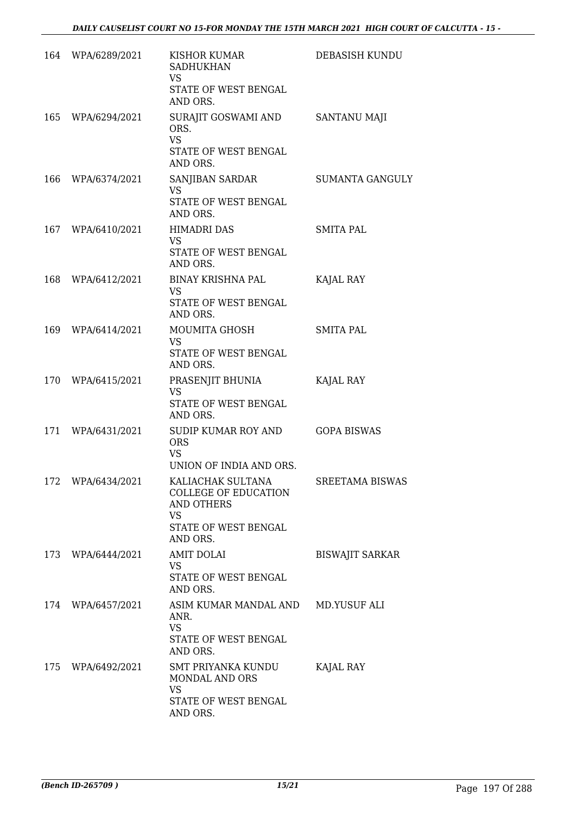|     | 164 WPA/6289/2021 | KISHOR KUMAR<br><b>SADHUKHAN</b><br>VS.<br>STATE OF WEST BENGAL<br>AND ORS.                                     | DEBASISH KUNDU         |
|-----|-------------------|-----------------------------------------------------------------------------------------------------------------|------------------------|
| 165 | WPA/6294/2021     | SURAJIT GOSWAMI AND<br>ORS.<br><b>VS</b><br>STATE OF WEST BENGAL<br>AND ORS.                                    | SANTANU MAJI           |
| 166 | WPA/6374/2021     | SANJIBAN SARDAR<br>VS<br>STATE OF WEST BENGAL<br>AND ORS.                                                       | <b>SUMANTA GANGULY</b> |
|     | 167 WPA/6410/2021 | <b>HIMADRI DAS</b><br>VS<br>STATE OF WEST BENGAL<br>AND ORS.                                                    | SMITA PAL              |
| 168 | WPA/6412/2021     | BINAY KRISHNA PAL<br><b>VS</b><br>STATE OF WEST BENGAL<br>AND ORS.                                              | KAJAL RAY              |
| 169 | WPA/6414/2021     | MOUMITA GHOSH<br>VS<br>STATE OF WEST BENGAL<br>AND ORS.                                                         | <b>SMITA PAL</b>       |
|     | 170 WPA/6415/2021 | PRASENJIT BHUNIA<br><b>VS</b><br>STATE OF WEST BENGAL<br>AND ORS.                                               | KAJAL RAY              |
| 171 | WPA/6431/2021     | SUDIP KUMAR ROY AND<br><b>ORS</b><br>VS<br>UNION OF INDIA AND ORS.                                              | <b>GOPA BISWAS</b>     |
|     | 172 WPA/6434/2021 | KALIACHAK SULTANA<br><b>COLLEGE OF EDUCATION</b><br><b>AND OTHERS</b><br>VS<br>STATE OF WEST BENGAL<br>AND ORS. | <b>SREETAMA BISWAS</b> |
| 173 | WPA/6444/2021     | <b>AMIT DOLAI</b><br><b>VS</b><br>STATE OF WEST BENGAL<br>AND ORS.                                              | <b>BISWAJIT SARKAR</b> |
|     | 174 WPA/6457/2021 | ASIM KUMAR MANDAL AND<br>ANR.<br><b>VS</b><br>STATE OF WEST BENGAL<br>AND ORS.                                  | MD.YUSUF ALI           |
| 175 | WPA/6492/2021     | SMT PRIYANKA KUNDU<br>MONDAL AND ORS<br><b>VS</b><br>STATE OF WEST BENGAL<br>AND ORS.                           | KAJAL RAY              |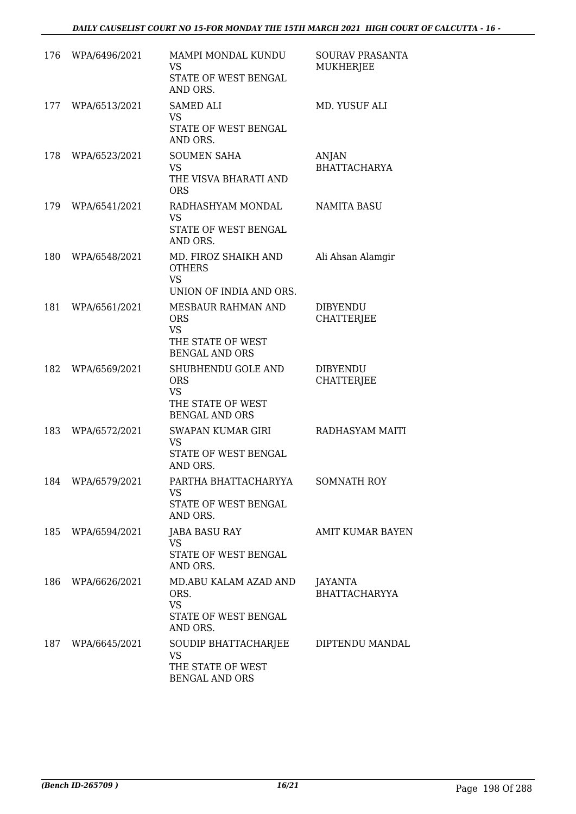| 176 | WPA/6496/2021     | MAMPI MONDAL KUNDU<br>VS<br>STATE OF WEST BENGAL<br>AND ORS.                                | <b>SOURAV PRASANTA</b><br><b>MUKHERJEE</b> |
|-----|-------------------|---------------------------------------------------------------------------------------------|--------------------------------------------|
| 177 | WPA/6513/2021     | <b>SAMED ALI</b><br><b>VS</b><br>STATE OF WEST BENGAL<br>AND ORS.                           | MD. YUSUF ALI                              |
| 178 | WPA/6523/2021     | <b>SOUMEN SAHA</b><br><b>VS</b><br>THE VISVA BHARATI AND<br><b>ORS</b>                      | ANJAN<br><b>BHATTACHARYA</b>               |
| 179 | WPA/6541/2021     | RADHASHYAM MONDAL<br><b>VS</b><br>STATE OF WEST BENGAL<br>AND ORS.                          | <b>NAMITA BASU</b>                         |
| 180 | WPA/6548/2021     | MD. FIROZ SHAIKH AND<br><b>OTHERS</b><br><b>VS</b><br>UNION OF INDIA AND ORS.               | Ali Ahsan Alamgir                          |
| 181 | WPA/6561/2021     | MESBAUR RAHMAN AND<br><b>ORS</b><br><b>VS</b><br>THE STATE OF WEST<br><b>BENGAL AND ORS</b> | <b>DIBYENDU</b><br><b>CHATTERIEE</b>       |
| 182 | WPA/6569/2021     | SHUBHENDU GOLE AND<br><b>ORS</b><br><b>VS</b><br>THE STATE OF WEST<br><b>BENGAL AND ORS</b> | <b>DIBYENDU</b><br><b>CHATTERJEE</b>       |
| 183 | WPA/6572/2021     | <b>SWAPAN KUMAR GIRI</b><br><b>VS</b><br>STATE OF WEST BENGAL<br>AND ORS.                   | RADHASYAM MAITI                            |
|     | 184 WPA/6579/2021 | PARTHA BHATTACHARYYA<br>VS<br>STATE OF WEST BENGAL<br>AND ORS.                              | <b>SOMNATH ROY</b>                         |
|     | 185 WPA/6594/2021 | <b>JABA BASU RAY</b><br><b>VS</b><br>STATE OF WEST BENGAL<br>AND ORS.                       | <b>AMIT KUMAR BAYEN</b>                    |
|     | 186 WPA/6626/2021 | MD.ABU KALAM AZAD AND<br>ORS.<br><b>VS</b><br>STATE OF WEST BENGAL                          | JAYANTA<br><b>BHATTACHARYYA</b>            |
|     | 187 WPA/6645/2021 | AND ORS.<br>SOUDIP BHATTACHARJEE<br>VS<br>THE STATE OF WEST<br><b>BENGAL AND ORS</b>        | DIPTENDU MANDAL                            |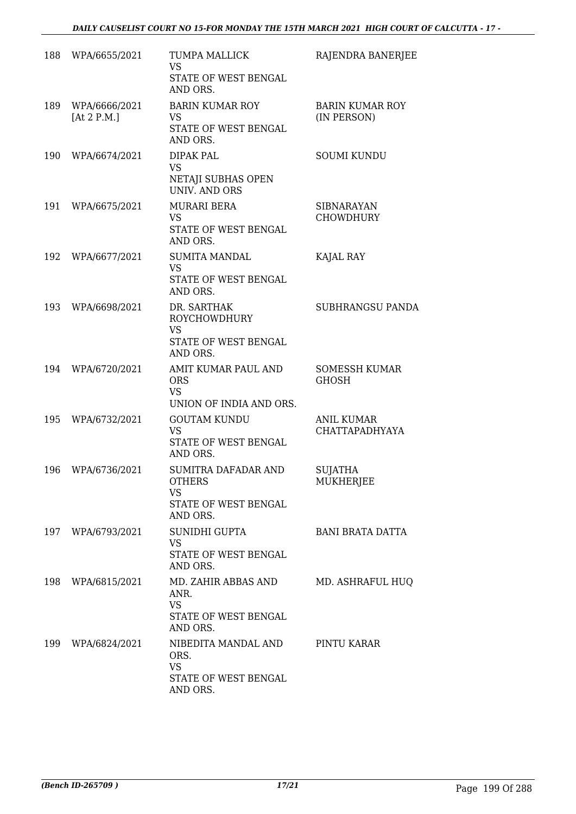| 188 | WPA/6655/2021                  | TUMPA MALLICK<br><b>VS</b><br>STATE OF WEST BENGAL<br>AND ORS.                        | RAJENDRA BANERJEE                     |
|-----|--------------------------------|---------------------------------------------------------------------------------------|---------------------------------------|
| 189 | WPA/6666/2021<br>[At $2$ P.M.] | <b>BARIN KUMAR ROY</b><br><b>VS</b><br>STATE OF WEST BENGAL<br>AND ORS.               | <b>BARIN KUMAR ROY</b><br>(IN PERSON) |
| 190 | WPA/6674/2021                  | DIPAK PAL<br><b>VS</b><br>NETAJI SUBHAS OPEN<br><b>UNIV. AND ORS</b>                  | <b>SOUMI KUNDU</b>                    |
| 191 | WPA/6675/2021                  | <b>MURARI BERA</b><br><b>VS</b><br>STATE OF WEST BENGAL<br>AND ORS.                   | <b>SIBNARAYAN</b><br><b>CHOWDHURY</b> |
| 192 | WPA/6677/2021                  | <b>SUMITA MANDAL</b><br><b>VS</b><br><b>STATE OF WEST BENGAL</b><br>AND ORS.          | KAJAL RAY                             |
| 193 | WPA/6698/2021                  | DR. SARTHAK<br><b>ROYCHOWDHURY</b><br><b>VS</b><br>STATE OF WEST BENGAL<br>AND ORS.   | <b>SUBHRANGSU PANDA</b>               |
| 194 | WPA/6720/2021                  | AMIT KUMAR PAUL AND<br><b>ORS</b><br><b>VS</b><br>UNION OF INDIA AND ORS.             | <b>SOMESSH KUMAR</b><br><b>GHOSH</b>  |
| 195 | WPA/6732/2021                  | <b>GOUTAM KUNDU</b><br><b>VS</b><br>STATE OF WEST BENGAL<br>AND ORS.                  | <b>ANIL KUMAR</b><br>CHATTAPADHYAYA   |
| 196 | WPA/6736/2021                  | SUMITRA DAFADAR AND<br><b>OTHERS</b><br><b>VS</b><br>STATE OF WEST BENGAL<br>AND ORS. | <b>SUJATHA</b><br>MUKHERJEE           |
|     | 197 WPA/6793/2021              | SUNIDHI GUPTA<br><b>VS</b><br>STATE OF WEST BENGAL<br>AND ORS.                        | BANI BRATA DATTA                      |
|     | 198 WPA/6815/2021              | MD. ZAHIR ABBAS AND<br>ANR.<br><b>VS</b><br>STATE OF WEST BENGAL<br>AND ORS.          | MD. ASHRAFUL HUQ                      |
| 199 | WPA/6824/2021                  | NIBEDITA MANDAL AND<br>ORS.<br><b>VS</b><br>STATE OF WEST BENGAL<br>AND ORS.          | PINTU KARAR                           |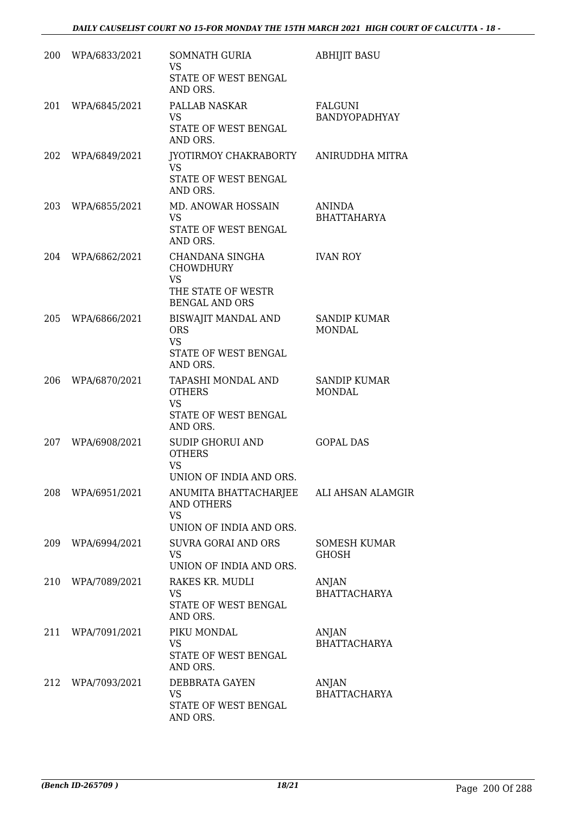| 200 | WPA/6833/2021 | SOMNATH GURIA<br><b>VS</b><br>STATE OF WEST BENGAL<br>AND ORS.                                  | <b>ABHIJIT BASU</b>                  |
|-----|---------------|-------------------------------------------------------------------------------------------------|--------------------------------------|
| 201 | WPA/6845/2021 | PALLAB NASKAR<br><b>VS</b><br>STATE OF WEST BENGAL<br>AND ORS.                                  | FALGUNI<br><b>BANDYOPADHYAY</b>      |
| 202 | WPA/6849/2021 | JYOTIRMOY CHAKRABORTY<br><b>VS</b><br>STATE OF WEST BENGAL<br>AND ORS.                          | ANIRUDDHA MITRA                      |
| 203 | WPA/6855/2021 | MD. ANOWAR HOSSAIN<br>VS<br>STATE OF WEST BENGAL<br>AND ORS.                                    | ANINDA<br><b>BHATTAHARYA</b>         |
| 204 | WPA/6862/2021 | CHANDANA SINGHA<br><b>CHOWDHURY</b><br><b>VS</b><br>THE STATE OF WESTR<br><b>BENGAL AND ORS</b> | <b>IVAN ROY</b>                      |
| 205 | WPA/6866/2021 | BISWAJIT MANDAL AND<br><b>ORS</b><br><b>VS</b><br>STATE OF WEST BENGAL<br>AND ORS.              | <b>SANDIP KUMAR</b><br><b>MONDAL</b> |
| 206 | WPA/6870/2021 | TAPASHI MONDAL AND<br><b>OTHERS</b><br><b>VS</b><br>STATE OF WEST BENGAL<br>AND ORS.            | <b>SANDIP KUMAR</b><br>MONDAL        |
| 207 | WPA/6908/2021 | SUDIP GHORUI AND<br><b>OTHERS</b><br><b>VS</b><br>UNION OF INDIA AND ORS                        | <b>GOPAL DAS</b>                     |
| 208 | WPA/6951/2021 | ANUMITA BHATTACHARJEE<br><b>AND OTHERS</b><br><b>VS</b><br>UNION OF INDIA AND ORS.              | ALI AHSAN ALAMGIR                    |
| 209 | WPA/6994/2021 | SUVRA GORAI AND ORS<br><b>VS</b><br>UNION OF INDIA AND ORS.                                     | SOMESH KUMAR<br><b>GHOSH</b>         |
| 210 | WPA/7089/2021 | RAKES KR. MUDLI<br><b>VS</b><br>STATE OF WEST BENGAL<br>AND ORS.                                | ANJAN<br><b>BHATTACHARYA</b>         |
| 211 | WPA/7091/2021 | PIKU MONDAL<br><b>VS</b><br>STATE OF WEST BENGAL<br>AND ORS.                                    | ANJAN<br><b>BHATTACHARYA</b>         |
| 212 | WPA/7093/2021 | DEBBRATA GAYEN<br><b>VS</b><br>STATE OF WEST BENGAL<br>AND ORS.                                 | ANJAN<br><b>BHATTACHARYA</b>         |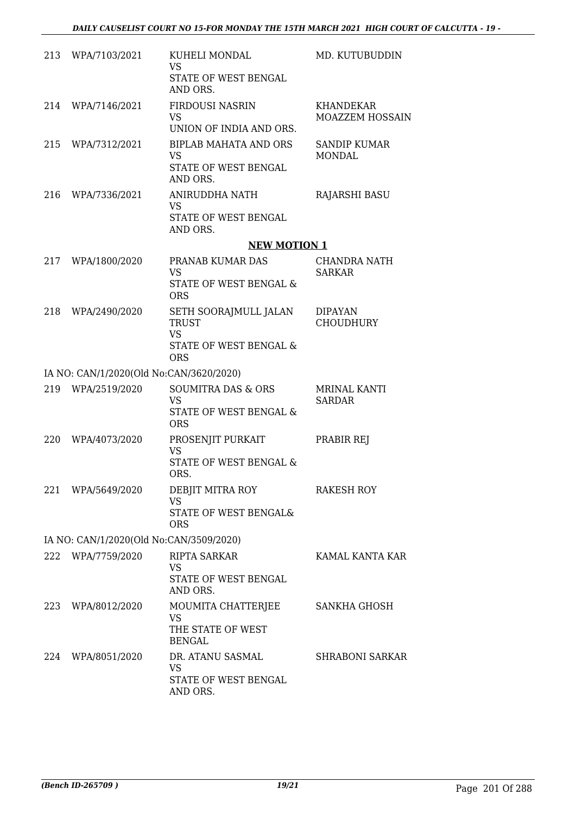|     | 213 WPA/7103/2021                       | KUHELI MONDAL<br><b>VS</b><br>STATE OF WEST BENGAL<br>AND ORS.                             | MD. KUTUBUDDIN                       |
|-----|-----------------------------------------|--------------------------------------------------------------------------------------------|--------------------------------------|
| 214 | WPA/7146/2021                           | <b>FIRDOUSI NASRIN</b><br><b>VS</b><br>UNION OF INDIA AND ORS.                             | KHANDEKAR<br><b>MOAZZEM HOSSAIN</b>  |
| 215 | WPA/7312/2021                           | <b>BIPLAB MAHATA AND ORS</b><br><b>VS</b><br>STATE OF WEST BENGAL<br>AND ORS.              | <b>SANDIP KUMAR</b><br><b>MONDAL</b> |
| 216 | WPA/7336/2021                           | ANIRUDDHA NATH<br>VS<br>STATE OF WEST BENGAL<br>AND ORS.                                   | <b>RAJARSHI BASU</b>                 |
|     |                                         | <b>NEW MOTION 1</b>                                                                        |                                      |
| 217 | WPA/1800/2020                           | PRANAB KUMAR DAS<br><b>VS</b><br>STATE OF WEST BENGAL &<br><b>ORS</b>                      | <b>CHANDRA NATH</b><br><b>SARKAR</b> |
| 218 | WPA/2490/2020                           | SETH SOORAJMULL JALAN<br><b>TRUST</b><br><b>VS</b><br>STATE OF WEST BENGAL &<br><b>ORS</b> | <b>DIPAYAN</b><br><b>CHOUDHURY</b>   |
|     | IA NO: CAN/1/2020(Old No:CAN/3620/2020) |                                                                                            |                                      |
| 219 | WPA/2519/2020                           | <b>SOUMITRA DAS &amp; ORS</b><br><b>VS</b><br>STATE OF WEST BENGAL &<br><b>ORS</b>         | <b>MRINAL KANTI</b><br><b>SARDAR</b> |
| 220 | WPA/4073/2020                           | PROSENJIT PURKAIT<br><b>VS</b><br>STATE OF WEST BENGAL &<br>ORS.                           | PRABIR REJ                           |
|     | 221 WPA/5649/2020                       | DEBJIT MITRA ROY<br><b>VS</b><br>STATE OF WEST BENGAL&<br><b>ORS</b>                       | <b>RAKESH ROY</b>                    |
|     | IA NO: CAN/1/2020(Old No:CAN/3509/2020) |                                                                                            |                                      |
|     | 222 WPA/7759/2020                       | <b>RIPTA SARKAR</b><br><b>VS</b><br>STATE OF WEST BENGAL<br>AND ORS.                       | KAMAL KANTA KAR                      |
|     | 223 WPA/8012/2020                       | MOUMITA CHATTERJEE<br>VS<br>THE STATE OF WEST<br><b>BENGAL</b>                             | SANKHA GHOSH                         |
| 224 | WPA/8051/2020                           | DR. ATANU SASMAL<br><b>VS</b><br>STATE OF WEST BENGAL<br>AND ORS.                          | <b>SHRABONI SARKAR</b>               |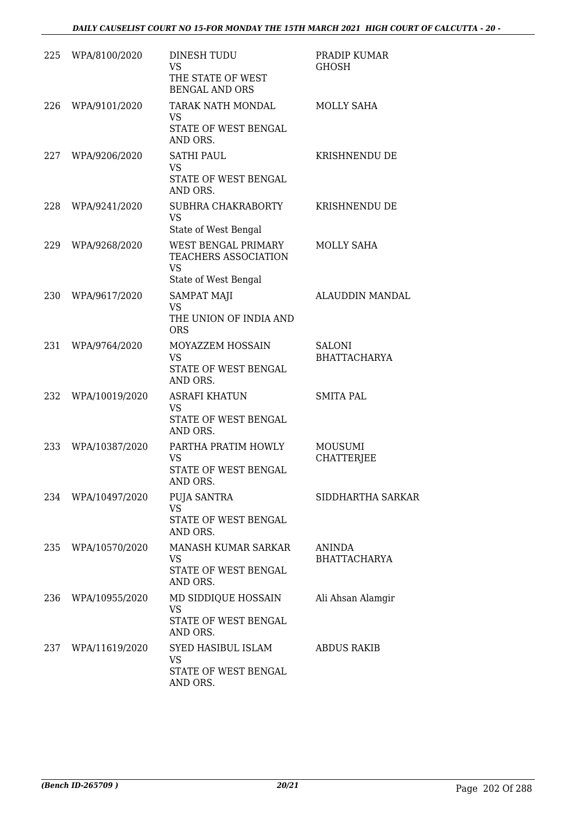| 225 | WPA/8100/2020      | DINESH TUDU<br><b>VS</b><br>THE STATE OF WEST<br><b>BENGAL AND ORS</b>                  | PRADIP KUMAR<br><b>GHOSH</b>         |
|-----|--------------------|-----------------------------------------------------------------------------------------|--------------------------------------|
| 226 | WPA/9101/2020      | TARAK NATH MONDAL<br><b>VS</b><br>STATE OF WEST BENGAL<br>AND ORS.                      | MOLLY SAHA                           |
| 227 | WPA/9206/2020      | <b>SATHI PAUL</b><br><b>VS</b><br>STATE OF WEST BENGAL<br>AND ORS.                      | KRISHNENDU DE                        |
| 228 | WPA/9241/2020      | SUBHRA CHAKRABORTY<br><b>VS</b><br>State of West Bengal                                 | KRISHNENDU DE                        |
| 229 | WPA/9268/2020      | WEST BENGAL PRIMARY<br><b>TEACHERS ASSOCIATION</b><br><b>VS</b><br>State of West Bengal | MOLLY SAHA                           |
| 230 | WPA/9617/2020      | <b>SAMPAT MAJI</b><br><b>VS</b><br>THE UNION OF INDIA AND<br><b>ORS</b>                 | <b>ALAUDDIN MANDAL</b>               |
| 231 | WPA/9764/2020      | MOYAZZEM HOSSAIN<br><b>VS</b><br>STATE OF WEST BENGAL<br>AND ORS.                       | <b>SALONI</b><br><b>BHATTACHARYA</b> |
| 232 | WPA/10019/2020     | ASRAFI KHATUN<br><b>VS</b><br>STATE OF WEST BENGAL<br>AND ORS.                          | <b>SMITA PAL</b>                     |
| 233 | WPA/10387/2020     | PARTHA PRATIM HOWLY<br><b>VS</b><br>STATE OF WEST BENGAL<br>AND ORS.                    | MOUSUMI<br><b>CHATTERJEE</b>         |
|     | 234 WPA/10497/2020 | <b>PUJA SANTRA</b><br><b>VS</b><br>STATE OF WEST BENGAL<br>AND ORS.                     | SIDDHARTHA SARKAR                    |
|     | 235 WPA/10570/2020 | MANASH KUMAR SARKAR<br><b>VS</b><br>STATE OF WEST BENGAL<br>AND ORS.                    | <b>ANINDA</b><br><b>BHATTACHARYA</b> |
| 236 | WPA/10955/2020     | MD SIDDIQUE HOSSAIN<br><b>VS</b><br>STATE OF WEST BENGAL<br>AND ORS.                    | Ali Ahsan Alamgir                    |
|     | 237 WPA/11619/2020 | SYED HASIBUL ISLAM<br><b>VS</b><br>STATE OF WEST BENGAL<br>AND ORS.                     | <b>ABDUS RAKIB</b>                   |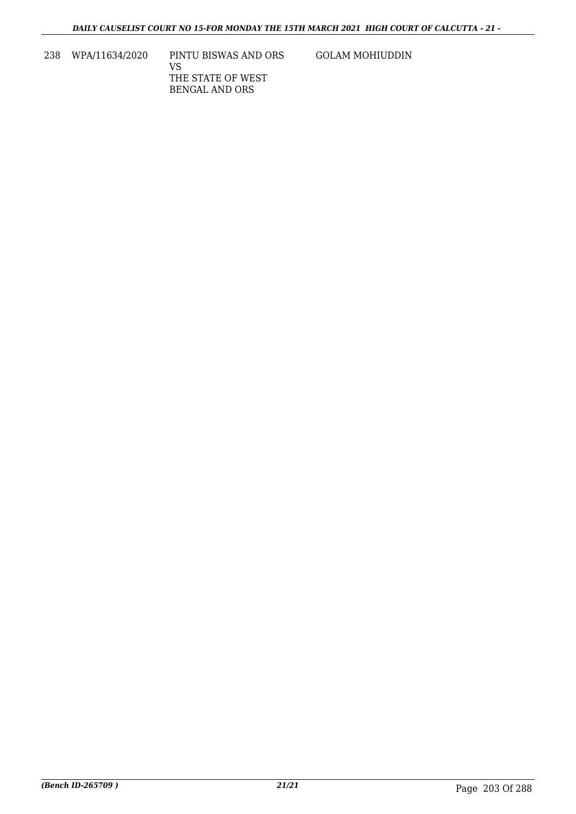238 WPA/11634/2020 PINTU BISWAS AND ORS VS THE STATE OF WEST BENGAL AND ORS

GOLAM MOHIUDDIN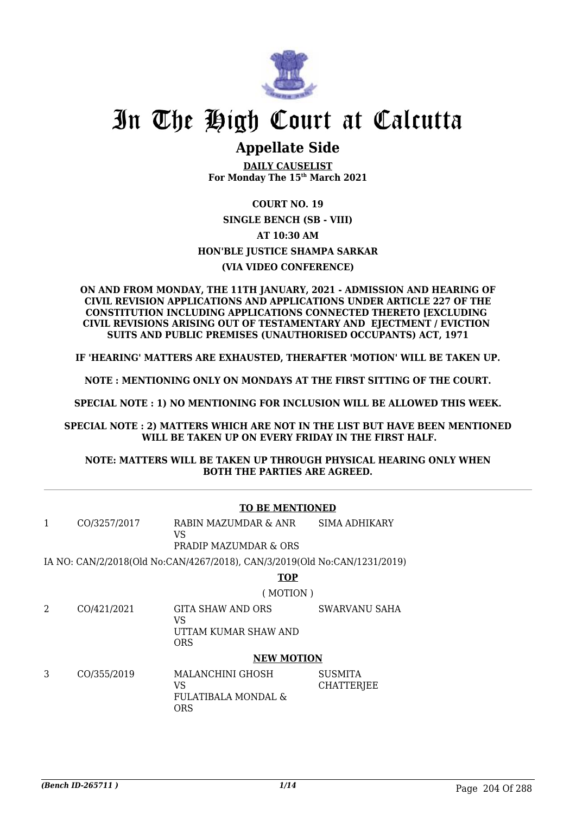

# In The High Court at Calcutta

## **Appellate Side**

**DAILY CAUSELIST For Monday The 15th March 2021**

### **COURT NO. 19 SINGLE BENCH (SB - VIII) AT 10:30 AM HON'BLE JUSTICE SHAMPA SARKAR (VIA VIDEO CONFERENCE)**

#### **ON AND FROM MONDAY, THE 11TH JANUARY, 2021 - ADMISSION AND HEARING OF CIVIL REVISION APPLICATIONS AND APPLICATIONS UNDER ARTICLE 227 OF THE CONSTITUTION INCLUDING APPLICATIONS CONNECTED THERETO [EXCLUDING CIVIL REVISIONS ARISING OUT OF TESTAMENTARY AND EJECTMENT / EVICTION SUITS AND PUBLIC PREMISES (UNAUTHORISED OCCUPANTS) ACT, 1971**

**IF 'HEARING' MATTERS ARE EXHAUSTED, THERAFTER 'MOTION' WILL BE TAKEN UP.**

**NOTE : MENTIONING ONLY ON MONDAYS AT THE FIRST SITTING OF THE COURT.**

**SPECIAL NOTE : 1) NO MENTIONING FOR INCLUSION WILL BE ALLOWED THIS WEEK.**

**SPECIAL NOTE : 2) MATTERS WHICH ARE NOT IN THE LIST BUT HAVE BEEN MENTIONED WILL BE TAKEN UP ON EVERY FRIDAY IN THE FIRST HALF.**

### **NOTE: MATTERS WILL BE TAKEN UP THROUGH PHYSICAL HEARING ONLY WHEN BOTH THE PARTIES ARE AGREED.**

|   | <b>TO BE MENTIONED</b> |                                                                           |                                     |  |  |
|---|------------------------|---------------------------------------------------------------------------|-------------------------------------|--|--|
| 1 | CO/3257/2017           | RABIN MAZUMDAR & ANR<br>VS                                                | SIMA ADHIKARY                       |  |  |
|   |                        | PRADIP MAZUMDAR & ORS                                                     |                                     |  |  |
|   |                        | IA NO: CAN/2/2018(Old No:CAN/4267/2018), CAN/3/2019(Old No:CAN/1231/2019) |                                     |  |  |
|   |                        | <b>TOP</b>                                                                |                                     |  |  |
|   |                        | (MOTION)                                                                  |                                     |  |  |
| 2 | CO/421/2021            | GITA SHAW AND ORS<br>VS                                                   | SWARVANU SAHA                       |  |  |
|   |                        | UTTAM KUMAR SHAW AND<br><b>ORS</b>                                        |                                     |  |  |
|   | <b>NEW MOTION</b>      |                                                                           |                                     |  |  |
| 3 | CO/355/2019            | MALANCHINI GHOSH<br>VS<br>FULATIBALA MONDAL &<br><b>ORS</b>               | <b>SUSMITA</b><br><b>CHATTERJEE</b> |  |  |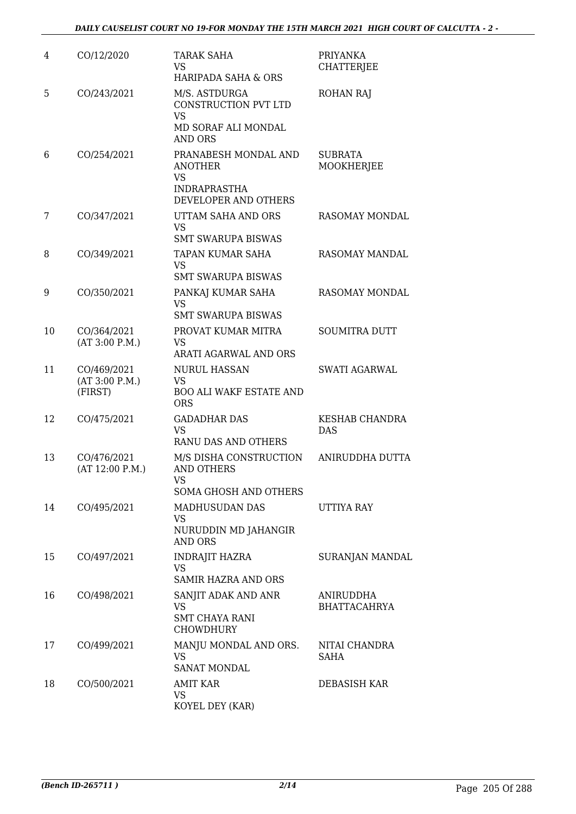| 4  | CO/12/2020                               | <b>TARAK SAHA</b><br>VS<br>HARIPADA SAHA & ORS                                              | PRIYANKA<br><b>CHATTERJEE</b>           |
|----|------------------------------------------|---------------------------------------------------------------------------------------------|-----------------------------------------|
| 5  | CO/243/2021                              | M/S. ASTDURGA<br>CONSTRUCTION PVT LTD<br><b>VS</b><br>MD SORAF ALI MONDAL<br><b>AND ORS</b> | <b>ROHAN RAJ</b>                        |
| 6  | CO/254/2021                              | PRANABESH MONDAL AND<br><b>ANOTHER</b><br><b>VS</b><br><b>INDRAPRASTHA</b>                  | <b>SUBRATA</b><br>MOOKHERJEE            |
|    |                                          | DEVELOPER AND OTHERS                                                                        |                                         |
| 7  | CO/347/2021                              | UTTAM SAHA AND ORS<br><b>VS</b><br><b>SMT SWARUPA BISWAS</b>                                | RASOMAY MONDAL                          |
| 8  | CO/349/2021                              | TAPAN KUMAR SAHA<br>VS                                                                      | <b>RASOMAY MANDAL</b>                   |
|    |                                          | <b>SMT SWARUPA BISWAS</b>                                                                   |                                         |
| 9  | CO/350/2021                              | PANKAJ KUMAR SAHA<br>VS<br><b>SMT SWARUPA BISWAS</b>                                        | RASOMAY MONDAL                          |
| 10 | CO/364/2021<br>(AT 3:00 P.M.)            | PROVAT KUMAR MITRA<br><b>VS</b><br>ARATI AGARWAL AND ORS                                    | <b>SOUMITRA DUTT</b>                    |
| 11 | CO/469/2021<br>(AT 3:00 P.M.)<br>(FIRST) | <b>NURUL HASSAN</b><br><b>VS</b><br><b>BOO ALI WAKF ESTATE AND</b><br><b>ORS</b>            | <b>SWATI AGARWAL</b>                    |
| 12 | CO/475/2021                              | <b>GADADHAR DAS</b><br><b>VS</b><br>RANU DAS AND OTHERS                                     | KESHAB CHANDRA<br><b>DAS</b>            |
| 13 | CO/476/2021<br>(AT 12:00 P.M.)           | M/S DISHA CONSTRUCTION<br><b>AND OTHERS</b><br>VS<br><b>SOMA GHOSH AND OTHERS</b>           | ANIRUDDHA DUTTA                         |
| 14 | CO/495/2021                              | MADHUSUDAN DAS<br>VS<br>NURUDDIN MD JAHANGIR<br><b>AND ORS</b>                              | UTTIYA RAY                              |
| 15 | CO/497/2021                              | <b>INDRAJIT HAZRA</b><br>VS<br>SAMIR HAZRA AND ORS                                          | <b>SURANJAN MANDAL</b>                  |
| 16 | CO/498/2021                              | SANJIT ADAK AND ANR<br><b>VS</b><br><b>SMT CHAYA RANI</b><br><b>CHOWDHURY</b>               | <b>ANIRUDDHA</b><br><b>BHATTACAHRYA</b> |
| 17 | CO/499/2021                              | MANJU MONDAL AND ORS.<br><b>VS</b><br><b>SANAT MONDAL</b>                                   | NITAI CHANDRA<br>SAHA                   |
| 18 | CO/500/2021                              | <b>AMIT KAR</b><br>VS<br>KOYEL DEY (KAR)                                                    | DEBASISH KAR                            |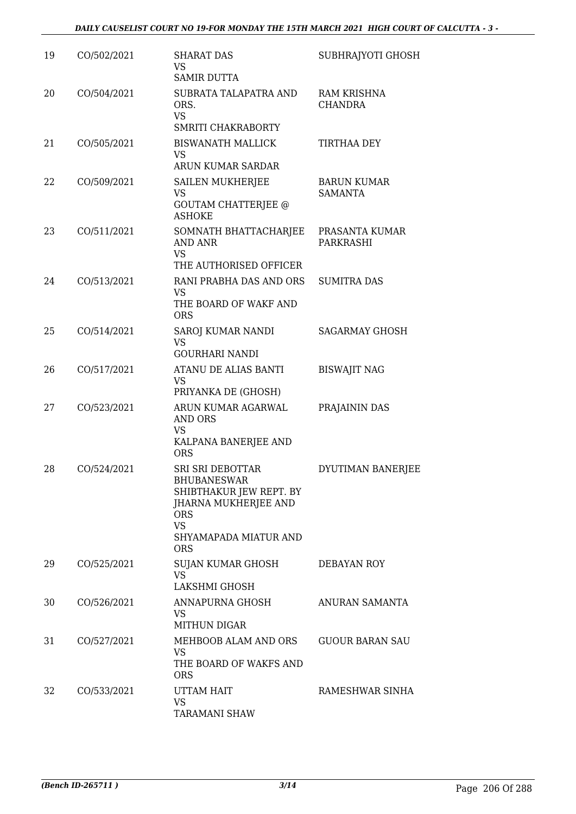| 19 | CO/502/2021 | <b>SHARAT DAS</b><br>VS.<br><b>SAMIR DUTTA</b>                                                                                                                     | SUBHRAJYOTI GHOSH                    |
|----|-------------|--------------------------------------------------------------------------------------------------------------------------------------------------------------------|--------------------------------------|
| 20 | CO/504/2021 | SUBRATA TALAPATRA AND<br>ORS.<br><b>VS</b><br><b>SMRITI CHAKRABORTY</b>                                                                                            | <b>RAM KRISHNA</b><br><b>CHANDRA</b> |
| 21 | CO/505/2021 | <b>BISWANATH MALLICK</b><br><b>VS</b><br><b>ARUN KUMAR SARDAR</b>                                                                                                  | <b>TIRTHAA DEY</b>                   |
| 22 | CO/509/2021 | <b>SAILEN MUKHERJEE</b><br>VS<br><b>GOUTAM CHATTERJEE @</b><br><b>ASHOKE</b>                                                                                       | <b>BARUN KUMAR</b><br><b>SAMANTA</b> |
| 23 | CO/511/2021 | SOMNATH BHATTACHARJEE<br><b>AND ANR</b><br><b>VS</b><br>THE AUTHORISED OFFICER                                                                                     | PRASANTA KUMAR<br>PARKRASHI          |
| 24 | CO/513/2021 | RANI PRABHA DAS AND ORS<br><b>VS</b><br>THE BOARD OF WAKF AND<br><b>ORS</b>                                                                                        | <b>SUMITRA DAS</b>                   |
| 25 | CO/514/2021 | SAROJ KUMAR NANDI<br>VS<br><b>GOURHARI NANDI</b>                                                                                                                   | <b>SAGARMAY GHOSH</b>                |
| 26 | CO/517/2021 | ATANU DE ALIAS BANTI<br><b>VS</b><br>PRIYANKA DE (GHOSH)                                                                                                           | <b>BISWAJIT NAG</b>                  |
| 27 | CO/523/2021 | ARUN KUMAR AGARWAL<br><b>AND ORS</b><br><b>VS</b><br>KALPANA BANERJEE AND<br><b>ORS</b>                                                                            | PRAJAININ DAS                        |
| 28 | CO/524/2021 | <b>SRI SRI DEBOTTAR</b><br><b>BHUBANESWAR</b><br>SHIBTHAKUR JEW REPT. BY<br>JHARNA MUKHERJEE AND<br><b>ORS</b><br><b>VS</b><br>SHYAMAPADA MIATUR AND<br><b>ORS</b> | DYUTIMAN BANERJEE                    |
| 29 | CO/525/2021 | SUJAN KUMAR GHOSH<br><b>VS</b><br>LAKSHMI GHOSH                                                                                                                    | DEBAYAN ROY                          |
| 30 | CO/526/2021 | ANNAPURNA GHOSH<br>VS<br><b>MITHUN DIGAR</b>                                                                                                                       | ANURAN SAMANTA                       |
| 31 | CO/527/2021 | MEHBOOB ALAM AND ORS<br>VS<br>THE BOARD OF WAKFS AND<br><b>ORS</b>                                                                                                 | <b>GUOUR BARAN SAU</b>               |
| 32 | CO/533/2021 | UTTAM HAIT<br><b>VS</b><br><b>TARAMANI SHAW</b>                                                                                                                    | RAMESHWAR SINHA                      |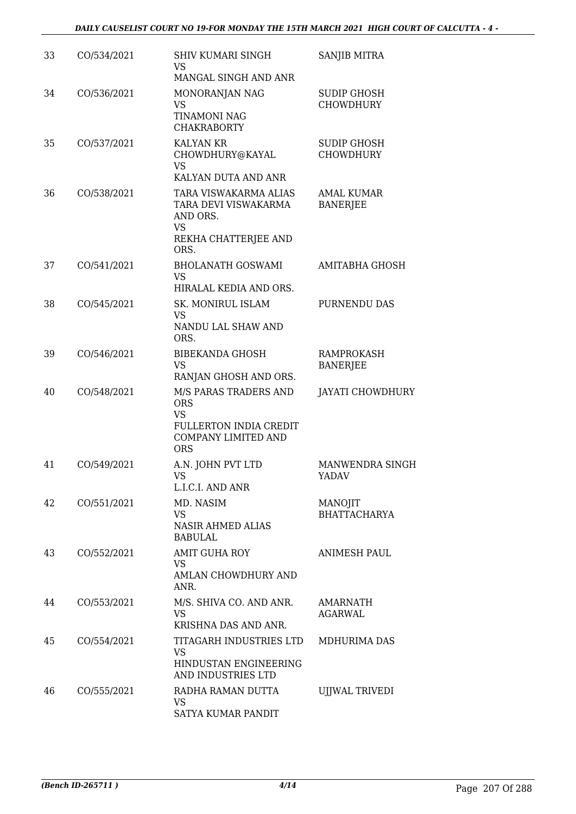| 33 | CO/534/2021 | <b>SHIV KUMARI SINGH</b><br>VS<br>MANGAL SINGH AND ANR                                                                        | SANJIB MITRA                           |
|----|-------------|-------------------------------------------------------------------------------------------------------------------------------|----------------------------------------|
| 34 | CO/536/2021 | MONORANJAN NAG<br><b>VS</b><br><b>TINAMONI NAG</b><br><b>CHAKRABORTY</b>                                                      | <b>SUDIP GHOSH</b><br><b>CHOWDHURY</b> |
| 35 | CO/537/2021 | <b>KALYAN KR</b><br>CHOWDHURY@KAYAL<br><b>VS</b><br>KALYAN DUTA AND ANR                                                       | <b>SUDIP GHOSH</b><br><b>CHOWDHURY</b> |
| 36 | CO/538/2021 | TARA VISWAKARMA ALIAS<br>TARA DEVI VISWAKARMA<br>AND ORS.<br><b>VS</b><br>REKHA CHATTERJEE AND                                | <b>AMAL KUMAR</b><br><b>BANERJEE</b>   |
|    |             | ORS.                                                                                                                          |                                        |
| 37 | CO/541/2021 | <b>BHOLANATH GOSWAMI</b><br><b>VS</b><br>HIRALAL KEDIA AND ORS.                                                               | AMITABHA GHOSH                         |
| 38 | CO/545/2021 | SK. MONIRUL ISLAM<br><b>VS</b><br>NANDU LAL SHAW AND<br>ORS.                                                                  | PURNENDU DAS                           |
| 39 | CO/546/2021 | <b>BIBEKANDA GHOSH</b><br><b>VS</b><br>RANJAN GHOSH AND ORS.                                                                  | RAMPROKASH<br><b>BANERJEE</b>          |
| 40 | CO/548/2021 | M/S PARAS TRADERS AND<br><b>ORS</b><br><b>VS</b><br><b>FULLERTON INDIA CREDIT</b><br><b>COMPANY LIMITED AND</b><br><b>ORS</b> | <b>JAYATI CHOWDHURY</b>                |
| 41 | CO/549/2021 | A.N. JOHN PVT LTD<br><b>VS</b><br>L.I.C.I. AND ANR                                                                            | MANWENDRA SINGH<br>YADAV               |
| 42 | CO/551/2021 | MD. NASIM<br>VS<br><b>NASIR AHMED ALIAS</b><br><b>BABULAL</b>                                                                 | MANOJIT<br><b>BHATTACHARYA</b>         |
| 43 | CO/552/2021 | <b>AMIT GUHA ROY</b><br><b>VS</b><br>AMLAN CHOWDHURY AND<br>ANR.                                                              | <b>ANIMESH PAUL</b>                    |
| 44 | CO/553/2021 | M/S. SHIVA CO. AND ANR.<br><b>VS</b><br>KRISHNA DAS AND ANR.                                                                  | AMARNATH<br>AGARWAL                    |
| 45 | CO/554/2021 | TITAGARH INDUSTRIES LTD<br>VS<br>HINDUSTAN ENGINEERING<br>AND INDUSTRIES LTD                                                  | MDHURIMA DAS                           |
| 46 | CO/555/2021 | RADHA RAMAN DUTTA<br>VS<br>SATYA KUMAR PANDIT                                                                                 | <b>UJJWAL TRIVEDI</b>                  |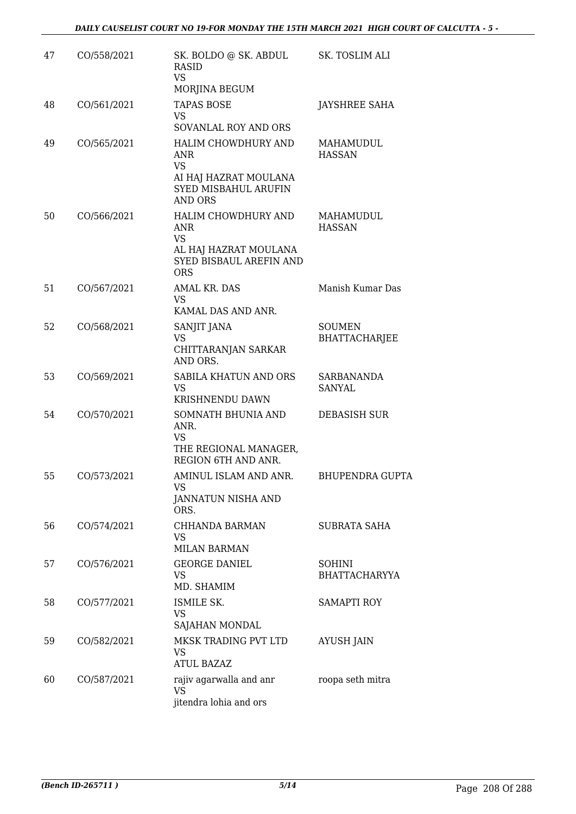| 47 | CO/558/2021 | SK. BOLDO @ SK. ABDUL<br>RASID<br><b>VS</b><br>MORJINA BEGUM                                               | SK. TOSLIM ALI                        |
|----|-------------|------------------------------------------------------------------------------------------------------------|---------------------------------------|
| 48 | CO/561/2021 | <b>TAPAS BOSE</b><br>VS<br>SOVANLAL ROY AND ORS                                                            | <b>JAYSHREE SAHA</b>                  |
| 49 | CO/565/2021 | <b>HALIM CHOWDHURY AND</b><br>ANR<br><b>VS</b><br>AI HAJ HAZRAT MOULANA<br>SYED MISBAHUL ARUFIN<br>AND ORS | MAHAMUDUL<br><b>HASSAN</b>            |
| 50 | CO/566/2021 | HALIM CHOWDHURY AND<br>ANR<br><b>VS</b><br>AL HAJ HAZRAT MOULANA<br>SYED BISBAUL AREFIN AND<br><b>ORS</b>  | MAHAMUDUL<br><b>HASSAN</b>            |
| 51 | CO/567/2021 | AMAL KR. DAS<br>VS.<br>KAMAL DAS AND ANR.                                                                  | Manish Kumar Das                      |
| 52 | CO/568/2021 | SANJIT JANA<br><b>VS</b><br>CHITTARANJAN SARKAR<br>AND ORS.                                                | <b>SOUMEN</b><br><b>BHATTACHARJEE</b> |
| 53 | CO/569/2021 | SABILA KHATUN AND ORS<br><b>VS</b><br>KRISHNENDU DAWN                                                      | <b>SARBANANDA</b><br>SANYAL           |
| 54 | CO/570/2021 | SOMNATH BHUNIA AND<br>ANR.<br>VS<br>THE REGIONAL MANAGER,<br>REGION 6TH AND ANR.                           | DEBASISH SUR                          |
| 55 | CO/573/2021 | AMINUL ISLAM AND ANR.<br>VS<br>JANNATUN NISHA AND<br>ORS.                                                  | <b>BHUPENDRA GUPTA</b>                |
| 56 | CO/574/2021 | CHHANDA BARMAN<br>VS<br><b>MILAN BARMAN</b>                                                                | SUBRATA SAHA                          |
| 57 | CO/576/2021 | <b>GEORGE DANIEL</b><br><b>VS</b><br>MD. SHAMIM                                                            | <b>SOHINI</b><br><b>BHATTACHARYYA</b> |
| 58 | CO/577/2021 | ISMILE SK.<br><b>VS</b><br>SAJAHAN MONDAL                                                                  | <b>SAMAPTI ROY</b>                    |
| 59 | CO/582/2021 | MKSK TRADING PVT LTD<br><b>VS</b><br>ATUL BAZAZ                                                            | <b>AYUSH JAIN</b>                     |
| 60 | CO/587/2021 | rajiv agarwalla and anr<br><b>VS</b><br>jitendra lohia and ors                                             | roopa seth mitra                      |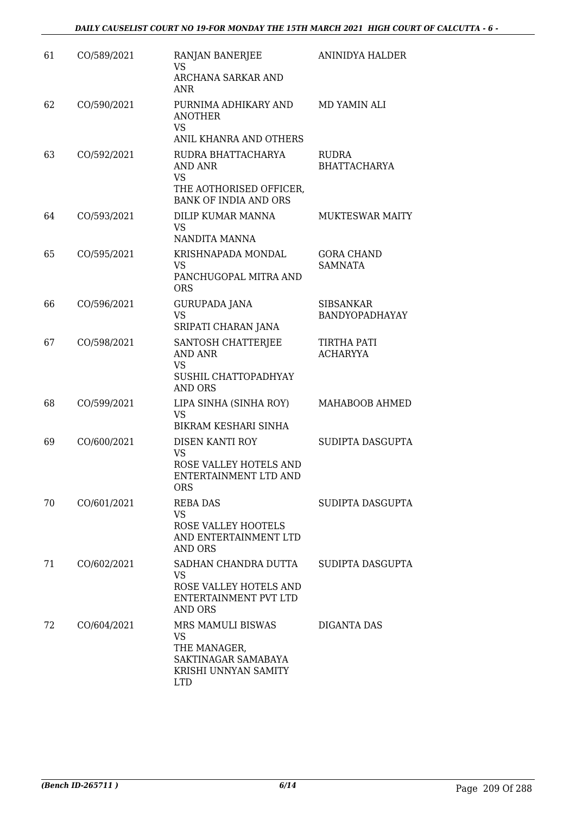| 61 | CO/589/2021 | RANJAN BANERJEE<br>VS<br>ARCHANA SARKAR AND<br>ANR                                                   | ANINIDYA HALDER                       |
|----|-------------|------------------------------------------------------------------------------------------------------|---------------------------------------|
| 62 | CO/590/2021 | PURNIMA ADHIKARY AND<br><b>ANOTHER</b><br>VS<br>ANIL KHANRA AND OTHERS                               | MD YAMIN ALI                          |
| 63 | CO/592/2021 | RUDRA BHATTACHARYA<br>AND ANR<br>VS<br>THE AOTHORISED OFFICER,<br><b>BANK OF INDIA AND ORS</b>       | RUDRA<br><b>BHATTACHARYA</b>          |
| 64 | CO/593/2021 | DILIP KUMAR MANNA<br><b>VS</b><br>NANDITA MANNA                                                      | <b>MUKTESWAR MAITY</b>                |
| 65 | CO/595/2021 | KRISHNAPADA MONDAL<br>VS<br>PANCHUGOPAL MITRA AND<br><b>ORS</b>                                      | <b>GORA CHAND</b><br><b>SAMNATA</b>   |
| 66 | CO/596/2021 | <b>GURUPADA JANA</b><br><b>VS</b><br>SRIPATI CHARAN JANA                                             | <b>SIBSANKAR</b><br>BANDYOPADHAYAY    |
| 67 | CO/598/2021 | SANTOSH CHATTERJEE<br><b>AND ANR</b><br>VS<br>SUSHIL CHATTOPADHYAY<br><b>AND ORS</b>                 | <b>TIRTHA PATI</b><br><b>ACHARYYA</b> |
| 68 | CO/599/2021 | LIPA SINHA (SINHA ROY)<br>VS<br><b>BIKRAM KESHARI SINHA</b>                                          | MAHABOOB AHMED                        |
| 69 | CO/600/2021 | DISEN KANTI ROY<br><b>VS</b><br>ROSE VALLEY HOTELS AND<br>ENTERTAINMENT LTD AND<br><b>ORS</b>        | SUDIPTA DASGUPTA                      |
| 70 | CO/601/2021 | <b>REBA DAS</b><br><b>VS</b><br>ROSE VALLEY HOOTELS<br>AND ENTERTAINMENT LTD<br>AND ORS              | SUDIPTA DASGUPTA                      |
| 71 | CO/602/2021 | SADHAN CHANDRA DUTTA<br>VS<br>ROSE VALLEY HOTELS AND<br>ENTERTAINMENT PVT LTD<br>AND ORS             | SUDIPTA DASGUPTA                      |
| 72 | CO/604/2021 | MRS MAMULI BISWAS<br>VS<br>THE MANAGER,<br>SAKTINAGAR SAMABAYA<br>KRISHI UNNYAN SAMITY<br><b>LTD</b> | DIGANTA DAS                           |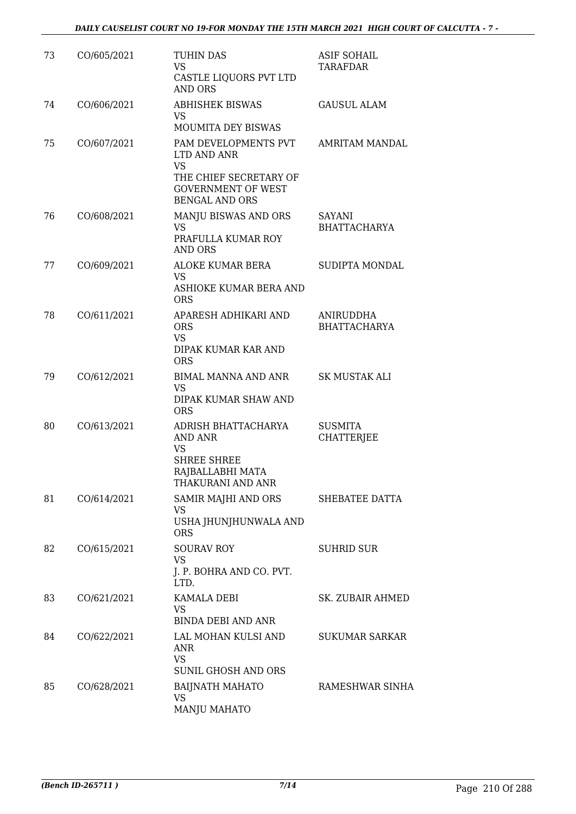| 73 | CO/605/2021 | <b>TUHIN DAS</b><br><b>VS</b><br>CASTLE LIQUORS PVT LTD<br><b>AND ORS</b>                                                        | <b>ASIF SOHAIL</b><br>TARAFDAR      |
|----|-------------|----------------------------------------------------------------------------------------------------------------------------------|-------------------------------------|
| 74 | CO/606/2021 | <b>ABHISHEK BISWAS</b><br>VS<br>MOUMITA DEY BISWAS                                                                               | <b>GAUSUL ALAM</b>                  |
| 75 | CO/607/2021 | PAM DEVELOPMENTS PVT<br>LTD AND ANR<br><b>VS</b><br>THE CHIEF SECRETARY OF<br><b>GOVERNMENT OF WEST</b><br><b>BENGAL AND ORS</b> | AMRITAM MANDAL                      |
| 76 | CO/608/2021 | MANJU BISWAS AND ORS<br>VS<br>PRAFULLA KUMAR ROY<br><b>AND ORS</b>                                                               | SAYANI<br><b>BHATTACHARYA</b>       |
| 77 | CO/609/2021 | ALOKE KUMAR BERA<br><b>VS</b><br>ASHIOKE KUMAR BERA AND<br><b>ORS</b>                                                            | <b>SUDIPTA MONDAL</b>               |
| 78 | CO/611/2021 | APARESH ADHIKARI AND<br><b>ORS</b><br>VS.<br>DIPAK KUMAR KAR AND<br><b>ORS</b>                                                   | ANIRUDDHA<br><b>BHATTACHARYA</b>    |
| 79 | CO/612/2021 | BIMAL MANNA AND ANR<br><b>VS</b><br>DIPAK KUMAR SHAW AND<br><b>ORS</b>                                                           | <b>SK MUSTAK ALI</b>                |
| 80 | CO/613/2021 | ADRISH BHATTACHARYA<br><b>AND ANR</b><br><b>VS</b><br><b>SHREE SHREE</b><br>RAJBALLABHI MATA<br>THAKURANI AND ANR                | <b>SUSMITA</b><br><b>CHATTERJEE</b> |
| 81 | CO/614/2021 | SAMIR MAJHI AND ORS<br>VS<br>USHA JHUNJHUNWALA AND<br><b>ORS</b>                                                                 | SHEBATEE DATTA                      |
| 82 | CO/615/2021 | <b>SOURAV ROY</b><br><b>VS</b><br>J. P. BOHRA AND CO. PVT.<br>LTD.                                                               | <b>SUHRID SUR</b>                   |
| 83 | CO/621/2021 | KAMALA DEBI<br>VS<br><b>BINDA DEBI AND ANR</b>                                                                                   | SK. ZUBAIR AHMED                    |
| 84 | CO/622/2021 | LAL MOHAN KULSI AND<br>ANR<br><b>VS</b><br>SUNIL GHOSH AND ORS                                                                   | <b>SUKUMAR SARKAR</b>               |
| 85 | CO/628/2021 | <b>BAIJNATH MAHATO</b><br>VS.<br><b>MANJU MAHATO</b>                                                                             | RAMESHWAR SINHA                     |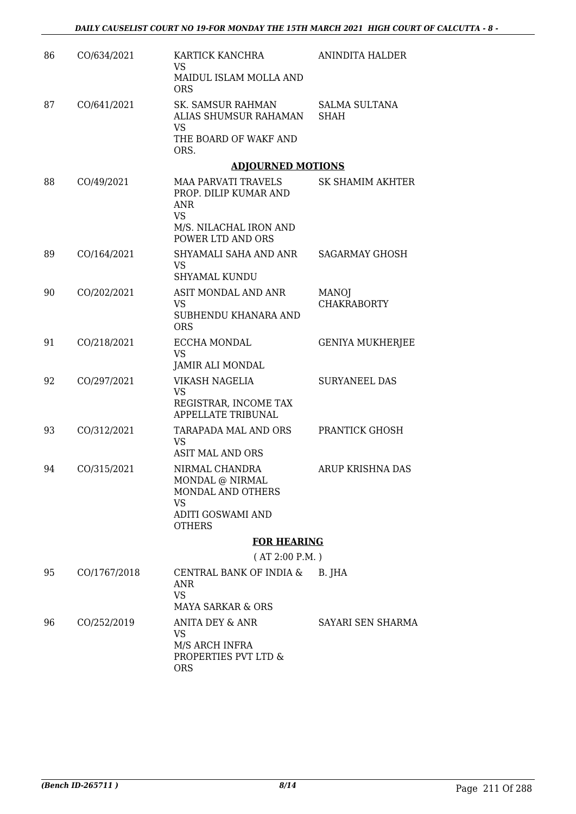| 86 | CO/634/2021  | KARTICK KANCHRA<br>VS<br>MAIDUL ISLAM MOLLA AND                         | ANINDITA HALDER                     |
|----|--------------|-------------------------------------------------------------------------|-------------------------------------|
|    |              | <b>ORS</b>                                                              |                                     |
| 87 | CO/641/2021  | SK. SAMSUR RAHMAN<br>ALIAS SHUMSUR RAHAMAN<br><b>VS</b>                 | <b>SALMA SULTANA</b><br><b>SHAH</b> |
|    |              | THE BOARD OF WAKF AND<br>ORS.                                           |                                     |
|    |              | <b>ADJOURNED MOTIONS</b>                                                |                                     |
| 88 | CO/49/2021   | <b>MAA PARVATI TRAVELS</b><br>PROP. DILIP KUMAR AND<br>ANR<br><b>VS</b> | SK SHAMIM AKHTER                    |
|    |              | M/S. NILACHAL IRON AND<br>POWER LTD AND ORS                             |                                     |
| 89 | CO/164/2021  | SHYAMALI SAHA AND ANR<br><b>VS</b><br><b>SHYAMAL KUNDU</b>              | <b>SAGARMAY GHOSH</b>               |
| 90 | CO/202/2021  | ASIT MONDAL AND ANR                                                     | <b>MANOJ</b>                        |
|    |              | <b>VS</b>                                                               | <b>CHAKRABORTY</b>                  |
|    |              | SUBHENDU KHANARA AND<br><b>ORS</b>                                      |                                     |
| 91 | CO/218/2021  | ECCHA MONDAL                                                            | <b>GENIYA MUKHERJEE</b>             |
|    |              | <b>VS</b><br>JAMIR ALI MONDAL                                           |                                     |
| 92 | CO/297/2021  | VIKASH NAGELIA                                                          | <b>SURYANEEL DAS</b>                |
|    |              | <b>VS</b><br>REGISTRAR, INCOME TAX                                      |                                     |
|    |              | APPELLATE TRIBUNAL                                                      |                                     |
| 93 | CO/312/2021  | TARAPADA MAL AND ORS                                                    | PRANTICK GHOSH                      |
|    |              | VS<br><b>ASIT MAL AND ORS</b>                                           |                                     |
| 94 | CO/315/2021  | NIRMAL CHANDRA                                                          | <b>ARUP KRISHNA DAS</b>             |
|    |              | MONDAL @ NIRMAL<br>MONDAL AND OTHERS                                    |                                     |
|    |              | VS<br>ADITI GOSWAMI AND<br><b>OTHERS</b>                                |                                     |
|    |              | <b>FOR HEARING</b>                                                      |                                     |
|    |              | (AT 2:00 P.M.)                                                          |                                     |
| 95 | CO/1767/2018 | CENTRAL BANK OF INDIA &<br>ANR<br><b>VS</b>                             | B. JHA                              |
|    |              | <b>MAYA SARKAR &amp; ORS</b>                                            |                                     |
| 96 | CO/252/2019  | ANITA DEY & ANR                                                         | SAYARI SEN SHARMA                   |
|    |              | <b>VS</b><br>M/S ARCH INFRA<br>PROPERTIES PVT LTD &<br><b>ORS</b>       |                                     |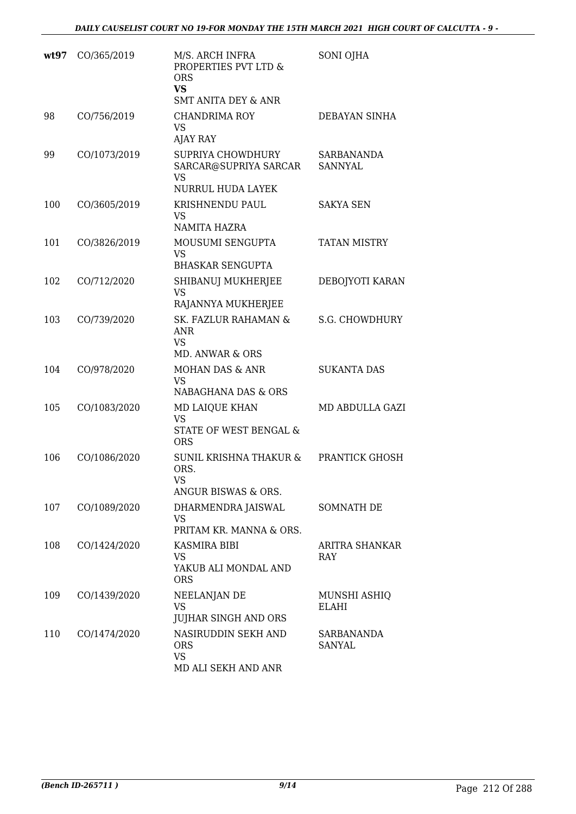| wt97 | CO/365/2019  | M/S. ARCH INFRA<br>PROPERTIES PVT LTD &<br><b>ORS</b><br><b>VS</b><br><b>SMT ANITA DEY &amp; ANR</b> | <b>SONI OJHA</b>             |
|------|--------------|------------------------------------------------------------------------------------------------------|------------------------------|
| 98   | CO/756/2019  | <b>CHANDRIMA ROY</b><br><b>VS</b><br>AJAY RAY                                                        | DEBAYAN SINHA                |
| 99   | CO/1073/2019 | SUPRIYA CHOWDHURY<br>SARCAR@SUPRIYA SARCAR<br>VS                                                     | SARBANANDA<br>SANNYAL        |
|      |              | NURRUL HUDA LAYEK                                                                                    |                              |
| 100  | CO/3605/2019 | KRISHNENDU PAUL<br><b>VS</b>                                                                         | <b>SAKYA SEN</b>             |
|      |              | NAMITA HAZRA                                                                                         |                              |
| 101  | CO/3826/2019 | MOUSUMI SENGUPTA<br><b>VS</b><br><b>BHASKAR SENGUPTA</b>                                             | <b>TATAN MISTRY</b>          |
|      |              |                                                                                                      |                              |
| 102  | CO/712/2020  | SHIBANUJ MUKHERJEE<br><b>VS</b><br>RAJANNYA MUKHERJEE                                                | DEBOJYOTI KARAN              |
| 103  | CO/739/2020  | <b>SK. FAZLUR RAHAMAN &amp;</b><br><b>ANR</b><br><b>VS</b><br>MD. ANWAR & ORS                        | S.G. CHOWDHURY               |
| 104  | CO/978/2020  | MOHAN DAS & ANR<br>VS<br>NABAGHANA DAS & ORS                                                         | <b>SUKANTA DAS</b>           |
| 105  | CO/1083/2020 | MD LAIQUE KHAN<br><b>VS</b><br>STATE OF WEST BENGAL &<br><b>ORS</b>                                  | MD ABDULLA GAZI              |
| 106  | CO/1086/2020 | SUNIL KRISHNA THAKUR &<br>ORS.<br>VS.<br>ANGUR BISWAS & ORS.                                         | PRANTICK GHOSH               |
| 107  | CO/1089/2020 | DHARMENDRA JAISWAL                                                                                   | SOMNATH DE                   |
|      |              | VS<br>PRITAM KR. MANNA & ORS.                                                                        |                              |
| 108  | CO/1424/2020 | KASMIRA BIBI<br>VS<br>YAKUB ALI MONDAL AND                                                           | ARITRA SHANKAR<br><b>RAY</b> |
|      |              | <b>ORS</b>                                                                                           |                              |
| 109  | CO/1439/2020 | NEELANJAN DE<br>VS                                                                                   | MUNSHI ASHIQ<br>ELAHI        |
|      |              | <b>JUJHAR SINGH AND ORS</b>                                                                          |                              |
| 110  | CO/1474/2020 | NASIRUDDIN SEKH AND<br><b>ORS</b><br><b>VS</b><br>MD ALI SEKH AND ANR                                | SARBANANDA<br><b>SANYAL</b>  |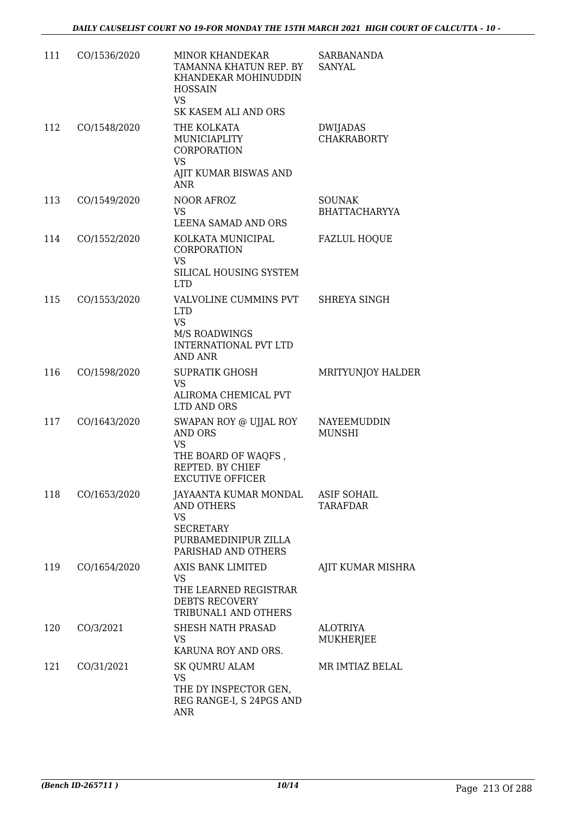| 111 | CO/1536/2020 | <b>MINOR KHANDEKAR</b><br>TAMANNA KHATUN REP. BY<br>KHANDEKAR MOHINUDDIN<br><b>HOSSAIN</b><br><b>VS</b>                                | <b>SARBANANDA</b><br><b>SANYAL</b>    |
|-----|--------------|----------------------------------------------------------------------------------------------------------------------------------------|---------------------------------------|
| 112 | CO/1548/2020 | SK KASEM ALI AND ORS<br>THE KOLKATA<br>MUNICIAPLITY<br>CORPORATION<br>VS<br>AJIT KUMAR BISWAS AND                                      | DWIJADAS<br><b>CHAKRABORTY</b>        |
| 113 | CO/1549/2020 | <b>ANR</b><br>NOOR AFROZ<br><b>VS</b><br>LEENA SAMAD AND ORS                                                                           | <b>SOUNAK</b><br><b>BHATTACHARYYA</b> |
| 114 | CO/1552/2020 | KOLKATA MUNICIPAL<br>CORPORATION<br><b>VS</b><br>SILICAL HOUSING SYSTEM<br><b>LTD</b>                                                  | <b>FAZLUL HOQUE</b>                   |
| 115 | CO/1553/2020 | VALVOLINE CUMMINS PVT<br><b>LTD</b><br><b>VS</b><br><b>M/S ROADWINGS</b><br><b>INTERNATIONAL PVT LTD</b><br><b>AND ANR</b>             | SHREYA SINGH                          |
| 116 | CO/1598/2020 | <b>SUPRATIK GHOSH</b><br><b>VS</b><br>ALIROMA CHEMICAL PVT<br>LTD AND ORS                                                              | MRITYUNJOY HALDER                     |
| 117 | CO/1643/2020 | SWAPAN ROY @ UJJAL ROY<br><b>AND ORS</b><br><b>VS</b><br>THE BOARD OF WAQFS,<br>REPTED. BY CHIEF<br>EXCUTIVE OFFICER                   | NAYEEMUDDIN<br><b>MUNSHI</b>          |
| 118 | CO/1653/2020 | JAYAANTA KUMAR MONDAL ASIF SOHAIL<br><b>AND OTHERS</b><br><b>VS</b><br><b>SECRETARY</b><br>PURBAMEDINIPUR ZILLA<br>PARISHAD AND OTHERS | TARAFDAR                              |
| 119 | CO/1654/2020 | AXIS BANK LIMITED<br><b>VS</b><br>THE LEARNED REGISTRAR<br>DEBTS RECOVERY<br>TRIBUNAL1 AND OTHERS                                      | AJIT KUMAR MISHRA                     |
| 120 | CO/3/2021    | SHESH NATH PRASAD<br><b>VS</b><br>KARUNA ROY AND ORS.                                                                                  | <b>ALOTRIYA</b><br>MUKHERJEE          |
| 121 | CO/31/2021   | <b>SK QUMRU ALAM</b><br><b>VS</b><br>THE DY INSPECTOR GEN,<br>REG RANGE-I, S 24PGS AND<br><b>ANR</b>                                   | MR IMTIAZ BELAL                       |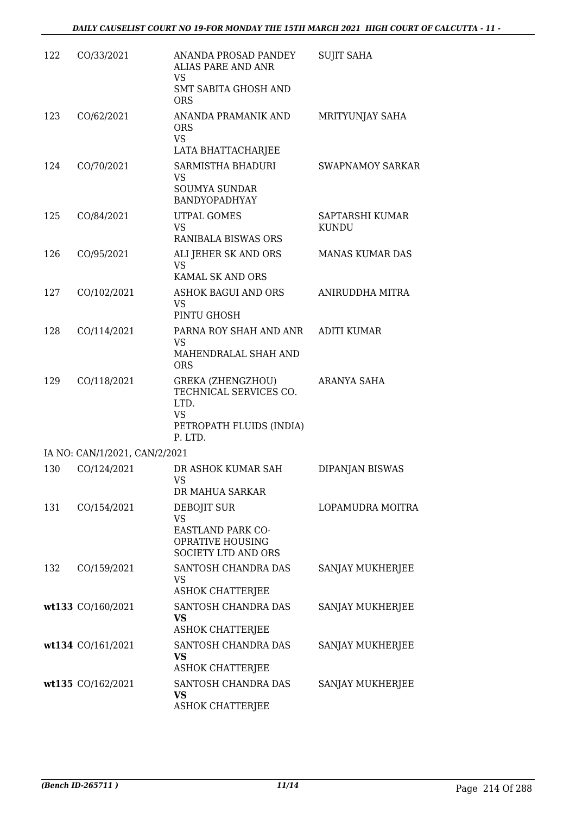| 122 | CO/33/2021                    | ANANDA PROSAD PANDEY<br><b>ALIAS PARE AND ANR</b><br>VS<br><b>SMT SABITA GHOSH AND</b>                  | <b>SUJIT SAHA</b>       |
|-----|-------------------------------|---------------------------------------------------------------------------------------------------------|-------------------------|
| 123 | CO/62/2021                    | <b>ORS</b><br>ANANDA PRAMANIK AND<br><b>ORS</b>                                                         | MRITYUNJAY SAHA         |
|     |                               | <b>VS</b><br>LATA BHATTACHARJEE                                                                         |                         |
| 124 | CO/70/2021                    | SARMISTHA BHADURI                                                                                       | <b>SWAPNAMOY SARKAR</b> |
|     |                               | <b>VS</b><br><b>SOUMYA SUNDAR</b><br>BANDYOPADHYAY                                                      |                         |
| 125 | CO/84/2021                    | UTPAL GOMES                                                                                             | SAPTARSHI KUMAR         |
|     |                               | <b>VS</b><br>RANIBALA BISWAS ORS                                                                        | <b>KUNDU</b>            |
| 126 | CO/95/2021                    | ALI JEHER SK AND ORS<br><b>VS</b>                                                                       | <b>MANAS KUMAR DAS</b>  |
|     |                               | KAMAL SK AND ORS                                                                                        |                         |
| 127 | CO/102/2021                   | ASHOK BAGUI AND ORS<br><b>VS</b><br>PINTU GHOSH                                                         | ANIRUDDHA MITRA         |
| 128 | CO/114/2021                   | PARNA ROY SHAH AND ANR                                                                                  | <b>ADITI KUMAR</b>      |
|     |                               | <b>VS</b><br>MAHENDRALAL SHAH AND<br><b>ORS</b>                                                         |                         |
| 129 | CO/118/2021                   | <b>GREKA (ZHENGZHOU)</b><br>TECHNICAL SERVICES CO.<br>LTD.<br>VS<br>PETROPATH FLUIDS (INDIA)<br>P. LTD. | ARANYA SAHA             |
|     | IA NO: CAN/1/2021, CAN/2/2021 |                                                                                                         |                         |
| 130 | CO/124/2021                   | DR ASHOK KUMAR SAH<br>VS.<br>DR MAHUA SARKAR                                                            | DIPANJAN BISWAS         |
| 131 | CO/154/2021                   | DEBOJIT SUR                                                                                             | LOPAMUDRA MOITRA        |
|     |                               | <b>VS</b><br>EASTLAND PARK CO-<br>OPRATIVE HOUSING<br><b>SOCIETY LTD AND ORS</b>                        |                         |
| 132 | CO/159/2021                   | SANTOSH CHANDRA DAS<br><b>VS</b><br><b>ASHOK CHATTERJEE</b>                                             | SANJAY MUKHERJEE        |
|     | wt133 CO/160/2021             | SANTOSH CHANDRA DAS                                                                                     | SANJAY MUKHERJEE        |
|     |                               | VS<br><b>ASHOK CHATTERJEE</b>                                                                           |                         |
|     | wt134 CO/161/2021             | SANTOSH CHANDRA DAS<br><b>VS</b>                                                                        | SANJAY MUKHERJEE        |
|     |                               | <b>ASHOK CHATTERJEE</b>                                                                                 |                         |
|     | wt135 CO/162/2021             | SANTOSH CHANDRA DAS<br><b>VS</b><br><b>ASHOK CHATTERJEE</b>                                             | SANJAY MUKHERJEE        |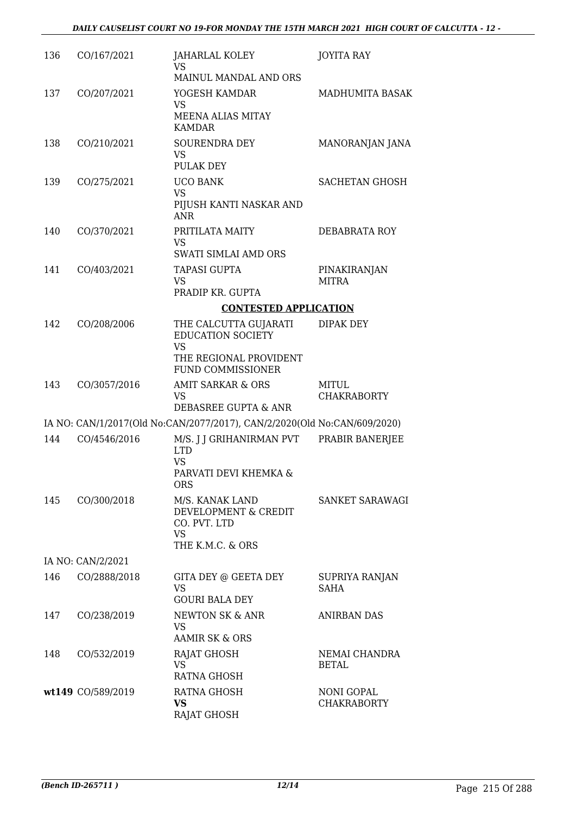| 136 | CO/167/2021       | JAHARLAL KOLEY<br><b>VS</b>                                              | <b>JOYITA RAY</b>           |
|-----|-------------------|--------------------------------------------------------------------------|-----------------------------|
|     |                   | MAINUL MANDAL AND ORS                                                    |                             |
| 137 | CO/207/2021       | YOGESH KAMDAR<br>VS                                                      | MADHUMITA BASAK             |
|     |                   | <b>MEENA ALIAS MITAY</b><br><b>KAMDAR</b>                                |                             |
| 138 | CO/210/2021       | <b>SOURENDRA DEY</b>                                                     | MANORANJAN JANA             |
|     |                   | VS<br><b>PULAK DEY</b>                                                   |                             |
| 139 | CO/275/2021       | <b>UCO BANK</b>                                                          | <b>SACHETAN GHOSH</b>       |
|     |                   | <b>VS</b><br>PIJUSH KANTI NASKAR AND<br><b>ANR</b>                       |                             |
| 140 | CO/370/2021       | PRITILATA MAITY                                                          | DEBABRATA ROY               |
|     |                   | <b>VS</b><br>SWATI SIMLAI AMD ORS                                        |                             |
| 141 | CO/403/2021       | <b>TAPASI GUPTA</b>                                                      | PINAKIRANJAN                |
|     |                   | <b>VS</b><br>PRADIP KR. GUPTA                                            | <b>MITRA</b>                |
|     |                   | <b>CONTESTED APPLICATION</b>                                             |                             |
| 142 | CO/208/2006       | THE CALCUTTA GUJARATI                                                    | <b>DIPAK DEY</b>            |
|     |                   | <b>EDUCATION SOCIETY</b>                                                 |                             |
|     |                   | <b>VS</b><br>THE REGIONAL PROVIDENT                                      |                             |
|     |                   | FUND COMMISSIONER                                                        |                             |
| 143 | CO/3057/2016      | AMIT SARKAR & ORS<br>VS                                                  | MITUL<br><b>CHAKRABORTY</b> |
|     |                   | DEBASREE GUPTA & ANR                                                     |                             |
|     |                   | IA NO: CAN/1/2017(Old No:CAN/2077/2017), CAN/2/2020(Old No:CAN/609/2020) |                             |
| 144 | CO/4546/2016      | M/S. J J GRIHANIRMAN PVT<br><b>LTD</b>                                   | PRABIR BANERJEE             |
|     |                   | <b>VS</b><br>PARVATI DEVI KHEMKA &                                       |                             |
|     |                   | <b>ORS</b>                                                               |                             |
| 145 | CO/300/2018       | M/S. KANAK LAND<br>DEVELOPMENT & CREDIT<br>CO. PVT. LTD                  | SANKET SARAWAGI             |
|     |                   | <b>VS</b><br>THE K.M.C. & ORS                                            |                             |
|     | IA NO: CAN/2/2021 |                                                                          |                             |
| 146 | CO/2888/2018      | GITA DEY @ GEETA DEY                                                     | SUPRIYA RANJAN              |
|     |                   | <b>VS</b><br><b>GOURI BALA DEY</b>                                       | <b>SAHA</b>                 |
| 147 | CO/238/2019       | NEWTON SK & ANR                                                          | <b>ANIRBAN DAS</b>          |
|     |                   | VS<br>AAMIR SK & ORS                                                     |                             |
| 148 | CO/532/2019       | RAJAT GHOSH                                                              | NEMAI CHANDRA               |
|     |                   | <b>VS</b><br><b>RATNA GHOSH</b>                                          | <b>BETAL</b>                |
|     | wt149 CO/589/2019 | RATNA GHOSH                                                              | <b>NONI GOPAL</b>           |
|     |                   | <b>VS</b>                                                                | <b>CHAKRABORTY</b>          |
|     |                   | RAJAT GHOSH                                                              |                             |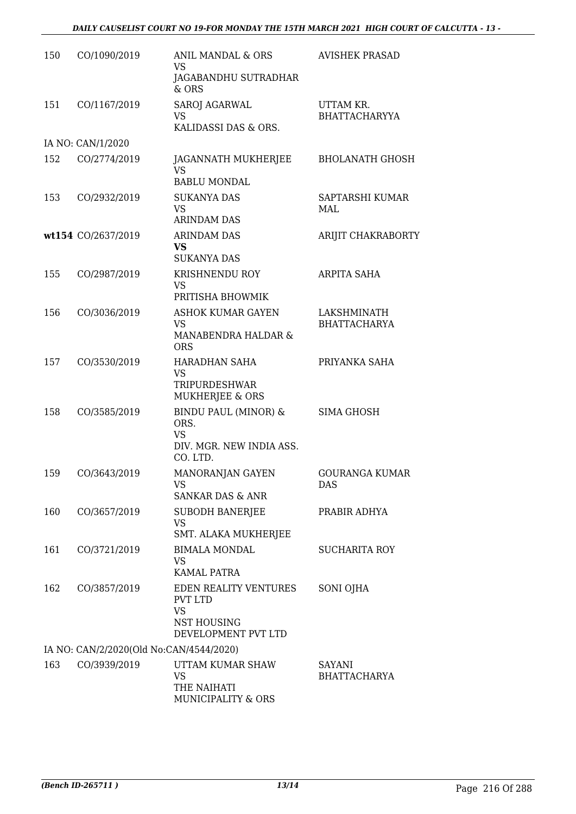| 150 | CO/1090/2019                            | ANIL MANDAL & ORS<br>VS<br>JAGABANDHU SUTRADHAR                                                   | <b>AVISHEK PRASAD</b>              |
|-----|-----------------------------------------|---------------------------------------------------------------------------------------------------|------------------------------------|
| 151 | CO/1167/2019                            | & ORS<br>SAROJ AGARWAL<br><b>VS</b><br>KALIDASSI DAS & ORS.                                       | UTTAM KR.<br><b>BHATTACHARYYA</b>  |
|     | IA NO: CAN/1/2020                       |                                                                                                   |                                    |
| 152 | CO/2774/2019                            | JAGANNATH MUKHERJEE<br>VS<br><b>BABLU MONDAL</b>                                                  | <b>BHOLANATH GHOSH</b>             |
| 153 | CO/2932/2019                            | <b>SUKANYA DAS</b><br>VS<br><b>ARINDAM DAS</b>                                                    | SAPTARSHI KUMAR<br>MAL             |
|     | wt154 CO/2637/2019                      | <b>ARINDAM DAS</b><br><b>VS</b><br><b>SUKANYA DAS</b>                                             | ARIJIT CHAKRABORTY                 |
| 155 | CO/2987/2019                            | KRISHNENDU ROY<br>VS<br>PRITISHA BHOWMIK                                                          | ARPITA SAHA                        |
| 156 | CO/3036/2019                            | <b>ASHOK KUMAR GAYEN</b><br><b>VS</b><br>MANABENDRA HALDAR &<br><b>ORS</b>                        | LAKSHMINATH<br><b>BHATTACHARYA</b> |
| 157 | CO/3530/2019                            | HARADHAN SAHA<br>VS<br>TRIPURDESHWAR<br>MUKHERJEE & ORS                                           | PRIYANKA SAHA                      |
| 158 | CO/3585/2019                            | <b>BINDU PAUL (MINOR) &amp;</b><br>ORS.<br><b>VS</b><br>DIV. MGR. NEW INDIA ASS.<br>CO. LTD.      | <b>SIMA GHOSH</b>                  |
| 159 | CO/3643/2019                            | MANORANJAN GAYEN<br>VS<br><b>SANKAR DAS &amp; ANR</b>                                             | <b>GOURANGA KUMAR</b><br>DAS       |
| 160 | CO/3657/2019                            | <b>SUBODH BANERJEE</b><br>VS<br>SMT. ALAKA MUKHERJEE                                              | PRABIR ADHYA                       |
| 161 | CO/3721/2019                            | <b>BIMALA MONDAL</b><br>VS<br>KAMAL PATRA                                                         | <b>SUCHARITA ROY</b>               |
| 162 | CO/3857/2019                            | EDEN REALITY VENTURES<br><b>PVT LTD</b><br><b>VS</b><br><b>NST HOUSING</b><br>DEVELOPMENT PVT LTD | SONI OJHA                          |
|     | IA NO: CAN/2/2020(Old No:CAN/4544/2020) |                                                                                                   |                                    |
| 163 | CO/3939/2019                            | UTTAM KUMAR SHAW<br>VS<br>THE NAIHATI<br>MUNICIPALITY & ORS                                       | SAYANI<br><b>BHATTACHARYA</b>      |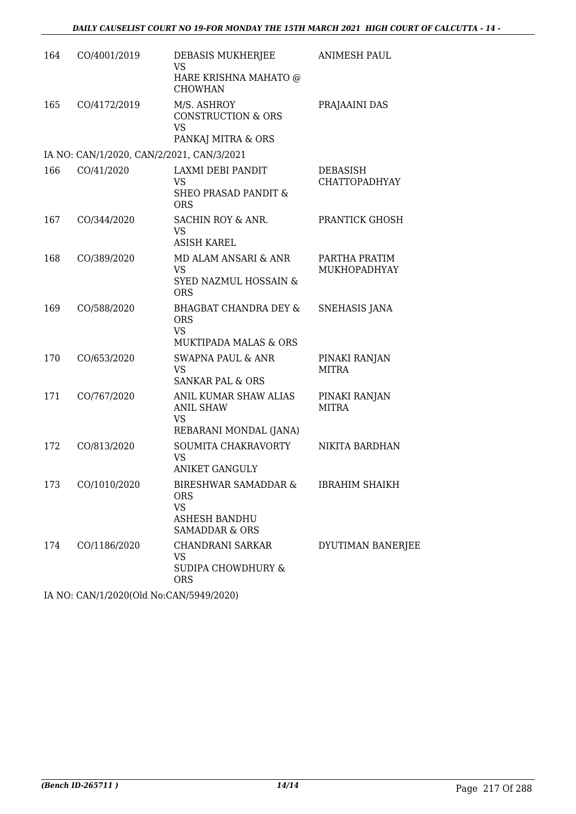| 164 | CO/4001/2019                              | DEBASIS MUKHERJEE<br>VS                                                                           | <b>ANIMESH PAUL</b>              |
|-----|-------------------------------------------|---------------------------------------------------------------------------------------------------|----------------------------------|
|     |                                           | HARE KRISHNA MAHATO @<br><b>CHOWHAN</b>                                                           |                                  |
| 165 | CO/4172/2019                              | M/S. ASHROY<br><b>CONSTRUCTION &amp; ORS</b><br><b>VS</b><br>PANKAJ MITRA & ORS                   | PRAJAAINI DAS                    |
|     | IA NO: CAN/1/2020, CAN/2/2021, CAN/3/2021 |                                                                                                   |                                  |
| 166 | CO/41/2020                                | LAXMI DEBI PANDIT<br>VS<br><b>SHEO PRASAD PANDIT &amp;</b><br><b>ORS</b>                          | DEBASISH<br><b>CHATTOPADHYAY</b> |
| 167 | CO/344/2020                               | SACHIN ROY & ANR.<br>VS<br><b>ASISH KAREL</b>                                                     | PRANTICK GHOSH                   |
| 168 | CO/389/2020                               | MD ALAM ANSARI & ANR<br><b>VS</b><br>SYED NAZMUL HOSSAIN &<br><b>ORS</b>                          | PARTHA PRATIM<br>MUKHOPADHYAY    |
| 169 | CO/588/2020                               | <b>BHAGBAT CHANDRA DEY &amp;</b><br><b>ORS</b><br><b>VS</b><br><b>MUKTIPADA MALAS &amp; ORS</b>   | SNEHASIS JANA                    |
| 170 | CO/653/2020                               | <b>SWAPNA PAUL &amp; ANR</b><br><b>VS</b><br><b>SANKAR PAL &amp; ORS</b>                          | PINAKI RANJAN<br><b>MITRA</b>    |
| 171 | CO/767/2020                               | ANIL KUMAR SHAW ALIAS<br><b>ANIL SHAW</b><br><b>VS</b><br>REBARANI MONDAL (JANA)                  | PINAKI RANJAN<br><b>MITRA</b>    |
| 172 | CO/813/2020                               | SOUMITA CHAKRAVORTY<br><b>VS</b><br><b>ANIKET GANGULY</b>                                         | NIKITA BARDHAN                   |
| 173 | CO/1010/2020                              | <b>BIRESHWAR SAMADDAR &amp;</b><br><b>ORS</b><br>VS<br>ASHESH BANDHU<br><b>SAMADDAR &amp; ORS</b> | <b>IBRAHIM SHAIKH</b>            |
| 174 | CO/1186/2020                              | CHANDRANI SARKAR<br><b>VS</b><br><b>SUDIPA CHOWDHURY &amp;</b><br><b>ORS</b>                      | DYUTIMAN BANERJEE                |

IA NO: CAN/1/2020(Old No:CAN/5949/2020)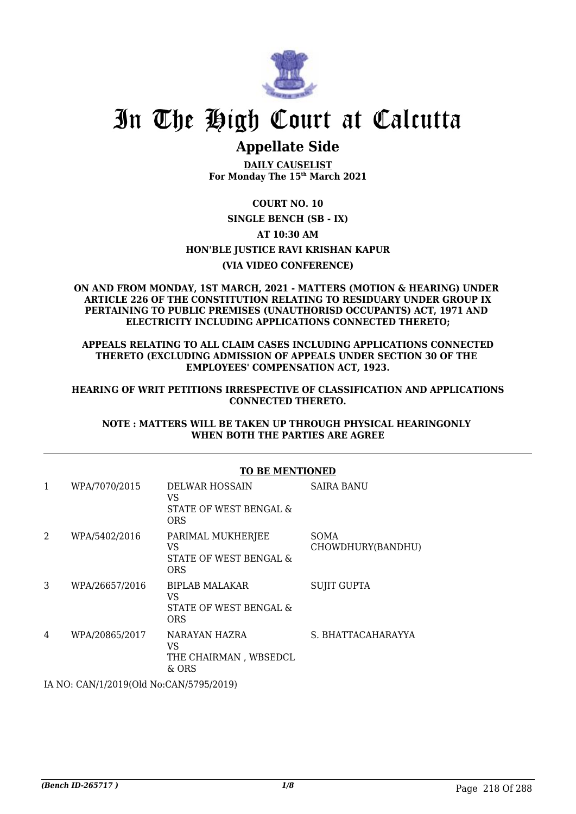

## **Appellate Side**

**DAILY CAUSELIST For Monday The 15th March 2021**

### **COURT NO. 10**

**SINGLE BENCH (SB - IX) AT 10:30 AM HON'BLE JUSTICE RAVI KRISHAN KAPUR (VIA VIDEO CONFERENCE)**

### **ON AND FROM MONDAY, 1ST MARCH, 2021 - MATTERS (MOTION & HEARING) UNDER ARTICLE 226 OF THE CONSTITUTION RELATING TO RESIDUARY UNDER GROUP IX PERTAINING TO PUBLIC PREMISES (UNAUTHORISD OCCUPANTS) ACT, 1971 AND ELECTRICITY INCLUDING APPLICATIONS CONNECTED THERETO;**

**APPEALS RELATING TO ALL CLAIM CASES INCLUDING APPLICATIONS CONNECTED THERETO (EXCLUDING ADMISSION OF APPEALS UNDER SECTION 30 OF THE EMPLOYEES' COMPENSATION ACT, 1923.**

### **HEARING OF WRIT PETITIONS IRRESPECTIVE OF CLASSIFICATION AND APPLICATIONS CONNECTED THERETO.**

### **NOTE : MATTERS WILL BE TAKEN UP THROUGH PHYSICAL HEARINGONLY WHEN BOTH THE PARTIES ARE AGREE**

|                |                | <b>TO BE MENTIONED</b>                                              |                                  |  |
|----------------|----------------|---------------------------------------------------------------------|----------------------------------|--|
| 1              | WPA/7070/2015  | DELWAR HOSSAIN<br>VS<br>STATE OF WEST BENGAL &<br><b>ORS</b>        | <b>SAIRA BANU</b>                |  |
| $\overline{2}$ | WPA/5402/2016  | PARIMAL MUKHERJEE<br>VS.<br>STATE OF WEST BENGAL &<br><b>ORS</b>    | <b>SOMA</b><br>CHOWDHURY(BANDHU) |  |
| 3              | WPA/26657/2016 | <b>BIPLAB MALAKAR</b><br>VS<br>STATE OF WEST BENGAL &<br><b>ORS</b> | <b>SUJIT GUPTA</b>               |  |
| 4              | WPA/20865/2017 | NARAYAN HAZRA<br>VS<br>THE CHAIRMAN, WBSEDCL<br>$&$ ORS             | S. BHATTACAHARAYYA               |  |

IA NO: CAN/1/2019(Old No:CAN/5795/2019)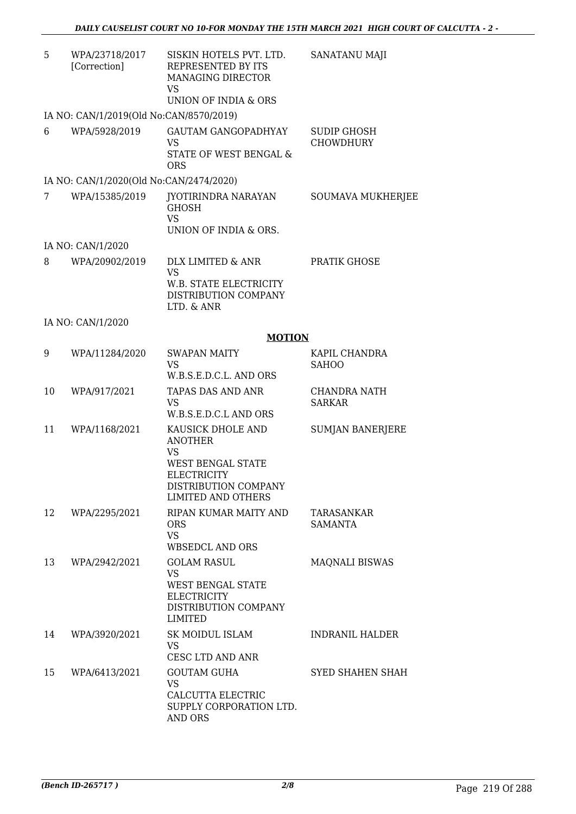| 5  | WPA/23718/2017<br>[Correction]          | SISKIN HOTELS PVT. LTD.<br>REPRESENTED BY ITS<br>MANAGING DIRECTOR<br>VS<br>UNION OF INDIA & ORS                                          | <b>SANATANU MAJI</b>                 |
|----|-----------------------------------------|-------------------------------------------------------------------------------------------------------------------------------------------|--------------------------------------|
|    | IA NO: CAN/1/2019(Old No:CAN/8570/2019) |                                                                                                                                           |                                      |
| 6  | WPA/5928/2019                           | <b>GAUTAM GANGOPADHYAY</b><br><b>VS</b><br>STATE OF WEST BENGAL &<br><b>ORS</b>                                                           | SUDIP GHOSH<br><b>CHOWDHURY</b>      |
|    | IA NO: CAN/1/2020(Old No:CAN/2474/2020) |                                                                                                                                           |                                      |
| 7  | WPA/15385/2019                          | JYOTIRINDRA NARAYAN<br><b>GHOSH</b><br><b>VS</b><br>UNION OF INDIA & ORS.                                                                 | SOUMAVA MUKHERJEE                    |
|    | IA NO: CAN/1/2020                       |                                                                                                                                           |                                      |
| 8  | WPA/20902/2019                          | DLX LIMITED & ANR<br><b>VS</b><br>W.B. STATE ELECTRICITY<br>DISTRIBUTION COMPANY<br>LTD. & ANR                                            | PRATIK GHOSE                         |
|    | IA NO: CAN/1/2020                       |                                                                                                                                           |                                      |
|    |                                         | <b>MOTION</b>                                                                                                                             |                                      |
| 9  | WPA/11284/2020                          | <b>SWAPAN MAITY</b><br><b>VS</b><br>W.B.S.E.D.C.L. AND ORS                                                                                | KAPIL CHANDRA<br><b>SAHOO</b>        |
| 10 | WPA/917/2021                            | TAPAS DAS AND ANR<br>VS<br>W.B.S.E.D.C.L AND ORS                                                                                          | <b>CHANDRA NATH</b><br><b>SARKAR</b> |
| 11 | WPA/1168/2021                           | KAUSICK DHOLE AND<br><b>ANOTHER</b><br>VS<br>WEST BENGAL STATE<br><b>ELECTRICITY</b><br>DISTRIBUTION COMPANY<br><b>LIMITED AND OTHERS</b> | <b>SUMJAN BANERJERE</b>              |
| 12 | WPA/2295/2021                           | RIPAN KUMAR MAITY AND<br><b>ORS</b><br><b>VS</b><br><b>WBSEDCL AND ORS</b>                                                                | TARASANKAR<br>SAMANTA                |
| 13 | WPA/2942/2021                           | <b>GOLAM RASUL</b><br><b>VS</b><br>WEST BENGAL STATE<br><b>ELECTRICITY</b><br>DISTRIBUTION COMPANY<br>LIMITED                             | <b>MAQNALI BISWAS</b>                |
| 14 | WPA/3920/2021                           | SK MOIDUL ISLAM<br><b>VS</b><br>CESC LTD AND ANR                                                                                          | <b>INDRANIL HALDER</b>               |
| 15 | WPA/6413/2021                           | <b>GOUTAM GUHA</b><br>VS<br>CALCUTTA ELECTRIC                                                                                             | <b>SYED SHAHEN SHAH</b>              |

SUPPLY CORPORATION LTD.

AND ORS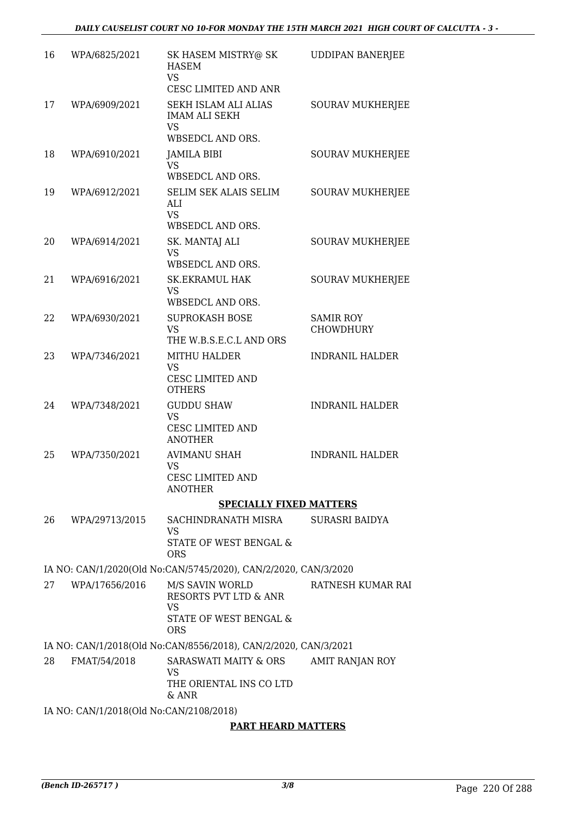| 16 | WPA/6825/2021                           | SK HASEM MISTRY@ SK<br><b>HASEM</b><br><b>VS</b><br>CESC LIMITED AND ANR                   | <b>UDDIPAN BANERJEE</b> |  |
|----|-----------------------------------------|--------------------------------------------------------------------------------------------|-------------------------|--|
| 17 | WPA/6909/2021                           | SEKH ISLAM ALI ALIAS<br><b>IMAM ALI SEKH</b><br><b>VS</b>                                  | <b>SOURAV MUKHERJEE</b> |  |
|    |                                         | WBSEDCL AND ORS.                                                                           |                         |  |
| 18 | WPA/6910/2021                           | JAMILA BIBI<br><b>VS</b>                                                                   | <b>SOURAV MUKHERJEE</b> |  |
|    |                                         | WBSEDCL AND ORS.                                                                           |                         |  |
| 19 | WPA/6912/2021                           | SELIM SEK ALAIS SELIM<br>ALI<br><b>VS</b><br>WBSEDCL AND ORS.                              | <b>SOURAV MUKHERJEE</b> |  |
| 20 | WPA/6914/2021                           | SK. MANTAJ ALI<br><b>VS</b>                                                                | <b>SOURAV MUKHERJEE</b> |  |
|    |                                         | WBSEDCL AND ORS.                                                                           |                         |  |
| 21 | WPA/6916/2021                           | <b>SK.EKRAMUL HAK</b><br><b>VS</b>                                                         | <b>SOURAV MUKHERJEE</b> |  |
| 22 | WPA/6930/2021                           | WBSEDCL AND ORS.<br><b>SUPROKASH BOSE</b>                                                  | <b>SAMIR ROY</b>        |  |
|    |                                         | <b>VS</b><br>THE W.B.S.E.C.L AND ORS                                                       | <b>CHOWDHURY</b>        |  |
| 23 | WPA/7346/2021                           | MITHU HALDER<br><b>VS</b><br><b>CESC LIMITED AND</b><br><b>OTHERS</b>                      | <b>INDRANIL HALDER</b>  |  |
| 24 | WPA/7348/2021                           | <b>GUDDU SHAW</b><br><b>VS</b><br>CESC LIMITED AND<br><b>ANOTHER</b>                       | <b>INDRANIL HALDER</b>  |  |
| 25 | WPA/7350/2021                           | <b>AVIMANU SHAH</b><br>VS<br>CESC LIMITED AND<br><b>ANOTHER</b>                            | <b>INDRANIL HALDER</b>  |  |
|    |                                         | <b>SPECIALLY FIXED MATTERS</b>                                                             |                         |  |
| 26 | WPA/29713/2015                          | SACHINDRANATH MISRA<br>VS                                                                  | SURASRI BAIDYA          |  |
|    |                                         | STATE OF WEST BENGAL &<br><b>ORS</b>                                                       |                         |  |
|    |                                         | IA NO: CAN/1/2020(Old No:CAN/5745/2020), CAN/2/2020, CAN/3/2020                            |                         |  |
| 27 | WPA/17656/2016                          | M/S SAVIN WORLD<br><b>RESORTS PVT LTD &amp; ANR</b><br><b>VS</b><br>STATE OF WEST BENGAL & | RATNESH KUMAR RAI       |  |
|    |                                         | <b>ORS</b><br>IA NO: CAN/1/2018(Old No:CAN/8556/2018), CAN/2/2020, CAN/3/2021              |                         |  |
| 28 | FMAT/54/2018                            | SARASWATI MAITY & ORS                                                                      | AMIT RANJAN ROY         |  |
|    |                                         | <b>VS</b><br>THE ORIENTAL INS CO LTD<br>& ANR                                              |                         |  |
|    | IA NO: CAN/1/2018(Old No:CAN/2108/2018) |                                                                                            |                         |  |

### **PART HEARD MATTERS**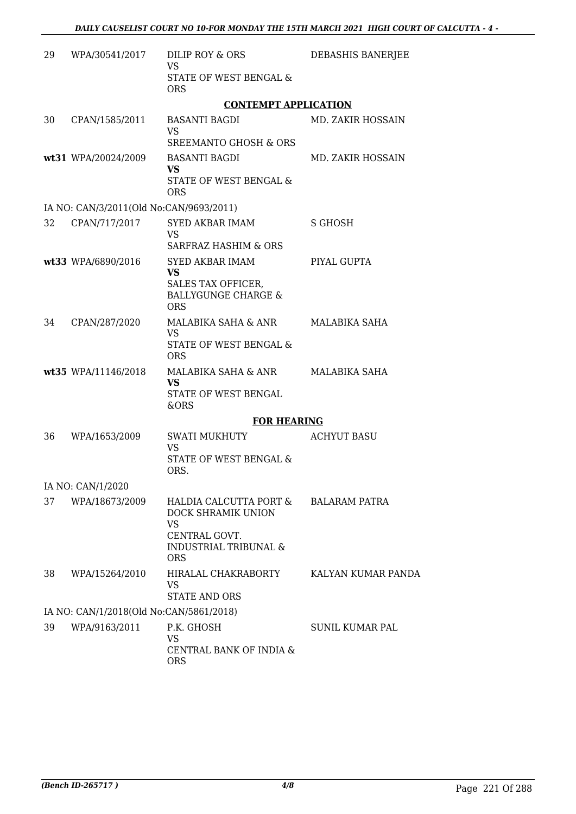| 29 | WPA/30541/2017                          | DILIP ROY & ORS<br><b>VS</b><br>STATE OF WEST BENGAL &                                                                | DEBASHIS BANERJEE        |
|----|-----------------------------------------|-----------------------------------------------------------------------------------------------------------------------|--------------------------|
|    |                                         | <b>ORS</b>                                                                                                            |                          |
|    |                                         | <b>CONTEMPT APPLICATION</b>                                                                                           |                          |
| 30 | CPAN/1585/2011                          | <b>BASANTI BAGDI</b><br><b>VS</b>                                                                                     | <b>MD. ZAKIR HOSSAIN</b> |
|    |                                         | <b>SREEMANTO GHOSH &amp; ORS</b><br><b>BASANTI BAGDI</b>                                                              |                          |
|    | wt31 WPA/20024/2009                     | <b>VS</b><br><b>STATE OF WEST BENGAL &amp;</b><br><b>ORS</b>                                                          | <b>MD. ZAKIR HOSSAIN</b> |
|    | IA NO: CAN/3/2011(Old No:CAN/9693/2011) |                                                                                                                       |                          |
| 32 | CPAN/717/2017                           | SYED AKBAR IMAM<br><b>VS</b><br>SARFRAZ HASHIM & ORS                                                                  | S GHOSH                  |
|    | wt33 WPA/6890/2016                      | SYED AKBAR IMAM<br><b>VS</b><br>SALES TAX OFFICER,<br><b>BALLYGUNGE CHARGE &amp;</b><br><b>ORS</b>                    | PIYAL GUPTA              |
| 34 | CPAN/287/2020                           | MALABIKA SAHA & ANR<br><b>VS</b><br>STATE OF WEST BENGAL &<br><b>ORS</b>                                              | MALABIKA SAHA            |
|    | wt35 WPA/11146/2018                     | MALABIKA SAHA & ANR<br>VS.<br>STATE OF WEST BENGAL<br>&ORS                                                            | MALABIKA SAHA            |
|    |                                         | <b>FOR HEARING</b>                                                                                                    |                          |
| 36 | WPA/1653/2009                           | <b>SWATI MUKHUTY</b><br>VS<br><b>STATE OF WEST BENGAL &amp;</b><br>ORS.                                               | <b>ACHYUT BASU</b>       |
|    | IA NO: CAN/1/2020                       |                                                                                                                       |                          |
| 37 | WPA/18673/2009                          | HALDIA CALCUTTA PORT &<br>DOCK SHRAMIK UNION<br>VS<br>CENTRAL GOVT.<br><b>INDUSTRIAL TRIBUNAL &amp;</b><br><b>ORS</b> | <b>BALARAM PATRA</b>     |
| 38 | WPA/15264/2010                          | HIRALAL CHAKRABORTY<br>VS<br><b>STATE AND ORS</b>                                                                     | KALYAN KUMAR PANDA       |
|    | IA NO: CAN/1/2018(Old No:CAN/5861/2018) |                                                                                                                       |                          |
| 39 | WPA/9163/2011                           | P.K. GHOSH<br><b>VS</b><br>CENTRAL BANK OF INDIA &<br><b>ORS</b>                                                      | SUNIL KUMAR PAL          |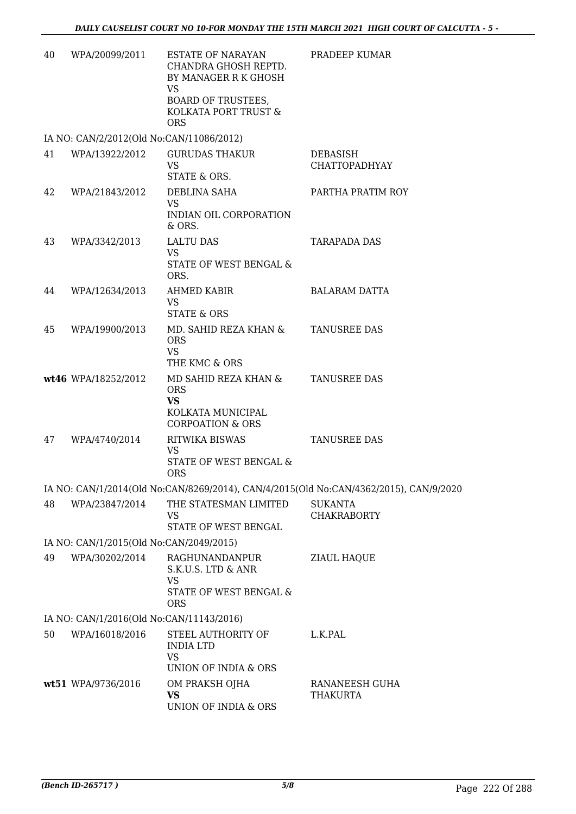| 40 | WPA/20099/2011                           | <b>ESTATE OF NARAYAN</b><br>CHANDRA GHOSH REPTD.<br>BY MANAGER R K GHOSH                            | PRADEEP KUMAR                                                                         |
|----|------------------------------------------|-----------------------------------------------------------------------------------------------------|---------------------------------------------------------------------------------------|
|    |                                          | VS<br><b>BOARD OF TRUSTEES,</b><br>KOLKATA PORT TRUST &<br><b>ORS</b>                               |                                                                                       |
|    | IA NO: CAN/2/2012(Old No:CAN/11086/2012) |                                                                                                     |                                                                                       |
| 41 | WPA/13922/2012                           | <b>GURUDAS THAKUR</b><br><b>VS</b><br>STATE & ORS.                                                  | <b>DEBASISH</b><br><b>CHATTOPADHYAY</b>                                               |
| 42 | WPA/21843/2012                           | DEBLINA SAHA<br><b>VS</b><br>INDIAN OIL CORPORATION<br>& ORS.                                       | PARTHA PRATIM ROY                                                                     |
| 43 | WPA/3342/2013                            | <b>LALTU DAS</b><br><b>VS</b>                                                                       | TARAPADA DAS                                                                          |
|    |                                          | STATE OF WEST BENGAL &<br>ORS.                                                                      |                                                                                       |
| 44 | WPA/12634/2013                           | AHMED KABIR<br>VS<br><b>STATE &amp; ORS</b>                                                         | <b>BALARAM DATTA</b>                                                                  |
| 45 | WPA/19900/2013                           | MD. SAHID REZA KHAN &<br><b>ORS</b><br><b>VS</b>                                                    | TANUSREE DAS                                                                          |
|    |                                          | THE KMC & ORS                                                                                       |                                                                                       |
|    | wt46 WPA/18252/2012                      | MD SAHID REZA KHAN &<br><b>ORS</b><br><b>VS</b><br>KOLKATA MUNICIPAL<br><b>CORPOATION &amp; ORS</b> | <b>TANUSREE DAS</b>                                                                   |
| 47 | WPA/4740/2014                            | RITWIKA BISWAS                                                                                      | <b>TANUSREE DAS</b>                                                                   |
|    |                                          | VS<br>STATE OF WEST BENGAL &<br><b>ORS</b>                                                          |                                                                                       |
|    |                                          |                                                                                                     | IA NO: CAN/1/2014(Old No:CAN/8269/2014), CAN/4/2015(Old No:CAN/4362/2015), CAN/9/2020 |
| 48 | WPA/23847/2014                           | THE STATESMAN LIMITED<br>VS<br>STATE OF WEST BENGAL                                                 | <b>SUKANTA</b><br><b>CHAKRABORTY</b>                                                  |
|    | IA NO: CAN/1/2015(Old No:CAN/2049/2015)  |                                                                                                     |                                                                                       |
| 49 | WPA/30202/2014                           | RAGHUNANDANPUR                                                                                      | ZIAUL HAQUE                                                                           |
|    |                                          | S.K.U.S. LTD & ANR<br>VS<br>STATE OF WEST BENGAL &<br><b>ORS</b>                                    |                                                                                       |
|    | IA NO: CAN/1/2016(Old No:CAN/11143/2016) |                                                                                                     |                                                                                       |
| 50 | WPA/16018/2016                           | STEEL AUTHORITY OF<br><b>INDIA LTD</b>                                                              | L.K.PAL                                                                               |
|    |                                          | VS<br>UNION OF INDIA & ORS                                                                          |                                                                                       |
|    | wt51 WPA/9736/2016                       | OM PRAKSH OJHA<br><b>VS</b><br>UNION OF INDIA & ORS                                                 | RANANEESH GUHA<br>THAKURTA                                                            |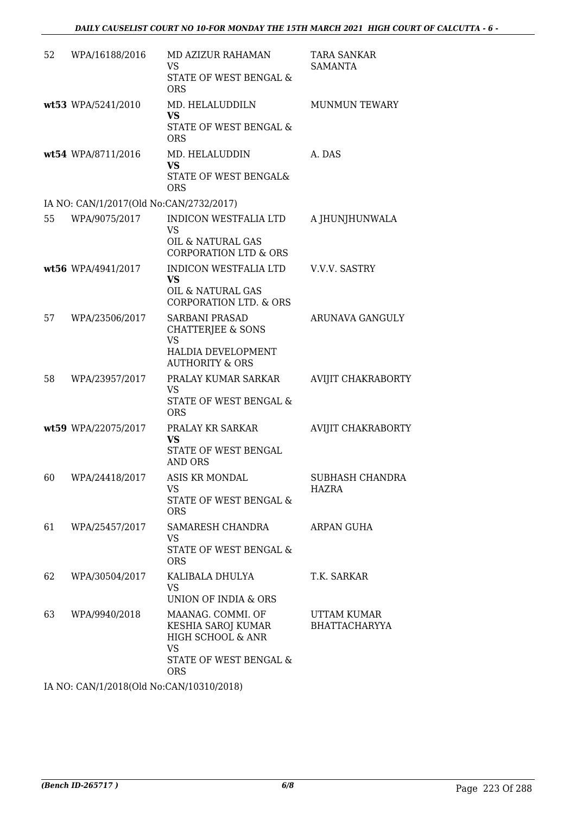| 52 | WPA/16188/2016                          | MD AZIZUR RAHAMAN<br>VS<br><b>STATE OF WEST BENGAL &amp;</b><br><b>ORS</b>                                             | TARA SANKAR<br><b>SAMANTA</b>       |
|----|-----------------------------------------|------------------------------------------------------------------------------------------------------------------------|-------------------------------------|
|    | wt53 WPA/5241/2010                      | MD. HELALUDDILN<br><b>VS</b><br>STATE OF WEST BENGAL &<br><b>ORS</b>                                                   | <b>MUNMUN TEWARY</b>                |
|    | wt54 WPA/8711/2016                      | MD. HELALUDDIN<br><b>VS</b><br>STATE OF WEST BENGAL&<br><b>ORS</b>                                                     | A. DAS                              |
|    | IA NO: CAN/1/2017(Old No:CAN/2732/2017) |                                                                                                                        |                                     |
| 55 | WPA/9075/2017                           | <b>INDICON WESTFALIA LTD</b><br><b>VS</b><br><b>OIL &amp; NATURAL GAS</b><br><b>CORPORATION LTD &amp; ORS</b>          | A JHUNJHUNWALA                      |
|    | wt56 WPA/4941/2017                      | INDICON WESTFALIA LTD<br><b>VS</b><br>OIL & NATURAL GAS<br><b>CORPORATION LTD. &amp; ORS</b>                           | V.V.V. SASTRY                       |
| 57 | WPA/23506/2017                          | <b>SARBANI PRASAD</b><br><b>CHATTERJEE &amp; SONS</b><br>VS<br><b>HALDIA DEVELOPMENT</b><br><b>AUTHORITY &amp; ORS</b> | ARUNAVA GANGULY                     |
| 58 | WPA/23957/2017                          | PRALAY KUMAR SARKAR<br>VS<br>STATE OF WEST BENGAL &<br><b>ORS</b>                                                      | <b>AVIJIT CHAKRABORTY</b>           |
|    | wt59 WPA/22075/2017                     | PRALAY KR SARKAR<br><b>VS</b><br>STATE OF WEST BENGAL<br><b>AND ORS</b>                                                | <b>AVIJIT CHAKRABORTY</b>           |
| 60 | WPA/24418/2017                          | ASIS KR MONDAL<br>VS<br>STATE OF WEST BENGAL &<br><b>ORS</b>                                                           | SUBHASH CHANDRA<br>HAZRA            |
| 61 | WPA/25457/2017                          | SAMARESH CHANDRA<br>VS<br>STATE OF WEST BENGAL &<br><b>ORS</b>                                                         | ARPAN GUHA                          |
| 62 | WPA/30504/2017                          | KALIBALA DHULYA<br>VS<br><b>UNION OF INDIA &amp; ORS</b>                                                               | T.K. SARKAR                         |
| 63 | WPA/9940/2018                           | MAANAG. COMMI. OF<br>KESHIA SAROJ KUMAR<br>HIGH SCHOOL & ANR<br>VS<br>STATE OF WEST BENGAL &<br><b>ORS</b>             | UTTAM KUMAR<br><b>BHATTACHARYYA</b> |

IA NO: CAN/1/2018(Old No:CAN/10310/2018)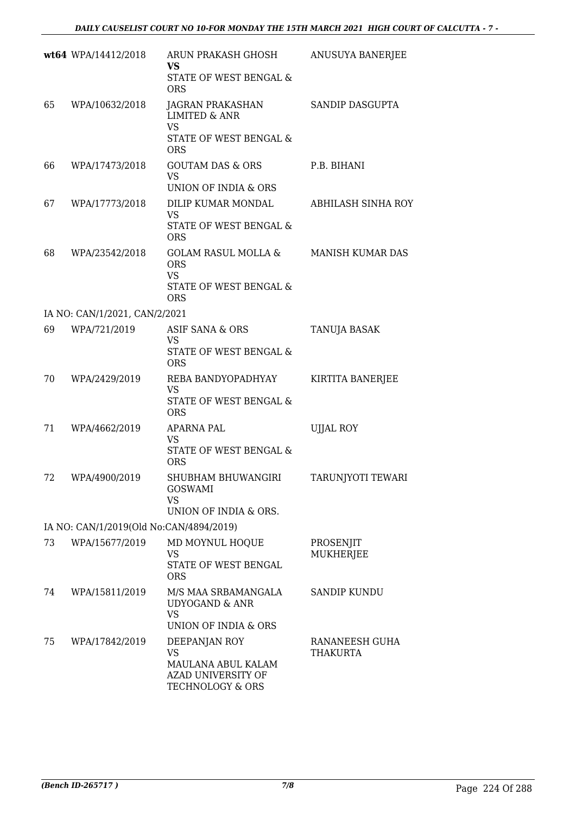|    | wt64 WPA/14412/2018                     | ARUN PRAKASH GHOSH<br>VS<br>STATE OF WEST BENGAL &<br><b>ORS</b>                                         | ANUSUYA BANERJEE                  |
|----|-----------------------------------------|----------------------------------------------------------------------------------------------------------|-----------------------------------|
| 65 | WPA/10632/2018                          | <b>JAGRAN PRAKASHAN</b><br><b>LIMITED &amp; ANR</b><br><b>VS</b><br>STATE OF WEST BENGAL &<br><b>ORS</b> | SANDIP DASGUPTA                   |
| 66 | WPA/17473/2018                          | <b>GOUTAM DAS &amp; ORS</b><br><b>VS</b><br>UNION OF INDIA & ORS                                         | P.B. BIHANI                       |
| 67 | WPA/17773/2018                          | DILIP KUMAR MONDAL<br>VS<br>STATE OF WEST BENGAL &<br><b>ORS</b>                                         | ABHILASH SINHA ROY                |
| 68 | WPA/23542/2018                          | GOLAM RASUL MOLLA &<br><b>ORS</b><br><b>VS</b><br>STATE OF WEST BENGAL &<br><b>ORS</b>                   | <b>MANISH KUMAR DAS</b>           |
|    | IA NO: CAN/1/2021, CAN/2/2021           |                                                                                                          |                                   |
| 69 | WPA/721/2019                            | ASIF SANA & ORS<br>VS<br>STATE OF WEST BENGAL &<br><b>ORS</b>                                            | TANUJA BASAK                      |
| 70 | WPA/2429/2019                           | REBA BANDYOPADHYAY<br>VS<br>STATE OF WEST BENGAL &<br><b>ORS</b>                                         | KIRTITA BANERJEE                  |
| 71 | WPA/4662/2019                           | APARNA PAL<br>VS<br>STATE OF WEST BENGAL &<br><b>ORS</b>                                                 | <b>UJJAL ROY</b>                  |
| 72 | WPA/4900/2019                           | SHUBHAM BHUWANGIRI<br><b>GOSWAMI</b><br>VS<br>UNION OF INDIA & ORS.                                      | TARUNJYOTI TEWARI                 |
|    | IA NO: CAN/1/2019(Old No:CAN/4894/2019) |                                                                                                          |                                   |
| 73 | WPA/15677/2019                          | MD MOYNUL HOQUE<br><b>VS</b><br>STATE OF WEST BENGAL<br><b>ORS</b>                                       | PROSENJIT<br><b>MUKHERJEE</b>     |
| 74 | WPA/15811/2019                          | M/S MAA SRBAMANGALA<br><b>UDYOGAND &amp; ANR</b><br><b>VS</b><br>UNION OF INDIA & ORS                    | <b>SANDIP KUNDU</b>               |
| 75 | WPA/17842/2019                          | DEEPANJAN ROY<br>VS<br>MAULANA ABUL KALAM<br>AZAD UNIVERSITY OF<br>TECHNOLOGY & ORS                      | RANANEESH GUHA<br><b>THAKURTA</b> |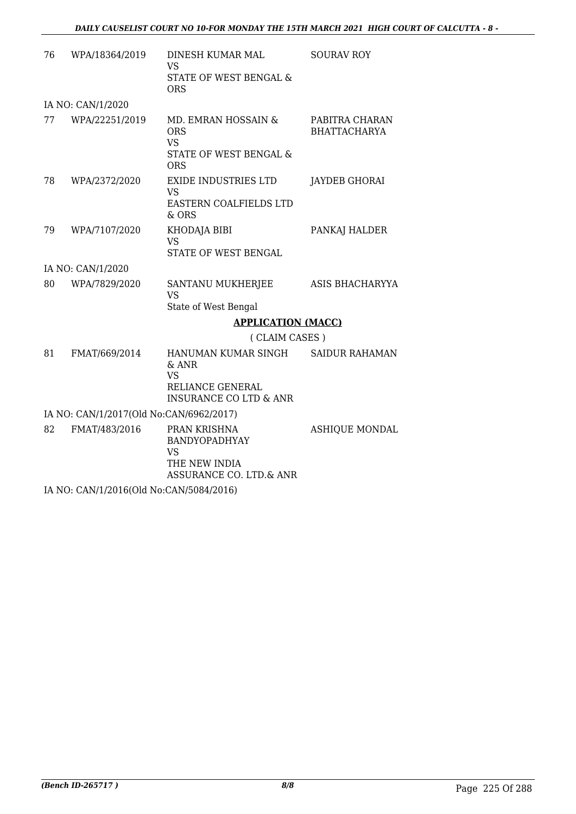| 76 | WPA/18364/2019                              | DINESH KUMAR MAL<br><b>VS</b><br>STATE OF WEST BENGAL &<br><b>ORS</b>                              | <b>SOURAV ROY</b>                     |  |  |
|----|---------------------------------------------|----------------------------------------------------------------------------------------------------|---------------------------------------|--|--|
|    | IA NO: CAN/1/2020                           |                                                                                                    |                                       |  |  |
| 77 | WPA/22251/2019                              | MD. EMRAN HOSSAIN &<br><b>ORS</b><br><b>VS</b><br>STATE OF WEST BENGAL &<br><b>ORS</b>             | PABITRA CHARAN<br><b>BHATTACHARYA</b> |  |  |
| 78 | WPA/2372/2020                               | EXIDE INDUSTRIES LTD<br>VS<br>EASTERN COALFIELDS LTD<br>& ORS                                      | JAYDEB GHORAI                         |  |  |
| 79 | WPA/7107/2020                               | KHODAJA BIBI<br><b>VS</b><br>STATE OF WEST BENGAL                                                  | PANKAJ HALDER                         |  |  |
|    | IA NO: CAN/1/2020                           |                                                                                                    |                                       |  |  |
| 80 | WPA/7829/2020                               | SANTANU MUKHERJEE<br>VS<br>State of West Bengal                                                    | ASIS BHACHARYYA                       |  |  |
|    |                                             | <b>APPLICATION (MACC)</b>                                                                          |                                       |  |  |
|    |                                             | (CLAIM CASES)                                                                                      |                                       |  |  |
| 81 | FMAT/669/2014                               | HANUMAN KUMAR SINGH<br>& ANR<br><b>VS</b><br>RELIANCE GENERAL<br><b>INSURANCE CO LTD &amp; ANR</b> | <b>SAIDUR RAHAMAN</b>                 |  |  |
|    | IA NO: CAN/1/2017(Old No:CAN/6962/2017)     |                                                                                                    |                                       |  |  |
| 82 | FMAT/483/2016                               | PRAN KRISHNA<br><b>BANDYOPADHYAY</b><br><b>VS</b><br>THE NEW INDIA<br>ASSURANCE CO. LTD.& ANR      | <b>ASHIQUE MONDAL</b>                 |  |  |
|    | $11.370.013714.004.001137.013717004.004.01$ |                                                                                                    |                                       |  |  |

IA NO: CAN/1/2016(Old No:CAN/5084/2016)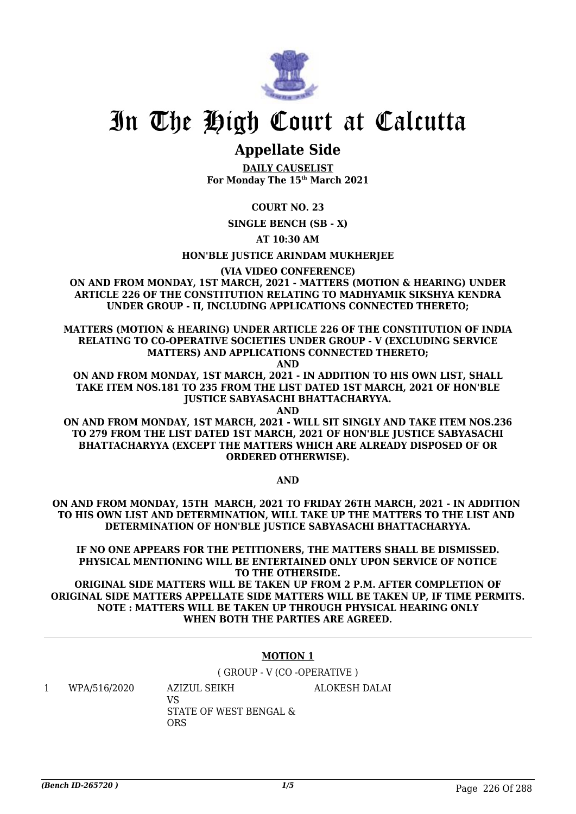

## **Appellate Side**

**DAILY CAUSELIST For Monday The 15th March 2021**

**COURT NO. 23**

**SINGLE BENCH (SB - X)**

**AT 10:30 AM**

**HON'BLE JUSTICE ARINDAM MUKHERJEE**

**(VIA VIDEO CONFERENCE)**

**ON AND FROM MONDAY, 1ST MARCH, 2021 - MATTERS (MOTION & HEARING) UNDER ARTICLE 226 OF THE CONSTITUTION RELATING TO MADHYAMIK SIKSHYA KENDRA UNDER GROUP - II, INCLUDING APPLICATIONS CONNECTED THERETO;**

**MATTERS (MOTION & HEARING) UNDER ARTICLE 226 OF THE CONSTITUTION OF INDIA RELATING TO CO-OPERATIVE SOCIETIES UNDER GROUP - V (EXCLUDING SERVICE MATTERS) AND APPLICATIONS CONNECTED THERETO;**

**AND**

**ON AND FROM MONDAY, 1ST MARCH, 2021 - IN ADDITION TO HIS OWN LIST, SHALL TAKE ITEM NOS.181 TO 235 FROM THE LIST DATED 1ST MARCH, 2021 OF HON'BLE JUSTICE SABYASACHI BHATTACHARYYA.**

**AND**

**ON AND FROM MONDAY, 1ST MARCH, 2021 - WILL SIT SINGLY AND TAKE ITEM NOS.236 TO 279 FROM THE LIST DATED 1ST MARCH, 2021 OF HON'BLE JUSTICE SABYASACHI BHATTACHARYYA (EXCEPT THE MATTERS WHICH ARE ALREADY DISPOSED OF OR ORDERED OTHERWISE).**

**AND**

**ON AND FROM MONDAY, 15TH MARCH, 2021 TO FRIDAY 26TH MARCH, 2021 - IN ADDITION TO HIS OWN LIST AND DETERMINATION, WILL TAKE UP THE MATTERS TO THE LIST AND DETERMINATION OF HON'BLE JUSTICE SABYASACHI BHATTACHARYYA.**

**IF NO ONE APPEARS FOR THE PETITIONERS, THE MATTERS SHALL BE DISMISSED. PHYSICAL MENTIONING WILL BE ENTERTAINED ONLY UPON SERVICE OF NOTICE TO THE OTHERSIDE.**

**ORIGINAL SIDE MATTERS WILL BE TAKEN UP FROM 2 P.M. AFTER COMPLETION OF ORIGINAL SIDE MATTERS APPELLATE SIDE MATTERS WILL BE TAKEN UP, IF TIME PERMITS. NOTE : MATTERS WILL BE TAKEN UP THROUGH PHYSICAL HEARING ONLY WHEN BOTH THE PARTIES ARE AGREED.**

### **MOTION 1**

( GROUP - V (CO -OPERATIVE )

1 WPA/516/2020 AZIZUL SEIKH VS STATE OF WEST BENGAL & ORS ALOKESH DALAI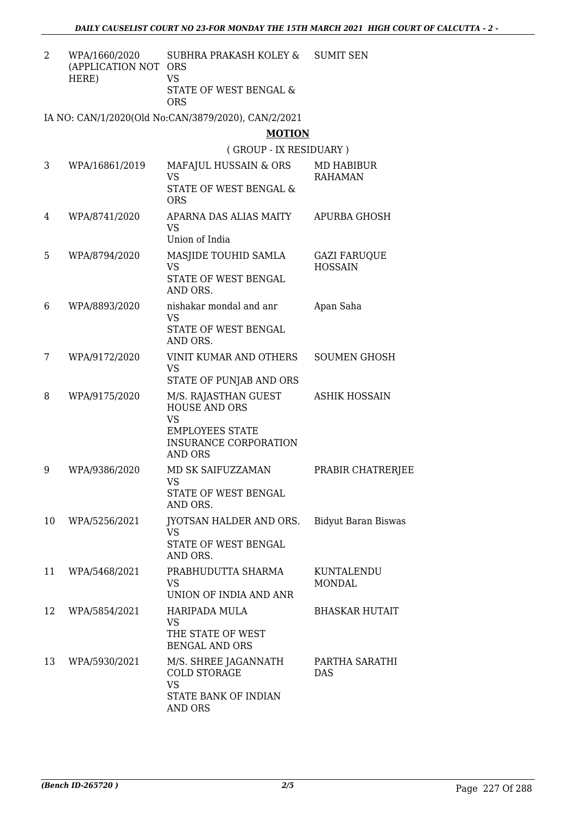2 WPA/1660/2020 (APPLICATION NOT ORS HERE) SUBHRA PRAKASH KOLEY & VS SUMIT SEN

STATE OF WEST BENGAL & ORS

IA NO: CAN/1/2020(Old No:CAN/3879/2020), CAN/2/2021

**MOTION**

( GROUP - IX RESIDUARY )

| 3  | WPA/16861/2019 | MAFAJUL HUSSAIN & ORS<br><b>VS</b><br>STATE OF WEST BENGAL &<br><b>ORS</b>                                                            | <b>MD HABIBUR</b><br><b>RAHAMAN</b>   |
|----|----------------|---------------------------------------------------------------------------------------------------------------------------------------|---------------------------------------|
| 4  | WPA/8741/2020  | APARNA DAS ALIAS MAITY<br><b>VS</b><br>Union of India                                                                                 | <b>APURBA GHOSH</b>                   |
| 5  | WPA/8794/2020  | MASJIDE TOUHID SAMLA<br><b>VS</b><br>STATE OF WEST BENGAL<br>AND ORS.                                                                 | <b>GAZI FARUQUE</b><br><b>HOSSAIN</b> |
| 6  | WPA/8893/2020  | nishakar mondal and anr<br><b>VS</b><br>STATE OF WEST BENGAL<br>AND ORS.                                                              | Apan Saha                             |
| 7  | WPA/9172/2020  | <b>VINIT KUMAR AND OTHERS</b><br><b>VS</b><br>STATE OF PUNJAB AND ORS                                                                 | <b>SOUMEN GHOSH</b>                   |
| 8  | WPA/9175/2020  | M/S. RAJASTHAN GUEST<br><b>HOUSE AND ORS</b><br><b>VS</b><br><b>EMPLOYEES STATE</b><br><b>INSURANCE CORPORATION</b><br><b>AND ORS</b> | <b>ASHIK HOSSAIN</b>                  |
| 9  | WPA/9386/2020  | MD SK SAIFUZZAMAN<br><b>VS</b><br>STATE OF WEST BENGAL<br>AND ORS.                                                                    | PRABIR CHATRERJEE                     |
| 10 | WPA/5256/2021  | JYOTSAN HALDER AND ORS.<br><b>VS</b><br>STATE OF WEST BENGAL<br>AND ORS.                                                              | <b>Bidyut Baran Biswas</b>            |
| 11 | WPA/5468/2021  | PRABHUDUTTA SHARMA<br><b>VS</b><br>UNION OF INDIA AND ANR                                                                             | KUNTALENDU<br><b>MONDAL</b>           |
| 12 | WPA/5854/2021  | HARIPADA MULA<br><b>VS</b><br>THE STATE OF WEST<br><b>BENGAL AND ORS</b>                                                              | <b>BHASKAR HUTAIT</b>                 |
| 13 | WPA/5930/2021  | M/S. SHREE JAGANNATH<br><b>COLD STORAGE</b><br><b>VS</b><br><b>STATE BANK OF INDIAN</b><br>AND ORS                                    | PARTHA SARATHI<br><b>DAS</b>          |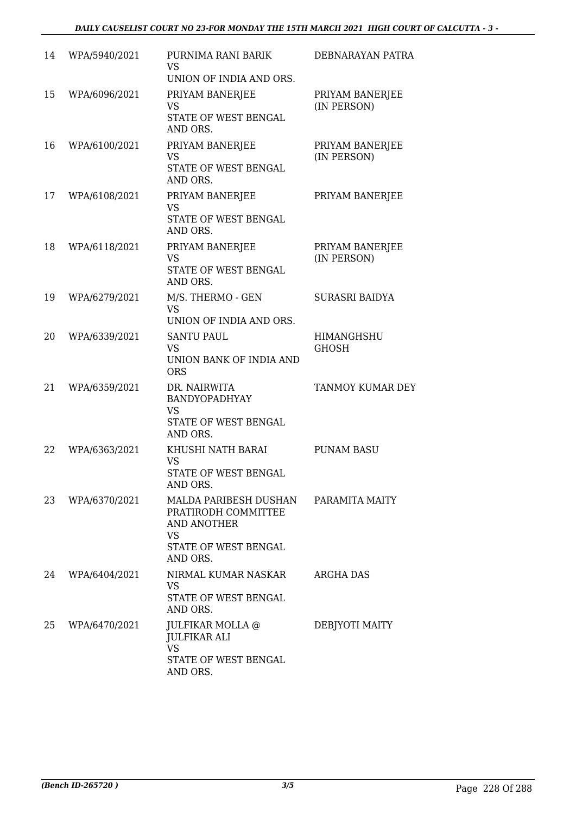| 14 | WPA/5940/2021 | PURNIMA RANI BARIK<br><b>VS</b><br>UNION OF INDIA AND ORS.                                                   | DEBNARAYAN PATRA                  |
|----|---------------|--------------------------------------------------------------------------------------------------------------|-----------------------------------|
| 15 | WPA/6096/2021 | PRIYAM BANERJEE<br><b>VS</b><br>STATE OF WEST BENGAL<br>AND ORS.                                             | PRIYAM BANERJEE<br>(IN PERSON)    |
| 16 | WPA/6100/2021 | PRIYAM BANERJEE<br><b>VS</b><br>STATE OF WEST BENGAL<br>AND ORS.                                             | PRIYAM BANERJEE<br>(IN PERSON)    |
| 17 | WPA/6108/2021 | PRIYAM BANERJEE<br><b>VS</b><br>STATE OF WEST BENGAL<br>AND ORS.                                             | PRIYAM BANERJEE                   |
| 18 | WPA/6118/2021 | PRIYAM BANERJEE<br><b>VS</b><br>STATE OF WEST BENGAL<br>AND ORS.                                             | PRIYAM BANERJEE<br>(IN PERSON)    |
| 19 | WPA/6279/2021 | M/S. THERMO - GEN<br><b>VS</b><br>UNION OF INDIA AND ORS.                                                    | <b>SURASRI BAIDYA</b>             |
| 20 | WPA/6339/2021 | <b>SANTU PAUL</b><br><b>VS</b><br>UNION BANK OF INDIA AND<br><b>ORS</b>                                      | <b>HIMANGHSHU</b><br><b>GHOSH</b> |
| 21 | WPA/6359/2021 | DR. NAIRWITA<br>BANDYOPADHYAY<br><b>VS</b><br><b>STATE OF WEST BENGAL</b><br>AND ORS.                        | TANMOY KUMAR DEY                  |
| 22 | WPA/6363/2021 | KHUSHI NATH BARAI<br><b>VS</b><br>STATE OF WEST BENGAL<br>AND ORS.                                           | <b>PUNAM BASU</b>                 |
| 23 | WPA/6370/2021 | MALDA PARIBESH DUSHAN<br>PRATIRODH COMMITTEE<br><b>AND ANOTHER</b><br>VS<br>STATE OF WEST BENGAL<br>AND ORS. | PARAMITA MAITY                    |
| 24 | WPA/6404/2021 | NIRMAL KUMAR NASKAR<br><b>VS</b><br><b>STATE OF WEST BENGAL</b><br>AND ORS.                                  | <b>ARGHA DAS</b>                  |
| 25 | WPA/6470/2021 | JULFIKAR MOLLA @<br><b>JULFIKAR ALI</b><br><b>VS</b><br>STATE OF WEST BENGAL<br>AND ORS.                     | DEBJYOTI MAITY                    |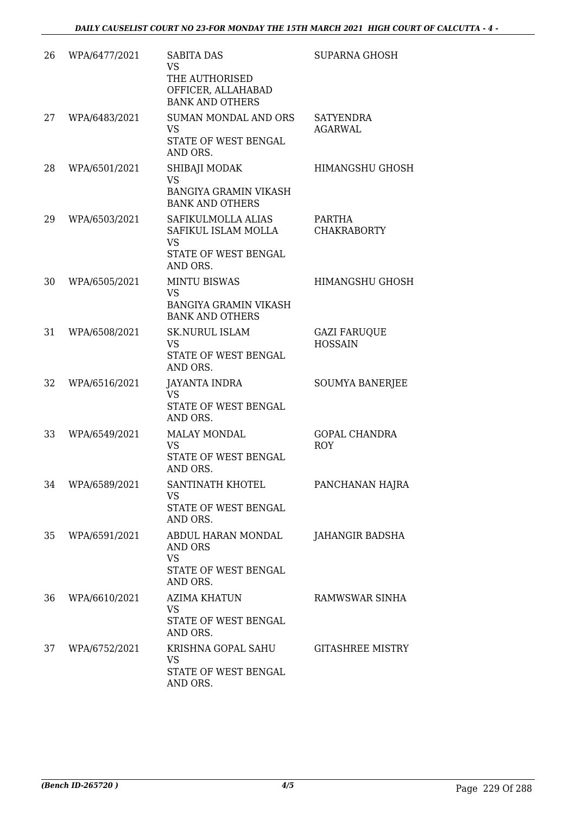| 26 | WPA/6477/2021 | <b>SABITA DAS</b><br><b>VS</b><br>THE AUTHORISED<br>OFFICER, ALLAHABAD<br><b>BANK AND OTHERS</b> | SUPARNA GHOSH                         |
|----|---------------|--------------------------------------------------------------------------------------------------|---------------------------------------|
| 27 | WPA/6483/2021 | <b>SUMAN MONDAL AND ORS</b><br><b>VS</b><br>STATE OF WEST BENGAL<br>AND ORS.                     | SATYENDRA<br><b>AGARWAL</b>           |
| 28 | WPA/6501/2021 | SHIBAJI MODAK<br><b>VS</b><br><b>BANGIYA GRAMIN VIKASH</b><br><b>BANK AND OTHERS</b>             | <b>HIMANGSHU GHOSH</b>                |
| 29 | WPA/6503/2021 | SAFIKULMOLLA ALIAS<br>SAFIKUL ISLAM MOLLA<br>VS<br>STATE OF WEST BENGAL<br>AND ORS.              | PARTHA<br><b>CHAKRABORTY</b>          |
| 30 | WPA/6505/2021 | <b>MINTU BISWAS</b><br><b>VS</b><br><b>BANGIYA GRAMIN VIKASH</b><br><b>BANK AND OTHERS</b>       | <b>HIMANGSHU GHOSH</b>                |
| 31 | WPA/6508/2021 | <b>SK.NURUL ISLAM</b><br>VS<br>STATE OF WEST BENGAL<br>AND ORS.                                  | <b>GAZI FARUQUE</b><br><b>HOSSAIN</b> |
| 32 | WPA/6516/2021 | <b>JAYANTA INDRA</b><br><b>VS</b><br>STATE OF WEST BENGAL<br>AND ORS.                            | <b>SOUMYA BANERJEE</b>                |
| 33 | WPA/6549/2021 | <b>MALAY MONDAL</b><br>VS<br>STATE OF WEST BENGAL<br>AND ORS.                                    | <b>GOPAL CHANDRA</b><br><b>ROY</b>    |
| 34 | WPA/6589/2021 | SANTINATH KHOTEL<br>VS.<br>STATE OF WEST BENGAL<br>AND ORS.                                      | PANCHANAN HAJRA                       |
| 35 | WPA/6591/2021 | ABDUL HARAN MONDAL<br><b>AND ORS</b><br><b>VS</b><br>STATE OF WEST BENGAL<br>AND ORS.            | JAHANGIR BADSHA                       |
| 36 | WPA/6610/2021 | <b>AZIMA KHATUN</b><br>VS<br>STATE OF WEST BENGAL<br>AND ORS.                                    | RAMWSWAR SINHA                        |
| 37 | WPA/6752/2021 | KRISHNA GOPAL SAHU<br><b>VS</b><br>STATE OF WEST BENGAL<br>AND ORS.                              | <b>GITASHREE MISTRY</b>               |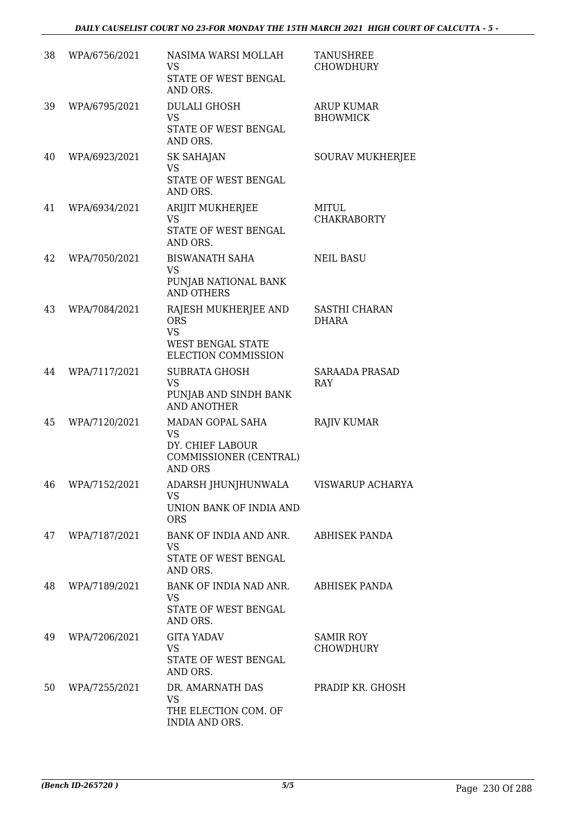| 38 | WPA/6756/2021 | NASIMA WARSI MOLLAH<br>VS<br>STATE OF WEST BENGAL<br>AND ORS.                                      | TANUSHREE<br>CHOWDHURY               |
|----|---------------|----------------------------------------------------------------------------------------------------|--------------------------------------|
| 39 | WPA/6795/2021 | <b>DULALI GHOSH</b><br><b>VS</b><br>STATE OF WEST BENGAL<br>AND ORS.                               | <b>ARUP KUMAR</b><br><b>BHOWMICK</b> |
| 40 | WPA/6923/2021 | <b>SK SAHAJAN</b><br><b>VS</b><br>STATE OF WEST BENGAL<br>AND ORS.                                 | <b>SOURAV MUKHERJEE</b>              |
| 41 | WPA/6934/2021 | ARIJIT MUKHERJEE<br><b>VS</b><br>STATE OF WEST BENGAL<br>AND ORS.                                  | MITUL<br><b>CHAKRABORTY</b>          |
| 42 | WPA/7050/2021 | <b>BISWANATH SAHA</b><br><b>VS</b><br>PUNJAB NATIONAL BANK<br><b>AND OTHERS</b>                    | <b>NEIL BASU</b>                     |
| 43 | WPA/7084/2021 | RAJESH MUKHERJEE AND<br><b>ORS</b><br><b>VS</b><br><b>WEST BENGAL STATE</b><br>ELECTION COMMISSION | <b>SASTHI CHARAN</b><br>DHARA        |
| 44 | WPA/7117/2021 | <b>SUBRATA GHOSH</b><br><b>VS</b><br>PUNJAB AND SINDH BANK<br><b>AND ANOTHER</b>                   | <b>SARAADA PRASAD</b><br>RAY         |
| 45 | WPA/7120/2021 | MADAN GOPAL SAHA<br><b>VS</b><br>DY. CHIEF LABOUR<br>COMMISSIONER (CENTRAL)<br><b>AND ORS</b>      | <b>RAJIV KUMAR</b>                   |
| 46 | WPA/7152/2021 | ADARSH JHUNJHUNWALA<br><b>VS</b><br>UNION BANK OF INDIA AND<br><b>ORS</b>                          | VISWARUP ACHARYA                     |
| 47 | WPA/7187/2021 | BANK OF INDIA AND ANR.<br><b>VS</b><br>STATE OF WEST BENGAL<br>AND ORS.                            | ABHISEK PANDA                        |
| 48 | WPA/7189/2021 | BANK OF INDIA NAD ANR.<br><b>VS</b><br>STATE OF WEST BENGAL<br>AND ORS.                            | ABHISEK PANDA                        |
| 49 | WPA/7206/2021 | <b>GITA YADAV</b><br><b>VS</b><br>STATE OF WEST BENGAL<br>AND ORS.                                 | <b>SAMIR ROY</b><br><b>CHOWDHURY</b> |
| 50 | WPA/7255/2021 | DR. AMARNATH DAS<br><b>VS</b><br>THE ELECTION COM. OF<br>INDIA AND ORS.                            | PRADIP KR. GHOSH                     |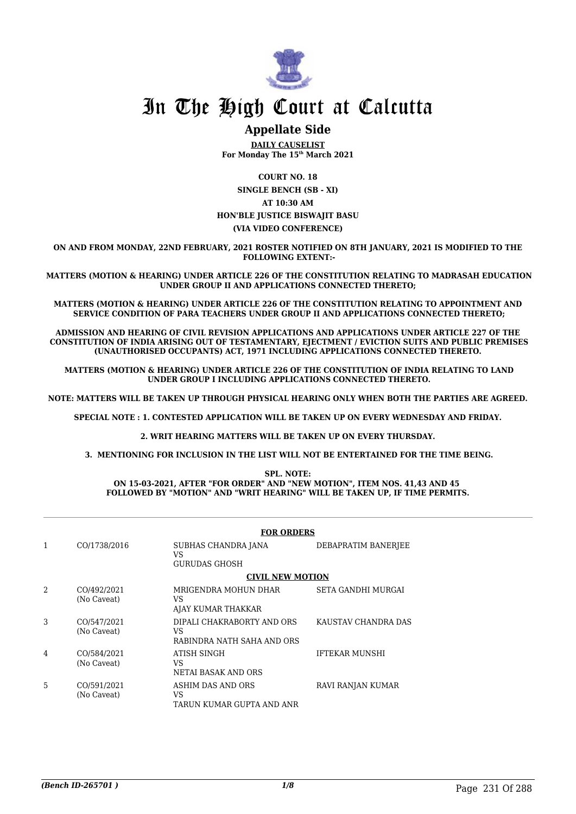

### **Appellate Side**

**DAILY CAUSELIST For Monday The 15th March 2021**

**COURT NO. 18 SINGLE BENCH (SB - XI) AT 10:30 AM HON'BLE JUSTICE BISWAJIT BASU (VIA VIDEO CONFERENCE)**

**ON AND FROM MONDAY, 22ND FEBRUARY, 2021 ROSTER NOTIFIED ON 8TH JANUARY, 2021 IS MODIFIED TO THE FOLLOWING EXTENT:-**

 **MATTERS (MOTION & HEARING) UNDER ARTICLE 226 OF THE CONSTITUTION RELATING TO MADRASAH EDUCATION UNDER GROUP II AND APPLICATIONS CONNECTED THERETO;**

**MATTERS (MOTION & HEARING) UNDER ARTICLE 226 OF THE CONSTITUTION RELATING TO APPOINTMENT AND SERVICE CONDITION OF PARA TEACHERS UNDER GROUP II AND APPLICATIONS CONNECTED THERETO;**

**ADMISSION AND HEARING OF CIVIL REVISION APPLICATIONS AND APPLICATIONS UNDER ARTICLE 227 OF THE CONSTITUTION OF INDIA ARISING OUT OF TESTAMENTARY, EJECTMENT / EVICTION SUITS AND PUBLIC PREMISES (UNAUTHORISED OCCUPANTS) ACT, 1971 INCLUDING APPLICATIONS CONNECTED THERETO.**

 **MATTERS (MOTION & HEARING) UNDER ARTICLE 226 OF THE CONSTITUTION OF INDIA RELATING TO LAND UNDER GROUP I INCLUDING APPLICATIONS CONNECTED THERETO.**

**NOTE: MATTERS WILL BE TAKEN UP THROUGH PHYSICAL HEARING ONLY WHEN BOTH THE PARTIES ARE AGREED.**

**SPECIAL NOTE : 1. CONTESTED APPLICATION WILL BE TAKEN UP ON EVERY WEDNESDAY AND FRIDAY.**

**2. WRIT HEARING MATTERS WILL BE TAKEN UP ON EVERY THURSDAY.**

 **3. MENTIONING FOR INCLUSION IN THE LIST WILL NOT BE ENTERTAINED FOR THE TIME BEING.**

**SPL. NOTE: ON 15-03-2021, AFTER "FOR ORDER" AND "NEW MOTION", ITEM NOS. 41,43 AND 45 FOLLOWED BY "MOTION" AND "WRIT HEARING" WILL BE TAKEN UP, IF TIME PERMITS.**

|   |                            | <b>FOR ORDERS</b>                                              |                           |
|---|----------------------------|----------------------------------------------------------------|---------------------------|
| 1 | CO/1738/2016               | SUBHAS CHANDRA JANA<br>VS<br>GURUDAS GHOSH                     | DEBAPRATIM BANERJEE       |
|   |                            | <b>CIVIL NEW MOTION</b>                                        |                           |
| 2 | CO/492/2021<br>(No Caveat) | MRIGENDRA MOHUN DHAR<br>VS<br>AJAY KUMAR THAKKAR               | <b>SETA GANDHI MURGAI</b> |
| 3 | CO/547/2021<br>(No Caveat) | DIPALI CHAKRABORTY AND ORS<br>VS<br>RABINDRA NATH SAHA AND ORS | KAUSTAV CHANDRA DAS       |
| 4 | CO/584/2021<br>(No Caveat) | ATISH SINGH<br>VS<br>NETAI BASAK AND ORS                       | <b>IFTEKAR MUNSHI</b>     |
| 5 | CO/591/2021<br>(No Caveat) | ASHIM DAS AND ORS<br>VS<br>TARUN KUMAR GUPTA AND ANR           | RAVI RANJAN KUMAR         |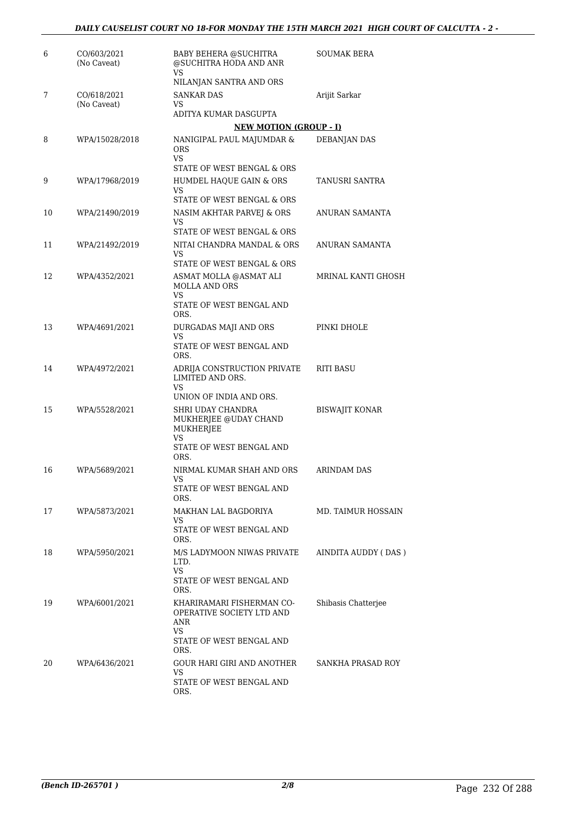| 6  | CO/603/2021<br>(No Caveat) | <b>BABY BEHERA @SUCHITRA</b><br>@SUCHITRA HODA AND ANR<br>VS         | SOUMAK BERA           |
|----|----------------------------|----------------------------------------------------------------------|-----------------------|
|    |                            | NILANJAN SANTRA AND ORS                                              |                       |
| 7  | CO/618/2021                | <b>SANKAR DAS</b>                                                    | Arijit Sarkar         |
|    | (No Caveat)                | VS<br>ADITYA KUMAR DASGUPTA                                          |                       |
|    |                            | <b>NEW MOTION (GROUP - I)</b>                                        |                       |
| 8  | WPA/15028/2018             | NANIGIPAL PAUL MAJUMDAR &                                            | <b>DEBANJAN DAS</b>   |
|    |                            | ORS.<br><b>VS</b><br>STATE OF WEST BENGAL & ORS                      |                       |
| 9  | WPA/17968/2019             | HUMDEL HAQUE GAIN & ORS                                              | TANUSRI SANTRA        |
|    |                            | VS                                                                   |                       |
|    |                            | STATE OF WEST BENGAL & ORS                                           |                       |
| 10 | WPA/21490/2019             | NASIM AKHTAR PARVEJ & ORS<br>VS                                      | ANURAN SAMANTA        |
|    |                            | STATE OF WEST BENGAL & ORS                                           |                       |
| 11 | WPA/21492/2019             | NITAI CHANDRA MANDAL & ORS<br>VS<br>STATE OF WEST BENGAL & ORS       | ANURAN SAMANTA        |
| 12 | WPA/4352/2021              | ASMAT MOLLA @ASMAT ALI                                               | MRINAL KANTI GHOSH    |
|    |                            | <b>MOLLA AND ORS</b><br>VS<br>STATE OF WEST BENGAL AND               |                       |
|    |                            | ORS.                                                                 |                       |
| 13 | WPA/4691/2021              | DURGADAS MAJI AND ORS                                                | PINKI DHOLE           |
|    |                            | VS<br>STATE OF WEST BENGAL AND<br>ORS.                               |                       |
| 14 | WPA/4972/2021              | ADRIJA CONSTRUCTION PRIVATE<br>LIMITED AND ORS.<br>VS                | <b>RITI BASU</b>      |
|    |                            | UNION OF INDIA AND ORS.                                              |                       |
| 15 | WPA/5528/2021              | SHRI UDAY CHANDRA<br>MUKHERJEE @UDAY CHAND<br>MUKHERJEE              | <b>BISWAJIT KONAR</b> |
|    |                            | VS<br>STATE OF WEST BENGAL AND<br>ORS.                               |                       |
| 16 | WPA/5689/2021              | NIRMAL KUMAR SHAH AND ORS                                            | <b>ARINDAM DAS</b>    |
|    |                            | VS.<br>STATE OF WEST BENGAL AND<br>ORS.                              |                       |
| 17 | WPA/5873/2021              | MAKHAN LAL BAGDORIYA                                                 | MD. TAIMUR HOSSAIN    |
|    |                            | VS<br>STATE OF WEST BENGAL AND<br>ORS.                               |                       |
| 18 | WPA/5950/2021              | M/S LADYMOON NIWAS PRIVATE<br>LTD.                                   | AINDITA AUDDY (DAS)   |
|    |                            | <b>VS</b><br>STATE OF WEST BENGAL AND<br>ORS.                        |                       |
| 19 | WPA/6001/2021              | KHARIRAMARI FISHERMAN CO-<br>OPERATIVE SOCIETY LTD AND<br>ANR        | Shibasis Chatterjee   |
|    |                            | VS<br>STATE OF WEST BENGAL AND<br>ORS.                               |                       |
| 20 | WPA/6436/2021              | GOUR HARI GIRI AND ANOTHER<br>VS<br>STATE OF WEST BENGAL AND<br>ORS. | SANKHA PRASAD ROY     |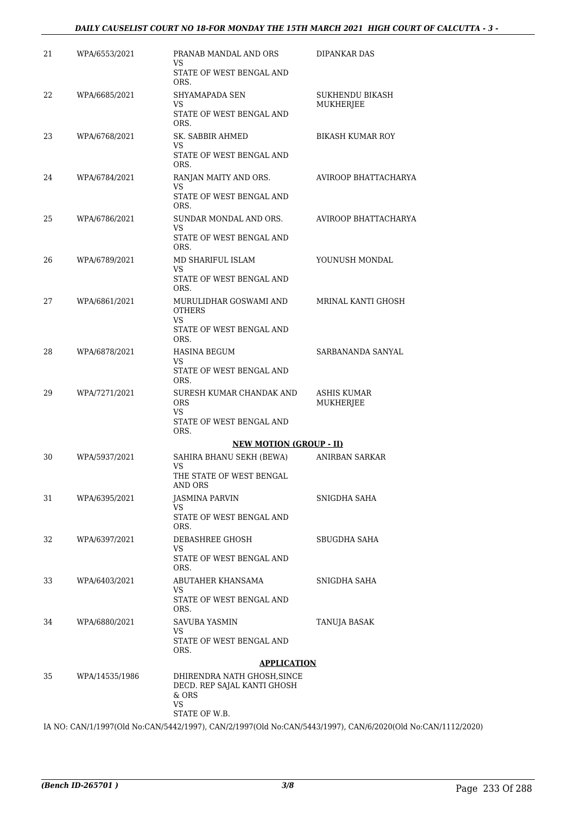### *DAILY CAUSELIST COURT NO 18-FOR MONDAY THE 15TH MARCH 2021 HIGH COURT OF CALCUTTA - 3 -*

| 21 | WPA/6553/2021  | PRANAB MANDAL AND ORS<br>VS.<br>STATE OF WEST BENGAL AND                                   | DIPANKAR DAS                        |
|----|----------------|--------------------------------------------------------------------------------------------|-------------------------------------|
| 22 | WPA/6685/2021  | ORS.<br>SHYAMAPADA SEN<br>VS<br>STATE OF WEST BENGAL AND                                   | SUKHENDU BIKASH<br><b>MUKHERJEE</b> |
| 23 | WPA/6768/2021  | ORS.<br>SK. SABBIR AHMED<br>VS.<br>STATE OF WEST BENGAL AND                                | <b>BIKASH KUMAR ROY</b>             |
| 24 | WPA/6784/2021  | ORS.<br>RANJAN MAITY AND ORS.<br>VS<br>STATE OF WEST BENGAL AND<br>ORS.                    | AVIROOP BHATTACHARYA                |
| 25 | WPA/6786/2021  | SUNDAR MONDAL AND ORS.<br>VS<br>STATE OF WEST BENGAL AND<br>ORS.                           | AVIROOP BHATTACHARYA                |
| 26 | WPA/6789/2021  | MD SHARIFUL ISLAM<br>VS<br>STATE OF WEST BENGAL AND                                        | YOUNUSH MONDAL                      |
| 27 | WPA/6861/2021  | ORS.<br>MURULIDHAR GOSWAMI AND<br><b>OTHERS</b><br>VS.<br>STATE OF WEST BENGAL AND<br>ORS. | MRINAL KANTI GHOSH                  |
| 28 | WPA/6878/2021  | <b>HASINA BEGUM</b><br>VS.<br>STATE OF WEST BENGAL AND<br>ORS.                             | SARBANANDA SANYAL                   |
| 29 | WPA/7271/2021  | SURESH KUMAR CHANDAK AND<br><b>ORS</b><br>VS<br>STATE OF WEST BENGAL AND<br>ORS.           | <b>ASHIS KUMAR</b><br>MUKHERJEE     |
|    |                | <b>NEW MOTION (GROUP - II)</b>                                                             |                                     |
| 30 | WPA/5937/2021  | SAHIRA BHANU SEKH (BEWA)<br>VS<br>THE STATE OF WEST BENGAL<br>AND ORS                      | ANIRBAN SARKAR                      |
| 31 | WPA/6395/2021  | <b>JASMINA PARVIN</b><br>VS<br>STATE OF WEST BENGAL AND<br>ORS.                            | SNIGDHA SAHA                        |
| 32 | WPA/6397/2021  | DEBASHREE GHOSH<br>VS<br>STATE OF WEST BENGAL AND<br>ORS.                                  | SBUGDHA SAHA                        |
| 33 | WPA/6403/2021  | ABUTAHER KHANSAMA<br>VS<br>STATE OF WEST BENGAL AND<br>ORS.                                | SNIGDHA SAHA                        |
| 34 | WPA/6880/2021  | SAVUBA YASMIN<br>VS<br>STATE OF WEST BENGAL AND<br>ORS.                                    | TANUJA BASAK                        |
|    |                | <b>APPLICATION</b>                                                                         |                                     |
| 35 | WPA/14535/1986 | DHIRENDRA NATH GHOSH, SINCE<br>DECD. REP SAJAL KANTI GHOSH<br>& ORS<br>VS<br>STATE OF W.B. |                                     |
|    |                | 0.111011007(01111, 01111511011007)<br>$Q$ $ATIF$ $A$ $A$ $A$ $A$ $A$ $D$ $T$ $\lambda$     |                                     |

IA NO: CAN/1/1997(Old No:CAN/5442/1997), CAN/2/1997(Old No:CAN/5443/1997), CAN/6/2020(Old No:CAN/1112/2020)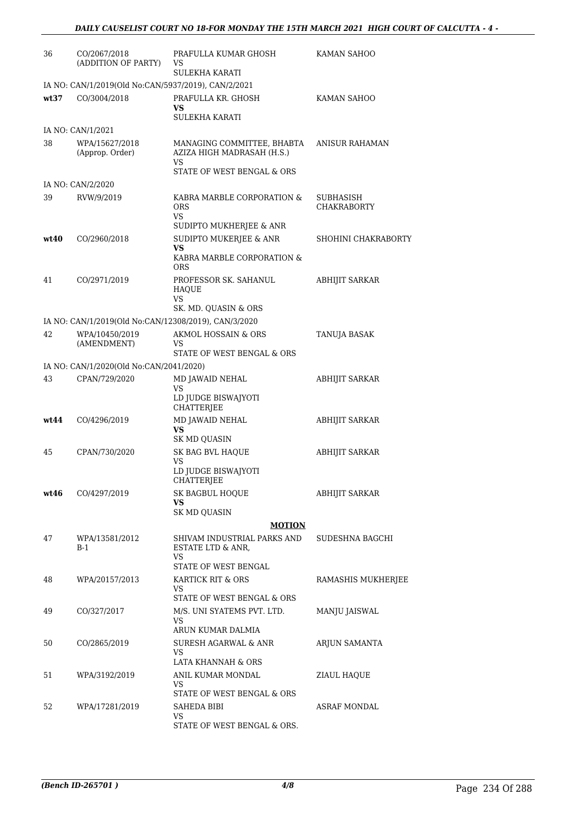| 36   | CO/2067/2018<br>(ADDITION OF PARTY)                  | PRAFULLA KUMAR GHOSH<br>VS<br><b>SULEKHA KARATI</b>                                   | KAMAN SAHOO                     |
|------|------------------------------------------------------|---------------------------------------------------------------------------------------|---------------------------------|
|      | IA NO: CAN/1/2019(Old No:CAN/5937/2019), CAN/2/2021  |                                                                                       |                                 |
| wt37 | CO/3004/2018                                         | PRAFULLA KR. GHOSH<br>VS.<br><b>SULEKHA KARATI</b>                                    | KAMAN SAHOO                     |
|      | IA NO: CAN/1/2021                                    |                                                                                       |                                 |
| 38   | WPA/15627/2018<br>(Approp. Order)                    | MANAGING COMMITTEE, BHABTA<br>AZIZA HIGH MADRASAH (H.S.)<br>VS                        | ANISUR RAHAMAN                  |
|      | IA NO: CAN/2/2020                                    | STATE OF WEST BENGAL & ORS                                                            |                                 |
| 39   | RVW/9/2019                                           | KABRA MARBLE CORPORATION &<br>ORS<br>VS                                               | SUBHASISH<br><b>CHAKRABORTY</b> |
| wt40 | CO/2960/2018                                         | SUDIPTO MUKHERJEE & ANR<br>SUDIPTO MUKERJEE & ANR<br>VS<br>KABRA MARBLE CORPORATION & | SHOHINI CHAKRABORTY             |
|      |                                                      | <b>ORS</b>                                                                            |                                 |
| 41   | CO/2971/2019                                         | PROFESSOR SK. SAHANUL<br><b>HAQUE</b><br>VS                                           | <b>ABHIJIT SARKAR</b>           |
|      |                                                      | SK. MD. QUASIN & ORS                                                                  |                                 |
|      | IA NO: CAN/1/2019(Old No:CAN/12308/2019), CAN/3/2020 |                                                                                       |                                 |
| 42   | WPA/10450/2019<br>(AMENDMENT)                        | AKMOL HOSSAIN & ORS<br>VS<br>STATE OF WEST BENGAL & ORS                               | <b>TANUJA BASAK</b>             |
|      | IA NO: CAN/1/2020(Old No:CAN/2041/2020)              |                                                                                       |                                 |
| 43   | CPAN/729/2020                                        | MD JAWAID NEHAL                                                                       | <b>ABHIJIT SARKAR</b>           |
|      |                                                      | VS<br>LD JUDGE BISWAJYOTI<br>CHATTERJEE                                               |                                 |
| wt44 | CO/4296/2019                                         | MD JAWAID NEHAL<br>VS.                                                                | <b>ABHIJIT SARKAR</b>           |
|      |                                                      | <b>SK MD QUASIN</b>                                                                   |                                 |
| 45   | CPAN/730/2020                                        | SK BAG BVL HAQUE<br>VS<br>LD JUDGE BISWAJYOTI                                         | <b>ABHIJIT SARKAR</b>           |
| wt46 | CO/4297/2019                                         | CHATTERJEE<br>SK BAGBUL HOQUE<br>VS.                                                  | <b>ABHIJIT SARKAR</b>           |
|      |                                                      | <b>SK MD QUASIN</b>                                                                   |                                 |
|      |                                                      | <b>MOTION</b>                                                                         |                                 |
| 47   | WPA/13581/2012<br>$B-1$                              | SHIVAM INDUSTRIAL PARKS AND<br>ESTATE LTD & ANR,<br>VS                                | SUDESHNA BAGCHI                 |
|      |                                                      | STATE OF WEST BENGAL                                                                  |                                 |
| 48   | WPA/20157/2013                                       | KARTICK RIT & ORS<br>VS<br>STATE OF WEST BENGAL & ORS                                 | RAMASHIS MUKHERJEE              |
| 49   | CO/327/2017                                          | M/S. UNI SYATEMS PVT. LTD.<br>VS                                                      | MANJU JAISWAL                   |
| 50   | CO/2865/2019                                         | ARUN KUMAR DALMIA<br>SURESH AGARWAL & ANR<br>VS                                       | ARJUN SAMANTA                   |
|      |                                                      | LATA KHANNAH & ORS                                                                    |                                 |
| 51   | WPA/3192/2019                                        | ANIL KUMAR MONDAL<br>VS                                                               | ZIAUL HAQUE                     |
| 52   | WPA/17281/2019                                       | STATE OF WEST BENGAL & ORS<br>SAHEDA BIBI<br>VS                                       | ASRAF MONDAL                    |
|      |                                                      | STATE OF WEST BENGAL & ORS.                                                           |                                 |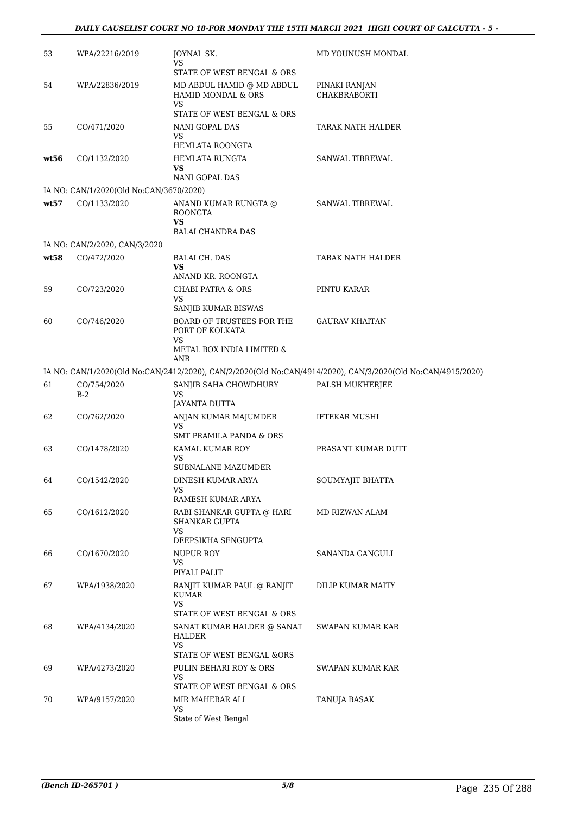| 53   | WPA/22216/2019                          | JOYNAL SK.<br>VS                                                                         | MD YOUNUSH MONDAL                                                                                           |
|------|-----------------------------------------|------------------------------------------------------------------------------------------|-------------------------------------------------------------------------------------------------------------|
| 54   | WPA/22836/2019                          | STATE OF WEST BENGAL & ORS<br>MD ABDUL HAMID @ MD ABDUL<br><b>HAMID MONDAL &amp; ORS</b> | PINAKI RANJAN<br><b>CHAKBRABORTI</b>                                                                        |
|      |                                         | VS<br>STATE OF WEST BENGAL & ORS                                                         |                                                                                                             |
| 55   | CO/471/2020                             | NANI GOPAL DAS<br>VS                                                                     | TARAK NATH HALDER                                                                                           |
|      | CO/1132/2020                            | HEMLATA ROONGTA<br>HEMLATA RUNGTA                                                        | SANWAL TIBREWAL                                                                                             |
| wt56 |                                         | VS<br>NANI GOPAL DAS                                                                     |                                                                                                             |
|      | IA NO: CAN/1/2020(Old No:CAN/3670/2020) |                                                                                          |                                                                                                             |
| wt57 | CO/1133/2020                            | ANAND KUMAR RUNGTA @<br><b>ROONGTA</b><br>VS<br><b>BALAI CHANDRA DAS</b>                 | SANWAL TIBREWAL                                                                                             |
|      | IA NO: CAN/2/2020, CAN/3/2020           |                                                                                          |                                                                                                             |
| wt58 | CO/472/2020                             | <b>BALAI CH. DAS</b><br>VS                                                               | TARAK NATH HALDER                                                                                           |
|      |                                         | ANAND KR. ROONGTA                                                                        |                                                                                                             |
| 59   | CO/723/2020                             | <b>CHABI PATRA &amp; ORS</b><br>VS                                                       | PINTU KARAR                                                                                                 |
|      |                                         | SANJIB KUMAR BISWAS                                                                      |                                                                                                             |
| 60   | CO/746/2020                             | <b>BOARD OF TRUSTEES FOR THE</b><br>PORT OF KOLKATA<br>VS                                | <b>GAURAV KHAITAN</b>                                                                                       |
|      |                                         | METAL BOX INDIA LIMITED $\&$<br>ANR                                                      |                                                                                                             |
|      |                                         |                                                                                          | IA NO: CAN/1/2020(Old No:CAN/2412/2020), CAN/2/2020(Old No:CAN/4914/2020), CAN/3/2020(Old No:CAN/4915/2020) |
| 61   | CO/754/2020<br>$B-2$                    | SANJIB SAHA CHOWDHURY<br>VS                                                              | PALSH MUKHERJEE                                                                                             |
|      |                                         | JAYANTA DUTTA                                                                            |                                                                                                             |
| 62   | CO/762/2020                             | ANJAN KUMAR MAJUMDER<br>VS<br>SMT PRAMILA PANDA & ORS                                    | <b>IFTEKAR MUSHI</b>                                                                                        |
| 63   | CO/1478/2020                            | KAMAL KUMAR ROY                                                                          | PRASANT KUMAR DUTT                                                                                          |
|      |                                         | VS<br>SUBNALANE MAZUMDER                                                                 |                                                                                                             |
| 64   | CO/1542/2020                            | DINESH KUMAR ARYA<br>VS                                                                  | SOUMYAJIT BHATTA                                                                                            |
|      |                                         | RAMESH KUMAR ARYA                                                                        |                                                                                                             |
| 65   | CO/1612/2020                            | RABI SHANKAR GUPTA @ HARI<br><b>SHANKAR GUPTA</b><br>VS.                                 | MD RIZWAN ALAM                                                                                              |
|      |                                         | DEEPSIKHA SENGUPTA                                                                       |                                                                                                             |
| 66   | CO/1670/2020                            | <b>NUPUR ROY</b><br>VS<br>PIYALI PALIT                                                   | SANANDA GANGULI                                                                                             |
| 67   | WPA/1938/2020                           | RANJIT KUMAR PAUL @ RANJIT<br>KUMAR                                                      | DILIP KUMAR MAITY                                                                                           |
|      |                                         | VS<br>STATE OF WEST BENGAL & ORS                                                         |                                                                                                             |
| 68   | WPA/4134/2020                           | SANAT KUMAR HALDER @ SANAT<br><b>HALDER</b><br>VS                                        | SWAPAN KUMAR KAR                                                                                            |
|      |                                         | STATE OF WEST BENGAL &ORS                                                                |                                                                                                             |
| 69   | WPA/4273/2020                           | PULIN BEHARI ROY & ORS<br>VS<br>STATE OF WEST BENGAL & ORS                               | SWAPAN KUMAR KAR                                                                                            |
| 70   | WPA/9157/2020                           | MIR MAHEBAR ALI                                                                          | TANUJA BASAK                                                                                                |
|      |                                         | VS<br>State of West Bengal                                                               |                                                                                                             |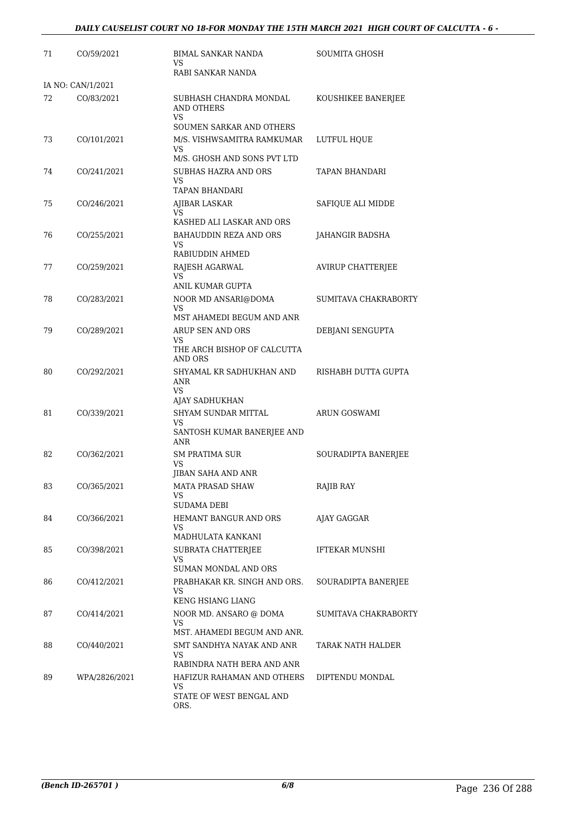| 71 | CO/59/2021        | BIMAL SANKAR NANDA<br>VS.<br>RABI SANKAR NANDA                                      | <b>SOUMITA GHOSH</b>     |
|----|-------------------|-------------------------------------------------------------------------------------|--------------------------|
|    | IA NO: CAN/1/2021 |                                                                                     |                          |
| 72 | CO/83/2021        | SUBHASH CHANDRA MONDAL<br><b>AND OTHERS</b><br>VS<br>SOUMEN SARKAR AND OTHERS       | KOUSHIKEE BANERJEE       |
| 73 | CO/101/2021       | M/S. VISHWSAMITRA RAMKUMAR<br>VS<br>M/S. GHOSH AND SONS PVT LTD                     | LUTFUL HQUE              |
| 74 | CO/241/2021       | <b>SUBHAS HAZRA AND ORS</b><br>VS<br>TAPAN BHANDARI                                 | TAPAN BHANDARI           |
| 75 | CO/246/2021       | AJIBAR LASKAR<br>VS<br>KASHED ALI LASKAR AND ORS                                    | SAFIQUE ALI MIDDE        |
| 76 | CO/255/2021       | <b>BAHAUDDIN REZA AND ORS</b><br>VS<br>RABIUDDIN AHMED                              | JAHANGIR BADSHA          |
| 77 | CO/259/2021       | RAJESH AGARWAL<br>VS                                                                | <b>AVIRUP CHATTERJEE</b> |
| 78 | CO/283/2021       | ANIL KUMAR GUPTA<br>NOOR MD ANSARI@DOMA<br>VS                                       | SUMITAVA CHAKRABORTY     |
| 79 | CO/289/2021       | MST AHAMEDI BEGUM AND ANR<br>ARUP SEN AND ORS<br>VS.<br>THE ARCH BISHOP OF CALCUTTA | DEBJANI SENGUPTA         |
| 80 | CO/292/2021       | AND ORS<br>SHYAMAL KR SADHUKHAN AND<br>ANR<br>VS.                                   | RISHABH DUTTA GUPTA      |
| 81 | CO/339/2021       | AJAY SADHUKHAN<br>SHYAM SUNDAR MITTAL<br>VS<br>SANTOSH KUMAR BANERJEE AND<br>ANR    | ARUN GOSWAMI             |
| 82 | CO/362/2021       | <b>SM PRATIMA SUR</b><br>VS<br>JIBAN SAHA AND ANR                                   | SOURADIPTA BANERJEE      |
| 83 | CO/365/2021       | <b>MATA PRASAD SHAW</b><br>VS<br>SUDAMA DEBI                                        | RAJIB RAY                |
| 84 | CO/366/2021       | HEMANT BANGUR AND ORS<br>VS<br>MADHULATA KANKANI                                    | AJAY GAGGAR              |
| 85 | CO/398/2021       | SUBRATA CHATTERJEE<br>VS<br><b>SUMAN MONDAL AND ORS</b>                             | <b>IFTEKAR MUNSHI</b>    |
| 86 | CO/412/2021       | PRABHAKAR KR. SINGH AND ORS.<br>VS<br><b>KENG HSIANG LIANG</b>                      | SOURADIPTA BANERJEE      |
| 87 | CO/414/2021       | NOOR MD. ANSARO @ DOMA<br>VS<br>MST. AHAMEDI BEGUM AND ANR.                         | SUMITAVA CHAKRABORTY     |
| 88 | CO/440/2021       | SMT SANDHYA NAYAK AND ANR<br>VS<br>RABINDRA NATH BERA AND ANR                       | TARAK NATH HALDER        |
| 89 | WPA/2826/2021     | HAFIZUR RAHAMAN AND OTHERS<br>VS<br>STATE OF WEST BENGAL AND<br>ORS.                | DIPTENDU MONDAL          |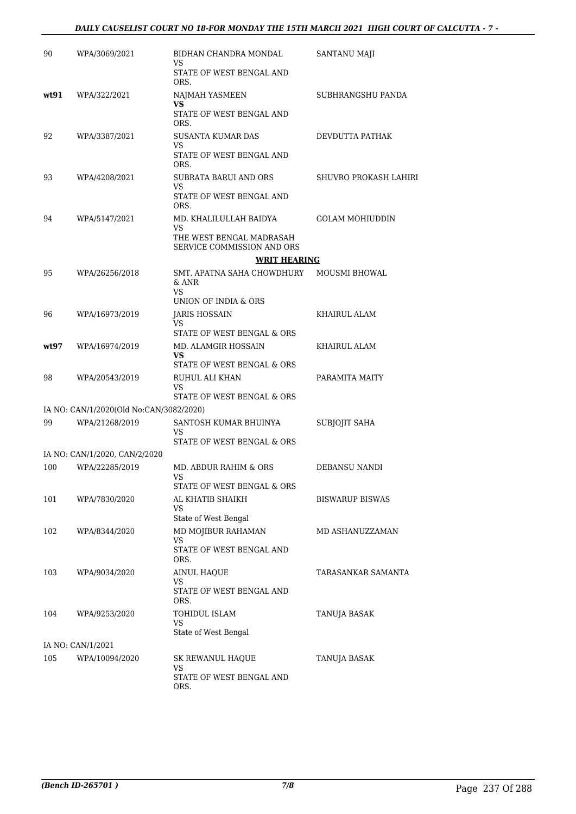| 90    | WPA/3069/2021                           | BIDHAN CHANDRA MONDAL<br>VS                                                            | SANTANU MAJI           |
|-------|-----------------------------------------|----------------------------------------------------------------------------------------|------------------------|
|       |                                         | STATE OF WEST BENGAL AND<br>ORS.                                                       |                        |
| wt.91 | WPA/322/2021                            | NAJMAH YASMEEN<br>VS                                                                   | SUBHRANGSHU PANDA      |
|       |                                         | STATE OF WEST BENGAL AND<br>ORS.                                                       |                        |
| 92    | WPA/3387/2021                           | SUSANTA KUMAR DAS<br>VS                                                                | DEVDUTTA PATHAK        |
|       |                                         | STATE OF WEST BENGAL AND<br>ORS.                                                       |                        |
| 93    | WPA/4208/2021                           | SUBRATA BARUI AND ORS<br>VS                                                            | SHUVRO PROKASH LAHIRI  |
|       |                                         | STATE OF WEST BENGAL AND<br>ORS.                                                       |                        |
| 94    | WPA/5147/2021                           | MD. KHALILULLAH BAIDYA<br>VS<br>THE WEST BENGAL MADRASAH<br>SERVICE COMMISSION AND ORS | <b>GOLAM MOHIUDDIN</b> |
|       |                                         | <b>WRIT HEARING</b>                                                                    |                        |
| 95    | WPA/26256/2018                          | SMT. APATNA SAHA CHOWDHURY<br>$&$ ANR<br>VS<br>UNION OF INDIA & ORS                    | <b>MOUSMI BHOWAL</b>   |
| 96    | WPA/16973/2019                          | JARIS HOSSAIN                                                                          | KHAIRUL ALAM           |
|       |                                         | VS<br>STATE OF WEST BENGAL & ORS                                                       |                        |
| wt97  | WPA/16974/2019                          | MD. ALAMGIR HOSSAIN<br>VS.                                                             | KHAIRUL ALAM           |
|       |                                         | STATE OF WEST BENGAL & ORS                                                             |                        |
| 98    | WPA/20543/2019                          | RUHUL ALI KHAN<br>VS<br>STATE OF WEST BENGAL & ORS                                     | PARAMITA MAITY         |
|       | IA NO: CAN/1/2020(Old No:CAN/3082/2020) |                                                                                        |                        |
| 99    | WPA/21268/2019                          | SANTOSH KUMAR BHUINYA<br>VS                                                            | <b>SUBJOJIT SAHA</b>   |
|       | IA NO: CAN/1/2020, CAN/2/2020           | STATE OF WEST BENGAL & ORS                                                             |                        |
| 100   | WPA/22285/2019                          | MD. ABDUR RAHIM & ORS                                                                  | DEBANSU NANDI          |
|       |                                         | VS.<br>STATE OF WEST BENGAL & ORS                                                      |                        |
| 101   | WPA/7830/2020                           | AL KHATIB SHAIKH                                                                       | <b>BISWARUP BISWAS</b> |
|       |                                         | VS<br>State of West Bengal                                                             |                        |
| 102   | WPA/8344/2020                           | MD MOJIBUR RAHAMAN                                                                     | MD ASHANUZZAMAN        |
|       |                                         | VS<br>STATE OF WEST BENGAL AND<br>ORS.                                                 |                        |
| 103   | WPA/9034/2020                           | <b>AINUL HAQUE</b>                                                                     | TARASANKAR SAMANTA     |
|       |                                         | VS<br>STATE OF WEST BENGAL AND<br>ORS.                                                 |                        |
| 104   | WPA/9253/2020                           | TOHIDUL ISLAM                                                                          | TANUJA BASAK           |
|       |                                         | VS<br>State of West Bengal                                                             |                        |
|       | IA NO: CAN/1/2021                       |                                                                                        |                        |
| 105   | WPA/10094/2020                          | SK REWANUL HAQUE<br>VS                                                                 | TANUJA BASAK           |
|       |                                         | STATE OF WEST BENGAL AND<br>ORS.                                                       |                        |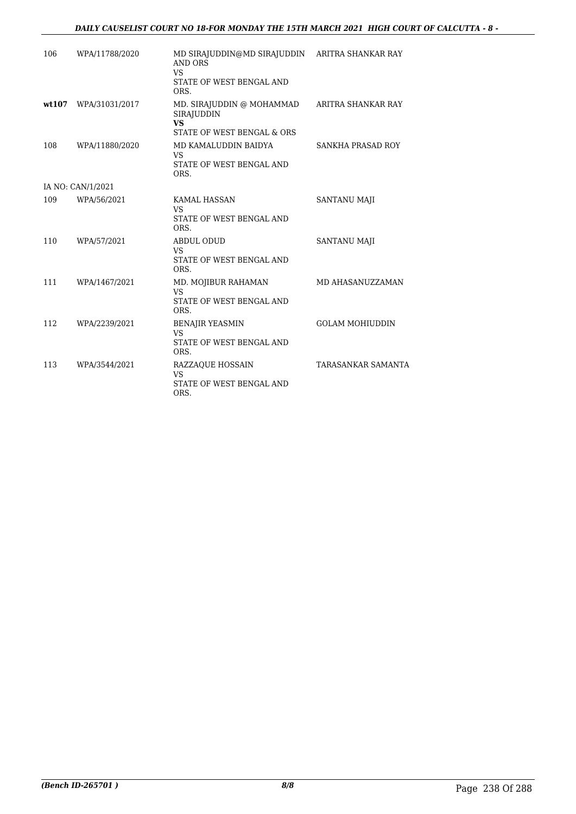### *DAILY CAUSELIST COURT NO 18-FOR MONDAY THE 15TH MARCH 2021 HIGH COURT OF CALCUTTA - 8 -*

| 106   | WPA/11788/2020    | MD SIRAJUDDIN@MD SIRAJUDDIN<br>AND ORS<br><b>VS</b><br>STATE OF WEST BENGAL AND<br>ORS.   | ARITRA SHANKAR RAY        |
|-------|-------------------|-------------------------------------------------------------------------------------------|---------------------------|
| wt107 | WPA/31031/2017    | MD. SIRAJUDDIN @ MOHAMMAD<br><b>SIRAJUDDIN</b><br><b>VS</b><br>STATE OF WEST BENGAL & ORS | ARITRA SHANKAR RAY        |
| 108   | WPA/11880/2020    | MD KAMALUDDIN BAIDYA<br><b>VS</b><br>STATE OF WEST BENGAL AND<br>ORS.                     | SANKHA PRASAD ROY         |
|       | IA NO: CAN/1/2021 |                                                                                           |                           |
| 109   | WPA/56/2021       | <b>KAMAL HASSAN</b><br>VS<br>STATE OF WEST BENGAL AND<br>ORS.                             | <b>SANTANU MAJI</b>       |
| 110   | WPA/57/2021       | <b>ABDUL ODUD</b><br><b>VS</b><br>STATE OF WEST BENGAL AND<br>ORS.                        | <b>SANTANU MAJI</b>       |
| 111   | WPA/1467/2021     | MD. MOJIBUR RAHAMAN<br><b>VS</b><br>STATE OF WEST BENGAL AND<br>ORS.                      | MD AHASANUZZAMAN          |
| 112   | WPA/2239/2021     | <b>BENAJIR YEASMIN</b><br><b>VS</b><br>STATE OF WEST BENGAL AND<br>ORS.                   | <b>GOLAM MOHIUDDIN</b>    |
| 113   | WPA/3544/2021     | <b>RAZZAQUE HOSSAIN</b><br><b>VS</b><br>STATE OF WEST BENGAL AND<br>ORS.                  | <b>TARASANKAR SAMANTA</b> |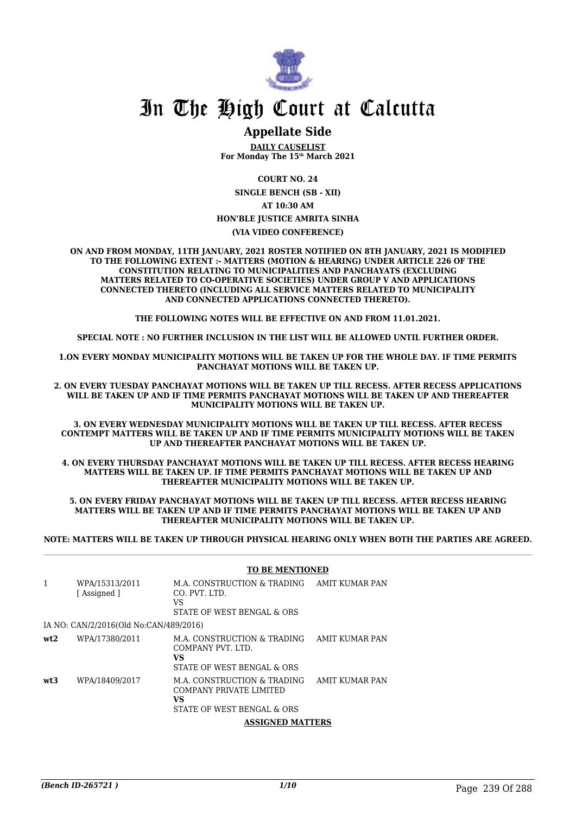

### **Appellate Side**

**DAILY CAUSELIST For Monday The 15th March 2021**

**COURT NO. 24**

**SINGLE BENCH (SB - XII) AT 10:30 AM**

### **HON'BLE JUSTICE AMRITA SINHA**

**(VIA VIDEO CONFERENCE)**

**ON AND FROM MONDAY, 11TH JANUARY, 2021 ROSTER NOTIFIED ON 8TH JANUARY, 2021 IS MODIFIED TO THE FOLLOWING EXTENT :- MATTERS (MOTION & HEARING) UNDER ARTICLE 226 OF THE CONSTITUTION RELATING TO MUNICIPALITIES AND PANCHAYATS (EXCLUDING MATTERS RELATED TO CO-OPERATIVE SOCIETIES) UNDER GROUP V AND APPLICATIONS CONNECTED THERETO (INCLUDING ALL SERVICE MATTERS RELATED TO MUNICIPALITY AND CONNECTED APPLICATIONS CONNECTED THERETO).**

**THE FOLLOWING NOTES WILL BE EFFECTIVE ON AND FROM 11.01.2021.**

**SPECIAL NOTE : NO FURTHER INCLUSION IN THE LIST WILL BE ALLOWED UNTIL FURTHER ORDER.**

**1.ON EVERY MONDAY MUNICIPALITY MOTIONS WILL BE TAKEN UP FOR THE WHOLE DAY. IF TIME PERMITS PANCHAYAT MOTIONS WILL BE TAKEN UP.**

**2. ON EVERY TUESDAY PANCHAYAT MOTIONS WILL BE TAKEN UP TILL RECESS. AFTER RECESS APPLICATIONS WILL BE TAKEN UP AND IF TIME PERMITS PANCHAYAT MOTIONS WILL BE TAKEN UP AND THEREAFTER MUNICIPALITY MOTIONS WILL BE TAKEN UP.**

**3. ON EVERY WEDNESDAY MUNICIPALITY MOTIONS WILL BE TAKEN UP TILL RECESS. AFTER RECESS CONTEMPT MATTERS WILL BE TAKEN UP AND IF TIME PERMITS MUNICIPALITY MOTIONS WILL BE TAKEN UP AND THEREAFTER PANCHAYAT MOTIONS WILL BE TAKEN UP.**

**4. ON EVERY THURSDAY PANCHAYAT MOTIONS WILL BE TAKEN UP TILL RECESS. AFTER RECESS HEARING MATTERS WILL BE TAKEN UP. IF TIME PERMITS PANCHAYAT MOTIONS WILL BE TAKEN UP AND THEREAFTER MUNICIPALITY MOTIONS WILL BE TAKEN UP.**

**5. ON EVERY FRIDAY PANCHAYAT MOTIONS WILL BE TAKEN UP TILL RECESS. AFTER RECESS HEARING MATTERS WILL BE TAKEN UP AND IF TIME PERMITS PANCHAYAT MOTIONS WILL BE TAKEN UP AND THEREAFTER MUNICIPALITY MOTIONS WILL BE TAKEN UP.**

**NOTE: MATTERS WILL BE TAKEN UP THROUGH PHYSICAL HEARING ONLY WHEN BOTH THE PARTIES ARE AGREED.**

#### **TO BE MENTIONED**

| 1   | WPA/15313/2011<br>[Assigned ]          | M.A. CONSTRUCTION & TRADING<br>CO. PVT. LTD.<br>VS<br>STATE OF WEST BENGAL & ORS                  | AMIT KUMAR PAN |
|-----|----------------------------------------|---------------------------------------------------------------------------------------------------|----------------|
|     | IA NO: CAN/2/2016(Old No:CAN/489/2016) |                                                                                                   |                |
| wt2 | WPA/17380/2011                         | M.A. CONSTRUCTION & TRADING<br>COMPANY PVT, LTD.<br>VS.<br>STATE OF WEST BENGAL & ORS             | AMIT KUMAR PAN |
| wt3 | WPA/18409/2017                         | M.A. CONSTRUCTION & TRADING<br>COMPANY PRIVATE LIMITED<br><b>VS</b><br>STATE OF WEST BENGAL & ORS | AMIT KUMAR PAN |
|     |                                        | <b>ASSIGNED MATTERS</b>                                                                           |                |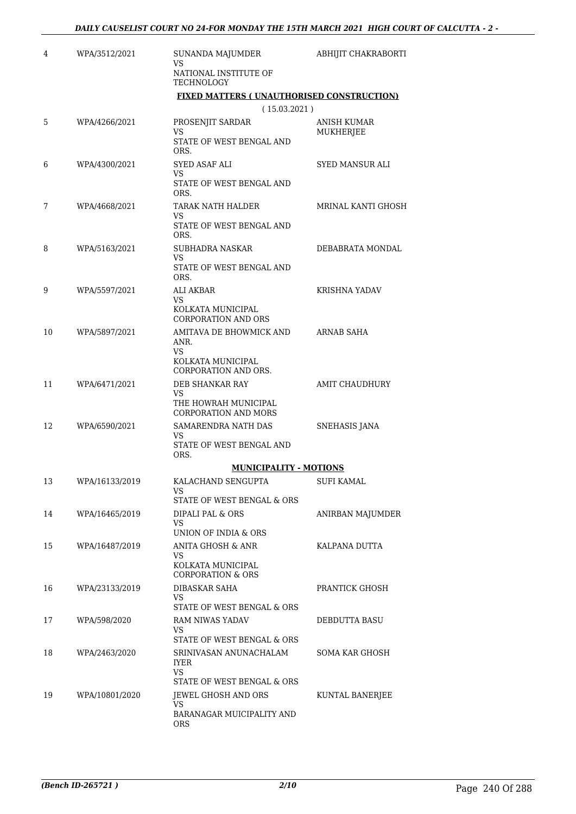| 4  | WPA/3512/2021                             | SUNANDA MAJUMDER<br>VS                                  | ABHIJIT CHAKRABORTI      |
|----|-------------------------------------------|---------------------------------------------------------|--------------------------|
|    |                                           | NATIONAL INSTITUTE OF<br>TECHNOLOGY                     |                          |
|    | FIXED MATTERS (UNAUTHORISED CONSTRUCTION) |                                                         |                          |
|    |                                           | (15.03.2021)                                            |                          |
| 5  | WPA/4266/2021                             | PROSENJIT SARDAR<br>VS                                  | ANISH KUMAR<br>MUKHERJEE |
|    |                                           | STATE OF WEST BENGAL AND<br>ORS.                        |                          |
| 6  | WPA/4300/2021                             | SYED ASAF ALI<br>VS                                     | <b>SYED MANSUR ALI</b>   |
|    |                                           | STATE OF WEST BENGAL AND<br>ORS.                        |                          |
| 7  | WPA/4668/2021                             | TARAK NATH HALDER<br>VS                                 | MRINAL KANTI GHOSH       |
|    |                                           | STATE OF WEST BENGAL AND<br>ORS.                        |                          |
| 8  | WPA/5163/2021                             | SUBHADRA NASKAR<br>VS                                   | DEBABRATA MONDAL         |
|    |                                           | STATE OF WEST BENGAL AND<br>ORS.                        |                          |
| 9  | WPA/5597/2021                             | ALI AKBAR<br>VS.                                        | <b>KRISHNA YADAV</b>     |
|    |                                           | KOLKATA MUNICIPAL<br><b>CORPORATION AND ORS</b>         |                          |
| 10 | WPA/5897/2021                             | AMITAVA DE BHOWMICK AND<br>ANR.                         | <b>ARNAB SAHA</b>        |
|    |                                           | <b>VS</b>                                               |                          |
|    |                                           | KOLKATA MUNICIPAL<br>CORPORATION AND ORS.               |                          |
| 11 | WPA/6471/2021                             | DEB SHANKAR RAY<br>VS                                   | AMIT CHAUDHURY           |
|    |                                           | THE HOWRAH MUNICIPAL<br><b>CORPORATION AND MORS</b>     |                          |
| 12 | WPA/6590/2021                             | SAMARENDRA NATH DAS<br>VS                               | <b>SNEHASIS JANA</b>     |
|    |                                           | STATE OF WEST BENGAL AND<br>ORS.                        |                          |
|    |                                           | <b>MUNICIPALITY - MOTIONS</b>                           |                          |
| 13 | WPA/16133/2019                            | KALACHAND SENGUPTA<br>VS.<br>STATE OF WEST BENGAL & ORS | <b>SUFI KAMAL</b>        |
| 14 | WPA/16465/2019                            | DIPALI PAL & ORS                                        | ANIRBAN MAJUMDER         |
|    |                                           | VS.                                                     |                          |
| 15 | WPA/16487/2019                            | UNION OF INDIA & ORS<br>ANITA GHOSH & ANR               | KALPANA DUTTA            |
|    |                                           | VS<br>KOLKATA MUNICIPAL                                 |                          |
| 16 | WPA/23133/2019                            | <b>CORPORATION &amp; ORS</b><br><b>DIBASKAR SAHA</b>    | PRANTICK GHOSH           |
|    |                                           | VS.                                                     |                          |
|    |                                           | STATE OF WEST BENGAL & ORS                              |                          |
| 17 | WPA/598/2020                              | RAM NIWAS YADAV<br>VS.<br>STATE OF WEST BENGAL & ORS    | DEBDUTTA BASU            |
| 18 | WPA/2463/2020                             | SRINIVASAN ANUNACHALAM<br><b>IYER</b>                   | SOMA KAR GHOSH           |
|    |                                           | VS.                                                     |                          |
| 19 | WPA/10801/2020                            | STATE OF WEST BENGAL & ORS<br>JEWEL GHOSH AND ORS       | KUNTAL BANERJEE          |
|    |                                           | VS.                                                     |                          |
|    |                                           | BARANAGAR MUICIPALITY AND<br>ORS                        |                          |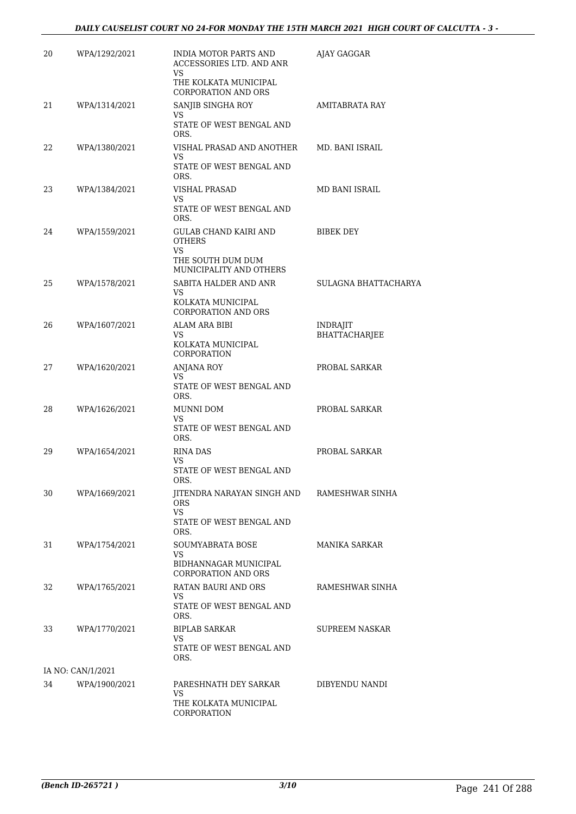| 20                | WPA/1292/2021 | INDIA MOTOR PARTS AND<br>ACCESSORIES LTD. AND ANR<br>VS.        | AJAY GAGGAR                      |  |
|-------------------|---------------|-----------------------------------------------------------------|----------------------------------|--|
|                   |               | THE KOLKATA MUNICIPAL<br><b>CORPORATION AND ORS</b>             |                                  |  |
| 21                | WPA/1314/2021 | SANJIB SINGHA ROY                                               | <b>AMITABRATA RAY</b>            |  |
|                   |               | VS.<br>STATE OF WEST BENGAL AND<br>ORS.                         |                                  |  |
| 22                | WPA/1380/2021 | VISHAL PRASAD AND ANOTHER                                       | MD. BANI ISRAIL                  |  |
|                   |               | VS<br>STATE OF WEST BENGAL AND<br>ORS.                          |                                  |  |
| 23                | WPA/1384/2021 | <b>VISHAL PRASAD</b>                                            | MD BANI ISRAIL                   |  |
|                   |               | VS<br>STATE OF WEST BENGAL AND<br>ORS.                          |                                  |  |
| 24                | WPA/1559/2021 | GULAB CHAND KAIRI AND<br><b>OTHERS</b><br>VS                    | BIBEK DEY                        |  |
|                   |               | THE SOUTH DUM DUM<br>MUNICIPALITY AND OTHERS                    |                                  |  |
| 25                | WPA/1578/2021 | SABITA HALDER AND ANR<br>VS.                                    | SULAGNA BHATTACHARYA             |  |
|                   |               | KOLKATA MUNICIPAL<br><b>CORPORATION AND ORS</b>                 |                                  |  |
| 26                | WPA/1607/2021 | ALAM ARA BIBI<br>VS                                             | <b>INDRAJIT</b><br>BHATTACHARJEE |  |
|                   |               | KOLKATA MUNICIPAL<br>CORPORATION                                |                                  |  |
| 27                | WPA/1620/2021 | <b>ANJANA ROY</b><br>VS.                                        | PROBAL SARKAR                    |  |
|                   |               | STATE OF WEST BENGAL AND<br>ORS.                                |                                  |  |
| 28                | WPA/1626/2021 | MUNNI DOM<br>VS                                                 | PROBAL SARKAR                    |  |
|                   |               | STATE OF WEST BENGAL AND<br>ORS.                                |                                  |  |
| 29                | WPA/1654/2021 | RINA DAS<br>VS.                                                 | PROBAL SARKAR                    |  |
|                   |               | STATE OF WEST BENGAL AND<br>ORS.                                |                                  |  |
| 30                | WPA/1669/2021 | JITENDRA NARAYAN SINGH AND RAMESHWAR SINHA<br><b>ORS</b><br>VS. |                                  |  |
|                   |               | STATE OF WEST BENGAL AND<br>ORS.                                |                                  |  |
| 31                | WPA/1754/2021 | <b>SOUMYABRATA BOSE</b><br>VS.                                  | MANIKA SARKAR                    |  |
|                   |               | BIDHANNAGAR MUNICIPAL<br><b>CORPORATION AND ORS</b>             |                                  |  |
| 32                | WPA/1765/2021 | RATAN BAURI AND ORS<br>VS.                                      | RAMESHWAR SINHA                  |  |
|                   |               | STATE OF WEST BENGAL AND<br>ORS.                                |                                  |  |
| 33                | WPA/1770/2021 | <b>BIPLAB SARKAR</b><br>VS.                                     | SUPREEM NASKAR                   |  |
|                   |               | STATE OF WEST BENGAL AND<br>ORS.                                |                                  |  |
| IA NO: CAN/1/2021 |               |                                                                 |                                  |  |
| 34                | WPA/1900/2021 | PARESHNATH DEY SARKAR<br>VS.<br>THE KOLKATA MUNICIPAL           | DIBYENDU NANDI                   |  |
|                   |               | CORPORATION                                                     |                                  |  |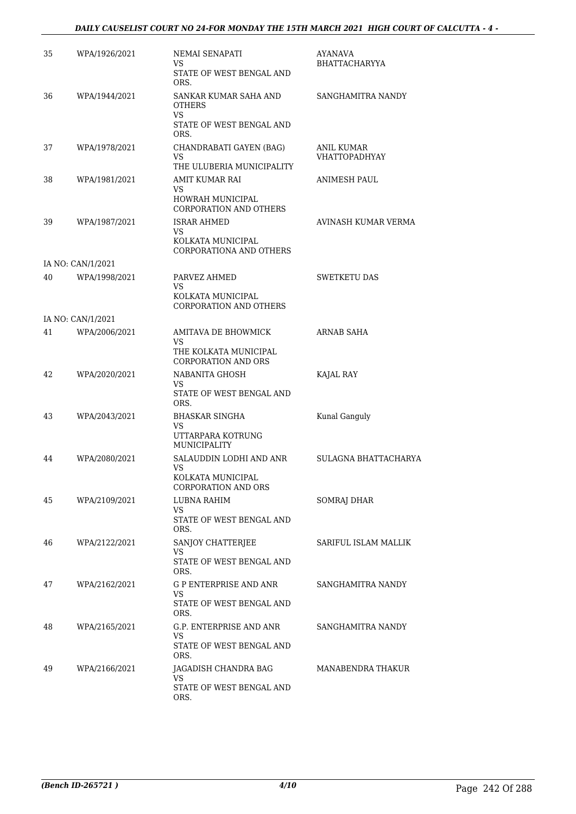### *DAILY CAUSELIST COURT NO 24-FOR MONDAY THE 15TH MARCH 2021 HIGH COURT OF CALCUTTA - 4 -*

| 35 | WPA/1926/2021     | NEMAI SENAPATI                                             | AYANAVA                            |
|----|-------------------|------------------------------------------------------------|------------------------------------|
|    |                   | VS<br>STATE OF WEST BENGAL AND<br>ORS.                     | <b>BHATTACHARYYA</b>               |
| 36 | WPA/1944/2021     | SANKAR KUMAR SAHA AND<br><b>OTHERS</b>                     | SANGHAMITRA NANDY                  |
|    |                   | VS<br>STATE OF WEST BENGAL AND<br>ORS.                     |                                    |
| 37 | WPA/1978/2021     | CHANDRABATI GAYEN (BAG)<br>VS<br>THE ULUBERIA MUNICIPALITY | ANIL KUMAR<br><b>VHATTOPADHYAY</b> |
| 38 | WPA/1981/2021     | AMIT KUMAR RAI<br>VS.                                      | ANIMESH PAUL                       |
|    |                   | HOWRAH MUNICIPAL<br><b>CORPORATION AND OTHERS</b>          |                                    |
| 39 | WPA/1987/2021     | <b>ISRAR AHMED</b><br>VS<br>KOLKATA MUNICIPAL              | AVINASH KUMAR VERMA                |
|    |                   | CORPORATIONA AND OTHERS                                    |                                    |
|    | IA NO: CAN/1/2021 |                                                            |                                    |
| 40 | WPA/1998/2021     | PARVEZ AHMED<br>VS<br>KOLKATA MUNICIPAL                    | <b>SWETKETU DAS</b>                |
|    |                   | <b>CORPORATION AND OTHERS</b>                              |                                    |
|    | IA NO: CAN/1/2021 |                                                            |                                    |
| 41 | WPA/2006/2021     | AMITAVA DE BHOWMICK<br>VS                                  | ARNAB SAHA                         |
|    |                   | THE KOLKATA MUNICIPAL<br><b>CORPORATION AND ORS</b>        |                                    |
| 42 | WPA/2020/2021     | NABANITA GHOSH<br>VS.                                      | KAJAL RAY                          |
|    |                   | STATE OF WEST BENGAL AND<br>ORS.                           |                                    |
| 43 | WPA/2043/2021     | <b>BHASKAR SINGHA</b><br>VS                                | Kunal Ganguly                      |
|    |                   | UTTARPARA KOTRUNG<br>MUNICIPALITY                          |                                    |
| 44 | WPA/2080/2021     | SALAUDDIN LODHI AND ANR<br>VS                              | SULAGNA BHATTACHARYA               |
|    |                   | KOLKATA MUNICIPAL<br><b>CORPORATION AND ORS</b>            |                                    |
| 45 | WPA/2109/2021     | LUBNA RAHIM<br>VS.                                         | <b>SOMRAJ DHAR</b>                 |
|    |                   | STATE OF WEST BENGAL AND<br>ORS.                           |                                    |
| 46 | WPA/2122/2021     | SANJOY CHATTERJEE<br>VS                                    | SARIFUL ISLAM MALLIK               |
|    |                   | STATE OF WEST BENGAL AND<br>ORS.                           |                                    |
| 47 | WPA/2162/2021     | <b>G P ENTERPRISE AND ANR</b><br>VS                        | SANGHAMITRA NANDY                  |
|    |                   | STATE OF WEST BENGAL AND<br>ORS.                           |                                    |
| 48 | WPA/2165/2021     | G.P. ENTERPRISE AND ANR<br>VS                              | SANGHAMITRA NANDY                  |
|    |                   | STATE OF WEST BENGAL AND<br>ORS.                           |                                    |
| 49 | WPA/2166/2021     | JAGADISH CHANDRA BAG<br>VS                                 | MANABENDRA THAKUR                  |
|    |                   | STATE OF WEST BENGAL AND<br>ORS.                           |                                    |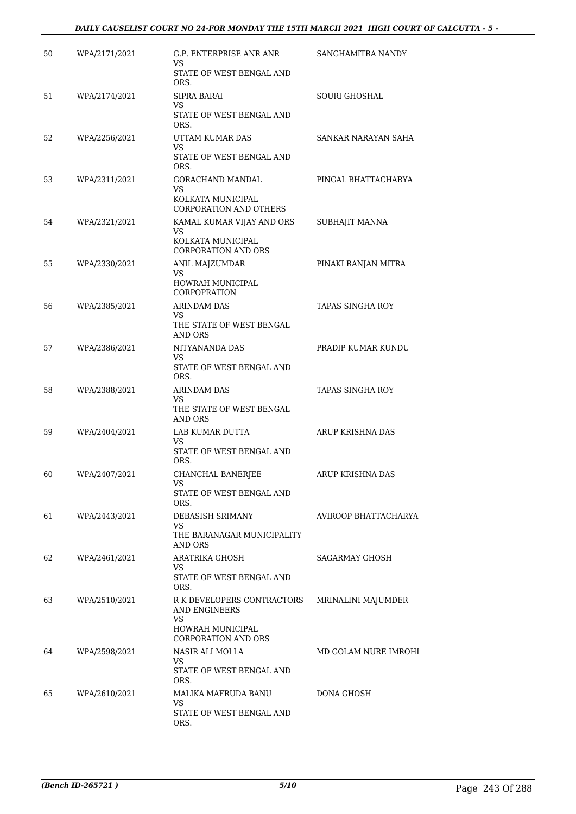### *DAILY CAUSELIST COURT NO 24-FOR MONDAY THE 15TH MARCH 2021 HIGH COURT OF CALCUTTA - 5 -*

| 50 | WPA/2171/2021 | G.P. ENTERPRISE ANR ANR<br>VS                        | SANGHAMITRA NANDY     |
|----|---------------|------------------------------------------------------|-----------------------|
|    |               | STATE OF WEST BENGAL AND<br>ORS.                     |                       |
| 51 | WPA/2174/2021 | SIPRA BARAI<br>VS                                    | <b>SOURI GHOSHAL</b>  |
|    |               | STATE OF WEST BENGAL AND<br>ORS.                     |                       |
| 52 | WPA/2256/2021 | UTTAM KUMAR DAS<br>VS                                | SANKAR NARAYAN SAHA   |
|    |               | STATE OF WEST BENGAL AND<br>ORS.                     |                       |
| 53 | WPA/2311/2021 | GORACHAND MANDAL<br>VS.                              | PINGAL BHATTACHARYA   |
|    |               | KOLKATA MUNICIPAL<br><b>CORPORATION AND OTHERS</b>   |                       |
| 54 | WPA/2321/2021 | KAMAL KUMAR VIJAY AND ORS<br>VS.                     | SUBHAJIT MANNA        |
|    |               | KOLKATA MUNICIPAL<br><b>CORPORATION AND ORS</b>      |                       |
| 55 | WPA/2330/2021 | ANIL MAJZUMDAR<br>VS                                 | PINAKI RANJAN MITRA   |
|    |               | HOWRAH MUNICIPAL<br><b>CORPOPRATION</b>              |                       |
| 56 | WPA/2385/2021 | <b>ARINDAM DAS</b>                                   | TAPAS SINGHA ROY      |
|    |               | VS.<br>THE STATE OF WEST BENGAL<br><b>AND ORS</b>    |                       |
| 57 | WPA/2386/2021 | NITYANANDA DAS<br>VS                                 | PRADIP KUMAR KUNDU    |
|    |               | STATE OF WEST BENGAL AND<br>ORS.                     |                       |
| 58 | WPA/2388/2021 | <b>ARINDAM DAS</b><br>VS                             | TAPAS SINGHA ROY      |
|    |               | THE STATE OF WEST BENGAL<br>AND ORS                  |                       |
| 59 | WPA/2404/2021 | LAB KUMAR DUTTA<br>VS                                | ARUP KRISHNA DAS      |
|    |               | STATE OF WEST BENGAL AND<br>ORS.                     |                       |
| 60 | WPA/2407/2021 | CHANCHAL BANERJEE<br>VS                              | ARUP KRISHNA DAS      |
|    |               | STATE OF WEST BENGAL AND<br>ORS.                     |                       |
| 61 | WPA/2443/2021 | DEBASISH SRIMANY<br>VS                               | AVIROOP BHATTACHARYA  |
|    |               | THE BARANAGAR MUNICIPALITY<br><b>AND ORS</b>         |                       |
| 62 | WPA/2461/2021 | ARATRIKA GHOSH<br>VS.                                | <b>SAGARMAY GHOSH</b> |
|    |               | STATE OF WEST BENGAL AND<br>ORS.                     |                       |
| 63 | WPA/2510/2021 | R K DEVELOPERS CONTRACTORS<br>AND ENGINEERS          | MRINALINI MAJUMDER    |
|    |               | VS<br>HOWRAH MUNICIPAL<br><b>CORPORATION AND ORS</b> |                       |
| 64 | WPA/2598/2021 | NASIR ALI MOLLA                                      | MD GOLAM NURE IMROHI  |
|    |               | VS.<br>STATE OF WEST BENGAL AND<br>ORS.              |                       |
| 65 | WPA/2610/2021 | MALIKA MAFRUDA BANU<br>VS.                           | DONA GHOSH            |
|    |               | STATE OF WEST BENGAL AND<br>ORS.                     |                       |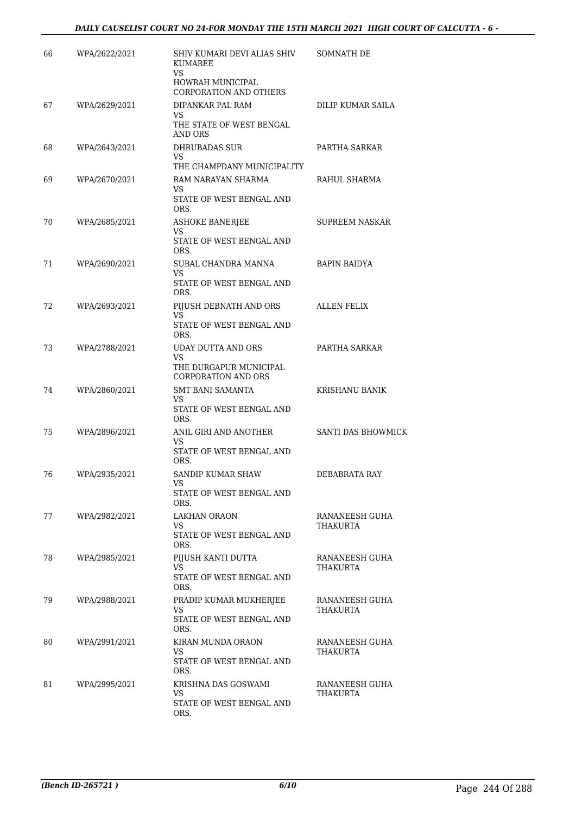| 66 | WPA/2622/2021 | SHIV KUMARI DEVI ALIAS SHIV<br><b>KUMAREE</b>                                            | SOMNATH DE                 |
|----|---------------|------------------------------------------------------------------------------------------|----------------------------|
|    |               | VS<br>HOWRAH MUNICIPAL<br><b>CORPORATION AND OTHERS</b>                                  |                            |
| 67 | WPA/2629/2021 | DIPANKAR PAL RAM                                                                         | DILIP KUMAR SAILA          |
|    |               | VS<br>THE STATE OF WEST BENGAL<br>AND ORS                                                |                            |
| 68 | WPA/2643/2021 | DHRUBADAS SUR<br>VS                                                                      | PARTHA SARKAR              |
|    |               | THE CHAMPDANY MUNICIPALITY                                                               |                            |
| 69 | WPA/2670/2021 | RAM NARAYAN SHARMA<br>VS<br>STATE OF WEST BENGAL AND                                     | RAHUL SHARMA               |
| 70 | WPA/2685/2021 | ORS.<br><b>ASHOKE BANERJEE</b>                                                           | SUPREEM NASKAR             |
|    |               | VS<br>STATE OF WEST BENGAL AND<br>ORS.                                                   |                            |
| 71 | WPA/2690/2021 | SUBAL CHANDRA MANNA                                                                      | <b>BAPIN BAIDYA</b>        |
|    |               | VS<br>STATE OF WEST BENGAL AND<br>ORS.                                                   |                            |
| 72 | WPA/2693/2021 | PIJUSH DEBNATH AND ORS                                                                   | <b>ALLEN FELIX</b>         |
|    |               | <b>VS</b><br>STATE OF WEST BENGAL AND<br>ORS.                                            |                            |
| 73 | WPA/2788/2021 | <b>UDAY DUTTA AND ORS</b><br>VS.<br>THE DURGAPUR MUNICIPAL<br><b>CORPORATION AND ORS</b> | PARTHA SARKAR              |
| 74 | WPA/2860/2021 | <b>SMT BANI SAMANTA</b>                                                                  | KRISHANU BANIK             |
|    |               | VS<br>STATE OF WEST BENGAL AND<br>ORS.                                                   |                            |
| 75 | WPA/2896/2021 | ANIL GIRI AND ANOTHER                                                                    | <b>SANTI DAS BHOWMICK</b>  |
|    |               | VS<br>STATE OF WEST BENGAL AND<br>ORS.                                                   |                            |
| 76 | WPA/2935/2021 | SANDIP KUMAR SHAW                                                                        | DEBABRATA RAY              |
|    |               | VS<br>STATE OF WEST BENGAL AND<br>ORS.                                                   |                            |
| 77 | WPA/2982/2021 | LAKHAN ORAON                                                                             | RANANEESH GUHA             |
|    |               | VS<br>STATE OF WEST BENGAL AND<br>ORS.                                                   | THAKURTA                   |
| 78 | WPA/2985/2021 | PIJUSH KANTI DUTTA<br>VS.                                                                | RANANEESH GUHA<br>THAKURTA |
|    |               | STATE OF WEST BENGAL AND<br>ORS.                                                         |                            |
| 79 | WPA/2988/2021 | PRADIP KUMAR MUKHERJEE<br>VS                                                             | RANANEESH GUHA<br>THAKURTA |
|    |               | STATE OF WEST BENGAL AND<br>ORS.                                                         |                            |
| 80 | WPA/2991/2021 | KIRAN MUNDA ORAON<br>VS                                                                  | RANANEESH GUHA<br>THAKURTA |
|    |               | STATE OF WEST BENGAL AND<br>ORS.                                                         |                            |
| 81 | WPA/2995/2021 | KRISHNA DAS GOSWAMI<br>VS                                                                | RANANEESH GUHA<br>THAKURTA |
|    |               | STATE OF WEST BENGAL AND<br>ORS.                                                         |                            |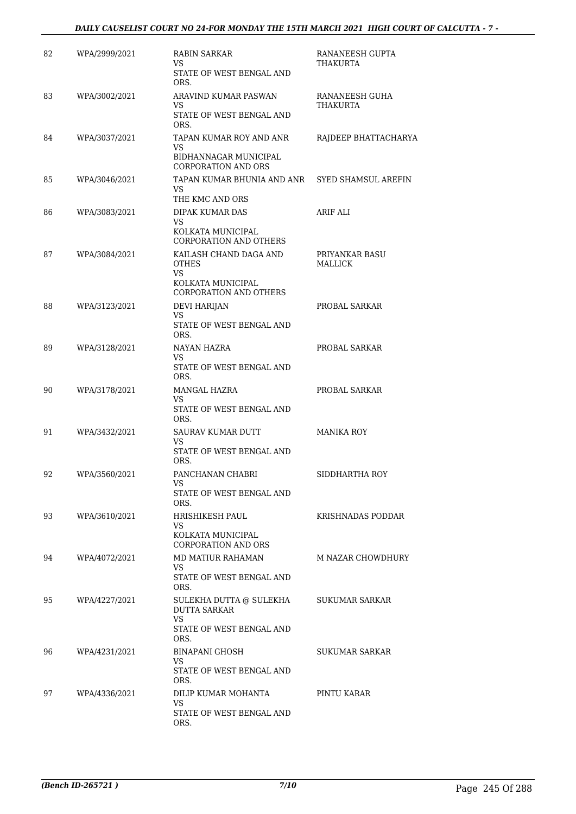| 82 | WPA/2999/2021 | RABIN SARKAR<br>VS                                              | RANANEESH GUPTA<br>THAKURTA |
|----|---------------|-----------------------------------------------------------------|-----------------------------|
|    |               | STATE OF WEST BENGAL AND<br>ORS.                                |                             |
| 83 | WPA/3002/2021 | ARAVIND KUMAR PASWAN<br>VS                                      | RANANEESH GUHA<br>THAKURTA  |
|    |               | STATE OF WEST BENGAL AND<br>ORS.                                |                             |
| 84 | WPA/3037/2021 | TAPAN KUMAR ROY AND ANR<br>VS                                   | RAJDEEP BHATTACHARYA        |
|    |               | BIDHANNAGAR MUNICIPAL<br><b>CORPORATION AND ORS</b>             |                             |
| 85 | WPA/3046/2021 | TAPAN KUMAR BHUNIA AND ANR<br>VS                                | SYED SHAMSUL AREFIN         |
|    |               | THE KMC AND ORS                                                 |                             |
| 86 | WPA/3083/2021 | DIPAK KUMAR DAS<br>VS.                                          | ARIF ALI                    |
|    |               | KOLKATA MUNICIPAL<br><b>CORPORATION AND OTHERS</b>              |                             |
| 87 | WPA/3084/2021 | KAILASH CHAND DAGA AND<br><b>OTHES</b>                          | PRIYANKAR BASU<br>MALLICK   |
|    |               | <b>VS</b><br>KOLKATA MUNICIPAL<br><b>CORPORATION AND OTHERS</b> |                             |
| 88 | WPA/3123/2021 | <b>DEVI HARIJAN</b>                                             | PROBAL SARKAR               |
|    |               | <b>VS</b><br>STATE OF WEST BENGAL AND<br>ORS.                   |                             |
| 89 | WPA/3128/2021 | NAYAN HAZRA                                                     | PROBAL SARKAR               |
|    |               | VS<br>STATE OF WEST BENGAL AND<br>ORS.                          |                             |
| 90 | WPA/3178/2021 | MANGAL HAZRA<br>VS                                              | PROBAL SARKAR               |
|    |               | STATE OF WEST BENGAL AND<br>ORS.                                |                             |
| 91 | WPA/3432/2021 | SAURAV KUMAR DUTT<br><b>VS</b>                                  | <b>MANIKA ROY</b>           |
|    |               | STATE OF WEST BENGAL AND<br>ORS.                                |                             |
| 92 | WPA/3560/2021 | PANCHANAN CHABRI<br>VS                                          | SIDDHARTHA ROY              |
|    |               | STATE OF WEST BENGAL AND<br>ORS.                                |                             |
| 93 | WPA/3610/2021 | HRISHIKESH PAUL<br>VS                                           | KRISHNADAS PODDAR           |
|    |               | KOLKATA MUNICIPAL<br><b>CORPORATION AND ORS</b>                 |                             |
| 94 | WPA/4072/2021 | MD MATIUR RAHAMAN<br>VS                                         | <b>M NAZAR CHOWDHURY</b>    |
|    |               | STATE OF WEST BENGAL AND<br>ORS.                                |                             |
| 95 | WPA/4227/2021 | SULEKHA DUTTA @ SULEKHA<br><b>DUTTA SARKAR</b><br>VS.           | SUKUMAR SARKAR              |
|    |               | STATE OF WEST BENGAL AND<br>ORS.                                |                             |
| 96 | WPA/4231/2021 | BINAPANI GHOSH<br>VS.                                           | SUKUMAR SARKAR              |
|    |               | STATE OF WEST BENGAL AND<br>ORS.                                |                             |
| 97 | WPA/4336/2021 | DILIP KUMAR MOHANTA<br>VS.                                      | PINTU KARAR                 |
|    |               | STATE OF WEST BENGAL AND<br>ORS.                                |                             |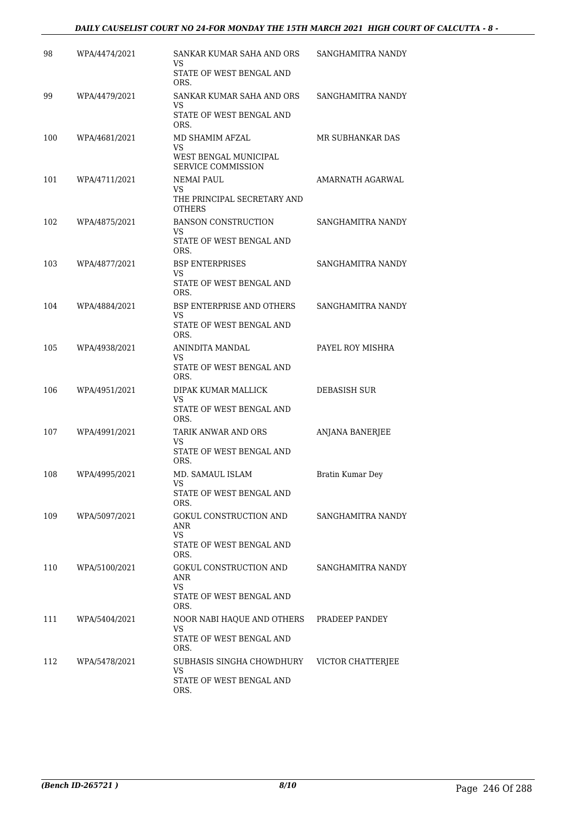### *DAILY CAUSELIST COURT NO 24-FOR MONDAY THE 15TH MARCH 2021 HIGH COURT OF CALCUTTA - 8 -*

| 98  | WPA/4474/2021 | SANKAR KUMAR SAHA AND ORS<br>VS              | SANGHAMITRA NANDY      |
|-----|---------------|----------------------------------------------|------------------------|
|     |               | STATE OF WEST BENGAL AND<br>ORS.             |                        |
| 99  | WPA/4479/2021 | SANKAR KUMAR SAHA AND ORS<br>VS              | SANGHAMITRA NANDY      |
|     |               | STATE OF WEST BENGAL AND<br>ORS.             |                        |
| 100 | WPA/4681/2021 | MD SHAMIM AFZAL<br>VS                        | MR SUBHANKAR DAS       |
|     |               | WEST BENGAL MUNICIPAL<br>SERVICE COMMISSION  |                        |
| 101 | WPA/4711/2021 | NEMAI PAUL<br>VS                             | AMARNATH AGARWAL       |
|     |               | THE PRINCIPAL SECRETARY AND<br><b>OTHERS</b> |                        |
| 102 | WPA/4875/2021 | <b>BANSON CONSTRUCTION</b><br>VS             | SANGHAMITRA NANDY      |
|     |               | STATE OF WEST BENGAL AND<br>ORS.             |                        |
| 103 | WPA/4877/2021 | <b>BSP ENTERPRISES</b><br>VS                 | SANGHAMITRA NANDY      |
|     |               | STATE OF WEST BENGAL AND<br>ORS.             |                        |
| 104 | WPA/4884/2021 | BSP ENTERPRISE AND OTHERS<br>VS              | SANGHAMITRA NANDY      |
|     |               | STATE OF WEST BENGAL AND<br>ORS.             |                        |
| 105 | WPA/4938/2021 | ANINDITA MANDAL<br>VS                        | PAYEL ROY MISHRA       |
|     |               | STATE OF WEST BENGAL AND<br>ORS.             |                        |
| 106 | WPA/4951/2021 | DIPAK KUMAR MALLICK<br>VS                    | DEBASISH SUR           |
|     |               | STATE OF WEST BENGAL AND<br>ORS.             |                        |
| 107 | WPA/4991/2021 | TARIK ANWAR AND ORS<br>VS                    | <b>ANJANA BANERJEE</b> |
|     |               | STATE OF WEST BENGAL AND<br>ORS.             |                        |
| 108 | WPA/4995/2021 | MD. SAMAUL ISLAM<br>VS                       | Bratin Kumar Dey       |
|     |               | STATE OF WEST BENGAL AND<br>ORS.             |                        |
| 109 | WPA/5097/2021 | GOKUL CONSTRUCTION AND<br>ANR                | SANGHAMITRA NANDY      |
|     |               | VS.<br>STATE OF WEST BENGAL AND<br>ORS.      |                        |
| 110 | WPA/5100/2021 | GOKUL CONSTRUCTION AND<br>ANR                | SANGHAMITRA NANDY      |
|     |               | <b>VS</b><br>STATE OF WEST BENGAL AND        |                        |
|     |               | ORS.                                         |                        |
| 111 | WPA/5404/2021 | NOOR NABI HAQUE AND OTHERS<br>VS             | PRADEEP PANDEY         |
|     |               | STATE OF WEST BENGAL AND<br>ORS.             |                        |
| 112 | WPA/5478/2021 | SUBHASIS SINGHA CHOWDHURY<br>VS              | VICTOR CHATTERJEE      |
|     |               | STATE OF WEST BENGAL AND<br>ORS.             |                        |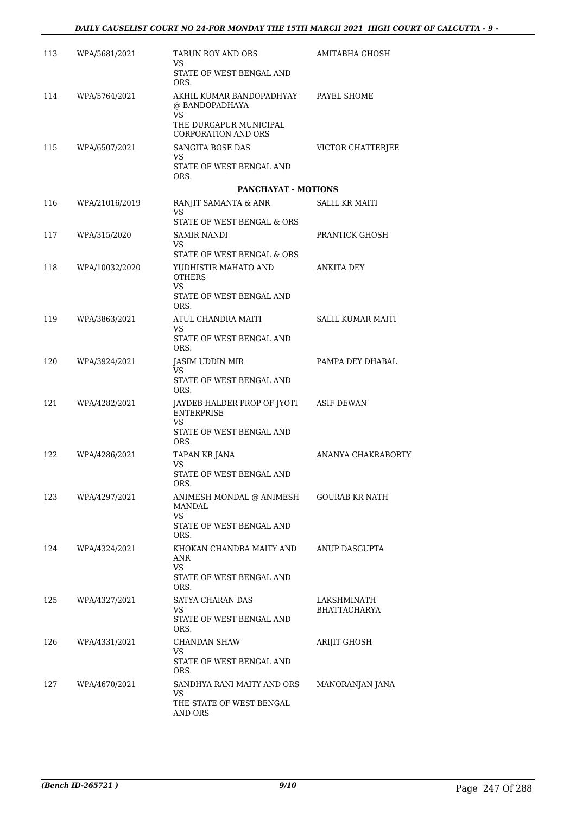| 113 | WPA/5681/2021  | TARUN ROY AND ORS<br>VS                              | AMITABHA GHOSH      |
|-----|----------------|------------------------------------------------------|---------------------|
|     |                | STATE OF WEST BENGAL AND<br>ORS.                     |                     |
| 114 | WPA/5764/2021  | AKHIL KUMAR BANDOPADHYAY<br>@ BANDOPADHAYA<br>VS.    | PAYEL SHOME         |
|     |                | THE DURGAPUR MUNICIPAL<br><b>CORPORATION AND ORS</b> |                     |
| 115 | WPA/6507/2021  | SANGITA BOSE DAS<br>VS                               | VICTOR CHATTERJEE   |
|     |                | STATE OF WEST BENGAL AND<br>ORS.                     |                     |
|     |                | <b>PANCHAYAT - MOTIONS</b>                           |                     |
| 116 | WPA/21016/2019 | RANJIT SAMANTA & ANR<br>VS                           | SALIL KR MAITI      |
|     |                | STATE OF WEST BENGAL & ORS                           |                     |
| 117 | WPA/315/2020   | SAMIR NANDI<br>VS                                    | PRANTICK GHOSH      |
|     | WPA/10032/2020 | STATE OF WEST BENGAL & ORS<br>YUDHISTIR MAHATO AND   | <b>ANKITA DEY</b>   |
| 118 |                | <b>OTHERS</b><br>VS.                                 |                     |
|     |                | STATE OF WEST BENGAL AND<br>ORS.                     |                     |
| 119 | WPA/3863/2021  | ATUL CHANDRA MAITI                                   | SALIL KUMAR MAITI   |
|     |                | VS.<br>STATE OF WEST BENGAL AND<br>ORS.              |                     |
| 120 | WPA/3924/2021  | JASIM UDDIN MIR                                      | PAMPA DEY DHABAL    |
|     |                | VS.<br>STATE OF WEST BENGAL AND<br>ORS.              |                     |
| 121 | WPA/4282/2021  | JAYDEB HALDER PROP OF JYOTI<br><b>ENTERPRISE</b>     | ASIF DEWAN          |
|     |                | <b>VS</b><br>STATE OF WEST BENGAL AND<br>ORS.        |                     |
| 122 | WPA/4286/2021  | <b>TAPAN KR JANA</b>                                 | ANANYA CHAKRABORTY  |
|     |                | VS<br>STATE OF WEST BENGAL AND<br>ORS.               |                     |
| 123 | WPA/4297/2021  | ANIMESH MONDAL @ ANIMESH<br>MANDAL<br>VS             | GOURAB KR NATH      |
|     |                | STATE OF WEST BENGAL AND<br>ORS.                     |                     |
| 124 | WPA/4324/2021  | KHOKAN CHANDRA MAITY AND<br>ANR<br><b>VS</b>         | ANUP DASGUPTA       |
|     |                | STATE OF WEST BENGAL AND<br>ORS.                     |                     |
| 125 | WPA/4327/2021  | SATYA CHARAN DAS                                     | LAKSHMINATH         |
|     |                | VS<br>STATE OF WEST BENGAL AND<br>ORS.               | <b>BHATTACHARYA</b> |
| 126 | WPA/4331/2021  | CHANDAN SHAW                                         | ARIJIT GHOSH        |
|     |                | VS<br>STATE OF WEST BENGAL AND<br>ORS.               |                     |
| 127 | WPA/4670/2021  | SANDHYA RANI MAITY AND ORS<br>VS                     | MANORANJAN JANA     |
|     |                | THE STATE OF WEST BENGAL<br>AND ORS                  |                     |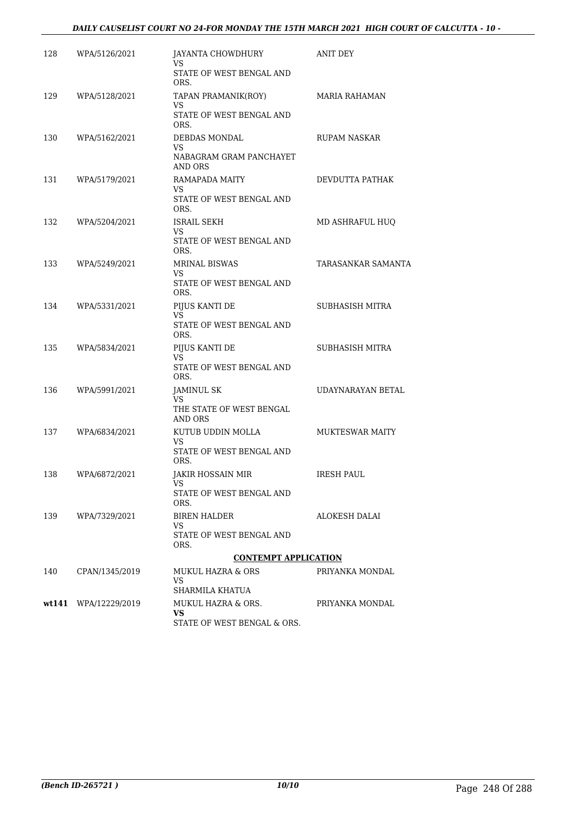### *DAILY CAUSELIST COURT NO 24-FOR MONDAY THE 15TH MARCH 2021 HIGH COURT OF CALCUTTA - 10 -*

| 128 | WPA/5126/2021        | JAYANTA CHOWDHURY<br>VS                    | ANIT DEY               |
|-----|----------------------|--------------------------------------------|------------------------|
|     |                      | STATE OF WEST BENGAL AND<br>ORS.           |                        |
| 129 | WPA/5128/2021        | TAPAN PRAMANIK(ROY)<br>VS                  | MARIA RAHAMAN          |
|     |                      | STATE OF WEST BENGAL AND<br>ORS.           |                        |
| 130 | WPA/5162/2021        | DEBDAS MONDAL<br>VS                        | <b>RUPAM NASKAR</b>    |
|     |                      | NABAGRAM GRAM PANCHAYET<br>AND ORS         |                        |
| 131 | WPA/5179/2021        | RAMAPADA MAITY<br>VS                       | DEVDUTTA PATHAK        |
|     |                      | STATE OF WEST BENGAL AND<br>ORS.           |                        |
| 132 | WPA/5204/2021        | ISRAIL SEKH<br>VS                          | MD ASHRAFUL HUQ        |
|     |                      | STATE OF WEST BENGAL AND<br>ORS.           |                        |
| 133 | WPA/5249/2021        | <b>MRINAL BISWAS</b><br>VS                 | TARASANKAR SAMANTA     |
|     |                      | STATE OF WEST BENGAL AND<br>ORS.           |                        |
| 134 | WPA/5331/2021        | PIJUS KANTI DE<br>VS.                      | SUBHASISH MITRA        |
|     |                      | STATE OF WEST BENGAL AND<br>ORS.           |                        |
| 135 | WPA/5834/2021        | PIJUS KANTI DE<br>VS.                      | SUBHASISH MITRA        |
|     |                      | STATE OF WEST BENGAL AND<br>ORS.           |                        |
| 136 | WPA/5991/2021        | <b>JAMINUL SK</b><br>VS                    | UDAYNARAYAN BETAL      |
|     |                      | THE STATE OF WEST BENGAL<br>AND ORS        |                        |
| 137 | WPA/6834/2021        | KUTUB UDDIN MOLLA                          | <b>MUKTESWAR MAITY</b> |
|     |                      | VS<br>STATE OF WEST BENGAL AND<br>ORS.     |                        |
| 138 | WPA/6872/2021        | JAKIR HOSSAIN MIR<br>VS                    | <b>IRESH PAUL</b>      |
|     |                      | STATE OF WEST BENGAL AND<br>ORS.           |                        |
| 139 | WPA/7329/2021        | <b>BIREN HALDER</b><br>VS.                 | ALOKESH DALAI          |
|     |                      | STATE OF WEST BENGAL AND<br>ORS.           |                        |
|     |                      | <b>CONTEMPT APPLICATION</b>                |                        |
| 140 | CPAN/1345/2019       | MUKUL HAZRA & ORS<br>VS<br>SHARMILA KHATUA | PRIYANKA MONDAL        |
|     | wt141 WPA/12229/2019 | MUKUL HAZRA & ORS.                         | PRIYANKA MONDAL        |
|     |                      | VS<br>STATE OF WEST BENGAL & ORS.          |                        |
|     |                      |                                            |                        |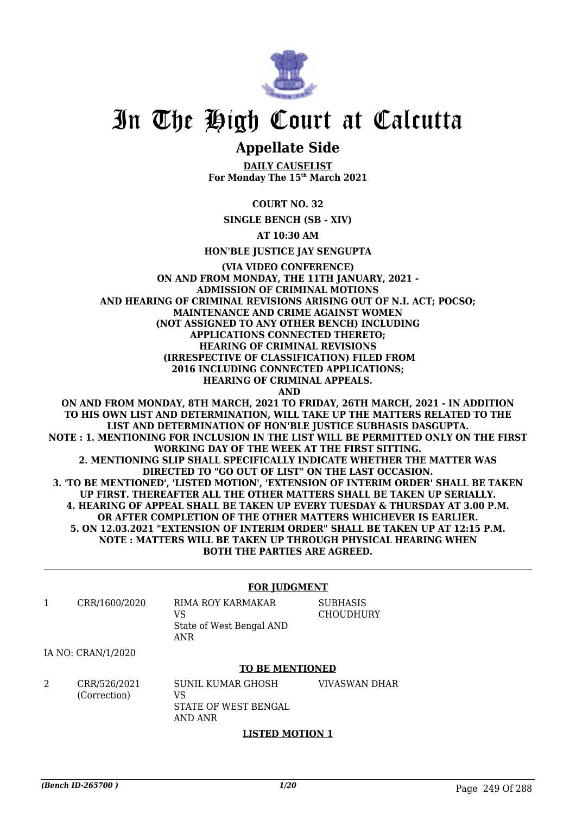

## **Appellate Side**

**DAILY CAUSELIST For Monday The 15th March 2021**

**COURT NO. 32**

**SINGLE BENCH (SB - XIV)**

**AT 10:30 AM**

**HON'BLE JUSTICE JAY SENGUPTA**

**(VIA VIDEO CONFERENCE) ON AND FROM MONDAY, THE 11TH JANUARY, 2021 - ADMISSION OF CRIMINAL MOTIONS AND HEARING OF CRIMINAL REVISIONS ARISING OUT OF N.I. ACT; POCSO; MAINTENANCE AND CRIME AGAINST WOMEN (NOT ASSIGNED TO ANY OTHER BENCH) INCLUDING APPLICATIONS CONNECTED THERETO; HEARING OF CRIMINAL REVISIONS (IRRESPECTIVE OF CLASSIFICATION) FILED FROM 2016 INCLUDING CONNECTED APPLICATIONS; HEARING OF CRIMINAL APPEALS. AND ON AND FROM MONDAY, 8TH MARCH, 2021 TO FRIDAY, 26TH MARCH, 2021 - IN ADDITION**

**TO HIS OWN LIST AND DETERMINATION, WILL TAKE UP THE MATTERS RELATED TO THE LIST AND DETERMINATION OF HON'BLE JUSTICE SUBHASIS DASGUPTA. NOTE : 1. MENTIONING FOR INCLUSION IN THE LIST WILL BE PERMITTED ONLY ON THE FIRST WORKING DAY OF THE WEEK AT THE FIRST SITTING. 2. MENTIONING SLIP SHALL SPECIFICALLY INDICATE WHETHER THE MATTER WAS DIRECTED TO "GO OUT OF LIST" ON THE LAST OCCASION. 3. 'TO BE MENTIONED', 'LISTED MOTION', 'EXTENSION OF INTERIM ORDER' SHALL BE TAKEN UP FIRST. THEREAFTER ALL THE OTHER MATTERS SHALL BE TAKEN UP SERIALLY. 4. HEARING OF APPEAL SHALL BE TAKEN UP EVERY TUESDAY & THURSDAY AT 3.00 P.M. OR AFTER COMPLETION OF THE OTHER MATTERS WHICHEVER IS EARLIER. 5. ON 12.03.2021 "EXTENSION OF INTERIM ORDER" SHALL BE TAKEN UP AT 12:15 P.M. NOTE : MATTERS WILL BE TAKEN UP THROUGH PHYSICAL HEARING WHEN BOTH THE PARTIES ARE AGREED.**

### **FOR JUDGMENT**

1 CRR/1600/2020 RIMA ROY KARMAKAR VS State of West Bengal AND ANR **SUBHASIS CHOUDHURY** 

IA NO: CRAN/1/2020

### **TO BE MENTIONED**

2 CRR/526/2021 (Correction) SUNIL KUMAR GHOSH VS STATE OF WEST BENGAL AND ANR VIVASWAN DHAR

### **LISTED MOTION 1**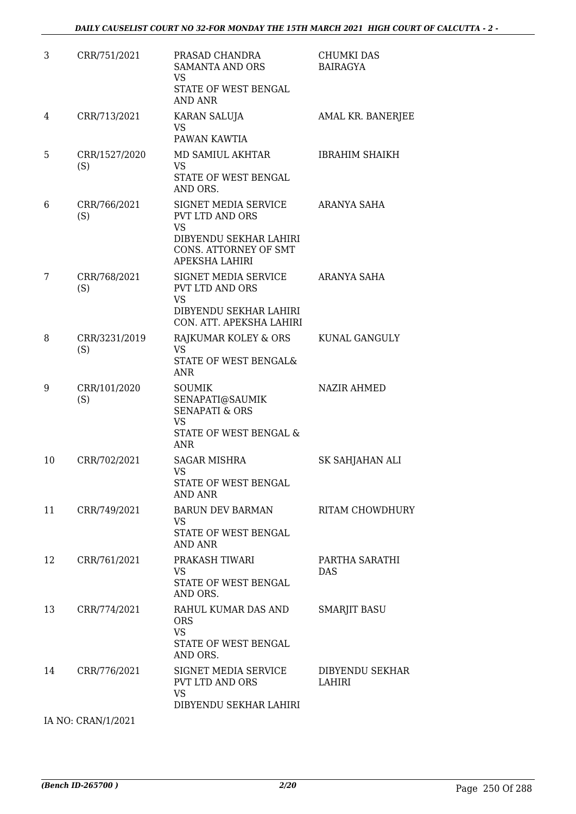| 3  | CRR/751/2021         | PRASAD CHANDRA<br><b>SAMANTA AND ORS</b><br><b>VS</b><br>STATE OF WEST BENGAL<br><b>AND ANR</b>                                         | <b>CHUMKI DAS</b><br><b>BAIRAGYA</b> |
|----|----------------------|-----------------------------------------------------------------------------------------------------------------------------------------|--------------------------------------|
| 4  | CRR/713/2021         | KARAN SALUJA<br>VS<br>PAWAN KAWTIA                                                                                                      | AMAL KR. BANERJEE                    |
| 5  | CRR/1527/2020<br>(S) | MD SAMIUL AKHTAR<br><b>VS</b><br>STATE OF WEST BENGAL<br>AND ORS.                                                                       | <b>IBRAHIM SHAIKH</b>                |
| 6  | CRR/766/2021<br>(S)  | SIGNET MEDIA SERVICE<br><b>PVT LTD AND ORS</b><br><b>VS</b><br>DIBYENDU SEKHAR LAHIRI<br>CONS. ATTORNEY OF SMT<br><b>APEKSHA LAHIRI</b> | ARANYA SAHA                          |
| 7  | CRR/768/2021<br>(S)  | SIGNET MEDIA SERVICE<br>PVT LTD AND ORS<br><b>VS</b><br>DIBYENDU SEKHAR LAHIRI<br>CON. ATT. APEKSHA LAHIRI                              | ARANYA SAHA                          |
| 8  | CRR/3231/2019<br>(S) | RAJKUMAR KOLEY & ORS<br><b>VS</b><br>STATE OF WEST BENGAL&<br><b>ANR</b>                                                                | KUNAL GANGULY                        |
| 9  | CRR/101/2020<br>(S)  | <b>SOUMIK</b><br>SENAPATI@SAUMIK<br><b>SENAPATI &amp; ORS</b><br><b>VS</b><br>STATE OF WEST BENGAL &<br><b>ANR</b>                      | <b>NAZIR AHMED</b>                   |
| 10 | CRR/702/2021         | <b>SAGAR MISHRA</b><br>VS<br>STATE OF WEST BENGAL<br>AND ANR                                                                            | SK SAHJAHAN ALI                      |
| 11 | CRR/749/2021         | BARUN DEV BARMAN<br>VS<br>STATE OF WEST BENGAL<br>AND ANR                                                                               | RITAM CHOWDHURY                      |
| 12 | CRR/761/2021         | PRAKASH TIWARI<br>VS<br>STATE OF WEST BENGAL<br>AND ORS.                                                                                | PARTHA SARATHI<br><b>DAS</b>         |
| 13 | CRR/774/2021         | RAHUL KUMAR DAS AND<br><b>ORS</b><br><b>VS</b><br>STATE OF WEST BENGAL<br>AND ORS.                                                      | <b>SMARJIT BASU</b>                  |
| 14 | CRR/776/2021         | SIGNET MEDIA SERVICE<br><b>PVT LTD AND ORS</b><br><b>VS</b><br>DIBYENDU SEKHAR LAHIRI                                                   | DIBYENDU SEKHAR<br>LAHIRI            |

IA NO: CRAN/1/2021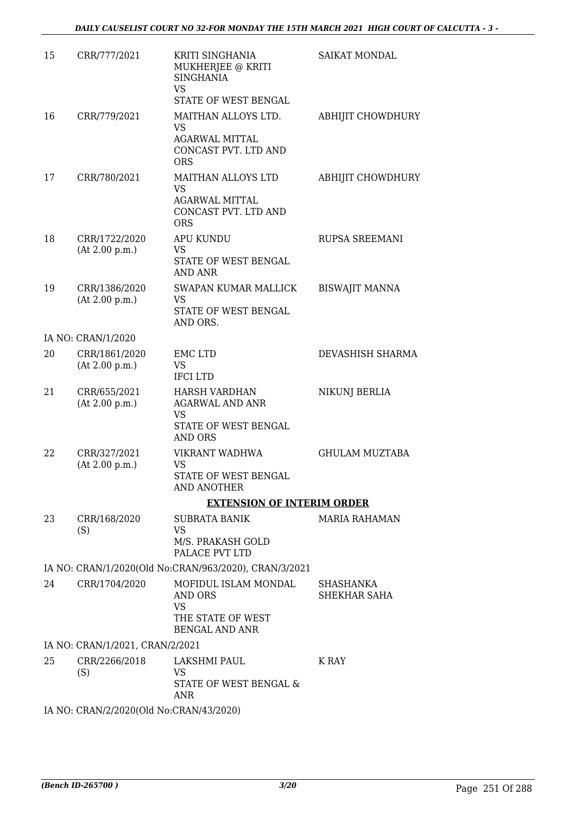| 15 | CRR/777/2021                            | KRITI SINGHANIA<br>MUKHERJEE @ KRITI<br><b>SINGHANIA</b><br><b>VS</b><br>STATE OF WEST BENGAL         | <b>SAIKAT MONDAL</b>      |
|----|-----------------------------------------|-------------------------------------------------------------------------------------------------------|---------------------------|
| 16 | CRR/779/2021                            | MAITHAN ALLOYS LTD.<br><b>VS</b><br><b>AGARWAL MITTAL</b><br>CONCAST PVT. LTD AND<br><b>ORS</b>       | <b>ABHIJIT CHOWDHURY</b>  |
| 17 | CRR/780/2021                            | MAITHAN ALLOYS LTD<br><b>VS</b><br><b>AGARWAL MITTAL</b><br>CONCAST PVT. LTD AND<br><b>ORS</b>        | <b>ABHIJIT CHOWDHURY</b>  |
| 18 | CRR/1722/2020<br>(At 2.00 p.m.)         | <b>APU KUNDU</b><br><b>VS</b><br>STATE OF WEST BENGAL<br><b>AND ANR</b>                               | RUPSA SREEMANI            |
| 19 | CRR/1386/2020<br>(At 2.00 p.m.)         | SWAPAN KUMAR MALLICK<br>VS<br>STATE OF WEST BENGAL<br>AND ORS.                                        | <b>BISWAJIT MANNA</b>     |
|    | IA NO: CRAN/1/2020                      |                                                                                                       |                           |
| 20 | CRR/1861/2020<br>(At 2.00 p.m.)         | <b>EMC LTD</b><br>VS<br><b>IFCILTD</b>                                                                | DEVASHISH SHARMA          |
| 21 | CRR/655/2021<br>(At 2.00 p.m.)          | <b>HARSH VARDHAN</b><br><b>AGARWAL AND ANR</b><br><b>VS</b><br>STATE OF WEST BENGAL<br><b>AND ORS</b> | NIKUNJ BERLIA             |
| 22 | CRR/327/2021<br>(At 2.00 p.m.)          | VIKRANT WADHWA<br><b>VS</b><br>STATE OF WEST BENGAL<br>AND ANOTHER                                    | <b>GHULAM MUZTABA</b>     |
|    |                                         | <b>EXTENSION OF INTERIM ORDER</b>                                                                     |                           |
| 23 | CRR/168/2020<br>(S)                     | <b>SUBRATA BANIK</b><br><b>VS</b><br>M/S. PRAKASH GOLD<br>PALACE PVT LTD                              | <b>MARIA RAHAMAN</b>      |
|    |                                         | IA NO: CRAN/1/2020(Old No:CRAN/963/2020), CRAN/3/2021                                                 |                           |
| 24 | CRR/1704/2020                           | MOFIDUL ISLAM MONDAL<br>AND ORS<br><b>VS</b><br>THE STATE OF WEST<br><b>BENGAL AND ANR</b>            | SHASHANKA<br>SHEKHAR SAHA |
|    | IA NO: CRAN/1/2021, CRAN/2/2021         |                                                                                                       |                           |
| 25 | CRR/2266/2018<br>(S)                    | LAKSHMI PAUL<br>VS<br>STATE OF WEST BENGAL &<br>ANR                                                   | K RAY                     |
|    | IA NO: CRAN/2/2020(Old No:CRAN/43/2020) |                                                                                                       |                           |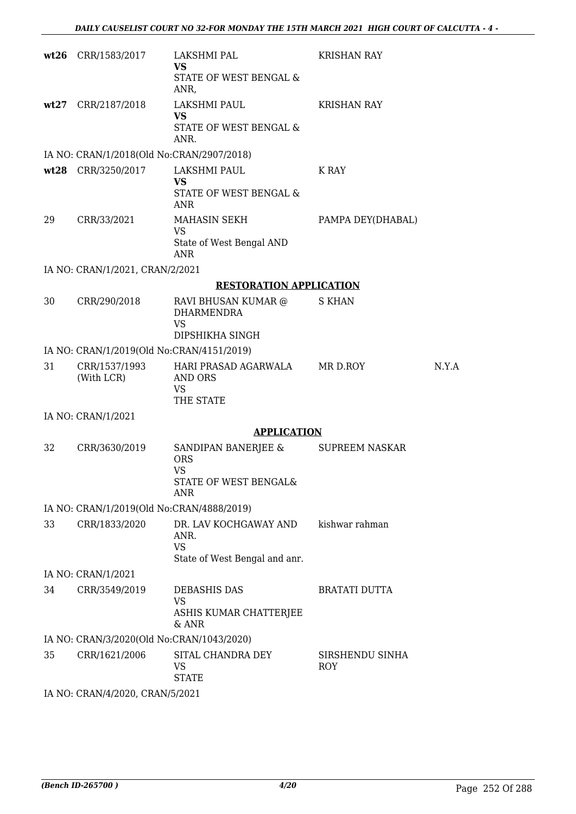|    | wt26 CRR/1583/2017                        | LAKSHMI PAL<br><b>VS</b><br>STATE OF WEST BENGAL &<br>ANR,                     | <b>KRISHAN RAY</b>     |       |  |  |
|----|-------------------------------------------|--------------------------------------------------------------------------------|------------------------|-------|--|--|
|    | wt27 CRR/2187/2018                        | LAKSHMI PAUL<br><b>VS</b><br>STATE OF WEST BENGAL &<br>ANR.                    | <b>KRISHAN RAY</b>     |       |  |  |
|    | IA NO: CRAN/1/2018(Old No:CRAN/2907/2018) |                                                                                |                        |       |  |  |
|    | wt28 CRR/3250/2017                        | LAKSHMI PAUL<br><b>VS</b><br>STATE OF WEST BENGAL &<br><b>ANR</b>              | K RAY                  |       |  |  |
| 29 | CRR/33/2021                               | MAHASIN SEKH<br>VS<br>State of West Bengal AND<br><b>ANR</b>                   | PAMPA DEY(DHABAL)      |       |  |  |
|    | IA NO: CRAN/1/2021, CRAN/2/2021           |                                                                                |                        |       |  |  |
|    |                                           | <b>RESTORATION APPLICATION</b>                                                 |                        |       |  |  |
| 30 | CRR/290/2018                              | RAVI BHUSAN KUMAR @<br><b>DHARMENDRA</b><br><b>VS</b><br>DIPSHIKHA SINGH       | <b>S KHAN</b>          |       |  |  |
|    | IA NO: CRAN/1/2019(Old No:CRAN/4151/2019) |                                                                                |                        |       |  |  |
| 31 | CRR/1537/1993<br>(With LCR)               | HARI PRASAD AGARWALA<br>AND ORS<br>VS.<br>THE STATE                            | MR D.ROY               | N.Y.A |  |  |
|    | IA NO: CRAN/1/2021                        |                                                                                |                        |       |  |  |
|    |                                           | <b>APPLICATION</b>                                                             |                        |       |  |  |
| 32 | CRR/3630/2019                             | SANDIPAN BANERJEE &<br><b>ORS</b><br><b>VS</b><br>STATE OF WEST BENGAL&<br>ANR | <b>SUPREEM NASKAR</b>  |       |  |  |
|    | IA NO: CRAN/1/2019(Old No:CRAN/4888/2019) |                                                                                |                        |       |  |  |
| 33 | CRR/1833/2020                             | DR. LAV KOCHGAWAY AND<br>ANR.<br><b>VS</b><br>State of West Bengal and anr.    | kishwar rahman         |       |  |  |
|    | IA NO: CRAN/1/2021                        |                                                                                |                        |       |  |  |
| 34 | CRR/3549/2019                             | DEBASHIS DAS<br><b>VS</b><br>ASHIS KUMAR CHATTERJEE<br>& ANR                   | <b>BRATATI DUTTA</b>   |       |  |  |
|    | IA NO: CRAN/3/2020(Old No:CRAN/1043/2020) |                                                                                |                        |       |  |  |
| 35 | CRR/1621/2006                             | SITAL CHANDRA DEY<br>VS<br><b>STATE</b>                                        | SIRSHENDU SINHA<br>ROY |       |  |  |
|    | IA NO: CRAN/4/2020, CRAN/5/2021           |                                                                                |                        |       |  |  |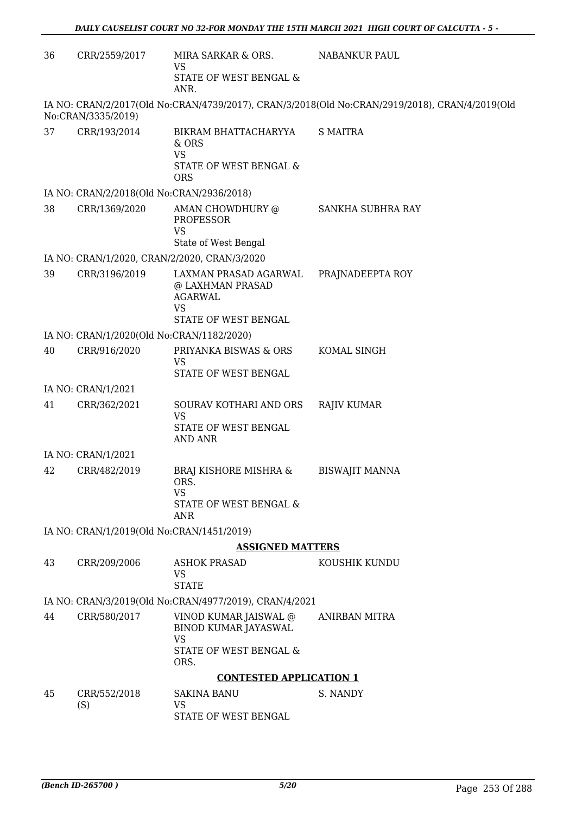| 36 | CRR/2559/2017                             | MIRA SARKAR & ORS.<br>VS<br>STATE OF WEST BENGAL &<br>ANR.                                       | <b>NABANKUR PAUL</b>                                                                           |
|----|-------------------------------------------|--------------------------------------------------------------------------------------------------|------------------------------------------------------------------------------------------------|
|    | No:CRAN/3335/2019)                        |                                                                                                  | IA NO: CRAN/2/2017(Old No:CRAN/4739/2017), CRAN/3/2018(Old No:CRAN/2919/2018), CRAN/4/2019(Old |
| 37 | CRR/193/2014                              | BIKRAM BHATTACHARYYA<br>& ORS<br><b>VS</b><br>STATE OF WEST BENGAL &<br><b>ORS</b>               | <b>S MAITRA</b>                                                                                |
|    | IA NO: CRAN/2/2018(Old No:CRAN/2936/2018) |                                                                                                  |                                                                                                |
| 38 | CRR/1369/2020                             | AMAN CHOWDHURY @<br>PROFESSOR<br><b>VS</b>                                                       | SANKHA SUBHRA RAY                                                                              |
|    |                                           | State of West Bengal                                                                             |                                                                                                |
|    |                                           | IA NO: CRAN/1/2020, CRAN/2/2020, CRAN/3/2020                                                     |                                                                                                |
| 39 | CRR/3196/2019                             | LAXMAN PRASAD AGARWAL<br>@ LAXHMAN PRASAD<br><b>AGARWAL</b><br><b>VS</b><br>STATE OF WEST BENGAL | PRAJNADEEPTA ROY                                                                               |
|    | IA NO: CRAN/1/2020(Old No:CRAN/1182/2020) |                                                                                                  |                                                                                                |
| 40 | CRR/916/2020                              | PRIYANKA BISWAS & ORS<br>VS<br>STATE OF WEST BENGAL                                              | KOMAL SINGH                                                                                    |
|    | IA NO: CRAN/1/2021                        |                                                                                                  |                                                                                                |
| 41 | CRR/362/2021                              | SOURAV KOTHARI AND ORS<br><b>VS</b><br>STATE OF WEST BENGAL<br><b>AND ANR</b>                    | <b>RAJIV KUMAR</b>                                                                             |
|    | IA NO: CRAN/1/2021                        |                                                                                                  |                                                                                                |
| 42 | CRR/482/2019                              | <b>BRAJ KISHORE MISHRA &amp;</b><br>ORS.<br><b>VS</b><br>STATE OF WEST BENGAL &<br><b>ANR</b>    | <b>BISWAJIT MANNA</b>                                                                          |
|    | IA NO: CRAN/1/2019(Old No:CRAN/1451/2019) |                                                                                                  |                                                                                                |
|    |                                           | <b>ASSIGNED MATTERS</b>                                                                          |                                                                                                |
| 43 | CRR/209/2006                              | <b>ASHOK PRASAD</b><br><b>VS</b><br><b>STATE</b>                                                 | KOUSHIK KUNDU                                                                                  |
|    |                                           | IA NO: CRAN/3/2019(Old No:CRAN/4977/2019), CRAN/4/2021                                           |                                                                                                |
| 44 | CRR/580/2017                              | VINOD KUMAR JAISWAL @<br><b>BINOD KUMAR JAYASWAL</b><br><b>VS</b>                                | ANIRBAN MITRA                                                                                  |
|    |                                           | STATE OF WEST BENGAL &<br>ORS.                                                                   |                                                                                                |
|    |                                           | <b>CONTESTED APPLICATION 1</b>                                                                   |                                                                                                |
| 45 | CRR/552/2018                              | <b>SAKINA BANU</b>                                                                               | S. NANDY                                                                                       |
|    | (S)                                       | <b>VS</b><br>STATE OF WEST BENGAL                                                                |                                                                                                |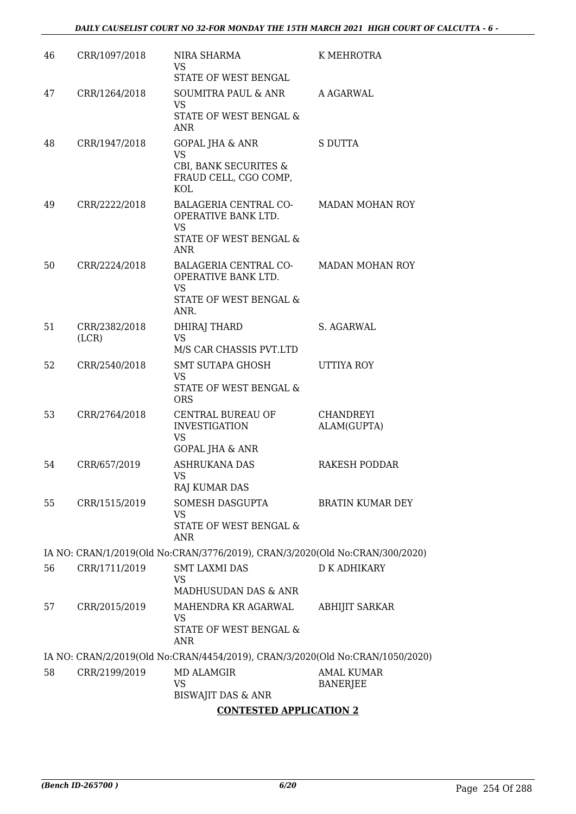| 46 | CRR/1097/2018          | NIRA SHARMA<br><b>VS</b><br>STATE OF WEST BENGAL                                                          | K MEHROTRA                    |
|----|------------------------|-----------------------------------------------------------------------------------------------------------|-------------------------------|
| 47 | CRR/1264/2018          | SOUMITRA PAUL & ANR<br><b>VS</b><br>STATE OF WEST BENGAL &<br>ANR                                         | A AGARWAL                     |
| 48 | CRR/1947/2018          | GOPAL JHA & ANR<br><b>VS</b><br>CBI, BANK SECURITES &<br>FRAUD CELL, CGO COMP,<br>KOL                     | S DUTTA                       |
| 49 | CRR/2222/2018          | <b>BALAGERIA CENTRAL CO-</b><br>OPERATIVE BANK LTD.<br><b>VS</b><br>STATE OF WEST BENGAL &                | <b>MADAN MOHAN ROY</b>        |
| 50 | CRR/2224/2018          | <b>ANR</b><br>BALAGERIA CENTRAL CO-<br>OPERATIVE BANK LTD.<br><b>VS</b><br>STATE OF WEST BENGAL &<br>ANR. | <b>MADAN MOHAN ROY</b>        |
| 51 | CRR/2382/2018<br>(LCR) | <b>DHIRAJ THARD</b><br><b>VS</b><br>M/S CAR CHASSIS PVT.LTD                                               | S. AGARWAL                    |
| 52 | CRR/2540/2018          | SMT SUTAPA GHOSH<br>VS<br>STATE OF WEST BENGAL &<br><b>ORS</b>                                            | UTTIYA ROY                    |
| 53 | CRR/2764/2018          | CENTRAL BUREAU OF<br><b>INVESTIGATION</b><br><b>VS</b><br>GOPAL JHA & ANR                                 | CHANDREYI<br>ALAM(GUPTA)      |
| 54 | CRR/657/2019           | <b>ASHRUKANA DAS</b><br><b>VS</b><br>RAJ KUMAR DAS                                                        | RAKESH PODDAR                 |
| 55 | CRR/1515/2019          | SOMESH DASGUPTA<br>VS<br>STATE OF WEST BENGAL &<br><b>ANR</b>                                             | BRATIN KUMAR DEY              |
|    |                        | IA NO: CRAN/1/2019(Old No:CRAN/3776/2019), CRAN/3/2020(Old No:CRAN/300/2020)                              |                               |
| 56 | CRR/1711/2019          | <b>SMT LAXMI DAS</b><br><b>VS</b><br>MADHUSUDAN DAS & ANR                                                 | <b>D K ADHIKARY</b>           |
| 57 | CRR/2015/2019          | MAHENDRA KR AGARWAL<br><b>VS</b><br>STATE OF WEST BENGAL &<br><b>ANR</b>                                  | <b>ABHIJIT SARKAR</b>         |
|    |                        | IA NO: CRAN/2/2019(Old No:CRAN/4454/2019), CRAN/3/2020(Old No:CRAN/1050/2020)                             |                               |
| 58 | CRR/2199/2019          | <b>MD ALAMGIR</b><br><b>VS</b><br><b>BISWAJIT DAS &amp; ANR</b>                                           | <b>AMAL KUMAR</b><br>BANERJEE |
|    |                        | <b>CONTESTED APPLICATION 2</b>                                                                            |                               |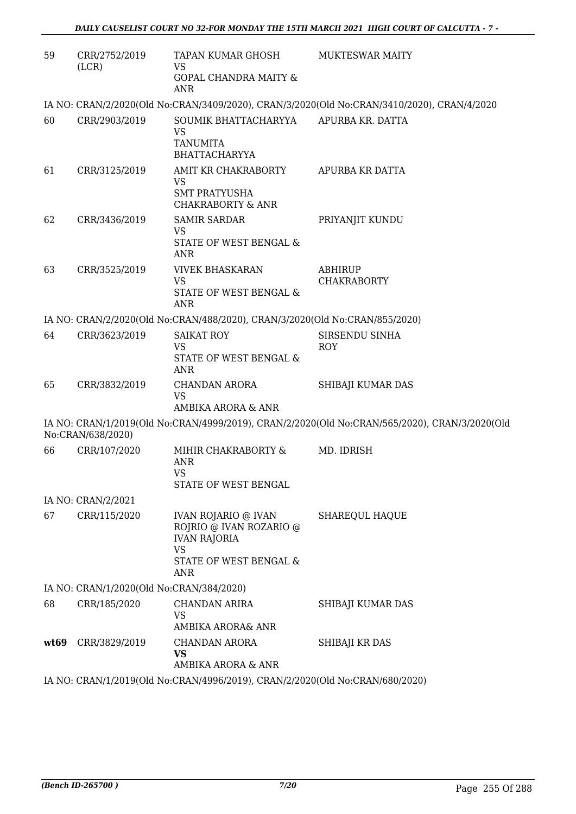| 59   | CRR/2752/2019<br>(LCR)                                                       | TAPAN KUMAR GHOSH<br><b>VS</b><br><b>GOPAL CHANDRA MAITY &amp;</b><br><b>ANR</b>                                                      | <b>MUKTESWAR MAITY</b>                                                                        |  |  |
|------|------------------------------------------------------------------------------|---------------------------------------------------------------------------------------------------------------------------------------|-----------------------------------------------------------------------------------------------|--|--|
|      |                                                                              |                                                                                                                                       | IA NO: CRAN/2/2020(Old No:CRAN/3409/2020), CRAN/3/2020(Old No:CRAN/3410/2020), CRAN/4/2020    |  |  |
| 60   | CRR/2903/2019                                                                | SOUMIK BHATTACHARYYA<br>VS<br><b>TANUMITA</b><br><b>BHATTACHARYYA</b>                                                                 | APURBA KR. DATTA                                                                              |  |  |
| 61   | CRR/3125/2019                                                                | AMIT KR CHAKRABORTY<br><b>VS</b><br><b>SMT PRATYUSHA</b><br><b>CHAKRABORTY &amp; ANR</b>                                              | APURBA KR DATTA                                                                               |  |  |
| 62   | CRR/3436/2019                                                                | <b>SAMIR SARDAR</b><br><b>VS</b><br>STATE OF WEST BENGAL &<br>ANR                                                                     | PRIYANJIT KUNDU                                                                               |  |  |
| 63   | CRR/3525/2019                                                                | <b>VIVEK BHASKARAN</b><br><b>VS</b><br>STATE OF WEST BENGAL &<br><b>ANR</b>                                                           | <b>ABHIRUP</b><br><b>CHAKRABORTY</b>                                                          |  |  |
|      |                                                                              | IA NO: CRAN/2/2020(Old No:CRAN/488/2020), CRAN/3/2020(Old No:CRAN/855/2020)                                                           |                                                                                               |  |  |
| 64   | CRR/3623/2019                                                                | <b>SAIKAT ROY</b><br>VS<br>STATE OF WEST BENGAL &<br>ANR                                                                              | SIRSENDU SINHA<br><b>ROY</b>                                                                  |  |  |
| 65   | CRR/3832/2019                                                                | CHANDAN ARORA<br><b>VS</b><br>AMBIKA ARORA & ANR                                                                                      | SHIBAJI KUMAR DAS                                                                             |  |  |
|      | No:CRAN/638/2020)                                                            |                                                                                                                                       | IA NO: CRAN/1/2019(Old No:CRAN/4999/2019), CRAN/2/2020(Old No:CRAN/565/2020), CRAN/3/2020(Old |  |  |
| 66   | CRR/107/2020                                                                 | MIHIR CHAKRABORTY &<br><b>ANR</b><br>VS<br>STATE OF WEST BENGAL                                                                       | MD. IDRISH                                                                                    |  |  |
|      | IA NO: CRAN/2/2021                                                           |                                                                                                                                       |                                                                                               |  |  |
| 67   | CRR/115/2020                                                                 | <b>IVAN ROJARIO @ IVAN</b><br>ROJRIO @ IVAN ROZARIO @<br><b>IVAN RAJORIA</b><br><b>VS</b><br><b>STATE OF WEST BENGAL &amp;</b><br>ANR | SHAREQUL HAQUE                                                                                |  |  |
|      | IA NO: CRAN/1/2020(Old No:CRAN/384/2020)                                     |                                                                                                                                       |                                                                                               |  |  |
| 68   | CRR/185/2020                                                                 | <b>CHANDAN ARIRA</b><br><b>VS</b><br>AMBIKA ARORA& ANR                                                                                | SHIBAJI KUMAR DAS                                                                             |  |  |
| wt69 | CRR/3829/2019                                                                | CHANDAN ARORA<br><b>VS</b><br>AMBIKA ARORA & ANR                                                                                      | SHIBAJI KR DAS                                                                                |  |  |
|      | IA NO: CRAN/1/2019(Old No:CRAN/4996/2019), CRAN/2/2020(Old No:CRAN/680/2020) |                                                                                                                                       |                                                                                               |  |  |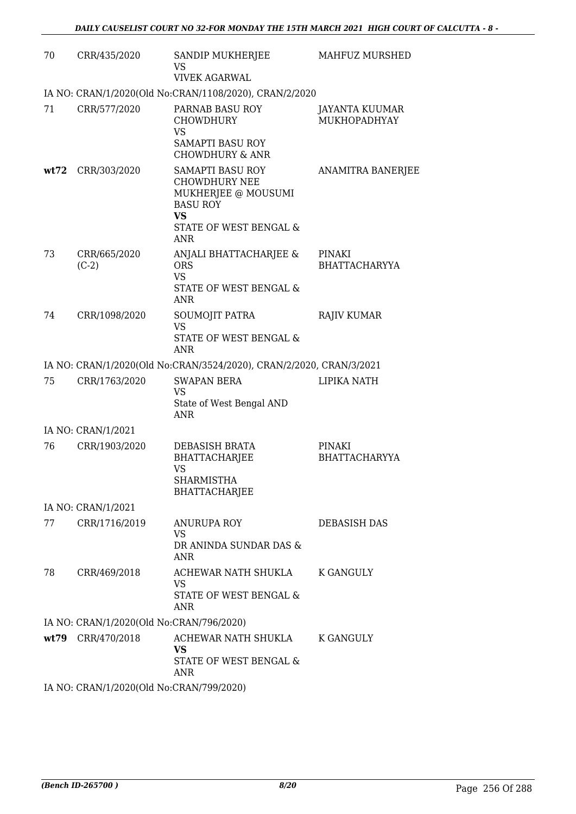| 70   | CRR/435/2020                             | SANDIP MUKHERJEE<br>VS<br><b>VIVEK AGARWAL</b>                                                                                          | MAHFUZ MURSHED                 |
|------|------------------------------------------|-----------------------------------------------------------------------------------------------------------------------------------------|--------------------------------|
|      |                                          | IA NO: CRAN/1/2020(Old No:CRAN/1108/2020), CRAN/2/2020                                                                                  |                                |
| 71   | CRR/577/2020                             | PARNAB BASU ROY<br><b>CHOWDHURY</b><br><b>VS</b><br><b>SAMAPTI BASU ROY</b><br><b>CHOWDHURY &amp; ANR</b>                               | JAYANTA KUUMAR<br>MUKHOPADHYAY |
| wt72 | CRR/303/2020                             | SAMAPTI BASU ROY<br><b>CHOWDHURY NEE</b><br>MUKHERJEE @ MOUSUMI<br><b>BASU ROY</b><br><b>VS</b><br>STATE OF WEST BENGAL &<br><b>ANR</b> | <b>ANAMITRA BANERJEE</b>       |
| 73   | CRR/665/2020<br>$(C-2)$                  | ANJALI BHATTACHARJEE &<br><b>ORS</b><br><b>VS</b><br>STATE OF WEST BENGAL &<br>ANR                                                      | PINAKI<br><b>BHATTACHARYYA</b> |
| 74   | CRR/1098/2020                            | SOUMOJIT PATRA<br><b>VS</b><br>STATE OF WEST BENGAL &<br><b>ANR</b>                                                                     | <b>RAJIV KUMAR</b>             |
|      |                                          | IA NO: CRAN/1/2020(Old No:CRAN/3524/2020), CRAN/2/2020, CRAN/3/2021                                                                     |                                |
| 75   | CRR/1763/2020                            | <b>SWAPAN BERA</b><br>VS<br>State of West Bengal AND<br><b>ANR</b>                                                                      | LIPIKA NATH                    |
|      | IA NO: CRAN/1/2021                       |                                                                                                                                         |                                |
| 76   | CRR/1903/2020                            | DEBASISH BRATA<br><b>BHATTACHARJEE</b><br><b>VS</b><br>SHARMISTHA<br><b>BHATTACHARJEE</b>                                               | PINAKI<br><b>BHATTACHARYYA</b> |
|      | IA NO: CRAN/1/2021                       |                                                                                                                                         |                                |
| 77   | CRR/1716/2019                            | <b>ANURUPA ROY</b><br>VS<br>DR ANINDA SUNDAR DAS &<br>ANR                                                                               | DEBASISH DAS                   |
| 78   | CRR/469/2018                             | ACHEWAR NATH SHUKLA<br><b>VS</b><br>STATE OF WEST BENGAL &<br>ANR                                                                       | K GANGULY                      |
|      | IA NO: CRAN/1/2020(Old No:CRAN/796/2020) |                                                                                                                                         |                                |
|      | wt79 CRR/470/2018                        | ACHEWAR NATH SHUKLA<br><b>VS</b><br>STATE OF WEST BENGAL &<br>ANR                                                                       | <b>K GANGULY</b>               |
|      | IA NO: CRAN/1/2020(Old No:CRAN/799/2020) |                                                                                                                                         |                                |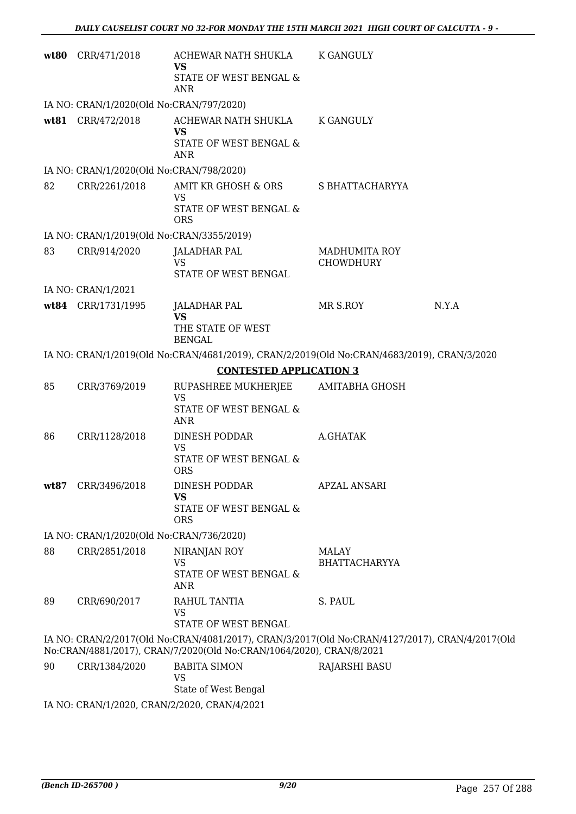|      | wt80 CRR/471/2018                            | ACHEWAR NATH SHUKLA                                                                            | <b>K GANGULY</b>                         |       |
|------|----------------------------------------------|------------------------------------------------------------------------------------------------|------------------------------------------|-------|
|      |                                              | VS<br>STATE OF WEST BENGAL &                                                                   |                                          |       |
|      |                                              | <b>ANR</b>                                                                                     |                                          |       |
|      | IA NO: CRAN/1/2020(Old No:CRAN/797/2020)     |                                                                                                |                                          |       |
|      | wt81 CRR/472/2018                            | ACHEWAR NATH SHUKLA                                                                            | <b>K GANGULY</b>                         |       |
|      |                                              | <b>VS</b><br>STATE OF WEST BENGAL &                                                            |                                          |       |
|      |                                              | <b>ANR</b>                                                                                     |                                          |       |
|      | IA NO: CRAN/1/2020(Old No:CRAN/798/2020)     |                                                                                                |                                          |       |
| 82   | CRR/2261/2018                                | AMIT KR GHOSH & ORS<br>VS                                                                      | S BHATTACHARYYA                          |       |
|      |                                              | STATE OF WEST BENGAL &<br><b>ORS</b>                                                           |                                          |       |
|      | IA NO: CRAN/1/2019(Old No:CRAN/3355/2019)    |                                                                                                |                                          |       |
| 83   | CRR/914/2020                                 | <b>JALADHAR PAL</b><br><b>VS</b>                                                               | <b>MADHUMITA ROY</b><br><b>CHOWDHURY</b> |       |
|      |                                              | STATE OF WEST BENGAL                                                                           |                                          |       |
|      | IA NO: CRAN/1/2021                           |                                                                                                |                                          |       |
|      | wt84 CRR/1731/1995                           | JALADHAR PAL                                                                                   | MR S.ROY                                 | N.Y.A |
|      |                                              | <b>VS</b><br>THE STATE OF WEST<br><b>BENGAL</b>                                                |                                          |       |
|      |                                              | IA NO: CRAN/1/2019(Old No:CRAN/4681/2019), CRAN/2/2019(Old No:CRAN/4683/2019), CRAN/3/2020     |                                          |       |
|      |                                              | <b>CONTESTED APPLICATION 3</b>                                                                 |                                          |       |
| 85   | CRR/3769/2019                                | RUPASHREE MUKHERJEE<br><b>VS</b>                                                               | <b>AMITABHA GHOSH</b>                    |       |
|      |                                              | STATE OF WEST BENGAL &                                                                         |                                          |       |
|      |                                              | <b>ANR</b>                                                                                     |                                          |       |
| 86   | CRR/1128/2018                                | DINESH PODDAR<br><b>VS</b>                                                                     | A.GHATAK                                 |       |
|      |                                              | STATE OF WEST BENGAL &                                                                         |                                          |       |
|      |                                              | <b>ORS</b>                                                                                     |                                          |       |
| wt87 | CRR/3496/2018                                | DINESH PODDAR<br><b>VS</b>                                                                     | <b>APZAL ANSARI</b>                      |       |
|      |                                              | STATE OF WEST BENGAL &                                                                         |                                          |       |
|      | IA NO: CRAN/1/2020(Old No:CRAN/736/2020)     | <b>ORS</b>                                                                                     |                                          |       |
| 88   | CRR/2851/2018                                | NIRANJAN ROY                                                                                   | MALAY                                    |       |
|      |                                              | <b>VS</b>                                                                                      | <b>BHATTACHARYYA</b>                     |       |
|      |                                              | STATE OF WEST BENGAL &<br><b>ANR</b>                                                           |                                          |       |
| 89   | CRR/690/2017                                 | RAHUL TANTIA                                                                                   | S. PAUL                                  |       |
|      |                                              | <b>VS</b><br>STATE OF WEST BENGAL                                                              |                                          |       |
|      |                                              | IA NO: CRAN/2/2017(Old No:CRAN/4081/2017), CRAN/3/2017(Old No:CRAN/4127/2017), CRAN/4/2017(Old |                                          |       |
|      |                                              | No:CRAN/4881/2017), CRAN/7/2020(Old No:CRAN/1064/2020), CRAN/8/2021                            |                                          |       |
| 90   | CRR/1384/2020                                | <b>BABITA SIMON</b>                                                                            | <b>RAJARSHI BASU</b>                     |       |
|      |                                              | VS<br>State of West Bengal                                                                     |                                          |       |
|      | IA NO: CRAN/1/2020, CRAN/2/2020, CRAN/4/2021 |                                                                                                |                                          |       |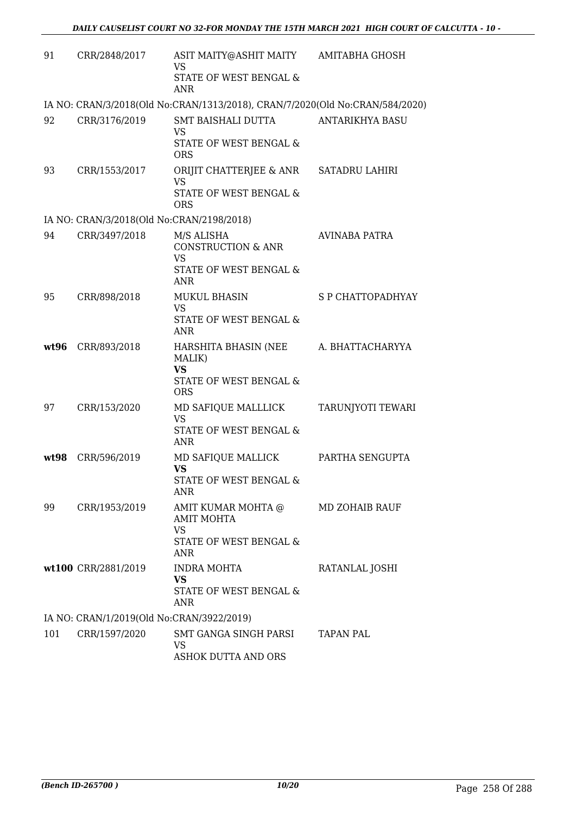| 91   | CRR/2848/2017                             | ASIT MAITY@ASHIT MAITY<br><b>VS</b><br>STATE OF WEST BENGAL &<br><b>ANR</b>                      | AMITABHA GHOSH         |
|------|-------------------------------------------|--------------------------------------------------------------------------------------------------|------------------------|
|      |                                           | IA NO: CRAN/3/2018(Old No:CRAN/1313/2018), CRAN/7/2020(Old No:CRAN/584/2020)                     |                        |
| 92   | CRR/3176/2019                             | SMT BAISHALI DUTTA<br><b>VS</b><br><b>STATE OF WEST BENGAL &amp;</b><br><b>ORS</b>               | <b>ANTARIKHYA BASU</b> |
| 93   | CRR/1553/2017                             | ORIJIT CHATTERJEE & ANR<br><b>VS</b><br>STATE OF WEST BENGAL &<br><b>ORS</b>                     | <b>SATADRU LAHIRI</b>  |
|      | IA NO: CRAN/3/2018(Old No:CRAN/2198/2018) |                                                                                                  |                        |
| 94   | CRR/3497/2018                             | M/S ALISHA<br><b>CONSTRUCTION &amp; ANR</b><br><b>VS</b><br>STATE OF WEST BENGAL &<br><b>ANR</b> | AVINABA PATRA          |
| 95   | CRR/898/2018                              | <b>MUKUL BHASIN</b><br><b>VS</b><br>STATE OF WEST BENGAL &<br><b>ANR</b>                         | S P CHATTOPADHYAY      |
| wt96 | CRR/893/2018                              | HARSHITA BHASIN (NEE<br>MALIK)<br><b>VS</b><br>STATE OF WEST BENGAL &<br><b>ORS</b>              | A. BHATTACHARYYA       |
| 97   | CRR/153/2020                              | MD SAFIQUE MALLLICK<br><b>VS</b><br>STATE OF WEST BENGAL &<br><b>ANR</b>                         | TARUNJYOTI TEWARI      |
| wt98 | CRR/596/2019                              | MD SAFIQUE MALLICK<br><b>VS</b><br>STATE OF WEST BENGAL &<br>ANR                                 | PARTHA SENGUPTA        |
| 99   | CRR/1953/2019                             | AMIT KUMAR MOHTA @<br><b>AMIT MOHTA</b><br>VS<br>STATE OF WEST BENGAL &<br>ANR                   | MD ZOHAIB RAUF         |
|      | wt100 CRR/2881/2019                       | <b>INDRA MOHTA</b><br><b>VS</b><br>STATE OF WEST BENGAL &<br>ANR                                 | RATANLAL JOSHI         |
|      | IA NO: CRAN/1/2019(Old No:CRAN/3922/2019) |                                                                                                  |                        |
| 101  | CRR/1597/2020                             | SMT GANGA SINGH PARSI<br>VS<br><b>ASHOK DUTTA AND ORS</b>                                        | TAPAN PAL              |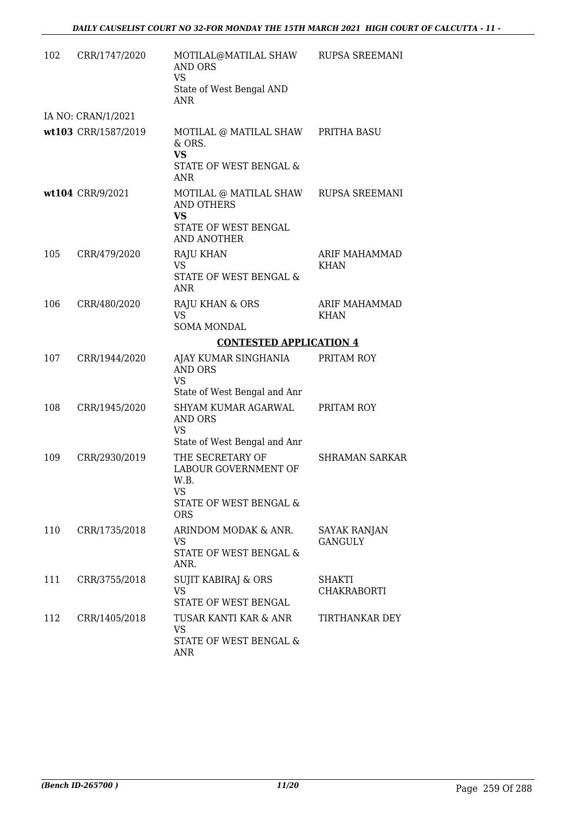| 102 | CRR/1747/2020                  | MOTILAL@MATILAL SHAW<br><b>AND ORS</b><br><b>VS</b><br>State of West Bengal AND<br>ANR                 | RUPSA SREEMANI                      |  |  |
|-----|--------------------------------|--------------------------------------------------------------------------------------------------------|-------------------------------------|--|--|
|     | IA NO: CRAN/1/2021             |                                                                                                        |                                     |  |  |
|     | wt103 CRR/1587/2019            | MOTILAL @ MATILAL SHAW<br>& ORS.<br><b>VS</b><br>STATE OF WEST BENGAL &<br><b>ANR</b>                  | PRITHA BASU                         |  |  |
|     | wt104 CRR/9/2021               | MOTILAL @ MATILAL SHAW<br><b>AND OTHERS</b><br><b>VS</b><br>STATE OF WEST BENGAL<br><b>AND ANOTHER</b> | RUPSA SREEMANI                      |  |  |
| 105 | CRR/479/2020                   | <b>RAJU KHAN</b><br><b>VS</b><br>STATE OF WEST BENGAL &<br>ANR                                         | <b>ARIF MAHAMMAD</b><br><b>KHAN</b> |  |  |
| 106 | CRR/480/2020                   | RAJU KHAN & ORS<br><b>VS</b><br><b>SOMA MONDAL</b>                                                     | ARIF MAHAMMAD<br><b>KHAN</b>        |  |  |
|     | <b>CONTESTED APPLICATION 4</b> |                                                                                                        |                                     |  |  |
| 107 | CRR/1944/2020                  | AJAY KUMAR SINGHANIA<br><b>AND ORS</b><br><b>VS</b><br>State of West Bengal and Anr                    | PRITAM ROY                          |  |  |
| 108 | CRR/1945/2020                  | SHYAM KUMAR AGARWAL<br>AND ORS<br><b>VS</b><br>State of West Bengal and Anr                            | PRITAM ROY                          |  |  |
| 109 | CRR/2930/2019                  | THE SECRETARY OF<br>LABOUR GOVERNMENT OF<br>W.B.<br>VS<br>STATE OF WEST BENGAL &<br><b>ORS</b>         | <b>SHRAMAN SARKAR</b>               |  |  |
| 110 | CRR/1735/2018                  | ARINDOM MODAK & ANR.<br><b>VS</b><br>STATE OF WEST BENGAL &<br>ANR.                                    | SAYAK RANJAN<br><b>GANGULY</b>      |  |  |
| 111 | CRR/3755/2018                  | <b>SUJIT KABIRAJ &amp; ORS</b><br><b>VS</b><br>STATE OF WEST BENGAL                                    | SHAKTI<br>CHAKRABORTI               |  |  |
| 112 | CRR/1405/2018                  | TUSAR KANTI KAR & ANR<br><b>VS</b><br>STATE OF WEST BENGAL &<br>ANR                                    | TIRTHANKAR DEY                      |  |  |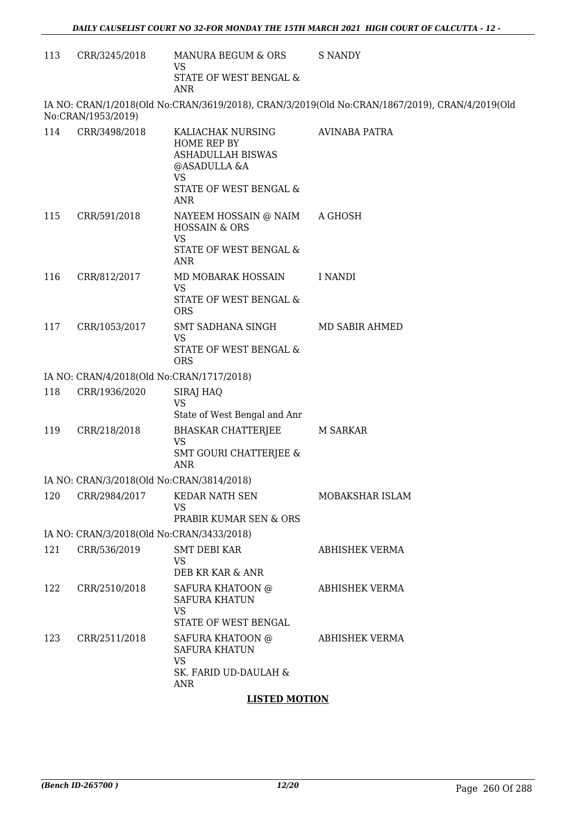113 CRR/3245/2018 MANURA BEGUM & ORS VS STATE OF WEST BENGAL & ANR S NANDY

IA NO: CRAN/1/2018(Old No:CRAN/3619/2018), CRAN/3/2019(Old No:CRAN/1867/2019), CRAN/4/2019(Old No:CRAN/1953/2019)

| 114 | CRR/3498/2018                             | KALIACHAK NURSING<br>HOME REP BY<br>ASHADULLAH BISWAS<br>@ASADULLA &A<br><b>VS</b><br>STATE OF WEST BENGAL &<br><b>ANR</b> | <b>AVINABA PATRA</b>  |
|-----|-------------------------------------------|----------------------------------------------------------------------------------------------------------------------------|-----------------------|
|     | 115 CRR/591/2018                          | NAYEEM HOSSAIN @ NAIM<br><b>HOSSAIN &amp; ORS</b><br><b>VS</b><br>STATE OF WEST BENGAL &<br>ANR                            | A GHOSH               |
| 116 | CRR/812/2017                              | MD MOBARAK HOSSAIN<br><b>VS</b><br>STATE OF WEST BENGAL &<br><b>ORS</b>                                                    | I NANDI               |
| 117 | CRR/1053/2017                             | SMT SADHANA SINGH<br>VS.<br>STATE OF WEST BENGAL &<br><b>ORS</b>                                                           | MD SABIR AHMED        |
|     | IA NO: CRAN/4/2018(Old No:CRAN/1717/2018) |                                                                                                                            |                       |
| 118 | CRR/1936/2020                             | <b>SIRAJ HAQ</b><br><b>VS</b><br>State of West Bengal and Anr                                                              |                       |
| 119 | CRR/218/2018                              | <b>BHASKAR CHATTERJEE</b><br><b>VS</b><br><b>SMT GOURI CHATTERJEE &amp;</b><br><b>ANR</b>                                  | M SARKAR              |
|     | IA NO: CRAN/3/2018(Old No:CRAN/3814/2018) |                                                                                                                            |                       |
| 120 | CRR/2984/2017                             | KEDAR NATH SEN<br>VS<br>PRABIR KUMAR SEN & ORS                                                                             | MOBAKSHAR ISLAM       |
|     | IA NO: CRAN/3/2018(Old No:CRAN/3433/2018) |                                                                                                                            |                       |
| 121 | CRR/536/2019                              | <b>SMT DEBI KAR</b><br>VS                                                                                                  | <b>ABHISHEK VERMA</b> |
| 122 | CRR/2510/2018                             | DEB KR KAR & ANR<br>SAFURA KHATOON @<br><b>SAFURA KHATUN</b><br><b>VS</b><br>STATE OF WEST BENGAL                          | ABHISHEK VERMA        |
| 123 | CRR/2511/2018                             | SAFURA KHATOON @<br><b>SAFURA KHATUN</b><br><b>VS</b><br>SK. FARID UD-DAULAH &<br><b>ANR</b>                               | ABHISHEK VERMA        |

#### **LISTED MOTION**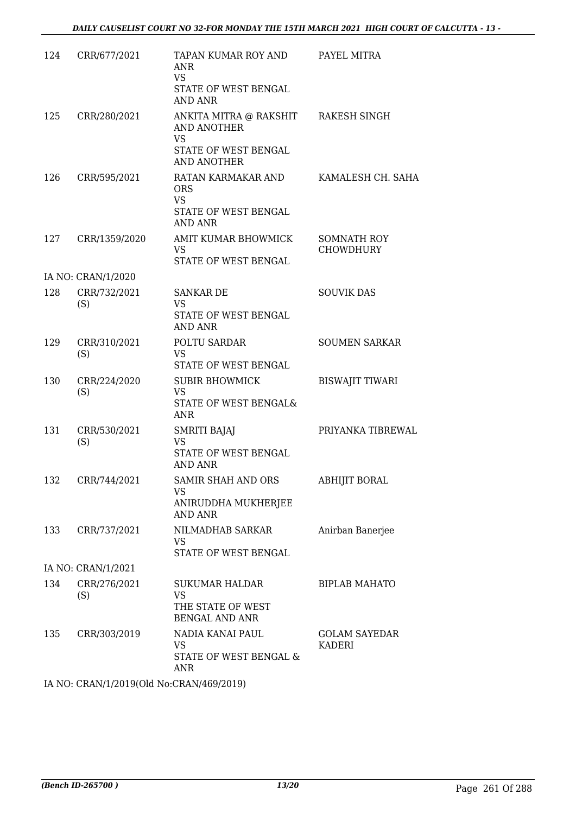| 124 | CRR/677/2021        | TAPAN KUMAR ROY AND<br>ANR<br><b>VS</b><br>STATE OF WEST BENGAL<br><b>AND ANR</b>                             | PAYEL MITRA                     |
|-----|---------------------|---------------------------------------------------------------------------------------------------------------|---------------------------------|
| 125 | CRR/280/2021        | ANKITA MITRA @ RAKSHIT RAKESH SINGH<br>AND ANOTHER<br><b>VS</b><br>STATE OF WEST BENGAL<br><b>AND ANOTHER</b> |                                 |
| 126 | CRR/595/2021        | RATAN KARMAKAR AND<br><b>ORS</b><br><b>VS</b><br>STATE OF WEST BENGAL<br><b>AND ANR</b>                       | KAMALESH CH. SAHA               |
| 127 | CRR/1359/2020       | AMIT KUMAR BHOWMICK<br><b>VS</b><br>STATE OF WEST BENGAL                                                      | <b>SOMNATH ROY</b><br>CHOWDHURY |
|     | IA NO: CRAN/1/2020  |                                                                                                               |                                 |
| 128 | CRR/732/2021<br>(S) | <b>SANKAR DE</b><br><b>VS</b><br>STATE OF WEST BENGAL<br><b>AND ANR</b>                                       | <b>SOUVIK DAS</b>               |
| 129 | CRR/310/2021<br>(S) | POLTU SARDAR<br><b>VS</b><br>STATE OF WEST BENGAL                                                             | <b>SOUMEN SARKAR</b>            |
| 130 | CRR/224/2020<br>(S) | <b>SUBIR BHOWMICK</b><br><b>VS</b><br>STATE OF WEST BENGAL&<br>ANR                                            | <b>BISWAJIT TIWARI</b>          |
| 131 | CRR/530/2021<br>(S) | <b>SMRITI BAJAJ</b><br><b>VS</b><br>STATE OF WEST BENGAL<br><b>AND ANR</b>                                    | PRIYANKA TIBREWAL               |
| 132 | CRR/744/2021        | SAMIR SHAH AND ORS<br>VS<br>ANIRUDDHA MUKHERJEE<br><b>AND ANR</b>                                             | ABHIJIT BORAL                   |
| 133 | CRR/737/2021        | NILMADHAB SARKAR<br>VS.<br>STATE OF WEST BENGAL                                                               | Anirban Banerjee                |
|     | IA NO: CRAN/1/2021  |                                                                                                               |                                 |
| 134 | CRR/276/2021<br>(S) | SUKUMAR HALDAR<br><b>VS</b><br>THE STATE OF WEST<br><b>BENGAL AND ANR</b>                                     | <b>BIPLAB MAHATO</b>            |
| 135 | CRR/303/2019        | NADIA KANAI PAUL<br>VS<br>STATE OF WEST BENGAL &<br><b>ANR</b>                                                | <b>GOLAM SAYEDAR</b><br>KADERI  |
|     | 111110040(01111     | $T/A$ $CQ$ $R$ $Q$ $A$ $Q$                                                                                    |                                 |

IA NO: CRAN/1/2019(Old No:CRAN/469/2019)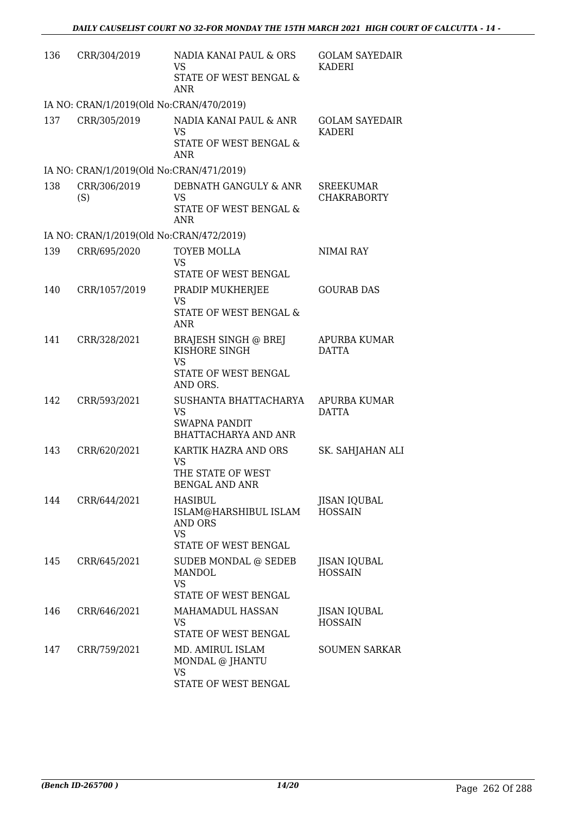| 136 | CRR/304/2019                             | NADIA KANAI PAUL & ORS<br><b>VS</b><br>STATE OF WEST BENGAL &                                         | <b>GOLAM SAYEDAIR</b><br>KADERI        |
|-----|------------------------------------------|-------------------------------------------------------------------------------------------------------|----------------------------------------|
|     | IA NO: CRAN/1/2019(Old No:CRAN/470/2019) | <b>ANR</b>                                                                                            |                                        |
| 137 | CRR/305/2019                             | NADIA KANAI PAUL & ANR<br>VS<br>STATE OF WEST BENGAL &<br><b>ANR</b>                                  | <b>GOLAM SAYEDAIR</b><br><b>KADERI</b> |
|     | IA NO: CRAN/1/2019(Old No:CRAN/471/2019) |                                                                                                       |                                        |
| 138 | CRR/306/2019<br>(S)                      | DEBNATH GANGULY & ANR<br><b>VS</b><br>STATE OF WEST BENGAL &<br>ANR                                   | <b>SREEKUMAR</b><br><b>CHAKRABORTY</b> |
|     | IA NO: CRAN/1/2019(Old No:CRAN/472/2019) |                                                                                                       |                                        |
| 139 | CRR/695/2020                             | TOYEB MOLLA<br>VS<br>STATE OF WEST BENGAL                                                             | NIMAI RAY                              |
| 140 | CRR/1057/2019                            | PRADIP MUKHERJEE<br><b>VS</b><br>STATE OF WEST BENGAL &<br><b>ANR</b>                                 | <b>GOURAB DAS</b>                      |
| 141 | CRR/328/2021                             | <b>BRAJESH SINGH @ BREJ</b><br>KISHORE SINGH<br><b>VS</b><br>STATE OF WEST BENGAL                     | APURBA KUMAR<br><b>DATTA</b>           |
| 142 | CRR/593/2021                             | AND ORS.<br>SUSHANTA BHATTACHARYA<br><b>VS</b><br><b>SWAPNA PANDIT</b><br><b>BHATTACHARYA AND ANR</b> | <b>APURBA KUMAR</b><br><b>DATTA</b>    |
| 143 | CRR/620/2021                             | KARTIK HAZRA AND ORS<br><b>VS</b><br>THE STATE OF WEST<br><b>BENGAL AND ANR</b>                       | SK. SAHJAHAN ALI                       |
| 144 | CRR/644/2021                             | HASIBUL<br>ISLAM@HARSHIBUL ISLAM<br>AND ORS<br><b>VS</b><br>STATE OF WEST BENGAL                      | <b>JISAN IQUBAL</b><br><b>HOSSAIN</b>  |
| 145 | CRR/645/2021                             | SUDEB MONDAL @ SEDEB<br>MANDOL.<br><b>VS</b><br>STATE OF WEST BENGAL                                  | JISAN IQUBAL<br><b>HOSSAIN</b>         |
| 146 | CRR/646/2021                             | MAHAMADUL HASSAN<br>VS<br>STATE OF WEST BENGAL                                                        | JISAN IQUBAL<br><b>HOSSAIN</b>         |
| 147 | CRR/759/2021                             | MD. AMIRUL ISLAM<br>MONDAL @ JHANTU<br><b>VS</b><br>STATE OF WEST BENGAL                              | <b>SOUMEN SARKAR</b>                   |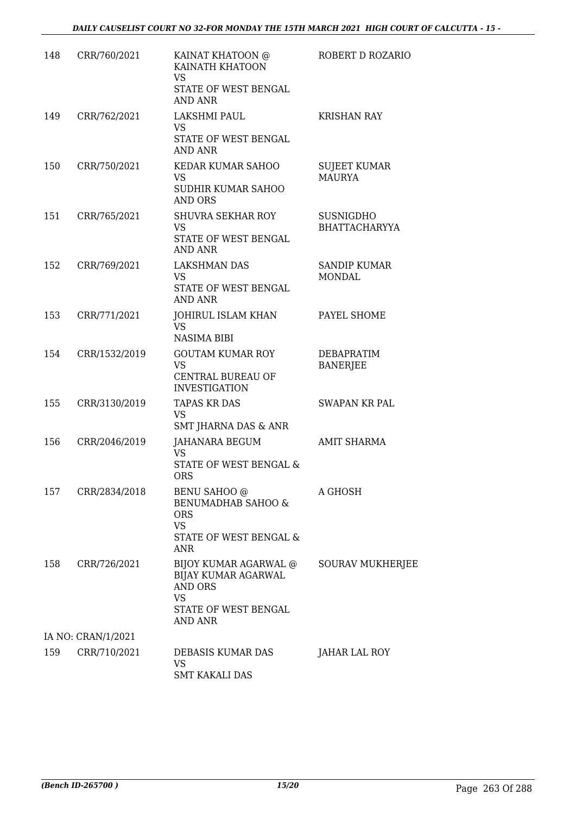| 148 | CRR/760/2021       | KAINAT KHATOON @<br>KAINATH KHATOON<br><b>VS</b><br>STATE OF WEST BENGAL<br><b>AND ANR</b>            | ROBERT D ROZARIO                     |
|-----|--------------------|-------------------------------------------------------------------------------------------------------|--------------------------------------|
| 149 | CRR/762/2021       | LAKSHMI PAUL<br>VS<br>STATE OF WEST BENGAL<br><b>AND ANR</b>                                          | <b>KRISHAN RAY</b>                   |
| 150 | CRR/750/2021       | KEDAR KUMAR SAHOO<br>VS<br><b>SUDHIR KUMAR SAHOO</b><br>AND ORS                                       | SUJEET KUMAR<br><b>MAURYA</b>        |
| 151 | CRR/765/2021       | <b>SHUVRA SEKHAR ROY</b><br>VS<br>STATE OF WEST BENGAL<br><b>AND ANR</b>                              | SUSNIGDHO<br><b>BHATTACHARYYA</b>    |
| 152 | CRR/769/2021       | <b>LAKSHMAN DAS</b><br>VS<br>STATE OF WEST BENGAL<br><b>AND ANR</b>                                   | <b>SANDIP KUMAR</b><br>MONDAL        |
| 153 | CRR/771/2021       | JOHIRUL ISLAM KHAN<br><b>VS</b><br><b>NASIMA BIBI</b>                                                 | PAYEL SHOME                          |
| 154 | CRR/1532/2019      | <b>GOUTAM KUMAR ROY</b><br><b>VS</b><br>CENTRAL BUREAU OF<br><b>INVESTIGATION</b>                     | <b>DEBAPRATIM</b><br><b>BANERJEE</b> |
| 155 | CRR/3130/2019      | <b>TAPAS KR DAS</b><br>VS<br>SMT JHARNA DAS & ANR                                                     | SWAPAN KR PAL                        |
| 156 | CRR/2046/2019      | JAHANARA BEGUM<br><b>VS</b><br>STATE OF WEST BENGAL &<br><b>ORS</b>                                   | <b>AMIT SHARMA</b>                   |
| 157 | CRR/2834/2018      | BENU SAHOO @<br>BENUMADHAB SAHOO &<br><b>ORS</b><br><b>VS</b><br>STATE OF WEST BENGAL &<br><b>ANR</b> | A GHOSH                              |
| 158 | CRR/726/2021       | BIJOY KUMAR AGARWAL @<br>BIJAY KUMAR AGARWAL<br>AND ORS<br>VS<br>STATE OF WEST BENGAL<br>AND ANR      | SOURAV MUKHERJEE                     |
|     | IA NO: CRAN/1/2021 |                                                                                                       |                                      |
| 159 | CRR/710/2021       | DEBASIS KUMAR DAS<br><b>VS</b><br><b>SMT KAKALI DAS</b>                                               | JAHAR LAL ROY                        |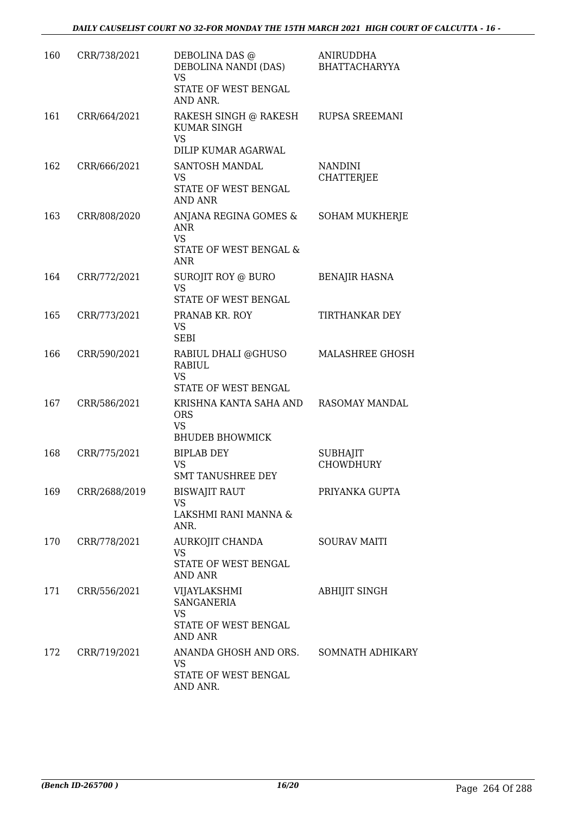| 160 | CRR/738/2021  | DEBOLINA DAS @<br>DEBOLINA NANDI (DAS)<br><b>VS</b><br>STATE OF WEST BENGAL<br>AND ANR.      | <b>ANIRUDDHA</b><br><b>BHATTACHARYYA</b> |
|-----|---------------|----------------------------------------------------------------------------------------------|------------------------------------------|
| 161 | CRR/664/2021  | RAKESH SINGH @ RAKESH<br><b>KUMAR SINGH</b><br><b>VS</b>                                     | RUPSA SREEMANI                           |
| 162 | CRR/666/2021  | DILIP KUMAR AGARWAL<br>SANTOSH MANDAL                                                        | <b>NANDINI</b>                           |
|     |               | <b>VS</b>                                                                                    | <b>CHATTERJEE</b>                        |
|     |               | STATE OF WEST BENGAL<br><b>AND ANR</b>                                                       |                                          |
| 163 | CRR/808/2020  | ANJANA REGINA GOMES &<br>ANR<br><b>VS</b><br>STATE OF WEST BENGAL &<br><b>ANR</b>            | <b>SOHAM MUKHERJE</b>                    |
| 164 | CRR/772/2021  | SUROJIT ROY @ BURO                                                                           | <b>BENAJIR HASNA</b>                     |
|     |               | <b>VS</b><br>STATE OF WEST BENGAL                                                            |                                          |
| 165 | CRR/773/2021  | PRANAB KR. ROY<br><b>VS</b><br><b>SEBI</b>                                                   | TIRTHANKAR DEY                           |
| 166 | CRR/590/2021  | RABIUL DHALI @GHUSO<br><b>RABIUL</b><br><b>VS</b><br>STATE OF WEST BENGAL                    | MALASHREE GHOSH                          |
| 167 | CRR/586/2021  | KRISHNA KANTA SAHA AND<br><b>ORS</b><br><b>VS</b><br><b>BHUDEB BHOWMICK</b>                  | RASOMAY MANDAL                           |
| 168 | CRR/775/2021  | <b>BIPLAB DEY</b>                                                                            | <b>SUBHAJIT</b>                          |
|     |               | <b>VS</b><br><b>SMT TANUSHREE DEY</b>                                                        | <b>CHOWDHURY</b>                         |
| 169 | CRR/2688/2019 | <b>BISWAJIT RAUT</b>                                                                         | PRIYANKA GUPTA                           |
|     |               | <b>VS</b><br>LAKSHMI RANI MANNA &<br>ANR.                                                    |                                          |
| 170 | CRR/778/2021  | AURKOJIT CHANDA<br><b>VS</b><br>STATE OF WEST BENGAL<br>AND ANR                              | <b>SOURAV MAITI</b>                      |
| 171 | CRR/556/2021  | VIJAYLAKSHMI<br><b>SANGANERIA</b><br><b>VS</b><br>STATE OF WEST BENGAL                       | <b>ABHIJIT SINGH</b>                     |
| 172 | CRR/719/2021  | AND ANR<br>ANANDA GHOSH AND ORS. SOMNATH ADHIKARY<br>VS.<br>STATE OF WEST BENGAL<br>AND ANR. |                                          |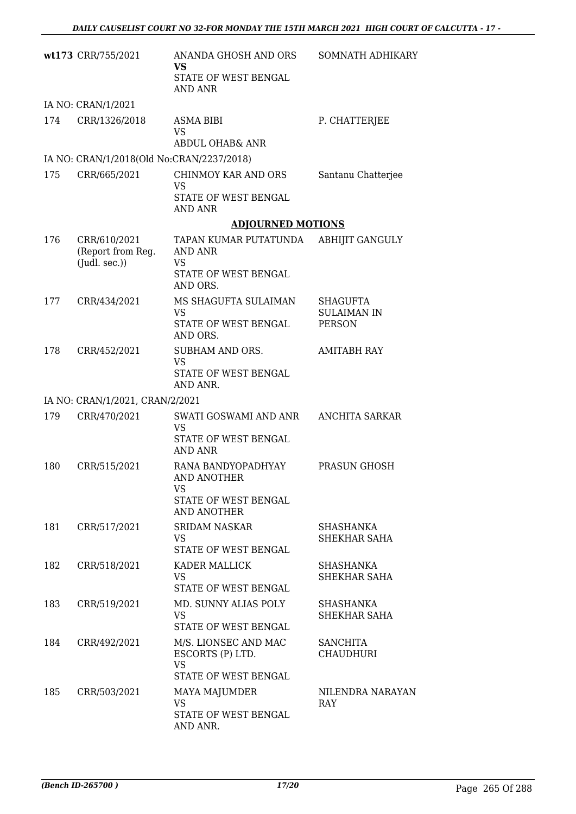|     | wt173 CRR/755/2021                        | ANANDA GHOSH AND ORS<br><b>VS</b><br>STATE OF WEST BENGAL<br>AND ANR                   | SOMNATH ADHIKARY                                       |
|-----|-------------------------------------------|----------------------------------------------------------------------------------------|--------------------------------------------------------|
|     | IA NO: CRAN/1/2021                        |                                                                                        |                                                        |
| 174 | CRR/1326/2018                             | <b>ASMA BIBI</b><br><b>VS</b><br>ABDUL OHAB& ANR                                       | P. CHATTERJEE                                          |
|     | IA NO: CRAN/1/2018(Old No:CRAN/2237/2018) |                                                                                        |                                                        |
| 175 | CRR/665/2021                              | CHINMOY KAR AND ORS<br>VS<br>STATE OF WEST BENGAL                                      | Santanu Chatterjee                                     |
|     |                                           | <b>AND ANR</b><br><b>ADJOURNED MOTIONS</b>                                             |                                                        |
| 176 | CRR/610/2021                              | TAPAN KUMAR PUTATUNDA                                                                  | <b>ABHIJIT GANGULY</b>                                 |
|     | (Report from Reg.<br>(Judl. sec.))        | AND ANR<br><b>VS</b><br>STATE OF WEST BENGAL<br>AND ORS.                               |                                                        |
| 177 | CRR/434/2021                              | MS SHAGUFTA SULAIMAN<br><b>VS</b><br>STATE OF WEST BENGAL<br>AND ORS.                  | <b>SHAGUFTA</b><br><b>SULAIMAN IN</b><br><b>PERSON</b> |
| 178 | CRR/452/2021                              | SUBHAM AND ORS.<br><b>VS</b><br>STATE OF WEST BENGAL<br>AND ANR.                       | <b>AMITABH RAY</b>                                     |
|     | IA NO: CRAN/1/2021, CRAN/2/2021           |                                                                                        |                                                        |
| 179 | CRR/470/2021                              | SWATI GOSWAMI AND ANR<br>VS<br>STATE OF WEST BENGAL<br>AND ANR                         | <b>ANCHITA SARKAR</b>                                  |
| 180 | CRR/515/2021                              | RANA BANDYOPADHYAY<br>AND ANOTHER<br>VS.<br>STATE OF WEST BENGAL<br><b>AND ANOTHER</b> | PRASUN GHOSH                                           |
| 181 | CRR/517/2021                              | <b>SRIDAM NASKAR</b><br><b>VS</b><br>STATE OF WEST BENGAL                              | SHASHANKA<br>SHEKHAR SAHA                              |
| 182 | CRR/518/2021                              | KADER MALLICK<br><b>VS</b><br>STATE OF WEST BENGAL                                     | <b>SHASHANKA</b><br>SHEKHAR SAHA                       |
| 183 | CRR/519/2021                              | MD. SUNNY ALIAS POLY<br><b>VS</b><br>STATE OF WEST BENGAL                              | SHASHANKA<br>SHEKHAR SAHA                              |
| 184 | CRR/492/2021                              | M/S. LIONSEC AND MAC<br>ESCORTS (P) LTD.<br><b>VS</b><br>STATE OF WEST BENGAL          | <b>SANCHITA</b><br><b>CHAUDHURI</b>                    |
| 185 | CRR/503/2021                              | <b>MAYA MAJUMDER</b><br><b>VS</b><br>STATE OF WEST BENGAL<br>AND ANR.                  | NILENDRA NARAYAN<br>RAY                                |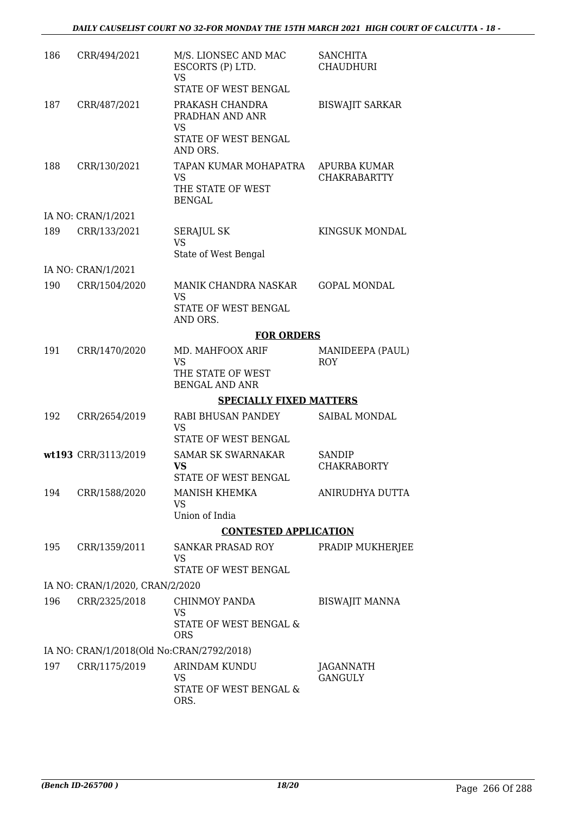| 186 | CRR/494/2021                              | M/S. LIONSEC AND MAC<br>ESCORTS (P) LTD.<br><b>VS</b><br>STATE OF WEST BENGAL | <b>SANCHITA</b><br><b>CHAUDHURI</b> |
|-----|-------------------------------------------|-------------------------------------------------------------------------------|-------------------------------------|
| 187 | CRR/487/2021                              | PRAKASH CHANDRA<br>PRADHAN AND ANR<br>VS                                      | <b>BISWAJIT SARKAR</b>              |
|     |                                           | STATE OF WEST BENGAL<br>AND ORS.                                              |                                     |
| 188 | CRR/130/2021                              | TAPAN KUMAR MOHAPATRA<br><b>VS</b><br>THE STATE OF WEST<br><b>BENGAL</b>      | APURBA KUMAR<br><b>CHAKRABARTTY</b> |
|     | IA NO: CRAN/1/2021                        |                                                                               |                                     |
| 189 | CRR/133/2021                              | <b>SERAJUL SK</b><br><b>VS</b><br>State of West Bengal                        | KINGSUK MONDAL                      |
|     | IA NO: CRAN/1/2021                        |                                                                               |                                     |
| 190 | CRR/1504/2020                             | MANIK CHANDRA NASKAR<br>VS<br>STATE OF WEST BENGAL                            | <b>GOPAL MONDAL</b>                 |
|     |                                           | AND ORS.                                                                      |                                     |
| 191 |                                           | <b>FOR ORDERS</b><br>MD. MAHFOOX ARIF                                         |                                     |
|     | CRR/1470/2020                             | <b>VS</b><br>THE STATE OF WEST<br><b>BENGAL AND ANR</b>                       | MANIDEEPA (PAUL)<br><b>ROY</b>      |
|     |                                           | <b>SPECIALLY FIXED MATTERS</b>                                                |                                     |
| 192 | CRR/2654/2019                             | RABI BHUSAN PANDEY<br><b>VS</b>                                               | SAIBAL MONDAL                       |
|     |                                           | STATE OF WEST BENGAL                                                          |                                     |
|     | wt193 CRR/3113/2019                       | <b>SAMAR SK SWARNAKAR</b><br><b>VS</b><br>STATE OF WEST BENGAL                | <b>SANDIP</b><br><b>CHAKRABORTY</b> |
| 194 | CRR/1588/2020                             | MANISH KHEMKA<br>VS                                                           | ANIRUDHYA DUTTA                     |
|     |                                           | Union of India                                                                |                                     |
|     |                                           | <b>CONTESTED APPLICATION</b>                                                  |                                     |
| 195 | CRR/1359/2011                             | SANKAR PRASAD ROY<br><b>VS</b><br>STATE OF WEST BENGAL                        | PRADIP MUKHERJEE                    |
|     | IA NO: CRAN/1/2020, CRAN/2/2020           |                                                                               |                                     |
| 196 | CRR/2325/2018                             | CHINMOY PANDA                                                                 | <b>BISWAJIT MANNA</b>               |
|     |                                           | <b>VS</b><br>STATE OF WEST BENGAL &<br><b>ORS</b>                             |                                     |
|     | IA NO: CRAN/1/2018(Old No:CRAN/2792/2018) |                                                                               |                                     |
| 197 | CRR/1175/2019                             | ARINDAM KUNDU<br>VS                                                           | JAGANNATH<br><b>GANGULY</b>         |
|     |                                           | STATE OF WEST BENGAL &<br>ORS.                                                |                                     |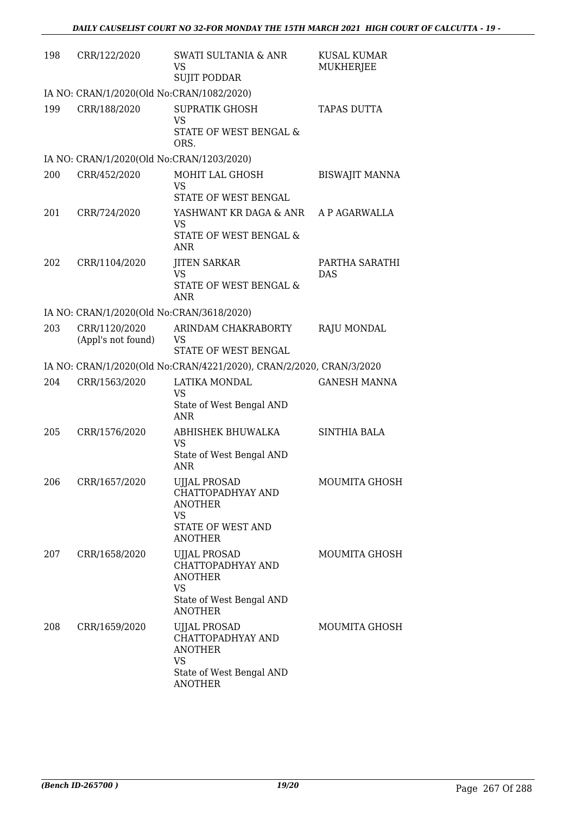| 198 | CRR/122/2020                              | SWATI SULTANIA & ANR<br>VS<br><b>SUJIT PODDAR</b>                                                                     | <b>KUSAL KUMAR</b><br>MUKHERJEE |  |  |  |
|-----|-------------------------------------------|-----------------------------------------------------------------------------------------------------------------------|---------------------------------|--|--|--|
|     | IA NO: CRAN/1/2020(Old No:CRAN/1082/2020) |                                                                                                                       |                                 |  |  |  |
| 199 | CRR/188/2020                              | <b>SUPRATIK GHOSH</b><br><b>VS</b><br>STATE OF WEST BENGAL &<br>ORS.                                                  | <b>TAPAS DUTTA</b>              |  |  |  |
|     | IA NO: CRAN/1/2020(Old No:CRAN/1203/2020) |                                                                                                                       |                                 |  |  |  |
| 200 | CRR/452/2020                              | MOHIT LAL GHOSH<br>VS<br>STATE OF WEST BENGAL                                                                         | <b>BISWAJIT MANNA</b>           |  |  |  |
| 201 | CRR/724/2020                              | YASHWANT KR DAGA & ANR<br><b>VS</b><br>STATE OF WEST BENGAL &<br><b>ANR</b>                                           | A P AGARWALLA                   |  |  |  |
| 202 | CRR/1104/2020                             | <b>JITEN SARKAR</b><br><b>VS</b><br>STATE OF WEST BENGAL &<br>ANR                                                     | PARTHA SARATHI<br><b>DAS</b>    |  |  |  |
|     | IA NO: CRAN/1/2020(Old No:CRAN/3618/2020) |                                                                                                                       |                                 |  |  |  |
| 203 | CRR/1120/2020<br>(Appl's not found)       | ARINDAM CHAKRABORTY<br><b>VS</b><br>STATE OF WEST BENGAL                                                              | RAJU MONDAL                     |  |  |  |
|     |                                           | IA NO: CRAN/1/2020(Old No:CRAN/4221/2020), CRAN/2/2020, CRAN/3/2020                                                   |                                 |  |  |  |
| 204 | CRR/1563/2020                             | LATIKA MONDAL<br>VS                                                                                                   | <b>GANESH MANNA</b>             |  |  |  |
|     |                                           | State of West Bengal AND<br><b>ANR</b>                                                                                |                                 |  |  |  |
| 205 | CRR/1576/2020                             | ABHISHEK BHUWALKA<br><b>VS</b><br>State of West Bengal AND<br><b>ANR</b>                                              | <b>SINTHIA BALA</b>             |  |  |  |
| 206 | CRR/1657/2020                             | UJJAL PROSAD<br>CHATTOPADHYAY AND<br><b>ANOTHER</b><br><b>VS</b><br>STATE OF WEST AND<br><b>ANOTHER</b>               | MOUMITA GHOSH                   |  |  |  |
| 207 | CRR/1658/2020                             | <b>UJJAL PROSAD</b><br>CHATTOPADHYAY AND<br><b>ANOTHER</b><br><b>VS</b><br>State of West Bengal AND<br><b>ANOTHER</b> | MOUMITA GHOSH                   |  |  |  |
| 208 | CRR/1659/2020                             | UJJAL PROSAD<br>CHATTOPADHYAY AND<br><b>ANOTHER</b><br><b>VS</b><br>State of West Bengal AND<br><b>ANOTHER</b>        | MOUMITA GHOSH                   |  |  |  |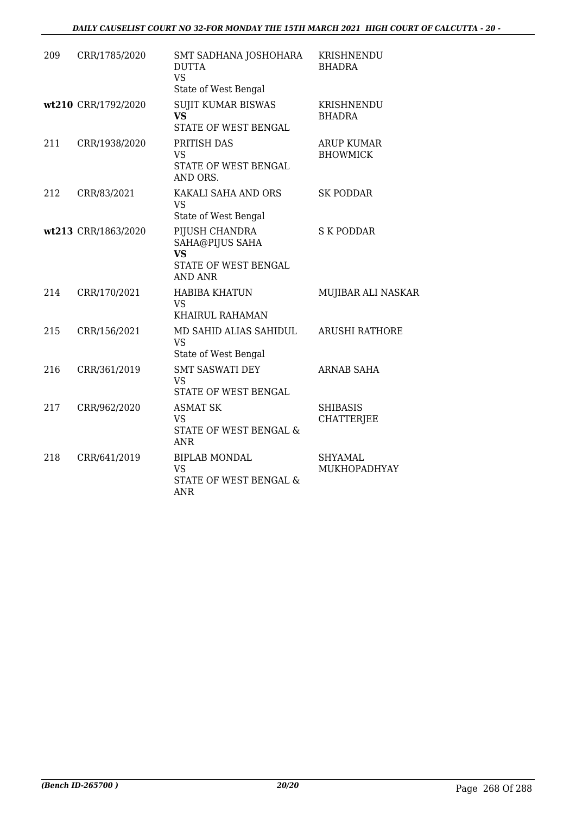| 209 | CRR/1785/2020       | SMT SADHANA JOSHOHARA<br><b>DUTTA</b><br><b>VS</b><br>State of West Bengal               | KRISHNENDU<br><b>BHADRA</b>          |
|-----|---------------------|------------------------------------------------------------------------------------------|--------------------------------------|
|     | wt210 CRR/1792/2020 | <b>SUJIT KUMAR BISWAS</b><br><b>VS</b><br>STATE OF WEST BENGAL                           | KRISHNENDU<br><b>BHADRA</b>          |
| 211 | CRR/1938/2020       | PRITISH DAS<br>VS<br>STATE OF WEST BENGAL<br>AND ORS.                                    | <b>ARUP KUMAR</b><br><b>BHOWMICK</b> |
| 212 | CRR/83/2021         | KAKALI SAHA AND ORS<br><b>VS</b><br>State of West Bengal                                 | <b>SK PODDAR</b>                     |
|     | wt213 CRR/1863/2020 | PIJUSH CHANDRA<br>SAHA@PIJUS SAHA<br><b>VS</b><br>STATE OF WEST BENGAL<br><b>AND ANR</b> | <b>S K PODDAR</b>                    |
| 214 | CRR/170/2021        | <b>HABIBA KHATUN</b><br><b>VS</b><br>KHAIRUL RAHAMAN                                     | MUJIBAR ALI NASKAR                   |
| 215 | CRR/156/2021        | MD SAHID ALIAS SAHIDUL<br><b>VS</b><br>State of West Bengal                              | <b>ARUSHI RATHORE</b>                |
| 216 | CRR/361/2019        | <b>SMT SASWATI DEY</b><br>VS.<br>STATE OF WEST BENGAL                                    | <b>ARNAB SAHA</b>                    |
| 217 | CRR/962/2020        | <b>ASMAT SK</b><br>VS.<br>STATE OF WEST BENGAL &<br><b>ANR</b>                           | <b>SHIBASIS</b><br><b>CHATTERJEE</b> |
| 218 | CRR/641/2019        | <b>BIPLAB MONDAL</b><br><b>VS</b><br>STATE OF WEST BENGAL &<br><b>ANR</b>                | <b>SHYAMAL</b><br>MUKHOPADHYAY       |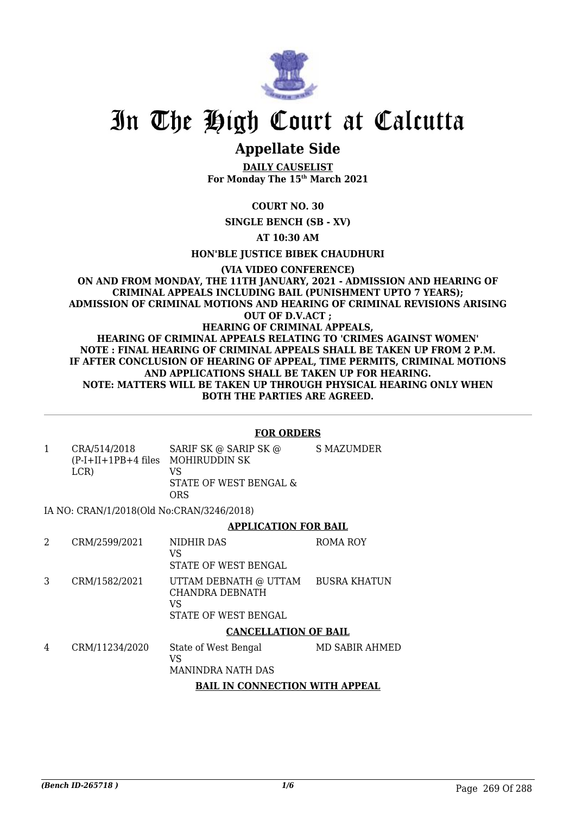

### **Appellate Side**

**DAILY CAUSELIST For Monday The 15th March 2021**

**COURT NO. 30**

**SINGLE BENCH (SB - XV)**

**AT 10:30 AM**

**HON'BLE JUSTICE BIBEK CHAUDHURI**

#### **(VIA VIDEO CONFERENCE) ON AND FROM MONDAY, THE 11TH JANUARY, 2021 - ADMISSION AND HEARING OF CRIMINAL APPEALS INCLUDING BAIL (PUNISHMENT UPTO 7 YEARS); ADMISSION OF CRIMINAL MOTIONS AND HEARING OF CRIMINAL REVISIONS ARISING OUT OF D.V.ACT ; HEARING OF CRIMINAL APPEALS, HEARING OF CRIMINAL APPEALS RELATING TO 'CRIMES AGAINST WOMEN' NOTE : FINAL HEARING OF CRIMINAL APPEALS SHALL BE TAKEN UP FROM 2 P.M. IF AFTER CONCLUSION OF HEARING OF APPEAL, TIME PERMITS, CRIMINAL MOTIONS AND APPLICATIONS SHALL BE TAKEN UP FOR HEARING. NOTE: MATTERS WILL BE TAKEN UP THROUGH PHYSICAL HEARING ONLY WHEN BOTH THE PARTIES ARE AGREED.**

#### **FOR ORDERS**

1 CRA/514/2018 (P-I+II+1PB+4 files MOHIRUDDIN SK LCR) SARIF SK @ SARIP SK @ VS STATE OF WEST BENGAL & ORS S MAZUMDER

IA NO: CRAN/1/2018(Old No:CRAN/3246/2018)

#### **APPLICATION FOR BAIL**

2 CRM/2599/2021 NIDHIR DAS VS STATE OF WEST BENGAL ROMA ROY 3 CRM/1582/2021 UTTAM DEBNATH @ UTTAM CHANDRA DEBNATH VS STATE OF WEST BENGAL BUSRA KHATUN

#### **CANCELLATION OF BAIL**

4 CRM/11234/2020 State of West Bengal VS MANINDRA NATH DAS MD SABIR AHMED **BAIL IN CONNECTION WITH APPEAL**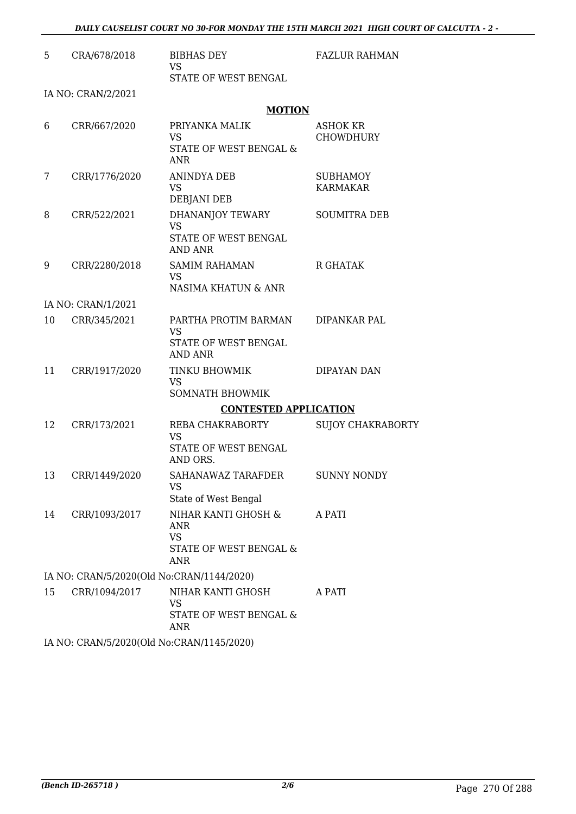| 5                                         | CRA/678/2018       | <b>BIBHAS DEY</b><br><b>VS</b>                                                             | <b>FAZLUR RAHMAN</b>                |  |
|-------------------------------------------|--------------------|--------------------------------------------------------------------------------------------|-------------------------------------|--|
|                                           |                    | STATE OF WEST BENGAL                                                                       |                                     |  |
|                                           | IA NO: CRAN/2/2021 | <b>MOTION</b>                                                                              |                                     |  |
| 6                                         | CRR/667/2020       | PRIYANKA MALIK<br><b>VS</b><br>STATE OF WEST BENGAL &<br><b>ANR</b>                        | <b>ASHOK KR</b><br><b>CHOWDHURY</b> |  |
| 7                                         | CRR/1776/2020      | ANINDYA DEB<br><b>VS</b><br>DEBJANI DEB                                                    | <b>SUBHAMOY</b><br><b>KARMAKAR</b>  |  |
| 8                                         | CRR/522/2021       | DHANANJOY TEWARY<br><b>VS</b><br>STATE OF WEST BENGAL<br><b>AND ANR</b>                    | <b>SOUMITRA DEB</b>                 |  |
| 9                                         | CRR/2280/2018      | <b>SAMIM RAHAMAN</b><br><b>VS</b><br>NASIMA KHATUN & ANR                                   | <b>R GHATAK</b>                     |  |
|                                           | IA NO: CRAN/1/2021 |                                                                                            |                                     |  |
| 10                                        | CRR/345/2021       | PARTHA PROTIM BARMAN<br>VS<br>STATE OF WEST BENGAL<br><b>AND ANR</b>                       | DIPANKAR PAL                        |  |
| 11                                        | CRR/1917/2020      | TINKU BHOWMIK<br><b>VS</b><br><b>SOMNATH BHOWMIK</b>                                       | DIPAYAN DAN                         |  |
|                                           |                    | <b>CONTESTED APPLICATION</b>                                                               |                                     |  |
| 12                                        | CRR/173/2021       | REBA CHAKRABORTY<br><b>VS</b><br>STATE OF WEST BENGAL<br>AND ORS.                          | <b>SUJOY CHAKRABORTY</b>            |  |
| 13                                        | CRR/1449/2020      | SAHANAWAZ TARAFDER<br>VS<br>State of West Bengal                                           | <b>SUNNY NONDY</b>                  |  |
| 14                                        | CRR/1093/2017      | NIHAR KANTI GHOSH &<br>ANR<br><b>VS</b><br><b>STATE OF WEST BENGAL &amp;</b><br><b>ANR</b> | A PATI                              |  |
| IA NO: CRAN/5/2020(Old No:CRAN/1144/2020) |                    |                                                                                            |                                     |  |
| 15                                        | CRR/1094/2017      | NIHAR KANTI GHOSH<br><b>VS</b><br>STATE OF WEST BENGAL &<br>ANR                            | A PATI                              |  |
| IA NO: CRAN/5/2020(Old No:CRAN/1145/2020) |                    |                                                                                            |                                     |  |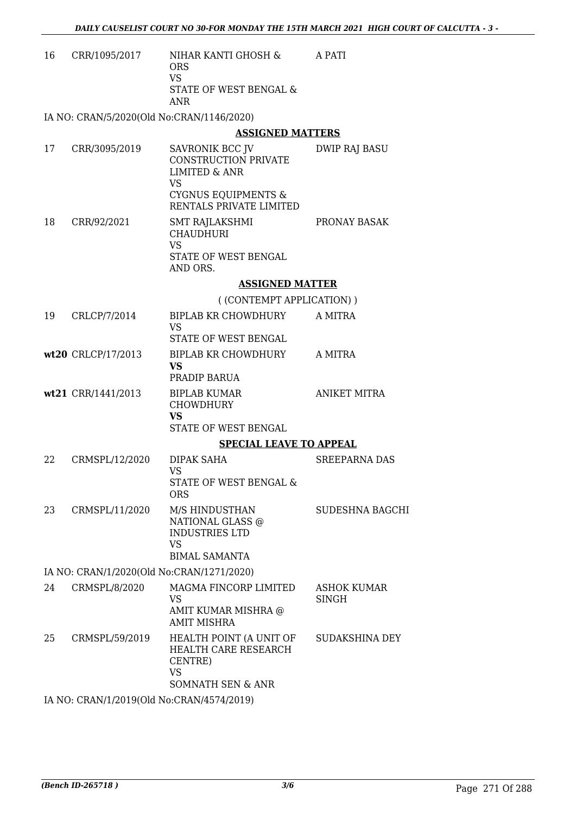| 16 | CRR/1095/2017 | NIHAR KANTI GHOSH &<br>ORS<br>VS<br>STATE OF WEST BENGAL &<br>ANR | A PATI |
|----|---------------|-------------------------------------------------------------------|--------|
|    |               |                                                                   |        |

IA NO: CRAN/5/2020(Old No:CRAN/1146/2020)

#### **ASSIGNED MATTERS**

|    |                                           | <u>AUSIONLD FIATTLENS</u>                                                           |                                    |
|----|-------------------------------------------|-------------------------------------------------------------------------------------|------------------------------------|
| 17 | CRR/3095/2019                             | SAVRONIK BCC JV<br><b>CONSTRUCTION PRIVATE</b><br><b>LIMITED &amp; ANR</b>          | DWIP RAJ BASU                      |
|    |                                           | VS<br><b>CYGNUS EQUIPMENTS &amp;</b><br>RENTALS PRIVATE LIMITED                     |                                    |
| 18 | CRR/92/2021                               | SMT RAJLAKSHMI<br><b>CHAUDHURI</b><br><b>VS</b><br>STATE OF WEST BENGAL<br>AND ORS. | PRONAY BASAK                       |
|    |                                           | <b>ASSIGNED MATTER</b>                                                              |                                    |
|    |                                           | ((CONTEMPT APPLICATION))                                                            |                                    |
| 19 | CRLCP/7/2014                              | BIPLAB KR CHOWDHURY<br><b>VS</b>                                                    | A MITRA                            |
|    |                                           | STATE OF WEST BENGAL                                                                |                                    |
|    | wt20 CRLCP/17/2013                        | BIPLAB KR CHOWDHURY<br><b>VS</b>                                                    | A MITRA                            |
|    |                                           | PRADIP BARUA                                                                        |                                    |
|    | wt21 CRR/1441/2013                        | <b>BIPLAB KUMAR</b><br><b>CHOWDHURY</b><br><b>VS</b>                                | <b>ANIKET MITRA</b>                |
|    |                                           | STATE OF WEST BENGAL                                                                |                                    |
|    |                                           | <b>SPECIAL LEAVE TO APPEAL</b>                                                      |                                    |
| 22 | CRMSPL/12/2020                            | DIPAK SAHA<br><b>VS</b><br>STATE OF WEST BENGAL &                                   | <b>SREEPARNA DAS</b>               |
|    |                                           | <b>ORS</b>                                                                          |                                    |
| 23 | CRMSPL/11/2020                            | M/S HINDUSTHAN<br>NATIONAL GLASS @<br><b>INDUSTRIES LTD</b><br><b>VS</b>            | <b>SUDESHNA BAGCHI</b>             |
|    |                                           | <b>BIMAL SAMANTA</b>                                                                |                                    |
|    | IA NO: CRAN/1/2020(Old No:CRAN/1271/2020) |                                                                                     |                                    |
| 24 | CRMSPL/8/2020                             | MAGMA FINCORP LIMITED<br><b>VS</b>                                                  | <b>ASHOK KUMAR</b><br><b>SINGH</b> |
|    |                                           | AMIT KUMAR MISHRA @<br><b>AMIT MISHRA</b>                                           |                                    |
| 25 | CRMSPL/59/2019                            | HEALTH POINT (A UNIT OF<br>HEALTH CARE RESEARCH<br>CENTRE)<br><b>VS</b>             | <b>SUDAKSHINA DEY</b>              |
|    |                                           | <b>SOMNATH SEN &amp; ANR</b>                                                        |                                    |

IA NO: CRAN/1/2019(Old No:CRAN/4574/2019)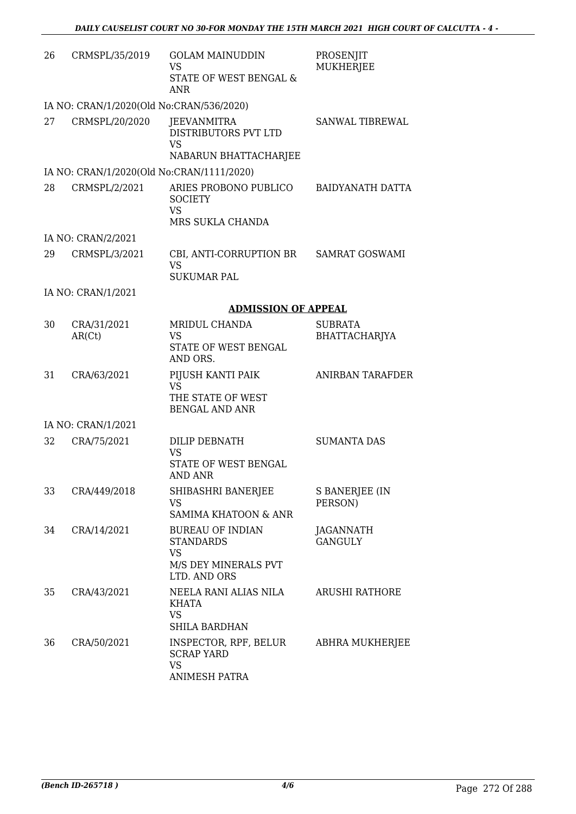| 26 | CRMSPL/35/2019                            | <b>GOLAM MAINUDDIN</b><br><b>VS</b><br>STATE OF WEST BENGAL &<br><b>ANR</b>               | PROSENJIT<br><b>MUKHERJEE</b>   |
|----|-------------------------------------------|-------------------------------------------------------------------------------------------|---------------------------------|
|    | IA NO: CRAN/1/2020(Old No:CRAN/536/2020)  |                                                                                           |                                 |
| 27 | CRMSPL/20/2020                            | JEEVANMITRA<br>DISTRIBUTORS PVT LTD<br><b>VS</b><br>NABARUN BHATTACHARJEE                 | SANWAL TIBREWAL                 |
|    | IA NO: CRAN/1/2020(Old No:CRAN/1111/2020) |                                                                                           |                                 |
| 28 | CRMSPL/2/2021                             | ARIES PROBONO PUBLICO<br><b>SOCIETY</b><br><b>VS</b><br>MRS SUKLA CHANDA                  | <b>BAIDYANATH DATTA</b>         |
|    | IA NO: CRAN/2/2021                        |                                                                                           |                                 |
| 29 | CRMSPL/3/2021                             | CBI, ANTI-CORRUPTION BR<br><b>VS</b>                                                      | <b>SAMRAT GOSWAMI</b>           |
|    |                                           | <b>SUKUMAR PAL</b>                                                                        |                                 |
|    | IA NO: CRAN/1/2021                        |                                                                                           |                                 |
|    |                                           | <b>ADMISSION OF APPEAL</b>                                                                |                                 |
| 30 | CRA/31/2021<br>AR(Ct)                     | MRIDUL CHANDA<br><b>VS</b><br>STATE OF WEST BENGAL<br>AND ORS.                            | <b>SUBRATA</b><br>BHATTACHARJYA |
| 31 | CRA/63/2021                               | PIJUSH KANTI PAIK<br><b>VS</b><br>THE STATE OF WEST<br><b>BENGAL AND ANR</b>              | <b>ANIRBAN TARAFDER</b>         |
|    | IA NO: CRAN/1/2021                        |                                                                                           |                                 |
| 32 | CRA/75/2021                               | DILIP DEBNATH<br>VS<br>STATE OF WEST BENGAL<br>AND ANR                                    | <b>SUMANTA DAS</b>              |
| 33 | CRA/449/2018                              | SHIBASHRI BANERJEE<br>VS<br>SAMIMA KHATOON & ANR                                          | S BANERJEE (IN<br>PERSON)       |
| 34 | CRA/14/2021                               | <b>BUREAU OF INDIAN</b><br><b>STANDARDS</b><br>VS<br>M/S DEY MINERALS PVT<br>LTD. AND ORS | JAGANNATH<br><b>GANGULY</b>     |
| 35 | CRA/43/2021                               | NEELA RANI ALIAS NILA<br>KHATA<br><b>VS</b><br><b>SHILA BARDHAN</b>                       | ARUSHI RATHORE                  |
| 36 | CRA/50/2021                               | INSPECTOR, RPF, BELUR<br><b>SCRAP YARD</b><br><b>VS</b><br>ANIMESH PATRA                  | ABHRA MUKHERJEE                 |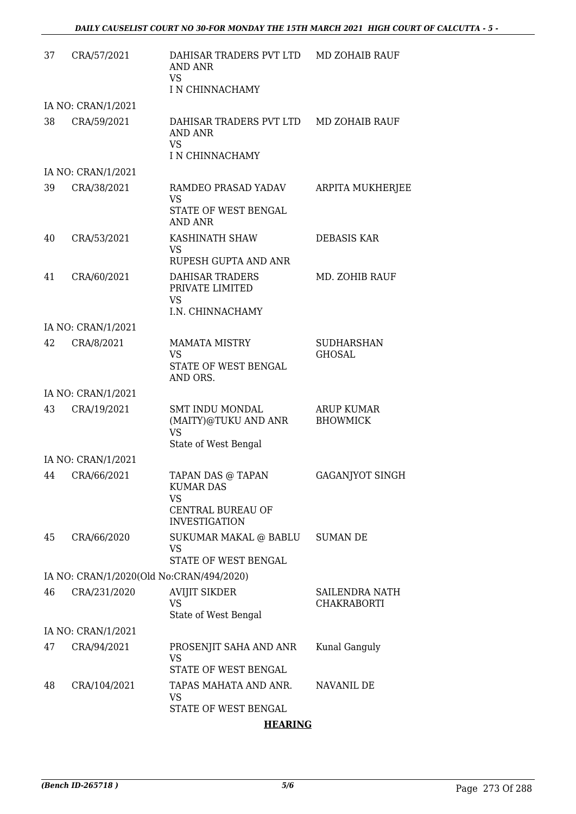| 37 | CRA/57/2021                              | DAHISAR TRADERS PVT LTD<br>AND ANR<br><b>VS</b><br>I N CHINNACHAMY                       | MD ZOHAIB RAUF                       |
|----|------------------------------------------|------------------------------------------------------------------------------------------|--------------------------------------|
|    | IA NO: CRAN/1/2021                       |                                                                                          |                                      |
| 38 | CRA/59/2021                              | DAHISAR TRADERS PVT LTD MD ZOHAIB RAUF<br><b>AND ANR</b><br><b>VS</b><br>I N CHINNACHAMY |                                      |
|    | IA NO: CRAN/1/2021                       |                                                                                          |                                      |
| 39 | CRA/38/2021                              | RAMDEO PRASAD YADAV<br><b>VS</b><br>STATE OF WEST BENGAL                                 | ARPITA MUKHERJEE                     |
|    |                                          | <b>AND ANR</b>                                                                           |                                      |
| 40 | CRA/53/2021                              | KASHINATH SHAW<br>VS<br>RUPESH GUPTA AND ANR                                             | <b>DEBASIS KAR</b>                   |
| 41 | CRA/60/2021                              | DAHISAR TRADERS<br>PRIVATE LIMITED<br><b>VS</b><br>I.N. CHINNACHAMY                      | MD. ZOHIB RAUF                       |
|    | IA NO: CRAN/1/2021                       |                                                                                          |                                      |
| 42 | CRA/8/2021                               | <b>MAMATA MISTRY</b><br>VS<br>STATE OF WEST BENGAL<br>AND ORS.                           | <b>SUDHARSHAN</b><br><b>GHOSAL</b>   |
|    | IA NO: CRAN/1/2021                       |                                                                                          |                                      |
| 43 | CRA/19/2021                              | <b>SMT INDU MONDAL</b><br>(MAITY)@TUKU AND ANR<br><b>VS</b><br>State of West Bengal      | <b>ARUP KUMAR</b><br><b>BHOWMICK</b> |
|    | IA NO: CRAN/1/2021                       |                                                                                          |                                      |
| 44 | CRA/66/2021                              | TAPAN DAS @ TAPAN<br><b>KUMAR DAS</b><br><b>VS</b>                                       | <b>GAGANJYOT SINGH</b>               |
|    |                                          | CENTRAL BUREAU OF<br><b>INVESTIGATION</b>                                                |                                      |
| 45 | CRA/66/2020                              | SUKUMAR MAKAL @ BABLU<br>VS<br>STATE OF WEST BENGAL                                      | <b>SUMAN DE</b>                      |
|    | IA NO: CRAN/1/2020(Old No:CRAN/494/2020) |                                                                                          |                                      |
| 46 | CRA/231/2020                             | <b>AVIJIT SIKDER</b>                                                                     | SAILENDRA NATH                       |
|    |                                          | <b>VS</b><br>State of West Bengal                                                        | <b>CHAKRABORTI</b>                   |
|    | IA NO: CRAN/1/2021                       |                                                                                          |                                      |
| 47 | CRA/94/2021                              | PROSENJIT SAHA AND ANR<br><b>VS</b>                                                      | Kunal Ganguly                        |
| 48 | CRA/104/2021                             | STATE OF WEST BENGAL<br>TAPAS MAHATA AND ANR.                                            | NAVANIL DE                           |
|    |                                          | VS<br>STATE OF WEST BENGAL                                                               |                                      |
|    |                                          | <b>HEARING</b>                                                                           |                                      |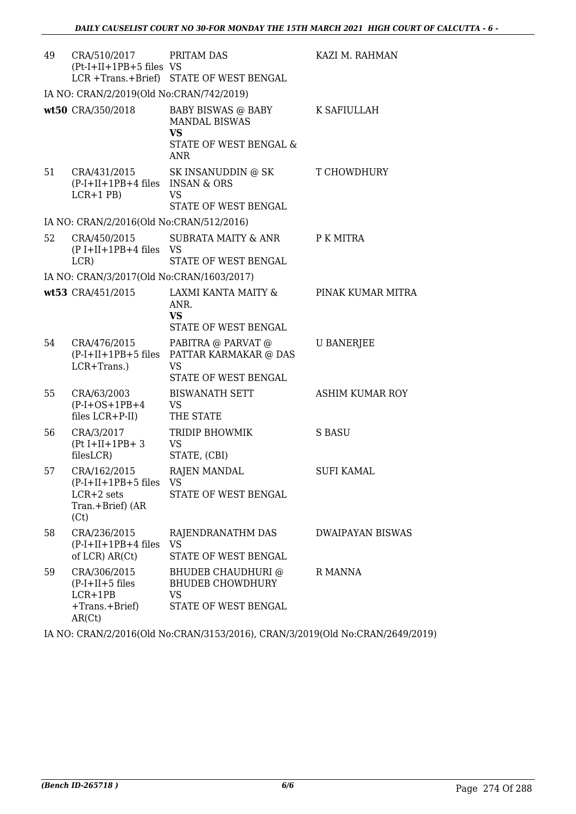| 49 | CRA/510/2017<br>$(Pt-I+II+1PB+5$ files VS                                              | PRITAM DAS<br>LCR +Trans.+Brief) STATE OF WEST BENGAL                                                      | KAZI M. RAHMAN          |
|----|----------------------------------------------------------------------------------------|------------------------------------------------------------------------------------------------------------|-------------------------|
|    | IA NO: CRAN/2/2019(Old No:CRAN/742/2019)                                               |                                                                                                            |                         |
|    | wt50 CRA/350/2018                                                                      | BABY BISWAS @ BABY<br><b>MANDAL BISWAS</b><br><b>VS</b><br><b>STATE OF WEST BENGAL &amp;</b><br><b>ANR</b> | K SAFIULLAH             |
| 51 | CRA/431/2015<br>(P-I+II+1PB+4 files INSAN & ORS<br>$LCR+1$ PB)                         | SK INSANUDDIN @ SK<br><b>VS</b><br>STATE OF WEST BENGAL                                                    | T CHOWDHURY             |
|    | IA NO: CRAN/2/2016(Old No:CRAN/512/2016)                                               |                                                                                                            |                         |
| 52 | CRA/450/2015<br>(P I+II+1PB+4 files VS<br>LCR)                                         | SUBRATA MAITY & ANR<br>STATE OF WEST BENGAL                                                                | P K MITRA               |
|    | IA NO: CRAN/3/2017(Old No:CRAN/1603/2017)                                              |                                                                                                            |                         |
|    | wt53 CRA/451/2015                                                                      | LAXMI KANTA MAITY &<br>ANR.<br><b>VS</b><br>STATE OF WEST BENGAL                                           | PINAK KUMAR MITRA       |
| 54 | CRA/476/2015<br>LCR+Trans.)                                                            | PABITRA @ PARVAT @<br>(P-I+II+1PB+5 files PATTAR KARMAKAR @ DAS<br><b>VS</b><br>STATE OF WEST BENGAL       | <b>U BANERJEE</b>       |
| 55 | CRA/63/2003<br>$(P-I+OS+1PB+4)$<br>files LCR+P-II)                                     | <b>BISWANATH SETT</b><br>VS<br>THE STATE                                                                   | ASHIM KUMAR ROY         |
| 56 | CRA/3/2017<br>$(Pt I+II+1PB+3$<br>filesLCR)                                            | TRIDIP BHOWMIK<br><b>VS</b><br>STATE, (CBI)                                                                | S BASU                  |
| 57 | CRA/162/2015<br>$(P-I+II+1PB+5$ files $VS$<br>$LCR+2$ sets<br>Tran.+Brief) (AR<br>(Ct) | <b>RAJEN MANDAL</b><br><b>STATE OF WEST BENGAL</b>                                                         | <b>SUFI KAMAL</b>       |
| 58 | CRA/236/2015<br>$(P-I+II+1PB+4$ files VS<br>of LCR) AR(Ct)                             | RAJENDRANATHM DAS<br>STATE OF WEST BENGAL                                                                  | <b>DWAIPAYAN BISWAS</b> |
| 59 | CRA/306/2015<br>$(P-I+II+5$ files<br>$LCR+1PB$<br>+Trans.+Brief)<br>AR(Ct)             | <b>BHUDEB CHAUDHURI @</b><br><b>BHUDEB CHOWDHURY</b><br><b>VS</b><br>STATE OF WEST BENGAL                  | R MANNA                 |

IA NO: CRAN/2/2016(Old No:CRAN/3153/2016), CRAN/3/2019(Old No:CRAN/2649/2019)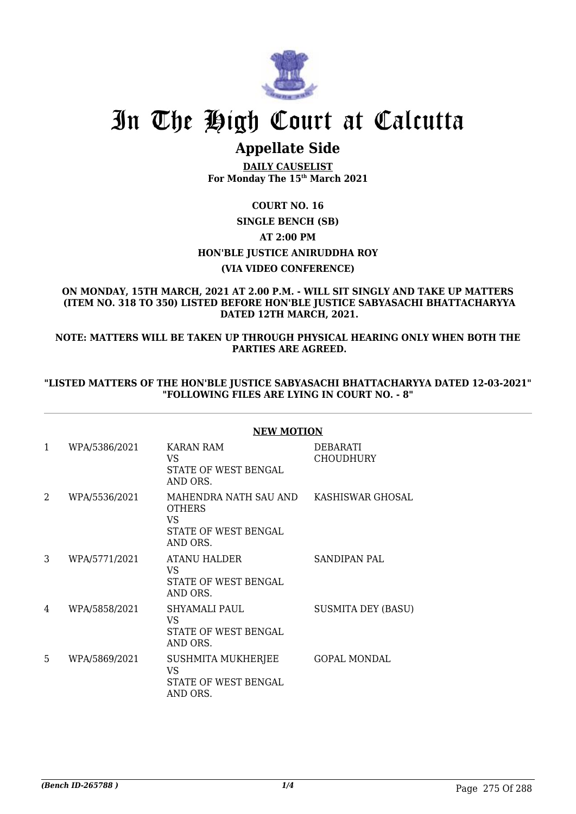

### **Appellate Side**

**DAILY CAUSELIST For Monday The 15th March 2021**

#### **COURT NO. 16**

### **SINGLE BENCH (SB) AT 2:00 PM HON'BLE JUSTICE ANIRUDDHA ROY (VIA VIDEO CONFERENCE)**

#### **ON MONDAY, 15TH MARCH, 2021 AT 2.00 P.M. - WILL SIT SINGLY AND TAKE UP MATTERS (ITEM NO. 318 TO 350) LISTED BEFORE HON'BLE JUSTICE SABYASACHI BHATTACHARYYA DATED 12TH MARCH, 2021.**

**NOTE: MATTERS WILL BE TAKEN UP THROUGH PHYSICAL HEARING ONLY WHEN BOTH THE PARTIES ARE AGREED.**

#### **"LISTED MATTERS OF THE HON'BLE JUSTICE SABYASACHI BHATTACHARYYA DATED 12-03-2021" "FOLLOWING FILES ARE LYING IN COURT NO. - 8"**

|   |               | <b>NEW MOTION</b>                                                                                  |                                     |
|---|---------------|----------------------------------------------------------------------------------------------------|-------------------------------------|
| 1 | WPA/5386/2021 | <b>KARAN RAM</b><br>VS.<br>STATE OF WEST BENGAL<br>AND ORS.                                        | <b>DEBARATI</b><br><b>CHOUDHURY</b> |
| 2 | WPA/5536/2021 | MAHENDRA NATH SAU AND KASHISWAR GHOSAL<br><b>OTHERS</b><br>VS.<br>STATE OF WEST BENGAL<br>AND ORS. |                                     |
| 3 | WPA/5771/2021 | <b>ATANU HALDER</b><br>VS.<br>STATE OF WEST BENGAL<br>AND ORS.                                     | <b>SANDIPAN PAL</b>                 |
| 4 | WPA/5858/2021 | SHYAMALI PAUL<br>VS.<br>STATE OF WEST BENGAL<br>AND ORS.                                           | <b>SUSMITA DEY (BASU)</b>           |
| 5 | WPA/5869/2021 | SUSHMITA MUKHERJEE<br>VS.<br>STATE OF WEST BENGAL<br>AND ORS.                                      | <b>GOPAL MONDAL</b>                 |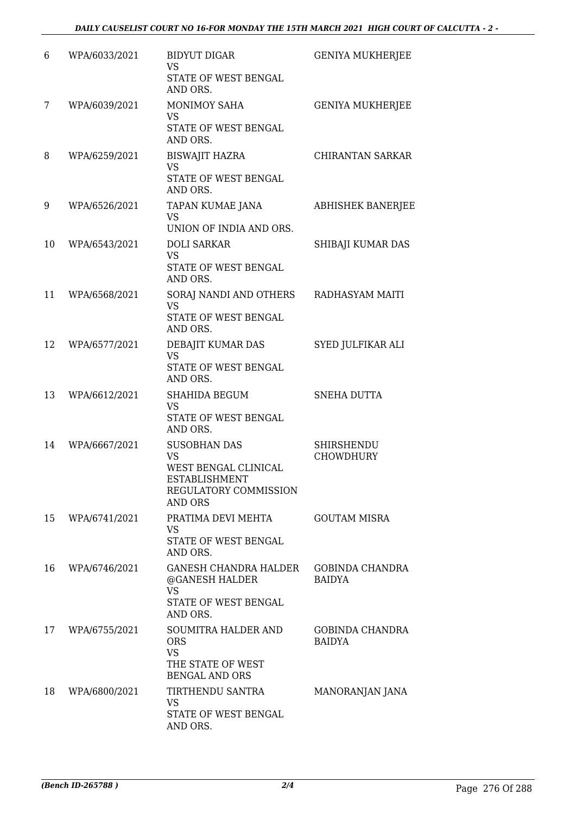| 6  | WPA/6033/2021 | <b>BIDYUT DIGAR</b><br>VS<br>STATE OF WEST BENGAL<br>AND ORS.                                                 | <b>GENIYA MUKHERJEE</b>                 |
|----|---------------|---------------------------------------------------------------------------------------------------------------|-----------------------------------------|
| 7  | WPA/6039/2021 | <b>MONIMOY SAHA</b><br><b>VS</b><br>STATE OF WEST BENGAL<br>AND ORS.                                          | <b>GENIYA MUKHERJEE</b>                 |
| 8  | WPA/6259/2021 | <b>BISWAJIT HAZRA</b><br>VS<br>STATE OF WEST BENGAL<br>AND ORS.                                               | <b>CHIRANTAN SARKAR</b>                 |
| 9  | WPA/6526/2021 | TAPAN KUMAE JANA<br><b>VS</b><br>UNION OF INDIA AND ORS.                                                      | <b>ABHISHEK BANERJEE</b>                |
| 10 | WPA/6543/2021 | <b>DOLI SARKAR</b><br><b>VS</b><br>STATE OF WEST BENGAL<br>AND ORS.                                           | SHIBAJI KUMAR DAS                       |
| 11 | WPA/6568/2021 | SORAJ NANDI AND OTHERS<br><b>VS</b><br>STATE OF WEST BENGAL<br>AND ORS.                                       | RADHASYAM MAITI                         |
| 12 | WPA/6577/2021 | DEBAJIT KUMAR DAS<br><b>VS</b><br>STATE OF WEST BENGAL<br>AND ORS.                                            | SYED JULFIKAR ALI                       |
| 13 | WPA/6612/2021 | SHAHIDA BEGUM<br><b>VS</b><br>STATE OF WEST BENGAL<br>AND ORS.                                                | <b>SNEHA DUTTA</b>                      |
| 14 | WPA/6667/2021 | <b>SUSOBHAN DAS</b><br>VS<br>WEST BENGAL CLINICAL<br>ESTABLISHMENT<br>REGULATORY COMMISSION<br><b>AND ORS</b> | SHIRSHENDU<br><b>CHOWDHURY</b>          |
| 15 | WPA/6741/2021 | PRATIMA DEVI MEHTA<br><b>VS</b><br>STATE OF WEST BENGAL<br>AND ORS.                                           | <b>GOUTAM MISRA</b>                     |
| 16 | WPA/6746/2021 | GANESH CHANDRA HALDER<br>@GANESH HALDER<br><b>VS</b><br>STATE OF WEST BENGAL<br>AND ORS.                      | <b>GOBINDA CHANDRA</b><br><b>BAIDYA</b> |
| 17 | WPA/6755/2021 | <b>SOUMITRA HALDER AND</b><br><b>ORS</b><br><b>VS</b><br>THE STATE OF WEST<br><b>BENGAL AND ORS</b>           | <b>GOBINDA CHANDRA</b><br><b>BAIDYA</b> |
| 18 | WPA/6800/2021 | TIRTHENDU SANTRA<br><b>VS</b><br>STATE OF WEST BENGAL<br>AND ORS.                                             | MANORANJAN JANA                         |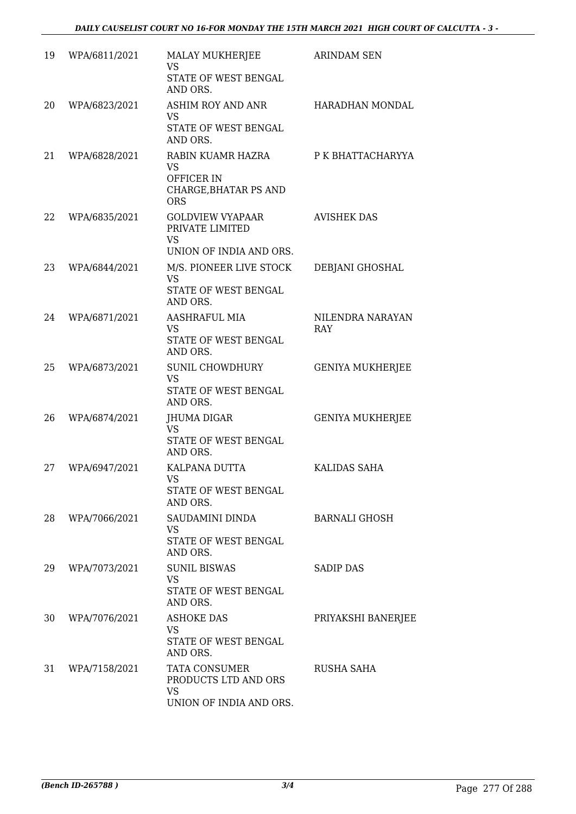| 19 | WPA/6811/2021 | <b>MALAY MUKHERJEE</b><br><b>VS</b><br>STATE OF WEST BENGAL<br>AND ORS.              | <b>ARINDAM SEN</b>      |
|----|---------------|--------------------------------------------------------------------------------------|-------------------------|
| 20 | WPA/6823/2021 | <b>ASHIM ROY AND ANR</b><br>VS<br>STATE OF WEST BENGAL<br>AND ORS.                   | HARADHAN MONDAL         |
| 21 | WPA/6828/2021 | RABIN KUAMR HAZRA<br><b>VS</b><br>OFFICER IN<br>CHARGE, BHATAR PS AND<br><b>ORS</b>  | P K BHATTACHARYYA       |
| 22 | WPA/6835/2021 | <b>GOLDVIEW VYAPAAR</b><br>PRIVATE LIMITED<br><b>VS</b><br>UNION OF INDIA AND ORS.   | <b>AVISHEK DAS</b>      |
| 23 | WPA/6844/2021 | M/S. PIONEER LIVE STOCK<br><b>VS</b><br>STATE OF WEST BENGAL<br>AND ORS.             | DEBJANI GHOSHAL         |
| 24 | WPA/6871/2021 | AASHRAFUL MIA<br>VS<br>STATE OF WEST BENGAL<br>AND ORS.                              | NILENDRA NARAYAN<br>RAY |
| 25 | WPA/6873/2021 | <b>SUNIL CHOWDHURY</b><br><b>VS</b><br>STATE OF WEST BENGAL<br>AND ORS.              | <b>GENIYA MUKHERJEE</b> |
| 26 | WPA/6874/2021 | JHUMA DIGAR<br><b>VS</b><br>STATE OF WEST BENGAL<br>AND ORS.                         | <b>GENIYA MUKHERJEE</b> |
| 27 | WPA/6947/2021 | KALPANA DUTTA<br>VS FOR STRUMP.<br>STATE OF WEST BENGAL<br>AND ORS.                  | KALIDAS SAHA            |
| 28 | WPA/7066/2021 | SAUDAMINI DINDA<br>VS<br>STATE OF WEST BENGAL<br>AND ORS.                            | <b>BARNALI GHOSH</b>    |
| 29 | WPA/7073/2021 | <b>SUNIL BISWAS</b><br>VS<br>STATE OF WEST BENGAL<br>AND ORS.                        | <b>SADIP DAS</b>        |
| 30 | WPA/7076/2021 | <b>ASHOKE DAS</b><br>VS<br>STATE OF WEST BENGAL<br>AND ORS.                          | PRIYAKSHI BANERJEE      |
| 31 | WPA/7158/2021 | <b>TATA CONSUMER</b><br>PRODUCTS LTD AND ORS<br><b>VS</b><br>UNION OF INDIA AND ORS. | RUSHA SAHA              |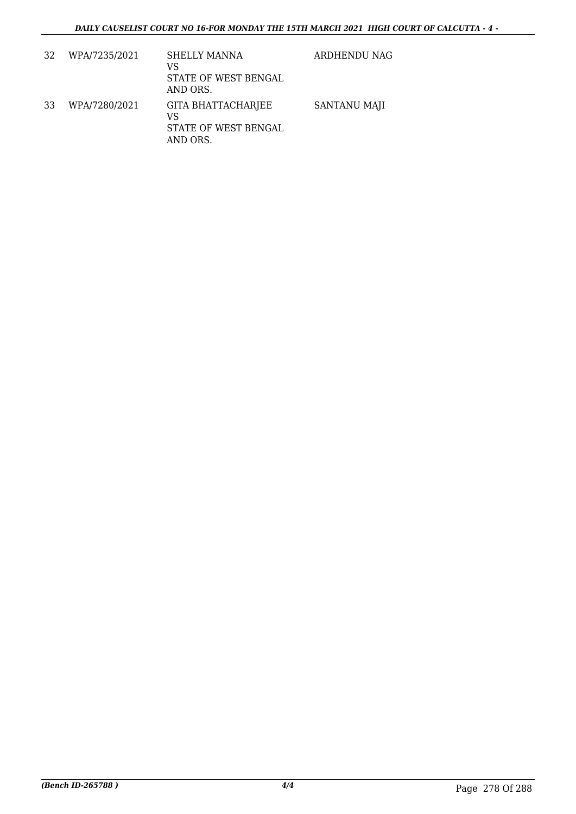| 32 | WPA/7235/2021 | <b>SHELLY MANNA</b><br>VS<br>STATE OF WEST BENGAL<br>AND ORS.       | ARDHENDU NAG |
|----|---------------|---------------------------------------------------------------------|--------------|
| 33 | WPA/7280/2021 | <b>GITA BHATTACHARJEE</b><br>VS<br>STATE OF WEST BENGAL<br>AND ORS. | SANTANU MAJI |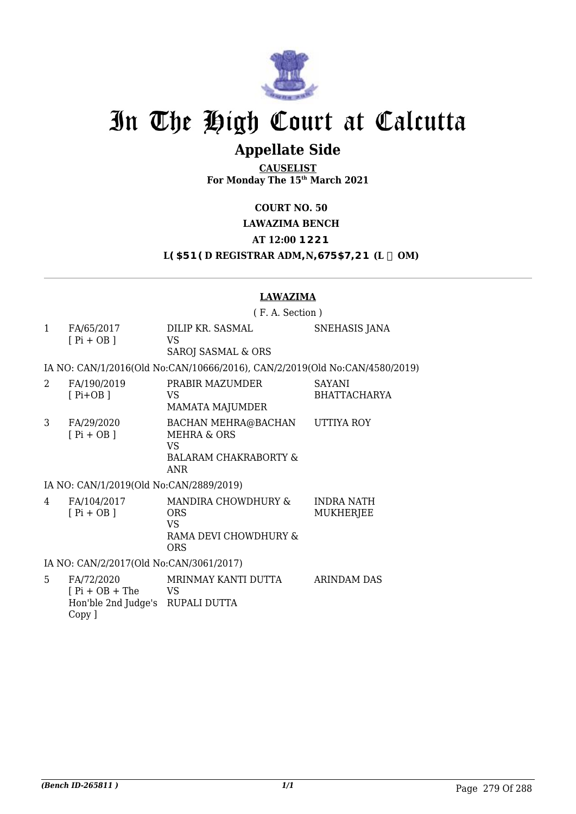

### **Appellate Side**

**CAUSELIST For Monday The 15th March 2021**

**COURT NO. 50**

**LAWAZIMA BENCH** 

**AT 12:00 BCCB** 

L**95FB9D REGISTRAR ADM=N=GIF5HCB (L**  $\div$  **0M)** 

#### **LAWAZIMA**

( F. A. Section )

1 FA/65/2017 [ Pi + OB ] DILIP KR. SASMAL VS SAROJ SASMAL & ORS SNEHASIS JANA

IA NO: CAN/1/2016(Old No:CAN/10666/2016), CAN/2/2019(Old No:CAN/4580/2019)

2 FA/190/2019 [ Pi+OB ] PRABIR MAZUMDER VS MAMATA MAJUMDER SAYANI BHATTACHARYA 3 FA/29/2020  $[$  Pi + OB  $]$ BACHAN MEHRA@BACHAN MEHRA & ORS VS BALARAM CHAKRABORTY & ANR UTTIYA ROY

#### IA NO: CAN/1/2019(Old No:CAN/2889/2019)

| MANDIRA CHOWDHURY &<br>FA/104/2017<br>4<br>$[P_i + OB]$<br><b>ORS</b><br>VS<br>RAMA DEVI CHOWDHURY &<br><b>ORS</b> | INDRA NATH<br>MUKHERJEE |
|--------------------------------------------------------------------------------------------------------------------|-------------------------|
|--------------------------------------------------------------------------------------------------------------------|-------------------------|

IA NO: CAN/2/2017(Old No:CAN/3061/2017)

5 FA/72/2020  $[$  Pi + OB + The Hon'ble 2nd Judge's RUPALI DUTTA Copy ] MRINMAY KANTI DUTTA VS ARINDAM DAS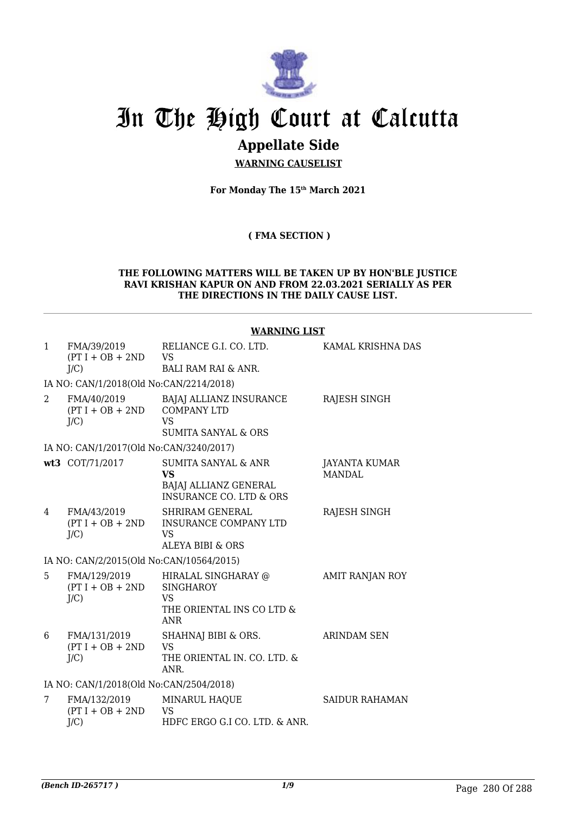

## **Appellate Side**

**WARNING CAUSELIST**

**For Monday The 15th March 2021**

**( FMA SECTION )**

#### **THE FOLLOWING MATTERS WILL BE TAKEN UP BY HON'BLE JUSTICE RAVI KRISHAN KAPUR ON AND FROM 22.03.2021 SERIALLY AS PER THE DIRECTIONS IN THE DAILY CAUSE LIST.**

## **WARNING LIST**

| 1              | FMA/39/2019<br>$(PT I + OB + 2ND$<br>$J/C$ )  | RELIANCE G.I. CO. LTD.<br><b>VS</b><br><b>BALI RAM RAI &amp; ANR.</b>                                      | KAMAL KRISHNA DAS              |
|----------------|-----------------------------------------------|------------------------------------------------------------------------------------------------------------|--------------------------------|
|                | IA NO: CAN/1/2018(Old No:CAN/2214/2018)       |                                                                                                            |                                |
| $\overline{2}$ | FMA/40/2019<br>$(PT I + OB + 2ND$<br>$J/C$ )  | <b>BAJAJ ALLIANZ INSURANCE</b><br><b>COMPANY LTD</b><br>VS<br><b>SUMITA SANYAL &amp; ORS</b>               | RAJESH SINGH                   |
|                | IA NO: CAN/1/2017(Old No:CAN/3240/2017)       |                                                                                                            |                                |
|                | wt3 COT/71/2017                               | <b>SUMITA SANYAL &amp; ANR</b><br><b>VS</b><br>BAJAJ ALLIANZ GENERAL<br><b>INSURANCE CO. LTD &amp; ORS</b> | JAYANTA KUMAR<br><b>MANDAL</b> |
| 4              | FMA/43/2019<br>$(PT I + OB + 2ND$<br>$J/C$ )  | <b>SHRIRAM GENERAL</b><br>INSURANCE COMPANY LTD<br>VS<br><b>ALEYA BIBI &amp; ORS</b>                       | RAJESH SINGH                   |
|                | IA NO: CAN/2/2015(Old No:CAN/10564/2015)      |                                                                                                            |                                |
| 5              | FMA/129/2019<br>$(PT I + OB + 2ND$<br>$J/C$ ) | HIRALAL SINGHARAY @<br><b>SINGHAROY</b><br><b>VS</b><br>THE ORIENTAL INS CO LTD &<br><b>ANR</b>            | <b>AMIT RANJAN ROY</b>         |
| 6              | FMA/131/2019<br>$(PT I + OB + 2ND$<br>$J/C$ ) | SHAHNAJ BIBI & ORS.<br>VS<br>THE ORIENTAL IN. CO. LTD. &<br>ANR.                                           | ARINDAM SEN                    |
|                | IA NO: CAN/1/2018(Old No:CAN/2504/2018)       |                                                                                                            |                                |
| 7              | FMA/132/2019<br>$(PT I + OB + 2ND$<br>J/C     | MINARUL HAQUE<br><b>VS</b><br>HDFC ERGO G.I CO. LTD. & ANR.                                                | <b>SAIDUR RAHAMAN</b>          |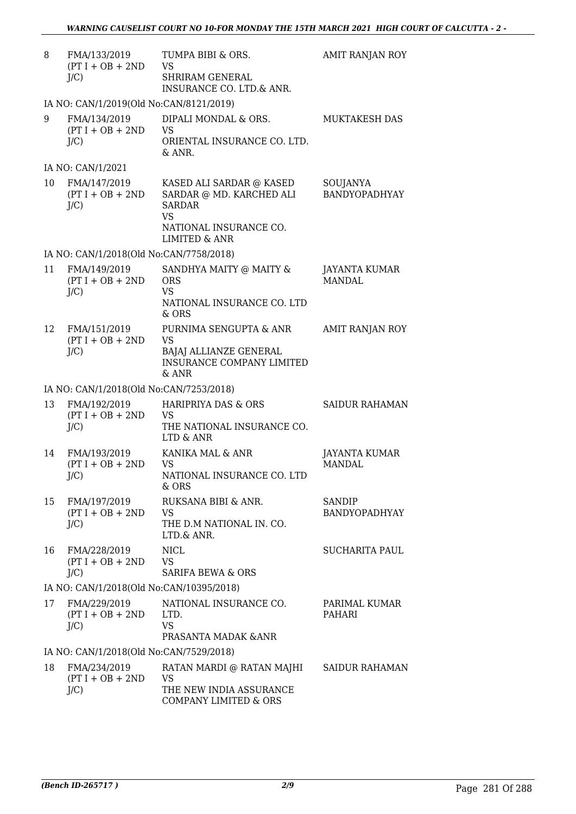| 8  | FMA/133/2019<br>$(PT I + OB + 2ND$<br>$J/C$ )    | TUMPA BIBI & ORS.<br>VS<br><b>SHRIRAM GENERAL</b><br>INSURANCE CO. LTD.& ANR.                                                                         | AMIT RANJAN ROY                |
|----|--------------------------------------------------|-------------------------------------------------------------------------------------------------------------------------------------------------------|--------------------------------|
|    | IA NO: CAN/1/2019(Old No:CAN/8121/2019)          |                                                                                                                                                       |                                |
| 9  | FMA/134/2019<br>$(PT I + OB + 2ND$<br>$J/C$ )    | DIPALI MONDAL & ORS.<br><b>VS</b><br>ORIENTAL INSURANCE CO. LTD.<br>& ANR.                                                                            | MUKTAKESH DAS                  |
|    | IA NO: CAN/1/2021                                |                                                                                                                                                       |                                |
|    | 10 FMA/147/2019<br>$(PT I + OB + 2ND$<br>$J/C$ ) | KASED ALI SARDAR $\circledcirc$ KASED<br>SARDAR @ MD. KARCHED ALI<br><b>SARDAR</b><br><b>VS</b><br>NATIONAL INSURANCE CO.<br><b>LIMITED &amp; ANR</b> | SOUJANYA<br>BANDYOPADHYAY      |
|    | IA NO: CAN/1/2018(Old No:CAN/7758/2018)          |                                                                                                                                                       |                                |
| 11 | FMA/149/2019<br>$(PT I + OB + 2ND$<br>$J/C$ )    | SANDHYA MAITY @ MAITY &<br><b>ORS</b><br><b>VS</b><br>NATIONAL INSURANCE CO. LTD<br>$&$ ORS                                                           | JAYANTA KUMAR<br><b>MANDAL</b> |
| 12 | FMA/151/2019<br>$(PT I + OB + 2ND$<br>$J/C$ )    | PURNIMA SENGUPTA & ANR<br><b>VS</b><br>BAJAJ ALLIANZE GENERAL<br><b>INSURANCE COMPANY LIMITED</b><br>& ANR                                            | AMIT RANJAN ROY                |
|    | IA NO: CAN/1/2018(Old No:CAN/7253/2018)          |                                                                                                                                                       |                                |
| 13 | FMA/192/2019<br>$(PT I + OB + 2ND$<br>$J/C$ )    | HARIPRIYA DAS & ORS<br>VS<br>THE NATIONAL INSURANCE CO.<br>LTD & ANR                                                                                  | <b>SAIDUR RAHAMAN</b>          |
| 14 | FMA/193/2019<br>$(PT I + OB + 2ND$<br>$J/C$ )    | KANIKA MAL & ANR<br><b>VS</b><br>NATIONAL INSURANCE CO. LTD<br>$&$ ORS                                                                                | JAYANTA KUMAR<br><b>MANDAL</b> |
| 15 | FMA/197/2019<br>$(PT I + OB + 2ND$<br>$J/C$ )    | RUKSANA BIBI & ANR.<br>VS<br>THE D.M NATIONAL IN. CO.<br>LTD.& ANR.                                                                                   | SANDIP<br>BANDYOPADHYAY        |
| 16 | FMA/228/2019<br>$(PT I + OB + 2ND$<br>$J/C$ )    | <b>NICL</b><br>VS<br><b>SARIFA BEWA &amp; ORS</b>                                                                                                     | <b>SUCHARITA PAUL</b>          |
|    | IA NO: CAN/1/2018(Old No:CAN/10395/2018)         |                                                                                                                                                       |                                |
| 17 | FMA/229/2019<br>$(PT I + OB + 2ND$<br>$J/C$ )    | NATIONAL INSURANCE CO.<br>LTD.<br><b>VS</b><br>PRASANTA MADAK & ANR                                                                                   | PARIMAL KUMAR<br>PAHARI        |
|    | IA NO: CAN/1/2018(Old No:CAN/7529/2018)          |                                                                                                                                                       |                                |
| 18 | FMA/234/2019<br>$(PT I + OB + 2ND$<br>$J/C$ )    | RATAN MARDI @ RATAN MAJHI SAIDUR RAHAMAN<br><b>VS</b><br>THE NEW INDIA ASSURANCE<br>COMPANY LIMITED & ORS                                             |                                |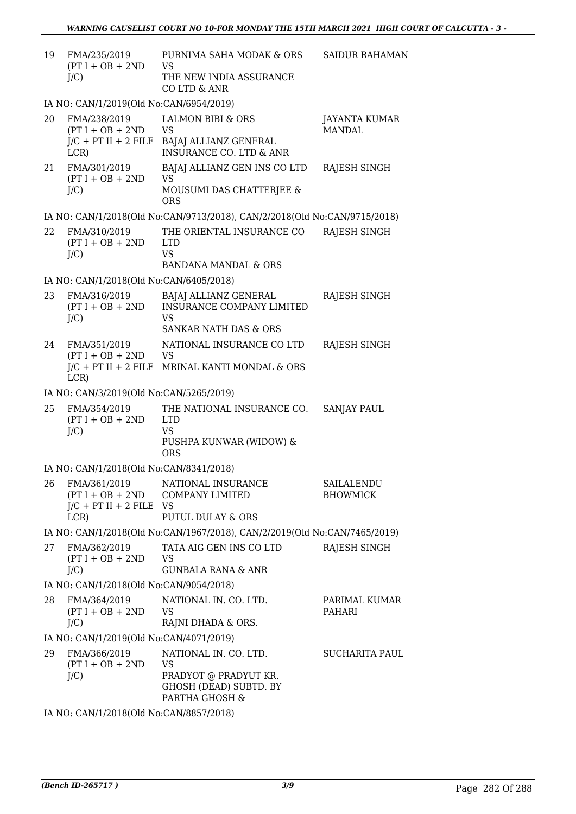| 19 | FMA/235/2019<br>$(PT I + OB + 2ND$<br>$J/C$ )                                             | PURNIMA SAHA MODAK & ORS<br>VS<br>THE NEW INDIA ASSURANCE<br>CO LTD & ANR                        | <b>SAIDUR RAHAMAN</b>         |
|----|-------------------------------------------------------------------------------------------|--------------------------------------------------------------------------------------------------|-------------------------------|
|    | IA NO: CAN/1/2019(Old No:CAN/6954/2019)                                                   |                                                                                                  |                               |
| 20 | FMA/238/2019<br>$(PT I + OB + 2ND$<br>$J/C$ + PT II + 2 FILE<br>LCR                       | <b>LALMON BIBI &amp; ORS</b><br>VS<br>BAJAJ ALLIANZ GENERAL<br>INSURANCE CO. LTD & ANR           | JAYANTA KUMAR<br>MANDAI.      |
| 21 | FMA/301/2019<br>$(PT I + OB + 2ND$<br>$J/C$ )                                             | BAJAJ ALLIANZ GEN INS CO LTD<br>VS.<br>MOUSUMI DAS CHATTERJEE &<br><b>ORS</b>                    | RAJESH SINGH                  |
|    |                                                                                           | IA NO: CAN/1/2018(Old No:CAN/9713/2018), CAN/2/2018(Old No:CAN/9715/2018)                        |                               |
| 22 | FMA/310/2019<br>$(PT I + OB + 2ND$<br>J/C                                                 | THE ORIENTAL INSURANCE CO<br><b>LTD</b><br><b>VS</b><br><b>BANDANA MANDAL &amp; ORS</b>          | RAJESH SINGH                  |
|    | IA NO: CAN/1/2018(Old No:CAN/6405/2018)                                                   |                                                                                                  |                               |
| 23 | FMA/316/2019<br>$(PT I + OB + 2ND$<br>$J/C$ )                                             | BAJAJ ALLIANZ GENERAL<br><b>INSURANCE COMPANY LIMITED</b><br>VS<br>SANKAR NATH DAS & ORS         | RAJESH SINGH                  |
| 24 | FMA/351/2019<br>$(PT I + OB + 2ND$<br>LCR)                                                | NATIONAL INSURANCE CO LTD<br><b>VS</b><br>J/C + PT II + 2 FILE MRINAL KANTI MONDAL & ORS         | RAJESH SINGH                  |
|    | IA NO: CAN/3/2019(Old No:CAN/5265/2019)                                                   |                                                                                                  |                               |
| 25 | FMA/354/2019<br>$(PT I + OB + 2ND$<br>$J/C$ )                                             | THE NATIONAL INSURANCE CO.<br><b>LTD</b><br><b>VS</b><br>PUSHPA KUNWAR (WIDOW) &<br><b>ORS</b>   | <b>SANJAY PAUL</b>            |
|    | IA NO: CAN/1/2018(Old No:CAN/8341/2018)                                                   |                                                                                                  |                               |
| 26 | FMA/361/2019<br>$(PT I + OB + 2ND$<br>$J/C$ + PT II + 2 FILE<br>LCR                       | NATIONAL INSURANCE<br><b>COMPANY LIMITED</b><br>- VS<br><b>PUTUL DULAY &amp; ORS</b>             | SAILALENDU<br><b>BHOWMICK</b> |
|    |                                                                                           | IA NO: CAN/1/2018(Old No:CAN/1967/2018), CAN/2/2019(Old No:CAN/7465/2019)                        |                               |
| 27 | FMA/362/2019<br>$(PT I + OB + 2ND$<br>$J/C$ )                                             | TATA AIG GEN INS CO LTD<br><b>VS</b><br><b>GUNBALA RANA &amp; ANR</b>                            | RAJESH SINGH                  |
|    | IA NO: CAN/1/2018(Old No:CAN/9054/2018)                                                   |                                                                                                  |                               |
| 28 | FMA/364/2019<br>$(PT I + OB + 2ND$<br>$J/C$ )                                             | NATIONAL IN. CO. LTD.<br>VS<br>RAJNI DHADA & ORS.                                                | PARIMAL KUMAR<br>PAHARI       |
|    | IA NO: CAN/1/2019(Old No:CAN/4071/2019)                                                   |                                                                                                  |                               |
| 29 | FMA/366/2019<br>$(PT I + OB + 2ND$<br>$J/C$ )<br>IA NO. CANILIDO10(OIJ No. CANIBOETIDO10) | NATIONAL IN. CO. LTD.<br>VS<br>PRADYOT @ PRADYUT KR.<br>GHOSH (DEAD) SUBTD. BY<br>PARTHA GHOSH & | SUCHARITA PAUL                |

IA NO: CAN/1/2018(Old No:CAN/8857/2018)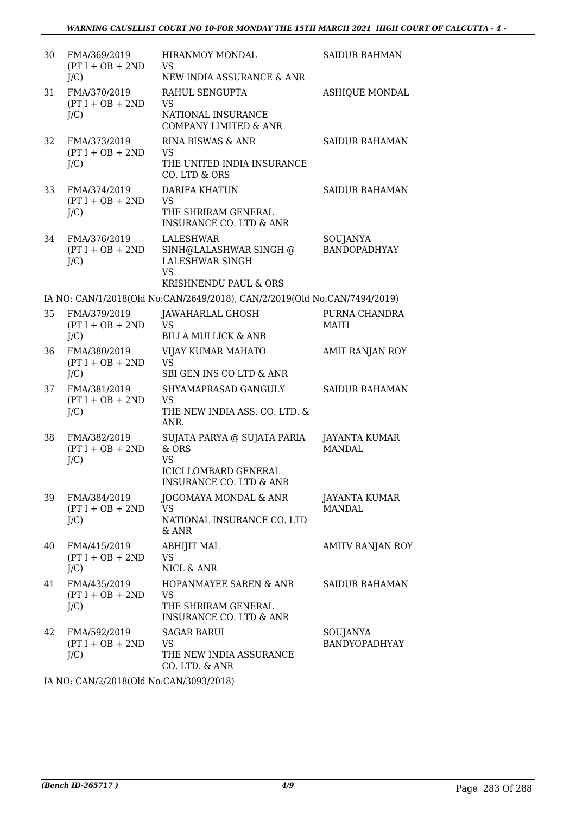| 30 | FMA/369/2019<br>$(PT I + OB + 2ND$<br>$J/C$ ) | <b>HIRANMOY MONDAL</b><br><b>VS</b><br>NEW INDIA ASSURANCE & ANR                                       | <b>SAIDUR RAHMAN</b>            |
|----|-----------------------------------------------|--------------------------------------------------------------------------------------------------------|---------------------------------|
| 31 | FMA/370/2019<br>$(PT I + OB + 2ND$<br>$J/C$ ) | RAHUL SENGUPTA<br>VS.<br>NATIONAL INSURANCE<br><b>COMPANY LIMITED &amp; ANR</b>                        | <b>ASHIQUE MONDAL</b>           |
| 32 | FMA/373/2019<br>$(PT I + OB + 2ND$<br>$J/C$ ) | RINA BISWAS & ANR<br><b>VS</b><br>THE UNITED INDIA INSURANCE<br>CO. LTD & ORS                          | <b>SAIDUR RAHAMAN</b>           |
| 33 | FMA/374/2019<br>$(PT I + OB + 2ND$<br>$J/C$ ) | <b>DARIFA KHATUN</b><br><b>VS</b><br>THE SHRIRAM GENERAL<br><b>INSURANCE CO. LTD &amp; ANR</b>         | <b>SAIDUR RAHAMAN</b>           |
| 34 | FMA/376/2019<br>$(PT I + OB + 2ND$<br>J/C     | LALESHWAR<br>SINH@LALASHWAR SINGH @<br><b>LALESHWAR SINGH</b><br><b>VS</b><br>KRISHNENDU PAUL & ORS    | SOUJANYA<br><b>BANDOPADHYAY</b> |
|    |                                               | IA NO: CAN/1/2018(Old No:CAN/2649/2018), CAN/2/2019(Old No:CAN/7494/2019)                              |                                 |
| 35 | FMA/379/2019<br>$(PT I + OB + 2ND$<br>J/C     | JAWAHARLAL GHOSH<br>VS<br><b>BILLA MULLICK &amp; ANR</b>                                               | PURNA CHANDRA<br><b>MAITI</b>   |
| 36 | FMA/380/2019<br>$(PT I + OB + 2ND$<br>$J/C$ ) | VIJAY KUMAR MAHATO<br><b>VS</b><br>SBI GEN INS CO LTD & ANR                                            | AMIT RANJAN ROY                 |
| 37 | FMA/381/2019<br>$(PT I + OB + 2ND$<br>$J/C$ ) | SHYAMAPRASAD GANGULY<br>VS<br>THE NEW INDIA ASS. CO. LTD. &<br>ANR.                                    | <b>SAIDUR RAHAMAN</b>           |
| 38 | FMA/382/2019<br>$(PT I + OB + 2ND$<br>$J/C$ ) | SUJATA PARYA @ SUJATA PARIA<br>& ORS<br>VS.<br><b>ICICI LOMBARD GENERAL</b><br>INSURANCE CO. LTD & ANR | JAYANTA KUMAR<br><b>MANDAL</b>  |
| 39 | FMA/384/2019<br>$(PT I + OB + 2ND$<br>$J/C$ ) | JOGOMAYA MONDAL & ANR<br>VS<br>NATIONAL INSURANCE CO. LTD<br>$&$ ANR                                   | JAYANTA KUMAR<br><b>MANDAL</b>  |
| 40 | FMA/415/2019<br>$(PT I + OB + 2ND$<br>$J/C$ ) | ABHIJIT MAL<br>VS<br>NICL & ANR                                                                        | AMITV RANJAN ROY                |
| 41 | FMA/435/2019<br>$(PT I + OB + 2ND$<br>$J/C$ ) | HOPANMAYEE SAREN & ANR<br>VS<br>THE SHRIRAM GENERAL<br><b>INSURANCE CO. LTD &amp; ANR</b>              | SAIDUR RAHAMAN                  |
| 42 | FMA/592/2019<br>$(PT I + OB + 2ND$<br>$J/C$ ) | <b>SAGAR BARUI</b><br>VS<br>THE NEW INDIA ASSURANCE<br>CO. LTD. & ANR                                  | SOUJANYA<br>BANDYOPADHYAY       |

IA NO: CAN/2/2018(Old No:CAN/3093/2018)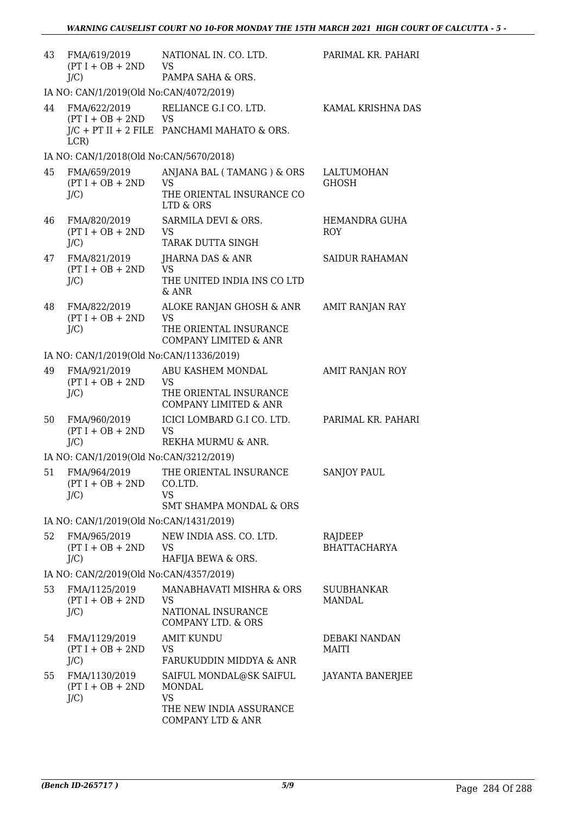| 43                                      | FMA/619/2019<br>$(PT I + OB + 2ND$<br>$J/C$ )  | NATIONAL IN. CO. LTD.<br>VS<br>PAMPA SAHA & ORS.                                                    | PARIMAL KR. PAHARI             |
|-----------------------------------------|------------------------------------------------|-----------------------------------------------------------------------------------------------------|--------------------------------|
|                                         | IA NO: CAN/1/2019(Old No:CAN/4072/2019)        |                                                                                                     |                                |
| 44                                      | FMA/622/2019<br>$(PT I + OB + 2ND$<br>LCR)     | RELIANCE G.I CO. LTD.<br>VS<br>$J/C$ + PT II + 2 FILE PANCHAMI MAHATO & ORS.                        | KAMAL KRISHNA DAS              |
|                                         | IA NO: CAN/1/2018(Old No:CAN/5670/2018)        |                                                                                                     |                                |
| 45                                      | FMA/659/2019<br>$(PT I + OB + 2ND$<br>$J/C$ )  | ANJANA BAL (TAMANG) & ORS<br><b>VS</b><br>THE ORIENTAL INSURANCE CO<br>LTD & ORS                    | LALTUMOHAN<br><b>GHOSH</b>     |
| 46                                      | FMA/820/2019<br>$(PT I + OB + 2ND$<br>$J/C$ )  | SARMILA DEVI & ORS.<br>VS<br>TARAK DUTTA SINGH                                                      | HEMANDRA GUHA<br>ROY           |
| 47                                      | FMA/821/2019<br>$(PT I + OB + 2ND$<br>$J/C$ )  | JHARNA DAS & ANR<br>VS<br>THE UNITED INDIA INS CO LTD<br>& ANR                                      | <b>SAIDUR RAHAMAN</b>          |
| 48                                      | FMA/822/2019<br>$(PT I + OB + 2ND$<br>$J/C$ )  | ALOKE RANJAN GHOSH & ANR<br><b>VS</b><br>THE ORIENTAL INSURANCE<br><b>COMPANY LIMITED &amp; ANR</b> | AMIT RANJAN RAY                |
|                                         | IA NO: CAN/1/2019(Old No:CAN/11336/2019)       |                                                                                                     |                                |
| 49                                      | FMA/921/2019<br>$(PT I + OB + 2ND$<br>$J/C$ )  | ABU KASHEM MONDAL<br><b>VS</b><br>THE ORIENTAL INSURANCE<br><b>COMPANY LIMITED &amp; ANR</b>        | AMIT RANJAN ROY                |
| 50                                      | FMA/960/2019<br>$(PT I + OB + 2ND$<br>$J/C$ )  | ICICI LOMBARD G.I CO. LTD.<br><b>VS</b><br>REKHA MURMU & ANR.                                       | PARIMAL KR. PAHARI             |
| IA NO: CAN/1/2019(Old No:CAN/3212/2019) |                                                |                                                                                                     |                                |
| 51                                      | FMA/964/2019<br>$(PT I + OB + 2ND$<br>$J/C$ )  | THE ORIENTAL INSURANCE<br>CO.LTD.<br><b>VS</b><br><b>SMT SHAMPA MONDAL &amp; ORS</b>                | <b>SANJOY PAUL</b>             |
|                                         | IA NO: CAN/1/2019(Old No:CAN/1431/2019)        |                                                                                                     |                                |
| 52                                      | FMA/965/2019<br>$(PT I + OB + 2ND$<br>$J/C$ )  | NEW INDIA ASS. CO. LTD.<br>VS<br>HAFIJA BEWA & ORS.                                                 | RAJDEEP<br><b>BHATTACHARYA</b> |
|                                         | IA NO: CAN/2/2019(Old No:CAN/4357/2019)        |                                                                                                     |                                |
| 53                                      | FMA/1125/2019<br>$(PT I + OB + 2ND$<br>$J/C$ ) | MANABHAVATI MISHRA & ORS<br><b>VS</b><br>NATIONAL INSURANCE<br>COMPANY LTD. & ORS                   | SUUBHANKAR<br><b>MANDAL</b>    |
| 54                                      | FMA/1129/2019<br>$(PT I + OB + 2ND$<br>$J/C$ ) | <b>AMIT KUNDU</b><br><b>VS</b><br>FARUKUDDIN MIDDYA & ANR                                           | DEBAKI NANDAN<br>MAITI         |
| 55                                      | FMA/1130/2019<br>$(PT I + OB + 2ND$<br>$J/C$ ) | SAIFUL MONDAL@SK SAIFUL<br>MONDAL<br><b>VS</b><br>THE NEW INDIA ASSURANCE<br>COMPANY LTD & ANR      | JAYANTA BANERJEE               |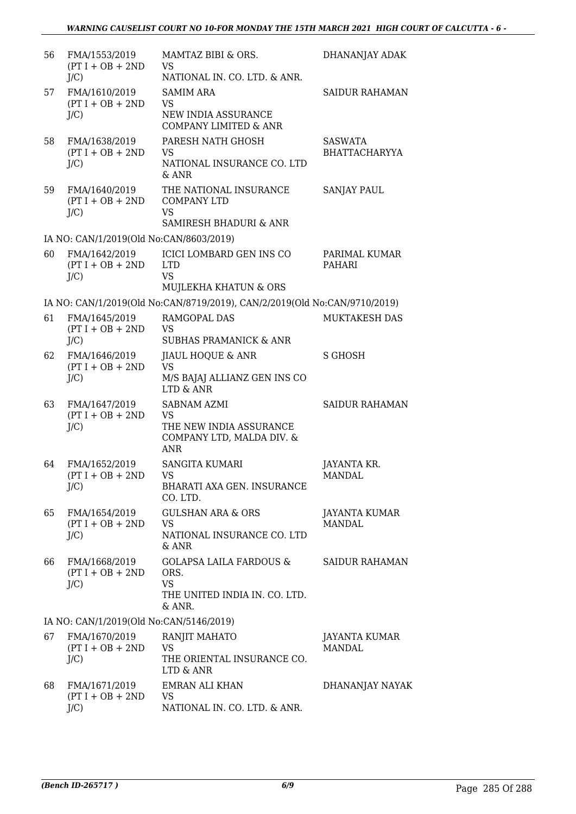| 56 | FMA/1553/2019<br>$(PT I + OB + 2ND$<br>$J/C$ ) | MAMTAZ BIBI & ORS.<br>VS<br>NATIONAL IN. CO. LTD. & ANR.                                 | DHANANJAY ADAK                         |
|----|------------------------------------------------|------------------------------------------------------------------------------------------|----------------------------------------|
| 57 | FMA/1610/2019<br>$(PT I + OB + 2ND$<br>$J/C$ ) | <b>SAMIM ARA</b><br><b>VS</b><br>NEW INDIA ASSURANCE<br><b>COMPANY LIMITED &amp; ANR</b> | <b>SAIDUR RAHAMAN</b>                  |
| 58 | FMA/1638/2019<br>$(PT I + OB + 2ND$<br>$J/C$ ) | PARESH NATH GHOSH<br>VS.<br>NATIONAL INSURANCE CO. LTD<br>$&$ ANR                        | <b>SASWATA</b><br><b>BHATTACHARYYA</b> |
| 59 | FMA/1640/2019<br>$(PT I + OB + 2ND$<br>$J/C$ ) | THE NATIONAL INSURANCE<br><b>COMPANY LTD</b><br>VS.<br>SAMIRESH BHADURI & ANR            | SANJAY PAUL                            |
|    | IA NO: CAN/1/2019(Old No:CAN/8603/2019)        |                                                                                          |                                        |
| 60 | FMA/1642/2019<br>$(PT I + OB + 2ND$<br>$J/C$ ) | ICICI LOMBARD GEN INS CO<br><b>LTD</b><br><b>VS</b><br>MUJLEKHA KHATUN & ORS             | PARIMAL KUMAR<br>PAHARI                |
|    |                                                | IA NO: CAN/1/2019(Old No:CAN/8719/2019), CAN/2/2019(Old No:CAN/9710/2019)                |                                        |
| 61 | FMA/1645/2019<br>$(PT I + OB + 2ND$<br>$J/C$ ) | RAMGOPAL DAS<br>VS<br><b>SUBHAS PRAMANICK &amp; ANR</b>                                  | MUKTAKESH DAS                          |
| 62 | FMA/1646/2019<br>$(PT I + OB + 2ND$<br>$J/C$ ) | <b>JIAUL HOQUE &amp; ANR</b><br><b>VS</b><br>M/S BAJAJ ALLIANZ GEN INS CO<br>LTD & ANR   | S GHOSH                                |
| 63 | FMA/1647/2019<br>$(PT I + OB + 2ND$<br>$J/C$ ) | SABNAM AZMI<br><b>VS</b><br>THE NEW INDIA ASSURANCE<br>COMPANY LTD, MALDA DIV. &<br>ANR  | <b>SAIDUR RAHAMAN</b>                  |
| 64 | FMA/1652/2019<br>$(PT I + OB + 2ND$<br>J/C     | <b>SANGITA KUMARI</b><br><b>VS</b><br><b>BHARATI AXA GEN. INSURANCE</b><br>CO. LTD.      | JAYANTA KR.<br><b>MANDAL</b>           |
| 65 | FMA/1654/2019<br>$(PT I + OB + 2ND$<br>$J/C$ ) | <b>GULSHAN ARA &amp; ORS</b><br><b>VS</b><br>NATIONAL INSURANCE CO. LTD<br>& ANR         | JAYANTA KUMAR<br><b>MANDAL</b>         |
| 66 | FMA/1668/2019<br>$(PT I + OB + 2ND$<br>$J/C$ ) | GOLAPSA LAILA FARDOUS &<br>ORS.<br><b>VS</b><br>THE UNITED INDIA IN. CO. LTD.<br>& ANR.  | <b>SAIDUR RAHAMAN</b>                  |
|    | IA NO: CAN/1/2019(Old No:CAN/5146/2019)        |                                                                                          |                                        |
| 67 | FMA/1670/2019<br>$(PT I + OB + 2ND$<br>$J/C$ ) | RANJIT MAHATO<br>VS<br>THE ORIENTAL INSURANCE CO.<br>LTD & ANR                           | JAYANTA KUMAR<br><b>MANDAL</b>         |
| 68 | FMA/1671/2019<br>$(PT I + OB + 2ND$<br>$J/C$ ) | <b>EMRAN ALI KHAN</b><br>VS<br>NATIONAL IN. CO. LTD. & ANR.                              | DHANANJAY NAYAK                        |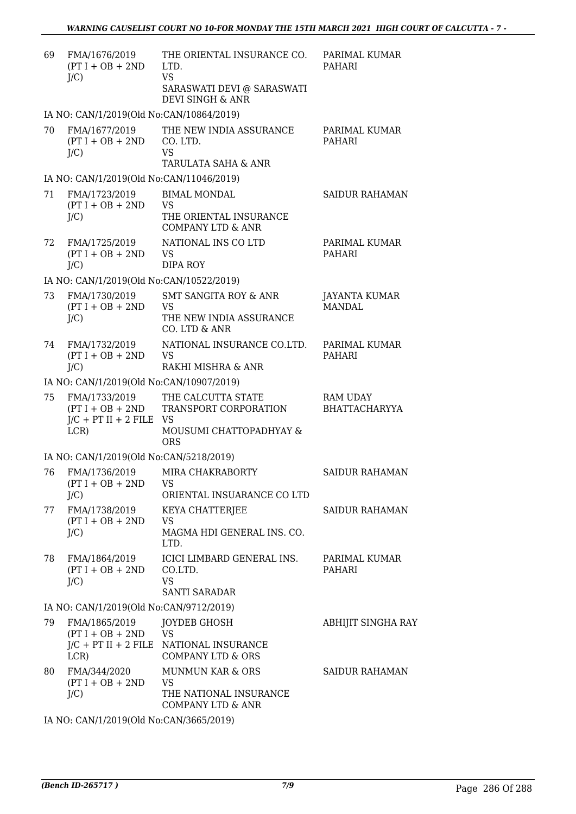| 69 | FMA/1676/2019<br>$(PT I + OB + 2ND$<br>$J/C$ )                           | THE ORIENTAL INSURANCE CO.<br>LTD.<br><b>VS</b><br>SARASWATI DEVI @ SARASWATI<br>DEVI SINGH & ANR | PARIMAL KUMAR<br>PAHARI                 |
|----|--------------------------------------------------------------------------|---------------------------------------------------------------------------------------------------|-----------------------------------------|
|    | IA NO: CAN/1/2019(Old No:CAN/10864/2019)                                 |                                                                                                   |                                         |
| 70 | FMA/1677/2019<br>$(PT I + OB + 2ND$<br>$J/C$ )                           | THE NEW INDIA ASSURANCE<br>CO. LTD.<br><b>VS</b><br>TARULATA SAHA & ANR                           | PARIMAL KUMAR<br><b>PAHARI</b>          |
|    | IA NO: CAN/1/2019(Old No:CAN/11046/2019)                                 |                                                                                                   |                                         |
| 71 | FMA/1723/2019<br>$(PT I + OB + 2ND$<br>$J/C$ )                           | <b>BIMAL MONDAL</b><br><b>VS</b><br>THE ORIENTAL INSURANCE<br><b>COMPANY LTD &amp; ANR</b>        | <b>SAIDUR RAHAMAN</b>                   |
| 72 | FMA/1725/2019<br>$(PT I + OB + 2ND$<br>$J/C$ )                           | NATIONAL INS CO LTD<br><b>VS</b><br><b>DIPA ROY</b>                                               | PARIMAL KUMAR<br>PAHARI                 |
|    | IA NO: CAN/1/2019(Old No:CAN/10522/2019)                                 |                                                                                                   |                                         |
| 73 | FMA/1730/2019<br>$(PT I + OB + 2ND$<br>J/C                               | <b>SMT SANGITA ROY &amp; ANR</b><br><b>VS</b><br>THE NEW INDIA ASSURANCE<br>CO. LTD & ANR         | <b>JAYANTA KUMAR</b><br><b>MANDAL</b>   |
| 74 | FMA/1732/2019<br>$(PT I + OB + 2ND$<br>$J/C$ )                           | NATIONAL INSURANCE CO.LTD.<br><b>VS</b><br>RAKHI MISHRA & ANR                                     | PARIMAL KUMAR<br><b>PAHARI</b>          |
|    | IA NO: CAN/1/2019(Old No:CAN/10907/2019)                                 |                                                                                                   |                                         |
| 75 | FMA/1733/2019<br>$(PT I + OB + 2ND$<br>$J/C$ + PT II + 2 FILE VS<br>LCR) | THE CALCUTTA STATE<br>TRANSPORT CORPORATION<br>MOUSUMI CHATTOPADHYAY &<br><b>ORS</b>              | <b>RAM UDAY</b><br><b>BHATTACHARYYA</b> |
|    | IA NO: CAN/1/2019(Old No:CAN/5218/2019)                                  |                                                                                                   |                                         |
| 76 | FMA/1736/2019<br>$(PT I + OB + 2ND$<br>J/C                               | MIRA CHAKRABORTY<br>VS<br>ORIENTAL INSUARANCE CO LTD                                              | <b>SAIDUR RAHAMAN</b>                   |
| 77 | FMA/1738/2019<br>$(PT I + OB + 2ND$<br>$J/C$ )                           | KEYA CHATTERJEE<br><b>VS</b><br>MAGMA HDI GENERAL INS. CO.<br>LTD.                                | <b>SAIDUR RAHAMAN</b>                   |
| 78 | FMA/1864/2019<br>$(PT I + OB + 2ND$<br>$J/C$ )                           | ICICI LIMBARD GENERAL INS.<br>CO.LTD.<br><b>VS</b><br><b>SANTI SARADAR</b>                        | PARIMAL KUMAR<br>PAHARI                 |
|    | IA NO: CAN/1/2019(Old No:CAN/9712/2019)                                  |                                                                                                   |                                         |
| 79 | FMA/1865/2019<br>$(PT I + OB + 2ND$<br>$J/C$ + PT II + 2 FILE<br>LCR     | JOYDEB GHOSH<br><b>VS</b><br>NATIONAL INSURANCE<br><b>COMPANY LTD &amp; ORS</b>                   | ABHIJIT SINGHA RAY                      |
| 80 | FMA/344/2020<br>$(PT I + OB + 2ND$<br>$J/C$ )                            | <b>MUNMUN KAR &amp; ORS</b><br>VS<br>THE NATIONAL INSURANCE<br><b>COMPANY LTD &amp; ANR</b>       | <b>SAIDUR RAHAMAN</b>                   |
|    |                                                                          |                                                                                                   |                                         |

IA NO: CAN/1/2019(Old No:CAN/3665/2019)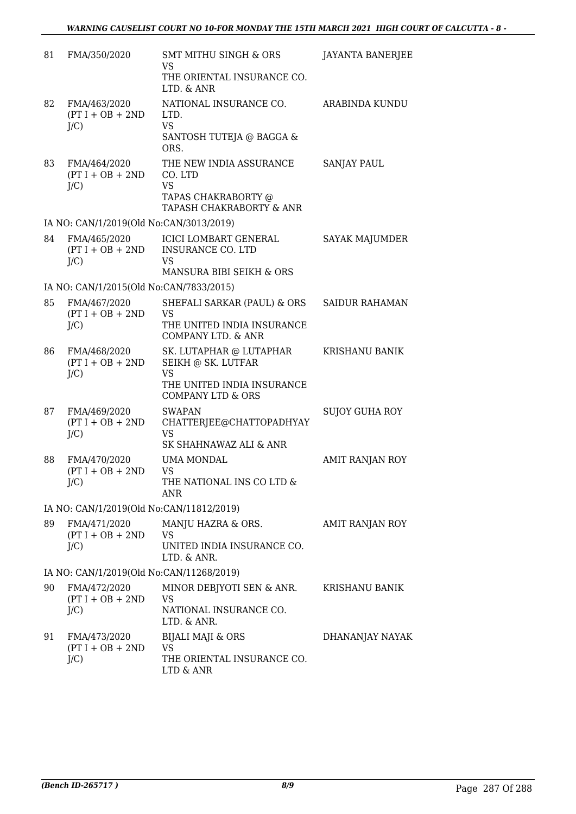| 81                                       | FMA/350/2020                                  | <b>SMT MITHU SINGH &amp; ORS</b><br>VS<br>THE ORIENTAL INSURANCE CO.                                                     | <b>JAYANTA BANERJEE</b> |  |
|------------------------------------------|-----------------------------------------------|--------------------------------------------------------------------------------------------------------------------------|-------------------------|--|
| 82                                       | FMA/463/2020<br>$(PT I + OB + 2ND$<br>$J/C$ ) | LTD. & ANR<br>NATIONAL INSURANCE CO.<br>LTD.<br><b>VS</b><br>SANTOSH TUTEJA @ BAGGA &<br>ORS.                            | <b>ARABINDA KUNDU</b>   |  |
| 83                                       | FMA/464/2020<br>$(PT I + OB + 2ND$<br>$J/C$ ) | THE NEW INDIA ASSURANCE<br>CO. LTD<br><b>VS</b><br>TAPAS CHAKRABORTY @<br>TAPASH CHAKRABORTY & ANR                       | <b>SANJAY PAUL</b>      |  |
|                                          | IA NO: CAN/1/2019(Old No:CAN/3013/2019)       |                                                                                                                          |                         |  |
| 84                                       | FMA/465/2020<br>$(PT I + OB + 2ND$<br>$J/C$ ) | <b>ICICI LOMBART GENERAL</b><br><b>INSURANCE CO. LTD</b><br>VS<br>MANSURA BIBI SEIKH & ORS                               | SAYAK MAJUMDER          |  |
| IA NO: CAN/1/2015(Old No:CAN/7833/2015)  |                                               |                                                                                                                          |                         |  |
| 85                                       | FMA/467/2020<br>$(PT I + OB + 2ND$<br>$J/C$ ) | SHEFALI SARKAR (PAUL) & ORS<br>VS<br>THE UNITED INDIA INSURANCE<br><b>COMPANY LTD. &amp; ANR</b>                         | <b>SAIDUR RAHAMAN</b>   |  |
| 86                                       | FMA/468/2020<br>$(PT I + OB + 2ND$<br>$J/C$ ) | SK. LUTAPHAR @ LUTAPHAR<br>SEIKH @ SK. LUTFAR<br><b>VS</b><br>THE UNITED INDIA INSURANCE<br><b>COMPANY LTD &amp; ORS</b> | KRISHANU BANIK          |  |
| 87                                       | FMA/469/2020<br>$(PT I + OB + 2ND$<br>$J/C$ ) | <b>SWAPAN</b><br>CHATTERJEE@CHATTOPADHYAY<br>VS<br>SK SHAHNAWAZ ALI & ANR                                                | <b>SUJOY GUHA ROY</b>   |  |
| 88                                       | FMA/470/2020<br>$(PT I + OB + 2ND$<br>J/C)    | <b>UMA MONDAL</b><br>VS<br>THE NATIONAL INS CO LTD &<br><b>ANR</b>                                                       | AMIT RANJAN ROY         |  |
| IA NO: CAN/1/2019(Old No:CAN/11812/2019) |                                               |                                                                                                                          |                         |  |
| 89                                       | FMA/471/2020<br>$(PT I + OB + 2ND$<br>$J/C$ ) | MANJU HAZRA & ORS.<br>VS<br>UNITED INDIA INSURANCE CO.<br>LTD. & ANR.                                                    | AMIT RANJAN ROY         |  |
| IA NO: CAN/1/2019(Old No:CAN/11268/2019) |                                               |                                                                                                                          |                         |  |
| 90                                       | FMA/472/2020<br>$(PT I + OB + 2ND$<br>$J/C$ ) | MINOR DEBJYOTI SEN & ANR.<br>VS<br>NATIONAL INSURANCE CO.<br>LTD. & ANR.                                                 | KRISHANU BANIK          |  |
| 91                                       | FMA/473/2020<br>$(PT I + OB + 2ND$<br>$J/C$ ) | BIJALI MAJI & ORS<br>VS<br>THE ORIENTAL INSURANCE CO.<br>LTD & ANR                                                       | DHANANJAY NAYAK         |  |